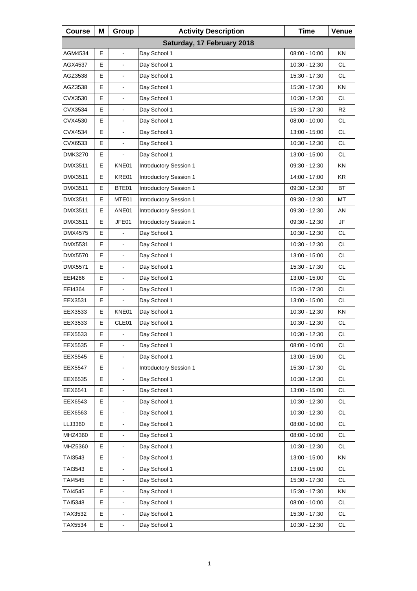| <b>Course</b>              | Μ | Group                    | <b>Activity Description</b> | <b>Time</b>     | Venue          |  |  |
|----------------------------|---|--------------------------|-----------------------------|-----------------|----------------|--|--|
| Saturday, 17 February 2018 |   |                          |                             |                 |                |  |  |
| AGM4534                    | E | $\blacksquare$           | Day School 1                | $08:00 - 10:00$ | <b>KN</b>      |  |  |
| AGX4537                    | Е | $\overline{\phantom{a}}$ | Day School 1                | 10:30 - 12:30   | <b>CL</b>      |  |  |
| AGZ3538                    | E | $\blacksquare$           | Day School 1                | 15:30 - 17:30   | <b>CL</b>      |  |  |
| AGZ3538                    | E | $\blacksquare$           | Day School 1                | 15:30 - 17:30   | KN             |  |  |
| CVX3530                    | E | $\overline{\phantom{a}}$ | Day School 1                | 10:30 - 12:30   | CL.            |  |  |
| CVX3534                    | E | $\blacksquare$           | Day School 1                | 15:30 - 17:30   | R <sub>2</sub> |  |  |
| CVX4530                    | E | $\blacksquare$           | Day School 1                | 08:00 - 10:00   | <b>CL</b>      |  |  |
| CVX4534                    | E | $\overline{\phantom{a}}$ | Day School 1                | 13:00 - 15:00   | <b>CL</b>      |  |  |
| CVX6533                    | E | $\overline{\phantom{a}}$ | Day School 1                | 10:30 - 12:30   | <b>CL</b>      |  |  |
| DMK3270                    | Е |                          | Day School 1                | 13:00 - 15:00   | <b>CL</b>      |  |  |
| DMX3511                    | E | KNE01                    | Introductory Session 1      | 09:30 - 12:30   | ΚN             |  |  |
| DMX3511                    | E | KRE01                    | Introductory Session 1      | 14:00 - 17:00   | <b>KR</b>      |  |  |
| DMX3511                    | Е | BTE01                    | Introductory Session 1      | 09:30 - 12:30   | ВT             |  |  |
| DMX3511                    | E | MTE01                    | Introductory Session 1      | 09:30 - 12:30   | МT             |  |  |
| DMX3511                    | E | ANE01                    | Introductory Session 1      | $09:30 - 12:30$ | AN             |  |  |
| DMX3511                    | Е | JFE01                    | Introductory Session 1      | 09:30 - 12:30   | JF             |  |  |
| DMX4575                    | E | ä,                       | Day School 1                | 10:30 - 12:30   | CL.            |  |  |
| <b>DMX5531</b>             | E | $\overline{\phantom{a}}$ | Day School 1                | 10:30 - 12:30   | <b>CL</b>      |  |  |
| <b>DMX5570</b>             | E |                          | Day School 1                | 13:00 - 15:00   | <b>CL</b>      |  |  |
| DMX5571                    | E | ä,                       | Day School 1                | 15:30 - 17:30   | CL.            |  |  |
| EEI4266                    | E | $\blacksquare$           | Day School 1                | 13:00 - 15:00   | <b>CL</b>      |  |  |
| EEI4364                    | Е |                          | Day School 1                | 15:30 - 17:30   | <b>CL</b>      |  |  |
| EEX3531                    | Е |                          | Day School 1                | 13:00 - 15:00   | CL.            |  |  |
| EEX3533                    | E | KNE01                    | Day School 1                | 10:30 - 12:30   | KN             |  |  |
| EEX3533                    | E | CLE01                    | Day School 1                | 10:30 - 12:30   | CL             |  |  |
| EEX5533                    | E |                          | Day School 1                | 10:30 - 12:30   | <b>CL</b>      |  |  |
| EEX5535                    | Е | $\overline{\phantom{a}}$ | Day School 1                | $08:00 - 10:00$ | CL             |  |  |
| EEX5545                    | E |                          | Day School 1                | 13:00 - 15:00   | CL             |  |  |
| <b>EEX5547</b>             | E | $\blacksquare$           | Introductory Session 1      | 15:30 - 17:30   | <b>CL</b>      |  |  |
| EEX6535                    | Е |                          | Day School 1                | 10:30 - 12:30   | CL             |  |  |
| EEX6541                    | E |                          | Day School 1                | 13:00 - 15:00   | CL             |  |  |
| EEX6543                    | E | $\blacksquare$           | Day School 1                | 10:30 - 12:30   | <b>CL</b>      |  |  |
| EEX6563                    | Е |                          | Day School 1                | 10:30 - 12:30   | CL             |  |  |
| LLJ3360                    | E |                          | Day School 1                | 08:00 - 10:00   | CL             |  |  |
| MHZ4360                    | E | $\blacksquare$           | Day School 1                | 08:00 - 10:00   | <b>CL</b>      |  |  |
| MHZ5360                    | Е | $\blacksquare$           | Day School 1                | 10:30 - 12:30   | CL             |  |  |
| TAI3543                    | E |                          | Day School 1                | 13:00 - 15:00   | KN             |  |  |
| TAI3543                    | E | $\blacksquare$           | Day School 1                | 13:00 - 15:00   | <b>CL</b>      |  |  |
| TAI4545                    | Е | $\blacksquare$           | Day School 1                | 15:30 - 17:30   | CL             |  |  |
| TAI4545                    | E |                          | Day School 1                | 15:30 - 17:30   | KN             |  |  |
| TAI5348                    | E | $\blacksquare$           | Day School 1                | 08:00 - 10:00   | <b>CL</b>      |  |  |
| TAX3532                    | Е | $\blacksquare$           | Day School 1                | 15:30 - 17:30   | CL             |  |  |
| TAX5534                    | E | $\blacksquare$           | Day School 1                | 10:30 - 12:30   | CL             |  |  |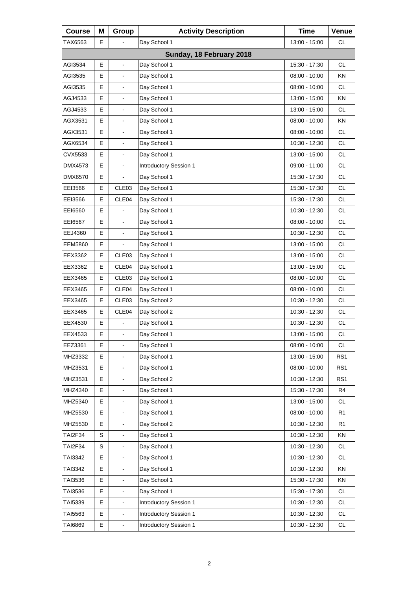| <b>Course</b>  | Μ           | Group                    | <b>Activity Description</b> | <b>Time</b>     | Venue           |
|----------------|-------------|--------------------------|-----------------------------|-----------------|-----------------|
| TAX6563        | E.          |                          | Day School 1                | 13:00 - 15:00   | <b>CL</b>       |
|                |             |                          | Sunday, 18 February 2018    |                 |                 |
| AGI3534        | E           | $\frac{1}{2}$            | Day School 1                | 15:30 - 17:30   | <b>CL</b>       |
| AGI3535        | Е           | $\blacksquare$           | Day School 1                | 08:00 - 10:00   | ΚN              |
| AGI3535        | E           | L.                       | Day School 1                | 08:00 - 10:00   | <b>CL</b>       |
| AGJ4533        | E           | $\blacksquare$           | Day School 1                | 13:00 - 15:00   | <b>KN</b>       |
| AGJ4533        | Е           | $\blacksquare$           | Day School 1                | 13:00 - 15:00   | <b>CL</b>       |
| AGX3531        | E           | L.                       | Day School 1                | 08:00 - 10:00   | <b>KN</b>       |
| AGX3531        | E           | $\blacksquare$           | Day School 1                | $08:00 - 10:00$ | <b>CL</b>       |
| AGX6534        | Е           | $\blacksquare$           | Day School 1                | 10:30 - 12:30   | <b>CL</b>       |
| CVX5533        | E           | $\blacksquare$           | Day School 1                | 13:00 - 15:00   | <b>CL</b>       |
| DMX4573        | E           | $\overline{\phantom{a}}$ | Introductory Session 1      | 09:00 - 11:00   | <b>CL</b>       |
| DMX6570        | Е           | -                        | Day School 1                | 15:30 - 17:30   | <b>CL</b>       |
| EEI3566        | E           | CLE03                    | Day School 1                | 15:30 - 17:30   | <b>CL</b>       |
| EEI3566        | E           | CLE04                    | Day School 1                | 15:30 - 17:30   | <b>CL</b>       |
| EEI6560        | Е           |                          | Day School 1                | 10:30 - 12:30   | <b>CL</b>       |
| EE16567        | E           | $\blacksquare$           | Day School 1                | $08:00 - 10:00$ | <b>CL</b>       |
| EEJ4360        | E           | $\overline{\phantom{a}}$ | Day School 1                | 10:30 - 12:30   | <b>CL</b>       |
| <b>EEM5860</b> | Е           | -                        | Day School 1                | 13:00 - 15:00   | <b>CL</b>       |
| EEX3362        | E           | CLE03                    | Day School 1                | 13:00 - 15:00   | <b>CL</b>       |
| EEX3362        | E           | CLE04                    | Day School 1                | 13:00 - 15:00   | <b>CL</b>       |
| EEX3465        | Е           | CLE <sub>03</sub>        | Day School 1                | $08:00 - 10:00$ | <b>CL</b>       |
| EEX3465        | E           | CLE04                    | Day School 1                | 08:00 - 10:00   | <b>CL</b>       |
| EEX3465        | Е           | CLE <sub>03</sub>        | Day School 2                | 10:30 - 12:30   | <b>CL</b>       |
| EEX3465        | E           | CLE04                    | Day School 2                | $10:30 - 12:30$ | <b>CL</b>       |
| EEX4530        | E           |                          | Day School 1                | 10:30 - 12:30   | <b>CL</b>       |
| EEX4533        | E           | L,                       | Day School 1                | 13:00 - 15:00   | <b>CL</b>       |
| EEZ3361        | E           | $\blacksquare$           | Day School 1                | $08:00 - 10:00$ | CL              |
| MHZ3332        | E           |                          | Day School 1                | 13:00 - 15:00   | RS <sub>1</sub> |
| MHZ3531        | E           | $\blacksquare$           | Day School 1                | 08:00 - 10:00   | RS <sub>1</sub> |
| MHZ3531        | E           | -                        | Day School 2                | 10:30 - 12:30   | RS <sub>1</sub> |
| MHZ4340        | E           | $\overline{\phantom{0}}$ | Day School 1                | 15:30 - 17:30   | R <sub>4</sub>  |
| MHZ5340        | E           | $\blacksquare$           | Day School 1                | 13:00 - 15:00   | <b>CL</b>       |
| MHZ5530        | E           | -                        | Day School 1                | 08:00 - 10:00   | R <sub>1</sub>  |
| MHZ5530        | E           |                          | Day School 2                | 10:30 - 12:30   | R <sub>1</sub>  |
| <b>TAI2F34</b> | $\mathbf S$ | $\blacksquare$           | Day School 1                | 10:30 - 12:30   | KN              |
| TAI2F34        | S           |                          | Day School 1                | 10:30 - 12:30   | CL              |
| TAI3342        | E           |                          | Day School 1                | 10:30 - 12:30   | <b>CL</b>       |
| TAI3342        | E           | $\blacksquare$           | Day School 1                | 10:30 - 12:30   | KN              |
| TAI3536        | Е           | $\overline{\phantom{a}}$ | Day School 1                | 15:30 - 17:30   | KN              |
| TAI3536        | E           |                          | Day School 1                | 15:30 - 17:30   | <b>CL</b>       |
| TAI5339        | E           | $\blacksquare$           | Introductory Session 1      | 10:30 - 12:30   | $\mathsf{CL}$   |
| TAI5563        | E           | $\blacksquare$           | Introductory Session 1      | 10:30 - 12:30   | <b>CL</b>       |
| TAI6869        | E           | $\blacksquare$           | Introductory Session 1      | 10:30 - 12:30   | <b>CL</b>       |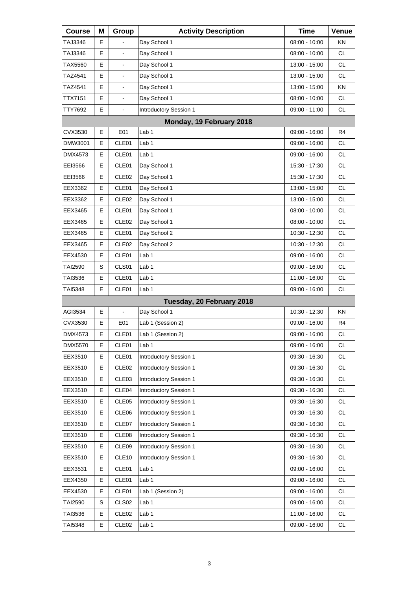| <b>Course</b>  | Μ | Group                    | <b>Activity Description</b>   | <b>Time</b>   | Venue     |
|----------------|---|--------------------------|-------------------------------|---------------|-----------|
| TAJ3346        | Е |                          | Day School 1                  | 08:00 - 10:00 | KN        |
| TAJ3346        | Е | $\overline{\phantom{a}}$ | Day School 1                  | 08:00 - 10:00 | <b>CL</b> |
| TAX5560        | Е | $\blacksquare$           | Day School 1                  | 13:00 - 15:00 | <b>CL</b> |
| TAZ4541        | Е | $\blacksquare$           | Day School 1                  | 13:00 - 15:00 | <b>CL</b> |
| TAZ4541        | Е |                          | Day School 1                  | 13:00 - 15:00 | <b>KN</b> |
| TTX7151        | Е | $\blacksquare$           | Day School 1                  | 08:00 - 10:00 | <b>CL</b> |
| TTY7692        | E | $\blacksquare$           | Introductory Session 1        | 09:00 - 11:00 | <b>CL</b> |
|                |   |                          |                               |               |           |
| CVX3530        | Е | E01                      | Lab 1                         | 09:00 - 16:00 | R4        |
| DMW3001        | Е | CLE01                    | Lab 1                         | 09:00 - 16:00 | <b>CL</b> |
| DMX4573        | Е | CLE <sub>01</sub>        | Lab 1                         | 09:00 - 16:00 | <b>CL</b> |
| EEI3566        | E | CLE01                    | Day School 1                  | 15:30 - 17:30 | <b>CL</b> |
| EEI3566        | Е | CLE <sub>02</sub>        | Day School 1                  | 15:30 - 17:30 | <b>CL</b> |
| EEX3362        | Е | CLE01                    | Day School 1                  | 13:00 - 15:00 | <b>CL</b> |
| EEX3362        | E | CLE <sub>02</sub>        | Day School 1                  | 13:00 - 15:00 | <b>CL</b> |
| EEX3465        | Е | CLE01                    | Day School 1                  | 08:00 - 10:00 | <b>CL</b> |
| EEX3465        | Е | CLE <sub>02</sub>        | Day School 1                  | 08:00 - 10:00 | <b>CL</b> |
| EEX3465        | E | CLE01                    | Day School 2                  | 10:30 - 12:30 | <b>CL</b> |
| EEX3465        | Е | CLE <sub>02</sub>        | Day School 2                  | 10:30 - 12:30 | <b>CL</b> |
| EEX4530        | Е | CLE01                    | Lab 1                         | 09:00 - 16:00 | <b>CL</b> |
| TAI2590        | S | CLS01                    | Lab 1                         | 09:00 - 16:00 | <b>CL</b> |
| TAI3536        | Е | CLE <sub>01</sub>        | Lab 1                         | 11:00 - 16:00 | <b>CL</b> |
| TAI5348        | Е | CLE01                    | Lab 1                         | 09:00 - 16:00 | CL        |
|                |   |                          | Tuesday, 20 February 2018     |               |           |
| AGI3534        | E | $\blacksquare$           | Day School 1                  | 10:30 - 12:30 | <b>KN</b> |
| CVX3530        | Е | E01                      | Lab 1 (Session 2)             | 09:00 - 16:00 | R4        |
| DMX4573        | E | CLE01                    | Lab 1 (Session 2)             | 09:00 - 16:00 | <b>CL</b> |
| <b>DMX5570</b> | Е | CLE01                    | Lab <sub>1</sub>              | 09:00 - 16:00 | CL        |
| EEX3510        | Е | CLE01                    | Introductory Session 1        | 09:30 - 16:30 | <b>CL</b> |
| EEX3510        | Е | CLE <sub>02</sub>        | Introductory Session 1        | 09:30 - 16:30 | <b>CL</b> |
| EEX3510        | Е | CLE03                    | Introductory Session 1        | 09:30 - 16:30 | CL        |
| EEX3510        | Е | CLE04                    | Introductory Session 1        | 09:30 - 16:30 | <b>CL</b> |
| EEX3510        | Е | CLE05                    | <b>Introductory Session 1</b> | 09:30 - 16:30 | <b>CL</b> |
| EEX3510        | Е | CLE06                    | Introductory Session 1        | 09:30 - 16:30 | CL        |
| EEX3510        | Е | CLE07                    | <b>Introductory Session 1</b> | 09:30 - 16:30 | <b>CL</b> |
| EEX3510        | Е | CLE08                    | Introductory Session 1        | 09:30 - 16:30 | <b>CL</b> |
| EEX3510        | Е | CLE09                    | Introductory Session 1        | 09:30 - 16:30 | CL        |
| EEX3510        | Е | CLE <sub>10</sub>        | Introductory Session 1        | 09:30 - 16:30 | <b>CL</b> |
| EEX3531        | Е | CLE01                    | Lab 1                         | 09:00 - 16:00 | <b>CL</b> |
| EEX4350        | Е | CLE01                    | Lab 1                         | 09:00 - 16:00 | CL        |
| EEX4530        | Е | CLE01                    | Lab 1 (Session 2)             | 09:00 - 16:00 | CL        |
| <b>TAI2590</b> | S | CLS <sub>02</sub>        | Lab 1                         | 09:00 - 16:00 | <b>CL</b> |
| TAI3536        | Е | CLE <sub>02</sub>        | Lab 1                         | 11:00 - 16:00 | CL        |
| TAI5348        | Е | CLE <sub>02</sub>        | Lab 1                         | 09:00 - 16:00 | CL        |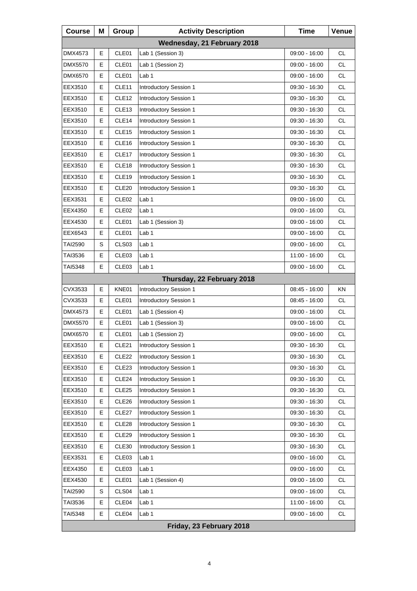| <b>Course</b>  | Μ | Group             | <b>Activity Description</b>   | <b>Time</b>   | Venue     |
|----------------|---|-------------------|-------------------------------|---------------|-----------|
|                |   |                   | Wednesday, 21 February 2018   |               |           |
| DMX4573        | E | CLE01             | Lab 1 (Session 3)             | 09:00 - 16:00 | <b>CL</b> |
| DMX5570        | Е | CLE01             | Lab 1 (Session 2)             | 09:00 - 16:00 | <b>CL</b> |
| <b>DMX6570</b> | Е | CLE01             | Lab 1                         | 09:00 - 16:00 | <b>CL</b> |
| EEX3510        | E | CLE11             | Introductory Session 1        | 09:30 - 16:30 | <b>CL</b> |
| EEX3510        | Е | CLE <sub>12</sub> | Introductory Session 1        | 09:30 - 16:30 | <b>CL</b> |
| EEX3510        | Е | CLE <sub>13</sub> | Introductory Session 1        | 09:30 - 16:30 | <b>CL</b> |
| EEX3510        | E | CLE14             | Introductory Session 1        | 09:30 - 16:30 | <b>CL</b> |
| EEX3510        | Е | CLE <sub>15</sub> | Introductory Session 1        | 09:30 - 16:30 | <b>CL</b> |
| EEX3510        | Е | CLE16             | Introductory Session 1        | 09:30 - 16:30 | <b>CL</b> |
| EEX3510        | E | CLE17             | Introductory Session 1        | 09:30 - 16:30 | <b>CL</b> |
| EEX3510        | Е | CLE <sub>18</sub> | Introductory Session 1        | 09:30 - 16:30 | <b>CL</b> |
| EEX3510        | Е | CLE19             | Introductory Session 1        | 09:30 - 16:30 | <b>CL</b> |
| EEX3510        | E | CLE <sub>20</sub> | Introductory Session 1        | 09:30 - 16:30 | CL        |
| EEX3531        | Е | CLE <sub>02</sub> | Lab 1                         | 09:00 - 16:00 | <b>CL</b> |
| EEX4350        | Е | CLE <sub>02</sub> | Lab 1                         | 09:00 - 16:00 | <b>CL</b> |
| EEX4530        | E | CLE01             | Lab 1 (Session 3)             | 09:00 - 16:00 | CL        |
| EEX6543        | Е | CLE01             | Lab 1                         | 09:00 - 16:00 | <b>CL</b> |
| <b>TAI2590</b> | S | CLS03             | Lab <sub>1</sub>              | 09:00 - 16:00 | <b>CL</b> |
| TAI3536        | E | CLE03             | Lab 1                         | 11:00 - 16:00 | <b>CL</b> |
| TAI5348        | Е | CLE03             | Lab 1                         | 09:00 - 16:00 | <b>CL</b> |
|                |   |                   | Thursday, 22 February 2018    |               |           |
| CVX3533        | Е | KNE01             | Introductory Session 1        | 08:45 - 16:00 | ΚN        |
| CVX3533        | Е | CLE01             | Introductory Session 1        | 08:45 - 16:00 | <b>CL</b> |
| DMX4573        | Е | CLE01             | Lab 1 (Session 4)             | 09:00 - 16:00 | <b>CL</b> |
| DMX5570        | E | CLE01             | Lab 1 (Session 3)             | 09:00 - 16:00 | <b>CL</b> |
| DMX6570        | E | CLE01             | Lab 1 (Session 2)             | 09:00 - 16:00 | <b>CL</b> |
| EEX3510        | Е | CLE21             | Introductory Session 1        | 09:30 - 16:30 | CL        |
| EEX3510        | Е | CLE <sub>22</sub> | Introductory Session 1        | 09:30 - 16:30 | CL.       |
| EEX3510        | Е | CLE <sub>23</sub> | Introductory Session 1        | 09:30 - 16:30 | CL        |
| EEX3510        | Е | CLE24             | Introductory Session 1        | 09:30 - 16:30 | CL        |
| EEX3510        | Е | CLE <sub>25</sub> | Introductory Session 1        | 09:30 - 16:30 | CL        |
| EEX3510        | Е | CLE <sub>26</sub> | Introductory Session 1        | 09:30 - 16:30 | CL        |
| EEX3510        | Е | CLE27             | Introductory Session 1        | 09:30 - 16:30 | CL        |
| EEX3510        | Е | CLE <sub>28</sub> | Introductory Session 1        | 09:30 - 16:30 | CL        |
| EEX3510        | Е | CLE <sub>29</sub> | Introductory Session 1        | 09:30 - 16:30 | CL        |
| EEX3510        | Е | CLE30             | <b>Introductory Session 1</b> | 09:30 - 16:30 | CL        |
| EEX3531        | Е | CLE03             | Lab 1                         | 09:00 - 16:00 | CL        |
| EEX4350        | Е | CLE03             | Lab <sub>1</sub>              | 09:00 - 16:00 | CL        |
| EEX4530        | Е | CLE01             | Lab 1 (Session 4)             | 09:00 - 16:00 | CL        |
| TAI2590        | S | CLS04             | Lab 1                         | 09:00 - 16:00 | CL        |
| TAI3536        | Е | CLE04             | Lab <sub>1</sub>              | 11:00 - 16:00 | CL        |
| TAI5348        | Е | CLE04             | Lab 1                         | 09:00 - 16:00 | CL        |
|                |   |                   | Friday, 23 February 2018      |               |           |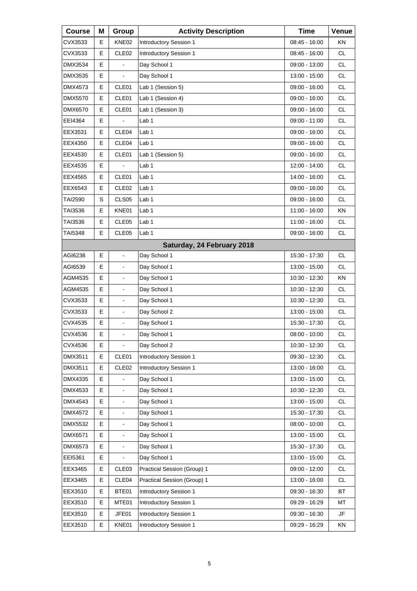| <b>Course</b>  | Μ | Group                    | <b>Activity Description</b>   | <b>Time</b>     | Venue     |
|----------------|---|--------------------------|-------------------------------|-----------------|-----------|
| CVX3533        | Е | KNE02                    | Introductory Session 1        | 08:45 - 16:00   | ΚN        |
| CVX3533        | E | CLE <sub>02</sub>        | Introductory Session 1        | 08:45 - 16:00   | <b>CL</b> |
| <b>DMX3534</b> | E |                          | Day School 1                  | 09:00 - 13:00   | <b>CL</b> |
| DMX3535        | Е | $\blacksquare$           | Day School 1                  | 13:00 - 15:00   | <b>CL</b> |
| DMX4573        | E | CLE01                    | Lab 1 (Session 5)             | 09:00 - 16:00   | <b>CL</b> |
| <b>DMX5570</b> | E | CLE01                    | Lab 1 (Session 4)             | 09:00 - 16:00   | <b>CL</b> |
| <b>DMX6570</b> | Е | CLE01                    | Lab 1 (Session 3)             | 09:00 - 16:00   | <b>CL</b> |
| EEI4364        | E |                          | Lab <sub>1</sub>              | 09:00 - 11:00   | <b>CL</b> |
| EEX3531        | E | CLE04                    | Lab <sub>1</sub>              | 09:00 - 16:00   | <b>CL</b> |
| EEX4350        | Е | CLE04                    | Lab 1                         | 09:00 - 16:00   | <b>CL</b> |
| EEX4530        | E | CLE01                    | Lab 1 (Session 5)             | 09:00 - 16:00   | <b>CL</b> |
| EEX4535        | Е |                          | Lab <sub>1</sub>              | 12:00 - 14:00   | <b>CL</b> |
| EEX4565        | Е | CLE01                    | Lab 1                         | 14:00 - 16:00   | <b>CL</b> |
| EEX6543        | E | CLE <sub>02</sub>        | Lab <sub>1</sub>              | 09:00 - 16:00   | <b>CL</b> |
| TAI2590        | S | CLS <sub>05</sub>        | Lab <sub>1</sub>              | 09:00 - 16:00   | <b>CL</b> |
| TAI3536        | Е | KNE01                    | Lab 1                         | 11:00 - 16:00   | <b>KN</b> |
| TAI3536        | E | CLE <sub>05</sub>        | Lab <sub>1</sub>              | 11:00 - 16:00   | <b>CL</b> |
| TAI5348        | Е | CLE <sub>05</sub>        | Lab 1                         | 09:00 - 16:00   | <b>CL</b> |
|                |   |                          | Saturday, 24 February 2018    |                 |           |
| AGI6238        | E | $\blacksquare$           | Day School 1                  | 15:30 - 17:30   | <b>CL</b> |
| AGI6539        | Е | $\overline{\phantom{a}}$ | Day School 1                  | 13:00 - 15:00   | <b>CL</b> |
| AGM4535        | Е | $\blacksquare$           | Day School 1                  | 10:30 - 12:30   | <b>KN</b> |
| AGM4535        | E |                          | Day School 1                  | 10:30 - 12:30   | <b>CL</b> |
| CVX3533        | Е | $\blacksquare$           | Day School 1                  | 10:30 - 12:30   | <b>CL</b> |
| CVX3533        | Е | $\blacksquare$           | Day School 2                  | 13:00 - 15:00   | <b>CL</b> |
| CVX4535        | E |                          | Day School 1                  | 15:30 - 17:30   | <b>CL</b> |
| CVX4536        | E | L,                       | Day School 1                  | $08:00 - 10:00$ | <b>CL</b> |
| CVX4536        | Е | $\Box$                   | Day School 2                  | 10:30 - 12:30   | CL        |
| DMX3511        | Е | CLE01                    | <b>Introductory Session 1</b> | 09:30 - 12:30   | CL        |
| DMX3511        | E | CLE <sub>02</sub>        | <b>Introductory Session 1</b> | 13:00 - 16:00   | CL        |
| DMX4335        | E |                          | Day School 1                  | 13:00 - 15:00   | CL        |
| DMX4533        | E |                          | Day School 1                  | 10:30 - 12:30   | CL        |
| DMX4543        | E | $\blacksquare$           | Day School 1                  | 13:00 - 15:00   | CL        |
| DMX4572        | E | $\blacksquare$           | Day School 1                  | 15:30 - 17:30   | CL        |
| DMX5532        | E |                          | Day School 1                  | $08:00 - 10:00$ | CL        |
| DMX6571        | E | $\blacksquare$           | Day School 1                  | 13:00 - 15:00   | CL        |
| DMX6573        | E |                          | Day School 1                  | 15:30 - 17:30   | CL        |
| EEI5361        | Е |                          | Day School 1                  | 13:00 - 15:00   | CL        |
| EEX3465        | Е | CLE <sub>03</sub>        | Practical Session (Group) 1   | 09:00 - 12:00   | CL        |
| EEX3465        | Е | CLE04                    | Practical Session (Group) 1   | 13:00 - 16:00   | CL        |
| EEX3510        | Е | BTE01                    | <b>Introductory Session 1</b> | 09:30 - 16:30   | BT        |
| EEX3510        | Е | MTE01                    | <b>Introductory Session 1</b> | 09:29 - 16:29   | МT        |
| EEX3510        | E | JFE01                    | Introductory Session 1        | 09:30 - 16:30   | JF        |
| EEX3510        | Е | KNE01                    | Introductory Session 1        | 09:29 - 16:29   | KN        |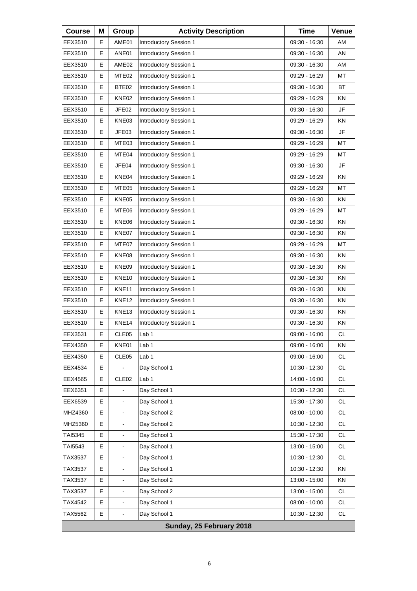| <b>Course</b> | Μ | Group             | <b>Activity Description</b>   | <b>Time</b>     | Venue     |
|---------------|---|-------------------|-------------------------------|-----------------|-----------|
| EEX3510       | Е | AME01             | Introductory Session 1        | 09:30 - 16:30   | AM        |
| EEX3510       | E | ANE01             | <b>Introductory Session 1</b> | 09:30 - 16:30   | AN        |
| EEX3510       | E | AME <sub>02</sub> | <b>Introductory Session 1</b> | 09:30 - 16:30   | AM        |
| EEX3510       | Е | MTE <sub>02</sub> | Introductory Session 1        | 09:29 - 16:29   | МT        |
| EEX3510       | E | BTE02             | <b>Introductory Session 1</b> | 09:30 - 16:30   | <b>BT</b> |
| EEX3510       | E | KNE02             | <b>Introductory Session 1</b> | $09:29 - 16:29$ | ΚN        |
| EEX3510       | Е | JFE02             | Introductory Session 1        | 09:30 - 16:30   | JF        |
| EEX3510       | E | KNE03             | <b>Introductory Session 1</b> | 09:29 - 16:29   | KN        |
| EEX3510       | E | JFE03             | Introductory Session 1        | 09:30 - 16:30   | JF        |
| EEX3510       | Е | MTE03             | Introductory Session 1        | 09:29 - 16:29   | МT        |
| EEX3510       | E | MTE04             | <b>Introductory Session 1</b> | 09:29 - 16:29   | МT        |
| EEX3510       | Е | JFE04             | <b>Introductory Session 1</b> | 09:30 - 16:30   | <b>JF</b> |
| EEX3510       | Е | KNE04             | Introductory Session 1        | 09:29 - 16:29   | ΚN        |
| EEX3510       | E | MTE05             | <b>Introductory Session 1</b> | 09:29 - 16:29   | МT        |
| EEX3510       | Е | KNE05             | Introductory Session 1        | 09:30 - 16:30   | ΚN        |
| EEX3510       | Е | MTE06             | Introductory Session 1        | 09:29 - 16:29   | МT        |
| EEX3510       | E | KNE06             | <b>Introductory Session 1</b> | 09:30 - 16:30   | ΚN        |
| EEX3510       | Е | KNE07             | Introductory Session 1        | 09:30 - 16:30   | ΚN        |
| EEX3510       | Е | MTE07             | Introductory Session 1        | 09:29 - 16:29   | МT        |
| EEX3510       | E | KNE08             | <b>Introductory Session 1</b> | 09:30 - 16:30   | ΚN        |
| EEX3510       | Е | KNE09             | Introductory Session 1        | 09:30 - 16:30   | ΚN        |
| EEX3510       | Е | KNE <sub>10</sub> | Introductory Session 1        | 09:30 - 16:30   | ΚN        |
| EEX3510       | E | KNE11             | Introductory Session 1        | 09:30 - 16:30   | ΚN        |
| EEX3510       | Е | KNE <sub>12</sub> | Introductory Session 1        | 09:30 - 16:30   | ΚN        |
| EEX3510       | Е | KNE13             | Introductory Session 1        | 09:30 - 16:30   | ΚN        |
| EEX3510       | E | KNE14             | Introductory Session 1        | 09:30 - 16:30   | ΚN        |
| EEX3531       | Е | CLE <sub>05</sub> | Lab 1                         | $09:00 - 16:00$ | <b>CL</b> |
| EEX4350       | Е | KNE01             | Lab <sub>1</sub>              | 09:00 - 16:00   | KN        |
| EEX4350       | E | CLE05             | Lab <sub>1</sub>              | 09:00 - 16:00   | CL        |
| EEX4534       | E |                   | Day School 1                  | 10:30 - 12:30   | <b>CL</b> |
| EEX4565       | Е | CLE <sub>02</sub> | Lab 1                         | 14:00 - 16:00   | CL        |
| EEX6351       | E |                   | Day School 1                  | 10:30 - 12:30   | CL        |
| EEX6539       | E | $\blacksquare$    | Day School 1                  | 15:30 - 17:30   | <b>CL</b> |
| MHZ4360       | E | $\blacksquare$    | Day School 2                  | 08:00 - 10:00   | CL        |
| MHZ5360       | E |                   | Day School 2                  | 10:30 - 12:30   | CL        |
| TAI5345       | E | $\blacksquare$    | Day School 1                  | 15:30 - 17:30   | <b>CL</b> |
| TAI5543       | Е |                   | Day School 1                  | 13:00 - 15:00   | CL        |
| TAX3537       | E |                   | Day School 1                  | 10:30 - 12:30   | CL        |
| TAX3537       | E | $\blacksquare$    | Day School 1                  | 10:30 - 12:30   | KN        |
| TAX3537       | Е | $\blacksquare$    | Day School 2                  | 13:00 - 15:00   | KN        |
| TAX3537       | E |                   | Day School 2                  | 13:00 - 15:00   | CL        |
| TAX4542       | E | $\blacksquare$    | Day School 1                  | 08:00 - 10:00   | <b>CL</b> |
| TAX5562       | Е | $\blacksquare$    | Day School 1                  | 10:30 - 12:30   | CL        |
|               |   |                   | Sunday, 25 February 2018      |                 |           |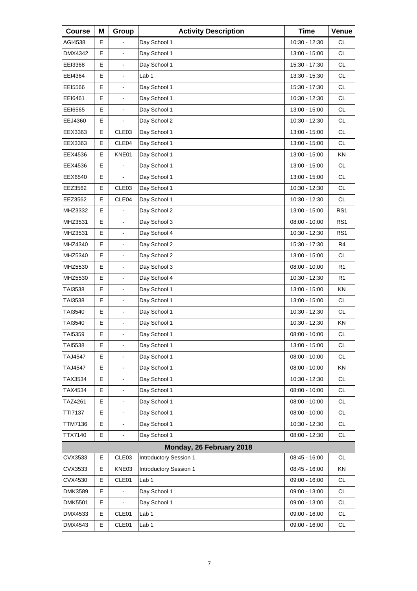| <b>Course</b>  | Μ  | Group                        | <b>Activity Description</b> | <b>Time</b>     | Venue           |
|----------------|----|------------------------------|-----------------------------|-----------------|-----------------|
| AGI4538        | E. |                              | Day School 1                | 10:30 - 12:30   | <b>CL</b>       |
| DMX4342        | E  | $\blacksquare$               | Day School 1                | 13:00 - 15:00   | <b>CL</b>       |
| EEI3368        | E  | $\overline{\phantom{a}}$     | Day School 1                | 15:30 - 17:30   | <b>CL</b>       |
| EEI4364        | Е  | $\blacksquare$               | Lab 1                       | 13:30 - 15:30   | <b>CL</b>       |
| EEI5566        | E  | $\blacksquare$               | Day School 1                | 15:30 - 17:30   | <b>CL</b>       |
| EEI6461        | E  | $\overline{\phantom{a}}$     | Day School 1                | 10:30 - 12:30   | <b>CL</b>       |
| EEI6565        | Е  | $\blacksquare$               | Day School 1                | 13:00 - 15:00   | <b>CL</b>       |
| EEJ4360        | E  |                              | Day School 2                | 10:30 - 12:30   | <b>CL</b>       |
| EEX3363        | E  | CLE03                        | Day School 1                | 13:00 - 15:00   | <b>CL</b>       |
| EEX3363        | Е  | CLE04                        | Day School 1                | 13:00 - 15:00   | <b>CL</b>       |
| EEX4536        | E  | KNE01                        | Day School 1                | 13:00 - 15:00   | KN              |
| EEX4536        | E  |                              | Day School 1                | 13:00 - 15:00   | CL.             |
| EEX6540        | Е  | $\blacksquare$               | Day School 1                | 13:00 - 15:00   | <b>CL</b>       |
| EEZ3562        | E  | CLE03                        | Day School 1                | 10:30 - 12:30   | <b>CL</b>       |
| EEZ3562        | E  | CLE04                        | Day School 1                | 10:30 - 12:30   | <b>CL</b>       |
| MHZ3332        | Е  | $\blacksquare$               | Day School 2                | 13:00 - 15:00   | RS <sub>1</sub> |
| MHZ3531        | E  | $\blacksquare$               | Day School 3                | 08:00 - 10:00   | RS <sub>1</sub> |
| MHZ3531        | E  | $\overline{\phantom{a}}$     | Day School 4                | 10:30 - 12:30   | RS <sub>1</sub> |
| MHZ4340        | E  | $\blacksquare$               | Day School 2                | 15:30 - 17:30   | R4              |
| MHZ5340        | E  | $\overline{a}$               | Day School 2                | 13:00 - 15:00   | <b>CL</b>       |
| MHZ5530        | E  | $\overline{\phantom{a}}$     | Day School 3                | 08:00 - 10:00   | R <sub>1</sub>  |
| MHZ5530        | E  | $\blacksquare$               | Day School 4                | 10:30 - 12:30   | R <sub>1</sub>  |
| TAI3538        | E  | $\overline{a}$               | Day School 1                | 13:00 - 15:00   | <b>KN</b>       |
| TAI3538        | Е  | $\overline{\phantom{a}}$     | Day School 1                | 13:00 - 15:00   | CL.             |
| TAI3540        | E  | $\blacksquare$               | Day School 1                | 10:30 - 12:30   | <b>CL</b>       |
| TAI3540        | E  | $\blacksquare$               | Day School 1                | 10:30 - 12:30   | KN              |
| <b>TAI5359</b> | Е  | L,                           | Day School 1                | $08:00 - 10:00$ | <b>CL</b>       |
| TAI5538        | Е  | $\blacksquare$               | Day School 1                | 13:00 - 15:00   | CL              |
| <b>TAJ4547</b> | E  |                              | Day School 1                | $08:00 - 10:00$ | CL              |
| <b>TAJ4547</b> | E  | $\blacksquare$               | Day School 1                | 08:00 - 10:00   | KN              |
| TAX3534        | E  | $\blacksquare$               | Day School 1                | 10:30 - 12:30   | CL              |
| TAX4534        | Е  |                              | Day School 1                | 08:00 - 10:00   | CL              |
| TAZ4261        | E  | $\blacksquare$               | Day School 1                | 08:00 - 10:00   | CL              |
| TTI7137        | E  | $\qquad \qquad \blacksquare$ | Day School 1                | 08:00 - 10:00   | CL              |
| <b>TTM7136</b> | E  | $\blacksquare$               | Day School 1                | 10:30 - 12:30   | CL              |
| TTX7140        | E  | $\blacksquare$               | Day School 1                | 08:00 - 12:30   | <b>CL</b>       |
|                |    |                              | Monday, 26 February 2018    |                 |                 |
| CVX3533        | Е  | CLE03                        | Introductory Session 1      | 08:45 - 16:00   | CL              |
| CVX3533        | E  | KNE03                        | Introductory Session 1      | 08:45 - 16:00   | KN              |
| CVX4530        | Е  | CLE01                        | Lab <sub>1</sub>            | 09:00 - 16:00   | CL              |
| <b>DMK3589</b> | E  |                              | Day School 1                | 09:00 - 13:00   | CL              |
| <b>DMK5501</b> | E  | $\blacksquare$               | Day School 1                | 09:00 - 13:00   | CL              |
| DMX4533        | Е  | CLE01                        | Lab <sub>1</sub>            | 09:00 - 16:00   | CL              |
| DMX4543        | Е  | CLE01                        | Lab <sub>1</sub>            | 09:00 - 16:00   | CL              |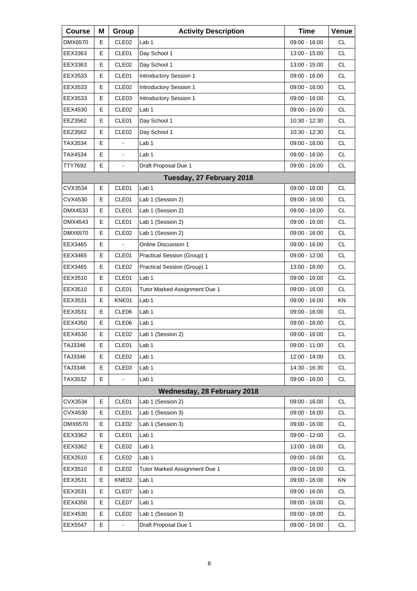| <b>Course</b>  | Μ | Group             | <b>Activity Description</b>   | <b>Time</b>     | <b>Venue</b> |
|----------------|---|-------------------|-------------------------------|-----------------|--------------|
| <b>DMX6570</b> | E | CLE <sub>02</sub> | Lab <sub>1</sub>              | 09:00 - 16:00   | <b>CL</b>    |
| EEX3363        | E | CLE01             | Day School 1                  | 13:00 - 15:00   | <b>CL</b>    |
| EEX3363        | Е | CLE <sub>02</sub> | Day School 1                  | 13:00 - 15:00   | <b>CL</b>    |
| EEX3533        | Е | CLE01             | Introductory Session 1        | 09:00 - 16:00   | <b>CL</b>    |
| EEX3533        | E | CLE <sub>02</sub> | Introductory Session 1        | 09:00 - 16:00   | <b>CL</b>    |
| EEX3533        | Е | CLE03             | Introductory Session 1        | 09:00 - 16:00   | <b>CL</b>    |
| EEX4530        | Е | CLE <sub>02</sub> | Lab <sub>1</sub>              | $09:00 - 16:00$ | <b>CL</b>    |
| EEZ3562        | E | CLE01             | Day School 1                  | 10:30 - 12:30   | <b>CL</b>    |
| EEZ3562        | Е | CLE <sub>02</sub> | Day School 1                  | 10:30 - 12:30   | <b>CL</b>    |
| TAX3534        | E | $\overline{a}$    | Lab <sub>1</sub>              | 09:00 - 16:00   | <b>CL</b>    |
| TAX4534        | E | L,                | Lab 1                         | 09:00 - 16:00   | <b>CL</b>    |
| TTY7692        | E | $\blacksquare$    | Draft Proposal Due 1          | 09:00 - 16:00   | <b>CL</b>    |
|                |   |                   | Tuesday, 27 February 2018     |                 |              |
| CVX3534        | E | CLE01             | Lab 1                         | 09:00 - 16:00   | <b>CL</b>    |
| CVX4530        | Е | CLE01             | Lab 1 (Session 2)             | 09:00 - 16:00   | <b>CL</b>    |
| DMX4533        | Е | CLE01             | Lab 1 (Session 2)             | 09:00 - 16:00   | <b>CL</b>    |
| DMX4543        | E | CLE01             | Lab 1 (Session 2)             | 09:00 - 16:00   | <b>CL</b>    |
| DMX6570        | Е | CLE <sub>02</sub> | Lab 1 (Session 2)             | 09:00 - 16:00   | <b>CL</b>    |
| EEX3465        | Е |                   | <b>Online Discussion 1</b>    | 09:00 - 16:00   | <b>CL</b>    |
| EEX3465        | E | CLE01             | Practical Session (Group) 1   | 09:00 - 12:00   | <b>CL</b>    |
| EEX3465        | Е | CLE <sub>02</sub> | Practical Session (Group) 1   | 13:00 - 16:00   | <b>CL</b>    |
| EEX3510        | Е | CLE01             | Lab <sub>1</sub>              | 09:00 - 16:00   | <b>CL</b>    |
| EEX3510        | E | CLE01             | Tutor Marked Assignment Due 1 | 09:00 - 16:00   | <b>CL</b>    |
| EEX3531        | Е | KNE01             | Lab 1                         | 09:00 - 16:00   | KN           |
| EEX3531        | Е | CLE06             | Lab <sub>1</sub>              | 09:00 - 16:00   | <b>CL</b>    |
| EEX4350        | E | CLE06             | Lab 1                         | 09:00 - 16:00   | CL           |
| EEX4530        | E | CLE <sub>02</sub> | Lab 1 (Session 2)             | 09:00 - 16:00   | <b>CL</b>    |
| TAJ3346        | Е | CLE01             | Lab <sub>1</sub>              | 09:00 - 11:00   | CL           |
| TAJ3346        | Е | CLE <sub>02</sub> | Lab <sub>1</sub>              | 12:00 - 14:00   | CL           |
| TAJ3346        | Е | CLE03             | Lab 1                         | 14:30 - 16:30   | CL           |
| TAX3532        | Е |                   | Lab 1                         | 09:00 - 16:00   | CL           |
|                |   |                   | Wednesday, 28 February 2018   |                 |              |
| CVX3534        | Е | CLE01             | Lab 1 (Session 2)             | 09:00 - 16:00   | CL           |
| CVX4530        | Е | CLE01             | Lab 1 (Session 3)             | 09:00 - 16:00   | CL           |
| DMX6570        | Е | CLE <sub>02</sub> | Lab 1 (Session 3)             | $09:00 - 16:00$ | CL           |
| EEX3362        | Е | CLE01             | Lab <sub>1</sub>              | 09:00 - 12:00   | CL           |
| EEX3362        | Е | CLE <sub>02</sub> | Lab 1                         | 13:00 - 16:00   | CL           |
| EEX3510        | Е | CLE <sub>02</sub> | Lab 1                         | 09:00 - 16:00   | CL           |
| EEX3510        | Е | CLE <sub>02</sub> | Tutor Marked Assignment Due 1 | 09:00 - 16:00   | CL           |
| EEX3531        | Е | KNE02             | Lab <sub>1</sub>              | 09:00 - 16:00   | KN           |
| EEX3531        | Е | CLE07             | Lab 1                         | 09:00 - 16:00   | CL           |
| EEX4350        | Е | CLE07             | Lab <sub>1</sub>              | 09:00 - 16:00   | CL           |
| EEX4530        | Е | CLE <sub>02</sub> | Lab 1 (Session 3)             | 09:00 - 16:00   | CL           |
| EEX5547        | Е |                   | Draft Proposal Due 1          | 09:00 - 16:00   | CL           |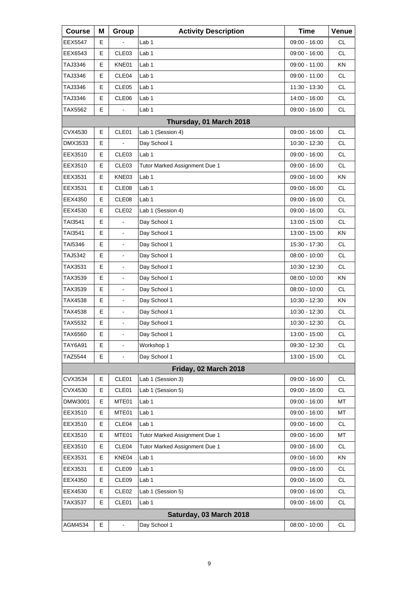| <b>Course</b>  | Μ | Group                    | <b>Activity Description</b>   | <b>Time</b>     | Venue     |
|----------------|---|--------------------------|-------------------------------|-----------------|-----------|
| <b>EEX5547</b> | Е |                          | Lab 1                         | 09:00 - 16:00   | <b>CL</b> |
| EEX6543        | E | CLE03                    | Lab <sub>1</sub>              | 09:00 - 16:00   | <b>CL</b> |
| TAJ3346        | E | KNE01                    | Lab 1                         | 09:00 - 11:00   | KN        |
| TAJ3346        | Е | CLE04                    | Lab 1                         | 09:00 - 11:00   | <b>CL</b> |
| TAJ3346        | Е | CLE05                    | Lab <sub>1</sub>              | 11:30 - 13:30   | <b>CL</b> |
| TAJ3346        | E | CLE06                    | Lab 1                         | 14:00 - 16:00   | <b>CL</b> |
| TAX5562        | Е |                          | Lab 1                         | $09:00 - 16:00$ | <b>CL</b> |
|                |   |                          | Thursday, 01 March 2018       |                 |           |
| CVX4530        | E | CLE01                    | Lab 1 (Session 4)             | 09:00 - 16:00   | <b>CL</b> |
| DMX3533        | Е |                          | Day School 1                  | 10:30 - 12:30   | <b>CL</b> |
| EEX3510        | E | CLE03                    | Lab <sub>1</sub>              | 09:00 - 16:00   | <b>CL</b> |
| EEX3510        | Е | CLE <sub>03</sub>        | Tutor Marked Assignment Due 1 | 09:00 - 16:00   | <b>CL</b> |
| EEX3531        | Е | KNE03                    | Lab 1                         | 09:00 - 16:00   | <b>KN</b> |
| EEX3531        | E | CLE08                    | Lab <sub>1</sub>              | $09:00 - 16:00$ | <b>CL</b> |
| EEX4350        | Е | CLE <sub>08</sub>        | Lab <sub>1</sub>              | 09:00 - 16:00   | <b>CL</b> |
| EEX4530        | Е | CLE <sub>02</sub>        | Lab 1 (Session 4)             | 09:00 - 16:00   | <b>CL</b> |
| TAI3541        | E |                          | Day School 1                  | 13:00 - 15:00   | <b>CL</b> |
| TAI3541        | Е | $\blacksquare$           | Day School 1                  | 13:00 - 15:00   | KN        |
| TAI5346        | Е | $\blacksquare$           | Day School 1                  | 15:30 - 17:30   | <b>CL</b> |
| TAJ5342        | E | $\mathbf{r}$             | Day School 1                  | 08:00 - 10:00   | <b>CL</b> |
| TAX3531        | Е | $\blacksquare$           | Day School 1                  | 10:30 - 12:30   | <b>CL</b> |
| TAX3539        | Е | $\blacksquare$           | Day School 1                  | 08:00 - 10:00   | <b>KN</b> |
| TAX3539        | E | $\mathbf{r}$             | Day School 1                  | $08:00 - 10:00$ | <b>CL</b> |
| TAX4538        | Е | $\blacksquare$           | Day School 1                  | 10:30 - 12:30   | KN        |
| TAX4538        | Е | $\blacksquare$           | Day School 1                  | 10:30 - 12:30   | <b>CL</b> |
| TAX5532        | E | $\overline{\phantom{a}}$ | Day School 1                  | 10:30 - 12:30   | <b>CL</b> |
| TAX6560        | E | $\blacksquare$           | Day School 1                  | 13:00 - 15:00   | <b>CL</b> |
| TAY6A91        | Е | $\blacksquare$           | Workshop 1                    | 09:30 - 12:30   | CL        |
| <b>TAZ5544</b> | E | $\blacksquare$           | Day School 1                  | 13:00 - 15:00   | <b>CL</b> |
|                |   |                          | Friday, 02 March 2018         |                 |           |
| CVX3534        | Е | CLE01                    | Lab 1 (Session 3)             | 09:00 - 16:00   | <b>CL</b> |
| CVX4530        | Е | CLE01                    | Lab 1 (Session 5)             | $09:00 - 16:00$ | CL        |
| DMW3001        | E | MTE01                    | Lab 1                         | 09:00 - 16:00   | MT        |
| EEX3510        | Е | MTE01                    | Lab 1                         | 09:00 - 16:00   | MT        |
| EEX3510        | Е | CLE04                    | Lab <sub>1</sub>              | 09:00 - 16:00   | <b>CL</b> |
| EEX3510        | E | MTE01                    | Tutor Marked Assignment Due 1 | 09:00 - 16:00   | MT        |
| EEX3510        | Е | CLE04                    | Tutor Marked Assignment Due 1 | 09:00 - 16:00   | CL        |
| EEX3531        | Е | KNE04                    | Lab <sub>1</sub>              | 09:00 - 16:00   | KN        |
| EEX3531        | E | CLE09                    | Lab 1                         | 09:00 - 16:00   | <b>CL</b> |
| EEX4350        | Е | CLE09                    | Lab 1                         | 09:00 - 16:00   | CL        |
| EEX4530        | Е | CLE <sub>02</sub>        | Lab 1 (Session 5)             | 09:00 - 16:00   | <b>CL</b> |
| TAX3537        | Е | CLE01                    | Lab 1                         | 09:00 - 16:00   | <b>CL</b> |
|                |   |                          | Saturday, 03 March 2018       |                 |           |
| AGM4534        | E | $\blacksquare$           | Day School 1                  | 08:00 - 10:00   | <b>CL</b> |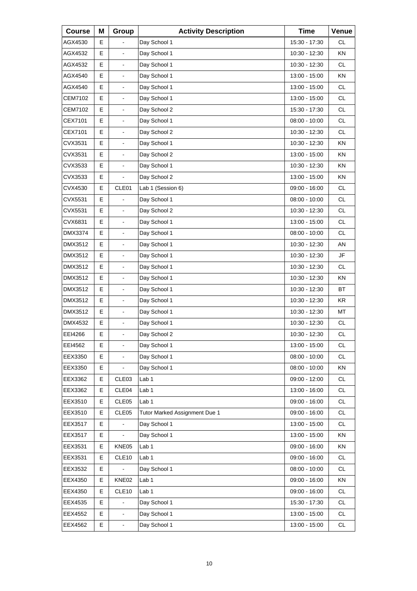| <b>Course</b>  | Μ | Group             | <b>Activity Description</b>   | <b>Time</b>     | Venue     |
|----------------|---|-------------------|-------------------------------|-----------------|-----------|
| AGX4530        | Е |                   | Day School 1                  | 15:30 - 17:30   | <b>CL</b> |
| AGX4532        | E | $\blacksquare$    | Day School 1                  | 10:30 - 12:30   | KN        |
| AGX4532        | E | $\frac{1}{2}$     | Day School 1                  | 10:30 - 12:30   | <b>CL</b> |
| AGX4540        | Е | $\blacksquare$    | Day School 1                  | 13:00 - 15:00   | ΚN        |
| AGX4540        | E | $\overline{a}$    | Day School 1                  | 13:00 - 15:00   | <b>CL</b> |
| CEM7102        | E | $\frac{1}{2}$     | Day School 1                  | 13:00 - 15:00   | <b>CL</b> |
| <b>CEM7102</b> | Е | $\blacksquare$    | Day School 2                  | 15:30 - 17:30   | <b>CL</b> |
| CEX7101        | E | $\overline{a}$    | Day School 1                  | 08:00 - 10:00   | <b>CL</b> |
| CEX7101        | E | $\frac{1}{2}$     | Day School 2                  | 10:30 - 12:30   | <b>CL</b> |
| CVX3531        | Е | $\blacksquare$    | Day School 1                  | 10:30 - 12:30   | KN.       |
| CVX3531        | E | $\overline{a}$    | Day School 2                  | 13:00 - 15:00   | <b>KN</b> |
| CVX3533        | E | $\frac{1}{2}$     | Day School 1                  | 10:30 - 12:30   | KN        |
| CVX3533        | Е | $\blacksquare$    | Day School 2                  | 13:00 - 15:00   | ΚN        |
| CVX4530        | E | CLE01             | Lab 1 (Session 6)             | $09:00 - 16:00$ | <b>CL</b> |
| CVX5531        | E |                   | Day School 1                  | $08:00 - 10:00$ | <b>CL</b> |
| CVX5531        | Е | $\blacksquare$    | Day School 2                  | 10:30 - 12:30   | <b>CL</b> |
| CVX6831        | E | $\overline{a}$    | Day School 1                  | 13:00 - 15:00   | <b>CL</b> |
| DMX3374        | Е | $\frac{1}{2}$     | Day School 1                  | 08:00 - 10:00   | <b>CL</b> |
| DMX3512        | Е | $\blacksquare$    | Day School 1                  | 10:30 - 12:30   | AN        |
| DMX3512        | E | $\blacksquare$    | Day School 1                  | 10:30 - 12:30   | JF        |
| DMX3512        | E | $\frac{1}{2}$     | Day School 1                  | 10:30 - 12:30   | CL.       |
| DMX3512        | Е | $\blacksquare$    | Day School 1                  | 10:30 - 12:30   | <b>KN</b> |
| DMX3512        | E | $\overline{a}$    | Day School 1                  | 10:30 - 12:30   | <b>BT</b> |
| DMX3512        | Е | $\frac{1}{2}$     | Day School 1                  | 10:30 - 12:30   | KR.       |
| DMX3512        | E | $\blacksquare$    | Day School 1                  | 10:30 - 12:30   | MT        |
| DMX4532        | E | $\blacksquare$    | Day School 1                  | 10:30 - 12:30   | <b>CL</b> |
| EEI4266        | E | L,                | Day School 2                  | 10:30 - 12:30   | <b>CL</b> |
| EEI4562        | Е | $\blacksquare$    | Day School 1                  | 13:00 - 15:00   | CL        |
| EEX3350        | Е |                   | Day School 1                  | 08:00 - 10:00   | CL        |
| EEX3350        | E |                   | Day School 1                  | 08:00 - 10:00   | KN        |
| EEX3362        | Е | CLE03             | Lab <sub>1</sub>              | 09:00 - 12:00   | CL        |
| EEX3362        | Е | CLE04             | Lab 1                         | 13:00 - 16:00   | CL        |
| EEX3510        | Е | CLE05             | Lab <sub>1</sub>              | 09:00 - 16:00   | CL        |
| EEX3510        | Е | CLE05             | Tutor Marked Assignment Due 1 | $09:00 - 16:00$ | CL        |
| EEX3517        | E |                   | Day School 1                  | 13:00 - 15:00   | CL        |
| EEX3517        | Е | $\blacksquare$    | Day School 1                  | 13:00 - 15:00   | KN        |
| EEX3531        | Е | KNE05             | Lab <sub>1</sub>              | 09:00 - 16:00   | KN        |
| EEX3531        | Е | CLE <sub>10</sub> | Lab <sub>1</sub>              | 09:00 - 16:00   | CL        |
| EEX3532        | E |                   | Day School 1                  | 08:00 - 10:00   | CL        |
| EEX4350        | Е | KNE02             | Lab <sub>1</sub>              | 09:00 - 16:00   | KN        |
| EEX4350        | Е | CLE <sub>10</sub> | Lab <sub>1</sub>              | 09:00 - 16:00   | CL        |
| EEX4535        | E |                   | Day School 1                  | 15:30 - 17:30   | CL        |
| EEX4552        | Е | $\blacksquare$    | Day School 1                  | 13:00 - 15:00   | CL        |
| EEX4562        | E | $\blacksquare$    | Day School 1                  | 13:00 - 15:00   | CL        |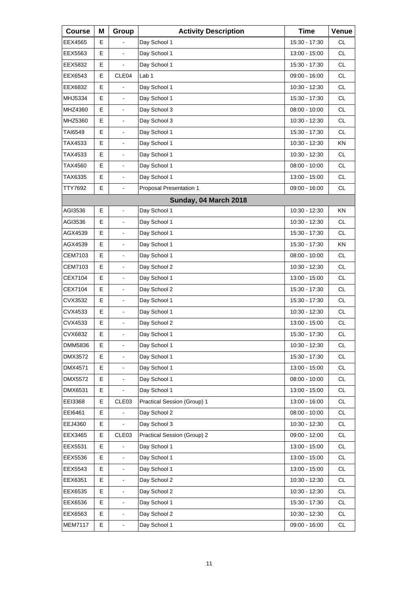| <b>Course</b>  | Μ | Group                    | <b>Activity Description</b> | <b>Time</b>   | Venue     |
|----------------|---|--------------------------|-----------------------------|---------------|-----------|
| EEX4565        | Е |                          | Day School 1                | 15:30 - 17:30 | <b>CL</b> |
| EEX5563        | E | $\overline{a}$           | Day School 1                | 13:00 - 15:00 | <b>CL</b> |
| EEX5832        | E | L.                       | Day School 1                | 15:30 - 17:30 | <b>CL</b> |
| EEX6543        | Е | CLE <sub>04</sub>        | Lab <sub>1</sub>            | 09:00 - 16:00 | <b>CL</b> |
| EEX6832        | E |                          | Day School 1                | 10:30 - 12:30 | <b>CL</b> |
| MHJ5334        | E | $\frac{1}{2}$            | Day School 1                | 15:30 - 17:30 | <b>CL</b> |
| MHZ4360        | Е | $\blacksquare$           | Day School 3                | 08:00 - 10:00 | <b>CL</b> |
| MHZ5360        | E | $\overline{a}$           | Day School 3                | 10:30 - 12:30 | <b>CL</b> |
| TAI6549        | E | $\overline{\phantom{a}}$ | Day School 1                | 15:30 - 17:30 | <b>CL</b> |
| TAX4533        | Е | $\blacksquare$           | Day School 1                | 10:30 - 12:30 | <b>KN</b> |
| TAX4533        | E | $\overline{a}$           | Day School 1                | 10:30 - 12:30 | <b>CL</b> |
| TAX4560        | E | $\overline{\phantom{a}}$ | Day School 1                | 08:00 - 10:00 | <b>CL</b> |
| TAX6335        | Е | $\blacksquare$           | Day School 1                | 13:00 - 15:00 | <b>CL</b> |
| TTY7692        | E | $\overline{a}$           | Proposal Presentation 1     | 09:00 - 16:00 | <b>CL</b> |
|                |   |                          | Sunday, 04 March 2018       |               |           |
| AGI3536        | Е | $\blacksquare$           | Day School 1                | 10:30 - 12:30 | ΚN        |
| AGI3536        | E | $\blacksquare$           | Day School 1                | 10:30 - 12:30 | <b>CL</b> |
| AGX4539        | Е | $\overline{\phantom{a}}$ | Day School 1                | 15:30 - 17:30 | CL.       |
| AGX4539        | Е | $\blacksquare$           | Day School 1                | 15:30 - 17:30 | <b>KN</b> |
| CEM7103        | E | $\overline{a}$           | Day School 1                | 08:00 - 10:00 | <b>CL</b> |
| CEM7103        | E | $\overline{\phantom{a}}$ | Day School 2                | 10:30 - 12:30 | <b>CL</b> |
| CEX7104        | E | $\blacksquare$           | Day School 1                | 13:00 - 15:00 | <b>CL</b> |
| CEX7104        | E | $\overline{a}$           | Day School 2                | 15:30 - 17:30 | <b>CL</b> |
| CVX3532        | Е | $\overline{\phantom{a}}$ | Day School 1                | 15:30 - 17:30 | <b>CL</b> |
| CVX4533        | E | $\blacksquare$           | Day School 1                | 10:30 - 12:30 | <b>CL</b> |
| CVX4533        | E | $\blacksquare$           | Day School 2                | 13:00 - 15:00 | <b>CL</b> |
| CVX6832        | E | L,                       | Day School 1                | 15:30 - 17:30 | <b>CL</b> |
| DMM5836        | Е | $\blacksquare$           | Day School 1                | 10:30 - 12:30 | CL        |
| DMX3572        | E |                          | Day School 1                | 15:30 - 17:30 | CL        |
| DMX4571        | E | $\blacksquare$           | Day School 1                | 13:00 - 15:00 | CL        |
| DMX5572        | E | $\blacksquare$           | Day School 1                | 08:00 - 10:00 | CL        |
| DMX6531        | Е |                          | Day School 1                | 13:00 - 15:00 | CL        |
| EEI3368        | Е | CLE <sub>03</sub>        | Practical Session (Group) 1 | 13:00 - 16:00 | CL        |
| EEI6461        | E |                          | Day School 2                | 08:00 - 10:00 | CL        |
| EEJ4360        | Е |                          | Day School 3                | 10:30 - 12:30 | CL        |
| EEX3465        | Е | CLE <sub>03</sub>        | Practical Session (Group) 2 | 09:00 - 12:00 | CL        |
| EEX5531        | Е |                          | Day School 1                | 13:00 - 15:00 | CL        |
| EEX5536        | Е |                          | Day School 1                | 13:00 - 15:00 | CL        |
| EEX5543        | E | $\blacksquare$           | Day School 1                | 13:00 - 15:00 | CL        |
| EEX6351        | Е |                          | Day School 2                | 10:30 - 12:30 | CL        |
| EEX6535        | Е |                          | Day School 2                | 10:30 - 12:30 | CL        |
| EEX6536        | E | $\blacksquare$           | Day School 1                | 15:30 - 17:30 | CL        |
| EEX6563        | E | $\blacksquare$           | Day School 2                | 10:30 - 12:30 | CL        |
| <b>MEM7117</b> | E | $\overline{\phantom{a}}$ | Day School 1                | 09:00 - 16:00 | CL        |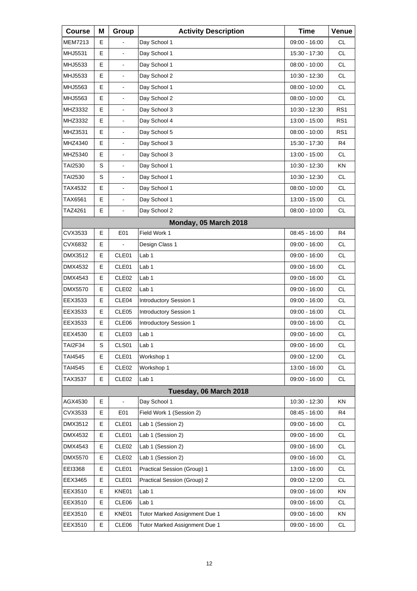| <b>Course</b>  | Μ | Group                    | <b>Activity Description</b>   | <b>Time</b>     | Venue           |
|----------------|---|--------------------------|-------------------------------|-----------------|-----------------|
| <b>MEM7213</b> | Е |                          | Day School 1                  | 09:00 - 16:00   | <b>CL</b>       |
| MHJ5531        | Е | $\blacksquare$           | Day School 1                  | 15:30 - 17:30   | <b>CL</b>       |
| MHJ5533        | E | $\overline{\phantom{a}}$ | Day School 1                  | 08:00 - 10:00   | <b>CL</b>       |
| MHJ5533        | E | $\blacksquare$           | Day School 2                  | 10:30 - 12:30   | <b>CL</b>       |
| MHJ5563        | E |                          | Day School 1                  | $08:00 - 10:00$ | <b>CL</b>       |
| MHJ5563        | E | $\blacksquare$           | Day School 2                  | $08:00 - 10:00$ | <b>CL</b>       |
| MHZ3332        | E | $\blacksquare$           | Day School 3                  | 10:30 - 12:30   | RS <sub>1</sub> |
| MHZ3332        | E |                          | Day School 4                  | 13:00 - 15:00   | RS <sub>1</sub> |
| MHZ3531        | E | $\blacksquare$           | Day School 5                  | $08:00 - 10:00$ | RS <sub>1</sub> |
| MHZ4340        | E | $\blacksquare$           | Day School 3                  | 15:30 - 17:30   | R4              |
| MHZ5340        | E |                          | Day School 3                  | 13:00 - 15:00   | <b>CL</b>       |
| TAI2530        | S | ä,                       | Day School 1                  | 10:30 - 12:30   | <b>KN</b>       |
| <b>TAI2530</b> | S | $\blacksquare$           | Day School 1                  | 10:30 - 12:30   | <b>CL</b>       |
| TAX4532        | E |                          | Day School 1                  | $08:00 - 10:00$ | <b>CL</b>       |
| TAX6561        | E | ä,                       | Day School 1                  | 13:00 - 15:00   | CL.             |
| TAZ4261        | E | $\overline{\phantom{a}}$ | Day School 2                  | $08:00 - 10:00$ | <b>CL</b>       |
|                |   |                          | Monday, 05 March 2018         |                 |                 |
| CVX3533        | E | E01                      | Field Work 1                  | 08:45 - 16:00   | R <sub>4</sub>  |
| CVX6832        | Е |                          | Design Class 1                | 09:00 - 16:00   | <b>CL</b>       |
| DMX3512        | Е | CLE01                    | Lab 1                         | 09:00 - 16:00   | <b>CL</b>       |
| DMX4532        | E | CLE01                    | Lab 1                         | 09:00 - 16:00   | <b>CL</b>       |
| DMX4543        | E | CLE <sub>02</sub>        | Lab 1                         | 09:00 - 16:00   | <b>CL</b>       |
| <b>DMX5570</b> | Е | CLE <sub>02</sub>        | Lab 1                         | 09:00 - 16:00   | <b>CL</b>       |
| EEX3533        | Е | CLE04                    | Introductory Session 1        | 09:00 - 16:00   | CL.             |
| EEX3533        | Е | CLE05                    | Introductory Session 1        | 09:00 - 16:00   | <b>CL</b>       |
| EEX3533        | Е | CLE06                    | Introductory Session 1        | 09:00 - 16:00   | <b>CL</b>       |
| EEX4530        | E | CLE <sub>03</sub>        | Lab <sub>1</sub>              | 09:00 - 16:00   | <b>CL</b>       |
| <b>TAI2F34</b> | S | CLS01                    | Lab <sub>1</sub>              | $09:00 - 16:00$ | CL              |
| TAI4545        | Е | CLE01                    | Workshop 1                    | 09:00 - 12:00   | <b>CL</b>       |
| <b>TAI4545</b> | Е | CLE <sub>02</sub>        | Workshop 1                    | 13:00 - 16:00   | <b>CL</b>       |
| TAX3537        | Е | CLE <sub>02</sub>        | Lab <sub>1</sub>              | 09:00 - 16:00   | CL              |
|                |   |                          | Tuesday, 06 March 2018        |                 |                 |
| AGX4530        | E |                          | Day School 1                  | 10:30 - 12:30   | ΚN              |
| CVX3533        | Е | E01                      | Field Work 1 (Session 2)      | 08:45 - 16:00   | R4              |
| DMX3512        | Е | CLE01                    | Lab 1 (Session 2)             | 09:00 - 16:00   | CL              |
| DMX4532        | Е | CLE01                    | Lab 1 (Session 2)             | 09:00 - 16:00   | <b>CL</b>       |
| DMX4543        | Е | CLE <sub>02</sub>        | Lab 1 (Session 2)             | 09:00 - 16:00   | CL              |
| <b>DMX5570</b> | Е | CLE <sub>02</sub>        | Lab 1 (Session 2)             | 09:00 - 16:00   | CL              |
| EEI3368        | Е | CLE01                    | Practical Session (Group) 1   | 13:00 - 16:00   | <b>CL</b>       |
| EEX3465        | Е | CLE01                    | Practical Session (Group) 2   | 09:00 - 12:00   | CL              |
| EEX3510        | Е | KNE01                    | Lab <sub>1</sub>              | 09:00 - 16:00   | KN              |
| EEX3510        | Е | CLE06                    | Lab 1                         | 09:00 - 16:00   | <b>CL</b>       |
| EEX3510        | Е | KNE01                    | Tutor Marked Assignment Due 1 | 09:00 - 16:00   | KN              |
| EEX3510        | E | CLE06                    | Tutor Marked Assignment Due 1 | 09:00 - 16:00   | CL              |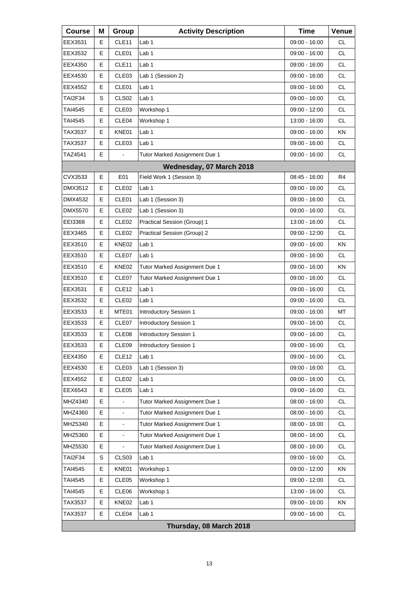| <b>Course</b>  | Μ | Group             | <b>Activity Description</b>   | <b>Time</b>     | Venue     |
|----------------|---|-------------------|-------------------------------|-----------------|-----------|
| EEX3531        | Е | CLE11             | Lab 1                         | 09:00 - 16:00   | СL        |
| EEX3532        | Е | CLE01             | Lab <sub>1</sub>              | 09:00 - 16:00   | <b>CL</b> |
| EEX4350        | E | CLE11             | Lab 1                         | 09:00 - 16:00   | <b>CL</b> |
| EEX4530        | Е | CLE <sub>03</sub> | Lab 1 (Session 2)             | 09:00 - 16:00   | <b>CL</b> |
| EEX4552        | E | CLE01             | Lab <sub>1</sub>              | 09:00 - 16:00   | <b>CL</b> |
| <b>TAI2F34</b> | S | CLS <sub>02</sub> | Lab 1                         | 09:00 - 16:00   | <b>CL</b> |
| TAI4545        | Е | CLE <sub>03</sub> | Workshop 1                    | 09:00 - 12:00   | <b>CL</b> |
| TAI4545        | Е | CLE04             | Workshop 1                    | 13:00 - 16:00   | <b>CL</b> |
| TAX3537        | E | KNE01             | Lab 1                         | 09:00 - 16:00   | KN        |
| TAX3537        | Е | CLE <sub>03</sub> | Lab 1                         | $09:00 - 16:00$ | <b>CL</b> |
| TAZ4541        | E |                   | Tutor Marked Assignment Due 1 | 09:00 - 16:00   | <b>CL</b> |
|                |   |                   | Wednesday, 07 March 2018      |                 |           |
| CVX3533        | Е | E01               | Field Work 1 (Session 3)      | 08:45 - 16:00   | R4        |
| DMX3512        | Е | CLE <sub>02</sub> | Lab <sub>1</sub>              | 09:00 - 16:00   | <b>CL</b> |
| DMX4532        | E | CLE01             | Lab 1 (Session 3)             | 09:00 - 16:00   | <b>CL</b> |
| <b>DMX5570</b> | Е | CLE <sub>02</sub> | Lab 1 (Session 3)             | $09:00 - 16:00$ | <b>CL</b> |
| EEI3368        | Е | CLE <sub>02</sub> | Practical Session (Group) 1   | 13:00 - 16:00   | <b>CL</b> |
| EEX3465        | E | CLE <sub>02</sub> | Practical Session (Group) 2   | 09:00 - 12:00   | <b>CL</b> |
| EEX3510        | Е | KNE02             | Lab 1                         | $09:00 - 16:00$ | ΚN        |
| EEX3510        | E | CLE07             | Lab <sub>1</sub>              | 09:00 - 16:00   | <b>CL</b> |
| EEX3510        | E | KNE02             | Tutor Marked Assignment Due 1 | 09:00 - 16:00   | KN        |
| EEX3510        | Е | CLE07             | Tutor Marked Assignment Due 1 | 09:00 - 16:00   | CL        |
| EEX3531        | E | CLE <sub>12</sub> | Lab <sub>1</sub>              | 09:00 - 16:00   | <b>CL</b> |
| EEX3532        | E | CLE <sub>02</sub> | Lab 1                         | 09:00 - 16:00   | <b>CL</b> |
| EEX3533        | Е | MTE01             | Introductory Session 1        | 09:00 - 16:00   | МT        |
| EEX3533        | E | CLE07             | Introductory Session 1        | 09:00 - 16:00   | <b>CL</b> |
| EEX3533        | E | CLE08             | <b>Introductory Session 1</b> | $09:00 - 16:00$ | CL        |
| EEX3533        | Е | CLE09             | Introductory Session 1        | 09:00 - 16:00   | <b>CL</b> |
| EEX4350        | Е | CLE12             | Lab <sub>1</sub>              | 09:00 - 16:00   | CL        |
| EEX4530        | Е | CLE03             | Lab 1 (Session 3)             | 09:00 - 16:00   | CL        |
| EEX4552        | Е | CLE <sub>02</sub> | Lab 1                         | 09:00 - 16:00   | CL.       |
| EEX6543        | Е | CLE05             | Lab <sub>1</sub>              | 09:00 - 16:00   | CL        |
| MHZ4340        | E |                   | Tutor Marked Assignment Due 1 | $08:00 - 16:00$ | CL        |
| MHZ4360        | Е | $\blacksquare$    | Tutor Marked Assignment Due 1 | 08:00 - 16:00   | CL.       |
| MHZ5340        | E |                   | Tutor Marked Assignment Due 1 | $08:00 - 16:00$ | CL        |
| MHZ5360        | E |                   | Tutor Marked Assignment Due 1 | $08:00 - 16:00$ | CL        |
| MHZ5530        | Е |                   | Tutor Marked Assignment Due 1 | $08:00 - 16:00$ | CL        |
| <b>TAI2F34</b> | S | CLS03             | Lab <sub>1</sub>              | 09:00 - 16:00   | CL        |
| TAI4545        | Е | KNE01             | Workshop 1                    | 09:00 - 12:00   | KN        |
| <b>TAI4545</b> | Е | CLE05             | Workshop 1                    | 09:00 - 12:00   | CL.       |
| TAI4545        | Е | CLE06             | Workshop 1                    | 13:00 - 16:00   | CL        |
| TAX3537        | Е | KNE02             | Lab <sub>1</sub>              | 09:00 - 16:00   | KN        |
| TAX3537        | Е | CLE04             | Lab <sub>1</sub>              | 09:00 - 16:00   | CL        |
|                |   |                   | Thursday, 08 March 2018       |                 |           |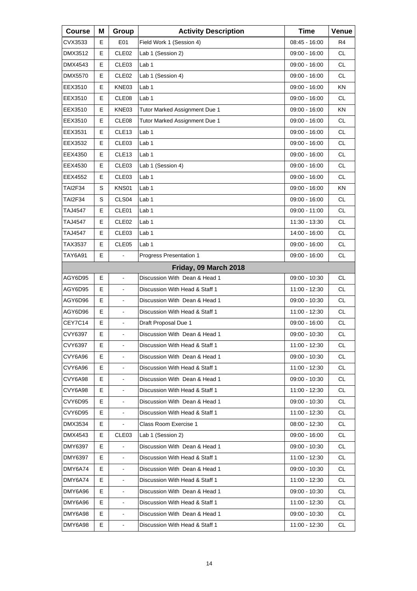| <b>Course</b>  | Μ  | Group                    | <b>Activity Description</b>    | <b>Time</b>     | Venue     |
|----------------|----|--------------------------|--------------------------------|-----------------|-----------|
| CVX3533        | Е  | E01                      | Field Work 1 (Session 4)       | 08:45 - 16:00   | R4        |
| DMX3512        | E  | CLE <sub>02</sub>        | Lab 1 (Session 2)              | 09:00 - 16:00   | <b>CL</b> |
| DMX4543        | E  | CLE03                    | Lab 1                          | 09:00 - 16:00   | <b>CL</b> |
| DMX5570        | Е  | CLE <sub>02</sub>        | Lab 1 (Session 4)              | 09:00 - 16:00   | <b>CL</b> |
| EEX3510        | E  | KNE03                    | Lab <sub>1</sub>               | 09:00 - 16:00   | KN        |
| EEX3510        | E  | CLE08                    | Lab 1                          | 09:00 - 16:00   | <b>CL</b> |
| EEX3510        | Е  | KNE03                    | Tutor Marked Assignment Due 1  | 09:00 - 16:00   | ΚN        |
| EEX3510        | E  | CLE08                    | Tutor Marked Assignment Due 1  | 09:00 - 16:00   | <b>CL</b> |
| EEX3531        | E  | CLE13                    | Lab 1                          | 09:00 - 16:00   | <b>CL</b> |
| EEX3532        | Е  | CLE <sub>03</sub>        | Lab 1                          | 09:00 - 16:00   | <b>CL</b> |
| EEX4350        | E  | CLE13                    | Lab <sub>1</sub>               | 09:00 - 16:00   | <b>CL</b> |
| EEX4530        | Е  | CLE <sub>03</sub>        | Lab 1 (Session 4)              | $09:00 - 16:00$ | <b>CL</b> |
| EEX4552        | Е  | CLE <sub>03</sub>        | Lab 1                          | 09:00 - 16:00   | <b>CL</b> |
| <b>TAI2F34</b> | S  | KNS01                    | Lab <sub>1</sub>               | 09:00 - 16:00   | KN        |
| TAI2F34        | S  | CLS <sub>04</sub>        | Lab 1                          | 09:00 - 16:00   | CL.       |
| TAJ4547        | Е  | CLE01                    | Lab 1                          | 09:00 - 11:00   | <b>CL</b> |
| TAJ4547        | E  | CLE <sub>02</sub>        | Lab <sub>1</sub>               | 11:30 - 13:30   | <b>CL</b> |
| TAJ4547        | Е  | CLE <sub>03</sub>        | Lab 1                          | 14:00 - 16:00   | <b>CL</b> |
| TAX3537        | Е  | CLE05                    | Lab 1                          | 09:00 - 16:00   | <b>CL</b> |
| TAY6A91        | E  | $\overline{a}$           | Progress Presentation 1        | 09:00 - 16:00   | <b>CL</b> |
|                |    |                          | Friday, 09 March 2018          |                 |           |
| AGY6D95        | Е  | $\blacksquare$           | Discussion With Dean & Head 1  | 09:00 - 10:30   | <b>CL</b> |
| AGY6D95        | E  | $\blacksquare$           | Discussion With Head & Staff 1 | 11:00 - 12:30   | <b>CL</b> |
| AGY6D96        | Е  | $\overline{\phantom{a}}$ | Discussion With Dean & Head 1  | 09:00 - 10:30   | <b>CL</b> |
| AGY6D96        | E  | $\blacksquare$           | Discussion With Head & Staff 1 | 11:00 - 12:30   | <b>CL</b> |
| CEY7C14        | E  | $\blacksquare$           | Draft Proposal Due 1           | 09:00 - 16:00   | <b>CL</b> |
| CVY6397        | E  | L,                       | Discussion With Dean & Head 1  | 09:00 - 10:30   | <b>CL</b> |
| CVY6397        | Е  | $\blacksquare$           | Discussion With Head & Staff 1 | 11:00 - 12:30   | CL.       |
| CVY6A96        | Е  |                          | Discussion With Dean & Head 1  | 09:00 - 10:30   | CL        |
| CVY6A96        | E  | $\blacksquare$           | Discussion With Head & Staff 1 | 11:00 - 12:30   | CL        |
| CVY6A98        | Е  |                          | Discussion With Dean & Head 1  | 09:00 - 10:30   | CL        |
| CVY6A98        | E  |                          | Discussion With Head & Staff 1 | 11:00 - 12:30   | CL        |
| CVY6D95        | E  | $\blacksquare$           | Discussion With Dean & Head 1  | 09:00 - 10:30   | CL        |
| CVY6D95        | Е  | $\blacksquare$           | Discussion With Head & Staff 1 | 11:00 - 12:30   | CL        |
| DMX3534        | Е  |                          | Class Room Exercise 1          | 08:00 - 12:30   | CL        |
| DMX4543        | E. | CLE <sub>03</sub>        | Lab 1 (Session 2)              | 09:00 - 16:00   | CL        |
| DMY6397        | E. |                          | Discussion With Dean & Head 1  | 09:00 - 10:30   | CL        |
| DMY6397        | E  |                          | Discussion With Head & Staff 1 | 11:00 - 12:30   | CL        |
| DMY6A74        | E  | $\blacksquare$           | Discussion With Dean & Head 1  | 09:00 - 10:30   | CL        |
| DMY6A74        | E. |                          | Discussion With Head & Staff 1 | 11:00 - 12:30   | CL        |
| DMY6A96        | E  |                          | Discussion With Dean & Head 1  | 09:00 - 10:30   | CL        |
| DMY6A96        | E  | $\blacksquare$           | Discussion With Head & Staff 1 | 11:00 - 12:30   | CL        |
| DMY6A98        | E. | $\blacksquare$           | Discussion With Dean & Head 1  | 09:00 - 10:30   | CL        |
| DMY6A98        | E  | $\blacksquare$           | Discussion With Head & Staff 1 | 11:00 - 12:30   | CL.       |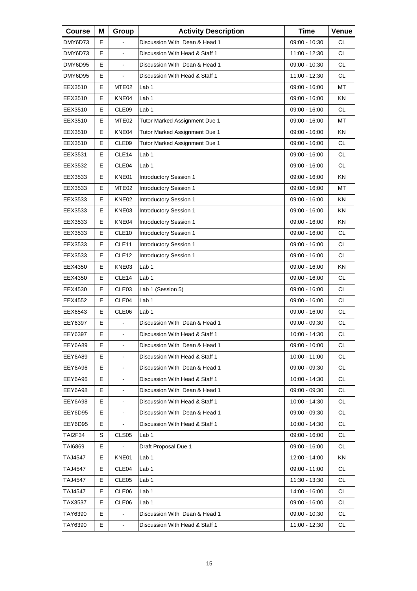| <b>Course</b>  | Μ  | Group             | <b>Activity Description</b>    | <b>Time</b>     | Venue     |
|----------------|----|-------------------|--------------------------------|-----------------|-----------|
| DMY6D73        | Е  |                   | Discussion With Dean & Head 1  | 09:00 - 10:30   | CL        |
| DMY6D73        | E  |                   | Discussion With Head & Staff 1 | 11:00 - 12:30   | <b>CL</b> |
| DMY6D95        | E  | $\blacksquare$    | Discussion With Dean & Head 1  | $09:00 - 10:30$ | <b>CL</b> |
| DMY6D95        | E  |                   | Discussion With Head & Staff 1 | 11:00 - 12:30   | <b>CL</b> |
| EEX3510        | Е  | MTE <sub>02</sub> | Lab <sub>1</sub>               | 09:00 - 16:00   | MT        |
| EEX3510        | Е  | KNE04             | Lab <sub>1</sub>               | 09:00 - 16:00   | <b>KN</b> |
| EEX3510        | E  | CLE09             | Lab 1                          | 09:00 - 16:00   | <b>CL</b> |
| EEX3510        | Е  | MTE <sub>02</sub> | Tutor Marked Assignment Due 1  | 09:00 - 16:00   | MT        |
| EEX3510        | Е  | KNE04             | Tutor Marked Assignment Due 1  | 09:00 - 16:00   | <b>KN</b> |
| EEX3510        | E  | CLE <sub>09</sub> | Tutor Marked Assignment Due 1  | 09:00 - 16:00   | <b>CL</b> |
| EEX3531        | Е  | CLE14             | Lab <sub>1</sub>               | 09:00 - 16:00   | <b>CL</b> |
| EEX3532        | Е  | CLE04             | Lab 1                          | 09:00 - 16:00   | <b>CL</b> |
| EEX3533        | E  | KNE01             | <b>Introductory Session 1</b>  | 09:00 - 16:00   | <b>KN</b> |
| EEX3533        | Е  | MTE <sub>02</sub> | Introductory Session 1         | 09:00 - 16:00   | МT        |
| EEX3533        | E  | KNE02             | <b>Introductory Session 1</b>  | $09:00 - 16:00$ | ΚN        |
| EEX3533        | E  | KNE03             | Introductory Session 1         | 09:00 - 16:00   | <b>KN</b> |
| EEX3533        | Е  | KNE04             | Introductory Session 1         | $09:00 - 16:00$ | ΚN        |
| EEX3533        | Е  | CLE10             | Introductory Session 1         | 09:00 - 16:00   | <b>CL</b> |
| EEX3533        | E  | CLE <sub>11</sub> | <b>Introductory Session 1</b>  | 09:00 - 16:00   | <b>CL</b> |
| EEX3533        | Е  | CLE <sub>12</sub> | Introductory Session 1         | 09:00 - 16:00   | <b>CL</b> |
| EEX4350        | Е  | KNE03             | Lab <sub>1</sub>               | 09:00 - 16:00   | <b>KN</b> |
| EEX4350        | E  | CLE <sub>14</sub> | Lab 1                          | 09:00 - 16:00   | <b>CL</b> |
| EEX4530        | Е  | CLE <sub>03</sub> | Lab 1 (Session 5)              | 09:00 - 16:00   | <b>CL</b> |
| EEX4552        | Е  | CLE04             | Lab 1                          | 09:00 - 16:00   | <b>CL</b> |
| EEX6543        | Е  | CLE06             | Lab 1                          | 09:00 - 16:00   | CL        |
| EEY6397        | Е  |                   | Discussion With Dean & Head 1  | 09:00 - 09:30   | <b>CL</b> |
| EEY6397        | E  | $\blacksquare$    | Discussion With Head & Staff 1 | 10:00 - 14:30   | <b>CL</b> |
| EEY6A89        | Е  | $\blacksquare$    | Discussion With Dean & Head 1  | 09:00 - 10:00   | CL.       |
| EEY6A89        | Е  |                   | Discussion With Head & Staff 1 | 10:00 - 11:00   | CL        |
| EEY6A96        | E  | $\blacksquare$    | Discussion With Dean & Head 1  | $09:00 - 09:30$ | <b>CL</b> |
| EEY6A96        | E  |                   | Discussion With Head & Staff 1 | 10:00 - 14:30   | CL.       |
| EEY6A98        | Е  |                   | Discussion With Dean & Head 1  | 09:00 - 09:30   | <b>CL</b> |
| EEY6A98        | E  | $\blacksquare$    | Discussion With Head & Staff 1 | 10:00 - 14:30   | <b>CL</b> |
| EEY6D95        | Е  |                   | Discussion With Dean & Head 1  | 09:00 - 09:30   | CL.       |
| EEY6D95        | E. |                   | Discussion With Head & Staff 1 | 10:00 - 14:30   | CL        |
| <b>TAI2F34</b> | S  | CLS <sub>05</sub> | Lab 1                          | 09:00 - 16:00   | CL        |
| TAI6869        | E. |                   | Draft Proposal Due 1           | 09:00 - 16:00   | CL        |
| TAJ4547        | E. | KNE01             | Lab 1                          | 12:00 - 14:00   | ΚN        |
| TAJ4547        | Е  | CLE04             | Lab 1                          | 09:00 - 11:00   | CL        |
| TAJ4547        | E. | CLE05             | Lab 1                          | 11:30 - 13:30   | CL        |
| TAJ4547        | E. | CLE06             | Lab 1                          | 14:00 - 16:00   | CL        |
| TAX3537        | E  | CLE <sub>06</sub> | Lab 1                          | 09:00 - 16:00   | CL.       |
| TAY6390        | E  |                   | Discussion With Dean & Head 1  | 09:00 - 10:30   | CL        |
| TAY6390        | Е  |                   | Discussion With Head & Staff 1 | 11:00 - 12:30   | CL.       |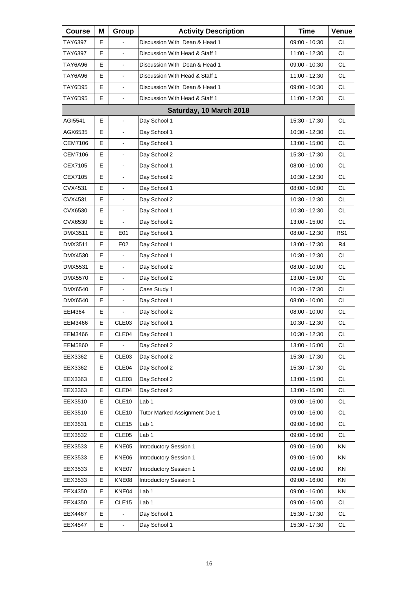| <b>Course</b>  | Μ | Group                    | <b>Activity Description</b>    | <b>Time</b>     | Venue           |
|----------------|---|--------------------------|--------------------------------|-----------------|-----------------|
| TAY6397        | Е |                          | Discussion With Dean & Head 1  | 09:00 - 10:30   | <b>CL</b>       |
| TAY6397        | E | $\blacksquare$           | Discussion With Head & Staff 1 | 11:00 - 12:30   | <b>CL</b>       |
| TAY6A96        | E | L,                       | Discussion With Dean & Head 1  | 09:00 - 10:30   | <b>CL</b>       |
| TAY6A96        | Е | $\blacksquare$           | Discussion With Head & Staff 1 | 11:00 - 12:30   | <b>CL</b>       |
| TAY6D95        | E | $\blacksquare$           | Discussion With Dean & Head 1  | 09:00 - 10:30   | <b>CL</b>       |
| TAY6D95        | E | L,                       | Discussion With Head & Staff 1 | 11:00 - 12:30   | <b>CL</b>       |
|                |   |                          | Saturday, 10 March 2018        |                 |                 |
| AGI5541        | E | ä,                       | Day School 1                   | 15:30 - 17:30   | <b>CL</b>       |
| AGX6535        | E | $\overline{\phantom{a}}$ | Day School 1                   | 10:30 - 12:30   | <b>CL</b>       |
| CEM7106        | Е | $\blacksquare$           | Day School 1                   | 13:00 - 15:00   | <b>CL</b>       |
| CEM7106        | E | $\blacksquare$           | Day School 2                   | 15:30 - 17:30   | <b>CL</b>       |
| CEX7105        | E | $\overline{\phantom{a}}$ | Day School 1                   | 08:00 - 10:00   | <b>CL</b>       |
| CEX7105        | Е | $\blacksquare$           | Day School 2                   | $10:30 - 12:30$ | <b>CL</b>       |
| CVX4531        | E | $\blacksquare$           | Day School 1                   | 08:00 - 10:00   | <b>CL</b>       |
| CVX4531        | E | $\overline{\phantom{a}}$ | Day School 2                   | 10:30 - 12:30   | <b>CL</b>       |
| CVX6530        | Е | $\blacksquare$           | Day School 1                   | 10:30 - 12:30   | <b>CL</b>       |
| CVX6530        | E |                          | Day School 2                   | 13:00 - 15:00   | <b>CL</b>       |
| DMX3511        | Е | E01                      | Day School 1                   | 08:00 - 12:30   | RS <sub>1</sub> |
| DMX3511        | Е | E02                      | Day School 1                   | 13:00 - 17:30   | R4              |
| DMX4530        | E |                          | Day School 1                   | 10:30 - 12:30   | <b>CL</b>       |
| DMX5531        | E | $\overline{\phantom{a}}$ | Day School 2                   | 08:00 - 10:00   | <b>CL</b>       |
| DMX5570        | E | $\blacksquare$           | Day School 2                   | 13:00 - 15:00   | <b>CL</b>       |
| DMX6540        | E | $\blacksquare$           | Case Study 1                   | 10:30 - 17:30   | <b>CL</b>       |
| DMX6540        | Е | $\overline{\phantom{a}}$ | Day School 1                   | $08:00 - 10:00$ | <b>CL</b>       |
| EEI4364        | Е | $\blacksquare$           | Day School 2                   | $08:00 - 10:00$ | <b>CL</b>       |
| EEM3466        | E | CLE03                    | Day School 1                   | 10:30 - 12:30   | <b>CL</b>       |
| EEM3466        | E | CLE04                    | Day School 1                   | 10:30 - 12:30   | <b>CL</b>       |
| <b>EEM5860</b> | Е | $\blacksquare$           | Day School 2                   | 13:00 - 15:00   | CL              |
| EEX3362        | Е | CLE03                    | Day School 2                   | 15:30 - 17:30   | CL              |
| EEX3362        | E | CLE <sub>04</sub>        | Day School 2                   | 15:30 - 17:30   | CL              |
| EEX3363        | Е | CLE03                    | Day School 2                   | 13:00 - 15:00   | CL              |
| EEX3363        | Е | CLE04                    | Day School 2                   | 13:00 - 15:00   | CL              |
| EEX3510        | E | CLE <sub>10</sub>        | Lab 1                          | 09:00 - 16:00   | CL              |
| EEX3510        | Е | CLE <sub>10</sub>        | Tutor Marked Assignment Due 1  | 09:00 - 16:00   | CL              |
| EEX3531        | Е | CLE15                    | Lab <sub>1</sub>               | 09:00 - 16:00   | CL              |
| EEX3532        | E | CLE <sub>05</sub>        | Lab 1                          | 09:00 - 16:00   | CL              |
| EEX3533        | Е | KNE05                    | Introductory Session 1         | 09:00 - 16:00   | KN              |
| EEX3533        | Е | KNE06                    | Introductory Session 1         | 09:00 - 16:00   | KN              |
| EEX3533        | E | KNE07                    | Introductory Session 1         | 09:00 - 16:00   | KN              |
| EEX3533        | Е | KNE08                    | Introductory Session 1         | 09:00 - 16:00   | KN              |
| EEX4350        | Е | KNE04                    | Lab <sub>1</sub>               | 09:00 - 16:00   | KN              |
| EEX4350        | Е | CLE <sub>15</sub>        | Lab 1                          | 09:00 - 16:00   | CL              |
| EEX4467        | Е |                          | Day School 1                   | 15:30 - 17:30   | CL              |
| <b>EEX4547</b> | E | $\blacksquare$           | Day School 1                   | 15:30 - 17:30   | CL              |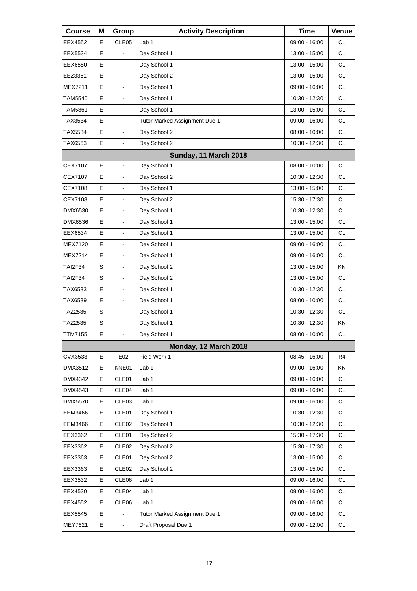| <b>Course</b>  | Μ | Group                    | <b>Activity Description</b>   | <b>Time</b>     | Venue     |
|----------------|---|--------------------------|-------------------------------|-----------------|-----------|
| EEX4552        | Е | CLE05                    | Lab 1                         | 09:00 - 16:00   | <b>CL</b> |
| EEX5534        | Е |                          | Day School 1                  | 13:00 - 15:00   | <b>CL</b> |
| EEX6550        | E | $\overline{\phantom{a}}$ | Day School 1                  | 13:00 - 15:00   | <b>CL</b> |
| EEZ3361        | E | $\blacksquare$           | Day School 2                  | 13:00 - 15:00   | <b>CL</b> |
| MEX7211        | E | $\overline{\phantom{a}}$ | Day School 1                  | 09:00 - 16:00   | <b>CL</b> |
| TAM5540        | E | L,                       | Day School 1                  | 10:30 - 12:30   | <b>CL</b> |
| <b>TAM5861</b> | E | $\blacksquare$           | Day School 1                  | 13:00 - 15:00   | <b>CL</b> |
| TAX3534        | Е | $\blacksquare$           | Tutor Marked Assignment Due 1 | 09:00 - 16:00   | <b>CL</b> |
| TAX5534        | E | L,                       | Day School 2                  | $08:00 - 10:00$ | <b>CL</b> |
| TAX6563        | E | L,                       | Day School 2                  | 10:30 - 12:30   | <b>CL</b> |
|                |   |                          | Sunday, 11 March 2018         |                 |           |
| CEX7107        | E | $\overline{a}$           | Day School 1                  | 08:00 - 10:00   | <b>CL</b> |
| <b>CEX7107</b> | E | $\blacksquare$           | Day School 2                  | 10:30 - 12:30   | <b>CL</b> |
| CEX7108        | E |                          | Day School 1                  | 13:00 - 15:00   | <b>CL</b> |
| CEX7108        | E | ä,                       | Day School 2                  | 15:30 - 17:30   | CL.       |
| DMX6530        | E | $\blacksquare$           | Day School 1                  | 10:30 - 12:30   | <b>CL</b> |
| DMX6536        | E |                          | Day School 1                  | 13:00 - 15:00   | <b>CL</b> |
| EEX6534        | E | ä,                       | Day School 1                  | 13:00 - 15:00   | <b>CL</b> |
| <b>MEX7120</b> | E | $\blacksquare$           | Day School 1                  | 09:00 - 16:00   | <b>CL</b> |
| <b>MEX7214</b> | E |                          | Day School 1                  | 09:00 - 16:00   | <b>CL</b> |
| TAI2F34        | S | ä,                       | Day School 2                  | 13:00 - 15:00   | <b>KN</b> |
| <b>TAI2F34</b> | S | $\blacksquare$           | Day School 2                  | 13:00 - 15:00   | <b>CL</b> |
| TAX6533        | E |                          | Day School 1                  | 10:30 - 12:30   | <b>CL</b> |
| TAX6539        | E | ä,                       | Day School 1                  | 08:00 - 10:00   | CL.       |
| TAZ2535        | S | $\blacksquare$           | Day School 1                  | 10:30 - 12:30   | <b>CL</b> |
| TAZ2535        | S |                          | Day School 1                  | 10:30 - 12:30   | ΚN        |
| TTM7155        | E | ä,                       | Day School 1                  | $08:00 - 10:00$ | <b>CL</b> |
|                |   |                          | Monday, 12 March 2018         |                 |           |
| CVX3533        | Е | E02                      | Field Work 1                  | 08:45 - 16:00   | R4        |
| DMX3512        | E | KNE01                    | Lab 1                         | 09:00 - 16:00   | ΚN        |
| DMX4342        | Е | CLE01                    | Lab 1                         | 09:00 - 16:00   | CL        |
| DMX4543        | E | CLE04                    | Lab 1                         | 09:00 - 16:00   | CL        |
| DMX5570        | Е | CLE <sub>03</sub>        | Lab 1                         | 09:00 - 16:00   | <b>CL</b> |
| <b>EEM3466</b> | Е | CLE01                    | Day School 1                  | 10:30 - 12:30   | CL        |
| <b>EEM3466</b> | E | CLE <sub>02</sub>        | Day School 1                  | 10:30 - 12:30   | CL        |
| EEX3362        | Е | CLE01                    | Day School 2                  | 15:30 - 17:30   | <b>CL</b> |
| EEX3362        | Е | CLE <sub>02</sub>        | Day School 2                  | 15:30 - 17:30   | CL        |
| EEX3363        | E | CLE01                    | Day School 2                  | 13:00 - 15:00   | CL        |
| EEX3363        | Е | CLE <sub>02</sub>        | Day School 2                  | 13:00 - 15:00   | <b>CL</b> |
| EEX3532        | Е | CLE06                    | Lab <sub>1</sub>              | 09:00 - 16:00   | CL        |
| EEX4530        | E | CLE04                    | Lab 1                         | 09:00 - 16:00   | CL        |
| EEX4552        | Е | CLE06                    | Lab 1                         | 09:00 - 16:00   | <b>CL</b> |
| EEX5545        | Е | $\blacksquare$           | Tutor Marked Assignment Due 1 | 09:00 - 16:00   | CL        |
| MEY7621        | E | $\blacksquare$           | Draft Proposal Due 1          | 09:00 - 12:00   | CL        |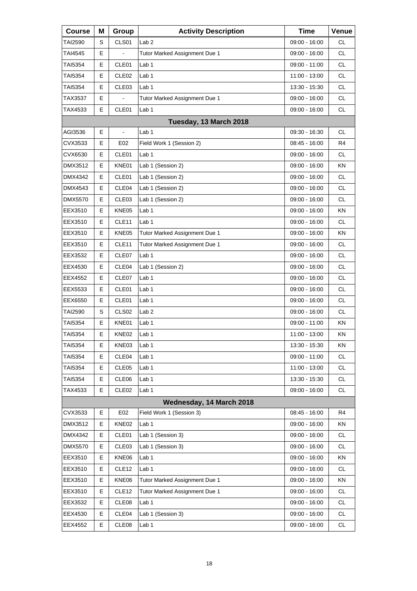| <b>Course</b>  | Μ | Group             | <b>Activity Description</b>   | <b>Time</b>     | Venue     |
|----------------|---|-------------------|-------------------------------|-----------------|-----------|
| TAI2590        | S | CLS01             | Lab <sub>2</sub>              | 09:00 - 16:00   | СL        |
| TAI4545        | E |                   | Tutor Marked Assignment Due 1 | 09:00 - 16:00   | <b>CL</b> |
| TAI5354        | E | CLE01             | Lab 1                         | 09:00 - 11:00   | <b>CL</b> |
| TAI5354        | Е | CLE <sub>02</sub> | Lab 1                         | 11:00 - 13:00   | <b>CL</b> |
| TAI5354        | E | CLE03             | Lab <sub>1</sub>              | 13:30 - 15:30   | <b>CL</b> |
| TAX3537        | E | ä,                | Tutor Marked Assignment Due 1 | 09:00 - 16:00   | <b>CL</b> |
| TAX4533        | Е | CLE01             | Lab <sub>1</sub>              | 09:00 - 16:00   | <b>CL</b> |
|                |   |                   | Tuesday, 13 March 2018        |                 |           |
| AGI3536        | E | ä,                | Lab 1                         | 09:30 - 16:30   | <b>CL</b> |
| CVX3533        | Е | E02               | Field Work 1 (Session 2)      | 08:45 - 16:00   | R4        |
| CVX6530        | E | CLE01             | Lab <sub>1</sub>              | 09:00 - 16:00   | <b>CL</b> |
| DMX3512        | Е | KNE01             | Lab 1 (Session 2)             | 09:00 - 16:00   | KN        |
| DMX4342        | Е | CLE01             | Lab 1 (Session 2)             | $09:00 - 16:00$ | <b>CL</b> |
| DMX4543        | E | CLE04             | Lab 1 (Session 2)             | $09:00 - 16:00$ | <b>CL</b> |
| <b>DMX5570</b> | Е | CLE <sub>03</sub> | Lab 1 (Session 2)             | 09:00 - 16:00   | <b>CL</b> |
| EEX3510        | Е | KNE05             | Lab 1                         | $09:00 - 16:00$ | <b>KN</b> |
| EEX3510        | E | CLE11             | Lab 1                         | $09:00 - 16:00$ | <b>CL</b> |
| EEX3510        | Е | KNE05             | Tutor Marked Assignment Due 1 | 09:00 - 16:00   | KN        |
| EEX3510        | Е | CLE <sub>11</sub> | Tutor Marked Assignment Due 1 | 09:00 - 16:00   | <b>CL</b> |
| EEX3532        | E | CLE07             | Lab <sub>1</sub>              | 09:00 - 16:00   | <b>CL</b> |
| EEX4530        | Е | CLE <sub>04</sub> | Lab 1 (Session 2)             | 09:00 - 16:00   | <b>CL</b> |
| EEX4552        | Е | CLE07             | Lab 1                         | 09:00 - 16:00   | <b>CL</b> |
| EEX5533        | E | CLE01             | Lab 1                         | 09:00 - 16:00   | <b>CL</b> |
| EEX6550        | Е | CLE01             | Lab <sub>1</sub>              | 09:00 - 16:00   | <b>CL</b> |
| TAI2590        | S | CLS <sub>02</sub> | Lab <sub>2</sub>              | 09:00 - 16:00   | <b>CL</b> |
| TAI5354        | E | KNE01             | Lab 1                         | 09:00 - 11:00   | ΚN        |
| <b>TAI5354</b> | Е | KNE02             | Lab 1                         | 11:00 - 13:00   | ΚN        |
| TAI5354        | Е | KNE03             | Lab <sub>1</sub>              | 13:30 - 15:30   | KN        |
| TAI5354        | Е | CLE04             | Lab 1                         | 09:00 - 11:00   | <b>CL</b> |
| TAI5354        | Е | CLE <sub>05</sub> | Lab 1                         | 11:00 - 13:00   | <b>CL</b> |
| TAI5354        | Е | CLE06             | Lab <sub>1</sub>              | 13:30 - 15:30   | CL        |
| TAX4533        | E | CLE <sub>02</sub> | Lab 1                         | $09:00 - 16:00$ | <b>CL</b> |
|                |   |                   | Wednesday, 14 March 2018      |                 |           |
| CVX3533        | Е | E02               | Field Work 1 (Session 3)      | 08:45 - 16:00   | R4        |
| DMX3512        | Е | KNE02             | Lab 1                         | $09:00 - 16:00$ | KN        |
| DMX4342        | Е | CLE01             | Lab 1 (Session 3)             | 09:00 - 16:00   | <b>CL</b> |
| DMX5570        | Е | CLE <sub>03</sub> | Lab 1 (Session 3)             | 09:00 - 16:00   | CL        |
| EEX3510        | Е | KNE06             | Lab <sub>1</sub>              | 09:00 - 16:00   | KN        |
| EEX3510        | Е | CLE <sub>12</sub> | Lab 1                         | 09:00 - 16:00   | <b>CL</b> |
| EEX3510        | Е | KNE06             | Tutor Marked Assignment Due 1 | 09:00 - 16:00   | KN        |
| EEX3510        | Е | CLE12             | Tutor Marked Assignment Due 1 | 09:00 - 16:00   | <b>CL</b> |
| EEX3532        | Е | CLE08             | Lab 1                         | 09:00 - 16:00   | <b>CL</b> |
| EEX4530        | Е | CLE04             | Lab 1 (Session 3)             | 09:00 - 16:00   | CL        |
| EEX4552        | Е | CLE08             | Lab <sub>1</sub>              | 09:00 - 16:00   | <b>CL</b> |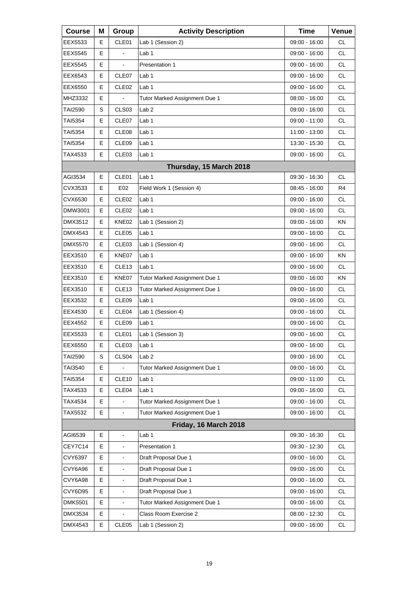| <b>Course</b>  | Μ | Group                    | <b>Activity Description</b>   | <b>Time</b>     | Venue     |
|----------------|---|--------------------------|-------------------------------|-----------------|-----------|
| EEX5533        | Е | CLE01                    | Lab 1 (Session 2)             | 09:00 - 16:00   | <b>CL</b> |
| EEX5545        | Е |                          | Lab 1                         | 09:00 - 16:00   | <b>CL</b> |
| EEX5545        | Е | L,                       | Presentation 1                | 09:00 - 16:00   | <b>CL</b> |
| EEX6543        | Е | CLE07                    | Lab 1                         | 09:00 - 16:00   | <b>CL</b> |
| EEX6550        | Е | CLE <sub>02</sub>        | Lab <sub>1</sub>              | 09:00 - 16:00   | <b>CL</b> |
| MHZ3332        | Е |                          | Tutor Marked Assignment Due 1 | 08:00 - 16:00   | <b>CL</b> |
| <b>TAI2590</b> | S | CLS03                    | Lab <sub>2</sub>              | 09:00 - 16:00   | <b>CL</b> |
| TAI5354        | Е | CLE07                    | Lab 1                         | 09:00 - 11:00   | <b>CL</b> |
| TAI5354        | Е | CLE <sub>08</sub>        | Lab 1                         | 11:00 - 13:00   | <b>CL</b> |
| <b>TAI5354</b> | Е | CLE09                    | Lab 1                         | 13:30 - 15:30   | <b>CL</b> |
| TAX4533        | Е | CLE03                    | Lab 1                         | 09:00 - 16:00   | <b>CL</b> |
|                |   |                          | Thursday, 15 March 2018       |                 |           |
| AGI3534        | E | CLE01                    | Lab <sub>1</sub>              | 09:30 - 16:30   | <b>CL</b> |
| CVX3533        | Е | E02                      | Field Work 1 (Session 4)      | 08:45 - 16:00   | R4        |
| CVX6530        | Е | CLE <sub>02</sub>        | Lab 1                         | 09:00 - 16:00   | CL.       |
| DMW3001        | E | CLE <sub>02</sub>        | Lab 1                         | 09:00 - 16:00   | <b>CL</b> |
| DMX3512        | Е | KNE02                    | Lab 1 (Session 2)             | $09:00 - 16:00$ | ΚN        |
| DMX4543        | Е | CLE <sub>05</sub>        | Lab 1                         | 09:00 - 16:00   | CL.       |
| <b>DMX5570</b> | Е | CLE <sub>03</sub>        | Lab 1 (Session 4)             | 09:00 - 16:00   | <b>CL</b> |
| EEX3510        | Е | KNE07                    | Lab <sub>1</sub>              | 09:00 - 16:00   | ΚN        |
| EEX3510        | Е | CLE <sub>13</sub>        | Lab <sub>1</sub>              | 09:00 - 16:00   | CL.       |
| EEX3510        | Е | KNE07                    | Tutor Marked Assignment Due 1 | 09:00 - 16:00   | KN        |
| EEX3510        | Е | CLE <sub>13</sub>        | Tutor Marked Assignment Due 1 | 09:00 - 16:00   | <b>CL</b> |
| EEX3532        | Е | CLE09                    | Lab 1                         | 09:00 - 16:00   | <b>CL</b> |
| EEX4530        | Е | CLE04                    | Lab 1 (Session 4)             | 09:00 - 16:00   | CL        |
| EEX4552        | Е | CLE09                    | Lab <sub>1</sub>              | 09:00 - 16:00   | <b>CL</b> |
| EEX5533        | E | CLE01                    | Lab 1 (Session 3)             | 09:00 - 16:00   | <b>CL</b> |
| EEX6550        | Е | CLE03                    | Lab <sub>1</sub>              | 09:00 - 16:00   | CL        |
| TAI2590        | S | CLS <sub>04</sub>        | Lab <sub>2</sub>              | 09:00 - 16:00   | <b>CL</b> |
| TAI3540        | Е |                          | Tutor Marked Assignment Due 1 | 09:00 - 16:00   | <b>CL</b> |
| TAI5354        | Е | CLE <sub>10</sub>        | Lab <sub>1</sub>              | 09:00 - 11:00   | CL        |
| TAX4533        | Е | CLE04                    | Lab 1                         | 09:00 - 16:00   | CL        |
| TAX4534        | E |                          | Tutor Marked Assignment Due 1 | 09:00 - 16:00   | <b>CL</b> |
| TAX5532        | Е |                          | Tutor Marked Assignment Due 1 | 09:00 - 16:00   | CL        |
|                |   |                          | Friday, 16 March 2018         |                 |           |
| AGI6539        | E | ä,                       | Lab <sub>1</sub>              | 09:30 - 16:30   | <b>CL</b> |
| CEY7C14        | Е |                          | Presentation 1                | 09:30 - 12:30   | CL        |
| CVY6397        | E |                          | Draft Proposal Due 1          | 09:00 - 16:00   | CL        |
| CVY6A96        | E | $\blacksquare$           | Draft Proposal Due 1          | 09:00 - 16:00   | <b>CL</b> |
| CVY6A98        | Е | $\blacksquare$           | Draft Proposal Due 1          | 09:00 - 16:00   | CL        |
| CVY6D95        | E | $\overline{\phantom{a}}$ | Draft Proposal Due 1          | 09:00 - 16:00   | CL        |
| <b>DMK5501</b> | E | $\blacksquare$           | Tutor Marked Assignment Due 1 | 09:00 - 16:00   | <b>CL</b> |
| DMX3534        | Е |                          | Class Room Exercise 2         | 08:00 - 12:30   | CL        |
| DMX4543        | E | CLE05                    | Lab 1 (Session 2)             | 09:00 - 16:00   | CL        |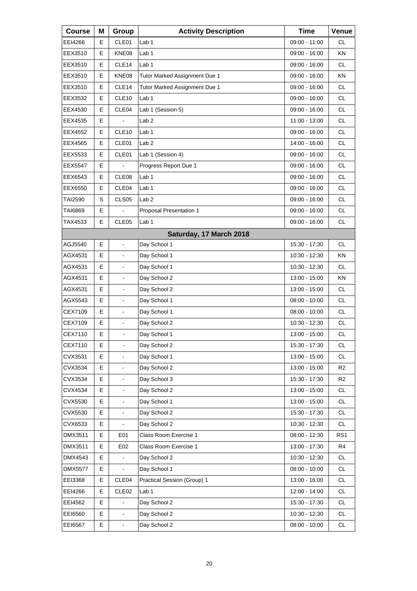| <b>Course</b>  | Μ  | Group                    | <b>Activity Description</b>   | <b>Time</b>     | Venue           |
|----------------|----|--------------------------|-------------------------------|-----------------|-----------------|
| EEI4266        | E. | CLE01                    | Lab 1                         | 09:00 - 11:00   | <b>CL</b>       |
| EEX3510        | E  | KNE08                    | Lab <sub>1</sub>              | 09:00 - 16:00   | KN              |
| EEX3510        | E  | CLE14                    | Lab 1                         | 09:00 - 16:00   | <b>CL</b>       |
| EEX3510        | Е  | KNE08                    | Tutor Marked Assignment Due 1 | 09:00 - 16:00   | ΚN              |
| EEX3510        | E  | CLE14                    | Tutor Marked Assignment Due 1 | 09:00 - 16:00   | <b>CL</b>       |
| EEX3532        | E  | CLE10                    | Lab 1                         | $09:00 - 16:00$ | <b>CL</b>       |
| EEX4530        | Е  | CLE04                    | Lab 1 (Session 5)             | 09:00 - 16:00   | <b>CL</b>       |
| EEX4535        | E  |                          | Lab <sub>2</sub>              | 11:00 - 13:00   | <b>CL</b>       |
| EEX4552        | E  | CLE <sub>10</sub>        | Lab 1                         | 09:00 - 16:00   | <b>CL</b>       |
| EEX4565        | Е  | CLE01                    | Lab <sub>2</sub>              | 14:00 - 16:00   | <b>CL</b>       |
| EEX5533        | E  | CLE01                    | Lab 1 (Session 4)             | 09:00 - 16:00   | <b>CL</b>       |
| EEX5547        | Е  |                          | Progress Report Due 1         | 09:00 - 16:00   | <b>CL</b>       |
| EEX6543        | Е  | CLE <sub>08</sub>        | Lab 1                         | 09:00 - 16:00   | <b>CL</b>       |
| EEX6550        | E  | CLE04                    | Lab <sub>1</sub>              | 09:00 - 16:00   | <b>CL</b>       |
| TAI2590        | S  | CLS <sub>05</sub>        | Lab <sub>2</sub>              | 09:00 - 16:00   | <b>CL</b>       |
| TAI6869        | Е  | $\overline{a}$           | Proposal Presentation 1       | 09:00 - 16:00   | <b>CL</b>       |
| TAX4533        | E  | CLE05                    | Lab <sub>1</sub>              | 09:00 - 16:00   | <b>CL</b>       |
|                |    |                          | Saturday, 17 March 2018       |                 |                 |
| AGJ5540        | Е  | $\blacksquare$           | Day School 1                  | 15:30 - 17:30   | <b>CL</b>       |
| AGX4531        | E  | $\blacksquare$           | Day School 1                  | 10:30 - 12:30   | <b>KN</b>       |
| AGX4531        | Е  | $\overline{\phantom{a}}$ | Day School 1                  | 10:30 - 12:30   | CL.             |
| AGX4531        | E  | $\blacksquare$           | Day School 2                  | 13:00 - 15:00   | <b>KN</b>       |
| AGX4531        | E  | $\blacksquare$           | Day School 2                  | 13:00 - 15:00   | <b>CL</b>       |
| AGX5543        | Е  | $\overline{\phantom{a}}$ | Day School 1                  | 08:00 - 10:00   | <b>CL</b>       |
| CEX7109        | E  | $\blacksquare$           | Day School 1                  | $08:00 - 10:00$ | <b>CL</b>       |
| CEX7109        | E  | $\blacksquare$           | Day School 2                  | 10:30 - 12:30   | <b>CL</b>       |
| CEX7110        | E  | L,                       | Day School 1                  | 13:00 - 15:00   | <b>CL</b>       |
| CEX7110        | Е  | $\blacksquare$           | Day School 2                  | 15:30 - 17:30   | CL              |
| CVX3531        | E  |                          | Day School 1                  | 13:00 - 15:00   | CL              |
| CVX3534        | E  | $\blacksquare$           | Day School 2                  | 13:00 - 15:00   | R <sub>2</sub>  |
| CVX3534        | E  | $\blacksquare$           | Day School 3                  | 15:30 - 17:30   | R <sub>2</sub>  |
| CVX4534        | E  |                          | Day School 2                  | 13:00 - 15:00   | CL              |
| CVX5530        | E  | $\blacksquare$           | Day School 1                  | 13:00 - 15:00   | CL              |
| CVX5530        | E  | $\blacksquare$           | Day School 2                  | 15:30 - 17:30   | CL              |
| CVX6533        | E  |                          | Day School 2                  | 10:30 - 12:30   | <b>CL</b>       |
| DMX3511        | E  | E01                      | Class Room Exercise 1         | 08:00 - 12:30   | RS <sub>1</sub> |
| DMX3511        | E  | E02                      | Class Room Exercise 1         | 13:00 - 17:30   | R4              |
| DMX4543        | E  |                          | Day School 2                  | 10:30 - 12:30   | CL              |
| <b>DMX5577</b> | E  | L,                       | Day School 1                  | 08:00 - 10:00   | CL              |
| EEI3368        | Е  | CLE04                    | Practical Session (Group) 1   | 13:00 - 16:00   | CL              |
| EEI4266        | Е  | CLE <sub>02</sub>        | Lab 1                         | 12:00 - 14:00   | CL              |
| EEI4562        | E  |                          | Day School 2                  | 15:30 - 17:30   | CL              |
| EEI6560        | Е  | $\blacksquare$           | Day School 2                  | 10:30 - 12:30   | CL              |
| EEI6567        | Е  | $\blacksquare$           | Day School 2                  | $08:00 - 10:00$ | CL              |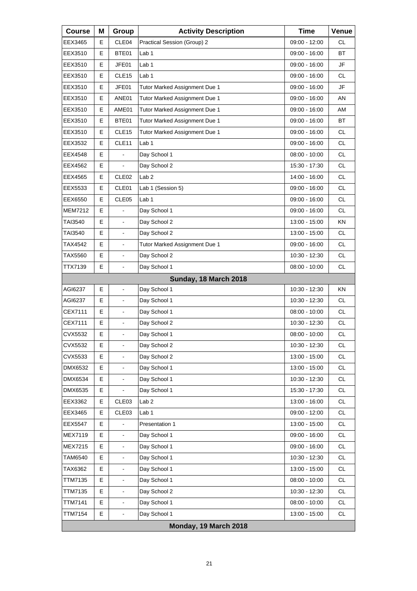| <b>Course</b>  | Μ                     | Group                        | <b>Activity Description</b>   | <b>Time</b>     | Venue     |  |  |  |
|----------------|-----------------------|------------------------------|-------------------------------|-----------------|-----------|--|--|--|
| EEX3465        | Е                     | CLE04                        | Practical Session (Group) 2   | 09:00 - 12:00   | <b>CL</b> |  |  |  |
| EEX3510        | Е                     | BTE01                        | Lab 1                         | 09:00 - 16:00   | ВT        |  |  |  |
| EEX3510        | Е                     | JFE01                        | Lab 1                         | 09:00 - 16:00   | JF        |  |  |  |
| EEX3510        | E                     | CLE <sub>15</sub>            | Lab 1                         | 09:00 - 16:00   | <b>CL</b> |  |  |  |
| EEX3510        | Е                     | JFE01                        | Tutor Marked Assignment Due 1 | 09:00 - 16:00   | JF        |  |  |  |
| EEX3510        | Е                     | ANE01                        | Tutor Marked Assignment Due 1 | 09:00 - 16:00   | AN        |  |  |  |
| EEX3510        | E                     | AME01                        | Tutor Marked Assignment Due 1 | 09:00 - 16:00   | AM        |  |  |  |
| EEX3510        | Е                     | BTE01                        | Tutor Marked Assignment Due 1 | 09:00 - 16:00   | <b>BT</b> |  |  |  |
| EEX3510        | Е                     | CLE <sub>15</sub>            | Tutor Marked Assignment Due 1 | 09:00 - 16:00   | <b>CL</b> |  |  |  |
| EEX3532        | E                     | CLE11                        | Lab 1                         | 09:00 - 16:00   | <b>CL</b> |  |  |  |
| EEX4548        | E                     |                              | Day School 1                  | $08:00 - 10:00$ | <b>CL</b> |  |  |  |
| EEX4562        | E                     |                              | Day School 2                  | 15:30 - 17:30   | CL.       |  |  |  |
| EEX4565        | E                     | CLE <sub>02</sub>            | Lab <sub>2</sub>              | 14:00 - 16:00   | <b>CL</b> |  |  |  |
| EEX5533        | Е                     | CLE01                        | Lab 1 (Session 5)             | 09:00 - 16:00   | <b>CL</b> |  |  |  |
| EEX6550        | E                     | CLE <sub>05</sub>            | Lab 1                         | 09:00 - 16:00   | CL.       |  |  |  |
| <b>MEM7212</b> | E                     | ä,                           | Day School 1                  | 09:00 - 16:00   | <b>CL</b> |  |  |  |
| TAI3540        | E                     | $\blacksquare$               | Day School 2                  | 13:00 - 15:00   | ΚN        |  |  |  |
| TAI3540        | E                     | ä,                           | Day School 2                  | 13:00 - 15:00   | CL.       |  |  |  |
| TAX4542        | E                     | $\overline{\phantom{a}}$     | Tutor Marked Assignment Due 1 | 09:00 - 16:00   | <b>CL</b> |  |  |  |
| TAX5560        | E                     | $\overline{\phantom{a}}$     | Day School 2                  | 10:30 - 12:30   | <b>CL</b> |  |  |  |
| TTX7139        | E                     | $\mathbf{r}$                 | Day School 1                  | 08:00 - 10:00   | CL.       |  |  |  |
|                |                       |                              | Sunday, 18 March 2018         |                 |           |  |  |  |
| AGI6237        | Е                     | $\overline{\phantom{a}}$     | Day School 1                  | 10:30 - 12:30   | KN        |  |  |  |
| AGI6237        | E                     | ä,                           | Day School 1                  | 10:30 - 12:30   | CL.       |  |  |  |
| CEX7111        | E                     | $\blacksquare$               | Day School 1                  | $08:00 - 10:00$ | <b>CL</b> |  |  |  |
| CEX7111        | E                     | $\blacksquare$               | Day School 2                  | 10:30 - 12:30   | CL        |  |  |  |
| CVX5532        | E                     | ä,                           | Day School 1                  | $08:00 - 10:00$ | <b>CL</b> |  |  |  |
| CVX5532        | Е                     | $\overline{\phantom{a}}$     | Day School 2                  | 10:30 - 12:30   | CL        |  |  |  |
| CVX5533        | Е                     |                              | Day School 2                  | 13:00 - 15:00   | CL        |  |  |  |
| DMX6532        | E                     |                              | Day School 1                  | 13:00 - 15:00   | <b>CL</b> |  |  |  |
| DMX6534        | Е                     |                              | Day School 1                  | 10:30 - 12:30   | CL        |  |  |  |
| DMX6535        | Е                     |                              | Day School 1                  | 15:30 - 17:30   | CL        |  |  |  |
| EEX3362        | Е                     | CLE03                        | Lab <sub>2</sub>              | 13:00 - 16:00   | <b>CL</b> |  |  |  |
| EEX3465        | Е                     | CLE03                        | Lab <sub>1</sub>              | 09:00 - 12:00   | CL        |  |  |  |
| <b>EEX5547</b> | E                     |                              | Presentation 1                | 13:00 - 15:00   | CL        |  |  |  |
| MEX7119        | E                     | ä,                           | Day School 1                  | 09:00 - 16:00   | <b>CL</b> |  |  |  |
| MEX7215        | Е                     | $\qquad \qquad \blacksquare$ | Day School 1                  | 09:00 - 16:00   | CL        |  |  |  |
| TAM6540        | E                     |                              | Day School 1                  | 10:30 - 12:30   | CL        |  |  |  |
| TAX6362        | E                     | $\blacksquare$               | Day School 1                  | 13:00 - 15:00   | <b>CL</b> |  |  |  |
| <b>TTM7135</b> | Е                     | $\qquad \qquad \blacksquare$ | Day School 1                  | 08:00 - 10:00   | CL        |  |  |  |
| <b>TTM7135</b> | Е                     |                              | Day School 2                  | 10:30 - 12:30   | CL        |  |  |  |
| <b>TTM7141</b> | E                     | $\overline{\phantom{a}}$     | Day School 1                  | 08:00 - 10:00   | <b>CL</b> |  |  |  |
| <b>TTM7154</b> | Е                     | $\overline{\phantom{a}}$     | Day School 1                  | 13:00 - 15:00   | CL        |  |  |  |
|                | Monday, 19 March 2018 |                              |                               |                 |           |  |  |  |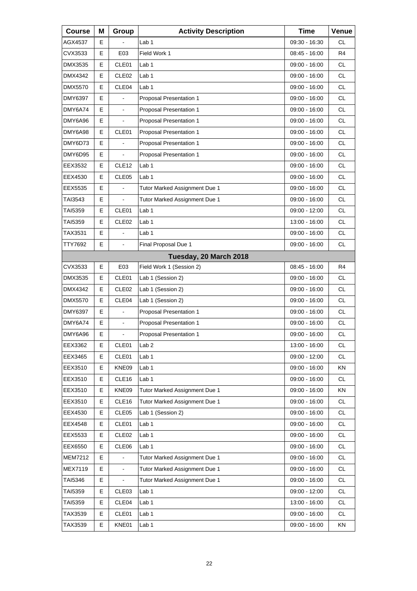| <b>Course</b>  | Μ  | Group             | <b>Activity Description</b>    | <b>Time</b>     | Venue          |
|----------------|----|-------------------|--------------------------------|-----------------|----------------|
| AGX4537        | E. |                   | Lab 1                          | 09:30 - 16:30   | <b>CL</b>      |
| CVX3533        | E  | E03               | Field Work 1                   | 08:45 - 16:00   | R4             |
| DMX3535        | E  | CLE01             | Lab 1                          | $09:00 - 16:00$ | <b>CL</b>      |
| DMX4342        | Е  | CLE <sub>02</sub> | Lab 1                          | 09:00 - 16:00   | <b>CL</b>      |
| DMX5570        | E  | CLE04             | Lab <sub>1</sub>               | 09:00 - 16:00   | <b>CL</b>      |
| <b>DMY6397</b> | E  | $\overline{a}$    | Proposal Presentation 1        | 09:00 - 16:00   | <b>CL</b>      |
| DMY6A74        | Е  | $\blacksquare$    | Proposal Presentation 1        | 09:00 - 16:00   | <b>CL</b>      |
| DMY6A96        | E  |                   | Proposal Presentation 1        | 09:00 - 16:00   | <b>CL</b>      |
| DMY6A98        | E  | CLE01             | Proposal Presentation 1        | 09:00 - 16:00   | <b>CL</b>      |
| DMY6D73        | Е  |                   | Proposal Presentation 1        | 09:00 - 16:00   | <b>CL</b>      |
| DMY6D95        | E  |                   | Proposal Presentation 1        | 09:00 - 16:00   | <b>CL</b>      |
| EEX3532        | E  | CLE <sub>12</sub> | Lab 1                          | $09:00 - 16:00$ | <b>CL</b>      |
| EEX4530        | Е  | CLE <sub>05</sub> | Lab 1                          | 09:00 - 16:00   | <b>CL</b>      |
| EEX5535        | E  |                   | Tutor Marked Assignment Due 1  | 09:00 - 16:00   | <b>CL</b>      |
| TAI3543        | Е  | $\overline{a}$    | Tutor Marked Assignment Due 1  | 09:00 - 16:00   | <b>CL</b>      |
| TAI5359        | Е  | CLE01             | Lab 1                          | 09:00 - 12:00   | <b>CL</b>      |
| TAI5359        | E  | CLE <sub>02</sub> | Lab <sub>1</sub>               | 13:00 - 16:00   | <b>CL</b>      |
| TAX3531        | E  | ä,                | Lab 1                          | 09:00 - 16:00   | CL.            |
| TTY7692        | Е  | $\blacksquare$    | Final Proposal Due 1           | 09:00 - 16:00   | <b>CL</b>      |
|                |    |                   | Tuesday, 20 March 2018         |                 |                |
| CVX3533        | E  | E03               | Field Work 1 (Session 2)       | 08:45 - 16:00   | R <sub>4</sub> |
| DMX3535        | Е  | CLE01             | Lab 1 (Session 2)              | 09:00 - 16:00   | <b>CL</b>      |
| DMX4342        | E  | CLE <sub>02</sub> | Lab 1 (Session 2)              | 09:00 - 16:00   | <b>CL</b>      |
| DMX5570        | Е  | CLE04             | Lab 1 (Session 2)              | 09:00 - 16:00   | <b>CL</b>      |
| DMY6397        | E  | $\blacksquare$    | Proposal Presentation 1        | 09:00 - 16:00   | <b>CL</b>      |
| DMY6A74        | E  | $\blacksquare$    | Proposal Presentation 1        | 09:00 - 16:00   | <b>CL</b>      |
| DMY6A96        | E  | L,                | <b>Proposal Presentation 1</b> | 09:00 - 16:00   | <b>CL</b>      |
| EEX3362        | Е  | CLE01             | Lab <sub>2</sub>               | 13:00 - 16:00   | CL             |
| EEX3465        | Е  | CLE01             | Lab <sub>1</sub>               | 09:00 - 12:00   | <b>CL</b>      |
| EEX3510        | E  | KNE09             | Lab 1                          | 09:00 - 16:00   | KN             |
| EEX3510        | Е  | CLE16             | Lab <sub>1</sub>               | $09:00 - 16:00$ | CL             |
| EEX3510        | Е  | KNE09             | Tutor Marked Assignment Due 1  | 09:00 - 16:00   | KN             |
| EEX3510        | Е  | CLE <sub>16</sub> | Tutor Marked Assignment Due 1  | 09:00 - 16:00   | <b>CL</b>      |
| EEX4530        | Е  | CLE05             | Lab 1 (Session 2)              | 09:00 - 16:00   | CL             |
| EEX4548        | Е  | CLE01             | Lab <sub>1</sub>               | 09:00 - 16:00   | CL             |
| EEX5533        | Е  | CLE <sub>02</sub> | Lab 1                          | 09:00 - 16:00   | <b>CL</b>      |
| EEX6550        | Е  | CLE06             | Lab 1                          | 09:00 - 16:00   | CL             |
| <b>MEM7212</b> | E  |                   | Tutor Marked Assignment Due 1  | 09:00 - 16:00   | CL             |
| MEX7119        | E  | $\frac{1}{2}$     | Tutor Marked Assignment Due 1  | 09:00 - 16:00   | CL             |
| TAI5346        | Е  |                   | Tutor Marked Assignment Due 1  | 09:00 - 16:00   | CL             |
| TAI5359        | Е  | CLE03             | Lab <sub>1</sub>               | 09:00 - 12:00   | CL             |
| TAI5359        | Е  | CLE04             | Lab 1                          | 13:00 - 16:00   | CL             |
| TAX3539        | Е  | CLE01             | Lab 1                          | 09:00 - 16:00   | CL             |
| TAX3539        | E  | KNE01             | Lab 1                          | 09:00 - 16:00   | KN             |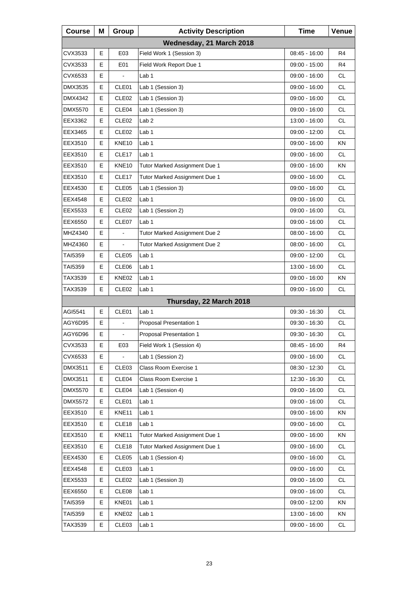| <b>Course</b>  | Μ  | Group             | <b>Activity Description</b>   | <b>Time</b>     | Venue     |
|----------------|----|-------------------|-------------------------------|-----------------|-----------|
|                |    |                   | Wednesday, 21 March 2018      |                 |           |
| CVX3533        | E  | E03               | Field Work 1 (Session 3)      | 08:45 - 16:00   | R4        |
| CVX3533        | Е  | E01               | Field Work Report Due 1       | 09:00 - 15:00   | R4        |
| CVX6533        | Е  | $\overline{a}$    | Lab 1                         | 09:00 - 16:00   | <b>CL</b> |
| DMX3535        | E  | CLE01             | Lab 1 (Session 3)             | 09:00 - 16:00   | <b>CL</b> |
| DMX4342        | Е  | CLE <sub>02</sub> | Lab 1 (Session 3)             | 09:00 - 16:00   | CL.       |
| <b>DMX5570</b> | Е  | CLE04             | Lab 1 (Session 3)             | $09:00 - 16:00$ | <b>CL</b> |
| EEX3362        | E  | CLE <sub>02</sub> | Lab <sub>2</sub>              | 13:00 - 16:00   | <b>CL</b> |
| EEX3465        | Е  | CLE <sub>02</sub> | Lab 1                         | 09:00 - 12:00   | CL.       |
| EEX3510        | Е  | <b>KNE10</b>      | Lab <sub>1</sub>              | 09:00 - 16:00   | KN        |
| EEX3510        | E  | CLE17             | Lab 1                         | 09:00 - 16:00   | <b>CL</b> |
| EEX3510        | Е  | KNE <sub>10</sub> | Tutor Marked Assignment Due 1 | 09:00 - 16:00   | ΚN        |
| EEX3510        | Е  | CLE17             | Tutor Marked Assignment Due 1 | $09:00 - 16:00$ | <b>CL</b> |
| EEX4530        | E  | CLE <sub>05</sub> | Lab 1 (Session 3)             | 09:00 - 16:00   | <b>CL</b> |
| EEX4548        | Е  | CLE <sub>02</sub> | Lab 1                         | 09:00 - 16:00   | <b>CL</b> |
| EEX5533        | Е  | CLE <sub>02</sub> | Lab 1 (Session 2)             | 09:00 - 16:00   | <b>CL</b> |
| EEX6550        | E  | CLE07             | Lab 1                         | 09:00 - 16:00   | <b>CL</b> |
| MHZ4340        | Е  |                   | Tutor Marked Assignment Due 2 | 08:00 - 16:00   | <b>CL</b> |
| MHZ4360        | Е  | $\blacksquare$    | Tutor Marked Assignment Due 2 | 08:00 - 16:00   | <b>CL</b> |
| TAI5359        | E  | CLE <sub>05</sub> | Lab 1                         | 09:00 - 12:00   | <b>CL</b> |
| TAI5359        | Е  | CLE06             | Lab 1                         | 13:00 - 16:00   | CL.       |
| TAX3539        | Е  | KNE02             | Lab <sub>1</sub>              | 09:00 - 16:00   | KN        |
| TAX3539        | E  | CLE <sub>02</sub> | Lab 1                         | 09:00 - 16:00   | CL        |
|                |    |                   | Thursday, 22 March 2018       |                 |           |
| AGI5541        | E  | CLE01             | Lab <sub>1</sub>              | 09:30 - 16:30   | <b>CL</b> |
| AGY6D95        | E  |                   | Proposal Presentation 1       | 09:30 - 16:30   | CL        |
| AGY6D96        | E. |                   | Proposal Presentation 1       | 09:30 - 16:30   | <b>CL</b> |
| CVX3533        | Е  | E03               | Field Work 1 (Session 4)      | 08:45 - 16:00   | R4        |
| CVX6533        | Е  |                   | Lab 1 (Session 2)             | 09:00 - 16:00   | CL.       |
| DMX3511        | Е  | CLE03             | Class Room Exercise 1         | 08:30 - 12:30   | CL        |
| DMX3511        | Е  | CLE04             | Class Room Exercise 1         | 12:30 - 16:30   | CL        |
| DMX5570        | Е  | CLE04             | Lab 1 (Session 4)             | 09:00 - 16:00   | CL        |
| DMX5572        | Е  | CLE01             | Lab 1                         | 09:00 - 16:00   | CL        |
| EEX3510        | Е  | KNE11             | Lab <sub>1</sub>              | 09:00 - 16:00   | KN        |
| EEX3510        | Е  | CLE <sub>18</sub> | Lab 1                         | 09:00 - 16:00   | CL        |
| EEX3510        | Е  | KNE11             | Tutor Marked Assignment Due 1 | 09:00 - 16:00   | KN        |
| EEX3510        | Е  | CLE18             | Tutor Marked Assignment Due 1 | 09:00 - 16:00   | CL        |
| EEX4530        | Е  | CLE05             | Lab 1 (Session 4)             | 09:00 - 16:00   | CL        |
| EEX4548        | Е  | CLE03             | Lab 1                         | 09:00 - 16:00   | CL        |
| EEX5533        | Е  | CLE <sub>02</sub> | Lab 1 (Session 3)             | 09:00 - 16:00   | CL        |
| EEX6550        | Е  | CLE08             | Lab 1                         | 09:00 - 16:00   | <b>CL</b> |
| TAI5359        | Е  | KNE01             | Lab 1                         | 09:00 - 12:00   | KN        |
| TAI5359        | Е  | KNE02             | Lab 1                         | 13:00 - 16:00   | KN        |
| TAX3539        | Е  | CLE03             | Lab 1                         | 09:00 - 16:00   | CL        |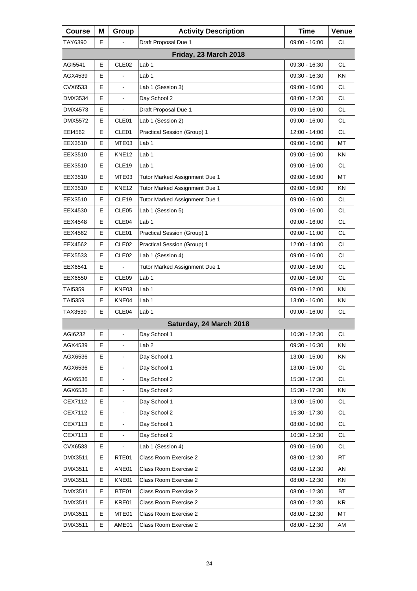| <b>Course</b> | Μ | Group             | <b>Activity Description</b>   | <b>Time</b>     | Venue     |
|---------------|---|-------------------|-------------------------------|-----------------|-----------|
| TAY6390       | E |                   | Draft Proposal Due 1          | 09:00 - 16:00   | СL        |
|               |   |                   | Friday, 23 March 2018         |                 |           |
| AGI5541       | Е | CLE <sub>02</sub> | Lab 1                         | 09:30 - 16:30   | CL.       |
| AGX4539       | E |                   | Lab 1                         | $09:30 - 16:30$ | KN.       |
| CVX6533       | E |                   | Lab 1 (Session 3)             | 09:00 - 16:00   | <b>CL</b> |
| DMX3534       | E | $\blacksquare$    | Day School 2                  | 08:00 - 12:30   | CL.       |
| DMX4573       | E | $\blacksquare$    | Draft Proposal Due 1          | 09:00 - 16:00   | <b>CL</b> |
| DMX5572       | E | CLE01             | Lab 1 (Session 2)             | 09:00 - 16:00   | <b>CL</b> |
| EEI4562       | E | CLE01             | Practical Session (Group) 1   | 12:00 - 14:00   | CL.       |
| EEX3510       | Е | MTE03             | Lab <sub>1</sub>              | 09:00 - 16:00   | МT        |
| EEX3510       | E | KNE <sub>12</sub> | Lab 1                         | 09:00 - 16:00   | KN        |
| EEX3510       | E | CLE19             | Lab 1                         | 09:00 - 16:00   | <b>CL</b> |
| EEX3510       | Е | MTE03             | Tutor Marked Assignment Due 1 | 09:00 - 16:00   | МT        |
| EEX3510       | E | <b>KNE12</b>      | Tutor Marked Assignment Due 1 | 09:00 - 16:00   | KN        |
| EEX3510       | E | CLE19             | Tutor Marked Assignment Due 1 | 09:00 - 16:00   | <b>CL</b> |
| EEX4530       | Е | CLE <sub>05</sub> | Lab 1 (Session 5)             | $09:00 - 16:00$ | <b>CL</b> |
| EEX4548       | Е | CLE04             | Lab <sub>1</sub>              | $09:00 - 16:00$ | <b>CL</b> |
| EEX4562       | E | CLE01             | Practical Session (Group) 1   | 09:00 - 11:00   | <b>CL</b> |
| EEX4562       | Е | CLE <sub>02</sub> | Practical Session (Group) 1   | 12:00 - 14:00   | <b>CL</b> |
| EEX5533       | E | CLE <sub>02</sub> | Lab 1 (Session 4)             | 09:00 - 16:00   | <b>CL</b> |
| EEX6541       | E |                   | Tutor Marked Assignment Due 1 | 09:00 - 16:00   | <b>CL</b> |
| EEX6550       | Е | CLE <sub>09</sub> | Lab <sub>1</sub>              | 09:00 - 16:00   | CL        |
| TAI5359       | Е | KNE03             | Lab 1                         | 09:00 - 12:00   | ΚN        |
| TAI5359       | E | KNE04             | Lab 1                         | 13:00 - 16:00   | <b>KN</b> |
| TAX3539       | Е | CLE04             | Lab 1                         | 09:00 - 16:00   | CL        |
|               |   |                   | Saturday, 24 March 2018       |                 |           |
| AGI6232       | E | $\blacksquare$    | Day School 1                  | 10:30 - 12:30   | <b>CL</b> |
| AGX4539       | Е | $\blacksquare$    | Lab <sub>2</sub>              | 09:30 - 16:30   | ΚN        |
| AGX6536       | Е |                   | Day School 1                  | 13:00 - 15:00   | KN        |
| AGX6536       | E |                   | Day School 1                  | 13:00 - 15:00   | <b>CL</b> |
| AGX6536       | Е | $\blacksquare$    | Day School 2                  | 15:30 - 17:30   | CL        |
| AGX6536       | Е |                   | Day School 2                  | 15:30 - 17:30   | KN        |
| CEX7112       | E |                   | Day School 1                  | 13:00 - 15:00   | <b>CL</b> |
| CEX7112       | Е | $\blacksquare$    | Day School 2                  | 15:30 - 17:30   | <b>CL</b> |
| CEX7113       | Е |                   | Day School 1                  | $08:00 - 10:00$ | <b>CL</b> |
| CEX7113       | E |                   | Day School 2                  | 10:30 - 12:30   | <b>CL</b> |
| CVX6533       | Е |                   | Lab 1 (Session 4)             | 09:00 - 16:00   | <b>CL</b> |
| DMX3511       | Е | RTE01             | Class Room Exercise 2         | 08:00 - 12:30   | <b>RT</b> |
| DMX3511       | Е | ANE01             | Class Room Exercise 2         | $08:00 - 12:30$ | AN        |
| DMX3511       | Е | KNE01             | Class Room Exercise 2         | 08:00 - 12:30   | ΚN        |
| DMX3511       | Е | BTE01             | Class Room Exercise 2         | 08:00 - 12:30   | BT        |
| DMX3511       | Е | KRE01             | Class Room Exercise 2         | 08:00 - 12:30   | KR        |
| DMX3511       | Е | MTE01             | Class Room Exercise 2         | 08:00 - 12:30   | МT        |
| DMX3511       | Е | AME01             | Class Room Exercise 2         | 08:00 - 12:30   | AM        |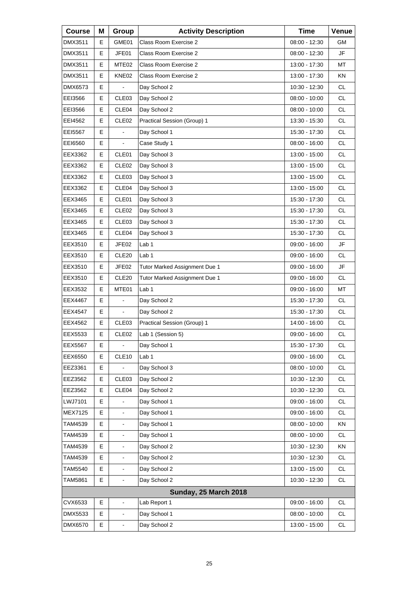| <b>Course</b>  | M | Group                    | <b>Activity Description</b>   | <b>Time</b>     | Venue     |
|----------------|---|--------------------------|-------------------------------|-----------------|-----------|
| DMX3511        | Е | GME01                    | Class Room Exercise 2         | $08:00 - 12:30$ | GM.       |
| DMX3511        | E | JFE01                    | Class Room Exercise 2         | 08:00 - 12:30   | <b>JF</b> |
| DMX3511        | E | MTE02                    | Class Room Exercise 2         | 13:00 - 17:30   | MT        |
| DMX3511        | Е | KNE02                    | Class Room Exercise 2         | 13:00 - 17:30   | ΚN        |
| DMX6573        | E |                          | Day School 2                  | 10:30 - 12:30   | <b>CL</b> |
| EEI3566        | E | CLE03                    | Day School 2                  | 08:00 - 10:00   | <b>CL</b> |
| EEI3566        | Е | CLE04                    | Day School 2                  | 08:00 - 10:00   | <b>CL</b> |
| EEI4562        | E | CLE <sub>02</sub>        | Practical Session (Group) 1   | 13:30 - 15:30   | <b>CL</b> |
| EEI5567        | E |                          | Day School 1                  | 15:30 - 17:30   | <b>CL</b> |
| EEI6560        | Е | $\blacksquare$           | Case Study 1                  | 08:00 - 16:00   | <b>CL</b> |
| EEX3362        | E | CLE01                    | Day School 3                  | 13:00 - 15:00   | <b>CL</b> |
| EEX3362        | E | CLE <sub>02</sub>        | Day School 3                  | 13:00 - 15:00   | <b>CL</b> |
| EEX3362        | Е | CLE <sub>03</sub>        | Day School 3                  | 13:00 - 15:00   | <b>CL</b> |
| EEX3362        | E | CLE04                    | Day School 3                  | 13:00 - 15:00   | <b>CL</b> |
| EEX3465        | E | CLE01                    | Day School 3                  | 15:30 - 17:30   | <b>CL</b> |
| EEX3465        | Е | CLE <sub>02</sub>        | Day School 3                  | 15:30 - 17:30   | <b>CL</b> |
| EEX3465        | E | CLE03                    | Day School 3                  | 15:30 - 17:30   | <b>CL</b> |
| EEX3465        | E | CLE04                    | Day School 3                  | 15:30 - 17:30   | <b>CL</b> |
| EEX3510        | Е | JFE02                    | Lab 1                         | $09:00 - 16:00$ | JF        |
| EEX3510        | E | CLE20                    | Lab <sub>1</sub>              | 09:00 - 16:00   | <b>CL</b> |
| EEX3510        | E | JFE02                    | Tutor Marked Assignment Due 1 | 09:00 - 16:00   | JF        |
| EEX3510        | Е | CLE <sub>20</sub>        | Tutor Marked Assignment Due 1 | 09:00 - 16:00   | <b>CL</b> |
| EEX3532        | E | MTE01                    | Lab <sub>1</sub>              | 09:00 - 16:00   | MT        |
| EEX4467        | E | $\overline{\phantom{0}}$ | Day School 2                  | 15:30 - 17:30   | <b>CL</b> |
| EEX4547        | Е | $\blacksquare$           | Day School 2                  | 15:30 - 17:30   | <b>CL</b> |
| EEX4562        | E | CLE <sub>03</sub>        | Practical Session (Group) 1   | 14:00 - 16:00   | <b>CL</b> |
| EEX5533        | E | CLE <sub>02</sub>        | Lab 1 (Session 5)             | 09:00 - 16:00   | CL        |
| <b>EEX5567</b> | Ε | $\blacksquare$           | Day School 1                  | 15:30 - 17:30   | <b>CL</b> |
| EEX6550        | Е | CLE <sub>10</sub>        | Lab 1                         | $09:00 - 16:00$ | CL        |
| EEZ3361        | Е |                          | Day School 3                  | $08:00 - 10:00$ | CL        |
| EEZ3562        | Е | CLE03                    | Day School 2                  | 10:30 - 12:30   | CL        |
| EEZ3562        | Е | CLE04                    | Day School 2                  | 10:30 - 12:30   | CL        |
| LWJ7101        | E |                          | Day School 1                  | 09:00 - 16:00   | CL        |
| <b>MEX7125</b> | Е | $\overline{\phantom{0}}$ | Day School 1                  | 09:00 - 16:00   | <b>CL</b> |
| TAM4539        | Е |                          | Day School 1                  | $08:00 - 10:00$ | KN        |
| TAM4539        | E |                          | Day School 1                  | 08:00 - 10:00   | CL        |
| TAM4539        | Е | -                        | Day School 2                  | 10:30 - 12:30   | KN        |
| TAM4539        | Е | $\frac{1}{2}$            | Day School 2                  | 10:30 - 12:30   | CL        |
| <b>TAM5540</b> | E |                          | Day School 2                  | 13:00 - 15:00   | CL        |
| TAM5861        | Е | $\overline{\phantom{0}}$ | Day School 2                  | 10:30 - 12:30   | CL        |
|                |   |                          | <b>Sunday, 25 March 2018</b>  |                 |           |
| CVX6533        | E | $\frac{1}{2}$            | Lab Report 1                  | 09:00 - 16:00   | <b>CL</b> |
| DMX5533        | Е | -                        | Day School 1                  | 08:00 - 10:00   | CL        |
| DMX6570        | E | ÷,                       | Day School 2                  | 13:00 - 15:00   | CL        |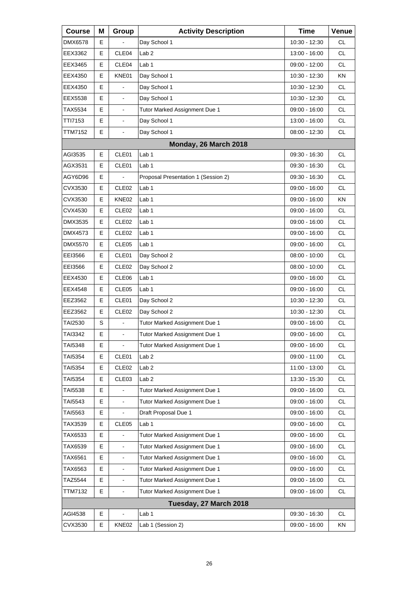| <b>Course</b>  | Μ  | Group                    | <b>Activity Description</b>         | <b>Time</b>     | Venue     |
|----------------|----|--------------------------|-------------------------------------|-----------------|-----------|
| DMX6578        | E  |                          | Day School 1                        | 10:30 - 12:30   | <b>CL</b> |
| EEX3362        | E  | CLE04                    | Lab <sub>2</sub>                    | 13:00 - 16:00   | <b>CL</b> |
| EEX3465        | E  | CLE04                    | Lab <sub>1</sub>                    | 09:00 - 12:00   | <b>CL</b> |
| EEX4350        | E  | KNE01                    | Day School 1                        | 10:30 - 12:30   | <b>KN</b> |
| EEX4350        | E  |                          | Day School 1                        | 10:30 - 12:30   | <b>CL</b> |
| EEX5538        | E  | $\blacksquare$           | Day School 1                        | 10:30 - 12:30   | <b>CL</b> |
| TAX5534        | E  | $\blacksquare$           | Tutor Marked Assignment Due 1       | 09:00 - 16:00   | <b>CL</b> |
| TTI7153        | E  |                          | Day School 1                        | 13:00 - 16:00   | <b>CL</b> |
| TTM7152        | E. | $\blacksquare$           | Day School 1                        | 08:00 - 12:30   | <b>CL</b> |
|                |    |                          | Monday, 26 March 2018               |                 |           |
| AGI3535        | E  | CLE01                    | Lab <sub>1</sub>                    | 09:30 - 16:30   | <b>CL</b> |
| AGX3531        | E  | CLE01                    | Lab 1                               | $09:30 - 16:30$ | <b>CL</b> |
| AGY6D96        | Е  |                          | Proposal Presentation 1 (Session 2) | 09:30 - 16:30   | <b>CL</b> |
| CVX3530        | E  | CLE02                    | Lab <sub>1</sub>                    | $09:00 - 16:00$ | <b>CL</b> |
| CVX3530        | E  | KNE02                    | Lab 1                               | 09:00 - 16:00   | KN        |
| CVX4530        | Е  | CLE <sub>02</sub>        | Lab <sub>1</sub>                    | 09:00 - 16:00   | <b>CL</b> |
| DMX3535        | E  | CLE <sub>02</sub>        | Lab 1                               | $09:00 - 16:00$ | <b>CL</b> |
| DMX4573        | E  | CLE <sub>02</sub>        | Lab 1                               | 09:00 - 16:00   | <b>CL</b> |
| DMX5570        | Е  | CLE <sub>05</sub>        | Lab 1                               | 09:00 - 16:00   | <b>CL</b> |
| EEI3566        | E  | CLE01                    | Day School 2                        | $08:00 - 10:00$ | <b>CL</b> |
| EEI3566        | E  | CLE <sub>02</sub>        | Day School 2                        | $08:00 - 10:00$ | <b>CL</b> |
| EEX4530        | Е  | CLE06                    | Lab <sub>1</sub>                    | 09:00 - 16:00   | <b>CL</b> |
| EEX4548        | E  | CLE05                    | Lab 1                               | 09:00 - 16:00   | <b>CL</b> |
| EEZ3562        | E  | CLE01                    | Day School 2                        | 10:30 - 12:30   | <b>CL</b> |
| EEZ3562        | Е  | CLE <sub>02</sub>        | Day School 2                        | 10:30 - 12:30   | <b>CL</b> |
| TAI2530        | S  |                          | Tutor Marked Assignment Due 1       | 09:00 - 16:00   | <b>CL</b> |
| TAI3342        | E  | L,                       | Tutor Marked Assignment Due 1       | 09:00 - 16:00   | CL        |
| TAI5348        | Е  | $\blacksquare$           | Tutor Marked Assignment Due 1       | $09:00 - 16:00$ | СL        |
| TAI5354        | Е  | CLE01                    | Lab <sub>2</sub>                    | 09:00 - 11:00   | <b>CL</b> |
| <b>TAI5354</b> | Е  | CLE <sub>02</sub>        | Lab <sub>2</sub>                    | 11:00 - 13:00   | CL        |
| TAI5354        | Е  | CLE03                    | Lab <sub>2</sub>                    | 13:30 - 15:30   | CL.       |
| <b>TAI5538</b> | Е  |                          | Tutor Marked Assignment Due 1       | 09:00 - 16:00   | <b>CL</b> |
| TAI5543        | E  | $\overline{\phantom{a}}$ | Tutor Marked Assignment Due 1       | 09:00 - 16:00   | CL        |
| TAI5563        | Е  |                          | Draft Proposal Due 1                | 09:00 - 16:00   | <b>CL</b> |
| TAX3539        | Е  | CLE <sub>05</sub>        | Lab 1                               | 09:00 - 16:00   | <b>CL</b> |
| TAX6533        | E  |                          | Tutor Marked Assignment Due 1       | 09:00 - 16:00   | <b>CL</b> |
| TAX6539        | Е  | $\blacksquare$           | Tutor Marked Assignment Due 1       | 09:00 - 16:00   | CL        |
| TAX6561        | E  |                          | Tutor Marked Assignment Due 1       | 09:00 - 16:00   | <b>CL</b> |
| TAX6563        | E  |                          | Tutor Marked Assignment Due 1       | 09:00 - 16:00   | <b>CL</b> |
| TAZ5544        | Е  | $\overline{\phantom{a}}$ | Tutor Marked Assignment Due 1       | 09:00 - 16:00   | CL        |
| <b>TTM7132</b> | E  | $\blacksquare$           | Tutor Marked Assignment Due 1       | 09:00 - 16:00   | CL        |
|                |    |                          | Tuesday, 27 March 2018              |                 |           |
| AGI4538        | Е  | $\blacksquare$           | Lab <sub>1</sub>                    | 09:30 - 16:30   | CL        |
| CVX3530        | Е  | KNE02                    | Lab 1 (Session 2)                   | 09:00 - 16:00   | KN        |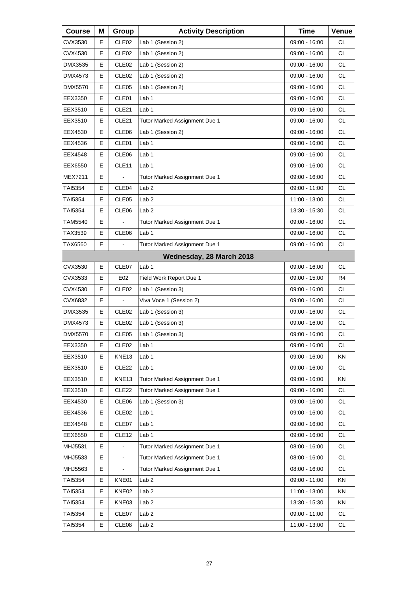| <b>Course</b>  | Μ | Group             | <b>Activity Description</b>   | <b>Time</b>     | Venue     |
|----------------|---|-------------------|-------------------------------|-----------------|-----------|
| CVX3530        | Е | CLE <sub>02</sub> | Lab 1 (Session 2)             | 09:00 - 16:00   | <b>CL</b> |
| CVX4530        | E | CLE <sub>02</sub> | Lab 1 (Session 2)             | 09:00 - 16:00   | <b>CL</b> |
| DMX3535        | E | CLE <sub>02</sub> | Lab 1 (Session 2)             | 09:00 - 16:00   | <b>CL</b> |
| DMX4573        | Е | CLE <sub>02</sub> | Lab 1 (Session 2)             | 09:00 - 16:00   | <b>CL</b> |
| <b>DMX5570</b> | E | CLE05             | Lab 1 (Session 2)             | 09:00 - 16:00   | <b>CL</b> |
| EEX3350        | E | CLE01             | Lab 1                         | 09:00 - 16:00   | <b>CL</b> |
| EEX3510        | Е | CLE <sub>21</sub> | Lab 1                         | 09:00 - 16:00   | <b>CL</b> |
| EEX3510        | E | CLE21             | Tutor Marked Assignment Due 1 | 09:00 - 16:00   | <b>CL</b> |
| EEX4530        | E | CLE06             | Lab 1 (Session 2)             | 09:00 - 16:00   | <b>CL</b> |
| EEX4536        | Е | CLE01             | Lab 1                         | 09:00 - 16:00   | <b>CL</b> |
| EEX4548        | E | CLE06             | Lab <sub>1</sub>              | 09:00 - 16:00   | <b>CL</b> |
| EEX6550        | Е | CLE <sub>11</sub> | Lab 1                         | $09:00 - 16:00$ | <b>CL</b> |
| <b>MEX7211</b> | Е |                   | Tutor Marked Assignment Due 1 | 09:00 - 16:00   | <b>CL</b> |
| TAI5354        | E | CLE04             | Lab <sub>2</sub>              | 09:00 - 11:00   | <b>CL</b> |
| TAI5354        | Е | CLE <sub>05</sub> | Lab <sub>2</sub>              | 11:00 - 13:00   | <b>CL</b> |
| TAI5354        | Е | CLE06             | Lab <sub>2</sub>              | 13:30 - 15:30   | <b>CL</b> |
| TAM5540        | E |                   | Tutor Marked Assignment Due 1 | 09:00 - 16:00   | <b>CL</b> |
| TAX3539        | Е | CLE06             | Lab <sub>1</sub>              | 09:00 - 16:00   | <b>CL</b> |
| TAX6560        | Е | $\blacksquare$    | Tutor Marked Assignment Due 1 | 09:00 - 16:00   | <b>CL</b> |
|                |   |                   | Wednesday, 28 March 2018      |                 |           |
| CVX3530        | E | CLE07             | Lab <sub>1</sub>              | 09:00 - 16:00   | CL.       |
| CVX3533        | Е | E02               | Field Work Report Due 1       | 09:00 - 15:00   | R4        |
| CVX4530        | E | CLE <sub>02</sub> | Lab 1 (Session 3)             | 09:00 - 16:00   | <b>CL</b> |
| CVX6832        | Е |                   | Viva Voce 1 (Session 2)       | 09:00 - 16:00   | <b>CL</b> |
| DMX3535        | Е | CLE <sub>02</sub> | Lab 1 (Session 3)             | 09:00 - 16:00   | <b>CL</b> |
| DMX4573        | E | CLE <sub>02</sub> | Lab 1 (Session 3)             | 09:00 - 16:00   | <b>CL</b> |
| <b>DMX5570</b> | Е | CLE <sub>05</sub> | Lab 1 (Session 3)             | 09:00 - 16:00   | <b>CL</b> |
| EEX3350        | Е | CLE <sub>02</sub> | Lab <sub>1</sub>              | $09:00 - 16:00$ | СL        |
| EEX3510        | Е | KNE13             | Lab 1                         | 09:00 - 16:00   | KN        |
| EEX3510        | Е | CLE <sub>22</sub> | Lab <sub>1</sub>              | 09:00 - 16:00   | <b>CL</b> |
| EEX3510        | Е | KNE13             | Tutor Marked Assignment Due 1 | 09:00 - 16:00   | KN        |
| EEX3510        | Е | CLE <sub>22</sub> | Tutor Marked Assignment Due 1 | 09:00 - 16:00   | CL        |
| EEX4530        | Е | CLE06             | Lab 1 (Session 3)             | 09:00 - 16:00   | <b>CL</b> |
| EEX4536        | Е | CLE <sub>02</sub> | Lab <sub>1</sub>              | 09:00 - 16:00   | CL        |
| EEX4548        | Е | CLE07             | Lab <sub>1</sub>              | 09:00 - 16:00   | CL        |
| EEX6550        | Е | CLE <sub>12</sub> | Lab 1                         | 09:00 - 16:00   | <b>CL</b> |
| MHJ5531        | Е |                   | Tutor Marked Assignment Due 1 | 08:00 - 16:00   | <b>CL</b> |
| MHJ5533        | E | $\blacksquare$    | Tutor Marked Assignment Due 1 | 08:00 - 16:00   | CL        |
| MHJ5563        | E | $\blacksquare$    | Tutor Marked Assignment Due 1 | 08:00 - 16:00   | <b>CL</b> |
| TAI5354        | Е | KNE01             | Lab <sub>2</sub>              | 09:00 - 11:00   | KN        |
| TAI5354        | Е | KNE02             | Lab <sub>2</sub>              | 11:00 - 13:00   | KN        |
| TAI5354        | Е | KNE03             | Lab <sub>2</sub>              | 13:30 - 15:30   | KN        |
| TAI5354        | Е | CLE07             | Lab <sub>2</sub>              | 09:00 - 11:00   | CL        |
| TAI5354        | Е | CLE08             | Lab <sub>2</sub>              | 11:00 - 13:00   | CL        |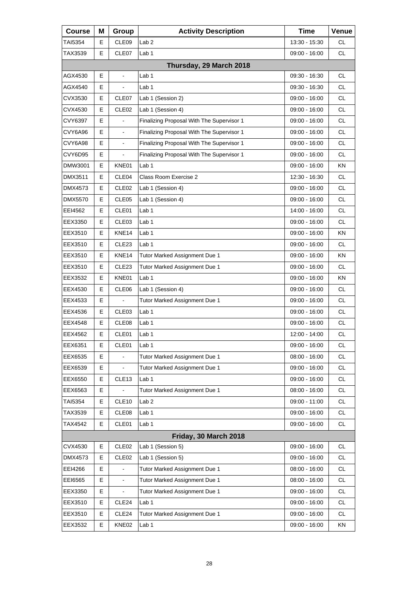| <b>Course</b> | Μ  | Group                    | <b>Activity Description</b>               | <b>Time</b>     | Venue         |
|---------------|----|--------------------------|-------------------------------------------|-----------------|---------------|
| TAI5354       | Е  | CLE09                    | Lab <sub>2</sub>                          | 13:30 - 15:30   | СL            |
| TAX3539       | Е  | CLE07                    | Lab <sub>1</sub>                          | 09:00 - 16:00   | <b>CL</b>     |
|               |    |                          | Thursday, 29 March 2018                   |                 |               |
| AGX4530       | Е  | $\frac{1}{2}$            | Lab 1                                     | 09:30 - 16:30   | CL.           |
| AGX4540       | Е  |                          | Lab <sub>1</sub>                          | 09:30 - 16:30   | <b>CL</b>     |
| CVX3530       | E  | CLE07                    | Lab 1 (Session 2)                         | 09:00 - 16:00   | <b>CL</b>     |
| CVX4530       | Е  | CLE <sub>02</sub>        | Lab 1 (Session 4)                         | 09:00 - 16:00   | <b>CL</b>     |
| CVY6397       | Е  |                          | Finalizing Proposal With The Supervisor 1 | 09:00 - 16:00   | <b>CL</b>     |
| CVY6A96       | E  | $\blacksquare$           | Finalizing Proposal With The Supervisor 1 | 09:00 - 16:00   | <b>CL</b>     |
| CVY6A98       | E  | $\blacksquare$           | Finalizing Proposal With The Supervisor 1 | 09:00 - 16:00   | <b>CL</b>     |
| CVY6D95       | E  |                          | Finalizing Proposal With The Supervisor 1 | 09:00 - 16:00   | <b>CL</b>     |
| DMW3001       | E. | KNE01                    | Lab 1                                     | 09:00 - 16:00   | KN            |
| DMX3511       | Е  | CLE04                    | Class Room Exercise 2                     | 12:30 - 16:30   | <b>CL</b>     |
| DMX4573       | Е  | CLE <sub>02</sub>        | Lab 1 (Session 4)                         | 09:00 - 16:00   | <b>CL</b>     |
| DMX5570       | E  | CLE05                    | Lab 1 (Session 4)                         | 09:00 - 16:00   | <b>CL</b>     |
| EEI4562       | Е  | CLE01                    | Lab <sub>1</sub>                          | 14:00 - 16:00   | <b>CL</b>     |
| EEX3350       | Е  | CLE <sub>03</sub>        | Lab <sub>1</sub>                          | 09:00 - 16:00   | <b>CL</b>     |
| EEX3510       | E  | KNE14                    | Lab <sub>1</sub>                          | 09:00 - 16:00   | KN            |
| EEX3510       | Е  | CLE <sub>23</sub>        | Lab 1                                     | 09:00 - 16:00   | CL            |
| EEX3510       | Е  | KNE14                    | Tutor Marked Assignment Due 1             | 09:00 - 16:00   | KN            |
| EEX3510       | E  | CLE <sub>23</sub>        | Tutor Marked Assignment Due 1             | 09:00 - 16:00   | <b>CL</b>     |
| EEX3532       | Е  | KNE01                    | Lab 1                                     | 09:00 - 16:00   | KN.           |
| EEX4530       | Е  | CLE06                    | Lab 1 (Session 4)                         | 09:00 - 16:00   | <b>CL</b>     |
| EEX4533       | E  |                          | Tutor Marked Assignment Due 1             | 09:00 - 16:00   | <b>CL</b>     |
| EEX4536       | Е  | CLE <sub>03</sub>        | Lab 1                                     | 09:00 - 16:00   | CL            |
| EEX4548       | Е  | CLE08                    | Lab 1                                     | 09:00 - 16:00   | <b>CL</b>     |
| EEX4562       | E  | CLE01                    | Lab 1                                     | 12:00 - 14:00   | $\mathsf{CL}$ |
| EEX6351       | Е  | CLE01                    | Lab <sub>1</sub>                          | 09:00 - 16:00   | <b>CL</b>     |
| EEX6535       | Е  |                          | Tutor Marked Assignment Due 1             | $08:00 - 16:00$ | <b>CL</b>     |
| EEX6539       | E  | $\overline{\phantom{a}}$ | Tutor Marked Assignment Due 1             | $09:00 - 16:00$ | <b>CL</b>     |
| EEX6550       | Е  | CLE <sub>13</sub>        | Lab <sub>1</sub>                          | 09:00 - 16:00   | CL.           |
| EEX6563       | Е  |                          | Tutor Marked Assignment Due 1             | 08:00 - 16:00   | <b>CL</b>     |
| TAI5354       | Е  | CLE10                    | Lab <sub>2</sub>                          | 09:00 - 11:00   | <b>CL</b>     |
| TAX3539       | Е  | CLE08                    | Lab <sub>1</sub>                          | 09:00 - 16:00   | CL.           |
| TAX4542       | Е  | CLE01                    | Lab 1                                     | 09:00 - 16:00   | <b>CL</b>     |
|               |    |                          | Friday, 30 March 2018                     |                 |               |
| CVX4530       | Е  | CLE <sub>02</sub>        | Lab 1 (Session 5)                         | 09:00 - 16:00   | <b>CL</b>     |
| DMX4573       | Е  | CLE <sub>02</sub>        | Lab 1 (Session 5)                         | 09:00 - 16:00   | <b>CL</b>     |
| EEI4266       | E  |                          | Tutor Marked Assignment Due 1             | $08:00 - 16:00$ | <b>CL</b>     |
| EE16565       | Е  | $\overline{\phantom{a}}$ | Tutor Marked Assignment Due 1             | 08:00 - 16:00   | CL            |
| EEX3350       | Е  |                          | Tutor Marked Assignment Due 1             | 09:00 - 16:00   | <b>CL</b>     |
| EEX3510       | Е  | CLE24                    | Lab <sub>1</sub>                          | 09:00 - 16:00   | <b>CL</b>     |
| EEX3510       | Е  | CLE24                    | Tutor Marked Assignment Due 1             | 09:00 - 16:00   | CL.           |
| EEX3532       | Е  | KNE02                    | Lab <sub>1</sub>                          | 09:00 - 16:00   | KN            |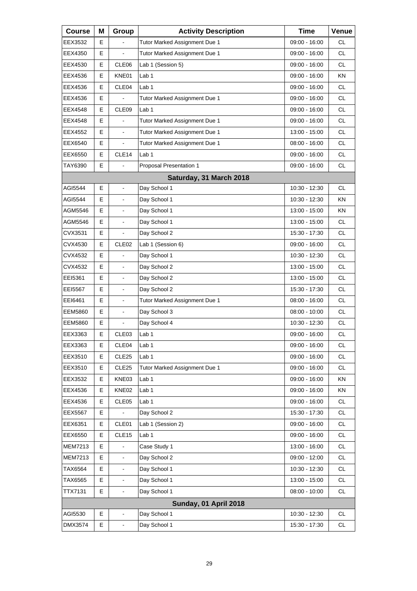| <b>Course</b>  | Μ  | Group                    | <b>Activity Description</b>   | <b>Time</b>     | Venue     |
|----------------|----|--------------------------|-------------------------------|-----------------|-----------|
| EEX3532        | E  |                          | Tutor Marked Assignment Due 1 | 09:00 - 16:00   | СL        |
| EEX4350        | Е  |                          | Tutor Marked Assignment Due 1 | 09:00 - 16:00   | <b>CL</b> |
| EEX4530        | E  | CLE06                    | Lab 1 (Session 5)             | 09:00 - 16:00   | <b>CL</b> |
| EEX4536        | Е  | KNE01                    | Lab <sub>1</sub>              | 09:00 - 16:00   | KN.       |
| EEX4536        | E  | CLE04                    | Lab <sub>1</sub>              | 09:00 - 16:00   | <b>CL</b> |
| EEX4536        | E  |                          | Tutor Marked Assignment Due 1 | 09:00 - 16:00   | <b>CL</b> |
| EEX4548        | E  | CLE <sub>09</sub>        | Lab <sub>1</sub>              | 09:00 - 16:00   | <b>CL</b> |
| EEX4548        | E  |                          | Tutor Marked Assignment Due 1 | 09:00 - 16:00   | <b>CL</b> |
| EEX4552        | E  | $\blacksquare$           | Tutor Marked Assignment Due 1 | 13:00 - 15:00   | <b>CL</b> |
| EEX6540        | E  | $\blacksquare$           | Tutor Marked Assignment Due 1 | 08:00 - 16:00   | <b>CL</b> |
| EEX6550        | E  | CLE14                    | Lab <sub>1</sub>              | 09:00 - 16:00   | <b>CL</b> |
| TAY6390        | E. |                          | Proposal Presentation 1       | 09:00 - 16:00   | <b>CL</b> |
|                |    |                          | Saturday, 31 March 2018       |                 |           |
| AGI5544        | E  |                          | Day School 1                  | 10:30 - 12:30   | CL.       |
| AGI5544        | E  |                          | Day School 1                  | 10:30 - 12:30   | KN        |
| AGM5546        | E  | $\blacksquare$           | Day School 1                  | 13:00 - 15:00   | KN.       |
| AGM5546        | E  |                          | Day School 1                  | 13:00 - 15:00   | <b>CL</b> |
| CVX3531        | E  |                          | Day School 2                  | 15:30 - 17:30   | <b>CL</b> |
| CVX4530        | E  | CLE <sub>02</sub>        | Lab 1 (Session 6)             | 09:00 - 16:00   | <b>CL</b> |
| CVX4532        | E  |                          | Day School 1                  | 10:30 - 12:30   | <b>CL</b> |
| CVX4532        | E  | $\blacksquare$           | Day School 2                  | 13:00 - 15:00   | <b>CL</b> |
| EEI5361        | Е  | $\blacksquare$           | Day School 2                  | 13:00 - 15:00   | <b>CL</b> |
| EE15567        | Е  |                          | Day School 2                  | 15:30 - 17:30   | <b>CL</b> |
| EEI6461        | E  | $\blacksquare$           | Tutor Marked Assignment Due 1 | 08:00 - 16:00   | <b>CL</b> |
| <b>EEM5860</b> | Е  | $\blacksquare$           | Day School 3                  | $08:00 - 10:00$ | CL        |
| <b>EEM5860</b> | E  |                          | Day School 4                  | 10:30 - 12:30   | <b>CL</b> |
| EEX3363        | E  | CLE03                    | Lab 1                         | 09:00 - 16:00   | <b>CL</b> |
| EEX3363        | Е  | CLE04                    | Lab <sub>1</sub>              | 09:00 - 16:00   | <b>CL</b> |
| EEX3510        | Е  | CLE <sub>25</sub>        | Lab <sub>1</sub>              | $09:00 - 16:00$ | CL        |
| EEX3510        | Е  | CLE <sub>25</sub>        | Tutor Marked Assignment Due 1 | 09:00 - 16:00   | CL        |
| EEX3532        | Е  | KNE03                    | Lab 1                         | 09:00 - 16:00   | ΚN        |
| EEX4536        | Е  | KNE02                    | Lab <sub>1</sub>              | 09:00 - 16:00   | KN        |
| EEX4536        | Е  | CLE05                    | Lab 1                         | 09:00 - 16:00   | CL        |
| <b>EEX5567</b> | Е  |                          | Day School 2                  | 15:30 - 17:30   | CL.       |
| EEX6351        | Е  | CLE01                    | Lab 1 (Session 2)             | 09:00 - 16:00   | CL        |
| EEX6550        | Е  | CLE15                    | Lab <sub>1</sub>              | 09:00 - 16:00   | CL        |
| <b>MEM7213</b> | Е  |                          | Case Study 1                  | 13:00 - 16:00   | CL        |
| <b>MEM7213</b> | E  |                          | Day School 2                  | 09:00 - 12:00   | CL        |
| TAX6564        | E  |                          | Day School 1                  | 10:30 - 12:30   | CL        |
| TAX6565        | Е  | $\overline{\phantom{a}}$ | Day School 1                  | 13:00 - 15:00   | CL        |
| <b>TTX7131</b> | E  |                          | Day School 1                  | 08:00 - 10:00   | CL        |
|                |    |                          | Sunday, 01 April 2018         |                 |           |
| AGI5530        | Е  | $\blacksquare$           | Day School 1                  | 10:30 - 12:30   | <b>CL</b> |
| DMX3574        | E  |                          | Day School 1                  | 15:30 - 17:30   | CL        |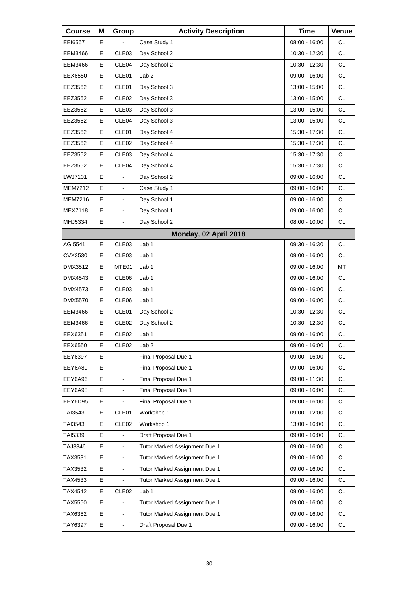| <b>Course</b>  | Μ | Group                    | <b>Activity Description</b>   | <b>Time</b>     | Venue     |
|----------------|---|--------------------------|-------------------------------|-----------------|-----------|
| EEI6567        | Е |                          | Case Study 1                  | 08:00 - 16:00   | <b>CL</b> |
| EEM3466        | Е | CLE03                    | Day School 2                  | 10:30 - 12:30   | <b>CL</b> |
| EEM3466        | Е | CLE04                    | Day School 2                  | 10:30 - 12:30   | <b>CL</b> |
| EEX6550        | E | CLE01                    | Lab <sub>2</sub>              | 09:00 - 16:00   | <b>CL</b> |
| EEZ3562        | Е | CLE01                    | Day School 3                  | 13:00 - 15:00   | <b>CL</b> |
| EEZ3562        | Е | CLE <sub>02</sub>        | Day School 3                  | 13:00 - 15:00   | <b>CL</b> |
| EEZ3562        | E | CLE03                    | Day School 3                  | 13:00 - 15:00   | <b>CL</b> |
| EEZ3562        | Е | CLE04                    | Day School 3                  | 13:00 - 15:00   | <b>CL</b> |
| EEZ3562        | Е | CLE01                    | Day School 4                  | 15:30 - 17:30   | <b>CL</b> |
| EEZ3562        | E | CLE <sub>02</sub>        | Day School 4                  | 15:30 - 17:30   | <b>CL</b> |
| EEZ3562        | Е | CLE03                    | Day School 4                  | 15:30 - 17:30   | <b>CL</b> |
| EEZ3562        | E | CLE04                    | Day School 4                  | 15:30 - 17:30   | CL.       |
| LWJ7101        | E | ä,                       | Day School 2                  | 09:00 - 16:00   | <b>CL</b> |
| <b>MEM7212</b> | E | $\overline{\phantom{a}}$ | Case Study 1                  | 09:00 - 16:00   | <b>CL</b> |
| <b>MEM7216</b> | E | L,                       | Day School 1                  | 09:00 - 16:00   | CL.       |
| <b>MEX7118</b> | E | $\blacksquare$           | Day School 1                  | 09:00 - 16:00   | <b>CL</b> |
| MHJ5334        | E | $\blacksquare$           | Day School 2                  | $08:00 - 10:00$ | <b>CL</b> |
|                |   |                          | Monday, 02 April 2018         |                 |           |
| AGI5541        | E | CLE03                    | Lab <sub>1</sub>              | 09:30 - 16:30   | <b>CL</b> |
| CVX3530        | Е | CLE03                    | Lab <sub>1</sub>              | 09:00 - 16:00   | <b>CL</b> |
| DMX3512        | E | MTE01                    | Lab 1                         | 09:00 - 16:00   | MT        |
| DMX4543        | E | CLE06                    | Lab 1                         | 09:00 - 16:00   | CL        |
| DMX4573        | Е | CLE03                    | Lab 1                         | 09:00 - 16:00   | <b>CL</b> |
| DMX5570        | E | CLE06                    | Lab <sub>1</sub>              | 09:00 - 16:00   | CL.       |
| EEM3466        | E | CLE01                    | Day School 2                  | 10:30 - 12:30   | <b>CL</b> |
| EEM3466        | E | CLE <sub>02</sub>        | Day School 2                  | 10:30 - 12:30   | <b>CL</b> |
| EEX6351        | E | CLE <sub>02</sub>        | Lab 1                         | $09:00 - 16:00$ | <b>CL</b> |
| EEX6550        | Е | CLE <sub>02</sub>        | Lab <sub>2</sub>              | 09:00 - 16:00   | CL        |
| EEY6397        | E |                          | Final Proposal Due 1          | 09:00 - 16:00   | <b>CL</b> |
| EEY6A89        | E | $\mathbf{r}$             | Final Proposal Due 1          | 09:00 - 16:00   | <b>CL</b> |
| EEY6A96        | E |                          | Final Proposal Due 1          | 09:00 - 11:30   | CL        |
| EEY6A98        | E |                          | Final Proposal Due 1          | 09:00 - 16:00   | CL        |
| EEY6D95        | E |                          | Final Proposal Due 1          | 09:00 - 16:00   | <b>CL</b> |
| TAI3543        | Е | CLE01                    | Workshop 1                    | 09:00 - 12:00   | CL        |
| TAI3543        | Е | CLE <sub>02</sub>        | Workshop 1                    | 13:00 - 16:00   | CL        |
| TAI5339        | E |                          | Draft Proposal Due 1          | 09:00 - 16:00   | <b>CL</b> |
| TAJ3346        | Е | $\blacksquare$           | Tutor Marked Assignment Due 1 | 09:00 - 16:00   | CL        |
| TAX3531        | E | $\overline{\phantom{a}}$ | Tutor Marked Assignment Due 1 | 09:00 - 16:00   | CL        |
| TAX3532        | E | $\blacksquare$           | Tutor Marked Assignment Due 1 | 09:00 - 16:00   | <b>CL</b> |
| TAX4533        | Е |                          | Tutor Marked Assignment Due 1 | 09:00 - 16:00   | CL        |
| TAX4542        | Е | CLE <sub>02</sub>        | Lab 1                         | 09:00 - 16:00   | CL        |
| TAX5560        | E |                          | Tutor Marked Assignment Due 1 | 09:00 - 16:00   | <b>CL</b> |
| TAX6362        | Е | $\blacksquare$           | Tutor Marked Assignment Due 1 | 09:00 - 16:00   | <b>CL</b> |
| TAY6397        | E | $\blacksquare$           | Draft Proposal Due 1          | 09:00 - 16:00   | CL        |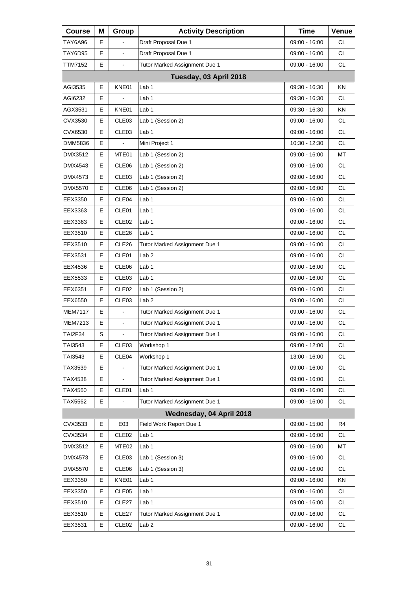| <b>Course</b>  | Μ | Group             | <b>Activity Description</b>   | <b>Time</b>     | Venue     |
|----------------|---|-------------------|-------------------------------|-----------------|-----------|
| TAY6A96        | E |                   | Draft Proposal Due 1          | 09:00 - 16:00   | СL        |
| TAY6D95        | E |                   | Draft Proposal Due 1          | 09:00 - 16:00   | <b>CL</b> |
| TTM7152        | E | $\blacksquare$    | Tutor Marked Assignment Due 1 | 09:00 - 16:00   | <b>CL</b> |
|                |   |                   | Tuesday, 03 April 2018        |                 |           |
| AGI3535        | E | KNE01             | Lab <sub>1</sub>              | 09:30 - 16:30   | KN        |
| AGI6232        | Е |                   | Lab <sub>1</sub>              | 09:30 - 16:30   | CL.       |
| AGX3531        | Е | KNE01             | Lab 1                         | 09:30 - 16:30   | ΚN        |
| CVX3530        | E | CLE03             | Lab 1 (Session 2)             | 09:00 - 16:00   | <b>CL</b> |
| CVX6530        | E | CLE03             | Lab 1                         | 09:00 - 16:00   | <b>CL</b> |
| DMM5836        | Е |                   | Mini Project 1                | 10:30 - 12:30   | <b>CL</b> |
| DMX3512        | E | MTE01             | Lab 1 (Session 2)             | 09:00 - 16:00   | MT        |
| DMX4543        | E | CLE06             | Lab 1 (Session 2)             | 09:00 - 16:00   | <b>CL</b> |
| DMX4573        | Е | CLE <sub>03</sub> | Lab 1 (Session 2)             | 09:00 - 16:00   | <b>CL</b> |
| DMX5570        | E | CLE06             | Lab 1 (Session 2)             | 09:00 - 16:00   | <b>CL</b> |
| EEX3350        | E | CLE04             | Lab 1                         | 09:00 - 16:00   | <b>CL</b> |
| EEX3363        | Е | CLE01             | Lab 1                         | $09:00 - 16:00$ | <b>CL</b> |
| EEX3363        | Е | CLE <sub>02</sub> | Lab <sub>1</sub>              | 09:00 - 16:00   | <b>CL</b> |
| EEX3510        | E | CLE26             | Lab 1                         | 09:00 - 16:00   | <b>CL</b> |
| EEX3510        | Е | CLE <sub>26</sub> | Tutor Marked Assignment Due 1 | 09:00 - 16:00   | <b>CL</b> |
| EEX3531        | Е | CLE01             | Lab <sub>2</sub>              | 09:00 - 16:00   | <b>CL</b> |
| EEX4536        | E | CLE06             | Lab 1                         | 09:00 - 16:00   | <b>CL</b> |
| EEX5533        | Е | CLE <sub>03</sub> | Lab 1                         | 09:00 - 16:00   | <b>CL</b> |
| EEX6351        | Е | CLE <sub>02</sub> | Lab 1 (Session 2)             | 09:00 - 16:00   | <b>CL</b> |
| EEX6550        | E | CLE03             | Lab <sub>2</sub>              | 09:00 - 16:00   | <b>CL</b> |
| <b>MEM7117</b> | Е | $\overline{a}$    | Tutor Marked Assignment Due 1 | 09:00 - 16:00   | <b>CL</b> |
| MEM7213        | E | $\frac{1}{2}$     | Tutor Marked Assignment Due 1 | 09:00 - 16:00   | <b>CL</b> |
| <b>TAI2F34</b> | S | L,                | Tutor Marked Assignment Due 1 | $09:00 - 16:00$ | <b>CL</b> |
| TAI3543        | Е | CLE03             | Workshop 1                    | 09:00 - 12:00   | <b>CL</b> |
| TAI3543        | Е | CLE04             | Workshop 1                    | 13:00 - 16:00   | CL        |
| TAX3539        | E |                   | Tutor Marked Assignment Due 1 | 09:00 - 16:00   | CL        |
| TAX4538        | Е |                   | Tutor Marked Assignment Due 1 | 09:00 - 16:00   | CL        |
| TAX4560        | Е | CLE01             | Lab <sub>1</sub>              | 09:00 - 16:00   | CL        |
| TAX5562        | E |                   | Tutor Marked Assignment Due 1 | 09:00 - 16:00   | CL        |
|                |   |                   | Wednesday, 04 April 2018      |                 |           |
| CVX3533        | Е | E03               | Field Work Report Due 1       | $09:00 - 15:00$ | R4        |
| CVX3534        | Е | CLE <sub>02</sub> | Lab <sub>1</sub>              | 09:00 - 16:00   | CL        |
| DMX3512        | Е | MTE <sub>02</sub> | Lab <sub>1</sub>              | 09:00 - 16:00   | MT        |
| DMX4573        | Е | CLE03             | Lab 1 (Session 3)             | 09:00 - 16:00   | CL        |
| DMX5570        | Е | CLE06             | Lab 1 (Session 3)             | 09:00 - 16:00   | CL        |
| EEX3350        | Е | KNE01             | Lab <sub>1</sub>              | 09:00 - 16:00   | KN        |
| EEX3350        | Е | CLE05             | Lab 1                         | 09:00 - 16:00   | CL        |
| EEX3510        | Е | CLE27             | Lab 1                         | 09:00 - 16:00   | CL        |
| EEX3510        | Е | CLE27             | Tutor Marked Assignment Due 1 | 09:00 - 16:00   | CL        |
| EEX3531        | Е | CLE <sub>02</sub> | Lab <sub>2</sub>              | 09:00 - 16:00   | CL        |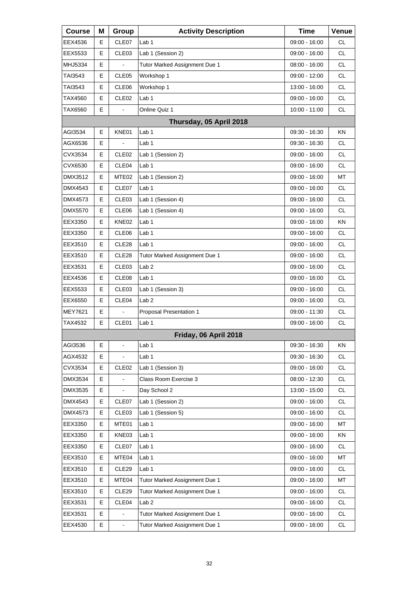| <b>Course</b>  | Μ | Group                    | <b>Activity Description</b>   | <b>Time</b>     | Venue     |
|----------------|---|--------------------------|-------------------------------|-----------------|-----------|
| EEX4536        | Е | CLE07                    | Lab 1                         | 09:00 - 16:00   | <b>CL</b> |
| EEX5533        | E | CLE03                    | Lab 1 (Session 2)             | 09:00 - 16:00   | <b>CL</b> |
| MHJ5334        | E |                          | Tutor Marked Assignment Due 1 | 08:00 - 16:00   | <b>CL</b> |
| TAI3543        | Е | CLE <sub>05</sub>        | Workshop 1                    | 09:00 - 12:00   | <b>CL</b> |
| TAI3543        | E | CLE06                    | Workshop 1                    | 13:00 - 16:00   | <b>CL</b> |
| TAX4560        | E | CLE <sub>02</sub>        | Lab 1                         | 09:00 - 16:00   | <b>CL</b> |
| TAX6560        | Е | $\blacksquare$           | Online Quiz 1                 | 10:00 - 11:00   | <b>CL</b> |
|                |   |                          | Thursday, 05 April 2018       |                 |           |
| AGI3534        | E | KNE01                    | Lab 1                         | 09:30 - 16:30   | KN        |
| AGX6536        | Е | $\blacksquare$           | Lab <sub>1</sub>              | 09:30 - 16:30   | <b>CL</b> |
| CVX3534        | E | CLE <sub>02</sub>        | Lab 1 (Session 2)             | 09:00 - 16:00   | <b>CL</b> |
| CVX6530        | Е | CLE04                    | Lab 1                         | 09:00 - 16:00   | <b>CL</b> |
| DMX3512        | Е | MTE <sub>02</sub>        | Lab 1 (Session 2)             | 09:00 - 16:00   | MT        |
| DMX4543        | E | CLE07                    | Lab <sub>1</sub>              | 09:00 - 16:00   | <b>CL</b> |
| DMX4573        | Е | CLE <sub>03</sub>        | Lab 1 (Session 4)             | 09:00 - 16:00   | <b>CL</b> |
| DMX5570        | Е | CLE <sub>06</sub>        | Lab 1 (Session 4)             | 09:00 - 16:00   | <b>CL</b> |
| EEX3350        | E | KNE02                    | Lab <sub>1</sub>              | 09:00 - 16:00   | KN        |
| EEX3350        | Е | CLE <sub>06</sub>        | Lab <sub>1</sub>              | 09:00 - 16:00   | <b>CL</b> |
| EEX3510        | Е | CLE28                    | Lab 1                         | 09:00 - 16:00   | <b>CL</b> |
| EEX3510        | E | CLE28                    | Tutor Marked Assignment Due 1 | 09:00 - 16:00   | <b>CL</b> |
| EEX3531        | Е | CLE <sub>03</sub>        | Lab <sub>2</sub>              | 09:00 - 16:00   | <b>CL</b> |
| EEX4536        | Е | CLE08                    | Lab <sub>1</sub>              | 09:00 - 16:00   | <b>CL</b> |
| EEX5533        | E | CLE03                    | Lab 1 (Session 3)             | 09:00 - 16:00   | <b>CL</b> |
| EEX6550        | Е | CLE <sub>04</sub>        | Lab <sub>2</sub>              | $09:00 - 16:00$ | <b>CL</b> |
| <b>MEY7621</b> | Е | $\overline{\phantom{a}}$ | Proposal Presentation 1       | 09:00 - 11:30   | <b>CL</b> |
| TAX4532        | E | CLE01                    | Lab <sub>1</sub>              | 09:00 - 16:00   | <b>CL</b> |
|                |   |                          | Friday, 06 April 2018         |                 |           |
| AGI3536        | Е | $\blacksquare$           | Lab <sub>1</sub>              | 09:30 - 16:30   | ΚN        |
| AGX4532        | E |                          | Lab <sub>1</sub>              | 09:30 - 16:30   | <b>CL</b> |
| CVX3534        | E | CLE <sub>02</sub>        | Lab 1 (Session 3)             | $09:00 - 16:00$ | <b>CL</b> |
| DMX3534        | E |                          | Class Room Exercise 3         | $08:00 - 12:30$ | <b>CL</b> |
| DMX3535        | E |                          | Day School 2                  | 13:00 - 15:00   | <b>CL</b> |
| DMX4543        | E | CLE07                    | Lab 1 (Session 2)             | 09:00 - 16:00   | <b>CL</b> |
| DMX4573        | Е | CLE03                    | Lab 1 (Session 5)             | 09:00 - 16:00   | <b>CL</b> |
| EEX3350        | E | MTE01                    | Lab 1                         | $09:00 - 16:00$ | МT        |
| EEX3350        | E | KNE03                    | Lab 1                         | 09:00 - 16:00   | KN        |
| EEX3350        | Е | CLE07                    | Lab 1                         | 09:00 - 16:00   | CL        |
| EEX3510        | E | MTE04                    | Lab <sub>1</sub>              | 09:00 - 16:00   | MT        |
| EEX3510        | E | CLE <sub>29</sub>        | Lab 1                         | 09:00 - 16:00   | <b>CL</b> |
| EEX3510        | Е | MTE04                    | Tutor Marked Assignment Due 1 | 09:00 - 16:00   | MT        |
| EEX3510        | Е | CLE29                    | Tutor Marked Assignment Due 1 | 09:00 - 16:00   | <b>CL</b> |
| EEX3531        | E | CLE <sub>04</sub>        | Lab <sub>2</sub>              | 09:00 - 16:00   | <b>CL</b> |
| EEX3531        | E |                          | Tutor Marked Assignment Due 1 | 09:00 - 16:00   | CL        |
| EEX4530        | E | $\blacksquare$           | Tutor Marked Assignment Due 1 | 09:00 - 16:00   | <b>CL</b> |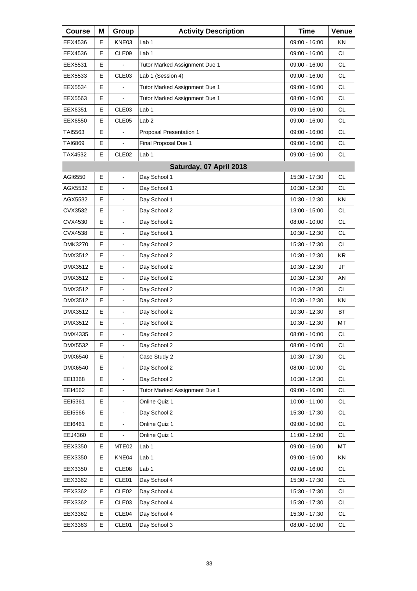| <b>Course</b> | Μ | Group                    | <b>Activity Description</b>   | <b>Time</b>     | Venue     |
|---------------|---|--------------------------|-------------------------------|-----------------|-----------|
| EEX4536       | Е | KNE03                    | Lab 1                         | 09:00 - 16:00   | ΚN        |
| EEX4536       | E | CLE09                    | Lab <sub>1</sub>              | 09:00 - 16:00   | <b>CL</b> |
| EEX5531       | E |                          | Tutor Marked Assignment Due 1 | 09:00 - 16:00   | <b>CL</b> |
| EEX5533       | Е | CLE <sub>03</sub>        | Lab 1 (Session 4)             | 09:00 - 16:00   | <b>CL</b> |
| EEX5534       | E |                          | Tutor Marked Assignment Due 1 | 09:00 - 16:00   | <b>CL</b> |
| EEX5563       | E | $\overline{a}$           | Tutor Marked Assignment Due 1 | 08:00 - 16:00   | <b>CL</b> |
| EEX6351       | Е | CLE <sub>03</sub>        | Lab 1                         | 09:00 - 16:00   | <b>CL</b> |
| EEX6550       | E | CLE05                    | Lab <sub>2</sub>              | 09:00 - 16:00   | <b>CL</b> |
| TAI5563       | E | ä,                       | Proposal Presentation 1       | 09:00 - 16:00   | <b>CL</b> |
| TAI6869       | Е | $\blacksquare$           | Final Proposal Due 1          | 09:00 - 16:00   | <b>CL</b> |
| TAX4532       | E | CLE <sub>02</sub>        | Lab <sub>1</sub>              | 09:00 - 16:00   | <b>CL</b> |
|               |   |                          | Saturday, 07 April 2018       |                 |           |
| AGI6550       | Е | $\blacksquare$           | Day School 1                  | 15:30 - 17:30   | <b>CL</b> |
| AGX5532       | E | $\overline{a}$           | Day School 1                  | 10:30 - 12:30   | <b>CL</b> |
| AGX5532       | E | $\overline{\phantom{a}}$ | Day School 1                  | 10:30 - 12:30   | KN        |
| CVX3532       | Е | $\blacksquare$           | Day School 2                  | 13:00 - 15:00   | <b>CL</b> |
| CVX4530       | E | $\blacksquare$           | Day School 2                  | $08:00 - 10:00$ | <b>CL</b> |
| CVX4538       | E | $\overline{\phantom{a}}$ | Day School 1                  | 10:30 - 12:30   | <b>CL</b> |
| DMK3270       | E | $\blacksquare$           | Day School 2                  | 15:30 - 17:30   | <b>CL</b> |
| DMX3512       | E | $\blacksquare$           | Day School 2                  | 10:30 - 12:30   | KR.       |
| DMX3512       | E | $\overline{\phantom{a}}$ | Day School 2                  | 10:30 - 12:30   | <b>JF</b> |
| DMX3512       | E | $\blacksquare$           | Day School 2                  | 10:30 - 12:30   | AN        |
| DMX3512       | E | $\blacksquare$           | Day School 2                  | 10:30 - 12:30   | <b>CL</b> |
| DMX3512       | Е | $\overline{\phantom{a}}$ | Day School 2                  | 10:30 - 12:30   | KN        |
| DMX3512       | E | $\blacksquare$           | Day School 2                  | 10:30 - 12:30   | <b>BT</b> |
| DMX3512       | E | $\blacksquare$           | Day School 2                  | 10:30 - 12:30   | MT        |
| DMX4335       | E | L,                       | Day School 2                  | $08:00 - 10:00$ | <b>CL</b> |
| DMX5532       | Е | $\blacksquare$           | Day School 2                  | 08:00 - 10:00   | CL        |
| DMX6540       | E |                          | Case Study 2                  | 10:30 - 17:30   | CL        |
| DMX6540       | E | $\blacksquare$           | Day School 2                  | 08:00 - 10:00   | CL        |
| EEI3368       | E | $\blacksquare$           | Day School 2                  | 10:30 - 12:30   | CL        |
| EEI4562       | Е |                          | Tutor Marked Assignment Due 1 | $09:00 - 16:00$ | CL        |
| EEI5361       | E | $\blacksquare$           | Online Quiz 1                 | $10:00 - 11:00$ | CL        |
| EEI5566       | E | $\blacksquare$           | Day School 2                  | 15:30 - 17:30   | CL        |
| EEI6461       | Е |                          | Online Quiz 1                 | 09:00 - 10:00   | CL        |
| EEJ4360       | E | L,                       | Online Quiz 1                 | 11:00 - 12:00   | CL        |
| EEX3350       | Е | MTE <sub>02</sub>        | Lab <sub>1</sub>              | 09:00 - 16:00   | MT        |
| EEX3350       | Е | KNE04                    | Lab 1                         | 09:00 - 16:00   | KN        |
| EEX3350       | Е | CLE08                    | Lab 1                         | 09:00 - 16:00   | CL        |
| EEX3362       | Е | CLE01                    | Day School 4                  | 15:30 - 17:30   | CL        |
| EEX3362       | Е | CLE <sub>02</sub>        | Day School 4                  | 15:30 - 17:30   | CL        |
| EEX3362       | Е | CLE <sub>03</sub>        | Day School 4                  | 15:30 - 17:30   | CL        |
| EEX3362       | Е | CLE04                    | Day School 4                  | 15:30 - 17:30   | CL        |
| EEX3363       | Е | CLE01                    | Day School 3                  | $08:00 - 10:00$ | CL        |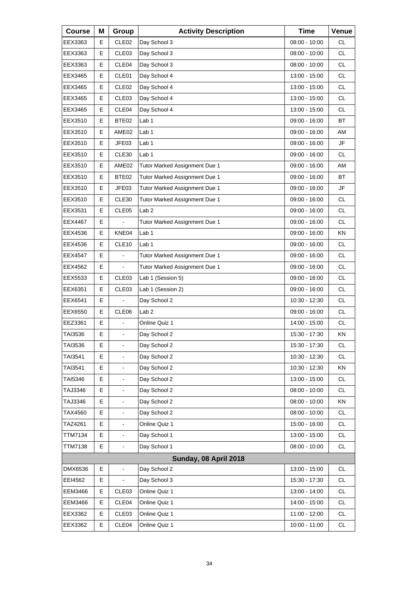| <b>Course</b>  | Μ | Group                    | <b>Activity Description</b>   | <b>Time</b>     | Venue     |
|----------------|---|--------------------------|-------------------------------|-----------------|-----------|
| EEX3363        | Е | CLE <sub>02</sub>        | Day School 3                  | 08:00 - 10:00   | <b>CL</b> |
| EEX3363        | Е | CLE03                    | Day School 3                  | $08:00 - 10:00$ | <b>CL</b> |
| EEX3363        | Е | CLE04                    | Day School 3                  | $08:00 - 10:00$ | <b>CL</b> |
| EEX3465        | E | CLE01                    | Day School 4                  | 13:00 - 15:00   | <b>CL</b> |
| EEX3465        | Е | CLE <sub>02</sub>        | Day School 4                  | 13:00 - 15:00   | <b>CL</b> |
| EEX3465        | Е | CLE <sub>03</sub>        | Day School 4                  | 13:00 - 15:00   | <b>CL</b> |
| EEX3465        | E | CLE04                    | Day School 4                  | 13:00 - 15:00   | <b>CL</b> |
| EEX3510        | Е | BTE02                    | Lab 1                         | $09:00 - 16:00$ | <b>BT</b> |
| EEX3510        | Е | AME02                    | Lab 1                         | 09:00 - 16:00   | AM        |
| EEX3510        | E | JFE03                    | Lab 1                         | 09:00 - 16:00   | JF        |
| EEX3510        | Е | CLE30                    | Lab <sub>1</sub>              | 09:00 - 16:00   | <b>CL</b> |
| EEX3510        | E | AME02                    | Tutor Marked Assignment Due 1 | 09:00 - 16:00   | AM        |
| EEX3510        | E | BTE02                    | Tutor Marked Assignment Due 1 | 09:00 - 16:00   | <b>BT</b> |
| EEX3510        | Е | JFE03                    | Tutor Marked Assignment Due 1 | 09:00 - 16:00   | JF        |
| EEX3510        | E | CLE30                    | Tutor Marked Assignment Due 1 | 09:00 - 16:00   | CL.       |
| EEX3531        | E | CLE05                    | Lab <sub>2</sub>              | 09:00 - 16:00   | CL        |
| EEX4467        | Е |                          | Tutor Marked Assignment Due 1 | 09:00 - 16:00   | <b>CL</b> |
| EEX4536        | E | KNE04                    | Lab <sub>1</sub>              | 09:00 - 16:00   | <b>KN</b> |
| EEX4536        | E | CLE10                    | Lab 1                         | 09:00 - 16:00   | <b>CL</b> |
| EEX4547        | E |                          | Tutor Marked Assignment Due 1 | 09:00 - 16:00   | <b>CL</b> |
| EEX4562        | E |                          | Tutor Marked Assignment Due 1 | 09:00 - 16:00   | CL.       |
| EEX5533        | E | CLE <sub>03</sub>        | Lab 1 (Session 5)             | 09:00 - 16:00   | <b>CL</b> |
| EEX6351        | E | CLE03                    | Lab 1 (Session 2)             | 09:00 - 16:00   | <b>CL</b> |
| EEX6541        | E |                          | Day School 2                  | 10:30 - 12:30   | CL.       |
| EEX6550        | E | CLE06                    | Lab <sub>2</sub>              | 09:00 - 16:00   | <b>CL</b> |
| EEZ3361        | E |                          | Online Quiz 1                 | 14:00 - 15:00   | CL        |
| TAI3536        | E | ä,                       | Day School 2                  | 15:30 - 17:30   | ΚN        |
| TAI3536        | Е | $\overline{\phantom{a}}$ | Day School 2                  | 15:30 - 17:30   | CL        |
| TAI3541        | Е |                          | Day School 2                  | 10:30 - 12:30   | <b>CL</b> |
| TAI3541        | E |                          | Day School 2                  | 10:30 - 12:30   | KN        |
| TAI5346        | Е |                          | Day School 2                  | 13:00 - 15:00   | CL        |
| TAJ3346        | E |                          | Day School 2                  | 08:00 - 10:00   | CL        |
| TAJ3346        | E | $\blacksquare$           | Day School 2                  | 08:00 - 10:00   | KN        |
| TAX4560        | Е |                          | Day School 2                  | $08:00 - 10:00$ | CL        |
| TAZ4261        | E |                          | Online Quiz 1                 | 15:00 - 16:00   | CL        |
| <b>TTM7134</b> | E | $\overline{\phantom{a}}$ | Day School 1                  | 13:00 - 15:00   | <b>CL</b> |
| <b>TTM7138</b> | E |                          | Day School 1                  | 08:00 - 10:00   | CL        |
|                |   |                          | Sunday, 08 April 2018         |                 |           |
| DMX6536        | E | ä,                       | Day School 2                  | 13:00 - 15:00   | <b>CL</b> |
| EEI4562        | Е |                          | Day School 3                  | 15:30 - 17:30   | CL        |
| <b>EEM3466</b> | Е | CLE03                    | Online Quiz 1                 | 13:00 - 14:00   | CL        |
| <b>EEM3466</b> | Е | CLE04                    | Online Quiz 1                 | 14:00 - 15:00   | <b>CL</b> |
| EEX3362        | Е | CLE03                    | Online Quiz 1                 | 11:00 - 12:00   | CL        |
| EEX3362        | E | CLE04                    | Online Quiz 1                 | $10:00 - 11:00$ | CL        |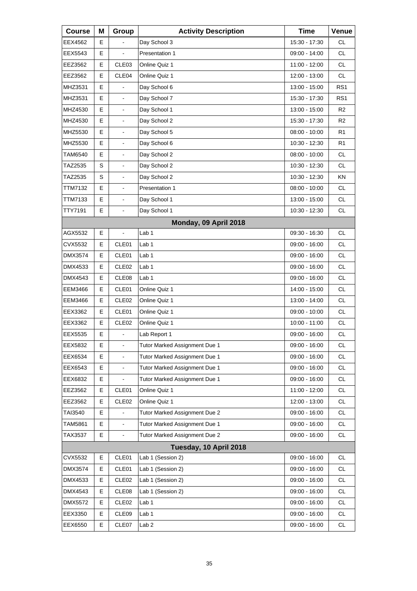| <b>Course</b>  | Μ | Group                    | <b>Activity Description</b>   | <b>Time</b>     | Venue           |
|----------------|---|--------------------------|-------------------------------|-----------------|-----------------|
| EEX4562        | Е |                          | Day School 3                  | 15:30 - 17:30   | <b>CL</b>       |
| EEX5543        | Е |                          | Presentation 1                | 09:00 - 14:00   | <b>CL</b>       |
| EEZ3562        | Е | CLE <sub>03</sub>        | Online Quiz 1                 | 11:00 - 12:00   | <b>CL</b>       |
| EEZ3562        | E | CLE04                    | Online Quiz 1                 | 12:00 - 13:00   | <b>CL</b>       |
| MHZ3531        | E |                          | Day School 6                  | 13:00 - 15:00   | RS <sub>1</sub> |
| MHZ3531        | E | L,                       | Day School 7                  | 15:30 - 17:30   | RS1             |
| MHZ4530        | E | $\blacksquare$           | Day School 1                  | 13:00 - 15:00   | R <sub>2</sub>  |
| MHZ4530        | E |                          | Day School 2                  | 15:30 - 17:30   | R <sub>2</sub>  |
| MHZ5530        | E | L,                       | Day School 5                  | 08:00 - 10:00   | R <sub>1</sub>  |
| MHZ5530        | E | $\frac{1}{2}$            | Day School 6                  | 10:30 - 12:30   | R <sub>1</sub>  |
| TAM6540        | E |                          | Day School 2                  | $08:00 - 10:00$ | <b>CL</b>       |
| TAZ2535        | S | ä,                       | Day School 2                  | 10:30 - 12:30   | CL.             |
| TAZ2535        | S | $\frac{1}{2}$            | Day School 2                  | 10:30 - 12:30   | <b>KN</b>       |
| TTM7132        | E | $\blacksquare$           | Presentation 1                | $08:00 - 10:00$ | <b>CL</b>       |
| TTM7133        | E | ä,                       | Day School 1                  | 13:00 - 15:00   | CL.             |
| TTY7191        | E | L,                       | Day School 1                  | 10:30 - 12:30   | <b>CL</b>       |
|                |   |                          | Monday, 09 April 2018         |                 |                 |
| AGX5532        | E | ÷,                       | Lab 1                         | 09:30 - 16:30   | <b>CL</b>       |
| CVX5532        | Е | CLE01                    | Lab 1                         | 09:00 - 16:00   | <b>CL</b>       |
| DMX3574        | Е | CLE01                    | Lab 1                         | 09:00 - 16:00   | <b>CL</b>       |
| DMX4533        | E | CLE <sub>02</sub>        | Lab 1                         | 09:00 - 16:00   | <b>CL</b>       |
| <b>DMX4543</b> | E | CLE08                    | Lab 1                         | 09:00 - 16:00   | <b>CL</b>       |
| EEM3466        | Е | CLE01                    | Online Quiz 1                 | 14:00 - 15:00   | <b>CL</b>       |
| EEM3466        | E | CLE <sub>02</sub>        | Online Quiz 1                 | 13:00 - 14:00   | CL.             |
| EEX3362        | E | CLE01                    | Online Quiz 1                 | 09:00 - 10:00   | <b>CL</b>       |
| EEX3362        | E | CLE <sub>02</sub>        | Online Quiz 1                 | 10:00 - 11:00   | <b>CL</b>       |
| EEX5535        | E |                          | Lab Report 1                  | 09:00 - 16:00   | <b>CL</b>       |
| EEX5832        | Е | $\blacksquare$           | Tutor Marked Assignment Due 1 | 09:00 - 16:00   | CL              |
| EEX6534        | Е |                          | Tutor Marked Assignment Due 1 | 09:00 - 16:00   | <b>CL</b>       |
| EEX6543        | E | $\blacksquare$           | Tutor Marked Assignment Due 1 | $09:00 - 16:00$ | <b>CL</b>       |
| EEX6832        | Е |                          | Tutor Marked Assignment Due 1 | 09:00 - 16:00   | CL              |
| EEZ3562        | Е | CLE01                    | Online Quiz 1                 | 11:00 - 12:00   | CL              |
| EEZ3562        | Е | CLE <sub>02</sub>        | Online Quiz 1                 | 12:00 - 13:00   | <b>CL</b>       |
| TAI3540        | Е |                          | Tutor Marked Assignment Due 2 | 09:00 - 16:00   | CL              |
| TAM5861        | E | $\overline{\phantom{a}}$ | Tutor Marked Assignment Due 1 | 09:00 - 16:00   | CL              |
| TAX3537        | E | $\blacksquare$           | Tutor Marked Assignment Due 2 | 09:00 - 16:00   | <b>CL</b>       |
|                |   |                          | Tuesday, 10 April 2018        |                 |                 |
| CVX5532        | Е | CLE01                    | Lab 1 (Session 2)             | 09:00 - 16:00   | CL              |
| DMX3574        | Е | CLE01                    | Lab 1 (Session 2)             | 09:00 - 16:00   | <b>CL</b>       |
| DMX4533        | Е | CLE <sub>02</sub>        | Lab 1 (Session 2)             | 09:00 - 16:00   | CL              |
| DMX4543        | Е | CLE08                    | Lab 1 (Session 2)             | 09:00 - 16:00   | CL              |
| DMX5572        | Е | CLE <sub>02</sub>        | Lab 1                         | 09:00 - 16:00   | <b>CL</b>       |
| EEX3350        | Е | CLE09                    | Lab <sub>1</sub>              | 09:00 - 16:00   | CL              |
| EEX6550        | E | CLE07                    | Lab <sub>2</sub>              | 09:00 - 16:00   | CL              |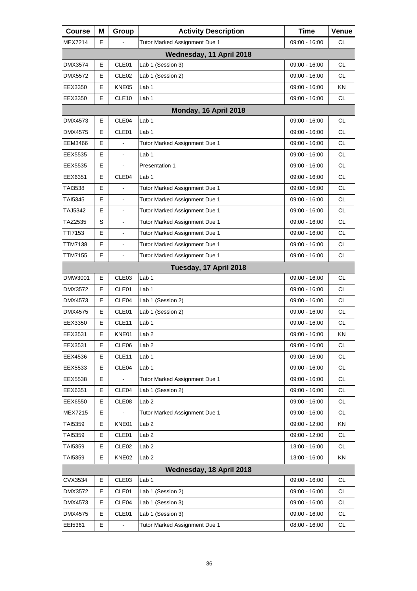| <b>Course</b>  | Μ | Group             | <b>Activity Description</b>   | <b>Time</b>     | Venue     |
|----------------|---|-------------------|-------------------------------|-----------------|-----------|
| <b>MEX7214</b> | E |                   | Tutor Marked Assignment Due 1 | 09:00 - 16:00   | СL        |
|                |   |                   | Wednesday, 11 April 2018      |                 |           |
| DMX3574        | Е | CLE01             | Lab 1 (Session 3)             | 09:00 - 16:00   | <b>CL</b> |
| DMX5572        | Е | CLE <sub>02</sub> | Lab 1 (Session 2)             | 09:00 - 16:00   | <b>CL</b> |
| EEX3350        | E | KNE05             | Lab <sub>1</sub>              | 09:00 - 16:00   | KN        |
| EEX3350        | E | CLE <sub>10</sub> | Lab <sub>1</sub>              | 09:00 - 16:00   | CL.       |
|                |   |                   | Monday, 16 April 2018         |                 |           |
| DMX4573        | E | CLE04             | Lab <sub>1</sub>              | 09:00 - 16:00   | <b>CL</b> |
| <b>DMX4575</b> | E | CLE01             | Lab <sub>1</sub>              | 09:00 - 16:00   | <b>CL</b> |
| EEM3466        | E |                   | Tutor Marked Assignment Due 1 | 09:00 - 16:00   | <b>CL</b> |
| EEX5535        | E |                   | Lab <sub>1</sub>              | 09:00 - 16:00   | <b>CL</b> |
| EEX5535        | E |                   | Presentation 1                | 09:00 - 16:00   | <b>CL</b> |
| EEX6351        | Е | CLE <sub>04</sub> | Lab <sub>1</sub>              | 09:00 - 16:00   | <b>CL</b> |
| TAI3538        | E |                   | Tutor Marked Assignment Due 1 | $09:00 - 16:00$ | <b>CL</b> |
| <b>TAI5345</b> | E | $\frac{1}{2}$     | Tutor Marked Assignment Due 1 | 09:00 - 16:00   | <b>CL</b> |
| TAJ5342        | Е | $\blacksquare$    | Tutor Marked Assignment Due 1 | 09:00 - 16:00   | <b>CL</b> |
| TAZ2535        | S |                   | Tutor Marked Assignment Due 1 | $09:00 - 16:00$ | <b>CL</b> |
| TTI7153        | E | $\frac{1}{2}$     | Tutor Marked Assignment Due 1 | 09:00 - 16:00   | <b>CL</b> |
| TTM7138        | E | $\blacksquare$    | Tutor Marked Assignment Due 1 | 09:00 - 16:00   | <b>CL</b> |
| TTM7155        | E | $\blacksquare$    | Tutor Marked Assignment Due 1 | 09:00 - 16:00   | <b>CL</b> |
|                |   |                   | Tuesday, 17 April 2018        |                 |           |
| DMW3001        | Е | CLE03             | Lab <sub>1</sub>              | 09:00 - 16:00   | CL        |
| DMX3572        | E | CLE01             | Lab <sub>1</sub>              | 09:00 - 16:00   | <b>CL</b> |
| DMX4573        | E | CLE04             | Lab 1 (Session 2)             | 09:00 - 16:00   | <b>CL</b> |
| <b>DMX4575</b> | Е | CLE01             | Lab 1 (Session 2)             | 09:00 - 16:00   | CL        |
| EEX3350        | E | CLE <sub>11</sub> | Lab 1                         | 09:00 - 16:00   | <b>CL</b> |
| EEX3531        | E | KNE01             | Lab <sub>2</sub>              | 09:00 - 16:00   | KN        |
| EEX3531        | Е | CLE06             | Lab <sub>2</sub>              | 09:00 - 16:00   | <b>CL</b> |
| EEX4536        | Е | CLE11             | Lab 1                         | $09:00 - 16:00$ | <b>CL</b> |
| EEX5533        | Е | CLE04             | Lab 1                         | 09:00 - 16:00   | CL        |
| EEX5538        | Е |                   | Tutor Marked Assignment Due 1 | 09:00 - 16:00   | <b>CL</b> |
| EEX6351        | Е | CLE04             | Lab 1 (Session 2)             | 09:00 - 16:00   | <b>CL</b> |
| EEX6550        | Е | CLE08             | Lab <sub>2</sub>              | 09:00 - 16:00   | <b>CL</b> |
| <b>MEX7215</b> | Е |                   | Tutor Marked Assignment Due 1 | 09:00 - 16:00   | <b>CL</b> |
| TAI5359        | Е | KNE01             | Lab <sub>2</sub>              | 09:00 - 12:00   | KN        |
| TAI5359        | Е | CLE01             | Lab <sub>2</sub>              | 09:00 - 12:00   | <b>CL</b> |
| TAI5359        | Е | CLE <sub>02</sub> | Lab <sub>2</sub>              | 13:00 - 16:00   | <b>CL</b> |
| TAI5359        | Е | KNE02             | Lab <sub>2</sub>              | 13:00 - 16:00   | KN        |
|                |   |                   | Wednesday, 18 April 2018      |                 |           |
| CVX3534        | Е | CLE03             | Lab <sub>1</sub>              | 09:00 - 16:00   | <b>CL</b> |
| DMX3572        | Е | CLE01             | Lab 1 (Session 2)             | 09:00 - 16:00   | <b>CL</b> |
| DMX4573        | Е | CLE04             | Lab 1 (Session 3)             | 09:00 - 16:00   | <b>CL</b> |
| DMX4575        | Е | CLE01             | Lab 1 (Session 3)             | 09:00 - 16:00   | CL.       |
| EEI5361        | Е |                   | Tutor Marked Assignment Due 1 | $08:00 - 16:00$ | CL        |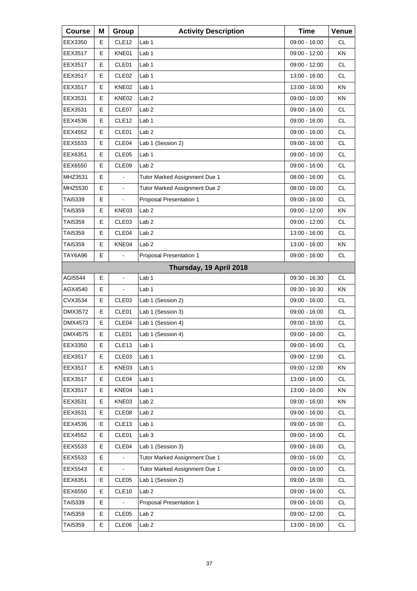| <b>Course</b>  | Μ | Group                    | <b>Activity Description</b>   | <b>Time</b>     | Venue     |
|----------------|---|--------------------------|-------------------------------|-----------------|-----------|
| EEX3350        | Е | CLE <sub>12</sub>        | Lab 1                         | 09:00 - 16:00   | <b>CL</b> |
| EEX3517        | Е | KNE01                    | Lab <sub>1</sub>              | 09:00 - 12:00   | ΚN        |
| EEX3517        | Е | CLE <sub>01</sub>        | Lab 1                         | 09:00 - 12:00   | <b>CL</b> |
| EEX3517        | Е | CLE <sub>02</sub>        | Lab 1                         | 13:00 - 16:00   | <b>CL</b> |
| EEX3517        | Е | KNE02                    | Lab 1                         | 13:00 - 16:00   | ΚN        |
| EEX3531        | Е | KNE02                    | Lab <sub>2</sub>              | 09:00 - 16:00   | KN        |
| EEX3531        | Е | CLE07                    | Lab <sub>2</sub>              | 09:00 - 16:00   | <b>CL</b> |
| EEX4536        | Е | CLE <sub>12</sub>        | Lab 1                         | 09:00 - 16:00   | <b>CL</b> |
| EEX4552        | Е | CLE <sub>01</sub>        | Lab <sub>2</sub>              | 09:00 - 16:00   | <b>CL</b> |
| EEX5533        | Е | CLE04                    | Lab 1 (Session 2)             | 09:00 - 16:00   | <b>CL</b> |
| EEX6351        | Е | CLE05                    | Lab 1                         | 09:00 - 16:00   | <b>CL</b> |
| EEX6550        | E | CLE <sub>09</sub>        | Lab <sub>2</sub>              | 09:00 - 16:00   | CL.       |
| MHZ3531        | E | ä,                       | Tutor Marked Assignment Due 1 | 08:00 - 16:00   | <b>CL</b> |
| MHZ5530        | Е | $\overline{\phantom{a}}$ | Tutor Marked Assignment Due 2 | $08:00 - 16:00$ | <b>CL</b> |
| TAI5339        | E |                          | Proposal Presentation 1       | 09:00 - 16:00   | CL.       |
| <b>TAI5359</b> | Е | KNE03                    | Lab <sub>2</sub>              | 09:00 - 12:00   | KN        |
| TAI5359        | Е | CLE03                    | Lab <sub>2</sub>              | 09:00 - 12:00   | <b>CL</b> |
| TAI5359        | Е | CLE04                    | Lab <sub>2</sub>              | 13:00 - 16:00   | CL.       |
| TAI5359        | E | KNE04                    | Lab <sub>2</sub>              | 13:00 - 16:00   | KN        |
| TAY6A96        | Е |                          | Proposal Presentation 1       | 09:00 - 16:00   | CL        |
|                |   |                          | Thursday, 19 April 2018       |                 |           |
| AGI5544        | E | $\blacksquare$           | Lab <sub>1</sub>              | 09:30 - 16:30   | <b>CL</b> |
| AGX4540        | Е |                          | Lab 1                         | 09:30 - 16:30   | ΚN        |
| CVX3534        | Е | CLE <sub>03</sub>        | Lab 1 (Session 2)             | 09:00 - 16:00   | CL.       |
| <b>DMX3572</b> | E | CLE01                    | Lab 1 (Session 3)             | 09:00 - 16:00   | <b>CL</b> |
| DMX4573        | Е | CLE04                    | Lab 1 (Session 4)             | 09:00 - 16:00   | <b>CL</b> |
| DMX4575        | E | CLE01                    | Lab 1 (Session 4)             | 09:00 - 16:00   | <b>CL</b> |
| EEX3350        | Е | CLE <sub>13</sub>        | Lab <sub>1</sub>              | 09:00 - 16:00   | CL        |
| EEX3517        | Е | CLE03                    | Lab <sub>1</sub>              | 09:00 - 12:00   | <b>CL</b> |
| EEX3517        | Е | KNE03                    | Lab 1                         | 09:00 - 12:00   | ΚN        |
| EEX3517        | Е | CLE04                    | Lab <sub>1</sub>              | 13:00 - 16:00   | CL        |
| EEX3517        | Е | KNE04                    | Lab 1                         | 13:00 - 16:00   | KN        |
| EEX3531        | Е | KNE03                    | Lab <sub>2</sub>              | 09:00 - 16:00   | ΚN        |
| EEX3531        | Е | CLE08                    | Lab <sub>2</sub>              | 09:00 - 16:00   | CL        |
| EEX4536        | Е | CLE <sub>13</sub>        | Lab 1                         | 09:00 - 16:00   | CL        |
| EEX4552        | Е | CLE01                    | Lab <sub>3</sub>              | 09:00 - 16:00   | <b>CL</b> |
| EEX5533        | Е | CLE04                    | Lab 1 (Session 3)             | 09:00 - 16:00   | CL        |
| EEX5533        | Е |                          | Tutor Marked Assignment Due 1 | 09:00 - 16:00   | CL        |
| EEX5543        | Е |                          | Tutor Marked Assignment Due 1 | 09:00 - 16:00   | <b>CL</b> |
| EEX6351        | Е | CLE <sub>05</sub>        | Lab 1 (Session 2)             | 09:00 - 16:00   | CL        |
| EEX6550        | Е | CLE10                    | Lab <sub>2</sub>              | 09:00 - 16:00   | CL        |
| TAI5339        | Е |                          | Proposal Presentation 1       | 09:00 - 16:00   | <b>CL</b> |
| TAI5359        | Е | CLE05                    | Lab <sub>2</sub>              | 09:00 - 12:00   | CL        |
| TAI5359        | Е | CLE06                    | Lab <sub>2</sub>              | 13:00 - 16:00   | CL        |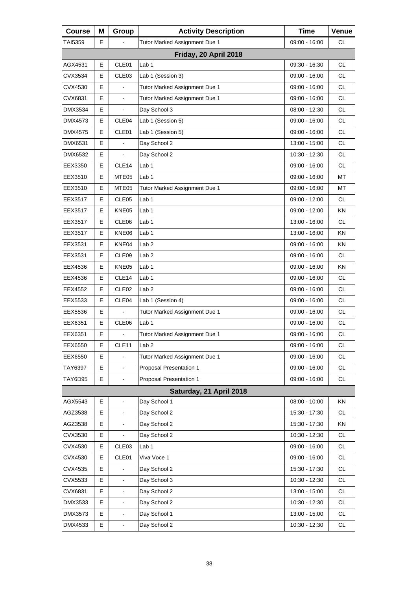| <b>Course</b> | M  | Group                        | <b>Activity Description</b>   | <b>Time</b>     | Venue         |
|---------------|----|------------------------------|-------------------------------|-----------------|---------------|
| TAI5359       | E  |                              | Tutor Marked Assignment Due 1 | 09:00 - 16:00   | CL            |
|               |    |                              | Friday, 20 April 2018         |                 |               |
| AGX4531       | E  | CLE01                        | Lab <sub>1</sub>              | 09:30 - 16:30   | <b>CL</b>     |
| CVX3534       | Е  | CLE <sub>03</sub>            | Lab 1 (Session 3)             | 09:00 - 16:00   | <b>CL</b>     |
| CVX4530       | E  |                              | Tutor Marked Assignment Due 1 | 09:00 - 16:00   | <b>CL</b>     |
| CVX6831       | E. | $\blacksquare$               | Tutor Marked Assignment Due 1 | $09:00 - 16:00$ | <b>CL</b>     |
| DMX3534       | Е  | $\blacksquare$               | Day School 3                  | 08:00 - 12:30   | <b>CL</b>     |
| DMX4573       | E  | CLE04                        | Lab 1 (Session 5)             | 09:00 - 16:00   | <b>CL</b>     |
| DMX4575       | E. | CLE01                        | Lab 1 (Session 5)             | 09:00 - 16:00   | <b>CL</b>     |
| DMX6531       | E  | $\overline{a}$               | Day School 2                  | 13:00 - 15:00   | <b>CL</b>     |
| DMX6532       | E  |                              | Day School 2                  | 10:30 - 12:30   | <b>CL</b>     |
| EEX3350       | E  | CLE14                        | Lab 1                         | 09:00 - 16:00   | <b>CL</b>     |
| EEX3510       | Е  | MTE05                        | Lab <sub>1</sub>              | 09:00 - 16:00   | MT            |
| EEX3510       | E  | MTE05                        | Tutor Marked Assignment Due 1 | 09:00 - 16:00   | MT            |
| EEX3517       | E  | CLE05                        | Lab 1                         | 09:00 - 12:00   | <b>CL</b>     |
| EEX3517       | Е  | KNE05                        | Lab 1                         | 09:00 - 12:00   | KN.           |
| EEX3517       | Е  | CLE06                        | Lab <sub>1</sub>              | 13:00 - 16:00   | <b>CL</b>     |
| EEX3517       | E  | KNE06                        | Lab 1                         | 13:00 - 16:00   | KN            |
| EEX3531       | Е  | KNE04                        | Lab <sub>2</sub>              | 09:00 - 16:00   | KN.           |
| EEX3531       | Е  | CLE09                        | Lab <sub>2</sub>              | 09:00 - 16:00   | <b>CL</b>     |
| EEX4536       | E  | KNE05                        | Lab 1                         | 09:00 - 16:00   | <b>KN</b>     |
| EEX4536       | Е  | CLE14                        | Lab 1                         | 09:00 - 16:00   | <b>CL</b>     |
| EEX4552       | E  | CLE <sub>02</sub>            | Lab <sub>2</sub>              | 09:00 - 16:00   | <b>CL</b>     |
| EEX5533       | E  | CLE04                        | Lab 1 (Session 4)             | 09:00 - 16:00   | <b>CL</b>     |
| EEX5536       | Е  |                              | Tutor Marked Assignment Due 1 | 09:00 - 16:00   | <b>CL</b>     |
| EEX6351       | E  | CLE06                        | Lab <sub>1</sub>              | 09:00 - 16:00   | <b>CL</b>     |
| EEX6351       | E  | ÷.                           | Tutor Marked Assignment Due 1 | 09:00 - 16:00   | CL            |
| EEX6550       | Е  | CLE11                        | Lab 2                         | 09:00 - 16:00   | <b>CL</b>     |
| EEX6550       | Е  |                              | Tutor Marked Assignment Due 1 | 09:00 - 16:00   | <b>CL</b>     |
| TAY6397       | E  | ÷,                           | Proposal Presentation 1       | $09:00 - 16:00$ | $\mathsf{CL}$ |
| TAY6D95       | Е  | $\frac{1}{2}$                | Proposal Presentation 1       | $09:00 - 16:00$ | CL            |
|               |    |                              | Saturday, 21 April 2018       |                 |               |
| AGX5543       | E  | $\overline{\phantom{0}}$     | Day School 1                  | 08:00 - 10:00   | KN            |
| AGZ3538       | Е  | $\frac{1}{2}$                | Day School 2                  | 15:30 - 17:30   | CL            |
| AGZ3538       | Е  | $\overline{\phantom{0}}$     | Day School 2                  | 15:30 - 17:30   | KN            |
| CVX3530       | E  |                              | Day School 2                  | 10:30 - 12:30   | <b>CL</b>     |
| CVX4530       | Е  | CLE03                        | Lab <sub>1</sub>              | 09:00 - 16:00   | CL            |
| CVX4530       | Е  | CLE01                        | Viva Voce 1                   | 09:00 - 16:00   | <b>CL</b>     |
| CVX4535       | E  |                              | Day School 2                  | 15:30 - 17:30   | CL            |
| CVX5533       | Е  | $\overline{\phantom{0}}$     | Day School 3                  | 10:30 - 12:30   | CL            |
| CVX6831       | Е  | $\blacksquare$               | Day School 2                  | 13:00 - 15:00   | <b>CL</b>     |
| DMX3533       | E  |                              | Day School 2                  | 10:30 - 12:30   | <b>CL</b>     |
| DMX3573       | Е  | $\qquad \qquad \blacksquare$ | Day School 1                  | 13:00 - 15:00   | CL            |
| DMX4533       | E  | ÷,                           | Day School 2                  | 10:30 - 12:30   | <b>CL</b>     |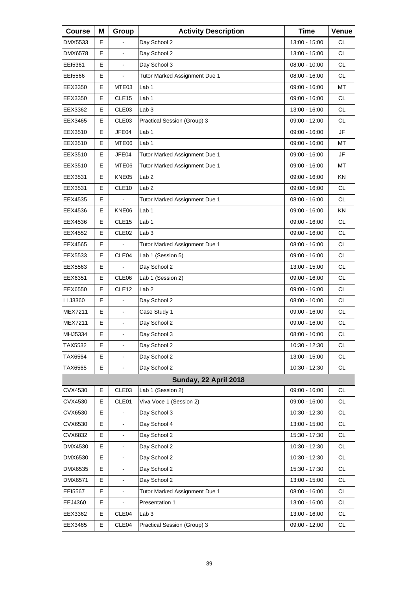| <b>Course</b>  | Μ | Group                    | <b>Activity Description</b>   | <b>Time</b>     | Venue     |
|----------------|---|--------------------------|-------------------------------|-----------------|-----------|
| DMX5533        | E |                          | Day School 2                  | 13:00 - 15:00   | СL        |
| <b>DMX6578</b> | E |                          | Day School 2                  | 13:00 - 15:00   | <b>CL</b> |
| EEI5361        | E | $\blacksquare$           | Day School 3                  | $08:00 - 10:00$ | <b>CL</b> |
| EEI5566        | Е | $\blacksquare$           | Tutor Marked Assignment Due 1 | 08:00 - 16:00   | <b>CL</b> |
| EEX3350        | Е | MTE03                    | Lab <sub>1</sub>              | 09:00 - 16:00   | MT        |
| EEX3350        | E | CLE <sub>15</sub>        | Lab <sub>1</sub>              | 09:00 - 16:00   | <b>CL</b> |
| EEX3362        | Е | CLE <sub>03</sub>        | Lab <sub>3</sub>              | 13:00 - 16:00   | <b>CL</b> |
| EEX3465        | Е | CLE <sub>03</sub>        | Practical Session (Group) 3   | 09:00 - 12:00   | <b>CL</b> |
| EEX3510        | E | JFE04                    | Lab 1                         | 09:00 - 16:00   | JF        |
| EEX3510        | Е | MTE06                    | Lab 1                         | 09:00 - 16:00   | МT        |
| EEX3510        | Е | JFE04                    | Tutor Marked Assignment Due 1 | 09:00 - 16:00   | JF        |
| EEX3510        | E | MTE06                    | Tutor Marked Assignment Due 1 | $09:00 - 16:00$ | MT        |
| EEX3531        | Е | KNE05                    | Lab <sub>2</sub>              | 09:00 - 16:00   | ΚN        |
| EEX3531        | E | CLE <sub>10</sub>        | Lab <sub>2</sub>              | 09:00 - 16:00   | <b>CL</b> |
| EEX4535        | E |                          | Tutor Marked Assignment Due 1 | 08:00 - 16:00   | <b>CL</b> |
| EEX4536        | Е | KNE06                    | Lab <sub>1</sub>              | 09:00 - 16:00   | ΚN        |
| EEX4536        | Е | CLE <sub>15</sub>        | Lab <sub>1</sub>              | 09:00 - 16:00   | <b>CL</b> |
| EEX4552        | E | CLE <sub>02</sub>        | Lab <sub>3</sub>              | 09:00 - 16:00   | <b>CL</b> |
| EEX4565        | Е |                          | Tutor Marked Assignment Due 1 | 08:00 - 16:00   | <b>CL</b> |
| EEX5533        | E | CLE04                    | Lab 1 (Session 5)             | 09:00 - 16:00   | <b>CL</b> |
| EEX5563        | E |                          | Day School 2                  | 13:00 - 15:00   | <b>CL</b> |
| EEX6351        | Е | CLE06                    | Lab 1 (Session 2)             | 09:00 - 16:00   | <b>CL</b> |
| EEX6550        | E | CLE <sub>12</sub>        | Lab <sub>2</sub>              | 09:00 - 16:00   | <b>CL</b> |
| LLJ3360        | E |                          | Day School 2                  | $08:00 - 10:00$ | <b>CL</b> |
| <b>MEX7211</b> | Е | $\blacksquare$           | Case Study 1                  | 09:00 - 16:00   | СL        |
| <b>MEX7211</b> | E | $\blacksquare$           | Day School 2                  | 09:00 - 16:00   | <b>CL</b> |
| MHJ5334        | E | $\blacksquare$           | Day School 3                  | $08:00 - 10:00$ | <b>CL</b> |
| TAX5532        | Е | $\blacksquare$           | Day School 2                  | 10:30 - 12:30   | <b>CL</b> |
| TAX6564        | Е |                          | Day School 2                  | 13:00 - 15:00   | CL        |
| TAX6565        | E |                          | Day School 2                  | 10:30 - 12:30   | CL        |
|                |   |                          | Sunday, 22 April 2018         |                 |           |
| CVX4530        | Е | CLE03                    | Lab 1 (Session 2)             | 09:00 - 16:00   | <b>CL</b> |
| CVX4530        | Е | CLE01                    | Viva Voce 1 (Session 2)       | $09:00 - 16:00$ | CL        |
| CVX6530        | Е |                          | Day School 3                  | 10:30 - 12:30   | CL.       |
| CVX6530        | Е |                          | Day School 4                  | 13:00 - 15:00   | CL        |
| CVX6832        | E |                          | Day School 2                  | 15:30 - 17:30   | CL        |
| DMX4530        | Е | $\overline{\phantom{a}}$ | Day School 2                  | 10:30 - 12:30   | CL        |
| DMX6530        | E |                          | Day School 2                  | 10:30 - 12:30   | CL        |
| DMX6535        | E |                          | Day School 2                  | 15:30 - 17:30   | CL        |
| DMX6571        | Е | $\overline{\phantom{a}}$ | Day School 2                  | 13:00 - 15:00   | CL        |
| EEI5567        | Е |                          | Tutor Marked Assignment Due 1 | 08:00 - 16:00   | CL        |
| EEJ4360        | E |                          | Presentation 1                | 13:00 - 16:00   | CL        |
| EEX3362        | Е | CLE04                    | Lab <sub>3</sub>              | 13:00 - 16:00   | CL.       |
| EEX3465        | Е | CLE04                    | Practical Session (Group) 3   | 09:00 - 12:00   | CL        |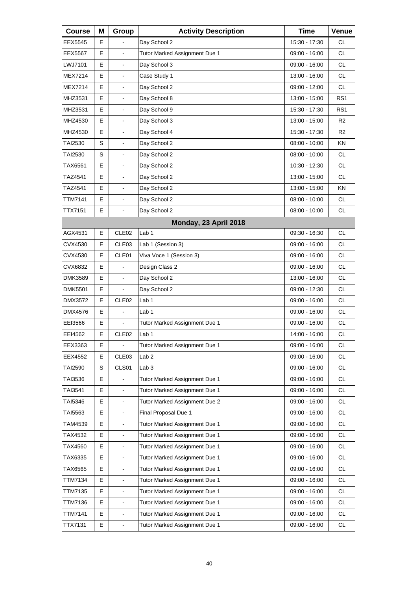| <b>Course</b>  | Μ | Group                    | <b>Activity Description</b>   | <b>Time</b>     | Venue           |
|----------------|---|--------------------------|-------------------------------|-----------------|-----------------|
| EEX5545        | Е |                          | Day School 2                  | 15:30 - 17:30   | CL.             |
| <b>EEX5567</b> | E |                          | Tutor Marked Assignment Due 1 | 09:00 - 16:00   | <b>CL</b>       |
| LWJ7101        | E | $\blacksquare$           | Day School 3                  | 09:00 - 16:00   | <b>CL</b>       |
| <b>MEX7214</b> | Е | $\blacksquare$           | Case Study 1                  | 13:00 - 16:00   | <b>CL</b>       |
| <b>MEX7214</b> | E |                          | Day School 2                  | 09:00 - 12:00   | <b>CL</b>       |
| MHZ3531        | E | $\overline{\phantom{a}}$ | Day School 8                  | 13:00 - 15:00   | RS <sub>1</sub> |
| MHZ3531        | Е | $\blacksquare$           | Day School 9                  | 15:30 - 17:30   | RS <sub>1</sub> |
| MHZ4530        | E |                          | Day School 3                  | 13:00 - 15:00   | R <sub>2</sub>  |
| MHZ4530        | E | $\overline{\phantom{a}}$ | Day School 4                  | 15:30 - 17:30   | R <sub>2</sub>  |
| TAI2530        | S | $\blacksquare$           | Day School 2                  | $08:00 - 10:00$ | KN.             |
| TAI2530        | S |                          | Day School 2                  | 08:00 - 10:00   | <b>CL</b>       |
| TAX6561        | Е | $\overline{\phantom{a}}$ | Day School 2                  | 10:30 - 12:30   | CL.             |
| TAZ4541        | Е | $\blacksquare$           | Day School 2                  | 13:00 - 15:00   | <b>CL</b>       |
| TAZ4541        | E |                          | Day School 2                  | 13:00 - 15:00   | <b>KN</b>       |
| TTM7141        | E | $\overline{\phantom{a}}$ | Day School 2                  | 08:00 - 10:00   | CL.             |
| TTX7151        | Е | $\blacksquare$           | Day School 2                  | $08:00 - 10:00$ | <b>CL</b>       |
|                |   |                          | Monday, 23 April 2018         |                 |                 |
| AGX4531        | E | CLE <sub>02</sub>        | Lab <sub>1</sub>              | 09:30 - 16:30   | CL.             |
| CVX4530        | Е | CLE <sub>03</sub>        | Lab 1 (Session 3)             | 09:00 - 16:00   | <b>CL</b>       |
| CVX4530        | E | CLE01                    | Viva Voce 1 (Session 3)       | 09:00 - 16:00   | <b>CL</b>       |
| CVX6832        | Е |                          | Design Class 2                | 09:00 - 16:00   | <b>CL</b>       |
| <b>DMK3589</b> | Е | $\blacksquare$           | Day School 2                  | 13:00 - 16:00   | <b>CL</b>       |
| <b>DMK5501</b> | E |                          | Day School 2                  | 09:00 - 12:30   | <b>CL</b>       |
| DMX3572        | Е | CLE <sub>02</sub>        | Lab <sub>1</sub>              | 09:00 - 16:00   | <b>CL</b>       |
| DMX4576        | Е | $\blacksquare$           | Lab <sub>1</sub>              | 09:00 - 16:00   | <b>CL</b>       |
| EEI3566        | E |                          | Tutor Marked Assignment Due 1 | 09:00 - 16:00   | <b>CL</b>       |
| EEI4562        | E | CLE <sub>02</sub>        | Lab <sub>1</sub>              | 14:00 - 16:00   | <b>CL</b>       |
| EEX3363        | Е | $\blacksquare$           | Tutor Marked Assignment Due 1 | 09:00 - 16:00   | CL              |
| EEX4552        | Е | CLE03                    | Lab <sub>2</sub>              | 09:00 - 16:00   | <b>CL</b>       |
| <b>TAI2590</b> | S | CLS01                    | Lab <sub>3</sub>              | 09:00 - 16:00   | <b>CL</b>       |
| TAI3536        | Е |                          | Tutor Marked Assignment Due 1 | 09:00 - 16:00   | CL              |
| TAI3541        | E |                          | Tutor Marked Assignment Due 1 | 09:00 - 16:00   | CL              |
| TAI5346        | E | $\blacksquare$           | Tutor Marked Assignment Due 2 | 09:00 - 16:00   | <b>CL</b>       |
| TAI5563        | Е | $\blacksquare$           | Final Proposal Due 1          | 09:00 - 16:00   | CL              |
| TAM4539        | E |                          | Tutor Marked Assignment Due 1 | $09:00 - 16:00$ | CL              |
| TAX4532        | E | $\blacksquare$           | Tutor Marked Assignment Due 1 | 09:00 - 16:00   | <b>CL</b>       |
| TAX4560        | E | $\blacksquare$           | Tutor Marked Assignment Due 1 | 09:00 - 16:00   | CL              |
| TAX6335        | E |                          | Tutor Marked Assignment Due 1 | 09:00 - 16:00   | CL              |
| TAX6565        | E | $\blacksquare$           | Tutor Marked Assignment Due 1 | 09:00 - 16:00   | <b>CL</b>       |
| TTM7134        | E | $\blacksquare$           | Tutor Marked Assignment Due 1 | 09:00 - 16:00   | CL              |
| TTM7135        | E | $\mathbf{r}$             | Tutor Marked Assignment Due 1 | 09:00 - 16:00   | CL              |
| TTM7136        | E | $\blacksquare$           | Tutor Marked Assignment Due 1 | 09:00 - 16:00   | <b>CL</b>       |
| TTM7141        | E | $\blacksquare$           | Tutor Marked Assignment Due 1 | 09:00 - 16:00   | CL              |
| TTX7131        | E | $\mathbf{r}$             | Tutor Marked Assignment Due 1 | 09:00 - 16:00   | CL              |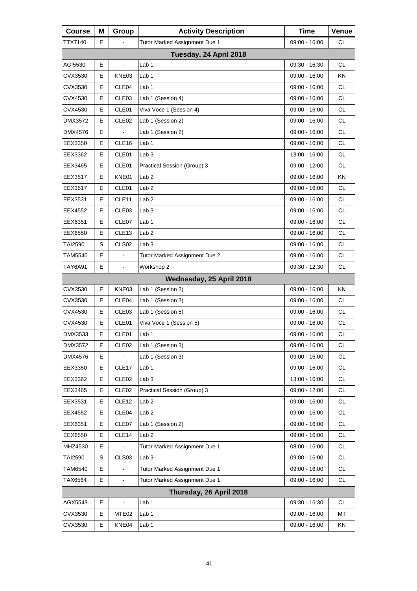| <b>Course</b>  | Μ | Group                    | <b>Activity Description</b>   | <b>Time</b>     | Venue     |
|----------------|---|--------------------------|-------------------------------|-----------------|-----------|
| TTX7140        | Е |                          | Tutor Marked Assignment Due 1 | 09:00 - 16:00   | CL        |
|                |   |                          | Tuesday, 24 April 2018        |                 |           |
| AGI5530        | Е | $\Box$                   | Lab <sub>1</sub>              | $09:30 - 16:30$ | <b>CL</b> |
| CVX3530        | E | KNE03                    | Lab <sub>1</sub>              | 09:00 - 16:00   | KN        |
| CVX3530        | Е | CLE04                    | Lab <sub>1</sub>              | 09:00 - 16:00   | <b>CL</b> |
| CVX4530        | Е | CLE <sub>03</sub>        | Lab 1 (Session 4)             | 09:00 - 16:00   | <b>CL</b> |
| CVX4530        | E | CLE01                    | Viva Voce 1 (Session 4)       | 09:00 - 16:00   | <b>CL</b> |
| DMX3572        | Е | CLE <sub>02</sub>        | Lab 1 (Session 2)             | 09:00 - 16:00   | <b>CL</b> |
| DMX4576        | Е |                          | Lab 1 (Session 2)             | 09:00 - 16:00   | <b>CL</b> |
| EEX3350        | E | CLE <sub>16</sub>        | Lab 1                         | 09:00 - 16:00   | <b>CL</b> |
| EEX3362        | Е | CLE01                    | Lab <sub>3</sub>              | 13:00 - 16:00   | <b>CL</b> |
| EEX3465        | Е | CLE01                    | Practical Session (Group) 3   | 09:00 - 12:00   | <b>CL</b> |
| EEX3517        | E | KNE01                    | Lab 2                         | 09:00 - 16:00   | <b>KN</b> |
| EEX3517        | Е | CLE01                    | Lab <sub>2</sub>              | 09:00 - 16:00   | <b>CL</b> |
| EEX3531        | Е | CLE11                    | Lab <sub>2</sub>              | 09:00 - 16:00   | <b>CL</b> |
| EEX4552        | E | CLE <sub>03</sub>        | Lab <sub>3</sub>              | 09:00 - 16:00   | <b>CL</b> |
| EEX6351        | Е | CLE07                    | Lab <sub>1</sub>              | 09:00 - 16:00   | <b>CL</b> |
| EEX6550        | Е | CLE <sub>13</sub>        | Lab <sub>2</sub>              | 09:00 - 16:00   | <b>CL</b> |
| <b>TAI2590</b> | S | CLS <sub>02</sub>        | Lab <sub>3</sub>              | 09:00 - 16:00   | <b>CL</b> |
| TAM5540        | Е |                          | Tutor Marked Assignment Due 2 | 09:00 - 16:00   | <b>CL</b> |
| <b>TAY6A91</b> | E | $\blacksquare$           | Workshop 2                    | 09:30 - 12:30   | <b>CL</b> |
|                |   |                          | Wednesday, 25 April 2018      |                 |           |
| CVX3530        | E | KNE03                    | Lab 1 (Session 2)             | 09:00 - 16:00   | ΚN        |
| CVX3530        | Е | CLE04                    | Lab 1 (Session 2)             | 09:00 - 16:00   | <b>CL</b> |
| CVX4530        | E | CLE <sub>03</sub>        | Lab 1 (Session 5)             | 09:00 - 16:00   | <b>CL</b> |
| CVX4530        | Е | CLE01                    | Viva Voce 1 (Session 5)       | 09:00 - 16:00   | <b>CL</b> |
| DMX3533        | E | CLE01                    | Lab 1                         | 09:00 - 16:00   | <b>CL</b> |
| DMX3572        | Е | CLE <sub>02</sub>        | Lab 1 (Session 3)             | $09:00 - 16:00$ | <b>CL</b> |
| DMX4576        | Е |                          | Lab 1 (Session 3)             | 09:00 - 16:00   | CL        |
| EEX3350        | Е | CLE17                    | Lab <sub>1</sub>              | 09:00 - 16:00   | CL        |
| EEX3362        | Е | CLE <sub>02</sub>        | Lab <sub>3</sub>              | 13:00 - 16:00   | <b>CL</b> |
| EEX3465        | Е | CLE <sub>02</sub>        | Practical Session (Group) 3   | 09:00 - 12:00   | CL        |
| EEX3531        | Е | CLE12                    | Lab <sub>2</sub>              | 09:00 - 16:00   | CL        |
| EEX4552        | Е | CLE04                    | Lab 2                         | 09:00 - 16:00   | <b>CL</b> |
| EEX6351        | Е | CLE07                    | Lab 1 (Session 2)             | 09:00 - 16:00   | CL        |
| EEX6550        | Е | CLE14                    | Lab <sub>2</sub>              | 09:00 - 16:00   | CL        |
| MHZ4530        | Е |                          | Tutor Marked Assignment Due 1 | $08:00 - 16:00$ | CL.       |
| TAI2590        | S | CLS <sub>03</sub>        | Lab <sub>3</sub>              | 09:00 - 16:00   | CL        |
| TAM6540        | Е | $\overline{\phantom{a}}$ | Tutor Marked Assignment Due 1 | 09:00 - 16:00   | CL        |
| TAX6564        | Е | $\overline{\phantom{0}}$ | Tutor Marked Assignment Due 1 | 09:00 - 16:00   | <b>CL</b> |
|                |   |                          | Thursday, 26 April 2018       |                 |           |
| AGX5543        | Е | $\blacksquare$           | Lab 1                         | 09:30 - 16:30   | <b>CL</b> |
| CVX3530        | Е | MTE02                    | Lab 1                         | 09:00 - 16:00   | MT        |
| CVX3530        | Е | KNE04                    | Lab 1                         | 09:00 - 16:00   | KN        |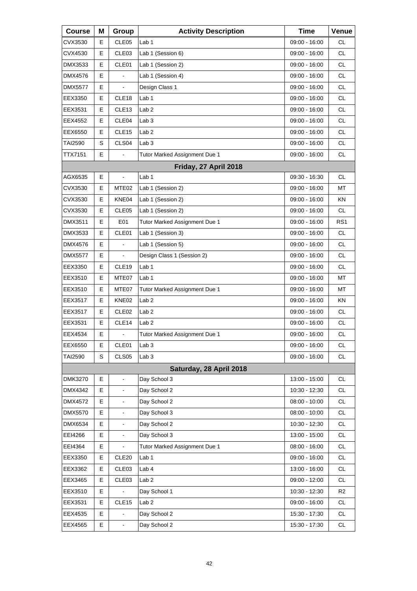| <b>Course</b>  | Μ | Group             | <b>Activity Description</b>   | <b>Time</b>     | Venue           |
|----------------|---|-------------------|-------------------------------|-----------------|-----------------|
| CVX3530        | Е | CLE <sub>05</sub> | Lab 1                         | 09:00 - 16:00   | <b>CL</b>       |
| CVX4530        | Е | CLE <sub>03</sub> | Lab 1 (Session 6)             | 09:00 - 16:00   | <b>CL</b>       |
| DMX3533        | Е | CLE01             | Lab 1 (Session 2)             | 09:00 - 16:00   | <b>CL</b>       |
| <b>DMX4576</b> | E | ä,                | Lab 1 (Session 4)             | 09:00 - 16:00   | <b>CL</b>       |
| <b>DMX5577</b> | Е |                   | Design Class 1                | 09:00 - 16:00   | <b>CL</b>       |
| EEX3350        | Е | CLE <sub>18</sub> | Lab 1                         | 09:00 - 16:00   | <b>CL</b>       |
| EEX3531        | Е | CLE <sub>13</sub> | Lab <sub>2</sub>              | 09:00 - 16:00   | <b>CL</b>       |
| EEX4552        | Е | CLE04             | Lab <sub>3</sub>              | 09:00 - 16:00   | <b>CL</b>       |
| EEX6550        | Е | CLE <sub>15</sub> | Lab <sub>2</sub>              | 09:00 - 16:00   | <b>CL</b>       |
| <b>TAI2590</b> | S | CLS04             | Lab <sub>3</sub>              | 09:00 - 16:00   | <b>CL</b>       |
| TTX7151        | Е |                   | Tutor Marked Assignment Due 1 | 09:00 - 16:00   | <b>CL</b>       |
|                |   |                   | Friday, 27 April 2018         |                 |                 |
| AGX6535        | Е | $\frac{1}{2}$     | Lab <sub>1</sub>              | 09:30 - 16:30   | <b>CL</b>       |
| CVX3530        | Е | MTE <sub>02</sub> | Lab 1 (Session 2)             | $09:00 - 16:00$ | МT              |
| CVX3530        | Е | KNE04             | Lab 1 (Session 2)             | 09:00 - 16:00   | ΚN              |
| CVX3530        | E | CLE05             | Lab 1 (Session 2)             | 09:00 - 16:00   | <b>CL</b>       |
| DMX3511        | Е | E01               | Tutor Marked Assignment Due 1 | 09:00 - 16:00   | RS <sub>1</sub> |
| DMX3533        | Е | CLE01             | Lab 1 (Session 3)             | 09:00 - 16:00   | CL.             |
| <b>DMX4576</b> | E |                   | Lab 1 (Session 5)             | 09:00 - 16:00   | CL              |
| <b>DMX5577</b> | Е |                   | Design Class 1 (Session 2)    | 09:00 - 16:00   | <b>CL</b>       |
| EEX3350        | Е | CLE <sub>19</sub> | Lab <sub>1</sub>              | 09:00 - 16:00   | CL.             |
| EEX3510        | Е | MTE07             | Lab 1                         | 09:00 - 16:00   | МT              |
| EEX3510        | Е | MTE07             | Tutor Marked Assignment Due 1 | 09:00 - 16:00   | МT              |
| EEX3517        | Е | KNE02             | Lab <sub>2</sub>              | 09:00 - 16:00   | KN              |
| EEX3517        | Е | CLE <sub>02</sub> | Lab <sub>2</sub>              | 09:00 - 16:00   | <b>CL</b>       |
| EEX3531        | Е | CLE14             | Lab <sub>2</sub>              | 09:00 - 16:00   | CL              |
| EEX4534        | E | $\blacksquare$    | Tutor Marked Assignment Due 1 | 09:00 - 16:00   | <b>CL</b>       |
| EEX6550        | Е | CLE01             | Lab <sub>3</sub>              | 09:00 - 16:00   | CL              |
| <b>TAI2590</b> | S | CLS <sub>05</sub> | Lab <sub>3</sub>              | $09:00 - 16:00$ | <b>CL</b>       |
|                |   |                   | Saturday, 28 April 2018       |                 |                 |
| <b>DMK3270</b> | Е | $\blacksquare$    | Day School 3                  | 13:00 - 15:00   | <b>CL</b>       |
| DMX4342        | E |                   | Day School 2                  | 10:30 - 12:30   | CL              |
| DMX4572        | E |                   | Day School 2                  | 08:00 - 10:00   | <b>CL</b>       |
| DMX5570        | E |                   | Day School 3                  | $08:00 - 10:00$ | CL              |
| DMX6534        | E |                   | Day School 2                  | 10:30 - 12:30   | CL              |
| EEI4266        | E | ä,                | Day School 3                  | 13:00 - 15:00   | <b>CL</b>       |
| EEI4364        | Е |                   | Tutor Marked Assignment Due 1 | $08:00 - 16:00$ | CL              |
| EEX3350        | Е | CLE <sub>20</sub> | Lab <sub>1</sub>              | 09:00 - 16:00   | CL              |
| EEX3362        | Е | CLE03             | Lab 4                         | 13:00 - 16:00   | <b>CL</b>       |
| EEX3465        | Е | CLE03             | Lab <sub>2</sub>              | 09:00 - 12:00   | <b>CL</b>       |
| EEX3510        | Е |                   | Day School 1                  | 10:30 - 12:30   | R <sub>2</sub>  |
| EEX3531        | Е | CLE15             | Lab <sub>2</sub>              | 09:00 - 16:00   | <b>CL</b>       |
| EEX4535        | Е | $\blacksquare$    | Day School 2                  | 15:30 - 17:30   | <b>CL</b>       |
| EEX4565        | E | $\blacksquare$    | Day School 2                  | 15:30 - 17:30   | CL              |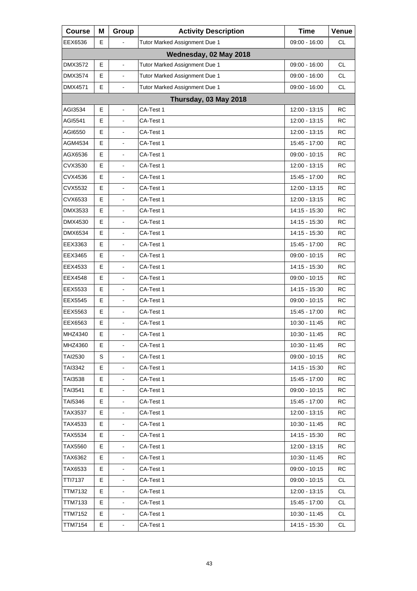| <b>Course</b>  | Μ  | Group                        | <b>Activity Description</b>   | <b>Time</b>     | Venue     |
|----------------|----|------------------------------|-------------------------------|-----------------|-----------|
| EEX6536        | E  |                              | Tutor Marked Assignment Due 1 | $09:00 - 16:00$ | СL        |
|                |    |                              | Wednesday, 02 May 2018        |                 |           |
| DMX3572        | Е  | $\blacksquare$               | Tutor Marked Assignment Due 1 | 09:00 - 16:00   | <b>CL</b> |
| DMX3574        | E  | $\blacksquare$               | Tutor Marked Assignment Due 1 | 09:00 - 16:00   | <b>CL</b> |
| DMX4571        | E  |                              | Tutor Marked Assignment Due 1 | 09:00 - 16:00   | <b>CL</b> |
|                |    |                              | Thursday, 03 May 2018         |                 |           |
| AGI3534        | Е  | L.                           | CA-Test 1                     | 12:00 - 13:15   | RC        |
| AGI5541        | E  |                              | CA-Test 1                     | 12:00 - 13:15   | <b>RC</b> |
| AGI6550        | E  | $\blacksquare$               | CA-Test 1                     | 12:00 - 13:15   | <b>RC</b> |
| AGM4534        | E  | $\blacksquare$               | CA-Test 1                     | 15:45 - 17:00   | <b>RC</b> |
| AGX6536        | E  |                              | CA-Test 1                     | 09:00 - 10:15   | <b>RC</b> |
| CVX3530        | E  | $\frac{1}{2}$                | CA-Test 1                     | 12:00 - 13:15   | <b>RC</b> |
| CVX4536        | E  | $\blacksquare$               | CA-Test 1                     | 15:45 - 17:00   | <b>RC</b> |
| CVX5532        | E  |                              | CA-Test 1                     | 12:00 - 13:15   | <b>RC</b> |
| CVX6533        | E  | $\frac{1}{2}$                | CA-Test 1                     | 12:00 - 13:15   | <b>RC</b> |
| DMX3533        | E  | $\blacksquare$               | CA-Test 1                     | 14:15 - 15:30   | <b>RC</b> |
| DMX4530        | E  |                              | CA-Test 1                     | 14:15 - 15:30   | <b>RC</b> |
| <b>DMX6534</b> | E  | $\frac{1}{2}$                | CA-Test 1                     | 14:15 - 15:30   | <b>RC</b> |
| EEX3363        | Е  | $\blacksquare$               | CA-Test 1                     | 15:45 - 17:00   | <b>RC</b> |
| EEX3465        | E  |                              | CA-Test 1                     | 09:00 - 10:15   | <b>RC</b> |
| EEX4533        | E  | $\frac{1}{2}$                | CA-Test 1                     | 14:15 - 15:30   | <b>RC</b> |
| EEX4548        | Е  | $\blacksquare$               | CA-Test 1                     | $09:00 - 10:15$ | <b>RC</b> |
| EEX5533        | E  |                              | CA-Test 1                     | 14:15 - 15:30   | <b>RC</b> |
| EEX5545        | E  | $\frac{1}{2}$                | CA-Test 1                     | 09:00 - 10:15   | <b>RC</b> |
| EEX5563        | Е  | $\blacksquare$               | CA-Test 1                     | 15:45 - 17:00   | <b>RC</b> |
| EEX6563        | E  |                              | CA-Test 1                     | 10:30 - 11:45   | <b>RC</b> |
| MHZ4340        | E  | $\blacksquare$               | CA-Test 1                     | 10:30 - 11:45   | <b>RC</b> |
| MHZ4360        | E. | $\blacksquare$               | CA-Test 1                     | 10:30 - 11:45   | RC        |
| <b>TAI2530</b> | S  |                              | CA-Test 1                     | $09:00 - 10:15$ | RC        |
| TAI3342        | Е  |                              | CA-Test 1                     | 14:15 - 15:30   | <b>RC</b> |
| TAI3538        | Е  | $\overline{\phantom{a}}$     | CA-Test 1                     | 15:45 - 17:00   | RC        |
| TAI3541        | Е  |                              | CA-Test 1                     | 09:00 - 10:15   | RC        |
| <b>TAI5346</b> | Е  |                              | CA-Test 1                     | 15:45 - 17:00   | <b>RC</b> |
| TAX3537        | Е  | $\overline{\phantom{a}}$     | CA-Test 1                     | 12:00 - 13:15   | RC        |
| TAX4533        | Е  |                              | CA-Test 1                     | 10:30 - 11:45   | RC        |
| TAX5534        | Е  |                              | CA-Test 1                     | 14:15 - 15:30   | RC        |
| TAX5560        | E. | -                            | CA-Test 1                     | 12:00 - 13:15   | RC        |
| TAX6362        | Е  |                              | CA-Test 1                     | 10:30 - 11:45   | RC        |
| TAX6533        | Е  | $\blacksquare$               | CA-Test 1                     | 09:00 - 10:15   | RC        |
| <b>TTI7137</b> | E. | $\qquad \qquad \blacksquare$ | CA-Test 1                     | $09:00 - 10:15$ | CL        |
| <b>TTM7132</b> | Е  |                              | CA-Test 1                     | 12:00 - 13:15   | <b>CL</b> |
| <b>TTM7133</b> | Е  | $\blacksquare$               | CA-Test 1                     | 15:45 - 17:00   | <b>CL</b> |
| <b>TTM7152</b> | Е  | $\blacksquare$               | CA-Test 1                     | 10:30 - 11:45   | <b>CL</b> |
| <b>TTM7154</b> | Е  |                              | CA-Test 1                     | 14:15 - 15:30   | <b>CL</b> |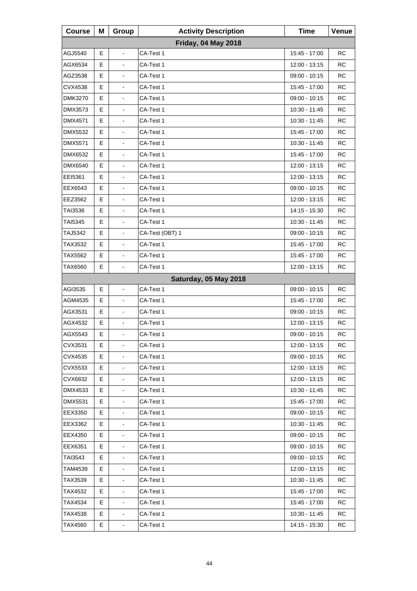| <b>Course</b>  | Μ | Group          | <b>Activity Description</b> | <b>Time</b>     | Venue     |
|----------------|---|----------------|-----------------------------|-----------------|-----------|
|                |   |                | <b>Friday, 04 May 2018</b>  |                 |           |
| AGJ5540        | E | $\blacksquare$ | CA-Test 1                   | 15:45 - 17:00   | <b>RC</b> |
| AGX6534        | Е | $\overline{a}$ | CA-Test 1                   | 12:00 - 13:15   | RC        |
| AGZ3538        | Е | $\blacksquare$ | CA-Test 1                   | 09:00 - 10:15   | <b>RC</b> |
| CVX4538        | E |                | CA-Test 1                   | 15:45 - 17:00   | <b>RC</b> |
| <b>DMK3270</b> | Е | ä,             | CA-Test 1                   | 09:00 - 10:15   | RC        |
| <b>DMX3573</b> | E | $\blacksquare$ | CA-Test 1                   | $10:30 - 11:45$ | <b>RC</b> |
| <b>DMX4571</b> | E |                | CA-Test 1                   | 10:30 - 11:45   | <b>RC</b> |
| DMX5532        | Е | ä,             | CA-Test 1                   | 15:45 - 17:00   | RC        |
| <b>DMX5571</b> | Е | $\blacksquare$ | CA-Test 1                   | 10:30 - 11:45   | <b>RC</b> |
| DMX6532        | E |                | CA-Test 1                   | 15:45 - 17:00   | <b>RC</b> |
| DMX6540        | Е |                | CA-Test 1                   | 12:00 - 13:15   | <b>RC</b> |
| EEI5361        | Е | $\blacksquare$ | CA-Test 1                   | 12:00 - 13:15   | <b>RC</b> |
| EEX6543        | E |                | CA-Test 1                   | $09:00 - 10:15$ | <b>RC</b> |
| EEZ3562        | Е |                | CA-Test 1                   | 12:00 - 13:15   | <b>RC</b> |
| TAI3536        | Е | $\blacksquare$ | CA-Test 1                   | 14:15 - 15:30   | <b>RC</b> |
| TAI5345        | E |                | CA-Test 1                   | 10:30 - 11:45   | <b>RC</b> |
| TAJ5342        | Е |                | CA-Test (OBT) 1             | 09:00 - 10:15   | <b>RC</b> |
| TAX3532        | Е | $\blacksquare$ | CA-Test 1                   | 15:45 - 17:00   | <b>RC</b> |
| TAX5562        | E | $\blacksquare$ | CA-Test 1                   | 15:45 - 17:00   | <b>RC</b> |
| TAX6560        | Е |                | CA-Test 1                   | 12:00 - 13:15   | RC        |
|                |   |                | Saturday, 05 May 2018       |                 |           |
| AGI3535        | E | $\overline{a}$ | CA-Test 1                   | $09:00 - 10:15$ | <b>RC</b> |
| AGM4535        | Е |                | CA-Test 1                   | 15:45 - 17:00   | RC        |
| AGX3531        | Е | $\blacksquare$ | CA-Test 1                   | 09:00 - 10:15   | <b>RC</b> |
| AGX4532        | E |                | CA-Test 1                   | 12:00 - 13:15   | <b>RC</b> |
| AGX5543        | E |                | CA-Test 1                   | 09:00 - 10:15   | <b>RC</b> |
| CVX3531        | Е | $\blacksquare$ | CA-Test 1                   | 12:00 - 13:15   | <b>RC</b> |
| CVX4535        | Е |                | CA-Test 1                   | $09:00 - 10:15$ | <b>RC</b> |
| CVX5533        | Е |                | CA-Test 1                   | 12:00 - 13:15   | <b>RC</b> |
| CVX6832        | Е | $\blacksquare$ | CA-Test 1                   | 12:00 - 13:15   | <b>RC</b> |
| DMX4533        | Е |                | CA-Test 1                   | 10:30 - 11:45   | <b>RC</b> |
| <b>DMX5531</b> | Е |                | CA-Test 1                   | 15:45 - 17:00   | <b>RC</b> |
| EEX3350        | Е | $\blacksquare$ | CA-Test 1                   | 09:00 - 10:15   | <b>RC</b> |
| EEX3362        | Е |                | CA-Test 1                   | 10:30 - 11:45   | <b>RC</b> |
| EEX4350        | Е |                | CA-Test 1                   | 09:00 - 10:15   | <b>RC</b> |
| EEX6351        | Е | $\blacksquare$ | CA-Test 1                   | 09:00 - 10:15   | <b>RC</b> |
| TAI3543        | Е |                | CA-Test 1                   | $09:00 - 10:15$ | <b>RC</b> |
| TAM4539        | Е |                | CA-Test 1                   | 12:00 - 13:15   | <b>RC</b> |
| TAX3539        | Е | $\blacksquare$ | CA-Test 1                   | 10:30 - 11:45   | <b>RC</b> |
| TAX4532        | Е |                | CA-Test 1                   | 15:45 - 17:00   | <b>RC</b> |
| TAX4534        | Е |                | CA-Test 1                   | 15:45 - 17:00   | <b>RC</b> |
| TAX4538        | Е | ÷,             | CA-Test 1                   | 10:30 - 11:45   | <b>RC</b> |
| TAX4560        | Е | $\blacksquare$ | CA-Test 1                   | 14:15 - 15:30   | <b>RC</b> |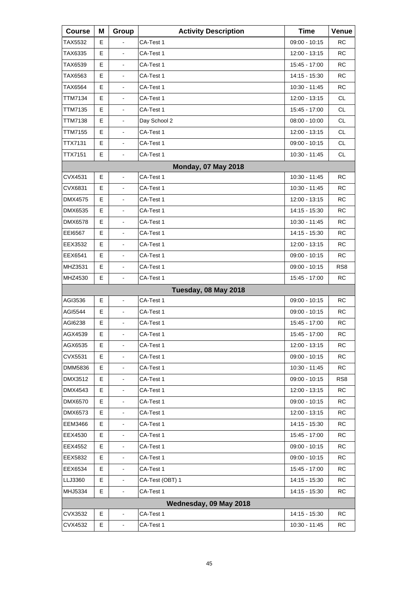| <b>Course</b>  | Μ | Group                        | <b>Activity Description</b> | <b>Time</b>     | Venue           |
|----------------|---|------------------------------|-----------------------------|-----------------|-----------------|
| TAX5532        | Е |                              | CA-Test 1                   | $09:00 - 10:15$ | <b>RC</b>       |
| TAX6335        | Е |                              | CA-Test 1                   | 12:00 - 13:15   | <b>RC</b>       |
| TAX6539        | E | $\blacksquare$               | CA-Test 1                   | 15:45 - 17:00   | <b>RC</b>       |
| TAX6563        | Е | $\blacksquare$               | CA-Test 1                   | 14:15 - 15:30   | <b>RC</b>       |
| TAX6564        | E |                              | CA-Test 1                   | 10:30 - 11:45   | <b>RC</b>       |
| <b>TTM7134</b> | E | $\blacksquare$               | CA-Test 1                   | 12:00 - 13:15   | <b>CL</b>       |
| TTM7135        | Е | $\blacksquare$               | CA-Test 1                   | 15:45 - 17:00   | <b>CL</b>       |
| TTM7138        | E |                              | Day School 2                | 08:00 - 10:00   | <b>CL</b>       |
| <b>TTM7155</b> | E | $\blacksquare$               | CA-Test 1                   | 12:00 - 13:15   | <b>CL</b>       |
| <b>TTX7131</b> | Е | $\blacksquare$               | CA-Test 1                   | $09:00 - 10:15$ | <b>CL</b>       |
| <b>TTX7151</b> | Е |                              | CA-Test 1                   | 10:30 - 11:45   | <b>CL</b>       |
|                |   |                              | <b>Monday, 07 May 2018</b>  |                 |                 |
| CVX4531        | Е | ä,                           | CA-Test 1                   | $10:30 - 11:45$ | RC              |
| CVX6831        | E |                              | CA-Test 1                   | 10:30 - 11:45   | RC              |
| <b>DMX4575</b> | E | $\overline{\phantom{a}}$     | CA-Test 1                   | 12:00 - 13:15   | <b>RC</b>       |
| DMX6535        | Е | $\blacksquare$               | CA-Test 1                   | 14:15 - 15:30   | <b>RC</b>       |
| DMX6578        | E |                              | CA-Test 1                   | 10:30 - 11:45   | <b>RC</b>       |
| EEI6567        | E | $\overline{\phantom{a}}$     | CA-Test 1                   | 14:15 - 15:30   | <b>RC</b>       |
| EEX3532        | Е | $\blacksquare$               | CA-Test 1                   | 12:00 - 13:15   | <b>RC</b>       |
| EEX6541        | Е |                              | CA-Test 1                   | 09:00 - 10:15   | <b>RC</b>       |
| MHZ3531        | E | $\overline{\phantom{a}}$     | CA-Test 1                   | 09:00 - 10:15   | RS <sub>8</sub> |
| MHZ4530        | Е | $\blacksquare$               | CA-Test 1                   | 15:45 - 17:00   | RC              |
|                |   |                              | Tuesday, 08 May 2018        |                 |                 |
| AGI3536        | Е | $\blacksquare$               | CA-Test 1                   | 09:00 - 10:15   | <b>RC</b>       |
| AGI5544        | Е | $\blacksquare$               | CA-Test 1                   | $09:00 - 10:15$ | RC              |
| AGI6238        | E |                              | CA-Test 1                   | 15:45 - 17:00   | <b>RC</b>       |
| AGX4539        | E | L,                           | CA-Test 1                   | 15:45 - 17:00   | <b>RC</b>       |
| AGX6535        | Е | $\blacksquare$               | CA-Test 1                   | 12:00 - 13:15   | <b>RC</b>       |
| CVX5531        | Е |                              | CA-Test 1                   | 09:00 - 10:15   | <b>RC</b>       |
| DMM5836        | E |                              | CA-Test 1                   | 10:30 - 11:45   | <b>RC</b>       |
| DMX3512        | Е | $\blacksquare$               | CA-Test 1                   | $09:00 - 10:15$ | RS <sub>8</sub> |
| DMX4543        | Е |                              | CA-Test 1                   | 12:00 - 13:15   | <b>RC</b>       |
| <b>DMX6570</b> | E |                              | CA-Test 1                   | 09:00 - 10:15   | <b>RC</b>       |
| DMX6573        | Е | $\overline{\phantom{a}}$     | CA-Test 1                   | 12:00 - 13:15   | RC              |
| <b>EEM3466</b> | Е |                              | CA-Test 1                   | 14:15 - 15:30   | <b>RC</b>       |
| EEX4530        | E |                              | CA-Test 1                   | 15:45 - 17:00   | <b>RC</b>       |
| EEX4552        | Е | $\qquad \qquad \blacksquare$ | CA-Test 1                   | 09:00 - 10:15   | <b>RC</b>       |
| EEX5832        | Е |                              | CA-Test 1                   | 09:00 - 10:15   | <b>RC</b>       |
| EEX6534        | E |                              | CA-Test 1                   | 15:45 - 17:00   | <b>RC</b>       |
| LLJ3360        | Е | $\qquad \qquad \blacksquare$ | CA-Test (OBT) 1             | 14:15 - 15:30   | <b>RC</b>       |
| MHJ5334        | Е |                              | CA-Test 1                   | 14:15 - 15:30   | <b>RC</b>       |
|                |   |                              | Wednesday, 09 May 2018      |                 |                 |
| CVX3532        | Е | $\qquad \qquad \blacksquare$ | CA-Test 1                   | 14:15 - 15:30   | RC              |
| CVX4532        | Е |                              | CA-Test 1                   | 10:30 - 11:45   | <b>RC</b>       |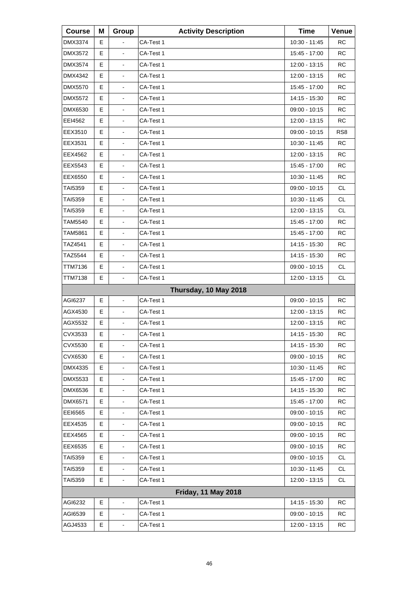| <b>Course</b>  | Μ | Group                        | <b>Activity Description</b> | <b>Time</b>   | Venue           |
|----------------|---|------------------------------|-----------------------------|---------------|-----------------|
| <b>DMX3374</b> | Е |                              | CA-Test 1                   | 10:30 - 11:45 | <b>RC</b>       |
| DMX3572        | E | L.                           | CA-Test 1                   | 15:45 - 17:00 | <b>RC</b>       |
| DMX3574        | E | L,                           | CA-Test 1                   | 12:00 - 13:15 | <b>RC</b>       |
| DMX4342        | Е | $\blacksquare$               | CA-Test 1                   | 12:00 - 13:15 | <b>RC</b>       |
| DMX5570        | E | $\blacksquare$               | CA-Test 1                   | 15:45 - 17:00 | <b>RC</b>       |
| DMX5572        | E | L,                           | CA-Test 1                   | 14:15 - 15:30 | <b>RC</b>       |
| DMX6530        | Е | $\blacksquare$               | CA-Test 1                   | 09:00 - 10:15 | <b>RC</b>       |
| EEI4562        | E | $\blacksquare$               | CA-Test 1                   | 12:00 - 13:15 | <b>RC</b>       |
| EEX3510        | E | L,                           | CA-Test 1                   | 09:00 - 10:15 | RS <sub>8</sub> |
| EEX3531        | Е | $\blacksquare$               | CA-Test 1                   | 10:30 - 11:45 | <b>RC</b>       |
| EEX4562        | E | $\blacksquare$               | CA-Test 1                   | 12:00 - 13:15 | <b>RC</b>       |
| EEX5543        | E | $\blacksquare$               | CA-Test 1                   | 15:45 - 17:00 | <b>RC</b>       |
| EEX6550        | Е | $\blacksquare$               | CA-Test 1                   | 10:30 - 11:45 | <b>RC</b>       |
| TAI5359        | E | $\blacksquare$               | CA-Test 1                   | 09:00 - 10:15 | <b>CL</b>       |
| TAI5359        | Е | $\blacksquare$               | CA-Test 1                   | 10:30 - 11:45 | <b>CL</b>       |
| <b>TAI5359</b> | Е | $\blacksquare$               | CA-Test 1                   | 12:00 - 13:15 | <b>CL</b>       |
| TAM5540        | E | $\blacksquare$               | CA-Test 1                   | 15:45 - 17:00 | <b>RC</b>       |
| TAM5861        | Е | $\blacksquare$               | CA-Test 1                   | 15:45 - 17:00 | <b>RC</b>       |
| TAZ4541        | Е | $\blacksquare$               | CA-Test 1                   | 14:15 - 15:30 | <b>RC</b>       |
| TAZ5544        | E | $\blacksquare$               | CA-Test 1                   | 14:15 - 15:30 | <b>RC</b>       |
| TTM7136        | E | L,                           | CA-Test 1                   | 09:00 - 10:15 | <b>CL</b>       |
| TTM7138        | E | $\blacksquare$               | CA-Test 1                   | 12:00 - 13:15 | <b>CL</b>       |
|                |   |                              | Thursday, 10 May 2018       |               |                 |
| AGI6237        | E | $\overline{\phantom{a}}$     | CA-Test 1                   | 09:00 - 10:15 | <b>RC</b>       |
| AGX4530        | Е | $\blacksquare$               | CA-Test 1                   | 12:00 - 13:15 | <b>RC</b>       |
| AGX5532        | E | $\blacksquare$               | CA-Test 1                   | 12:00 - 13:15 | <b>RC</b>       |
| CVX3533        | E | $\blacksquare$               | CA-Test 1                   | 14:15 - 15:30 | <b>RC</b>       |
| CVX5530        | Е | $\blacksquare$               | CA-Test 1                   | 14:15 - 15:30 | <b>RC</b>       |
| CVX6530        | Ε |                              | CA-Test 1                   | 09:00 - 10:15 | <b>RC</b>       |
| DMX4335        | Е | $\blacksquare$               | CA-Test 1                   | 10:30 - 11:45 | <b>RC</b>       |
| DMX5533        | Е | $\qquad \qquad \blacksquare$ | CA-Test 1                   | 15:45 - 17:00 | <b>RC</b>       |
| DMX6536        | Ε | -                            | CA-Test 1                   | 14:15 - 15:30 | <b>RC</b>       |
| DMX6571        | Е | $\blacksquare$               | CA-Test 1                   | 15:45 - 17:00 | <b>RC</b>       |
| EEI6565        | Е | $\qquad \qquad \blacksquare$ | CA-Test 1                   | 09:00 - 10:15 | <b>RC</b>       |
| EEX4535        | Ε | -                            | CA-Test 1                   | 09:00 - 10:15 | <b>RC</b>       |
| EEX4565        | Е | $\blacksquare$               | CA-Test 1                   | 09:00 - 10:15 | <b>RC</b>       |
| EEX6535        | Е | $\overline{\phantom{a}}$     | CA-Test 1                   | 09:00 - 10:15 | <b>RC</b>       |
| TAI5359        | Ε | -                            | CA-Test 1                   | 09:00 - 10:15 | <b>CL</b>       |
| TAI5359        | Ε | $\blacksquare$               | CA-Test 1                   | 10:30 - 11:45 | <b>CL</b>       |
| TAI5359        | Е | $\overline{\phantom{0}}$     | CA-Test 1                   | 12:00 - 13:15 | CL              |
|                |   |                              | <b>Friday, 11 May 2018</b>  |               |                 |
| AGI6232        | Е | $\blacksquare$               | CA-Test 1                   | 14:15 - 15:30 | <b>RC</b>       |
| AGI6539        | Е | $\overline{\phantom{a}}$     | CA-Test 1                   | 09:00 - 10:15 | <b>RC</b>       |
| AGJ4533        | Е | $\blacksquare$               | CA-Test 1                   | 12:00 - 13:15 | <b>RC</b>       |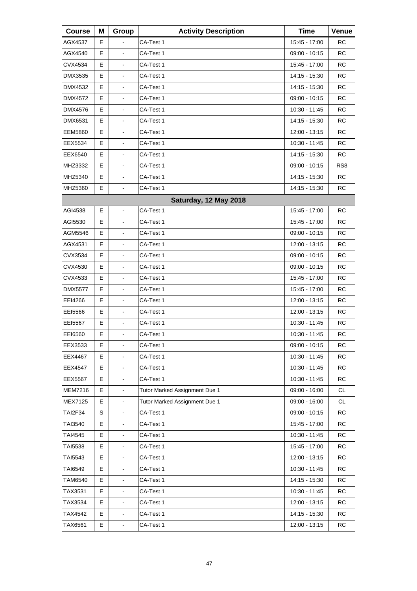| <b>Course</b>  | Μ | Group                        | <b>Activity Description</b>   | <b>Time</b>     | Venue           |
|----------------|---|------------------------------|-------------------------------|-----------------|-----------------|
| AGX4537        | Е |                              | CA-Test 1                     | 15:45 - 17:00   | <b>RC</b>       |
| AGX4540        | E | $\blacksquare$               | CA-Test 1                     | 09:00 - 10:15   | <b>RC</b>       |
| CVX4534        | E | $\frac{1}{2}$                | CA-Test 1                     | 15:45 - 17:00   | <b>RC</b>       |
| DMX3535        | Е | $\blacksquare$               | CA-Test 1                     | 14:15 - 15:30   | <b>RC</b>       |
| DMX4532        | E | $\blacksquare$               | CA-Test 1                     | 14:15 - 15:30   | <b>RC</b>       |
| DMX4572        | E | $\frac{1}{2}$                | CA-Test 1                     | 09:00 - 10:15   | <b>RC</b>       |
| DMX4576        | Е | $\blacksquare$               | CA-Test 1                     | 10:30 - 11:45   | <b>RC</b>       |
| DMX6531        | E | $\blacksquare$               | CA-Test 1                     | 14:15 - 15:30   | <b>RC</b>       |
| <b>EEM5860</b> | E | L,                           | CA-Test 1                     | 12:00 - 13:15   | <b>RC</b>       |
| EEX5534        | Е | $\blacksquare$               | CA-Test 1                     | 10:30 - 11:45   | <b>RC</b>       |
| EEX6540        | E | $\blacksquare$               | CA-Test 1                     | 14:15 - 15:30   | <b>RC</b>       |
| MHZ3332        | Е | $\frac{1}{2}$                | CA-Test 1                     | 09:00 - 10:15   | RS <sub>8</sub> |
| MHZ5340        | Е | $\blacksquare$               | CA-Test 1                     | 14:15 - 15:30   | <b>RC</b>       |
| MHZ5360        | E | $\mathbf{r}$                 | CA-Test 1                     | 14:15 - 15:30   | <b>RC</b>       |
|                |   |                              | Saturday, 12 May 2018         |                 |                 |
| AGI4538        | Е | $\blacksquare$               | CA-Test 1                     | 15:45 - 17:00   | RC              |
| AGI5530        | E |                              | CA-Test 1                     | 15:45 - 17:00   | <b>RC</b>       |
| AGM5546        | Е | $\frac{1}{2}$                | CA-Test 1                     | 09:00 - 10:15   | <b>RC</b>       |
| AGX4531        | Е | $\blacksquare$               | CA-Test 1                     | 12:00 - 13:15   | <b>RC</b>       |
| CVX3534        | E | $\blacksquare$               | CA-Test 1                     | 09:00 - 10:15   | <b>RC</b>       |
| CVX4530        | Е | $\overline{\phantom{a}}$     | CA-Test 1                     | 09:00 - 10:15   | <b>RC</b>       |
| CVX4533        | Е | $\blacksquare$               | CA-Test 1                     | 15:45 - 17:00   | <b>RC</b>       |
| <b>DMX5577</b> | E | $\blacksquare$               | CA-Test 1                     | 15:45 - 17:00   | <b>RC</b>       |
| EEI4266        | Е | $\overline{\phantom{a}}$     | CA-Test 1                     | 12:00 - 13:15   | <b>RC</b>       |
| EEI5566        | Е | $\blacksquare$               | CA-Test 1                     | 12:00 - 13:15   | <b>RC</b>       |
| <b>EEI5567</b> | E | $\blacksquare$               | CA-Test 1                     | 10:30 - 11:45   | <b>RC</b>       |
| EEI6560        | Е | L,                           | CA-Test 1                     | 10:30 - 11:45   | <b>RC</b>       |
| EEX3533        | Е | $\blacksquare$               | CA-Test 1                     | $09:00 - 10:15$ | <b>RC</b>       |
| EEX4467        | Е |                              | CA-Test 1                     | 10:30 - 11:45   | <b>RC</b>       |
| <b>EEX4547</b> | E | $\blacksquare$               | CA-Test 1                     | 10:30 - 11:45   | <b>RC</b>       |
| <b>EEX5567</b> | Е | $\qquad \qquad \blacksquare$ | CA-Test 1                     | 10:30 - 11:45   | <b>RC</b>       |
| <b>MEM7216</b> | E | $\blacksquare$               | Tutor Marked Assignment Due 1 | 09:00 - 16:00   | <b>CL</b>       |
| MEX7125        | E | $\frac{1}{2}$                | Tutor Marked Assignment Due 1 | 09:00 - 16:00   | <b>CL</b>       |
| <b>TAI2F34</b> | S | $\frac{1}{2}$                | CA-Test 1                     | 09:00 - 10:15   | <b>RC</b>       |
| TAI3540        | Е | $\overline{\phantom{a}}$     | CA-Test 1                     | 15:45 - 17:00   | <b>RC</b>       |
| TAI4545        | E | $\blacksquare$               | CA-Test 1                     | 10:30 - 11:45   | <b>RC</b>       |
| TAI5538        | Е | $\blacksquare$               | CA-Test 1                     | 15:45 - 17:00   | <b>RC</b>       |
| TAI5543        | Е |                              | CA-Test 1                     | 12:00 - 13:15   | <b>RC</b>       |
| TAI6549        | E | $\blacksquare$               | CA-Test 1                     | 10:30 - 11:45   | <b>RC</b>       |
| <b>TAM6540</b> | Е | $\blacksquare$               | CA-Test 1                     | 14:15 - 15:30   | <b>RC</b>       |
| TAX3531        | E |                              | CA-Test 1                     | 10:30 - 11:45   | <b>RC</b>       |
| TAX3534        | E | $\blacksquare$               | CA-Test 1                     | 12:00 - 13:15   | <b>RC</b>       |
| TAX4542        | Е | $\blacksquare$               | CA-Test 1                     | 14:15 - 15:30   | <b>RC</b>       |
| TAX6561        | Е | $\blacksquare$               | CA-Test 1                     | 12:00 - 13:15   | <b>RC</b>       |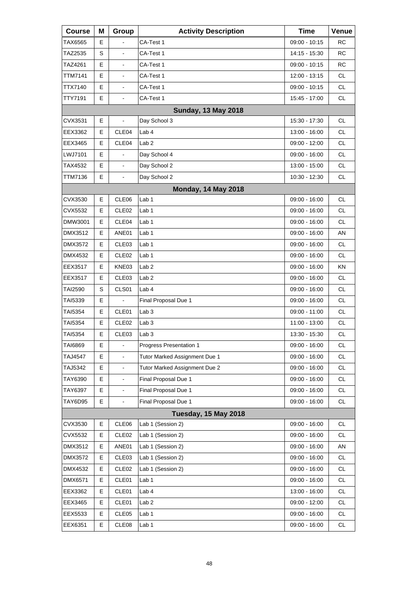| <b>Course</b>  | Μ | Group                    | <b>Activity Description</b>    | <b>Time</b>     | Venue     |
|----------------|---|--------------------------|--------------------------------|-----------------|-----------|
| TAX6565        | Е |                          | CA-Test 1                      | 09:00 - 10:15   | <b>RC</b> |
| TAZ2535        | S |                          | CA-Test 1                      | 14:15 - 15:30   | <b>RC</b> |
| TAZ4261        | E | ä,                       | CA-Test 1                      | 09:00 - 10:15   | <b>RC</b> |
| TTM7141        | Е | $\blacksquare$           | CA-Test 1                      | 12:00 - 13:15   | <b>CL</b> |
| TTX7140        | E | $\blacksquare$           | CA-Test 1                      | 09:00 - 10:15   | <b>CL</b> |
| TTY7191        | E | L,                       | CA-Test 1                      | 15:45 - 17:00   | <b>CL</b> |
|                |   |                          | <b>Sunday, 13 May 2018</b>     |                 |           |
| CVX3531        | E |                          | Day School 3                   | 15:30 - 17:30   | <b>CL</b> |
| EEX3362        | E | CLE04                    | Lab 4                          | 13:00 - 16:00   | <b>CL</b> |
| EEX3465        | Е | CLE04                    | Lab <sub>2</sub>               | 09:00 - 12:00   | <b>CL</b> |
| LWJ7101        | E |                          | Day School 4                   | 09:00 - 16:00   | <b>CL</b> |
| TAX4532        | E | $\overline{\phantom{a}}$ | Day School 2                   | 13:00 - 15:00   | <b>CL</b> |
| TTM7136        | E | $\blacksquare$           | Day School 2                   | $10:30 - 12:30$ | <b>CL</b> |
|                |   |                          | <b>Monday, 14 May 2018</b>     |                 |           |
| CVX3530        | E | CLE <sub>06</sub>        | Lab <sub>1</sub>               | 09:00 - 16:00   | <b>CL</b> |
| CVX5532        | Е | CLE <sub>02</sub>        | Lab 1                          | 09:00 - 16:00   | <b>CL</b> |
| DMW3001        | E | CLE04                    | Lab <sub>1</sub>               | 09:00 - 16:00   | <b>CL</b> |
| DMX3512        | Е | ANE01                    | Lab <sub>1</sub>               | 09:00 - 16:00   | AN        |
| DMX3572        | Е | CLE03                    | Lab 1                          | 09:00 - 16:00   | <b>CL</b> |
| DMX4532        | E | CLE <sub>02</sub>        | Lab <sub>1</sub>               | 09:00 - 16:00   | <b>CL</b> |
| EEX3517        | Е | KNE03                    | Lab <sub>2</sub>               | 09:00 - 16:00   | KN        |
| EEX3517        | Е | CLE03                    | Lab <sub>2</sub>               | 09:00 - 16:00   | <b>CL</b> |
| TAI2590        | S | CLS01                    | Lab <sub>4</sub>               | 09:00 - 16:00   | <b>CL</b> |
| TAI5339        | Е |                          | Final Proposal Due 1           | 09:00 - 16:00   | <b>CL</b> |
| <b>TAI5354</b> | Е | CLE01                    | Lab <sub>3</sub>               | 09:00 - 11:00   | <b>CL</b> |
| TAI5354        | E | CLE <sub>02</sub>        | Lab <sub>3</sub>               | 11:00 - 13:00   | <b>CL</b> |
| <b>TAI5354</b> | Е | CLE <sub>03</sub>        | Lab <sub>3</sub>               | 13:30 - 15:30   | <b>CL</b> |
| TAI6869        | Е | $\blacksquare$           | <b>Progress Presentation 1</b> | $09:00 - 16:00$ | CL        |
| <b>TAJ4547</b> | Е |                          | Tutor Marked Assignment Due 1  | 09:00 - 16:00   | <b>CL</b> |
| TAJ5342        | E | $\blacksquare$           | Tutor Marked Assignment Due 2  | 09:00 - 16:00   | CL        |
| TAY6390        | E | $\frac{1}{2}$            | Final Proposal Due 1           | 09:00 - 16:00   | CL        |
| TAY6397        | E | $\blacksquare$           | Final Proposal Due 1           | 09:00 - 16:00   | <b>CL</b> |
| TAY6D95        | E | $\blacksquare$           | Final Proposal Due 1           | 09:00 - 16:00   | <b>CL</b> |
|                |   |                          | <b>Tuesday, 15 May 2018</b>    |                 |           |
| CVX3530        | Е | CLE06                    | Lab 1 (Session 2)              | 09:00 - 16:00   | <b>CL</b> |
| CVX5532        | Е | CLE02                    | Lab 1 (Session 2)              | 09:00 - 16:00   | <b>CL</b> |
| DMX3512        | Е | ANE01                    | Lab 1 (Session 2)              | 09:00 - 16:00   | AN        |
| DMX3572        | Е | CLE03                    | Lab 1 (Session 2)              | 09:00 - 16:00   | <b>CL</b> |
| DMX4532        | Е | CLE <sub>02</sub>        | Lab 1 (Session 2)              | 09:00 - 16:00   | <b>CL</b> |
| DMX6571        | Ε | CLE01                    | Lab <sub>1</sub>               | 09:00 - 16:00   | CL        |
| EEX3362        | Е | CLE01                    | Lab 4                          | 13:00 - 16:00   | <b>CL</b> |
| EEX3465        | Е | CLE01                    | Lab <sub>2</sub>               | 09:00 - 12:00   | <b>CL</b> |
| EEX5533        | Е | CLE05                    | Lab <sub>1</sub>               | 09:00 - 16:00   | CL        |
| EEX6351        | Е | CLE08                    | Lab <sub>1</sub>               | 09:00 - 16:00   | CL        |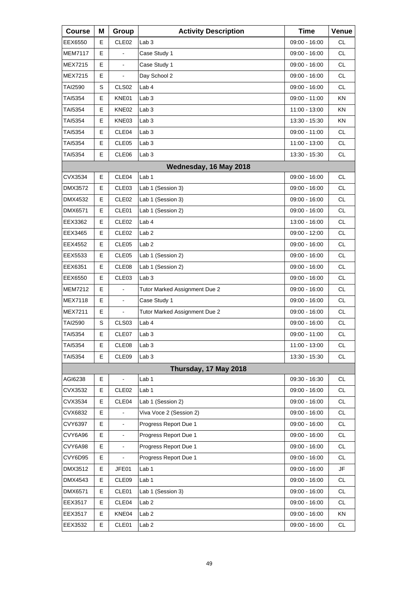| <b>Course</b>  | Μ  | Group                    | <b>Activity Description</b>   | <b>Time</b>     | Venue     |
|----------------|----|--------------------------|-------------------------------|-----------------|-----------|
| EEX6550        | Е  | CLE <sub>02</sub>        | Lab <sub>3</sub>              | 09:00 - 16:00   | <b>CL</b> |
| <b>MEM7117</b> | Е  |                          | Case Study 1                  | 09:00 - 16:00   | <b>CL</b> |
| MEX7215        | E. | $\blacksquare$           | Case Study 1                  | 09:00 - 16:00   | <b>CL</b> |
| <b>MEX7215</b> | E  | $\blacksquare$           | Day School 2                  | 09:00 - 16:00   | <b>CL</b> |
| TAI2590        | S  | CLS <sub>02</sub>        | Lab 4                         | 09:00 - 16:00   | <b>CL</b> |
| TAI5354        | Е  | KNE01                    | Lab <sub>3</sub>              | 09:00 - 11:00   | ΚN        |
| TAI5354        | Е  | KNE02                    | Lab <sub>3</sub>              | 11:00 - 13:00   | KN        |
| TAI5354        | Е  | KNE03                    | Lab <sub>3</sub>              | 13:30 - 15:30   | ΚN        |
| TAI5354        | Е  | CLE04                    | Lab <sub>3</sub>              | 09:00 - 11:00   | <b>CL</b> |
| TAI5354        | Е  | CLE05                    | Lab <sub>3</sub>              | 11:00 - 13:00   | CL        |
| TAI5354        | Е  | CLE06                    | Lab <sub>3</sub>              | 13:30 - 15:30   | <b>CL</b> |
|                |    |                          | Wednesday, 16 May 2018        |                 |           |
| CVX3534        | E  | CLE04                    | Lab <sub>1</sub>              | $09:00 - 16:00$ | <b>CL</b> |
| DMX3572        | Е  | CLE <sub>03</sub>        | Lab 1 (Session 3)             | 09:00 - 16:00   | <b>CL</b> |
| <b>DMX4532</b> | Е  | CLE <sub>02</sub>        | Lab 1 (Session 3)             | 09:00 - 16:00   | CL.       |
| DMX6571        | Е  | CLE01                    | Lab 1 (Session 2)             | 09:00 - 16:00   | <b>CL</b> |
| EEX3362        | Е  | CLE <sub>02</sub>        | Lab <sub>4</sub>              | 13:00 - 16:00   | <b>CL</b> |
| EEX3465        | Е  | CLE <sub>02</sub>        | Lab <sub>2</sub>              | 09:00 - 12:00   | CL.       |
| EEX4552        | Е  | CLE05                    | Lab <sub>2</sub>              | 09:00 - 16:00   | CL        |
| EEX5533        | Е  | CLE <sub>05</sub>        | Lab 1 (Session 2)             | 09:00 - 16:00   | <b>CL</b> |
| EEX6351        | Е  | CLE <sub>08</sub>        | Lab 1 (Session 2)             | 09:00 - 16:00   | CL.       |
| EEX6550        | E  | CLE03                    | Lab <sub>3</sub>              | 09:00 - 16:00   | CL        |
| <b>MEM7212</b> | Е  |                          | Tutor Marked Assignment Due 2 | 09:00 - 16:00   | <b>CL</b> |
| <b>MEX7118</b> | Е  | $\blacksquare$           | Case Study 1                  | 09:00 - 16:00   | <b>CL</b> |
| <b>MEX7211</b> | Е  | $\blacksquare$           | Tutor Marked Assignment Due 2 | 09:00 - 16:00   | CL        |
| TAI2590        | S  | CLS <sub>03</sub>        | Lab 4                         | 09:00 - 16:00   | CL        |
| <b>TAI5354</b> | Е  | CLE07                    | Lab <sub>3</sub>              | 09:00 - 11:00   | <b>CL</b> |
| TAI5354        | Е  | CLE08                    | Lab <sub>3</sub>              | 11:00 - 13:00   | CL        |
| TAI5354        | Е  | CLE09                    | Lab <sub>3</sub>              | 13:30 - 15:30   | <b>CL</b> |
|                |    |                          | Thursday, 17 May 2018         |                 |           |
| AGI6238        | Е  |                          | Lab 1                         | 09:30 - 16:30   | <b>CL</b> |
| CVX3532        | Е  | CLE <sub>02</sub>        | Lab <sub>1</sub>              | $09:00 - 16:00$ | CL        |
| CVX3534        | Е  | CLE <sub>04</sub>        | Lab 1 (Session 2)             | $09:00 - 16:00$ | <b>CL</b> |
| CVX6832        | E  |                          | Viva Voce 2 (Session 2)       | 09:00 - 16:00   | <b>CL</b> |
| CVY6397        | E  | $\overline{\phantom{a}}$ | Progress Report Due 1         | 09:00 - 16:00   | CL        |
| CVY6A96        | E  | $\overline{\phantom{a}}$ | Progress Report Due 1         | 09:00 - 16:00   | <b>CL</b> |
| CVY6A98        | Е  | $\blacksquare$           | Progress Report Due 1         | 09:00 - 16:00   | CL        |
| CVY6D95        | E  |                          | Progress Report Due 1         | 09:00 - 16:00   | CL        |
| DMX3512        | Е  | JFE01                    | Lab <sub>1</sub>              | 09:00 - 16:00   | JF        |
| DMX4543        | Е  | CLE09                    | Lab 1                         | 09:00 - 16:00   | CL        |
| DMX6571        | Е  | CLE01                    | Lab 1 (Session 3)             | 09:00 - 16:00   | CL        |
| EEX3517        | Е  | CLE04                    | Lab <sub>2</sub>              | 09:00 - 16:00   | <b>CL</b> |
| EEX3517        | Е  | KNE04                    | Lab <sub>2</sub>              | 09:00 - 16:00   | KN        |
| EEX3532        | E  | CLE01                    | Lab <sub>2</sub>              | 09:00 - 16:00   | CL        |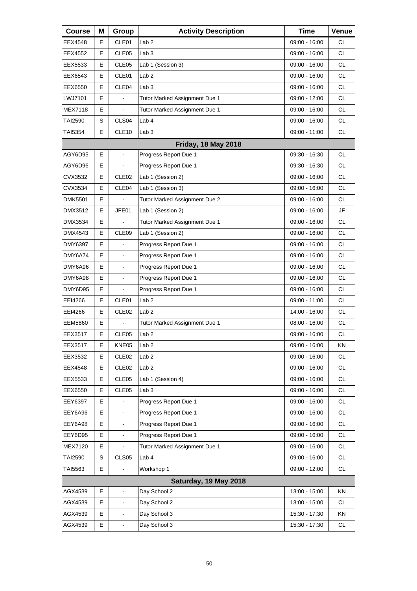| <b>Course</b>  | Μ  | Group                    | <b>Activity Description</b>   | <b>Time</b>     | Venue     |
|----------------|----|--------------------------|-------------------------------|-----------------|-----------|
| EEX4548        | Е  | CLE01                    | Lab <sub>2</sub>              | 09:00 - 16:00   | СL        |
| EEX4552        | Е  | CLE05                    | Lab <sub>3</sub>              | 09:00 - 16:00   | <b>CL</b> |
| EEX5533        | E  | CLE05                    | Lab 1 (Session 3)             | $09:00 - 16:00$ | <b>CL</b> |
| EEX6543        | Е  | CLE01                    | Lab <sub>2</sub>              | 09:00 - 16:00   | <b>CL</b> |
| EEX6550        | E  | CLE04                    | Lab <sub>3</sub>              | 09:00 - 16:00   | <b>CL</b> |
| LWJ7101        | E  |                          | Tutor Marked Assignment Due 1 | 09:00 - 12:00   | <b>CL</b> |
| MEX7118        | E  | $\blacksquare$           | Tutor Marked Assignment Due 1 | 09:00 - 16:00   | <b>CL</b> |
| TAI2590        | S  | CLS04                    | Lab <sub>4</sub>              | $09:00 - 16:00$ | <b>CL</b> |
| TAI5354        | E. | CLE <sub>10</sub>        | Lab <sub>3</sub>              | 09:00 - 11:00   | <b>CL</b> |
|                |    |                          | <b>Friday, 18 May 2018</b>    |                 |           |
| AGY6D95        | E  |                          | Progress Report Due 1         | 09:30 - 16:30   | <b>CL</b> |
| AGY6D96        | E  |                          | Progress Report Due 1         | $09:30 - 16:30$ | <b>CL</b> |
| CVX3532        | Е  | CLE <sub>02</sub>        | Lab 1 (Session 2)             | 09:00 - 16:00   | <b>CL</b> |
| CVX3534        | E  | CLE04                    | Lab 1 (Session 3)             | $09:00 - 16:00$ | <b>CL</b> |
| <b>DMK5501</b> | E  |                          | Tutor Marked Assignment Due 2 | 09:00 - 16:00   | <b>CL</b> |
| DMX3512        | Е  | JFE01                    | Lab 1 (Session 2)             | $09:00 - 16:00$ | JF        |
| DMX3534        | E  |                          | Tutor Marked Assignment Due 1 | $09:00 - 16:00$ | <b>CL</b> |
| DMX4543        | E  | CLE09                    | Lab 1 (Session 2)             | 09:00 - 16:00   | <b>CL</b> |
| DMY6397        | Е  |                          | Progress Report Due 1         | 09:00 - 16:00   | <b>CL</b> |
| DMY6A74        | E  |                          | Progress Report Due 1         | 09:00 - 16:00   | <b>CL</b> |
| DMY6A96        | E  | $\blacksquare$           | Progress Report Due 1         | 09:00 - 16:00   | <b>CL</b> |
| DMY6A98        | Е  | $\blacksquare$           | Progress Report Due 1         | 09:00 - 16:00   | <b>CL</b> |
| DMY6D95        | E  |                          | Progress Report Due 1         | 09:00 - 16:00   | <b>CL</b> |
| EEI4266        | E  | CLE01                    | Lab <sub>2</sub>              | 09:00 - 11:00   | <b>CL</b> |
| EEI4266        | Е  | CLE <sub>02</sub>        | Lab <sub>2</sub>              | 14:00 - 16:00   | CL        |
| <b>EEM5860</b> | E  |                          | Tutor Marked Assignment Due 1 | $08:00 - 16:00$ | <b>CL</b> |
| EEX3517        | E  | CLE05                    | Lab <sub>2</sub>              | 09:00 - 16:00   | <b>CL</b> |
| EEX3517        | Е  | KNE05                    | Lab <sub>2</sub>              | 09:00 - 16:00   | ΚN        |
| EEX3532        | Е  | CLE <sub>02</sub>        | Lab <sub>2</sub>              | $09:00 - 16:00$ | <b>CL</b> |
| EEX4548        | Е  | CLE <sub>02</sub>        | Lab <sub>2</sub>              | 09:00 - 16:00   | CL        |
| EEX5533        | Е  | CLE <sub>05</sub>        | Lab 1 (Session 4)             | 09:00 - 16:00   | CL.       |
| EEX6550        | Е  | CLE05                    | Lab <sub>3</sub>              | $09:00 - 16:00$ | <b>CL</b> |
| EEY6397        | E  |                          | Progress Report Due 1         | 09:00 - 16:00   | CL        |
| EEY6A96        | E  | $\blacksquare$           | Progress Report Due 1         | 09:00 - 16:00   | CL.       |
| EEY6A98        | E  |                          | Progress Report Due 1         | 09:00 - 16:00   | <b>CL</b> |
| EEY6D95        | E  |                          | Progress Report Due 1         | 09:00 - 16:00   | CL        |
| <b>MEX7120</b> | Е  |                          | Tutor Marked Assignment Due 1 | 09:00 - 16:00   | CL        |
| <b>TAI2590</b> | S  | CLS <sub>05</sub>        | Lab 4                         | 09:00 - 16:00   | <b>CL</b> |
| TAI5563        | E  |                          | Workshop 1                    | 09:00 - 12:00   | <b>CL</b> |
|                |    |                          | Saturday, 19 May 2018         |                 |           |
| AGX4539        | Е  |                          | Day School 2                  | 13:00 - 15:00   | KN        |
| AGX4539        | E  |                          | Day School 2                  | 13:00 - 15:00   | <b>CL</b> |
| AGX4539        | E  | $\overline{\phantom{a}}$ | Day School 3                  | 15:30 - 17:30   | ΚN        |
| AGX4539        | E  |                          | Day School 3                  | 15:30 - 17:30   | <b>CL</b> |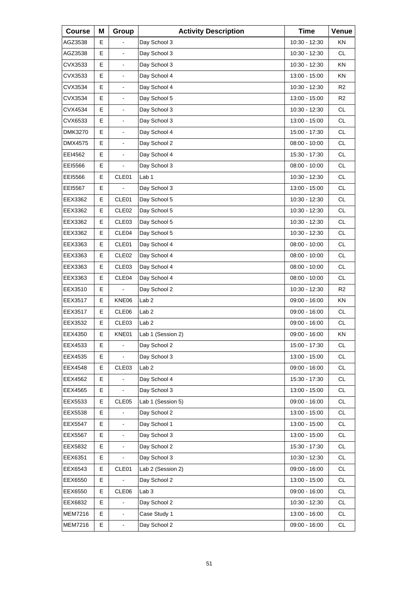| <b>Course</b>  | Μ | Group             | <b>Activity Description</b> | <b>Time</b>     | Venue          |
|----------------|---|-------------------|-----------------------------|-----------------|----------------|
| AGZ3538        | Е |                   | Day School 3                | 10:30 - 12:30   | ΚN             |
| AGZ3538        | E | $\blacksquare$    | Day School 3                | 10:30 - 12:30   | <b>CL</b>      |
| CVX3533        | E | $\frac{1}{2}$     | Day School 3                | 10:30 - 12:30   | KN             |
| CVX3533        | Е | $\blacksquare$    | Day School 4                | 13:00 - 15:00   | ΚN             |
| CVX3534        | E | $\blacksquare$    | Day School 4                | 10:30 - 12:30   | R2             |
| CVX3534        | E | $\frac{1}{2}$     | Day School 5                | 13:00 - 15:00   | R <sub>2</sub> |
| CVX4534        | Е | $\blacksquare$    | Day School 3                | 10:30 - 12:30   | <b>CL</b>      |
| CVX6533        | E | $\blacksquare$    | Day School 3                | 13:00 - 15:00   | <b>CL</b>      |
| DMK3270        | E | $\frac{1}{2}$     | Day School 4                | 15:00 - 17:30   | <b>CL</b>      |
| DMX4575        | Е | $\blacksquare$    | Day School 2                | 08:00 - 10:00   | <b>CL</b>      |
| EEI4562        | E | $\blacksquare$    | Day School 4                | 15:30 - 17:30   | <b>CL</b>      |
| EEI5566        | Е |                   | Day School 3                | $08:00 - 10:00$ | <b>CL</b>      |
| EEI5566        | Е | CLE01             | Lab 1                       | 10:30 - 12:30   | <b>CL</b>      |
| <b>EEI5567</b> | E |                   | Day School 3                | 13:00 - 15:00   | <b>CL</b>      |
| EEX3362        | Е | CLE01             | Day School 5                | 10:30 - 12:30   | <b>CL</b>      |
| EEX3362        | Е | CLE <sub>02</sub> | Day School 5                | 10:30 - 12:30   | <b>CL</b>      |
| EEX3362        | E | CLE03             | Day School 5                | 10:30 - 12:30   | <b>CL</b>      |
| EEX3362        | Е | CLE04             | Day School 5                | 10:30 - 12:30   | <b>CL</b>      |
| EEX3363        | Е | CLE01             | Day School 4                | 08:00 - 10:00   | <b>CL</b>      |
| EEX3363        | E | CLE <sub>02</sub> | Day School 4                | 08:00 - 10:00   | <b>CL</b>      |
| EEX3363        | Е | CLE <sub>03</sub> | Day School 4                | 08:00 - 10:00   | <b>CL</b>      |
| EEX3363        | Е | CLE04             | Day School 4                | 08:00 - 10:00   | <b>CL</b>      |
| EEX3510        | E |                   | Day School 2                | 10:30 - 12:30   | R <sub>2</sub> |
| EEX3517        | Е | KNE06             | Lab <sub>2</sub>            | $09:00 - 16:00$ | KN             |
| EEX3517        | Е | CLE06             | Lab <sub>2</sub>            | 09:00 - 16:00   | <b>CL</b>      |
| EEX3532        | E | CLE03             | Lab <sub>2</sub>            | 09:00 - 16:00   | <b>CL</b>      |
| EEX4350        | E | KNE01             | Lab 1 (Session 2)           | 09:00 - 16:00   | KN             |
| EEX4533        | Е | $\blacksquare$    | Day School 2                | 15:00 - 17:30   | CL             |
| EEX4535        | Е |                   | Day School 3                | 13:00 - 15:00   | CL             |
| EEX4548        | Е | CLE <sub>03</sub> | Lab <sub>2</sub>            | 09:00 - 16:00   | CL             |
| EEX4562        | E |                   | Day School 4                | 15:30 - 17:30   | CL             |
| EEX4565        | Е |                   | Day School 3                | 13:00 - 15:00   | CL             |
| EEX5533        | Е | CLE <sub>05</sub> | Lab 1 (Session 5)           | 09:00 - 16:00   | CL             |
| EEX5538        | E |                   | Day School 2                | 13:00 - 15:00   | CL             |
| <b>EEX5547</b> | E |                   | Day School 1                | 13:00 - 15:00   | CL             |
| <b>EEX5567</b> | E | $\blacksquare$    | Day School 3                | 13:00 - 15:00   | CL             |
| EEX5832        | Е |                   | Day School 2                | 15:30 - 17:30   | CL             |
| EEX6351        | Е |                   | Day School 3                | 10:30 - 12:30   | CL             |
| EEX6543        | Е | CLE01             | Lab 2 (Session 2)           | 09:00 - 16:00   | CL             |
| EEX6550        | Е |                   | Day School 2                | 13:00 - 15:00   | CL             |
| EEX6550        | Е | CLE06             | Lab <sub>3</sub>            | 09:00 - 16:00   | CL             |
| EEX6832        | E |                   | Day School 2                | 10:30 - 12:30   | CL             |
| <b>MEM7216</b> | E | $\blacksquare$    | Case Study 1                | 13:00 - 16:00   | CL             |
| MEM7216        | E | $\blacksquare$    | Day School 2                | 09:00 - 16:00   | CL             |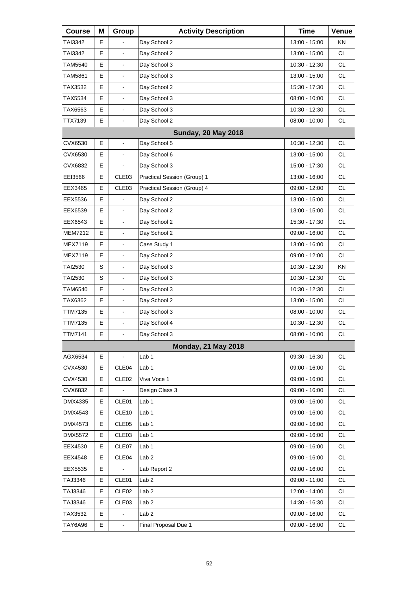| <b>Course</b>  | Μ | Group                    | <b>Activity Description</b> | <b>Time</b>     | Venue     |
|----------------|---|--------------------------|-----------------------------|-----------------|-----------|
| TAI3342        | Е |                          | Day School 2                | 13:00 - 15:00   | <b>KN</b> |
| TAI3342        | Е | $\blacksquare$           | Day School 2                | 13:00 - 15:00   | <b>CL</b> |
| TAM5540        | Е | $\blacksquare$           | Day School 3                | 10:30 - 12:30   | <b>CL</b> |
| TAM5861        | E | $\blacksquare$           | Day School 3                | 13:00 - 15:00   | <b>CL</b> |
| TAX3532        | Е | $\overline{\phantom{a}}$ | Day School 2                | 15:30 - 17:30   | <b>CL</b> |
| TAX5534        | Е | $\blacksquare$           | Day School 3                | $08:00 - 10:00$ | <b>CL</b> |
| TAX6563        | E | $\blacksquare$           | Day School 3                | 10:30 - 12:30   | <b>CL</b> |
| TTX7139        | Е | $\blacksquare$           | Day School 2                | 08:00 - 10:00   | <b>CL</b> |
|                |   |                          | <b>Sunday, 20 May 2018</b>  |                 |           |
| CVX6530        | E | $\blacksquare$           | Day School 5                | 10:30 - 12:30   | <b>CL</b> |
| CVX6530        | Е |                          | Day School 6                | 13:00 - 15:00   | <b>CL</b> |
| CVX6832        | Е |                          | Day School 3                | 15:00 - 17:30   | <b>CL</b> |
| EEI3566        | Е | CLE <sub>03</sub>        | Practical Session (Group) 1 | 13:00 - 16:00   | <b>CL</b> |
| EEX3465        | Е | CLE03                    | Practical Session (Group) 4 | 09:00 - 12:00   | <b>CL</b> |
| EEX5536        | Е |                          | Day School 2                | 13:00 - 15:00   | <b>CL</b> |
| EEX6539        | E | $\blacksquare$           | Day School 2                | 13:00 - 15:00   | <b>CL</b> |
| EEX6543        | Е | $\overline{\phantom{a}}$ | Day School 2                | 15:30 - 17:30   | <b>CL</b> |
| <b>MEM7212</b> | Е | $\mathbf{r}$             | Day School 2                | 09:00 - 16:00   | <b>CL</b> |
| MEX7119        | E | $\blacksquare$           | Case Study 1                | 13:00 - 16:00   | <b>CL</b> |
| MEX7119        | Е |                          | Day School 2                | 09:00 - 12:00   | <b>CL</b> |
| TAI2530        | S | $\mathbf{r}$             | Day School 3                | 10:30 - 12:30   | <b>KN</b> |
| TAI2530        | S | $\blacksquare$           | Day School 3                | 10:30 - 12:30   | <b>CL</b> |
| TAM6540        | Е | $\overline{\phantom{a}}$ | Day School 3                | 10:30 - 12:30   | <b>CL</b> |
| TAX6362        | Е | $\mathbf{r}$             | Day School 2                | 13:00 - 15:00   | <b>CL</b> |
| TTM7135        | E | $\blacksquare$           | Day School 3                | $08:00 - 10:00$ | <b>CL</b> |
| <b>TTM7135</b> | E |                          | Day School 4                | 10:30 - 12:30   | CL        |
| TTM7141        | E | $\blacksquare$           | Day School 3                | 08:00 - 10:00   | <b>CL</b> |
|                |   |                          | <b>Monday, 21 May 2018</b>  |                 |           |
| AGX6534        | Е | $\blacksquare$           | Lab 1                       | 09:30 - 16:30   | <b>CL</b> |
| CVX4530        | Е | CLE04                    | Lab <sub>1</sub>            | $09:00 - 16:00$ | <b>CL</b> |
| CVX4530        | Е | CLE <sub>02</sub>        | Viva Voce 1                 | 09:00 - 16:00   | CL        |
| CVX6832        | Е |                          | Design Class 3              | 09:00 - 16:00   | <b>CL</b> |
| DMX4335        | Е | CLE01                    | Lab 1                       | 09:00 - 16:00   | <b>CL</b> |
| DMX4543        | Е | CLE <sub>10</sub>        | Lab 1                       | 09:00 - 16:00   | CL        |
| DMX4573        | Е | CLE <sub>05</sub>        | Lab 1                       | 09:00 - 16:00   | CL        |
| <b>DMX5572</b> | Е | CLE <sub>03</sub>        | Lab 1                       | 09:00 - 16:00   | <b>CL</b> |
| EEX4530        | Е | CLE07                    | Lab 1                       | 09:00 - 16:00   | CL        |
| EEX4548        | Е | CLE04                    | Lab <sub>2</sub>            | 09:00 - 16:00   | CL        |
| EEX5535        | Е |                          | Lab Report 2                | 09:00 - 16:00   | <b>CL</b> |
| TAJ3346        | Е | CLE01                    | Lab <sub>2</sub>            | 09:00 - 11:00   | CL        |
| TAJ3346        | Е | CLE <sub>02</sub>        | Lab <sub>2</sub>            | 12:00 - 14:00   | CL        |
| TAJ3346        | Е | CLE <sub>03</sub>        | Lab <sub>2</sub>            | 14:30 - 16:30   | <b>CL</b> |
| TAX3532        | Е | $\Box$                   | Lab <sub>2</sub>            | 09:00 - 16:00   | CL        |
| TAY6A96        | Е | $\blacksquare$           | Final Proposal Due 1        | 09:00 - 16:00   | CL        |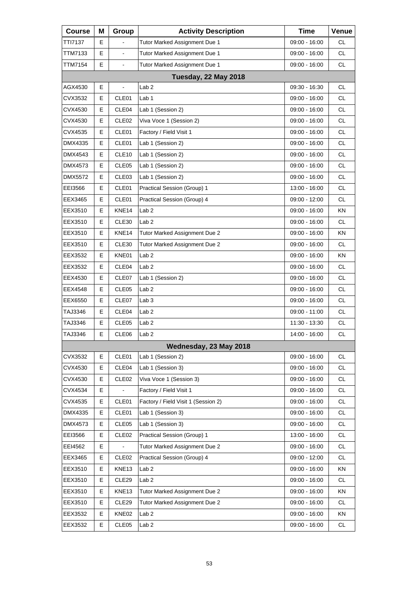| <b>Course</b>  | Μ | Group             | <b>Activity Description</b>         | <b>Time</b>     | Venue     |
|----------------|---|-------------------|-------------------------------------|-----------------|-----------|
| TTI7137        | Е |                   | Tutor Marked Assignment Due 1       | 09:00 - 16:00   | СL        |
| TTM7133        | E | $\overline{a}$    | Tutor Marked Assignment Due 1       | 09:00 - 16:00   | <b>CL</b> |
| TTM7154        | E | $\blacksquare$    | Tutor Marked Assignment Due 1       | 09:00 - 16:00   | <b>CL</b> |
|                |   |                   | <b>Tuesday, 22 May 2018</b>         |                 |           |
| AGX4530        | E |                   | Lab <sub>2</sub>                    | 09:30 - 16:30   | <b>CL</b> |
| CVX3532        | Е | CLE01             | Lab 1                               | 09:00 - 16:00   | <b>CL</b> |
| CVX4530        | Е | CLE04             | Lab 1 (Session 2)                   | 09:00 - 16:00   | <b>CL</b> |
| CVX4530        | E | CLE <sub>02</sub> | Viva Voce 1 (Session 2)             | 09:00 - 16:00   | <b>CL</b> |
| CVX4535        | Е | CLE01             | Factory / Field Visit 1             | 09:00 - 16:00   | <b>CL</b> |
| DMX4335        | Е | CLE01             | Lab 1 (Session 2)                   | 09:00 - 16:00   | <b>CL</b> |
| DMX4543        | E | CLE10             | Lab 1 (Session 2)                   | 09:00 - 16:00   | <b>CL</b> |
| DMX4573        | Е | CLE05             | Lab 1 (Session 2)                   | 09:00 - 16:00   | <b>CL</b> |
| <b>DMX5572</b> | Е | CLE <sub>03</sub> | Lab 1 (Session 2)                   | 09:00 - 16:00   | <b>CL</b> |
| EEI3566        | E | CLE01             | Practical Session (Group) 1         | 13:00 - 16:00   | <b>CL</b> |
| EEX3465        | Е | CLE01             | Practical Session (Group) 4         | 09:00 - 12:00   | <b>CL</b> |
| EEX3510        | Е | KNE14             | Lab <sub>2</sub>                    | 09:00 - 16:00   | ΚN        |
| EEX3510        | E | <b>CLE30</b>      | Lab <sub>2</sub>                    | 09:00 - 16:00   | <b>CL</b> |
| EEX3510        | Е | KNE14             | Tutor Marked Assignment Due 2       | 09:00 - 16:00   | KN        |
| EEX3510        | Е | CLE30             | Tutor Marked Assignment Due 2       | 09:00 - 16:00   | CL        |
| EEX3532        | E | KNE01             | Lab <sub>2</sub>                    | 09:00 - 16:00   | KN        |
| EEX3532        | Е | CLE04             | Lab <sub>2</sub>                    | 09:00 - 16:00   | <b>CL</b> |
| EEX4530        | Е | CLE07             | Lab 1 (Session 2)                   | 09:00 - 16:00   | <b>CL</b> |
| EEX4548        | E | CLE05             | Lab <sub>2</sub>                    | 09:00 - 16:00   | <b>CL</b> |
| EEX6550        | Е | CLE07             | Lab <sub>3</sub>                    | 09:00 - 16:00   | <b>CL</b> |
| TAJ3346        | Е | CLE04             | Lab <sub>2</sub>                    | 09:00 - 11:00   | CL        |
| TAJ3346        | E | CLE05             | Lab <sub>2</sub>                    | 11:30 - 13:30   | <b>CL</b> |
| TAJ3346        | Е | CLE06             | Lab <sub>2</sub>                    | 14:00 - 16:00   | <b>CL</b> |
|                |   |                   | Wednesday, 23 May 2018              |                 |           |
| CVX3532        | Е | CLE01             | Lab 1 (Session 2)                   | 09:00 - 16:00   | <b>CL</b> |
| CVX4530        | Е | CLE04             | Lab 1 (Session 3)                   | 09:00 - 16:00   | <b>CL</b> |
| CVX4530        | Е | CLE <sub>02</sub> | Viva Voce 1 (Session 3)             | $09:00 - 16:00$ | CL        |
| CVX4534        | Е |                   | Factory / Field Visit 1             | 09:00 - 16:00   | <b>CL</b> |
| CVX4535        | Е | CLE01             | Factory / Field Visit 1 (Session 2) | 09:00 - 16:00   | <b>CL</b> |
| DMX4335        | Е | CLE01             | Lab 1 (Session 3)                   | 09:00 - 16:00   | CL        |
| DMX4573        | Е | CLE05             | Lab 1 (Session 3)                   | 09:00 - 16:00   | <b>CL</b> |
| EEI3566        | Е | CLE <sub>02</sub> | Practical Session (Group) 1         | 13:00 - 16:00   | <b>CL</b> |
| EEI4562        | Е |                   | Tutor Marked Assignment Due 2       | 09:00 - 16:00   | CL        |
| EEX3465        | Е | CLE <sub>02</sub> | Practical Session (Group) 4         | 09:00 - 12:00   | <b>CL</b> |
| EEX3510        | Е | KNE13             | Lab <sub>2</sub>                    | 09:00 - 16:00   | KN        |
| EEX3510        | Е | CLE <sub>29</sub> | Lab <sub>2</sub>                    | 09:00 - 16:00   | CL        |
| EEX3510        | Е | KNE13             | Tutor Marked Assignment Due 2       | 09:00 - 16:00   | <b>KN</b> |
| EEX3510        | Е | CLE29             | Tutor Marked Assignment Due 2       | 09:00 - 16:00   | <b>CL</b> |
| EEX3532        | Е | KNE02             | Lab <sub>2</sub>                    | 09:00 - 16:00   | ΚN        |
| EEX3532        | Е | CLE05             | Lab <sub>2</sub>                    | 09:00 - 16:00   | <b>CL</b> |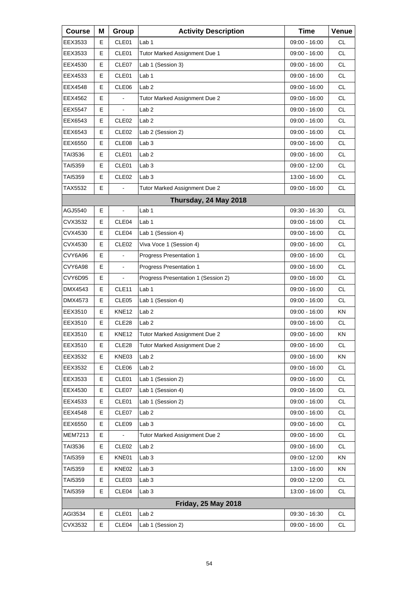| <b>Course</b>  | Μ | Group             | <b>Activity Description</b>         | <b>Time</b>     | Venue     |
|----------------|---|-------------------|-------------------------------------|-----------------|-----------|
| EEX3533        | Е | CLE01             | Lab <sub>1</sub>                    | 09:00 - 16:00   | СL        |
| EEX3533        | Е | CLE01             | Tutor Marked Assignment Due 1       | 09:00 - 16:00   | <b>CL</b> |
| EEX4530        | Е | CLE07             | Lab 1 (Session 3)                   | 09:00 - 16:00   | <b>CL</b> |
| EEX4533        | Е | CLE01             | Lab <sub>1</sub>                    | 09:00 - 16:00   | <b>CL</b> |
| EEX4548        | Е | CLE <sub>06</sub> | Lab <sub>2</sub>                    | 09:00 - 16:00   | <b>CL</b> |
| EEX4562        | E |                   | Tutor Marked Assignment Due 2       | 09:00 - 16:00   | <b>CL</b> |
| <b>EEX5547</b> | Е | $\blacksquare$    | Lab <sub>2</sub>                    | 09:00 - 16:00   | <b>CL</b> |
| EEX6543        | Е | CLE <sub>02</sub> | Lab <sub>2</sub>                    | 09:00 - 16:00   | <b>CL</b> |
| EEX6543        | Е | CLE <sub>02</sub> | Lab 2 (Session 2)                   | 09:00 - 16:00   | <b>CL</b> |
| EEX6550        | Е | CLE <sub>08</sub> | Lab <sub>3</sub>                    | 09:00 - 16:00   | <b>CL</b> |
| TAI3536        | Е | CLE01             | Lab <sub>2</sub>                    | 09:00 - 16:00   | <b>CL</b> |
| <b>TAI5359</b> | E | CLE01             | Lab <sub>3</sub>                    | 09:00 - 12:00   | <b>CL</b> |
| TAI5359        | Е | CLE <sub>02</sub> | Lab <sub>3</sub>                    | 13:00 - 16:00   | <b>CL</b> |
| TAX5532        | Е |                   | Tutor Marked Assignment Due 2       | 09:00 - 16:00   | <b>CL</b> |
|                |   |                   | Thursday, 24 May 2018               |                 |           |
| AGJ5540        | Е | $\blacksquare$    | Lab <sub>1</sub>                    | 09:30 - 16:30   | CL        |
| CVX3532        | E | CLE04             | Lab <sub>1</sub>                    | 09:00 - 16:00   | <b>CL</b> |
| CVX4530        | E | CLE04             | Lab 1 (Session 4)                   | 09:00 - 16:00   | <b>CL</b> |
| CVX4530        | Е | CLE <sub>02</sub> | Viva Voce 1 (Session 4)             | 09:00 - 16:00   | <b>CL</b> |
| CVY6A96        | E |                   | Progress Presentation 1             | 09:00 - 16:00   | <b>CL</b> |
| CVY6A98        | E | $\blacksquare$    | Progress Presentation 1             | 09:00 - 16:00   | <b>CL</b> |
| CVY6D95        | Е | $\blacksquare$    | Progress Presentation 1 (Session 2) | 09:00 - 16:00   | <b>CL</b> |
| DMX4543        | E | CLE <sub>11</sub> | Lab <sub>1</sub>                    | 09:00 - 16:00   | <b>CL</b> |
| DMX4573        | E | CLE <sub>05</sub> | Lab 1 (Session 4)                   | 09:00 - 16:00   | <b>CL</b> |
| EEX3510        | Е | KNE <sub>12</sub> | Lab <sub>2</sub>                    | 09:00 - 16:00   | ΚN        |
| EEX3510        | Е | CLE <sub>28</sub> | Lab <sub>2</sub>                    | 09:00 - 16:00   | <b>CL</b> |
| EEX3510        | E | <b>KNE12</b>      | Tutor Marked Assignment Due 2       | $09:00 - 16:00$ | <b>KN</b> |
| EEX3510        | Е | CLE28             | Tutor Marked Assignment Due 2       | 09:00 - 16:00   | <b>CL</b> |
| EEX3532        | Е | KNE03             | Lab <sub>2</sub>                    | 09:00 - 16:00   | KN        |
| EEX3532        | Е | CLE06             | Lab <sub>2</sub>                    | 09:00 - 16:00   | CL        |
| EEX3533        | Е | CLE01             | Lab 1 (Session 2)                   | 09:00 - 16:00   | CL.       |
| EEX4530        | Е | CLE07             | Lab 1 (Session 4)                   | 09:00 - 16:00   | CL        |
| EEX4533        | Е | CLE01             | Lab 1 (Session 2)                   | 09:00 - 16:00   | CL        |
| EEX4548        | Е | CLE07             | Lab <sub>2</sub>                    | 09:00 - 16:00   | CL.       |
| EEX6550        | Е | CLE09             | Lab <sub>3</sub>                    | 09:00 - 16:00   | CL        |
| MEM7213        | E |                   | Tutor Marked Assignment Due 2       | 09:00 - 16:00   | CL        |
| TAI3536        | Е | CLE <sub>02</sub> | Lab <sub>2</sub>                    | 09:00 - 16:00   | CL.       |
| TAI5359        | Е | KNE01             | Lab <sub>3</sub>                    | 09:00 - 12:00   | KN        |
| TAI5359        | Е | KNE02             | Lab <sub>3</sub>                    | 13:00 - 16:00   | KN        |
| TAI5359        | Ε | CLE03             | Lab <sub>3</sub>                    | 09:00 - 12:00   | CL.       |
| TAI5359        | Е | CLE04             | Lab <sub>3</sub>                    | 13:00 - 16:00   | CL        |
|                |   |                   | <b>Friday, 25 May 2018</b>          |                 |           |
| AGI3534        | Е | CLE01             | Lab <sub>2</sub>                    | 09:30 - 16:30   | <b>CL</b> |
| CVX3532        | Е | CLE04             | Lab 1 (Session 2)                   | 09:00 - 16:00   | CL.       |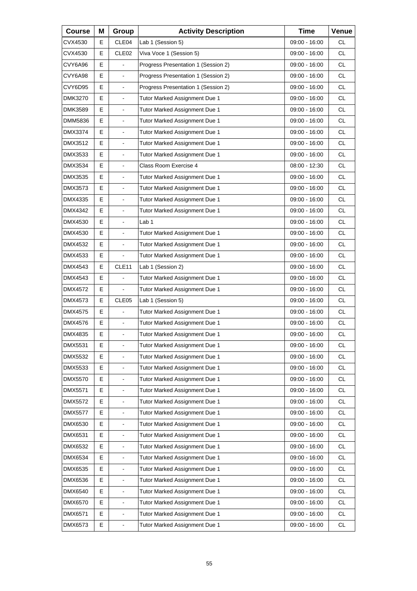| <b>Course</b>  | Μ | Group                    | <b>Activity Description</b>         | <b>Time</b>     | Venue     |
|----------------|---|--------------------------|-------------------------------------|-----------------|-----------|
| CVX4530        | Е | CLE04                    | Lab 1 (Session 5)                   | 09:00 - 16:00   | <b>CL</b> |
| CVX4530        | E | CLE <sub>02</sub>        | Viva Voce 1 (Session 5)             | 09:00 - 16:00   | <b>CL</b> |
| CVY6A96        | E | ÷.                       | Progress Presentation 1 (Session 2) | $09:00 - 16:00$ | <b>CL</b> |
| CVY6A98        | Е | $\blacksquare$           | Progress Presentation 1 (Session 2) | 09:00 - 16:00   | <b>CL</b> |
| CVY6D95        | E | $\blacksquare$           | Progress Presentation 1 (Session 2) | 09:00 - 16:00   | <b>CL</b> |
| DMK3270        | E | L,                       | Tutor Marked Assignment Due 1       | $09:00 - 16:00$ | <b>CL</b> |
| <b>DMK3589</b> | Е | $\blacksquare$           | Tutor Marked Assignment Due 1       | 09:00 - 16:00   | <b>CL</b> |
| DMM5836        | E | $\blacksquare$           | Tutor Marked Assignment Due 1       | 09:00 - 16:00   | <b>CL</b> |
| DMX3374        | E | $\blacksquare$           | Tutor Marked Assignment Due 1       | 09:00 - 16:00   | <b>CL</b> |
| DMX3512        | Е | $\blacksquare$           | Tutor Marked Assignment Due 1       | 09:00 - 16:00   | <b>CL</b> |
| DMX3533        | E | $\overline{a}$           | Tutor Marked Assignment Due 1       | 09:00 - 16:00   | <b>CL</b> |
| DMX3534        | E | ä,                       | Class Room Exercise 4               | 08:00 - 12:30   | <b>CL</b> |
| DMX3535        | Е | $\blacksquare$           | Tutor Marked Assignment Due 1       | 09:00 - 16:00   | <b>CL</b> |
| DMX3573        | E | $\blacksquare$           | Tutor Marked Assignment Due 1       | 09:00 - 16:00   | <b>CL</b> |
| DMX4335        | E | $\overline{\phantom{a}}$ | Tutor Marked Assignment Due 1       | $09:00 - 16:00$ | <b>CL</b> |
| DMX4342        | Е | $\blacksquare$           | Tutor Marked Assignment Due 1       | 09:00 - 16:00   | <b>CL</b> |
| DMX4530        | E | $\overline{a}$           | Lab <sub>1</sub>                    | 09:00 - 16:00   | <b>CL</b> |
| DMX4530        | E | $\overline{\phantom{a}}$ | Tutor Marked Assignment Due 1       | 09:00 - 16:00   | <b>CL</b> |
| DMX4532        | Е | $\blacksquare$           | Tutor Marked Assignment Due 1       | 09:00 - 16:00   | <b>CL</b> |
| DMX4533        | E |                          | Tutor Marked Assignment Due 1       | 09:00 - 16:00   | <b>CL</b> |
| DMX4543        | Е | CLE <sub>11</sub>        | Lab 1 (Session 2)                   | 09:00 - 16:00   | <b>CL</b> |
| DMX4543        | Е | $\blacksquare$           | Tutor Marked Assignment Due 1       | 09:00 - 16:00   | <b>CL</b> |
| DMX4572        | E |                          | Tutor Marked Assignment Due 1       | 09:00 - 16:00   | <b>CL</b> |
| DMX4573        | Е | CLE <sub>05</sub>        | Lab 1 (Session 5)                   | 09:00 - 16:00   | <b>CL</b> |
| DMX4575        | E | $\blacksquare$           | Tutor Marked Assignment Due 1       | 09:00 - 16:00   | <b>CL</b> |
| DMX4576        | E | $\blacksquare$           | Tutor Marked Assignment Due 1       | 09:00 - 16:00   | <b>CL</b> |
| DMX4835        | E | L,                       | Tutor Marked Assignment Due 1       | 09:00 - 16:00   | <b>CL</b> |
| <b>DMX5531</b> | Е | $\blacksquare$           | Tutor Marked Assignment Due 1       | $09:00 - 16:00$ | CL        |
| DMX5532        | E | $\blacksquare$           | Tutor Marked Assignment Due 1       | $09:00 - 16:00$ | <b>CL</b> |
| DMX5533        | E | L,                       | Tutor Marked Assignment Due 1       | 09:00 - 16:00   | <b>CL</b> |
| DMX5570        | E | $\blacksquare$           | Tutor Marked Assignment Due 1       | 09:00 - 16:00   | CL        |
| DMX5571        | E | $\overline{\phantom{a}}$ | Tutor Marked Assignment Due 1       | 09:00 - 16:00   | CL        |
| DMX5572        | E | L,                       | Tutor Marked Assignment Due 1       | 09:00 - 16:00   | <b>CL</b> |
| <b>DMX5577</b> | E | $\blacksquare$           | Tutor Marked Assignment Due 1       | 09:00 - 16:00   | CL        |
| DMX6530        | E | $\blacksquare$           | Tutor Marked Assignment Due 1       | 09:00 - 16:00   | CL        |
| DMX6531        | E | L,                       | Tutor Marked Assignment Due 1       | 09:00 - 16:00   | <b>CL</b> |
| DMX6532        | E | $\blacksquare$           | Tutor Marked Assignment Due 1       | 09:00 - 16:00   | CL        |
| DMX6534        | E | $\mathbf{r}$             | Tutor Marked Assignment Due 1       | 09:00 - 16:00   | CL        |
| DMX6535        | E | L,                       | Tutor Marked Assignment Due 1       | 09:00 - 16:00   | <b>CL</b> |
| DMX6536        | E | $\blacksquare$           | Tutor Marked Assignment Due 1       | 09:00 - 16:00   | CL        |
| DMX6540        | E | $\overline{\phantom{a}}$ | Tutor Marked Assignment Due 1       | 09:00 - 16:00   | CL        |
| DMX6570        | E | $\blacksquare$           | Tutor Marked Assignment Due 1       | 09:00 - 16:00   | <b>CL</b> |
| DMX6571        | E | $\blacksquare$           | Tutor Marked Assignment Due 1       | 09:00 - 16:00   | CL        |
| DMX6573        | E | $\blacksquare$           | Tutor Marked Assignment Due 1       | 09:00 - 16:00   | CL        |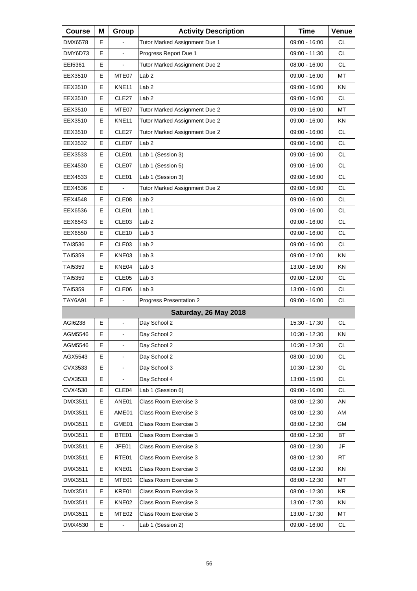| <b>Course</b>  | Μ | Group             | <b>Activity Description</b>   | <b>Time</b>     | Venue     |
|----------------|---|-------------------|-------------------------------|-----------------|-----------|
| DMX6578        | Е |                   | Tutor Marked Assignment Due 1 | 09:00 - 16:00   | <b>CL</b> |
| DMY6D73        | E |                   | Progress Report Due 1         | 09:00 - 11:30   | <b>CL</b> |
| EEI5361        | E | ä,                | Tutor Marked Assignment Due 2 | 08:00 - 16:00   | <b>CL</b> |
| EEX3510        | Е | MTE07             | Lab <sub>2</sub>              | 09:00 - 16:00   | MT        |
| EEX3510        | E | KNE11             | Lab <sub>2</sub>              | 09:00 - 16:00   | KN        |
| EEX3510        | E | CLE27             | Lab <sub>2</sub>              | 09:00 - 16:00   | <b>CL</b> |
| EEX3510        | Е | MTE07             | Tutor Marked Assignment Due 2 | 09:00 - 16:00   | МT        |
| EEX3510        | E | KNE11             | Tutor Marked Assignment Due 2 | $09:00 - 16:00$ | KN        |
| EEX3510        | E | CLE27             | Tutor Marked Assignment Due 2 | 09:00 - 16:00   | <b>CL</b> |
| EEX3532        | Е | CLE07             | Lab <sub>2</sub>              | 09:00 - 16:00   | <b>CL</b> |
| EEX3533        | E | CLE01             | Lab 1 (Session 3)             | 09:00 - 16:00   | <b>CL</b> |
| EEX4530        | E | CLE07             | Lab 1 (Session 5)             | 09:00 - 16:00   | <b>CL</b> |
| EEX4533        | Е | CLE01             | Lab 1 (Session 3)             | $09:00 - 16:00$ | <b>CL</b> |
| EEX4536        | E |                   | Tutor Marked Assignment Due 2 | 09:00 - 16:00   | <b>CL</b> |
| EEX4548        | Е | CLE08             | Lab <sub>2</sub>              | 09:00 - 16:00   | <b>CL</b> |
| EEX6536        | Е | CLE01             | Lab 1                         | $09:00 - 16:00$ | <b>CL</b> |
| EEX6543        | E | CLE03             | Lab <sub>2</sub>              | 09:00 - 16:00   | <b>CL</b> |
| EEX6550        | Е | CLE <sub>10</sub> | Lab <sub>3</sub>              | 09:00 - 16:00   | <b>CL</b> |
| TAI3536        | Е | CLE03             | Lab <sub>2</sub>              | 09:00 - 16:00   | <b>CL</b> |
| TAI5359        | E | KNE03             | Lab <sub>3</sub>              | 09:00 - 12:00   | <b>KN</b> |
| TAI5359        | Е | KNE04             | Lab <sub>3</sub>              | 13:00 - 16:00   | KN        |
| <b>TAI5359</b> | Е | CLE05             | Lab <sub>3</sub>              | 09:00 - 12:00   | <b>CL</b> |
| TAI5359        | E | CLE06             | Lab <sub>3</sub>              | 13:00 - 16:00   | <b>CL</b> |
| TAY6A91        | Е |                   | Progress Presentation 2       | $09:00 - 16:00$ | <b>CL</b> |
|                |   |                   | Saturday, 26 May 2018         |                 |           |
| AGI6238        | E | $\overline{a}$    | Day School 2                  | 15:30 - 17:30   | <b>CL</b> |
| AGM5546        | Е | L,                | Day School 2                  | 10:30 - 12:30   | ΚN        |
| AGM5546        | Е | $\blacksquare$    | Day School 2                  | 10:30 - 12:30   | <b>CL</b> |
| AGX5543        | E |                   | Day School 2                  | 08:00 - 10:00   | <b>CL</b> |
| CVX3533        | E |                   | Day School 3                  | 10:30 - 12:30   | <b>CL</b> |
| CVX3533        | Е |                   | Day School 4                  | 13:00 - 15:00   | CL        |
| CVX4530        | Е | CLE04             | Lab 1 (Session 6)             | 09:00 - 16:00   | CL        |
| DMX3511        | Е | ANE01             | Class Room Exercise 3         | $08:00 - 12:30$ | AN        |
| DMX3511        | Е | AME01             | Class Room Exercise 3         | 08:00 - 12:30   | AM        |
| DMX3511        | Е | GME01             | Class Room Exercise 3         | 08:00 - 12:30   | GM        |
| DMX3511        | Е | BTE01             | Class Room Exercise 3         | 08:00 - 12:30   | ВT        |
| DMX3511        | Е | JFE01             | Class Room Exercise 3         | 08:00 - 12:30   | JF        |
| DMX3511        | Е | RTE01             | Class Room Exercise 3         | 08:00 - 12:30   | RT        |
| DMX3511        | Е | KNE01             | Class Room Exercise 3         | 08:00 - 12:30   | ΚN        |
| DMX3511        | Е | MTE01             | Class Room Exercise 3         | 08:00 - 12:30   | MT        |
| DMX3511        | Е | KRE01             | Class Room Exercise 3         | 08:00 - 12:30   | KR        |
| DMX3511        | Е | KNE02             | Class Room Exercise 3         | 13:00 - 17:30   | KN        |
| DMX3511        | Е | MTE <sub>02</sub> | Class Room Exercise 3         | 13:00 - 17:30   | МT        |
| DMX4530        | E |                   | Lab 1 (Session 2)             | 09:00 - 16:00   | <b>CL</b> |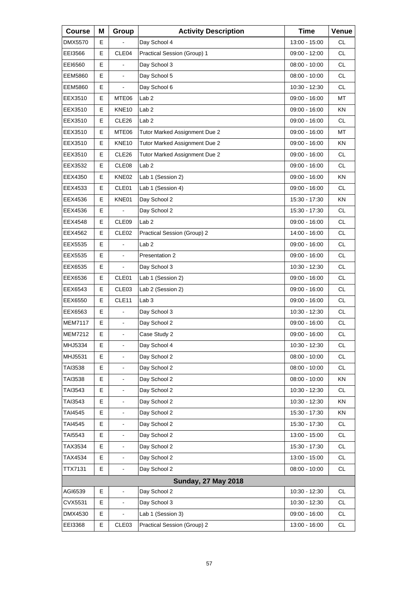| <b>Course</b>  | Μ  | Group             | <b>Activity Description</b>   | <b>Time</b>     | Venue     |
|----------------|----|-------------------|-------------------------------|-----------------|-----------|
| DMX5570        | E. |                   | Day School 4                  | 13:00 - 15:00   | <b>CL</b> |
| EEI3566        | E  | CLE04             | Practical Session (Group) 1   | 09:00 - 12:00   | <b>CL</b> |
| EE16560        | Е  |                   | Day School 3                  | $08:00 - 10:00$ | <b>CL</b> |
| <b>EEM5860</b> | Е  | $\blacksquare$    | Day School 5                  | $08:00 - 10:00$ | <b>CL</b> |
| <b>EEM5860</b> | E  |                   | Day School 6                  | 10:30 - 12:30   | <b>CL</b> |
| EEX3510        | Е  | MTE06             | Lab <sub>2</sub>              | 09:00 - 16:00   | МT        |
| EEX3510        | Е  | KNE <sub>10</sub> | Lab <sub>2</sub>              | 09:00 - 16:00   | ΚN        |
| EEX3510        | E  | CLE <sub>26</sub> | Lab <sub>2</sub>              | 09:00 - 16:00   | <b>CL</b> |
| EEX3510        | Е  | MTE06             | Tutor Marked Assignment Due 2 | 09:00 - 16:00   | МT        |
| EEX3510        | Е  | KNE <sub>10</sub> | Tutor Marked Assignment Due 2 | 09:00 - 16:00   | ΚN        |
| EEX3510        | E  | CLE26             | Tutor Marked Assignment Due 2 | 09:00 - 16:00   | <b>CL</b> |
| EEX3532        | Е  | CLE08             | Lab <sub>2</sub>              | 09:00 - 16:00   | <b>CL</b> |
| EEX4350        | Е  | KNE02             | Lab 1 (Session 2)             | 09:00 - 16:00   | ΚN        |
| EEX4533        | E  | CLE01             | Lab 1 (Session 4)             | 09:00 - 16:00   | <b>CL</b> |
| EEX4536        | Е  | KNE01             | Day School 2                  | 15:30 - 17:30   | KN        |
| EEX4536        | Е  |                   | Day School 2                  | 15:30 - 17:30   | <b>CL</b> |
| EEX4548        | E  | CLE09             | Lab <sub>2</sub>              | 09:00 - 16:00   | <b>CL</b> |
| EEX4562        | Е  | CLE <sub>02</sub> | Practical Session (Group) 2   | 14:00 - 16:00   | <b>CL</b> |
| EEX5535        | Е  |                   | Lab 2                         | 09:00 - 16:00   | <b>CL</b> |
| EEX5535        | E  | $\overline{a}$    | Presentation 2                | 09:00 - 16:00   | <b>CL</b> |
| EEX6535        | Е  | $\blacksquare$    | Day School 3                  | 10:30 - 12:30   | <b>CL</b> |
| EEX6536        | Е  | CLE01             | Lab 1 (Session 2)             | 09:00 - 16:00   | <b>CL</b> |
| EEX6543        | E  | CLE03             | Lab 2 (Session 2)             | 09:00 - 16:00   | <b>CL</b> |
| EEX6550        | Е  | CLE11             | Lab <sub>3</sub>              | 09:00 - 16:00   | <b>CL</b> |
| EEX6563        | Е  |                   | Day School 3                  | 10:30 - 12:30   | <b>CL</b> |
| MEM7117        | E  |                   | Day School 2                  | 09:00 - 16:00   | <b>CL</b> |
| <b>MEM7212</b> | Е  | $\blacksquare$    | Case Study 2                  | 09:00 - 16:00   | CL        |
| MHJ5334        | Е  | $\blacksquare$    | Day School 4                  | 10:30 - 12:30   | <b>CL</b> |
| MHJ5531        | Е  |                   | Day School 2                  | 08:00 - 10:00   | CL        |
| TAI3538        | Е  | $\blacksquare$    | Day School 2                  | 08:00 - 10:00   | CL        |
| TAI3538        | Е  |                   | Day School 2                  | 08:00 - 10:00   | KN        |
| TAI3543        | Е  |                   | Day School 2                  | 10:30 - 12:30   | CL        |
| TAI3543        | Е  | $\blacksquare$    | Day School 2                  | 10:30 - 12:30   | KN        |
| TAI4545        | Е  |                   | Day School 2                  | 15:30 - 17:30   | KN        |
| TAI4545        | Е  |                   | Day School 2                  | 15:30 - 17:30   | CL        |
| TAI5543        | Е  | $\blacksquare$    | Day School 2                  | 13:00 - 15:00   | CL        |
| TAX3534        | Е  | $\blacksquare$    | Day School 2                  | 15:30 - 17:30   | CL        |
| TAX4534        | Е  |                   | Day School 2                  | 13:00 - 15:00   | CL        |
| TTX7131        | Е  | $\blacksquare$    | Day School 2                  | 08:00 - 10:00   | CL        |
|                |    |                   | <b>Sunday, 27 May 2018</b>    |                 |           |
| AGI6539        | Е  |                   | Day School 2                  | 10:30 - 12:30   | CL        |
| CVX5531        | Е  | $\blacksquare$    | Day School 3                  | 10:30 - 12:30   | CL        |
| DMX4530        | Е  |                   | Lab 1 (Session 3)             | 09:00 - 16:00   | CL.       |
| EEI3368        | Е  | CLE03             | Practical Session (Group) 2   | 13:00 - 16:00   | CL        |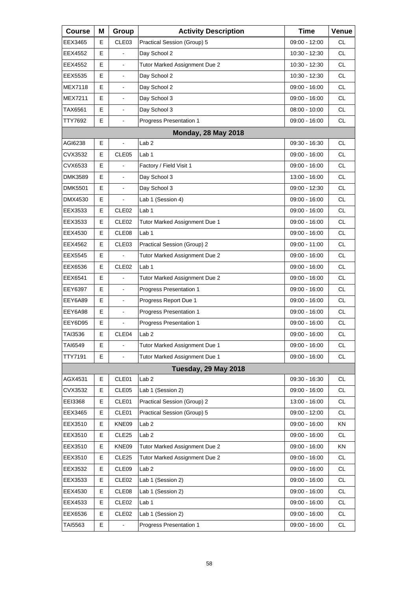| <b>Course</b>  | Μ | Group                    | <b>Activity Description</b>    | <b>Time</b>     | Venue     |
|----------------|---|--------------------------|--------------------------------|-----------------|-----------|
| EEX3465        | Е | CLE03                    | Practical Session (Group) 5    | 09:00 - 12:00   | <b>CL</b> |
| EEX4552        | Е |                          | Day School 2                   | 10:30 - 12:30   | <b>CL</b> |
| EEX4552        | Е | L,                       | Tutor Marked Assignment Due 2  | 10:30 - 12:30   | <b>CL</b> |
| EEX5535        | E | $\blacksquare$           | Day School 2                   | 10:30 - 12:30   | <b>CL</b> |
| <b>MEX7118</b> | E | ä,                       | Day School 2                   | 09:00 - 16:00   | <b>CL</b> |
| MEX7211        | Е | $\blacksquare$           | Day School 3                   | $09:00 - 16:00$ | <b>CL</b> |
| TAX6561        | E | $\blacksquare$           | Day School 3                   | $08:00 - 10:00$ | CL.       |
| TTY7692        | Е | $\blacksquare$           | Progress Presentation 1        | 09:00 - 16:00   | CL        |
|                |   |                          | <b>Monday, 28 May 2018</b>     |                 |           |
| AGI6238        | Е | $\overline{\phantom{a}}$ | Lab <sub>2</sub>               | 09:30 - 16:30   | <b>CL</b> |
| CVX3532        | Е | CLE05                    | Lab <sub>1</sub>               | 09:00 - 16:00   | <b>CL</b> |
| CVX6533        | Е | ä,                       | Factory / Field Visit 1        | 09:00 - 16:00   | <b>CL</b> |
| DMK3589        | E | L,                       | Day School 3                   | 13:00 - 16:00   | <b>CL</b> |
| <b>DMK5501</b> | Е | $\blacksquare$           | Day School 3                   | 09:00 - 12:30   | <b>CL</b> |
| DMX4530        | Е |                          | Lab 1 (Session 4)              | 09:00 - 16:00   | <b>CL</b> |
| EEX3533        | E | CLE <sub>02</sub>        | Lab 1                          | $09:00 - 16:00$ | <b>CL</b> |
| EEX3533        | Е | CLE <sub>02</sub>        | Tutor Marked Assignment Due 1  | 09:00 - 16:00   | <b>CL</b> |
| EEX4530        | Е | CLE <sub>08</sub>        | Lab <sub>1</sub>               | 09:00 - 16:00   | <b>CL</b> |
| EEX4562        | E | CLE <sub>03</sub>        | Practical Session (Group) 2    | 09:00 - 11:00   | <b>CL</b> |
| EEX5545        | Е |                          | Tutor Marked Assignment Due 2  | 09:00 - 16:00   | <b>CL</b> |
| EEX6536        | Е | CLE <sub>02</sub>        | Lab <sub>1</sub>               | 09:00 - 16:00   | <b>CL</b> |
| EEX6541        | E |                          | Tutor Marked Assignment Due 2  | 09:00 - 16:00   | <b>CL</b> |
| EEY6397        | Е | $\blacksquare$           | <b>Progress Presentation 1</b> | 09:00 - 16:00   | <b>CL</b> |
| EEY6A89        | Е | $\blacksquare$           | Progress Report Due 1          | 09:00 - 16:00   | <b>CL</b> |
| EEY6A98        | E | $\blacksquare$           | Progress Presentation 1        | 09:00 - 16:00   | <b>CL</b> |
| EEY6D95        | Е |                          | Progress Presentation 1        | 09:00 - 16:00   | CL        |
| TAI3536        | E | CLE04                    | Lab 2                          | 09:00 - 16:00   | <b>CL</b> |
| TAI6549        | Е | $\blacksquare$           | Tutor Marked Assignment Due 1  | 09:00 - 16:00   | CL        |
| TTY7191        | E | $\overline{\phantom{0}}$ | Tutor Marked Assignment Due 1  | 09:00 - 16:00   | <b>CL</b> |
|                |   |                          | Tuesday, 29 May 2018           |                 |           |
| AGX4531        | Е | CLE01                    | Lab <sub>2</sub>               | 09:30 - 16:30   | CL        |
| CVX3532        | Е | CLE05                    | Lab 1 (Session 2)              | 09:00 - 16:00   | <b>CL</b> |
| EEI3368        | Е | CLE01                    | Practical Session (Group) 2    | 13:00 - 16:00   | <b>CL</b> |
| EEX3465        | Е | CLE01                    | Practical Session (Group) 5    | 09:00 - 12:00   | CL        |
| EEX3510        | Е | KNE09                    | Lab <sub>2</sub>               | 09:00 - 16:00   | KN        |
| EEX3510        | Е | CLE <sub>25</sub>        | Lab <sub>2</sub>               | 09:00 - 16:00   | <b>CL</b> |
| EEX3510        | Ε | KNE09                    | Tutor Marked Assignment Due 2  | 09:00 - 16:00   | KN        |
| EEX3510        | Е | CLE <sub>25</sub>        | Tutor Marked Assignment Due 2  | 09:00 - 16:00   | <b>CL</b> |
| EEX3532        | Е | CLE09                    | Lab <sub>2</sub>               | 09:00 - 16:00   | <b>CL</b> |
| EEX3533        | Е | CLE <sub>02</sub>        | Lab 1 (Session 2)              | 09:00 - 16:00   | CL        |
| EEX4530        | Е | CLE08                    | Lab 1 (Session 2)              | 09:00 - 16:00   | <b>CL</b> |
| EEX4533        | Е | CLE <sub>02</sub>        | Lab 1                          | 09:00 - 16:00   | <b>CL</b> |
| EEX6536        | Ε | CLE <sub>02</sub>        | Lab 1 (Session 2)              | 09:00 - 16:00   | CL        |
| TAI5563        | Е |                          | Progress Presentation 1        | 09:00 - 16:00   | CL.       |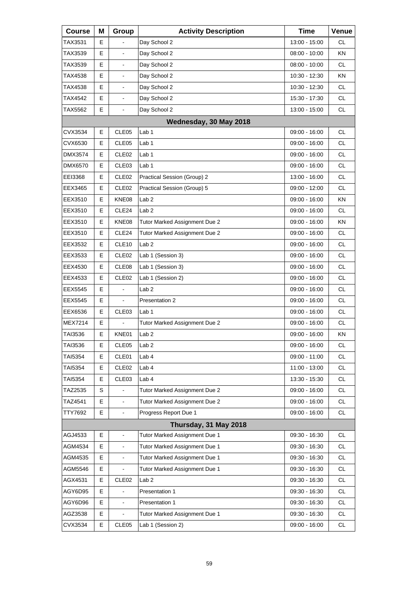| <b>Course</b>  | Μ  | Group                    | <b>Activity Description</b>   | <b>Time</b>   | Venue     |
|----------------|----|--------------------------|-------------------------------|---------------|-----------|
| TAX3531        | Е  |                          | Day School 2                  | 13:00 - 15:00 | <b>CL</b> |
| TAX3539        | Е  | $\overline{\phantom{a}}$ | Day School 2                  | 08:00 - 10:00 | ΚN        |
| TAX3539        | Е  | $\blacksquare$           | Day School 2                  | 08:00 - 10:00 | <b>CL</b> |
| TAX4538        | E  | $\blacksquare$           | Day School 2                  | 10:30 - 12:30 | <b>KN</b> |
| TAX4538        | Е  |                          | Day School 2                  | 10:30 - 12:30 | <b>CL</b> |
| TAX4542        | Е  | $\blacksquare$           | Day School 2                  | 15:30 - 17:30 | <b>CL</b> |
| TAX5562        | E  | $\blacksquare$           | Day School 2                  | 13:00 - 15:00 | <b>CL</b> |
|                |    |                          | Wednesday, 30 May 2018        |               |           |
| CVX3534        | Е  | CLE <sub>05</sub>        | Lab <sub>1</sub>              | 09:00 - 16:00 | <b>CL</b> |
| CVX6530        | Е  | CLE <sub>05</sub>        | Lab 1                         | 09:00 - 16:00 | <b>CL</b> |
| DMX3574        | Е  | CLE <sub>02</sub>        | Lab 1                         | 09:00 - 16:00 | <b>CL</b> |
| DMX6570        | Е  | CLE <sub>03</sub>        | Lab 1                         | 09:00 - 16:00 | <b>CL</b> |
| EEI3368        | Е  | CLE <sub>02</sub>        | Practical Session (Group) 2   | 13:00 - 16:00 | <b>CL</b> |
| EEX3465        | Е  | CLE <sub>02</sub>        | Practical Session (Group) 5   | 09:00 - 12:00 | <b>CL</b> |
| EEX3510        | Е  | KNE08                    | Lab <sub>2</sub>              | 09:00 - 16:00 | <b>KN</b> |
| EEX3510        | Е  | CLE24                    | Lab <sub>2</sub>              | 09:00 - 16:00 | <b>CL</b> |
| EEX3510        | Е  | KNE08                    | Tutor Marked Assignment Due 2 | 09:00 - 16:00 | KN        |
| EEX3510        | Е  | CLE <sub>24</sub>        | Tutor Marked Assignment Due 2 | 09:00 - 16:00 | <b>CL</b> |
| EEX3532        | Е  | CLE <sub>10</sub>        | Lab <sub>2</sub>              | 09:00 - 16:00 | <b>CL</b> |
| EEX3533        | Е  | CLE <sub>02</sub>        | Lab 1 (Session 3)             | 09:00 - 16:00 | <b>CL</b> |
| EEX4530        | Е  | CLE <sub>08</sub>        | Lab 1 (Session 3)             | 09:00 - 16:00 | <b>CL</b> |
| EEX4533        | Е  | CLE <sub>02</sub>        | Lab 1 (Session 2)             | 09:00 - 16:00 | <b>CL</b> |
| EEX5545        | Е  |                          | Lab <sub>2</sub>              | 09:00 - 16:00 | <b>CL</b> |
| <b>EEX5545</b> | Е  |                          | Presentation 2                | 09:00 - 16:00 | <b>CL</b> |
| EEX6536        | E  | CLE <sub>03</sub>        | Lab <sub>1</sub>              | 09:00 - 16:00 | <b>CL</b> |
| MEX7214        | Е  |                          | Tutor Marked Assignment Due 2 | 09:00 - 16:00 | CL        |
| TAI3536        | E  | KNE01                    | Lab <sub>2</sub>              | 09:00 - 16:00 | ΚN        |
| TAI3536        | Е  | CLE05                    | Lab <sub>2</sub>              | 09:00 - 16:00 | CL        |
| TAI5354        | Е  | CLE01                    | Lab 4                         | 09:00 - 11:00 | CL.       |
| TAI5354        | Е  | CLE <sub>02</sub>        | Lab 4                         | 11:00 - 13:00 | <b>CL</b> |
| TAI5354        | E  | CLE03                    | Lab 4                         | 13:30 - 15:30 | CL        |
| TAZ2535        | S  |                          | Tutor Marked Assignment Due 2 | 09:00 - 16:00 | CL.       |
| TAZ4541        | E  | $\mathbf{r}$             | Tutor Marked Assignment Due 2 | 09:00 - 16:00 | <b>CL</b> |
| TTY7692        | E  |                          | Progress Report Due 1         | 09:00 - 16:00 | CL        |
|                |    |                          | Thursday, 31 May 2018         |               |           |
| AGJ4533        | E  | $\mathbf{r}$             | Tutor Marked Assignment Due 1 | 09:30 - 16:30 | <b>CL</b> |
| AGM4534        | Е  | $\blacksquare$           | Tutor Marked Assignment Due 1 | 09:30 - 16:30 | <b>CL</b> |
| AGM4535        | Е  | $\blacksquare$           | Tutor Marked Assignment Due 1 | 09:30 - 16:30 | CL.       |
| AGM5546        | E  |                          | Tutor Marked Assignment Due 1 | 09:30 - 16:30 | <b>CL</b> |
| AGX4531        | E  | CLE <sub>02</sub>        | Lab <sub>2</sub>              | 09:30 - 16:30 | <b>CL</b> |
| AGY6D95        | E  |                          | Presentation 1                | 09:30 - 16:30 | CL        |
| AGY6D96        | E  | $\mathbf{r}$             | Presentation 1                | 09:30 - 16:30 | <b>CL</b> |
| AGZ3538        | Е  |                          | Tutor Marked Assignment Due 1 | 09:30 - 16:30 | <b>CL</b> |
| CVX3534        | E. | CLE05                    | Lab 1 (Session 2)             | 09:00 - 16:00 | CL.       |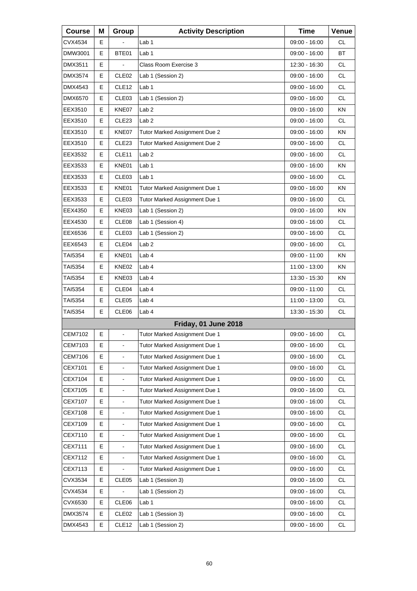| <b>Course</b>  | Μ | Group                    | <b>Activity Description</b>   | <b>Time</b>     | Venue     |
|----------------|---|--------------------------|-------------------------------|-----------------|-----------|
| CVX4534        | Е |                          | Lab 1                         | 09:00 - 16:00   | СL        |
| DMW3001        | E | BTE01                    | Lab <sub>1</sub>              | 09:00 - 16:00   | <b>BT</b> |
| DMX3511        | E |                          | Class Room Exercise 3         | 12:30 - 16:30   | <b>CL</b> |
| DMX3574        | Е | CLE <sub>02</sub>        | Lab 1 (Session 2)             | 09:00 - 16:00   | <b>CL</b> |
| DMX4543        | E | CLE <sub>12</sub>        | Lab <sub>1</sub>              | 09:00 - 16:00   | <b>CL</b> |
| DMX6570        | E | CLE03                    | Lab 1 (Session 2)             | 09:00 - 16:00   | <b>CL</b> |
| EEX3510        | Е | KNE07                    | Lab <sub>2</sub>              | 09:00 - 16:00   | ΚN        |
| EEX3510        | Е | CLE <sub>23</sub>        | Lab <sub>2</sub>              | 09:00 - 16:00   | <b>CL</b> |
| EEX3510        | E | KNE07                    | Tutor Marked Assignment Due 2 | 09:00 - 16:00   | <b>KN</b> |
| EEX3510        | Е | CLE <sub>23</sub>        | Tutor Marked Assignment Due 2 | 09:00 - 16:00   | <b>CL</b> |
| EEX3532        | Е | CLE11                    | Lab <sub>2</sub>              | 09:00 - 16:00   | <b>CL</b> |
| EEX3533        | E | KNE01                    | Lab 1                         | 09:00 - 16:00   | KN        |
| EEX3533        | Е | CLE <sub>03</sub>        | Lab 1                         | 09:00 - 16:00   | CL        |
| EEX3533        | Е | KNE01                    | Tutor Marked Assignment Due 1 | 09:00 - 16:00   | KN        |
| EEX3533        | E | CLE03                    | Tutor Marked Assignment Due 1 | 09:00 - 16:00   | <b>CL</b> |
| EEX4350        | Е | KNE03                    | Lab 1 (Session 2)             | 09:00 - 16:00   | ΚN        |
| EEX4530        | Е | CLE08                    | Lab 1 (Session 4)             | 09:00 - 16:00   | <b>CL</b> |
| EEX6536        | E | CLE03                    | Lab 1 (Session 2)             | 09:00 - 16:00   | <b>CL</b> |
| EEX6543        | Е | CLE04                    | Lab <sub>2</sub>              | $09:00 - 16:00$ | CL        |
| TAI5354        | Е | KNE01                    | Lab 4                         | 09:00 - 11:00   | KN        |
| TAI5354        | E | KNE02                    | Lab 4                         | 11:00 - 13:00   | KN        |
| TAI5354        | Е | KNE03                    | Lab 4                         | 13:30 - 15:30   | ΚN        |
| TAI5354        | Е | CLE04                    | Lab 4                         | 09:00 - 11:00   | <b>CL</b> |
| TAI5354        | E | CLE05                    | Lab 4                         | 11:00 - 13:00   | <b>CL</b> |
| TAI5354        | Е | CLE06                    | Lab 4                         | 13:30 - 15:30   | CL        |
|                |   |                          | Friday, 01 June 2018          |                 |           |
| <b>CEM7102</b> | E | $\blacksquare$           | Tutor Marked Assignment Due 1 | 09:00 - 16:00   | CL        |
| CEM7103        | Е | $\blacksquare$           | Tutor Marked Assignment Due 1 | 09:00 - 16:00   | <b>CL</b> |
| <b>CEM7106</b> | E | $\blacksquare$           | Tutor Marked Assignment Due 1 | 09:00 - 16:00   | CL        |
| CEX7101        | E |                          | Tutor Marked Assignment Due 1 | 09:00 - 16:00   | CL        |
| CEX7104        | Е | $\blacksquare$           | Tutor Marked Assignment Due 1 | 09:00 - 16:00   | CL.       |
| CEX7105        | E | $\blacksquare$           | Tutor Marked Assignment Due 1 | 09:00 - 16:00   | CL        |
| CEX7107        | E |                          | Tutor Marked Assignment Due 1 | 09:00 - 16:00   | CL        |
| CEX7108        | Е | $\blacksquare$           | Tutor Marked Assignment Due 1 | 09:00 - 16:00   | CL.       |
| CEX7109        | Е | $\blacksquare$           | Tutor Marked Assignment Due 1 | 09:00 - 16:00   | CL        |
| CEX7110        | E |                          | Tutor Marked Assignment Due 1 | 09:00 - 16:00   | CL        |
| CEX7111        | Е | $\overline{\phantom{a}}$ | Tutor Marked Assignment Due 1 | 09:00 - 16:00   | CL        |
| CEX7112        | Е | $\blacksquare$           | Tutor Marked Assignment Due 1 | 09:00 - 16:00   | CL        |
| CEX7113        | Е |                          | Tutor Marked Assignment Due 1 | 09:00 - 16:00   | CL        |
| CVX3534        | Е | CLE05                    | Lab 1 (Session 3)             | 09:00 - 16:00   | CL        |
| CVX4534        | Е |                          | Lab 1 (Session 2)             | 09:00 - 16:00   | CL        |
| CVX6530        | Е | CLE06                    | Lab 1                         | 09:00 - 16:00   | CL        |
| DMX3574        | Е | CLE <sub>02</sub>        | Lab 1 (Session 3)             | 09:00 - 16:00   | <b>CL</b> |
| DMX4543        | Е | CLE <sub>12</sub>        | Lab 1 (Session 2)             | 09:00 - 16:00   | CL        |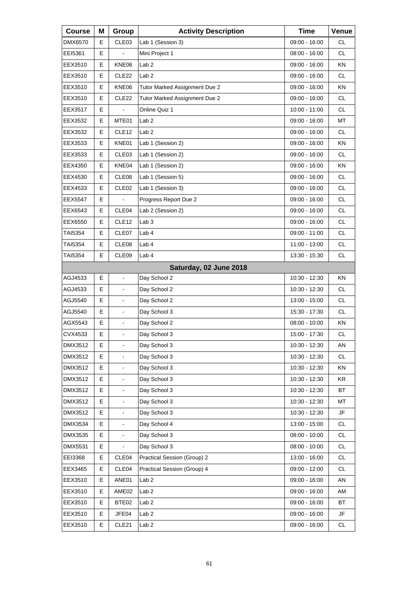| <b>Course</b>  | Μ | Group                    | <b>Activity Description</b>   | <b>Time</b>     | Venue     |
|----------------|---|--------------------------|-------------------------------|-----------------|-----------|
| DMX6570        | Е | CLE03                    | Lab 1 (Session 3)             | 09:00 - 16:00   | <b>CL</b> |
| EEI5361        | Е |                          | Mini Project 1                | 08:00 - 16:00   | <b>CL</b> |
| EEX3510        | Е | KNE06                    | Lab <sub>2</sub>              | 09:00 - 16:00   | ΚN        |
| EEX3510        | Е | CLE22                    | Lab <sub>2</sub>              | 09:00 - 16:00   | <b>CL</b> |
| EEX3510        | Е | KNE06                    | Tutor Marked Assignment Due 2 | 09:00 - 16:00   | ΚN        |
| EEX3510        | Е | CLE <sub>22</sub>        | Tutor Marked Assignment Due 2 | 09:00 - 16:00   | <b>CL</b> |
| EEX3517        | Е | ä,                       | Online Quiz 1                 | $10:00 - 11:00$ | <b>CL</b> |
| EEX3532        | Е | MTE01                    | Lab <sub>2</sub>              | 09:00 - 16:00   | MT        |
| EEX3532        | Е | CLE <sub>12</sub>        | Lab <sub>2</sub>              | 09:00 - 16:00   | <b>CL</b> |
| EEX3533        | Е | KNE01                    | Lab 1 (Session 2)             | 09:00 - 16:00   | <b>KN</b> |
| EEX3533        | Е | CLE <sub>03</sub>        | Lab 1 (Session 2)             | 09:00 - 16:00   | <b>CL</b> |
| EEX4350        | E | KNE04                    | Lab 1 (Session 2)             | 09:00 - 16:00   | <b>KN</b> |
| EEX4530        | E | CLE08                    | Lab 1 (Session 5)             | 09:00 - 16:00   | <b>CL</b> |
| EEX4533        | Е | CLE <sub>02</sub>        | Lab 1 (Session 3)             | $09:00 - 16:00$ | <b>CL</b> |
| EEX5547        | E |                          | Progress Report Due 2         | 09:00 - 16:00   | CL.       |
| EEX6543        | E | CLE04                    | Lab 2 (Session 2)             | 09:00 - 16:00   | <b>CL</b> |
| EEX6550        | Е | CLE <sub>12</sub>        | Lab <sub>3</sub>              | 09:00 - 16:00   | <b>CL</b> |
| TAI5354        | Е | CLE07                    | Lab 4                         | 09:00 - 11:00   | CL.       |
| TAI5354        | Е | CLE08                    | Lab 4                         | 11:00 - 13:00   | <b>CL</b> |
| TAI5354        | Е | CLE09                    | Lab 4                         | 13:30 - 15:30   | <b>CL</b> |
|                |   |                          | Saturday, 02 June 2018        |                 |           |
| AGJ4533        | E | $\overline{\phantom{a}}$ | Day School 2                  | 10:30 - 12:30   | ΚN        |
| AGJ4533        | Е |                          | Day School 2                  | 10:30 - 12:30   | CL        |
| AGJ5540        | E | ä,                       | Day School 2                  | 13:00 - 15:00   | CL.       |
| AGJ5540        | E | $\blacksquare$           | Day School 3                  | 15:30 - 17:30   | <b>CL</b> |
| AGX5543        | E |                          | Day School 2                  | $08:00 - 10:00$ | ΚN        |
| CVX4533        | E | ä,                       | Day School 3                  | 15:00 - 17:30   | <b>CL</b> |
| DMX3512        | Е | $\overline{\phantom{a}}$ | Day School 3                  | 10:30 - 12:30   | AN        |
| DMX3512        | Е |                          | Day School 3                  | 10:30 - 12:30   | <b>CL</b> |
| DMX3512        | E |                          | Day School 3                  | 10:30 - 12:30   | ΚN        |
| DMX3512        | E |                          | Day School 3                  | 10:30 - 12:30   | KR        |
| DMX3512        | E |                          | Day School 3                  | 10:30 - 12:30   | BT        |
| DMX3512        | E |                          | Day School 3                  | 10:30 - 12:30   | МT        |
| DMX3512        | Е |                          | Day School 3                  | 10:30 - 12:30   | JF        |
| DMX3534        | E |                          | Day School 4                  | 13:00 - 15:00   | CL        |
| DMX3535        | E |                          | Day School 3                  | 08:00 - 10:00   | <b>CL</b> |
| <b>DMX5531</b> | Е |                          | Day School 3                  | 08:00 - 10:00   | CL        |
| EEI3368        | Е | CLE04                    | Practical Session (Group) 2   | 13:00 - 16:00   | CL        |
| EEX3465        | Е | CLE04                    | Practical Session (Group) 4   | 09:00 - 12:00   | <b>CL</b> |
| EEX3510        | Е | ANE01                    | Lab <sub>2</sub>              | 09:00 - 16:00   | AN        |
| EEX3510        | Е | AME02                    | Lab <sub>2</sub>              | 09:00 - 16:00   | AM        |
| EEX3510        | Е | BTE02                    | Lab <sub>2</sub>              | 09:00 - 16:00   | ВT        |
| EEX3510        | Е | JFE04                    | Lab <sub>2</sub>              | 09:00 - 16:00   | JF        |
| EEX3510        | Е | CLE21                    | Lab <sub>2</sub>              | 09:00 - 16:00   | CL        |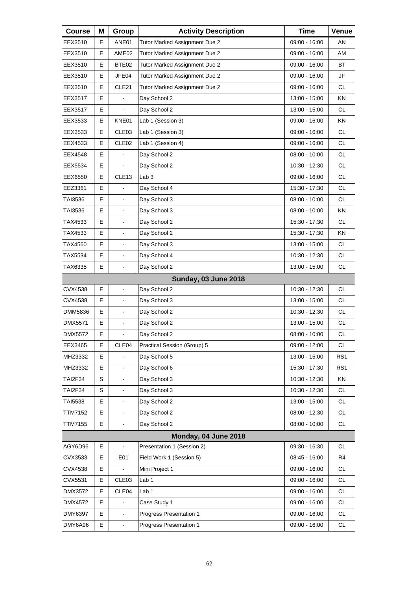| <b>Course</b>  | Μ | Group                    | <b>Activity Description</b>   | <b>Time</b>     | Venue     |
|----------------|---|--------------------------|-------------------------------|-----------------|-----------|
| EEX3510        | Е | ANE01                    | Tutor Marked Assignment Due 2 | 09:00 - 16:00   | AN        |
| EEX3510        | Е | AME <sub>02</sub>        | Tutor Marked Assignment Due 2 | 09:00 - 16:00   | AM        |
| EEX3510        | Е | BTE02                    | Tutor Marked Assignment Due 2 | 09:00 - 16:00   | <b>BT</b> |
| EEX3510        | E | JFE04                    | Tutor Marked Assignment Due 2 | 09:00 - 16:00   | JF        |
| EEX3510        | Е | CLE21                    | Tutor Marked Assignment Due 2 | 09:00 - 16:00   | <b>CL</b> |
| EEX3517        | E |                          | Day School 2                  | 13:00 - 15:00   | KN        |
| EEX3517        | E | $\blacksquare$           | Day School 2                  | 13:00 - 15:00   | <b>CL</b> |
| EEX3533        | Е | KNE01                    | Lab 1 (Session 3)             | 09:00 - 16:00   | KN        |
| EEX3533        | Е | CLE <sub>03</sub>        | Lab 1 (Session 3)             | 09:00 - 16:00   | <b>CL</b> |
| EEX4533        | E | CLE <sub>02</sub>        | Lab 1 (Session 4)             | 09:00 - 16:00   | <b>CL</b> |
| EEX4548        | E |                          | Day School 2                  | $08:00 - 10:00$ | <b>CL</b> |
| EEX5534        | E |                          | Day School 2                  | 10:30 - 12:30   | CL.       |
| EEX6550        | E | CLE <sub>13</sub>        | Lab <sub>3</sub>              | 09:00 - 16:00   | <b>CL</b> |
| EEZ3361        | E |                          | Day School 4                  | 15:30 - 17:30   | <b>CL</b> |
| TAI3536        | E | ä,                       | Day School 3                  | 08:00 - 10:00   | CL.       |
| TAI3536        | E | $\overline{\phantom{a}}$ | Day School 3                  | $08:00 - 10:00$ | <b>KN</b> |
| TAX4533        | Е | $\overline{\phantom{a}}$ | Day School 2                  | 15:30 - 17:30   | <b>CL</b> |
| TAX4533        | E | ä,                       | Day School 2                  | 15:30 - 17:30   | <b>KN</b> |
| TAX4560        | E | $\blacksquare$           | Day School 3                  | 13:00 - 15:00   | <b>CL</b> |
| TAX5534        | E | $\overline{\phantom{a}}$ | Day School 4                  | 10:30 - 12:30   | <b>CL</b> |
| TAX6335        | E |                          | Day School 2                  | 13:00 - 15:00   | <b>CL</b> |
|                |   |                          | <b>Sunday, 03 June 2018</b>   |                 |           |
| CVX4538        | Е | $\overline{\phantom{a}}$ | Day School 2                  | 10:30 - 12:30   | <b>CL</b> |
| CVX4538        | E | ä,                       | Day School 3                  | 13:00 - 15:00   | <b>CL</b> |
| DMM5836        | E | $\blacksquare$           | Day School 2                  | 10:30 - 12:30   | <b>CL</b> |
| DMX5571        | E |                          | Day School 2                  | 13:00 - 15:00   | CL        |
| DMX5572        | E | ä,                       | Day School 2                  | $08:00 - 10:00$ | <b>CL</b> |
| EEX3465        | Е | CLE04                    | Practical Session (Group) 5   | 09:00 - 12:00   | CL        |
| MHZ3332        | E |                          | Day School 5                  | 13:00 - 15:00   | RS1       |
| MHZ3332        | E |                          | Day School 6                  | 15:30 - 17:30   | RS1       |
| TAI2F34        | S |                          | Day School 3                  | 10:30 - 12:30   | ΚN        |
| <b>TAI2F34</b> | S |                          | Day School 3                  | 10:30 - 12:30   | CL        |
| TAI5538        | E |                          | Day School 2                  | 13:00 - 15:00   | <b>CL</b> |
| TTM7152        | E |                          | Day School 2                  | 08:00 - 12:30   | CL        |
| <b>TTM7155</b> | E | $\overline{\phantom{a}}$ | Day School 2                  | $08:00 - 10:00$ | CL        |
|                |   |                          | Monday, 04 June 2018          |                 |           |
| AGY6D96        | Е | $\blacksquare$           | Presentation 1 (Session 2)    | 09:30 - 16:30   | <b>CL</b> |
| CVX3533        | Е | E01                      | Field Work 1 (Session 5)      | 08:45 - 16:00   | R4        |
| CVX4538        | Е |                          | Mini Project 1                | 09:00 - 16:00   | <b>CL</b> |
| CVX5531        | Е | CLE03                    | Lab <sub>1</sub>              | 09:00 - 16:00   | CL        |
| DMX3572        | E | CLE04                    | Lab <sub>1</sub>              | 09:00 - 16:00   | CL        |
| DMX4572        | E |                          | Case Study 1                  | 09:00 - 16:00   | <b>CL</b> |
| <b>DMY6397</b> | E | $\blacksquare$           | Progress Presentation 1       | 09:00 - 16:00   | CL        |
| DMY6A96        | E | $\blacksquare$           | Progress Presentation 1       | 09:00 - 16:00   | CL        |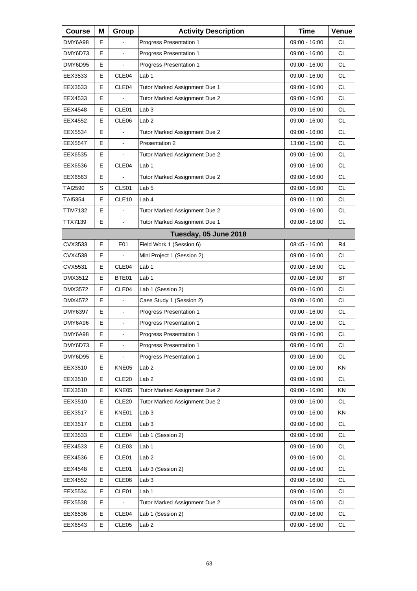| <b>Course</b> | Μ | Group             | <b>Activity Description</b>    | <b>Time</b>     | Venue     |
|---------------|---|-------------------|--------------------------------|-----------------|-----------|
| DMY6A98       | E |                   | Progress Presentation 1        | 09:00 - 16:00   | СL        |
| DMY6D73       | E |                   | Progress Presentation 1        | 09:00 - 16:00   | <b>CL</b> |
| DMY6D95       | E |                   | Progress Presentation 1        | 09:00 - 16:00   | <b>CL</b> |
| EEX3533       | Е | CLE <sub>04</sub> | Lab 1                          | 09:00 - 16:00   | <b>CL</b> |
| EEX3533       | E | CLE04             | Tutor Marked Assignment Due 1  | 09:00 - 16:00   | <b>CL</b> |
| EEX4533       | E |                   | Tutor Marked Assignment Due 2  | 09:00 - 16:00   | <b>CL</b> |
| EEX4548       | Е | CLE01             | Lab 3                          | 09:00 - 16:00   | <b>CL</b> |
| EEX4552       | E | CLE06             | Lab <sub>2</sub>               | 09:00 - 16:00   | <b>CL</b> |
| EEX5534       | E |                   | Tutor Marked Assignment Due 2  | 09:00 - 16:00   | <b>CL</b> |
| EEX5547       | E | $\blacksquare$    | Presentation 2                 | 13:00 - 15:00   | <b>CL</b> |
| EEX6535       | E |                   | Tutor Marked Assignment Due 2  | 09:00 - 16:00   | <b>CL</b> |
| EEX6536       | E | CLE04             | Lab 1                          | $09:00 - 16:00$ | <b>CL</b> |
| EEX6563       | Е |                   | Tutor Marked Assignment Due 2  | 09:00 - 16:00   | <b>CL</b> |
| TAI2590       | S | CLS01             | Lab <sub>5</sub>               | 09:00 - 16:00   | <b>CL</b> |
| TAI5354       | E | CLE10             | Lab 4                          | 09:00 - 11:00   | <b>CL</b> |
| TTM7132       | Е | ÷.                | Tutor Marked Assignment Due 2  | 09:00 - 16:00   | <b>CL</b> |
| TTX7139       | E | $\overline{a}$    | Tutor Marked Assignment Due 1  | 09:00 - 16:00   | <b>CL</b> |
|               |   |                   | Tuesday, 05 June 2018          |                 |           |
| CVX3533       | Е | E01               | Field Work 1 (Session 6)       | 08:45 - 16:00   | R4        |
| CVX4538       | Е |                   | Mini Project 1 (Session 2)     | 09:00 - 16:00   | <b>CL</b> |
| CVX5531       | E | CLE04             | Lab 1                          | 09:00 - 16:00   | <b>CL</b> |
| DMX3512       | Е | BTE01             | Lab 1                          | 09:00 - 16:00   | <b>BT</b> |
| DMX3572       | E | CLE04             | Lab 1 (Session 2)              | 09:00 - 16:00   | <b>CL</b> |
| DMX4572       | E | $\overline{a}$    | Case Study 1 (Session 2)       | 09:00 - 16:00   | <b>CL</b> |
| DMY6397       | Е | $\blacksquare$    | Progress Presentation 1        | 09:00 - 16:00   | CL        |
| DMY6A96       | E | $\blacksquare$    | <b>Progress Presentation 1</b> | 09:00 - 16:00   | <b>CL</b> |
| DMY6A98       | E | $\blacksquare$    | <b>Progress Presentation 1</b> | $09:00 - 16:00$ | <b>CL</b> |
| DMY6D73       | Е | $\blacksquare$    | Progress Presentation 1        | 09:00 - 16:00   | <b>CL</b> |
| DMY6D95       | Е |                   | Progress Presentation 1        | $09:00 - 16:00$ | <b>CL</b> |
| EEX3510       | Е | KNE05             | Lab <sub>2</sub>               | 09:00 - 16:00   | KN        |
| EEX3510       | Е | CLE <sub>20</sub> | Lab <sub>2</sub>               | 09:00 - 16:00   | <b>CL</b> |
| EEX3510       | Е | KNE05             | Tutor Marked Assignment Due 2  | 09:00 - 16:00   | KN        |
| EEX3510       | Е | CLE <sub>20</sub> | Tutor Marked Assignment Due 2  | 09:00 - 16:00   | CL        |
| EEX3517       | Ε | KNE01             | Lab 3                          | 09:00 - 16:00   | KN        |
| EEX3517       | Е | CLE01             | Lab <sub>3</sub>               | 09:00 - 16:00   | CL        |
| EEX3533       | Е | CLE04             | Lab 1 (Session 2)              | 09:00 - 16:00   | CL        |
| EEX4533       | Е | CLE03             | Lab 1                          | 09:00 - 16:00   | CL        |
| EEX4536       | Е | CLE01             | Lab <sub>2</sub>               | 09:00 - 16:00   | CL        |
| EEX4548       | Е | CLE01             | Lab 3 (Session 2)              | 09:00 - 16:00   | CL        |
| EEX4552       | Е | CLE <sub>06</sub> | Lab <sub>3</sub>               | 09:00 - 16:00   | CL        |
| EEX5534       | Е | CLE01             | Lab 1                          | 09:00 - 16:00   | CL        |
| EEX5538       | Е |                   | Tutor Marked Assignment Due 2  | 09:00 - 16:00   | CL        |
| EEX6536       | Е | CLE04             | Lab 1 (Session 2)              | 09:00 - 16:00   | <b>CL</b> |
| EEX6543       | Е | CLE <sub>05</sub> | Lab <sub>2</sub>               | 09:00 - 16:00   | CL        |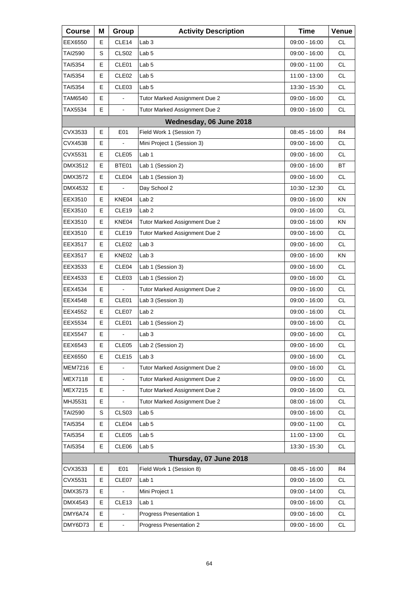| <b>Course</b>  | Μ | Group                    | <b>Activity Description</b>   | <b>Time</b>     | Venue          |
|----------------|---|--------------------------|-------------------------------|-----------------|----------------|
| EEX6550        | Е | CLE <sub>14</sub>        | Lab <sub>3</sub>              | 09:00 - 16:00   | СL             |
| TAI2590        | S | CLS <sub>02</sub>        | Lab <sub>5</sub>              | 09:00 - 16:00   | <b>CL</b>      |
| TAI5354        | E | CLE01                    | Lab <sub>5</sub>              | 09:00 - 11:00   | <b>CL</b>      |
| TAI5354        | Е | CLE <sub>02</sub>        | Lab <sub>5</sub>              | 11:00 - 13:00   | <b>CL</b>      |
| TAI5354        | E | CLE03                    | Lab <sub>5</sub>              | 13:30 - 15:30   | <b>CL</b>      |
| TAM6540        | E | ä,                       | Tutor Marked Assignment Due 2 | 09:00 - 16:00   | <b>CL</b>      |
| TAX5534        | Е | $\blacksquare$           | Tutor Marked Assignment Due 2 | 09:00 - 16:00   | <b>CL</b>      |
|                |   |                          | Wednesday, 06 June 2018       |                 |                |
| CVX3533        | E | E01                      | Field Work 1 (Session 7)      | 08:45 - 16:00   | R4             |
| CVX4538        | Е |                          | Mini Project 1 (Session 3)    | 09:00 - 16:00   | <b>CL</b>      |
| CVX5531        | E | CLE05                    | Lab <sub>1</sub>              | 09:00 - 16:00   | <b>CL</b>      |
| DMX3512        | Е | BTE01                    | Lab 1 (Session 2)             | 09:00 - 16:00   | <b>BT</b>      |
| DMX3572        | Е | CLE <sub>04</sub>        | Lab 1 (Session 3)             | 09:00 - 16:00   | <b>CL</b>      |
| DMX4532        | E |                          | Day School 2                  | 10:30 - 12:30   | <b>CL</b>      |
| EEX3510        | Е | KNE04                    | Lab <sub>2</sub>              | 09:00 - 16:00   | KN             |
| EEX3510        | Е | CLE <sub>19</sub>        | Lab <sub>2</sub>              | 09:00 - 16:00   | <b>CL</b>      |
| EEX3510        | E | KNE04                    | Tutor Marked Assignment Due 2 | 09:00 - 16:00   | KN             |
| EEX3510        | Е | CLE <sub>19</sub>        | Tutor Marked Assignment Due 2 | 09:00 - 16:00   | <b>CL</b>      |
| EEX3517        | Е | CLE <sub>02</sub>        | Lab <sub>3</sub>              | 09:00 - 16:00   | <b>CL</b>      |
| EEX3517        | E | KNE02                    | Lab <sub>3</sub>              | 09:00 - 16:00   | KN             |
| EEX3533        | Е | CLE <sub>04</sub>        | Lab 1 (Session 3)             | 09:00 - 16:00   | <b>CL</b>      |
| EEX4533        | Е | CLE <sub>03</sub>        | Lab 1 (Session 2)             | 09:00 - 16:00   | <b>CL</b>      |
| EEX4534        | E |                          | Tutor Marked Assignment Due 2 | 09:00 - 16:00   | <b>CL</b>      |
| EEX4548        | Е | CLE01                    | Lab 3 (Session 3)             | 09:00 - 16:00   | <b>CL</b>      |
| EEX4552        | Е | CLE07                    | Lab <sub>2</sub>              | 09:00 - 16:00   | <b>CL</b>      |
| EEX5534        | E | CLE01                    | Lab 1 (Session 2)             | 09:00 - 16:00   | <b>CL</b>      |
| <b>EEX5547</b> | Е | ä,                       | Lab <sub>3</sub>              | $09:00 - 16:00$ | <b>CL</b>      |
| EEX6543        | Е | CLE05                    | Lab 2 (Session 2)             | 09:00 - 16:00   | CL.            |
| EEX6550        | Е | CLE15                    | Lab <sub>3</sub>              | 09:00 - 16:00   | <b>CL</b>      |
| <b>MEM7216</b> | E |                          | Tutor Marked Assignment Due 2 | $09:00 - 16:00$ | <b>CL</b>      |
| <b>MEX7118</b> | E | $\blacksquare$           | Tutor Marked Assignment Due 2 | 09:00 - 16:00   | CL             |
| MEX7215        | E | $\blacksquare$           | Tutor Marked Assignment Due 2 | 09:00 - 16:00   | <b>CL</b>      |
| MHJ5531        | E | $\overline{\phantom{a}}$ | Tutor Marked Assignment Due 2 | $08:00 - 16:00$ | <b>CL</b>      |
| <b>TAI2590</b> | S | CLS03                    | Lab <sub>5</sub>              | 09:00 - 16:00   | CL             |
| TAI5354        | Е | CLE04                    | Lab <sub>5</sub>              | 09:00 - 11:00   | <b>CL</b>      |
| TAI5354        | Е | CLE <sub>05</sub>        | Lab <sub>5</sub>              | 11:00 - 13:00   | <b>CL</b>      |
| TAI5354        | Е | CLE06                    | Lab <sub>5</sub>              | 13:30 - 15:30   | CL             |
|                |   |                          | Thursday, 07 June 2018        |                 |                |
| CVX3533        | E | E01                      | Field Work 1 (Session 8)      | 08:45 - 16:00   | R <sub>4</sub> |
| CVX5531        | Е | CLE07                    | Lab <sub>1</sub>              | 09:00 - 16:00   | CL             |
| DMX3573        | Е |                          | Mini Project 1                | 09:00 - 14:00   | <b>CL</b>      |
| DMX4543        | E | CLE <sub>13</sub>        | Lab 1                         | 09:00 - 16:00   | <b>CL</b>      |
| DMY6A74        | E |                          | Progress Presentation 1       | 09:00 - 16:00   | CL             |
| DMY6D73        | E | $\blacksquare$           | Progress Presentation 2       | 09:00 - 16:00   | CL.            |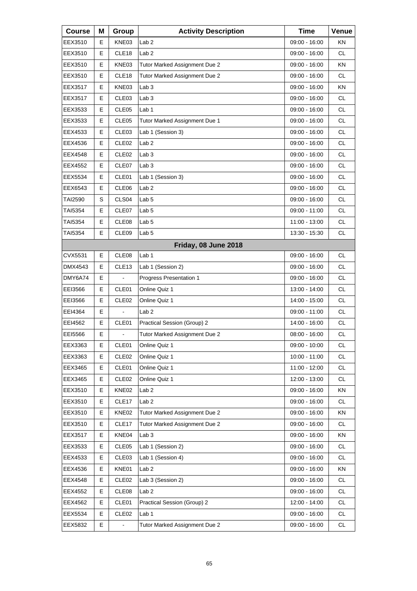| <b>Course</b>  | Μ | Group                    | <b>Activity Description</b>   | <b>Time</b>     | Venue     |
|----------------|---|--------------------------|-------------------------------|-----------------|-----------|
| EEX3510        | Е | KNE03                    | Lab <sub>2</sub>              | 09:00 - 16:00   | ΚN        |
| EEX3510        | E | CLE18                    | Lab <sub>2</sub>              | 09:00 - 16:00   | <b>CL</b> |
| EEX3510        | E | KNE03                    | Tutor Marked Assignment Due 2 | 09:00 - 16:00   | KN        |
| EEX3510        | Е | CLE <sub>18</sub>        | Tutor Marked Assignment Due 2 | 09:00 - 16:00   | <b>CL</b> |
| EEX3517        | E | KNE03                    | Lab <sub>3</sub>              | 09:00 - 16:00   | KN        |
| EEX3517        | E | CLE <sub>03</sub>        | Lab <sub>3</sub>              | 09:00 - 16:00   | <b>CL</b> |
| EEX3533        | Е | CLE <sub>05</sub>        | Lab 1                         | 09:00 - 16:00   | <b>CL</b> |
| EEX3533        | E | CLE05                    | Tutor Marked Assignment Due 1 | 09:00 - 16:00   | <b>CL</b> |
| EEX4533        | E | CLE <sub>03</sub>        | Lab 1 (Session 3)             | 09:00 - 16:00   | <b>CL</b> |
| EEX4536        | Е | CLE <sub>02</sub>        | Lab <sub>2</sub>              | 09:00 - 16:00   | <b>CL</b> |
| EEX4548        | E | CLE <sub>02</sub>        | Lab <sub>3</sub>              | 09:00 - 16:00   | <b>CL</b> |
| EEX4552        | Е | CLE07                    | Lab <sub>3</sub>              | $09:00 - 16:00$ | <b>CL</b> |
| EEX5534        | Е | CLE01                    | Lab 1 (Session 3)             | 09:00 - 16:00   | <b>CL</b> |
| EEX6543        | E | CLE06                    | Lab <sub>2</sub>              | 09:00 - 16:00   | <b>CL</b> |
| <b>TAI2590</b> | S | CLS <sub>04</sub>        | Lab <sub>5</sub>              | $09:00 - 16:00$ | <b>CL</b> |
| TAI5354        | Е | CLE07                    | Lab <sub>5</sub>              | 09:00 - 11:00   | <b>CL</b> |
| TAI5354        | E | CLE08                    | Lab <sub>5</sub>              | 11:00 - 13:00   | <b>CL</b> |
| TAI5354        | Е | CLE09                    | Lab <sub>5</sub>              | 13:30 - 15:30   | <b>CL</b> |
|                |   |                          | Friday, 08 June 2018          |                 |           |
| CVX5531        | E | CLE08                    | Lab <sub>1</sub>              | 09:00 - 16:00   | <b>CL</b> |
| DMX4543        | Е | CLE <sub>13</sub>        | Lab 1 (Session 2)             | 09:00 - 16:00   | <b>CL</b> |
| DMY6A74        | Е | ä,                       | Progress Presentation 1       | 09:00 - 16:00   | <b>CL</b> |
| EEI3566        | E | CLE01                    | Online Quiz 1                 | 13:00 - 14:00   | <b>CL</b> |
| EEI3566        | Е | CLE <sub>02</sub>        | Online Quiz 1                 | 14:00 - 15:00   | <b>CL</b> |
| EEI4364        | Е | $\overline{\phantom{a}}$ | Lab <sub>2</sub>              | 09:00 - 11:00   | <b>CL</b> |
| EEI4562        | E | CLE01                    | Practical Session (Group) 2   | 14:00 - 16:00   | <b>CL</b> |
| EEI5566        | Е | L,                       | Tutor Marked Assignment Due 2 | 08:00 - 16:00   | <b>CL</b> |
| EEX3363        | Е | CLE01                    | Online Quiz 1                 | 09:00 - 10:00   | CL        |
| EEX3363        | Е | CLE <sub>02</sub>        | Online Quiz 1                 | 10:00 - 11:00   | CL        |
| EEX3465        | Е | CLE01                    | Online Quiz 1                 | 11:00 - 12:00   | <b>CL</b> |
| EEX3465        | Е | CLE <sub>02</sub>        | Online Quiz 1                 | 12:00 - 13:00   | CL        |
| EEX3510        | Е | KNE02                    | Lab <sub>2</sub>              | 09:00 - 16:00   | KN        |
| EEX3510        | Е | CLE <sub>17</sub>        | Lab <sub>2</sub>              | 09:00 - 16:00   | <b>CL</b> |
| EEX3510        | Е | KNE02                    | Tutor Marked Assignment Due 2 | 09:00 - 16:00   | KN        |
| EEX3510        | Е | CLE17                    | Tutor Marked Assignment Due 2 | 09:00 - 16:00   | <b>CL</b> |
| EEX3517        | Е | KNE04                    | Lab <sub>3</sub>              | 09:00 - 16:00   | KN        |
| EEX3533        | Е | CLE05                    | Lab 1 (Session 2)             | 09:00 - 16:00   | CL        |
| EEX4533        | Е | CLE03                    | Lab 1 (Session 4)             | 09:00 - 16:00   | CL        |
| EEX4536        | Е | KNE01                    | Lab <sub>2</sub>              | 09:00 - 16:00   | KN        |
| EEX4548        | Е | CLE <sub>02</sub>        | Lab 3 (Session 2)             | 09:00 - 16:00   | CL        |
| EEX4552        | Е | CLE08                    | Lab <sub>2</sub>              | 09:00 - 16:00   | CL        |
| EEX4562        | Е | CLE01                    | Practical Session (Group) 2   | 12:00 - 14:00   | CL        |
| EEX5534        | E | CLE <sub>02</sub>        | Lab <sub>1</sub>              | 09:00 - 16:00   | CL        |
| EEX5832        | E |                          | Tutor Marked Assignment Due 2 | 09:00 - 16:00   | CL        |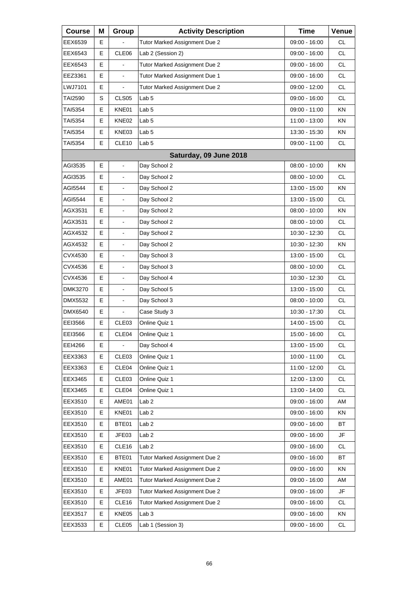| <b>Course</b>  | Μ | Group                    | <b>Activity Description</b>   | <b>Time</b>     | Venue     |
|----------------|---|--------------------------|-------------------------------|-----------------|-----------|
| EEX6539        | E |                          | Tutor Marked Assignment Due 2 | 09:00 - 16:00   | СL        |
| EEX6543        | E | CLE06                    | Lab 2 (Session 2)             | 09:00 - 16:00   | <b>CL</b> |
| EEX6543        | E |                          | Tutor Marked Assignment Due 2 | 09:00 - 16:00   | <b>CL</b> |
| EEZ3361        | E | $\blacksquare$           | Tutor Marked Assignment Due 1 | 09:00 - 16:00   | <b>CL</b> |
| LWJ7101        | E |                          | Tutor Marked Assignment Due 2 | 09:00 - 12:00   | <b>CL</b> |
| TAI2590        | S | CLS05                    | Lab <sub>5</sub>              | 09:00 - 16:00   | <b>CL</b> |
| TAI5354        | Е | KNE01                    | Lab <sub>5</sub>              | 09:00 - 11:00   | ΚN        |
| TAI5354        | Е | KNE02                    | Lab <sub>5</sub>              | 11:00 - 13:00   | KN        |
| TAI5354        | E | KNE03                    | Lab <sub>5</sub>              | 13:30 - 15:30   | KN        |
| TAI5354        | E | CLE10                    | Lab <sub>5</sub>              | 09:00 - 11:00   | <b>CL</b> |
|                |   |                          | Saturday, 09 June 2018        |                 |           |
| AGI3535        | E | $\overline{a}$           | Day School 2                  | 08:00 - 10:00   | KN        |
| AGI3535        | Е | $\blacksquare$           | Day School 2                  | $08:00 - 10:00$ | <b>CL</b> |
| AGI5544        | E |                          | Day School 2                  | 13:00 - 15:00   | KN        |
| AGI5544        | E | $\overline{\phantom{a}}$ | Day School 2                  | 13:00 - 15:00   | <b>CL</b> |
| AGX3531        | Е | $\blacksquare$           | Day School 2                  | $08:00 - 10:00$ | ΚN        |
| AGX3531        | E |                          | Day School 2                  | $08:00 - 10:00$ | <b>CL</b> |
| AGX4532        | E | $\blacksquare$           | Day School 2                  | 10:30 - 12:30   | <b>CL</b> |
| AGX4532        | Е | $\blacksquare$           | Day School 2                  | 10:30 - 12:30   | ΚN        |
| CVX4530        | E |                          | Day School 3                  | 13:00 - 15:00   | <b>CL</b> |
| CVX4536        | E | $\blacksquare$           | Day School 3                  | $08:00 - 10:00$ | <b>CL</b> |
| CVX4536        | Е | $\blacksquare$           | Day School 4                  | 10:30 - 12:30   | <b>CL</b> |
| DMK3270        | E |                          | Day School 5                  | 13:00 - 15:00   | <b>CL</b> |
| <b>DMX5532</b> | E | $\blacksquare$           | Day School 3                  | $08:00 - 10:00$ | <b>CL</b> |
| DMX6540        | Е | $\blacksquare$           | Case Study 3                  | 10:30 - 17:30   | <b>CL</b> |
| EEI3566        | E | CLE <sub>03</sub>        | Online Quiz 1                 | 14:00 - 15:00   | <b>CL</b> |
| EEI3566        | E | CLE04                    | Online Quiz 1                 | 15:00 - 16:00   | <b>CL</b> |
| EEI4266        | Е | $\blacksquare$           | Day School 4                  | 13:00 - 15:00   | <b>CL</b> |
| EEX3363        | Е | CLE03                    | Online Quiz 1                 | 10:00 - 11:00   | CL        |
| EEX3363        | Е | CLE04                    | Online Quiz 1                 | 11:00 - 12:00   | CL        |
| EEX3465        | Е | CLE03                    | Online Quiz 1                 | 12:00 - 13:00   | <b>CL</b> |
| EEX3465        | Е | CLE04                    | Online Quiz 1                 | 13:00 - 14:00   | CL        |
| EEX3510        | Е | AME01                    | Lab <sub>2</sub>              | 09:00 - 16:00   | AM        |
| EEX3510        | Е | KNE01                    | Lab 2                         | 09:00 - 16:00   | KN        |
| EEX3510        | Е | BTE01                    | Lab <sub>2</sub>              | 09:00 - 16:00   | ВT        |
| EEX3510        | Е | JFE03                    | Lab <sub>2</sub>              | 09:00 - 16:00   | JF        |
| EEX3510        | Е | CLE16                    | Lab <sub>2</sub>              | 09:00 - 16:00   | CL.       |
| EEX3510        | Е | BTE01                    | Tutor Marked Assignment Due 2 | 09:00 - 16:00   | BT        |
| EEX3510        | Е | KNE01                    | Tutor Marked Assignment Due 2 | 09:00 - 16:00   | KN        |
| EEX3510        | Е | AME01                    | Tutor Marked Assignment Due 2 | 09:00 - 16:00   | AM        |
| EEX3510        | Е | JFE03                    | Tutor Marked Assignment Due 2 | 09:00 - 16:00   | JF        |
| EEX3510        | Е | CLE16                    | Tutor Marked Assignment Due 2 | 09:00 - 16:00   | CL        |
| EEX3517        | Е | KNE05                    | Lab <sub>3</sub>              | 09:00 - 16:00   | KN        |
| EEX3533        | Е | CLE05                    | Lab 1 (Session 3)             | 09:00 - 16:00   | CL        |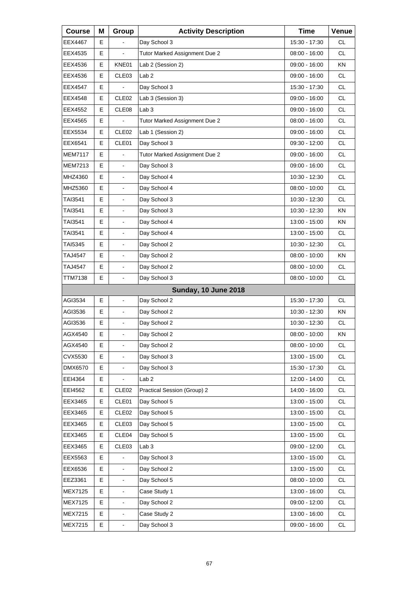| <b>Course</b>  | Μ  | Group                    | <b>Activity Description</b>   | <b>Time</b>     | Venue     |
|----------------|----|--------------------------|-------------------------------|-----------------|-----------|
| EEX4467        | E. |                          | Day School 3                  | 15:30 - 17:30   | <b>CL</b> |
| EEX4535        | E  |                          | Tutor Marked Assignment Due 2 | 08:00 - 16:00   | <b>CL</b> |
| EEX4536        | E  | KNE01                    | Lab 2 (Session 2)             | $09:00 - 16:00$ | KN        |
| EEX4536        | Е  | CLE <sub>03</sub>        | Lab <sub>2</sub>              | 09:00 - 16:00   | <b>CL</b> |
| EEX4547        | E  |                          | Day School 3                  | 15:30 - 17:30   | <b>CL</b> |
| EEX4548        | E  | CLE <sub>02</sub>        | Lab 3 (Session 3)             | 09:00 - 16:00   | <b>CL</b> |
| EEX4552        | Е  | CLE <sub>08</sub>        | Lab <sub>3</sub>              | 09:00 - 16:00   | <b>CL</b> |
| EEX4565        | E  |                          | Tutor Marked Assignment Due 2 | 08:00 - 16:00   | <b>CL</b> |
| EEX5534        | E  | CLE <sub>02</sub>        | Lab 1 (Session 2)             | 09:00 - 16:00   | <b>CL</b> |
| EEX6541        | Е  | CLE01                    | Day School 3                  | 09:30 - 12:00   | <b>CL</b> |
| <b>MEM7117</b> | E  |                          | Tutor Marked Assignment Due 2 | 09:00 - 16:00   | <b>CL</b> |
| MEM7213        | E  | $\overline{\phantom{a}}$ | Day School 3                  | 09:00 - 16:00   | <b>CL</b> |
| MHZ4360        | Е  | $\blacksquare$           | Day School 4                  | 10:30 - 12:30   | <b>CL</b> |
| MHZ5360        | E  | $\blacksquare$           | Day School 4                  | $08:00 - 10:00$ | <b>CL</b> |
| TAI3541        | Е  | $\overline{\phantom{a}}$ | Day School 3                  | 10:30 - 12:30   | CL.       |
| TAI3541        | Е  | $\blacksquare$           | Day School 3                  | 10:30 - 12:30   | KN.       |
| TAI3541        | E  | $\overline{a}$           | Day School 4                  | 13:00 - 15:00   | <b>KN</b> |
| TAI3541        | Е  | $\overline{\phantom{a}}$ | Day School 4                  | 13:00 - 15:00   | CL.       |
| TAI5345        | Е  | $\blacksquare$           | Day School 2                  | 10:30 - 12:30   | <b>CL</b> |
| TAJ4547        | E  | $\blacksquare$           | Day School 2                  | 08:00 - 10:00   | <b>KN</b> |
| TAJ4547        | E  | $\overline{\phantom{a}}$ | Day School 2                  | $08:00 - 10:00$ | CL.       |
| TTM7138        | E  | $\blacksquare$           | Day School 3                  | $08:00 - 10:00$ | <b>CL</b> |
|                |    |                          | <b>Sunday, 10 June 2018</b>   |                 |           |
| AGI3534        | E  | $\frac{1}{2}$            | Day School 2                  | 15:30 - 17:30   | CL.       |
| AGI3536        | E  | $\blacksquare$           | Day School 2                  | 10:30 - 12:30   | ΚN        |
| AGI3536        | E  | $\blacksquare$           | Day School 2                  | 10:30 - 12:30   | <b>CL</b> |
| AGX4540        | E  | L,                       | Day School 2                  | $08:00 - 10:00$ | KN        |
| AGX4540        | Е  | $\blacksquare$           | Day School 2                  | $08:00 - 10:00$ | CL        |
| CVX5530        | Е  |                          | Day School 3                  | 13:00 - 15:00   | CL        |
| DMX6570        | E  | $\blacksquare$           | Day School 3                  | 15:30 - 17:30   | CL        |
| EEI4364        | Е  |                          | Lab <sub>2</sub>              | 12:00 - 14:00   | CL        |
| EEI4562        | Е  | CLE <sub>02</sub>        | Practical Session (Group) 2   | 14:00 - 16:00   | CL        |
| EEX3465        | Е  | CLE01                    | Day School 5                  | 13:00 - 15:00   | CL        |
| EEX3465        | Е  | CLE <sub>02</sub>        | Day School 5                  | 13:00 - 15:00   | CL        |
| EEX3465        | Е  | CLE03                    | Day School 5                  | 13:00 - 15:00   | CL        |
| EEX3465        | Е  | CLE <sub>04</sub>        | Day School 5                  | 13:00 - 15:00   | CL        |
| EEX3465        | Е  | CLE03                    | Lab <sub>3</sub>              | 09:00 - 12:00   | CL        |
| EEX5563        | Е  |                          | Day School 3                  | 13:00 - 15:00   | CL        |
| EEX6536        | E  | $\blacksquare$           | Day School 2                  | 13:00 - 15:00   | CL        |
| EEZ3361        | Е  |                          | Day School 5                  | $08:00 - 10:00$ | CL        |
| <b>MEX7125</b> | Е  |                          | Case Study 1                  | 13:00 - 16:00   | CL        |
| <b>MEX7125</b> | E  | $\blacksquare$           | Day School 2                  | 09:00 - 12:00   | CL        |
| MEX7215        | E  | $\blacksquare$           | Case Study 2                  | 13:00 - 16:00   | CL        |
| MEX7215        | E  | $\blacksquare$           | Day School 3                  | 09:00 - 16:00   | CL        |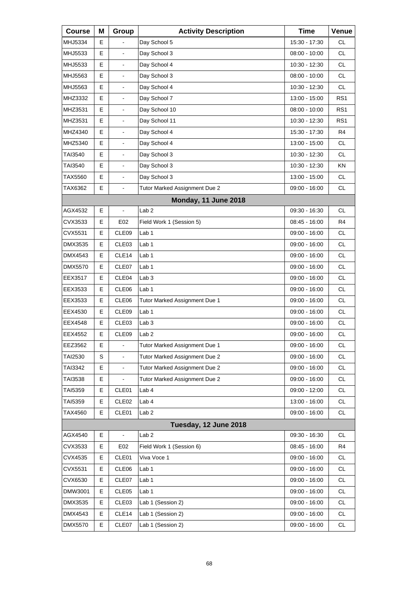| <b>Course</b>  | Μ | Group                    | <b>Activity Description</b>   | <b>Time</b>     | Venue           |
|----------------|---|--------------------------|-------------------------------|-----------------|-----------------|
| MHJ5334        | Е |                          | Day School 5                  | 15:30 - 17:30   | <b>CL</b>       |
| MHJ5533        | E | $\overline{a}$           | Day School 3                  | 08:00 - 10:00   | <b>CL</b>       |
| MHJ5533        | E | $\overline{\phantom{a}}$ | Day School 4                  | 10:30 - 12:30   | <b>CL</b>       |
| MHJ5563        | Е | $\blacksquare$           | Day School 3                  | $08:00 - 10:00$ | <b>CL</b>       |
| MHJ5563        | E | $\blacksquare$           | Day School 4                  | 10:30 - 12:30   | <b>CL</b>       |
| MHZ3332        | E | $\overline{\phantom{a}}$ | Day School 7                  | 13:00 - 15:00   | RS <sub>1</sub> |
| MHZ3531        | Е | $\blacksquare$           | Day School 10                 | $08:00 - 10:00$ | RS1             |
| MHZ3531        | E | $\blacksquare$           | Day School 11                 | 10:30 - 12:30   | RS <sub>1</sub> |
| MHZ4340        | E | $\overline{\phantom{a}}$ | Day School 4                  | 15:30 - 17:30   | R <sub>4</sub>  |
| MHZ5340        | Е | $\blacksquare$           | Day School 4                  | 13:00 - 15:00   | <b>CL</b>       |
| TAI3540        | E | $\overline{a}$           | Day School 3                  | 10:30 - 12:30   | <b>CL</b>       |
| TAI3540        | Е | $\overline{\phantom{a}}$ | Day School 3                  | 10:30 - 12:30   | KN              |
| TAX5560        | Е | $\blacksquare$           | Day School 3                  | 13:00 - 15:00   | <b>CL</b>       |
| TAX6362        | E | $\blacksquare$           | Tutor Marked Assignment Due 2 | $09:00 - 16:00$ | <b>CL</b>       |
|                |   |                          | <b>Monday, 11 June 2018</b>   |                 |                 |
| AGX4532        | Е | $\blacksquare$           | Lab <sub>2</sub>              | 09:30 - 16:30   | <b>CL</b>       |
| CVX3533        | E | E02                      | Field Work 1 (Session 5)      | 08:45 - 16:00   | R <sub>4</sub>  |
| CVX5531        | Е | CLE09                    | Lab <sub>1</sub>              | 09:00 - 16:00   | CL.             |
| DMX3535        | Е | CLE <sub>03</sub>        | Lab 1                         | 09:00 - 16:00   | <b>CL</b>       |
| DMX4543        | E | CLE14                    | Lab <sub>1</sub>              | 09:00 - 16:00   | <b>CL</b>       |
| DMX5570        | Е | CLE07                    | Lab 1                         | 09:00 - 16:00   | <b>CL</b>       |
| EEX3517        | Е | CLE04                    | Lab <sub>3</sub>              | 09:00 - 16:00   | <b>CL</b>       |
| EEX3533        | E | CLE06                    | Lab <sub>1</sub>              | 09:00 - 16:00   | <b>CL</b>       |
| EEX3533        | Е | CLE06                    | Tutor Marked Assignment Due 1 | 09:00 - 16:00   | <b>CL</b>       |
| EEX4530        | Е | CLE09                    | Lab 1                         | 09:00 - 16:00   | <b>CL</b>       |
| EEX4548        | E | CLE <sub>03</sub>        | Lab <sub>3</sub>              | 09:00 - 16:00   | <b>CL</b>       |
| EEX4552        | E | CLE09                    | Lab <sub>2</sub>              | $09:00 - 16:00$ | <b>CL</b>       |
| EEZ3562        | Е | $\blacksquare$           | Tutor Marked Assignment Due 1 | 09:00 - 16:00   | CL.             |
| TAI2530        | S |                          | Tutor Marked Assignment Due 2 | 09:00 - 16:00   | <b>CL</b>       |
| TAI3342        | Е | $\blacksquare$           | Tutor Marked Assignment Due 2 | 09:00 - 16:00   | CL              |
| TAI3538        | Е | $\blacksquare$           | Tutor Marked Assignment Due 2 | 09:00 - 16:00   | CL              |
| TAI5359        | Е | CLE01                    | Lab 4                         | 09:00 - 12:00   | CL              |
| TAI5359        | Е | CLE <sub>02</sub>        | Lab 4                         | 13:00 - 16:00   | CL              |
| TAX4560        | Е | CLE01                    | Lab <sub>2</sub>              | 09:00 - 16:00   | CL              |
|                |   |                          | Tuesday, 12 June 2018         |                 |                 |
| AGX4540        | E | $\frac{1}{2}$            | Lab <sub>2</sub>              | 09:30 - 16:30   | <b>CL</b>       |
| CVX3533        | Е | E02                      | Field Work 1 (Session 6)      | 08:45 - 16:00   | R4              |
| CVX4535        | Е | CLE01                    | Viva Voce 1                   | 09:00 - 16:00   | CL              |
| CVX5531        | Е | CLE06                    | Lab <sub>1</sub>              | 09:00 - 16:00   | CL              |
| CVX6530        | Ε | CLE07                    | Lab <sub>1</sub>              | 09:00 - 16:00   | CL              |
| DMW3001        | Е | CLE05                    | Lab <sub>1</sub>              | 09:00 - 16:00   | CL              |
| DMX3535        | Е | CLE03                    | Lab 1 (Session 2)             | 09:00 - 16:00   | CL              |
| DMX4543        | Е | CLE14                    | Lab 1 (Session 2)             | 09:00 - 16:00   | CL              |
| <b>DMX5570</b> | Е | CLE07                    | Lab 1 (Session 2)             | 09:00 - 16:00   | CL              |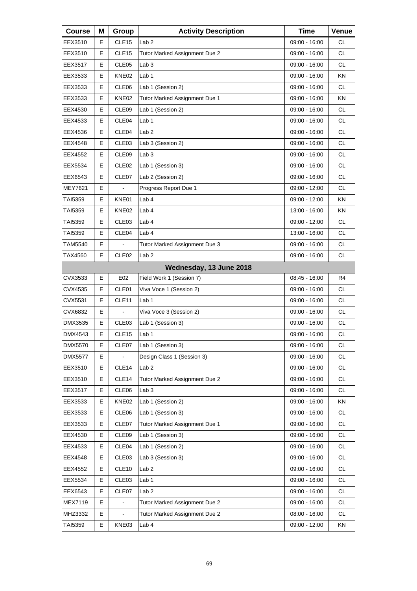| <b>Course</b>  | Μ | Group             | <b>Activity Description</b>   | <b>Time</b>     | Venue     |
|----------------|---|-------------------|-------------------------------|-----------------|-----------|
| EEX3510        | Е | CLE <sub>15</sub> | Lab <sub>2</sub>              | 09:00 - 16:00   | <b>CL</b> |
| EEX3510        | Е | CLE <sub>15</sub> | Tutor Marked Assignment Due 2 | 09:00 - 16:00   | <b>CL</b> |
| EEX3517        | E | CLE <sub>05</sub> | Lab <sub>3</sub>              | 09:00 - 16:00   | <b>CL</b> |
| EEX3533        | Е | KNE02             | Lab 1                         | 09:00 - 16:00   | ΚN        |
| EEX3533        | Е | CLE06             | Lab 1 (Session 2)             | 09:00 - 16:00   | <b>CL</b> |
| EEX3533        | E | KNE02             | Tutor Marked Assignment Due 1 | 09:00 - 16:00   | KN        |
| EEX4530        | Е | CLE <sub>09</sub> | Lab 1 (Session 2)             | 09:00 - 16:00   | <b>CL</b> |
| EEX4533        | Е | CLE04             | Lab <sub>1</sub>              | 09:00 - 16:00   | <b>CL</b> |
| EEX4536        | E | CLE04             | Lab <sub>2</sub>              | 09:00 - 16:00   | <b>CL</b> |
| EEX4548        | Е | CLE <sub>03</sub> | Lab 3 (Session 2)             | 09:00 - 16:00   | <b>CL</b> |
| EEX4552        | Е | CLE09             | Lab <sub>3</sub>              | 09:00 - 16:00   | <b>CL</b> |
| EEX5534        | Е | CLE <sub>02</sub> | Lab 1 (Session 3)             | $09:00 - 16:00$ | <b>CL</b> |
| EEX6543        | Е | CLE07             | Lab 2 (Session 2)             | 09:00 - 16:00   | <b>CL</b> |
| <b>MEY7621</b> | Е |                   | Progress Report Due 1         | 09:00 - 12:00   | <b>CL</b> |
| TAI5359        | Е | KNE01             | Lab <sub>4</sub>              | 09:00 - 12:00   | KN        |
| TAI5359        | Е | KNE02             | Lab 4                         | 13:00 - 16:00   | ΚN        |
| TAI5359        | Е | CLE03             | Lab <sub>4</sub>              | 09:00 - 12:00   | <b>CL</b> |
| TAI5359        | Е | CLE04             | Lab 4                         | 13:00 - 16:00   | <b>CL</b> |
| TAM5540        | Е | $\blacksquare$    | Tutor Marked Assignment Due 3 | 09:00 - 16:00   | <b>CL</b> |
| TAX4560        | E | CLE <sub>02</sub> | Lab <sub>2</sub>              | 09:00 - 16:00   | <b>CL</b> |
|                |   |                   | Wednesday, 13 June 2018       |                 |           |
| CVX3533        | Е | E02               | Field Work 1 (Session 7)      | 08:45 - 16:00   | R4        |
| CVX4535        | Е | CLE01             | Viva Voce 1 (Session 2)       | 09:00 - 16:00   | <b>CL</b> |
| CVX5531        | Е | CLE <sub>11</sub> | Lab 1                         | 09:00 - 16:00   | <b>CL</b> |
| CVX6832        | Е | $\blacksquare$    | Viva Voce 3 (Session 2)       | 09:00 - 16:00   | <b>CL</b> |
| DMX3535        | Е | CLE03             | Lab 1 (Session 3)             | 09:00 - 16:00   | <b>CL</b> |
| DMX4543        | E | CLE <sub>15</sub> | Lab <sub>1</sub>              | 09:00 - 16:00   | <b>CL</b> |
| <b>DMX5570</b> | Е | CLE07             | Lab 1 (Session 3)             | 09:00 - 16:00   | CL.       |
| <b>DMX5577</b> | Е |                   | Design Class 1 (Session 3)    | 09:00 - 16:00   | <b>CL</b> |
| EEX3510        | Е | CLE <sub>14</sub> | Lab <sub>2</sub>              | $09:00 - 16:00$ | CL        |
| EEX3510        | Е | CLE14             | Tutor Marked Assignment Due 2 | 09:00 - 16:00   | CL        |
| EEX3517        | Е | CLE06             | Lab <sub>3</sub>              | 09:00 - 16:00   | CL        |
| EEX3533        | Е | KNE02             | Lab 1 (Session 2)             | 09:00 - 16:00   | KN        |
| EEX3533        | Е | CLE06             | Lab 1 (Session 3)             | 09:00 - 16:00   | CL        |
| EEX3533        | Е | CLE07             | Tutor Marked Assignment Due 1 | 09:00 - 16:00   | CL        |
| EEX4530        | Е | CLE <sub>09</sub> | Lab 1 (Session 3)             | 09:00 - 16:00   | CL        |
| EEX4533        | Е | CLE04             | Lab 1 (Session 2)             | 09:00 - 16:00   | CL        |
| EEX4548        | Е | CLE <sub>03</sub> | Lab 3 (Session 3)             | 09:00 - 16:00   | CL        |
| EEX4552        | Е | CLE <sub>10</sub> | Lab <sub>2</sub>              | 09:00 - 16:00   | CL        |
| EEX5534        | Е | CLE03             | Lab <sub>1</sub>              | 09:00 - 16:00   | CL        |
| EEX6543        | Е | CLE07             | Lab <sub>2</sub>              | 09:00 - 16:00   | CL        |
| MEX7119        | E |                   | Tutor Marked Assignment Due 2 | 09:00 - 16:00   | CL        |
| MHZ3332        | Е |                   | Tutor Marked Assignment Due 2 | $08:00 - 16:00$ | CL        |
| TAI5359        | Е | KNE03             | Lab 4                         | 09:00 - 12:00   | KN        |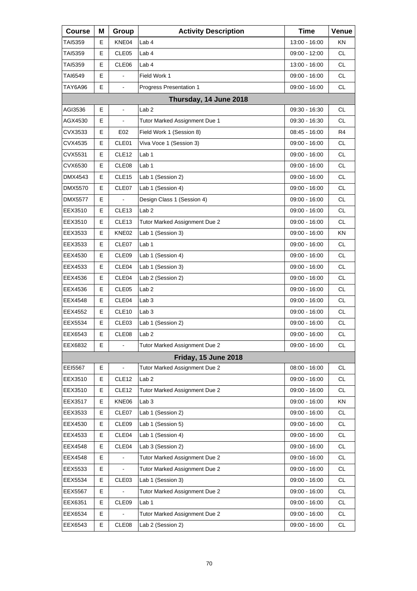| <b>Course</b>  | Μ | Group             | <b>Activity Description</b>   | <b>Time</b>     | Venue     |
|----------------|---|-------------------|-------------------------------|-----------------|-----------|
| TAI5359        | Е | KNE04             | Lab 4                         | 13:00 - 16:00   | ΚN        |
| TAI5359        | Е | CLE05             | Lab <sub>4</sub>              | 09:00 - 12:00   | <b>CL</b> |
| TAI5359        | E | CLE06             | Lab 4                         | 13:00 - 16:00   | <b>CL</b> |
| TAI6549        | Е | $\blacksquare$    | Field Work 1                  | 09:00 - 16:00   | <b>CL</b> |
| TAY6A96        | E | $\blacksquare$    | Progress Presentation 1       | 09:00 - 16:00   | <b>CL</b> |
|                |   |                   | Thursday, 14 June 2018        |                 |           |
| AGI3536        | Е | $\blacksquare$    | Lab <sub>2</sub>              | 09:30 - 16:30   | CL        |
| AGX4530        | E |                   | Tutor Marked Assignment Due 1 | 09:30 - 16:30   | <b>CL</b> |
| CVX3533        | E | E02               | Field Work 1 (Session 8)      | 08:45 - 16:00   | R4        |
| CVX4535        | Е | CLE01             | Viva Voce 1 (Session 3)       | 09:00 - 16:00   | <b>CL</b> |
| CVX5531        | E | CLE <sub>12</sub> | Lab <sub>1</sub>              | 09:00 - 16:00   | <b>CL</b> |
| CVX6530        | Е | CLE <sub>08</sub> | Lab 1                         | 09:00 - 16:00   | <b>CL</b> |
| DMX4543        | Е | CLE <sub>15</sub> | Lab 1 (Session 2)             | 09:00 - 16:00   | <b>CL</b> |
| <b>DMX5570</b> | E | CLE07             | Lab 1 (Session 4)             | 09:00 - 16:00   | <b>CL</b> |
| <b>DMX5577</b> | Е |                   | Design Class 1 (Session 4)    | 09:00 - 16:00   | <b>CL</b> |
| EEX3510        | Е | CLE <sub>13</sub> | Lab <sub>2</sub>              | 09:00 - 16:00   | <b>CL</b> |
| EEX3510        | Е | CLE <sub>13</sub> | Tutor Marked Assignment Due 2 | 09:00 - 16:00   | <b>CL</b> |
| EEX3533        | Е | KNE02             | Lab 1 (Session 3)             | 09:00 - 16:00   | KN        |
| EEX3533        | Е | CLE07             | Lab 1                         | 09:00 - 16:00   | <b>CL</b> |
| EEX4530        | Е | CLE09             | Lab 1 (Session 4)             | 09:00 - 16:00   | <b>CL</b> |
| EEX4533        | Е | CLE04             | Lab 1 (Session 3)             | 09:00 - 16:00   | <b>CL</b> |
| EEX4536        | Е | CLE04             | Lab 2 (Session 2)             | 09:00 - 16:00   | <b>CL</b> |
| EEX4536        | Е | CLE <sub>05</sub> | Lab <sub>2</sub>              | 09:00 - 16:00   | <b>CL</b> |
| EEX4548        | Е | CLE04             | Lab <sub>3</sub>              | 09:00 - 16:00   | <b>CL</b> |
| EEX4552        | Е | CLE <sub>10</sub> | Lab <sub>3</sub>              | 09:00 - 16:00   | <b>CL</b> |
| EEX5534        | Е | CLE <sub>03</sub> | Lab 1 (Session 2)             | 09:00 - 16:00   | <b>CL</b> |
| EEX6543        | Е | CLE08             | Lab 2                         | $09:00 - 16:00$ | <b>CL</b> |
| EEX6832        | Е | $\blacksquare$    | Tutor Marked Assignment Due 2 | 09:00 - 16:00   | <b>CL</b> |
|                |   |                   | <b>Friday, 15 June 2018</b>   |                 |           |
| EEI5567        | Е | $\blacksquare$    | Tutor Marked Assignment Due 2 | $08:00 - 16:00$ | <b>CL</b> |
| EEX3510        | Е | CLE <sub>12</sub> | Lab <sub>2</sub>              | 09:00 - 16:00   | CL        |
| EEX3510        | Е | CLE12             | Tutor Marked Assignment Due 2 | 09:00 - 16:00   | CL        |
| EEX3517        | Е | KNE06             | Lab <sub>3</sub>              | $09:00 - 16:00$ | KN        |
| EEX3533        | Е | CLE07             | Lab 1 (Session 2)             | 09:00 - 16:00   | CL        |
| EEX4530        | Е | CLE09             | Lab 1 (Session 5)             | 09:00 - 16:00   | CL        |
| EEX4533        | Е | CLE <sub>04</sub> | Lab 1 (Session 4)             | 09:00 - 16:00   | CL        |
| EEX4548        | Е | CLE04             | Lab 3 (Session 2)             | 09:00 - 16:00   | CL        |
| EEX4548        | Е |                   | Tutor Marked Assignment Due 2 | 09:00 - 16:00   | CL        |
| EEX5533        | Е | L,                | Tutor Marked Assignment Due 2 | 09:00 - 16:00   | CL        |
| EEX5534        | Е | CLE03             | Lab 1 (Session 3)             | 09:00 - 16:00   | CL        |
| <b>EEX5567</b> | Е |                   | Tutor Marked Assignment Due 2 | 09:00 - 16:00   | CL        |
| EEX6351        | Е | CLE09             | Lab 1                         | 09:00 - 16:00   | CL        |
| EEX6534        | Е |                   | Tutor Marked Assignment Due 2 | 09:00 - 16:00   | CL        |
| EEX6543        | Е | CLE08             | Lab 2 (Session 2)             | 09:00 - 16:00   | CL.       |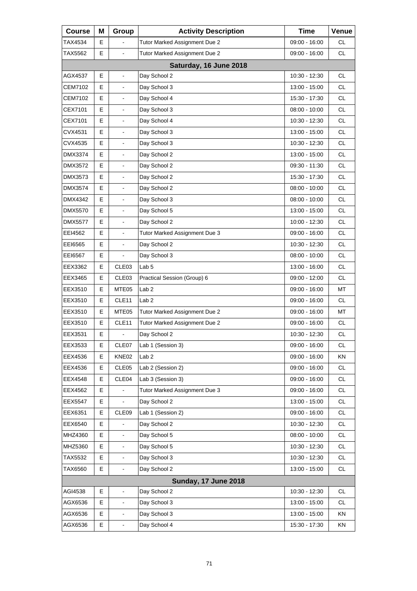| <b>Course</b>          | Μ | Group                    | <b>Activity Description</b>   | <b>Time</b>     | Venue     |  |  |
|------------------------|---|--------------------------|-------------------------------|-----------------|-----------|--|--|
| TAX4534                | Е |                          | Tutor Marked Assignment Due 2 | $09:00 - 16:00$ | CL        |  |  |
| TAX5562                | E | $\overline{a}$           | Tutor Marked Assignment Due 2 | 09:00 - 16:00   | CL.       |  |  |
| Saturday, 16 June 2018 |   |                          |                               |                 |           |  |  |
| AGX4537                | Е | $\blacksquare$           | Day School 2                  | 10:30 - 12:30   | CL.       |  |  |
| CEM7102                | E |                          | Day School 3                  | 13:00 - 15:00   | <b>CL</b> |  |  |
| CEM7102                | E |                          | Day School 4                  | 15:30 - 17:30   | <b>CL</b> |  |  |
| CEX7101                | E | $\blacksquare$           | Day School 3                  | $08:00 - 10:00$ | <b>CL</b> |  |  |
| CEX7101                | E | L.                       | Day School 4                  | 10:30 - 12:30   | <b>CL</b> |  |  |
| CVX4531                | E | $\blacksquare$           | Day School 3                  | 13:00 - 15:00   | <b>CL</b> |  |  |
| CVX4535                | E | $\blacksquare$           | Day School 3                  | 10:30 - 12:30   | <b>CL</b> |  |  |
| DMX3374                | E | L.                       | Day School 2                  | 13:00 - 15:00   | <b>CL</b> |  |  |
| DMX3572                | Е | $\blacksquare$           | Day School 2                  | 09:30 - 11:30   | <b>CL</b> |  |  |
| DMX3573                | E | $\blacksquare$           | Day School 2                  | 15:30 - 17:30   | <b>CL</b> |  |  |
| DMX3574                | E | L.                       | Day School 2                  | $08:00 - 10:00$ | <b>CL</b> |  |  |
| DMX4342                | Е | $\blacksquare$           | Day School 3                  | $08:00 - 10:00$ | <b>CL</b> |  |  |
| DMX5570                | E | $\blacksquare$           | Day School 5                  | 13:00 - 15:00   | <b>CL</b> |  |  |
| DMX5577                | E | L.                       | Day School 2                  | $10:00 - 12:30$ | <b>CL</b> |  |  |
| EEI4562                | Е | $\blacksquare$           | Tutor Marked Assignment Due 3 | 09:00 - 16:00   | <b>CL</b> |  |  |
| EEI6565                | E | $\blacksquare$           | Day School 2                  | 10:30 - 12:30   | <b>CL</b> |  |  |
| EEI6567                | E |                          | Day School 3                  | $08:00 - 10:00$ | <b>CL</b> |  |  |
| EEX3362                | Е | CLE <sub>03</sub>        | Lab <sub>5</sub>              | 13:00 - 16:00   | <b>CL</b> |  |  |
| EEX3465                | E | CLE03                    | Practical Session (Group) 6   | 09:00 - 12:00   | <b>CL</b> |  |  |
| EEX3510                | E | MTE05                    | Lab <sub>2</sub>              | 09:00 - 16:00   | MT        |  |  |
| EEX3510                | Е | CLE11                    | Lab <sub>2</sub>              | 09:00 - 16:00   | <b>CL</b> |  |  |
| EEX3510                | E | MTE05                    | Tutor Marked Assignment Due 2 | 09:00 - 16:00   | MT        |  |  |
| EEX3510                | E | CLE11                    | Tutor Marked Assignment Due 2 | 09:00 - 16:00   | CL.       |  |  |
| EEX3531                | E | $\blacksquare$           | Day School 2                  | $10:30 - 12:30$ | <b>CL</b> |  |  |
| EEX3533                | Е | CLE07                    | Lab 1 (Session 3)             | 09:00 - 16:00   | CL        |  |  |
| EEX4536                | Е | KNE02                    | Lab <sub>2</sub>              | 09:00 - 16:00   | ΚN        |  |  |
| EEX4536                | Е | CLE05                    | Lab 2 (Session 2)             | 09:00 - 16:00   | CL        |  |  |
| EEX4548                | E | CLE04                    | Lab 3 (Session 3)             | 09:00 - 16:00   | CL        |  |  |
| EEX4562                | Е |                          | Tutor Marked Assignment Due 3 | 09:00 - 16:00   | <b>CL</b> |  |  |
| <b>EEX5547</b>         | Е | $\blacksquare$           | Day School 2                  | 13:00 - 15:00   | CL        |  |  |
| EEX6351                | Е | CLE09                    | Lab 1 (Session 2)             | 09:00 - 16:00   | CL        |  |  |
| EEX6540                | Е |                          | Day School 2                  | 10:30 - 12:30   | <b>CL</b> |  |  |
| MHZ4360                | Е | $\blacksquare$           | Day School 5                  | 08:00 - 10:00   | CL        |  |  |
| MHZ5360                | E |                          | Day School 5                  | 10:30 - 12:30   | CL        |  |  |
| TAX5532                | E | $\blacksquare$           | Day School 3                  | 10:30 - 12:30   | <b>CL</b> |  |  |
| TAX6560                | Е | $\blacksquare$           | Day School 2                  | 13:00 - 15:00   | CL        |  |  |
|                        |   |                          | <b>Sunday, 17 June 2018</b>   |                 |           |  |  |
| AGI4538                | Е | $\frac{1}{2}$            | Day School 2                  | 10:30 - 12:30   | <b>CL</b> |  |  |
| AGX6536                | Е | $\overline{\phantom{a}}$ | Day School 3                  | 13:00 - 15:00   | CL        |  |  |
| AGX6536                | E |                          | Day School 3                  | 13:00 - 15:00   | KN        |  |  |
| AGX6536                | E | $\blacksquare$           | Day School 4                  | 15:30 - 17:30   | ΚN        |  |  |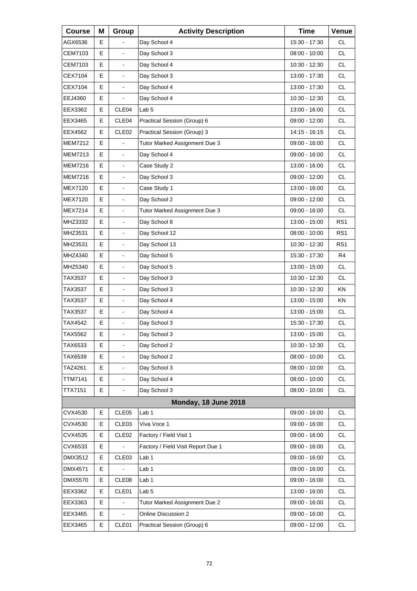| <b>Course</b>  | Μ | Group                    | <b>Activity Description</b>        | <b>Time</b>     | Venue           |
|----------------|---|--------------------------|------------------------------------|-----------------|-----------------|
| AGX6536        | Е |                          | Day School 4                       | 15:30 - 17:30   | <b>CL</b>       |
| CEM7103        | E | $\overline{a}$           | Day School 3                       | 08:00 - 10:00   | <b>CL</b>       |
| CEM7103        | E | $\frac{1}{2}$            | Day School 4                       | 10:30 - 12:30   | <b>CL</b>       |
| CEX7104        | Е | $\blacksquare$           | Day School 3                       | 13:00 - 17:30   | <b>CL</b>       |
| CEX7104        | E | $\overline{a}$           | Day School 4                       | 13:00 - 17:30   | <b>CL</b>       |
| EEJ4360        | E | $\overline{a}$           | Day School 4                       | 10:30 - 12:30   | <b>CL</b>       |
| EEX3362        | Е | CLE04                    | Lab <sub>5</sub>                   | 13:00 - 16:00   | <b>CL</b>       |
| EEX3465        | E | CLE04                    | Practical Session (Group) 6        | 09:00 - 12:00   | <b>CL</b>       |
| EEX4562        | E | CLE <sub>02</sub>        | Practical Session (Group) 3        | 14:15 - 16:15   | <b>CL</b>       |
| <b>MEM7212</b> | Е |                          | Tutor Marked Assignment Due 3      | 09:00 - 16:00   | <b>CL</b>       |
| <b>MEM7213</b> | E | $\blacksquare$           | Day School 4                       | 09:00 - 16:00   | <b>CL</b>       |
| <b>MEM7216</b> | E | $\frac{1}{2}$            | Case Study 2                       | 13:00 - 16:00   | <b>CL</b>       |
| <b>MEM7216</b> | Е | $\blacksquare$           | Day School 3                       | 09:00 - 12:00   | <b>CL</b>       |
| MEX7120        | E | $\overline{a}$           | Case Study 1                       | 13:00 - 16:00   | <b>CL</b>       |
| MEX7120        | E | $\frac{1}{2}$            | Day School 2                       | 09:00 - 12:00   | <b>CL</b>       |
| <b>MEX7214</b> | Е | $\blacksquare$           | Tutor Marked Assignment Due 3      | $09:00 - 16:00$ | <b>CL</b>       |
| MHZ3332        | E | $\overline{a}$           | Day School 8                       | 13:00 - 15:00   | RS <sub>1</sub> |
| MHZ3531        | E | $\overline{\phantom{a}}$ | Day School 12                      | 08:00 - 10:00   | RS <sub>1</sub> |
| MHZ3531        | Е | $\blacksquare$           | Day School 13                      | 10:30 - 12:30   | RS <sub>1</sub> |
| MHZ4340        | E | $\overline{a}$           | Day School 5                       | 15:30 - 17:30   | R4              |
| MHZ5340        | Е | $\overline{\phantom{a}}$ | Day School 5                       | 13:00 - 15:00   | CL.             |
| TAX3537        | Е | $\blacksquare$           | Day School 3                       | 10:30 - 12:30   | <b>CL</b>       |
| TAX3537        | E | $\overline{a}$           | Day School 3                       | 10:30 - 12:30   | <b>KN</b>       |
| TAX3537        | Е | $\overline{\phantom{a}}$ | Day School 4                       | 13:00 - 15:00   | KN              |
| TAX3537        | E | $\blacksquare$           | Day School 4                       | 13:00 - 15:00   | <b>CL</b>       |
| TAX4542        | E | $\blacksquare$           | Day School 3                       | 15:30 - 17:30   | <b>CL</b>       |
| TAX5562        | E | L,                       | Day School 3                       | 13:00 - 15:00   | <b>CL</b>       |
| TAX6533        | Е | $\blacksquare$           | Day School 2                       | 10:30 - 12:30   | CL              |
| TAX6539        | E |                          | Day School 2                       | 08:00 - 10:00   | CL              |
| TAZ4261        | E | $\blacksquare$           | Day School 3                       | $08:00 - 10:00$ | CL              |
| <b>TTM7141</b> | E | $\frac{1}{2}$            | Day School 4                       | 08:00 - 10:00   | CL              |
| <b>TTX7151</b> | E | $\overline{\phantom{a}}$ | Day School 3                       | $08:00 - 10:00$ | CL              |
|                |   |                          | Monday, 18 June 2018               |                 |                 |
| CVX4530        | Е | CLE05                    | Lab 1                              | 09:00 - 16:00   | CL              |
| CVX4530        | Е | CLE03                    | Viva Voce 1                        | 09:00 - 16:00   | CL              |
| CVX4535        | Е | CLE <sub>02</sub>        | Factory / Field Visit 1            | 09:00 - 16:00   | CL              |
| CVX6533        | Е |                          | Factory / Field Visit Report Due 1 | 09:00 - 16:00   | CL              |
| DMX3512        | Е | CLE03                    | Lab <sub>1</sub>                   | 09:00 - 16:00   | CL              |
| DMX4571        | E |                          | Lab 1                              | 09:00 - 16:00   | CL              |
| <b>DMX5570</b> | Е | CLE08                    | Lab <sub>1</sub>                   | 09:00 - 16:00   | CL              |
| EEX3362        | Е | CLE01                    | Lab <sub>5</sub>                   | 13:00 - 16:00   | CL              |
| EEX3363        | E |                          | Tutor Marked Assignment Due 2      | 09:00 - 16:00   | CL              |
| EEX3465        | Е |                          | <b>Online Discussion 2</b>         | 09:00 - 16:00   | CL              |
| EEX3465        | Е | CLE01                    | Practical Session (Group) 6        | 09:00 - 12:00   | CL              |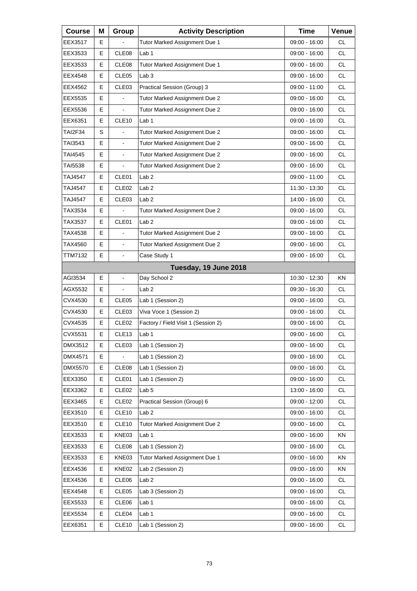| <b>Course</b>  | Μ | Group                    | <b>Activity Description</b>         | <b>Time</b>     | Venue     |
|----------------|---|--------------------------|-------------------------------------|-----------------|-----------|
| EEX3517        | Е |                          | Tutor Marked Assignment Due 1       | 09:00 - 16:00   | СL        |
| EEX3533        | E | CLE08                    | Lab <sub>1</sub>                    | 09:00 - 16:00   | <b>CL</b> |
| EEX3533        | E | CLE08                    | Tutor Marked Assignment Due 1       | 09:00 - 16:00   | <b>CL</b> |
| EEX4548        | Е | CLE <sub>05</sub>        | Lab <sub>3</sub>                    | 09:00 - 16:00   | <b>CL</b> |
| EEX4562        | E | CLE <sub>03</sub>        | Practical Session (Group) 3         | 09:00 - 11:00   | <b>CL</b> |
| EEX5535        | E | $\blacksquare$           | Tutor Marked Assignment Due 2       | 09:00 - 16:00   | <b>CL</b> |
| EEX5536        | Е | $\blacksquare$           | Tutor Marked Assignment Due 2       | 09:00 - 16:00   | <b>CL</b> |
| EEX6351        | E | CLE <sub>10</sub>        | Lab <sub>1</sub>                    | 09:00 - 16:00   | <b>CL</b> |
| <b>TAI2F34</b> | S | $\overline{\phantom{a}}$ | Tutor Marked Assignment Due 2       | 09:00 - 16:00   | <b>CL</b> |
| TAI3543        | Е | $\blacksquare$           | Tutor Marked Assignment Due 2       | 09:00 - 16:00   | <b>CL</b> |
| TAI4545        | E |                          | Tutor Marked Assignment Due 2       | 09:00 - 16:00   | <b>CL</b> |
| <b>TAI5538</b> | E |                          | Tutor Marked Assignment Due 2       | $09:00 - 16:00$ | <b>CL</b> |
| TAJ4547        | Е | CLE01                    | Lab <sub>2</sub>                    | 09:00 - 11:00   | <b>CL</b> |
| TAJ4547        | Е | CLE <sub>02</sub>        | Lab <sub>2</sub>                    | 11:30 - 13:30   | <b>CL</b> |
| <b>TAJ4547</b> | E | CLE03                    | Lab <sub>2</sub>                    | 14:00 - 16:00   | <b>CL</b> |
| TAX3534        | Е |                          | Tutor Marked Assignment Due 2       | 09:00 - 16:00   | <b>CL</b> |
| TAX3537        | E | CLE01                    | Lab <sub>2</sub>                    | 09:00 - 16:00   | <b>CL</b> |
| TAX4538        | E |                          | Tutor Marked Assignment Due 2       | 09:00 - 16:00   | <b>CL</b> |
| TAX4560        | E | $\blacksquare$           | Tutor Marked Assignment Due 2       | 09:00 - 16:00   | <b>CL</b> |
| TTM7132        | E | $\blacksquare$           | Case Study 1                        | 09:00 - 16:00   | <b>CL</b> |
|                |   |                          | Tuesday, 19 June 2018               |                 |           |
| AGI3534        | Е | $\blacksquare$           | Day School 2                        | 10:30 - 12:30   | ΚN        |
| AGX5532        | Е |                          | Lab <sub>2</sub>                    | 09:30 - 16:30   | <b>CL</b> |
| CVX4530        | E | CLE05                    | Lab 1 (Session 2)                   | $09:00 - 16:00$ | <b>CL</b> |
| CVX4530        | Е | CLE <sub>03</sub>        | Viva Voce 1 (Session 2)             | 09:00 - 16:00   | CL        |
| CVX4535        | Е | CLE <sub>02</sub>        | Factory / Field Visit 1 (Session 2) | 09:00 - 16:00   | <b>CL</b> |
| CVX5531        | E | CLE <sub>13</sub>        | Lab 1                               | 09:00 - 16:00   | <b>CL</b> |
| DMX3512        | Е | CLE03                    | Lab 1 (Session 2)                   | 09:00 - 16:00   | <b>CL</b> |
| DMX4571        | Е |                          | Lab 1 (Session 2)                   | 09:00 - 16:00   | CL        |
| DMX5570        | Е | CLE08                    | Lab 1 (Session 2)                   | 09:00 - 16:00   | CL        |
| EEX3350        | Е | CLE01                    | Lab 1 (Session 2)                   | 09:00 - 16:00   | CL.       |
| EEX3362        | Е | CLE <sub>02</sub>        | Lab <sub>5</sub>                    | 13:00 - 16:00   | CL        |
| EEX3465        | Е | CLE <sub>02</sub>        | Practical Session (Group) 6         | 09:00 - 12:00   | CL        |
| EEX3510        | Е | CLE <sub>10</sub>        | Lab <sub>2</sub>                    | 09:00 - 16:00   | <b>CL</b> |
| EEX3510        | Е | CLE <sub>10</sub>        | Tutor Marked Assignment Due 2       | 09:00 - 16:00   | CL        |
| EEX3533        | Е | KNE03                    | Lab <sub>1</sub>                    | 09:00 - 16:00   | KN        |
| EEX3533        | Е | CLE08                    | Lab 1 (Session 2)                   | 09:00 - 16:00   | <b>CL</b> |
| EEX3533        | Е | KNE03                    | Tutor Marked Assignment Due 1       | 09:00 - 16:00   | KN        |
| EEX4536        | Е | KNE02                    | Lab 2 (Session 2)                   | 09:00 - 16:00   | KN        |
| EEX4536        | Е | CLE06                    | Lab <sub>2</sub>                    | 09:00 - 16:00   | <b>CL</b> |
| EEX4548        | Е | CLE <sub>05</sub>        | Lab 3 (Session 2)                   | 09:00 - 16:00   | CL        |
| EEX5533        | Е | CLE06                    | Lab <sub>1</sub>                    | 09:00 - 16:00   | CL        |
| EEX5534        | Е | CLE04                    | Lab <sub>1</sub>                    | 09:00 - 16:00   | <b>CL</b> |
| EEX6351        | Е | CLE <sub>10</sub>        | Lab 1 (Session 2)                   | 09:00 - 16:00   | CL.       |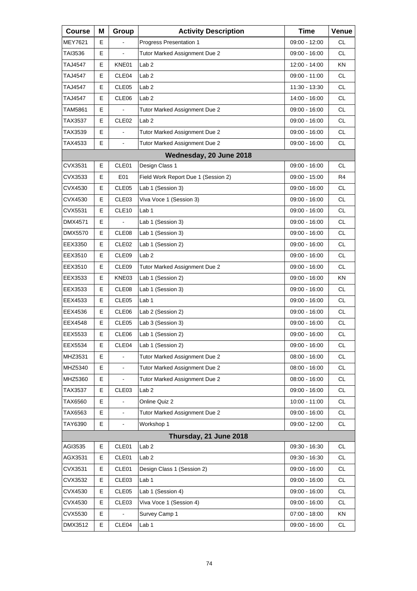| <b>Course</b>  | Μ | Group             | <b>Activity Description</b>         | <b>Time</b>     | Venue     |
|----------------|---|-------------------|-------------------------------------|-----------------|-----------|
| MEY7621        | Е |                   | Progress Presentation 1             | 09:00 - 12:00   | <b>CL</b> |
| TAI3536        | E |                   | Tutor Marked Assignment Due 2       | 09:00 - 16:00   | <b>CL</b> |
| TAJ4547        | E | KNE01             | Lab 2                               | 12:00 - 14:00   | KN        |
| TAJ4547        | Е | CLE <sub>04</sub> | Lab <sub>2</sub>                    | 09:00 - 11:00   | <b>CL</b> |
| <b>TAJ4547</b> | E | CLE05             | Lab <sub>2</sub>                    | 11:30 - 13:30   | <b>CL</b> |
| TAJ4547        | E | CLE06             | Lab <sub>2</sub>                    | 14:00 - 16:00   | <b>CL</b> |
| TAM5861        | Е |                   | Tutor Marked Assignment Due 2       | 09:00 - 16:00   | <b>CL</b> |
| TAX3537        | E | CLE <sub>02</sub> | Lab <sub>2</sub>                    | 09:00 - 16:00   | <b>CL</b> |
| TAX3539        | E | ä,                | Tutor Marked Assignment Due 2       | 09:00 - 16:00   | <b>CL</b> |
| TAX4533        | Е | $\blacksquare$    | Tutor Marked Assignment Due 2       | 09:00 - 16:00   | <b>CL</b> |
|                |   |                   | Wednesday, 20 June 2018             |                 |           |
| CVX3531        | E | CLE01             | Design Class 1                      | 09:00 - 16:00   | CL.       |
| CVX3533        | Е | E01               | Field Work Report Due 1 (Session 2) | 09:00 - 15:00   | R4        |
| CVX4530        | E | CLE05             | Lab 1 (Session 3)                   | 09:00 - 16:00   | <b>CL</b> |
| CVX4530        | Е | CLE <sub>03</sub> | Viva Voce 1 (Session 3)             | 09:00 - 16:00   | <b>CL</b> |
| CVX5531        | Е | CLE <sub>10</sub> | Lab 1                               | 09:00 - 16:00   | <b>CL</b> |
| DMX4571        | E |                   | Lab 1 (Session 3)                   | 09:00 - 16:00   | <b>CL</b> |
| DMX5570        | Е | CLE <sub>08</sub> | Lab 1 (Session 3)                   | 09:00 - 16:00   | <b>CL</b> |
| EEX3350        | Е | CLE <sub>02</sub> | Lab 1 (Session 2)                   | 09:00 - 16:00   | <b>CL</b> |
| EEX3510        | E | CLE09             | Lab <sub>2</sub>                    | 09:00 - 16:00   | <b>CL</b> |
| EEX3510        | Е | CLE09             | Tutor Marked Assignment Due 2       | 09:00 - 16:00   | CL.       |
| EEX3533        | Е | KNE03             | Lab 1 (Session 2)                   | 09:00 - 16:00   | <b>KN</b> |
| EEX3533        | E | CLE08             | Lab 1 (Session 3)                   | 09:00 - 16:00   | <b>CL</b> |
| EEX4533        | Е | CLE <sub>05</sub> | Lab 1                               | 09:00 - 16:00   | <b>CL</b> |
| EEX4536        | Е | CLE06             | Lab 2 (Session 2)                   | 09:00 - 16:00   | <b>CL</b> |
| EEX4548        | E | CLE <sub>05</sub> | Lab 3 (Session 3)                   | 09:00 - 16:00   | <b>CL</b> |
| EEX5533        | Е | CLE06             | Lab 1 (Session 2)                   | 09:00 - 16:00   | <b>CL</b> |
| EEX5534        | Е | CLE04             | Lab 1 (Session 2)                   | 09:00 - 16:00   | CL.       |
| MHZ3531        | E |                   | Tutor Marked Assignment Due 2       | 08:00 - 16:00   | CL        |
| MHZ5340        | E | $\frac{1}{2}$     | Tutor Marked Assignment Due 2       | 08:00 - 16:00   | CL        |
| MHZ5360        | Е |                   | Tutor Marked Assignment Due 2       | 08:00 - 16:00   | CL        |
| TAX3537        | Е | CLE03             | Lab <sub>2</sub>                    | 09:00 - 16:00   | CL        |
| TAX6560        | E |                   | Online Quiz 2                       | 10:00 - 11:00   | CL        |
| TAX6563        | E | $\blacksquare$    | Tutor Marked Assignment Due 2       | 09:00 - 16:00   | CL        |
| TAY6390        | E | $\mathbf{r}$      | Workshop 1                          | 09:00 - 12:00   | CL        |
|                |   |                   | Thursday, 21 June 2018              |                 |           |
| AGI3535        | Е | CLE01             | Lab <sub>2</sub>                    | 09:30 - 16:30   | CL        |
| AGX3531        | Е | CLE01             | Lab <sub>2</sub>                    | 09:30 - 16:30   | CL        |
| CVX3531        | Е | CLE01             | Design Class 1 (Session 2)          | 09:00 - 16:00   | CL        |
| CVX3532        | Е | CLE03             | Lab <sub>1</sub>                    | 09:00 - 16:00   | CL        |
| CVX4530        | Е | CLE05             | Lab 1 (Session 4)                   | 09:00 - 16:00   | CL        |
| CVX4530        | Е | CLE03             | Viva Voce 1 (Session 4)             | 09:00 - 16:00   | CL        |
| CVX5530        | Е |                   | Survey Camp 1                       | $07:00 - 18:00$ | KN        |
| DMX3512        | Е | CLE04             | Lab <sub>1</sub>                    | 09:00 - 16:00   | CL.       |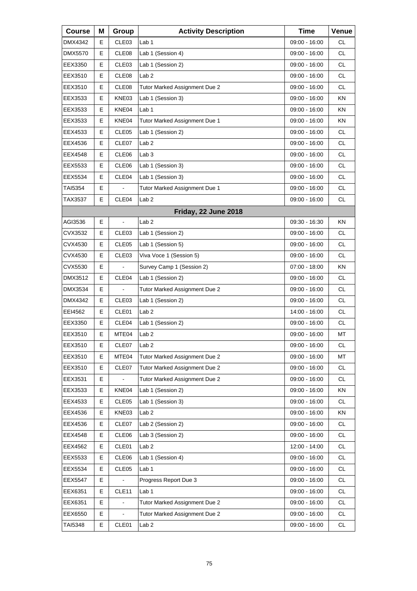| <b>Course</b>  | Μ | Group             | <b>Activity Description</b>   | <b>Time</b>     | Venue     |
|----------------|---|-------------------|-------------------------------|-----------------|-----------|
| DMX4342        | Е | CLE <sub>03</sub> | Lab 1                         | 09:00 - 16:00   | СL        |
| <b>DMX5570</b> | Е | CLE <sub>08</sub> | Lab 1 (Session 4)             | 09:00 - 16:00   | <b>CL</b> |
| EEX3350        | Е | CLE <sub>03</sub> | Lab 1 (Session 2)             | 09:00 - 16:00   | <b>CL</b> |
| EEX3510        | Е | CLE <sub>08</sub> | Lab <sub>2</sub>              | 09:00 - 16:00   | СL        |
| EEX3510        | Е | CLE <sub>08</sub> | Tutor Marked Assignment Due 2 | 09:00 - 16:00   | <b>CL</b> |
| EEX3533        | Е | KNE03             | Lab 1 (Session 3)             | 09:00 - 16:00   | ΚN        |
| EEX3533        | Е | KNE04             | Lab 1                         | 09:00 - 16:00   | ΚN        |
| EEX3533        | Е | KNE04             | Tutor Marked Assignment Due 1 | 09:00 - 16:00   | KN        |
| EEX4533        | Е | CLE <sub>05</sub> | Lab 1 (Session 2)             | 09:00 - 16:00   | <b>CL</b> |
| EEX4536        | Е | CLE07             | Lab <sub>2</sub>              | 09:00 - 16:00   | СL        |
| EEX4548        | Е | CLE <sub>06</sub> | Lab <sub>3</sub>              | 09:00 - 16:00   | <b>CL</b> |
| EEX5533        | E | CLE06             | Lab 1 (Session 3)             | 09:00 - 16:00   | <b>CL</b> |
| EEX5534        | Е | CLE04             | Lab 1 (Session 3)             | 09:00 - 16:00   | СL        |
| TAI5354        | Е |                   | Tutor Marked Assignment Due 1 | 09:00 - 16:00   | <b>CL</b> |
| TAX3537        | E | CLE04             | Lab <sub>2</sub>              | 09:00 - 16:00   | <b>CL</b> |
|                |   |                   | Friday, 22 June 2018          |                 |           |
| AGI3536        | E |                   | Lab <sub>2</sub>              | $09:30 - 16:30$ | KN        |
| CVX3532        | Е | CLE <sub>03</sub> | Lab 1 (Session 2)             | 09:00 - 16:00   | <b>CL</b> |
| CVX4530        | Е | CLE <sub>05</sub> | Lab 1 (Session 5)             | 09:00 - 16:00   | CL        |
| CVX4530        | Е | CLE <sub>03</sub> | Viva Voce 1 (Session 5)       | 09:00 - 16:00   | <b>CL</b> |
| CVX5530        | E |                   | Survey Camp 1 (Session 2)     | $07:00 - 18:00$ | KN        |
| DMX3512        | Е | CLE <sub>04</sub> | Lab 1 (Session 2)             | 09:00 - 16:00   | CL        |
| DMX3534        | Е |                   | Tutor Marked Assignment Due 2 | 09:00 - 16:00   | <b>CL</b> |
| <b>DMX4342</b> | Е | CLE <sub>03</sub> | Lab 1 (Session 2)             | 09:00 - 16:00   | <b>CL</b> |
| EEI4562        | Ε | CLE01             | Lab <sub>2</sub>              | 14:00 - 16:00   | CL        |
| EEX3350        | Е | CLE04             | Lab 1 (Session 2)             | 09:00 - 16:00   | <b>CL</b> |
| EEX3510        | E | MTE04             | Lab 2                         | 09:00 - 16:00   | MT        |
| EEX3510        | Е | CLE07             | Lab <sub>2</sub>              | 09:00 - 16:00   | CL.       |
| EEX3510        | Е | MTE04             | Tutor Marked Assignment Due 2 | 09:00 - 16:00   | MT        |
| EEX3510        | Е | CLE07             | Tutor Marked Assignment Due 2 | 09:00 - 16:00   | CL        |
| EEX3531        | Е |                   | Tutor Marked Assignment Due 2 | 09:00 - 16:00   | CL.       |
| EEX3533        | Е | KNE04             | Lab 1 (Session 2)             | 09:00 - 16:00   | KN        |
| EEX4533        | Е | CLE05             | Lab 1 (Session 3)             | $09:00 - 16:00$ | CL        |
| EEX4536        | Е | KNE03             | Lab <sub>2</sub>              | 09:00 - 16:00   | KN        |
| EEX4536        | Е | CLE07             | Lab 2 (Session 2)             | 09:00 - 16:00   | CL        |
| EEX4548        | Е | CLE06             | Lab 3 (Session 2)             | 09:00 - 16:00   | CL        |
| EEX4562        | Е | CLE01             | Lab <sub>2</sub>              | 12:00 - 14:00   | CL        |
| EEX5533        | Е | CLE06             | Lab 1 (Session 4)             | 09:00 - 16:00   | CL        |
| EEX5534        | Е | CLE05             | Lab <sub>1</sub>              | 09:00 - 16:00   | CL        |
| EEX5547        | Е |                   | Progress Report Due 3         | 09:00 - 16:00   | CL        |
| EEX6351        | Е | CLE <sub>11</sub> | Lab <sub>1</sub>              | 09:00 - 16:00   | CL        |
| EEX6351        | E |                   | Tutor Marked Assignment Due 2 | 09:00 - 16:00   | CL        |
| EEX6550        | Е |                   | Tutor Marked Assignment Due 2 | 09:00 - 16:00   | CL.       |
| TAI5348        | Е | CLE01             | Lab <sub>2</sub>              | 09:00 - 16:00   | CL        |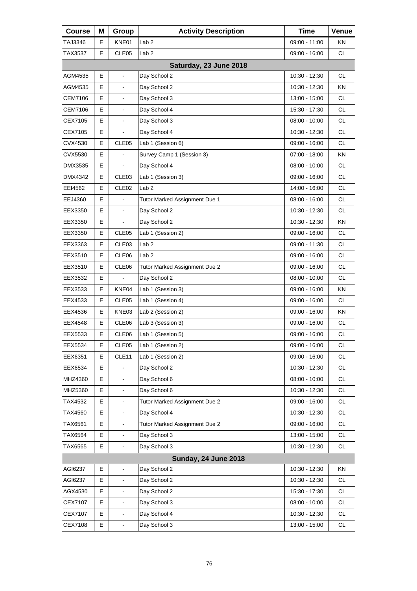| <b>Course</b>  | Μ | Group                        | <b>Activity Description</b>   | <b>Time</b>     | Venue     |
|----------------|---|------------------------------|-------------------------------|-----------------|-----------|
| TAJ3346        | Е | KNE01                        | Lab <sub>2</sub>              | 09:00 - 11:00   | ΚN        |
| TAX3537        | Е | CLE <sub>05</sub>            | Lab <sub>2</sub>              | 09:00 - 16:00   | <b>CL</b> |
|                |   |                              | Saturday, 23 June 2018        |                 |           |
| AGM4535        | Е | ä,                           | Day School 2                  | 10:30 - 12:30   | СL        |
| AGM4535        | E |                              | Day School 2                  | 10:30 - 12:30   | KN        |
| <b>CEM7106</b> | E | $\blacksquare$               | Day School 3                  | 13:00 - 15:00   | <b>CL</b> |
| CEM7106        | E | $\blacksquare$               | Day School 4                  | 15:30 - 17:30   | <b>CL</b> |
| CEX7105        | E |                              | Day School 3                  | $08:00 - 10:00$ | <b>CL</b> |
| CEX7105        | E |                              | Day School 4                  | 10:30 - 12:30   | <b>CL</b> |
| CVX4530        | Е | CLE <sub>05</sub>            | Lab 1 (Session 6)             | 09:00 - 16:00   | <b>CL</b> |
| CVX5530        | E |                              | Survey Camp 1 (Session 3)     | $07:00 - 18:00$ | KN        |
| DMX3535        | E |                              | Day School 4                  | $08:00 - 10:00$ | <b>CL</b> |
| DMX4342        | Е | CLE <sub>03</sub>            | Lab 1 (Session 3)             | 09:00 - 16:00   | <b>CL</b> |
| EEI4562        | E | CLE <sub>02</sub>            | Lab <sub>2</sub>              | 14:00 - 16:00   | <b>CL</b> |
| EEJ4360        | E | $\overline{a}$               | Tutor Marked Assignment Due 1 | 08:00 - 16:00   | <b>CL</b> |
| EEX3350        | Е | $\blacksquare$               | Day School 2                  | 10:30 - 12:30   | <b>CL</b> |
| EEX3350        | Е |                              | Day School 2                  | 10:30 - 12:30   | KN        |
| EEX3350        | E | CLE <sub>05</sub>            | Lab 1 (Session 2)             | 09:00 - 16:00   | <b>CL</b> |
| EEX3363        | Е | CLE <sub>03</sub>            | Lab <sub>2</sub>              | 09:00 - 11:30   | <b>CL</b> |
| EEX3510        | E | CLE06                        | Lab <sub>2</sub>              | 09:00 - 16:00   | <b>CL</b> |
| EEX3510        | E | CLE06                        | Tutor Marked Assignment Due 2 | 09:00 - 16:00   | <b>CL</b> |
| EEX3532        | Е |                              | Day School 2                  | $08:00 - 10:00$ | <b>CL</b> |
| EEX3533        | Е | KNE04                        | Lab 1 (Session 3)             | 09:00 - 16:00   | KN        |
| EEX4533        | E | CLE05                        | Lab 1 (Session 4)             | 09:00 - 16:00   | <b>CL</b> |
| EEX4536        | Е | KNE03                        | Lab 2 (Session 2)             | 09:00 - 16:00   | ΚN        |
| EEX4548        | E | CLE06                        | Lab 3 (Session 3)             | 09:00 - 16:00   | <b>CL</b> |
| EEX5533        | E | CLE06                        | Lab 1 (Session 5)             | $09:00 - 16:00$ | CL        |
| EEX5534        | Е | CLE05                        | Lab 1 (Session 2)             | 09:00 - 16:00   | <b>CL</b> |
| EEX6351        | Е | CLE11                        | Lab 1 (Session 2)             | 09:00 - 16:00   | CL        |
| EEX6534        | E |                              | Day School 2                  | 10:30 - 12:30   | CL        |
| MHZ4360        | Е | $\blacksquare$               | Day School 6                  | 08:00 - 10:00   | <b>CL</b> |
| MHZ5360        | E |                              | Day School 6                  | 10:30 - 12:30   | CL        |
| TAX4532        | E |                              | Tutor Marked Assignment Due 2 | 09:00 - 16:00   | CL        |
| TAX4560        | Е | $\blacksquare$               | Day School 4                  | 10:30 - 12:30   | <b>CL</b> |
| TAX6561        | Е |                              | Tutor Marked Assignment Due 2 | 09:00 - 16:00   | CL        |
| TAX6564        | E |                              | Day School 3                  | 13:00 - 15:00   | CL        |
| TAX6565        | Е | $\overline{\phantom{a}}$     | Day School 3                  | 10:30 - 12:30   | CL        |
|                |   |                              | <b>Sunday, 24 June 2018</b>   |                 |           |
| AGI6237        | Е | $\blacksquare$               | Day School 2                  | 10:30 - 12:30   | KN        |
| AGI6237        | Е |                              | Day School 2                  | 10:30 - 12:30   | CL.       |
| AGX4530        | Е |                              | Day School 2                  | 15:30 - 17:30   | CL        |
| CEX7107        | Е |                              | Day School 3                  | 08:00 - 10:00   | CL        |
| CEX7107        | Е | $\qquad \qquad \blacksquare$ | Day School 4                  | 10:30 - 12:30   | CL.       |
| CEX7108        | E | $\blacksquare$               | Day School 3                  | 13:00 - 15:00   | CL        |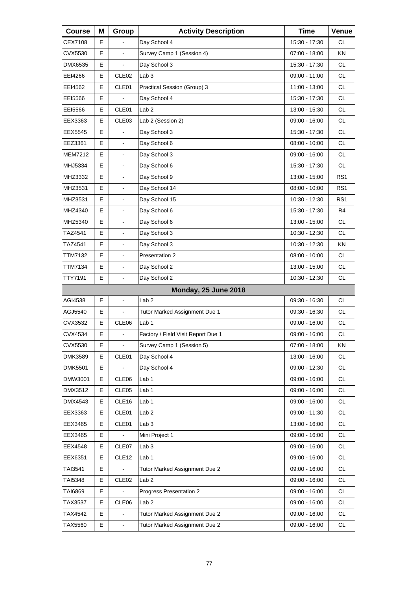| <b>Course</b>  | Μ | Group                    | <b>Activity Description</b>        | <b>Time</b>     | Venue           |
|----------------|---|--------------------------|------------------------------------|-----------------|-----------------|
| CEX7108        | Е |                          | Day School 4                       | 15:30 - 17:30   | <b>CL</b>       |
| CVX5530        | E |                          | Survey Camp 1 (Session 4)          | 07:00 - 18:00   | <b>KN</b>       |
| <b>DMX6535</b> | E | ä,                       | Day School 3                       | 15:30 - 17:30   | <b>CL</b>       |
| EEI4266        | Е | CLE <sub>02</sub>        | Lab <sub>3</sub>                   | 09:00 - 11:00   | <b>CL</b>       |
| EEI4562        | E | CLE01                    | Practical Session (Group) 3        | 11:00 - 13:00   | <b>CL</b>       |
| EE15566        | E |                          | Day School 4                       | 15:30 - 17:30   | <b>CL</b>       |
| EEI5566        | Е | CLE01                    | Lab <sub>2</sub>                   | 13:00 - 15:30   | <b>CL</b>       |
| EEX3363        | E | CLE03                    | Lab 2 (Session 2)                  | $09:00 - 16:00$ | <b>CL</b>       |
| EEX5545        | E | $\overline{a}$           | Day School 3                       | 15:30 - 17:30   | <b>CL</b>       |
| EEZ3361        | Е | $\blacksquare$           | Day School 6                       | $08:00 - 10:00$ | <b>CL</b>       |
| <b>MEM7212</b> | E | $\overline{a}$           | Day School 3                       | 09:00 - 16:00   | <b>CL</b>       |
| MHJ5334        | E | $\overline{\phantom{a}}$ | Day School 6                       | 15:30 - 17:30   | CL.             |
| MHZ3332        | Е | $\blacksquare$           | Day School 9                       | 13:00 - 15:00   | RS <sub>1</sub> |
| MHZ3531        | E | $\overline{a}$           | Day School 14                      | $08:00 - 10:00$ | RS <sub>1</sub> |
| MHZ3531        | E | $\overline{\phantom{a}}$ | Day School 15                      | 10:30 - 12:30   | RS <sub>1</sub> |
| MHZ4340        | Е | $\blacksquare$           | Day School 6                       | 15:30 - 17:30   | R4              |
| MHZ5340        | E | $\overline{a}$           | Day School 6                       | 13:00 - 15:00   | <b>CL</b>       |
| TAZ4541        | Е | $\overline{\phantom{a}}$ | Day School 3                       | 10:30 - 12:30   | CL.             |
| TAZ4541        | Е | $\blacksquare$           | Day School 3                       | 10:30 - 12:30   | <b>KN</b>       |
| TTM7132        | E | $\blacksquare$           | Presentation 2                     | 08:00 - 10:00   | <b>CL</b>       |
| TTM7134        | E | $\overline{\phantom{a}}$ | Day School 2                       | 13:00 - 15:00   | <b>CL</b>       |
| TTY7191        | E | $\blacksquare$           | Day School 2                       | 10:30 - 12:30   | <b>CL</b>       |
|                |   |                          | <b>Monday, 25 June 2018</b>        |                 |                 |
| AGI4538        | E | $\overline{\phantom{a}}$ | Lab <sub>2</sub>                   | 09:30 - 16:30   | CL.             |
| AGJ5540        | Е | $\blacksquare$           | Tutor Marked Assignment Due 1      | 09:30 - 16:30   | <b>CL</b>       |
| CVX3532        | E | CLE06                    | Lab <sub>1</sub>                   | 09:00 - 16:00   | <b>CL</b>       |
| <b>CVX4534</b> | E | ä,                       | Factory / Field Visit Report Due 1 | $09:00 - 16:00$ | <b>CL</b>       |
| CVX5530        | Е | $\blacksquare$           | Survey Camp 1 (Session 5)          | 07:00 - 18:00   | KN              |
| <b>DMK3589</b> | Е | CLE01                    | Day School 4                       | 13:00 - 16:00   | CL              |
| <b>DMK5501</b> | E |                          | Day School 4                       | 09:00 - 12:30   | CL              |
| DMW3001        | Е | CLE06                    | Lab <sub>1</sub>                   | 09:00 - 16:00   | CL              |
| DMX3512        | Е | CLE05                    | Lab 1                              | 09:00 - 16:00   | CL              |
| DMX4543        | E | CLE16                    | Lab 1                              | 09:00 - 16:00   | CL              |
| EEX3363        | Е | CLE01                    | Lab <sub>2</sub>                   | 09:00 - 11:30   | CL              |
| EEX3465        | Е | CLE01                    | Lab <sub>3</sub>                   | 13:00 - 16:00   | CL              |
| EEX3465        | Е |                          | Mini Project 1                     | 09:00 - 16:00   | CL              |
| EEX4548        | Е | CLE07                    | Lab <sub>3</sub>                   | 09:00 - 16:00   | CL              |
| EEX6351        | Е | CLE <sub>12</sub>        | Lab <sub>1</sub>                   | 09:00 - 16:00   | CL              |
| TAI3541        | Е |                          | Tutor Marked Assignment Due 2      | 09:00 - 16:00   | CL              |
| TAI5348        | Е | CLE <sub>02</sub>        | Lab <sub>2</sub>                   | 09:00 - 16:00   | CL              |
| TAI6869        | Е |                          | Progress Presentation 2            | 09:00 - 16:00   | CL              |
| TAX3537        | Е | CLE06                    | Lab <sub>2</sub>                   | 09:00 - 16:00   | CL              |
| TAX4542        | Е |                          | Tutor Marked Assignment Due 2      | 09:00 - 16:00   | CL              |
| TAX5560        | Е | $\blacksquare$           | Tutor Marked Assignment Due 2      | 09:00 - 16:00   | CL              |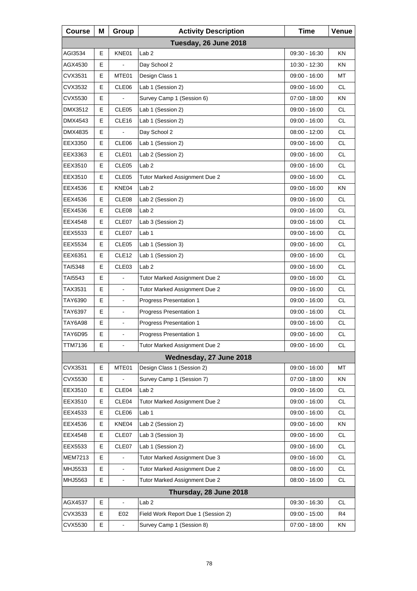| <b>Course</b>         | Μ  | Group                    | <b>Activity Description</b>         | <b>Time</b>     | Venue     |  |  |
|-----------------------|----|--------------------------|-------------------------------------|-----------------|-----------|--|--|
| Tuesday, 26 June 2018 |    |                          |                                     |                 |           |  |  |
| AGI3534               | E  | KNE01                    | Lab <sub>2</sub>                    | 09:30 - 16:30   | ΚN        |  |  |
| AGX4530               | Е  |                          | Day School 2                        | 10:30 - 12:30   | ΚN        |  |  |
| CVX3531               | Е  | MTE01                    | Design Class 1                      | 09:00 - 16:00   | MT        |  |  |
| CVX3532               | E  | CLE06                    | Lab 1 (Session 2)                   | 09:00 - 16:00   | <b>CL</b> |  |  |
| CVX5530               | Е  |                          | Survey Camp 1 (Session 6)           | $07:00 - 18:00$ | ΚN        |  |  |
| DMX3512               | Е  | CLE <sub>05</sub>        | Lab 1 (Session 2)                   | 09:00 - 16:00   | <b>CL</b> |  |  |
| DMX4543               | E  | CLE16                    | Lab 1 (Session 2)                   | 09:00 - 16:00   | <b>CL</b> |  |  |
| DMX4835               | Е  |                          | Day School 2                        | 08:00 - 12:00   | CL.       |  |  |
| EEX3350               | Е  | CLE06                    | Lab 1 (Session 2)                   | 09:00 - 16:00   | <b>CL</b> |  |  |
| EEX3363               | E  | CLE01                    | Lab 2 (Session 2)                   | 09:00 - 16:00   | <b>CL</b> |  |  |
| EEX3510               | Е  | CLE <sub>05</sub>        | Lab <sub>2</sub>                    | 09:00 - 16:00   | <b>CL</b> |  |  |
| EEX3510               | Е  | CLE <sub>05</sub>        | Tutor Marked Assignment Due 2       | 09:00 - 16:00   | <b>CL</b> |  |  |
| EEX4536               | E  | KNE04                    | Lab <sub>2</sub>                    | 09:00 - 16:00   | KN        |  |  |
| EEX4536               | Е  | CLE08                    | Lab 2 (Session 2)                   | 09:00 - 16:00   | <b>CL</b> |  |  |
| EEX4536               | Е  | CLE08                    | Lab <sub>2</sub>                    | 09:00 - 16:00   | <b>CL</b> |  |  |
| EEX4548               | E  | CLE07                    | Lab 3 (Session 2)                   | 09:00 - 16:00   | <b>CL</b> |  |  |
| EEX5533               | Е  | CLE07                    | Lab 1                               | 09:00 - 16:00   | <b>CL</b> |  |  |
| EEX5534               | Е  | CLE05                    | Lab 1 (Session 3)                   | 09:00 - 16:00   | <b>CL</b> |  |  |
| EEX6351               | E  | CLE <sub>12</sub>        | Lab 1 (Session 2)                   | 09:00 - 16:00   | <b>CL</b> |  |  |
| TAI5348               | Е  | CLE03                    | Lab <sub>2</sub>                    | 09:00 - 16:00   | <b>CL</b> |  |  |
| TAI5543               | Е  | $\blacksquare$           | Tutor Marked Assignment Due 2       | 09:00 - 16:00   | <b>CL</b> |  |  |
| TAX3531               | E  | $\blacksquare$           | Tutor Marked Assignment Due 2       | 09:00 - 16:00   | <b>CL</b> |  |  |
| TAY6390               | Е  |                          | Progress Presentation 1             | 09:00 - 16:00   | <b>CL</b> |  |  |
| TAY6397               | Е  | $\blacksquare$           | Progress Presentation 1             | 09:00 - 16:00   | <b>CL</b> |  |  |
| TAY6A98               | E  | $\blacksquare$           | Progress Presentation 1             | 09:00 - 16:00   | CL        |  |  |
| TAY6D95               | E. |                          | <b>Progress Presentation 1</b>      | 09:00 - 16:00   | <b>CL</b> |  |  |
| <b>TTM7136</b>        | Е  | $\blacksquare$           | Tutor Marked Assignment Due 2       | 09:00 - 16:00   | <b>CL</b> |  |  |
|                       |    |                          | Wednesday, 27 June 2018             |                 |           |  |  |
| CVX3531               | Е  | MTE01                    | Design Class 1 (Session 2)          | 09:00 - 16:00   | МT        |  |  |
| CVX5530               | Е  |                          | Survey Camp 1 (Session 7)           | 07:00 - 18:00   | KN        |  |  |
| EEX3510               | Е  | CLE04                    | Lab 2                               | 09:00 - 16:00   | CL.       |  |  |
| EEX3510               | Е  | CLE04                    | Tutor Marked Assignment Due 2       | $09:00 - 16:00$ | CL        |  |  |
| EEX4533               | E  | CLE06                    | Lab <sub>1</sub>                    | 09:00 - 16:00   | CL        |  |  |
| EEX4536               | Е  | KNE04                    | Lab 2 (Session 2)                   | 09:00 - 16:00   | KN        |  |  |
| EEX4548               | Е  | CLE07                    | Lab 3 (Session 3)                   | 09:00 - 16:00   | CL        |  |  |
| EEX5533               | Е  | CLE07                    | Lab 1 (Session 2)                   | 09:00 - 16:00   | CL        |  |  |
| <b>MEM7213</b>        | E  |                          | Tutor Marked Assignment Due 3       | 09:00 - 16:00   | CL.       |  |  |
| MHJ5533               | E  |                          | Tutor Marked Assignment Due 2       | 08:00 - 16:00   | CL        |  |  |
| MHJ5563               | Е  | $\blacksquare$           | Tutor Marked Assignment Due 2       | $08:00 - 16:00$ | CL        |  |  |
|                       |    |                          | Thursday, 28 June 2018              |                 |           |  |  |
| AGX4537               | Е  | $\overline{\phantom{a}}$ | Lab <sub>2</sub>                    | 09:30 - 16:30   | <b>CL</b> |  |  |
| CVX3533               | Е  | E02                      | Field Work Report Due 1 (Session 2) | 09:00 - 15:00   | R4        |  |  |
| CVX5530               | Е  | $\blacksquare$           | Survey Camp 1 (Session 8)           | 07:00 - 18:00   | ΚN        |  |  |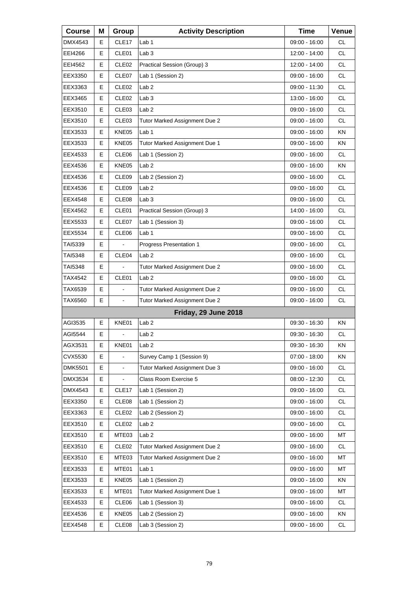| <b>Course</b>  | Μ | Group             | <b>Activity Description</b>   | <b>Time</b>     | Venue     |
|----------------|---|-------------------|-------------------------------|-----------------|-----------|
| DMX4543        | Е | CLE17             | Lab 1                         | 09:00 - 16:00   | СL        |
| EEI4266        | Е | CLE01             | Lab <sub>3</sub>              | 12:00 - 14:00   | <b>CL</b> |
| EEI4562        | E | CLE <sub>02</sub> | Practical Session (Group) 3   | 12:00 - 14:00   | <b>CL</b> |
| EEX3350        | Е | CLE07             | Lab 1 (Session 2)             | 09:00 - 16:00   | <b>CL</b> |
| EEX3363        | E | CLE <sub>02</sub> | Lab <sub>2</sub>              | 09:00 - 11:30   | <b>CL</b> |
| EEX3465        | E | CLE <sub>02</sub> | Lab <sub>3</sub>              | 13:00 - 16:00   | <b>CL</b> |
| EEX3510        | Е | CLE <sub>03</sub> | Lab <sub>2</sub>              | 09:00 - 16:00   | <b>CL</b> |
| EEX3510        | E | CLE03             | Tutor Marked Assignment Due 2 | 09:00 - 16:00   | <b>CL</b> |
| EEX3533        | E | KNE05             | Lab 1                         | 09:00 - 16:00   | KN        |
| EEX3533        | Е | KNE05             | Tutor Marked Assignment Due 1 | 09:00 - 16:00   | ΚN        |
| EEX4533        | E | CLE06             | Lab 1 (Session 2)             | 09:00 - 16:00   | <b>CL</b> |
| EEX4536        | E | KNE05             | Lab <sub>2</sub>              | 09:00 - 16:00   | KN        |
| EEX4536        | Е | CLE09             | Lab 2 (Session 2)             | 09:00 - 16:00   | <b>CL</b> |
| EEX4536        | E | CLE09             | Lab <sub>2</sub>              | $09:00 - 16:00$ | <b>CL</b> |
| EEX4548        | E | CLE08             | Lab <sub>3</sub>              | $09:00 - 16:00$ | <b>CL</b> |
| EEX4562        | Е | CLE01             | Practical Session (Group) 3   | 14:00 - 16:00   | <b>CL</b> |
| EEX5533        | Е | CLE07             | Lab 1 (Session 3)             | 09:00 - 16:00   | <b>CL</b> |
| EEX5534        | E | CLE06             | Lab 1                         | 09:00 - 16:00   | <b>CL</b> |
| TAI5339        | Е |                   | Progress Presentation 1       | $09:00 - 16:00$ | <b>CL</b> |
| TAI5348        | E | CLE04             | Lab <sub>2</sub>              | 09:00 - 16:00   | <b>CL</b> |
| TAI5348        | E |                   | Tutor Marked Assignment Due 2 | 09:00 - 16:00   | <b>CL</b> |
| TAX4542        | Е | CLE01             | Lab <sub>2</sub>              | $09:00 - 16:00$ | CL        |
| TAX6539        | E |                   | Tutor Marked Assignment Due 2 | 09:00 - 16:00   | <b>CL</b> |
| TAX6560        | E | $\blacksquare$    | Tutor Marked Assignment Due 2 | 09:00 - 16:00   | <b>CL</b> |
|                |   |                   | Friday, 29 June 2018          |                 |           |
| AGI3535        | E | KNE01             | Lab <sub>2</sub>              | 09:30 - 16:30   | KN        |
| AGI5544        | E | $\blacksquare$    | Lab <sub>2</sub>              | $09:30 - 16:30$ | CL        |
| AGX3531        | Е | KNE01             | Lab 2                         | 09:30 - 16:30   | ΚN        |
| CVX5530        | Е |                   | Survey Camp 1 (Session 9)     | 07:00 - 18:00   | KN        |
| <b>DMK5501</b> | E |                   | Tutor Marked Assignment Due 3 | 09:00 - 16:00   | CL        |
| DMX3534        | Е |                   | Class Room Exercise 5         | 08:00 - 12:30   | <b>CL</b> |
| DMX4543        | Е | CLE <sub>17</sub> | Lab 1 (Session 2)             | 09:00 - 16:00   | CL        |
| EEX3350        | Е | CLE08             | Lab 1 (Session 2)             | 09:00 - 16:00   | CL        |
| EEX3363        | Е | CLE <sub>02</sub> | Lab 2 (Session 2)             | 09:00 - 16:00   | <b>CL</b> |
| EEX3510        | Е | CLE <sub>02</sub> | Lab <sub>2</sub>              | 09:00 - 16:00   | CL        |
| EEX3510        | Е | MTE03             | Lab <sub>2</sub>              | 09:00 - 16:00   | MT        |
| EEX3510        | Е | CLE <sub>02</sub> | Tutor Marked Assignment Due 2 | 09:00 - 16:00   | <b>CL</b> |
| EEX3510        | Е | MTE03             | Tutor Marked Assignment Due 2 | 09:00 - 16:00   | MT        |
| EEX3533        | Е | MTE01             | Lab <sub>1</sub>              | 09:00 - 16:00   | MT        |
| EEX3533        | Е | KNE05             | Lab 1 (Session 2)             | 09:00 - 16:00   | KN        |
| EEX3533        | Е | MTE01             | Tutor Marked Assignment Due 1 | 09:00 - 16:00   | MT        |
| EEX4533        | Е | CLE06             | Lab 1 (Session 3)             | 09:00 - 16:00   | CL        |
| EEX4536        | Е | KNE05             | Lab 2 (Session 2)             | 09:00 - 16:00   | KN        |
| EEX4548        | Е | CLE08             | Lab 3 (Session 2)             | 09:00 - 16:00   | CL        |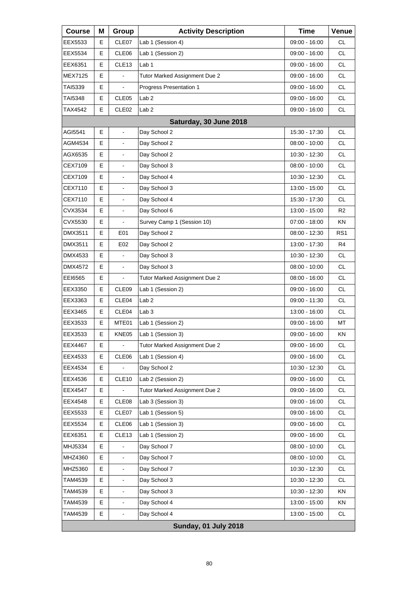| <b>Course</b>  | Μ | Group                    | <b>Activity Description</b>   | <b>Time</b>     | Venue           |
|----------------|---|--------------------------|-------------------------------|-----------------|-----------------|
| EEX5533        | Е | CLE07                    | Lab 1 (Session 4)             | 09:00 - 16:00   | СL              |
| EEX5534        | Е | CLE06                    | Lab 1 (Session 2)             | 09:00 - 16:00   | <b>CL</b>       |
| EEX6351        | E | CLE <sub>13</sub>        | Lab <sub>1</sub>              | 09:00 - 16:00   | <b>CL</b>       |
| MEX7125        | Е |                          | Tutor Marked Assignment Due 2 | 09:00 - 16:00   | <b>CL</b>       |
| TAI5339        | Е |                          | Progress Presentation 1       | 09:00 - 16:00   | <b>CL</b>       |
| TAI5348        | E | CLE05                    | Lab <sub>2</sub>              | $09:00 - 16:00$ | <b>CL</b>       |
| TAX4542        | E | CLE <sub>02</sub>        | Lab <sub>2</sub>              | 09:00 - 16:00   | <b>CL</b>       |
|                |   |                          | Saturday, 30 June 2018        |                 |                 |
| AGI5541        | Е | $\blacksquare$           | Day School 2                  | 15:30 - 17:30   | <b>CL</b>       |
| AGM4534        | Е | $\blacksquare$           | Day School 2                  | 08:00 - 10:00   | <b>CL</b>       |
| AGX6535        | E |                          | Day School 2                  | 10:30 - 12:30   | <b>CL</b>       |
| CEX7109        | E |                          | Day School 3                  | $08:00 - 10:00$ | <b>CL</b>       |
| CEX7109        | Е | $\blacksquare$           | Day School 4                  | 10:30 - 12:30   | <b>CL</b>       |
| CEX7110        | E |                          | Day School 3                  | 13:00 - 15:00   | <b>CL</b>       |
| CEX7110        | E |                          | Day School 4                  | 15:30 - 17:30   | <b>CL</b>       |
| CVX3534        | Е | $\blacksquare$           | Day School 6                  | 13:00 - 15:00   | R2              |
| CVX5530        | Е |                          | Survey Camp 1 (Session 10)    | 07:00 - 18:00   | KN              |
| DMX3511        | E | E01                      | Day School 2                  | 08:00 - 12:30   | RS <sub>1</sub> |
| DMX3511        | Е | E02                      | Day School 2                  | 13:00 - 17:30   | R4              |
| DMX4533        | E |                          | Day School 3                  | 10:30 - 12:30   | <b>CL</b>       |
| <b>DMX4572</b> | E | $\blacksquare$           | Day School 3                  | $08:00 - 10:00$ | <b>CL</b>       |
| EEI6565        | Е | $\blacksquare$           | Tutor Marked Assignment Due 2 | 08:00 - 16:00   | <b>CL</b>       |
| EEX3350        | Е | CLE <sub>09</sub>        | Lab 1 (Session 2)             | 09:00 - 16:00   | <b>CL</b>       |
| EEX3363        | E | CLE04                    | Lab <sub>2</sub>              | 09:00 - 11:30   | <b>CL</b>       |
| EEX3465        | Е | CLE <sub>04</sub>        | Lab <sub>3</sub>              | 13:00 - 16:00   | CL              |
| EEX3533        | Е | MTE01                    | Lab 1 (Session 2)             | 09:00 - 16:00   | MT              |
| EEX3533        | E | KNE05                    | Lab 1 (Session 3)             | 09:00 - 16:00   | KN              |
| EEX4467        | Ε | $\blacksquare$           | Tutor Marked Assignment Due 2 | 09:00 - 16:00   | <b>CL</b>       |
| EEX4533        | Е | CLE06                    | Lab 1 (Session 4)             | 09:00 - 16:00   | <b>CL</b>       |
| EEX4534        | Е |                          | Day School 2                  | 10:30 - 12:30   | <b>CL</b>       |
| EEX4536        | Е | CLE10                    | Lab 2 (Session 2)             | 09:00 - 16:00   | <b>CL</b>       |
| <b>EEX4547</b> | Е |                          | Tutor Marked Assignment Due 2 | 09:00 - 16:00   | <b>CL</b>       |
| EEX4548        | Е | CLE08                    | Lab 3 (Session 3)             | 09:00 - 16:00   | <b>CL</b>       |
| EEX5533        | Е | CLE07                    | Lab 1 (Session 5)             | 09:00 - 16:00   | <b>CL</b>       |
| EEX5534        | Е | CLE06                    | Lab 1 (Session 3)             | 09:00 - 16:00   | <b>CL</b>       |
| EEX6351        | Е | CLE <sub>13</sub>        | Lab 1 (Session 2)             | 09:00 - 16:00   | <b>CL</b>       |
| MHJ5334        | Е |                          | Day School 7                  | $08:00 - 10:00$ | CL              |
| MHZ4360        | Е |                          | Day School 7                  | 08:00 - 10:00   | <b>CL</b>       |
| MHZ5360        | E |                          | Day School 7                  | 10:30 - 12:30   | <b>CL</b>       |
| TAM4539        | Е | $\overline{\phantom{a}}$ | Day School 3                  | 10:30 - 12:30   | <b>CL</b>       |
| TAM4539        | Е |                          | Day School 3                  | 10:30 - 12:30   | KN              |
| TAM4539        | E |                          | Day School 4                  | 13:00 - 15:00   | KN              |
| TAM4539        | Е | $\blacksquare$           | Day School 4                  | 13:00 - 15:00   | CL              |
|                |   |                          | <b>Sunday, 01 July 2018</b>   |                 |                 |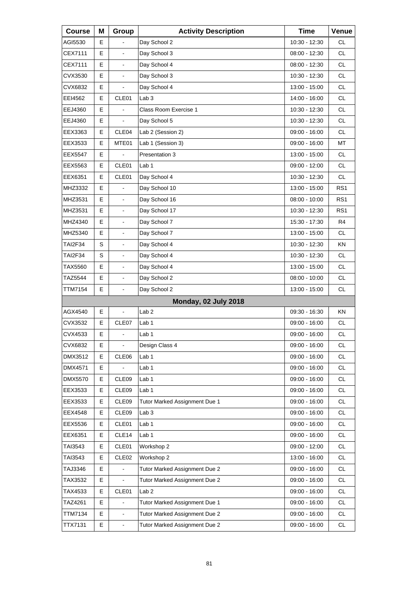| <b>Course</b>  | Μ  | Group                    | <b>Activity Description</b>   | <b>Time</b>     | Venue           |
|----------------|----|--------------------------|-------------------------------|-----------------|-----------------|
| AGI5530        | E. |                          | Day School 2                  | 10:30 - 12:30   | <b>CL</b>       |
| CEX7111        | E  | $\overline{a}$           | Day School 3                  | 08:00 - 12:30   | <b>CL</b>       |
| CEX7111        | E  | $\overline{\phantom{a}}$ | Day School 4                  | 08:00 - 12:30   | <b>CL</b>       |
| CVX3530        | Е  | $\blacksquare$           | Day School 3                  | 10:30 - 12:30   | <b>CL</b>       |
| CVX6832        | E  |                          | Day School 4                  | 13:00 - 15:00   | <b>CL</b>       |
| EEI4562        | E  | CLE01                    | Lab <sub>3</sub>              | 14:00 - 16:00   | <b>CL</b>       |
| EEJ4360        | Е  |                          | Class Room Exercise 1         | 10:30 - 12:30   | <b>CL</b>       |
| EEJ4360        | E  |                          | Day School 5                  | 10:30 - 12:30   | <b>CL</b>       |
| EEX3363        | E  | CLE04                    | Lab 2 (Session 2)             | 09:00 - 16:00   | <b>CL</b>       |
| EEX3533        | Е  | MTE01                    | Lab 1 (Session 3)             | 09:00 - 16:00   | MT              |
| <b>EEX5547</b> | E  |                          | Presentation 3                | 13:00 - 15:00   | <b>CL</b>       |
| EEX5563        | Е  | CLE <sub>01</sub>        | Lab 1                         | 09:00 - 12:00   | <b>CL</b>       |
| EEX6351        | Е  | CLE01                    | Day School 4                  | 10:30 - 12:30   | <b>CL</b>       |
| MHZ3332        | E  |                          | Day School 10                 | 13:00 - 15:00   | RS <sub>1</sub> |
| MHZ3531        | E  | $\overline{\phantom{a}}$ | Day School 16                 | 08:00 - 10:00   | RS <sub>1</sub> |
| MHZ3531        | Е  | $\blacksquare$           | Day School 17                 | 10:30 - 12:30   | RS <sub>1</sub> |
| MHZ4340        | E  | $\overline{a}$           | Day School 7                  | 15:30 - 17:30   | R4              |
| MHZ5340        | Е  | $\overline{\phantom{a}}$ | Day School 7                  | 13:00 - 15:00   | CL.             |
| TAI2F34        | S  | $\blacksquare$           | Day School 4                  | 10:30 - 12:30   | <b>KN</b>       |
| TAI2F34        | S  | $\blacksquare$           | Day School 4                  | 10:30 - 12:30   | <b>CL</b>       |
| TAX5560        | Е  | $\overline{\phantom{a}}$ | Day School 4                  | 13:00 - 15:00   | <b>CL</b>       |
| TAZ5544        | E  | $\blacksquare$           | Day School 2                  | $08:00 - 10:00$ | <b>CL</b>       |
| TTM7154        | E  | $\blacksquare$           | Day School 2                  | 13:00 - 15:00   | <b>CL</b>       |
|                |    |                          | Monday, 02 July 2018          |                 |                 |
| AGX4540        | Е  | $\blacksquare$           | Lab <sub>2</sub>              | 09:30 - 16:30   | ΚN              |
| CVX3532        | E  | CLE07                    | Lab <sub>1</sub>              | 09:00 - 16:00   | <b>CL</b>       |
| CVX4533        | E  | ä,                       | Lab 1                         | $09:00 - 16:00$ | <b>CL</b>       |
| CVX6832        | Е  | $\blacksquare$           | Design Class 4                | 09:00 - 16:00   | CL              |
| DMX3512        | Е  | CLE06                    | Lab <sub>1</sub>              | 09:00 - 16:00   | CL              |
| DMX4571        | E  |                          | Lab <sub>1</sub>              | 09:00 - 16:00   | <b>CL</b>       |
| DMX5570        | Е  | CLE09                    | Lab 1                         | $09:00 - 16:00$ | CL              |
| EEX3533        | Е  | CLE09                    | Lab <sub>1</sub>              | 09:00 - 16:00   | CL              |
| EEX3533        | E  | CLE <sub>09</sub>        | Tutor Marked Assignment Due 1 | 09:00 - 16:00   | <b>CL</b>       |
| EEX4548        | Е  | CLE09                    | Lab <sub>3</sub>              | 09:00 - 16:00   | CL              |
| EEX5536        | Е  | CLE01                    | Lab 1                         | 09:00 - 16:00   | CL              |
| EEX6351        | Е  | CLE <sub>14</sub>        | Lab 1                         | 09:00 - 16:00   | CL              |
| TAI3543        | Е  | CLE01                    | Workshop 2                    | 09:00 - 12:00   | CL              |
| TAI3543        | Е  | CLE <sub>02</sub>        | Workshop 2                    | 13:00 - 16:00   | CL              |
| TAJ3346        | E  |                          | Tutor Marked Assignment Due 2 | 09:00 - 16:00   | CL              |
| TAX3532        | Е  |                          | Tutor Marked Assignment Due 2 | 09:00 - 16:00   | CL              |
| TAX4533        | Е  | CLE01                    | Lab <sub>2</sub>              | 09:00 - 16:00   | CL              |
| TAZ4261        | E  |                          | Tutor Marked Assignment Due 1 | 09:00 - 16:00   | CL              |
| <b>TTM7134</b> | Е  | $\blacksquare$           | Tutor Marked Assignment Due 2 | 09:00 - 16:00   | CL              |
| <b>TTX7131</b> | Е  | $\blacksquare$           | Tutor Marked Assignment Due 2 | 09:00 - 16:00   | CL              |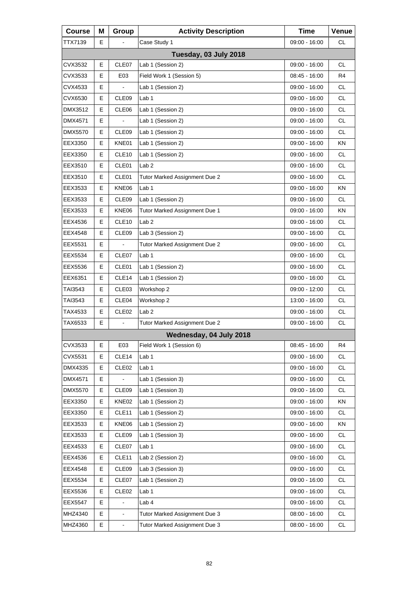| <b>Course</b>  | Μ | Group             | <b>Activity Description</b>   | <b>Time</b>     | Venue     |
|----------------|---|-------------------|-------------------------------|-----------------|-----------|
| TTX7139        | Е |                   | Case Study 1                  | 09:00 - 16:00   | СL        |
|                |   |                   | Tuesday, 03 July 2018         |                 |           |
| CVX3532        | E | CLE07             | Lab 1 (Session 2)             | 09:00 - 16:00   | CL        |
| CVX3533        | Е | E03               | Field Work 1 (Session 5)      | 08:45 - 16:00   | R4        |
| CVX4533        | E |                   | Lab 1 (Session 2)             | 09:00 - 16:00   | <b>CL</b> |
| CVX6530        | E | CLE09             | Lab 1                         | 09:00 - 16:00   | <b>CL</b> |
| DMX3512        | Е | CLE <sub>06</sub> | Lab 1 (Session 2)             | 09:00 - 16:00   | <b>CL</b> |
| <b>DMX4571</b> | E |                   | Lab 1 (Session 2)             | 09:00 - 16:00   | <b>CL</b> |
| <b>DMX5570</b> | E | CLE <sub>09</sub> | Lab 1 (Session 2)             | 09:00 - 16:00   | <b>CL</b> |
| EEX3350        | Е | KNE01             | Lab 1 (Session 2)             | 09:00 - 16:00   | ΚN        |
| EEX3350        | E | CLE <sub>10</sub> | Lab 1 (Session 2)             | 09:00 - 16:00   | <b>CL</b> |
| EEX3510        | Е | CLE01             | Lab <sub>2</sub>              | 09:00 - 16:00   | <b>CL</b> |
| EEX3510        | Е | CLE01             | Tutor Marked Assignment Due 2 | 09:00 - 16:00   | <b>CL</b> |
| EEX3533        | E | KNE06             | Lab <sub>1</sub>              | 09:00 - 16:00   | KN        |
| EEX3533        | Е | CLE <sub>09</sub> | Lab 1 (Session 2)             | 09:00 - 16:00   | <b>CL</b> |
| EEX3533        | Е | KNE06             | Tutor Marked Assignment Due 1 | $09:00 - 16:00$ | KN.       |
| EEX4536        | E | CLE <sub>10</sub> | Lab <sub>2</sub>              | 09:00 - 16:00   | <b>CL</b> |
| EEX4548        | Е | CLE <sub>09</sub> | Lab 3 (Session 2)             | 09:00 - 16:00   | <b>CL</b> |
| EEX5531        | Е |                   | Tutor Marked Assignment Due 2 | 09:00 - 16:00   | <b>CL</b> |
| EEX5534        | E | CLE07             | Lab <sub>1</sub>              | 09:00 - 16:00   | <b>CL</b> |
| EEX5536        | Е | CLE01             | Lab 1 (Session 2)             | 09:00 - 16:00   | <b>CL</b> |
| EEX6351        | Е | CLE <sub>14</sub> | Lab 1 (Session 2)             | 09:00 - 16:00   | <b>CL</b> |
| TAI3543        | Е | CLE03             | Workshop 2                    | 09:00 - 12:00   | <b>CL</b> |
| TAI3543        | Е | CLE <sub>04</sub> | Workshop 2                    | 13:00 - 16:00   | <b>CL</b> |
| TAX4533        | Е | CLE <sub>02</sub> | Lab <sub>2</sub>              | 09:00 - 16:00   | <b>CL</b> |
| TAX6533        | E |                   | Tutor Marked Assignment Due 2 | 09:00 - 16:00   | <b>CL</b> |
|                |   |                   | Wednesday, 04 July 2018       |                 |           |
| CVX3533        | Е | E03               | Field Work 1 (Session 6)      | 08:45 - 16:00   | R4        |
| CVX5531        | Е | CLE14             | Lab 1                         | 09:00 - 16:00   | <b>CL</b> |
| DMX4335        | Е | CLE <sub>02</sub> | Lab <sub>1</sub>              | 09:00 - 16:00   | <b>CL</b> |
| DMX4571        | Е |                   | Lab 1 (Session 3)             | 09:00 - 16:00   | CL        |
| DMX5570        | Е | CLE09             | Lab 1 (Session 3)             | 09:00 - 16:00   | <b>CL</b> |
| EEX3350        | Е | KNE02             | Lab 1 (Session 2)             | 09:00 - 16:00   | KN        |
| EEX3350        | Е | CLE <sub>11</sub> | Lab 1 (Session 2)             | 09:00 - 16:00   | CL        |
| EEX3533        | Е | KNE06             | Lab 1 (Session 2)             | 09:00 - 16:00   | KN        |
| EEX3533        | Е | CLE <sub>09</sub> | Lab 1 (Session 3)             | 09:00 - 16:00   | <b>CL</b> |
| EEX4533        | Е | CLE07             | Lab <sub>1</sub>              | 09:00 - 16:00   | CL        |
| EEX4536        | Е | CLE <sub>11</sub> | Lab 2 (Session 2)             | 09:00 - 16:00   | <b>CL</b> |
| EEX4548        | Е | CLE09             | Lab 3 (Session 3)             | 09:00 - 16:00   | <b>CL</b> |
| EEX5534        | Е | CLE07             | Lab 1 (Session 2)             | 09:00 - 16:00   | CL        |
| EEX5536        | Е | CLE <sub>02</sub> | Lab <sub>1</sub>              | 09:00 - 16:00   | <b>CL</b> |
| EEX5547        | E | $\blacksquare$    | Lab 4                         | 09:00 - 16:00   | <b>CL</b> |
| MHZ4340        | E | $\blacksquare$    | Tutor Marked Assignment Due 3 | 08:00 - 16:00   | CL        |
| MHZ4360        | E | $\blacksquare$    | Tutor Marked Assignment Due 3 | $08:00 - 16:00$ | <b>CL</b> |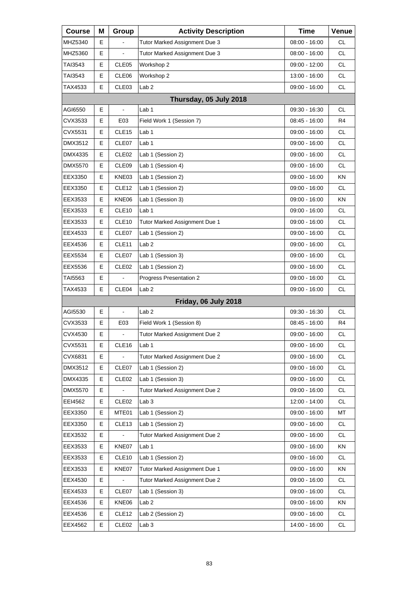| <b>Course</b>  | Μ | Group             | <b>Activity Description</b>   | <b>Time</b>     | Venue     |
|----------------|---|-------------------|-------------------------------|-----------------|-----------|
| MHZ5340        | Е |                   | Tutor Marked Assignment Due 3 | 08:00 - 16:00   | СL        |
| MHZ5360        | Е |                   | Tutor Marked Assignment Due 3 | 08:00 - 16:00   | <b>CL</b> |
| TAI3543        | Е | CLE05             | Workshop 2                    | 09:00 - 12:00   | <b>CL</b> |
| TAI3543        | Е | CLE06             | Workshop 2                    | 13:00 - 16:00   | CL        |
| TAX4533        | Е | CLE <sub>03</sub> | Lab <sub>2</sub>              | 09:00 - 16:00   | <b>CL</b> |
|                |   |                   | Thursday, 05 July 2018        |                 |           |
| AGI6550        | Е | $\blacksquare$    | Lab <sub>1</sub>              | 09:30 - 16:30   | СL        |
| CVX3533        | Е | E03               | Field Work 1 (Session 7)      | 08:45 - 16:00   | R4        |
| CVX5531        | Е | CLE <sub>15</sub> | Lab 1                         | 09:00 - 16:00   | <b>CL</b> |
| DMX3512        | Е | CLE07             | Lab 1                         | 09:00 - 16:00   | CL        |
| DMX4335        | Е | CLE <sub>02</sub> | Lab 1 (Session 2)             | 09:00 - 16:00   | <b>CL</b> |
| <b>DMX5570</b> | E | CLE <sub>09</sub> | Lab 1 (Session 4)             | 09:00 - 16:00   | <b>CL</b> |
| EEX3350        | Е | KNE03             | Lab 1 (Session 2)             | 09:00 - 16:00   | ΚN        |
| EEX3350        | Е | CLE <sub>12</sub> | Lab 1 (Session 2)             | 09:00 - 16:00   | <b>CL</b> |
| EEX3533        | E | KNE06             | Lab 1 (Session 3)             | 09:00 - 16:00   | KN        |
| EEX3533        | Е | CLE <sub>10</sub> | Lab 1                         | 09:00 - 16:00   | CL        |
| EEX3533        | Е | CLE <sub>10</sub> | Tutor Marked Assignment Due 1 | 09:00 - 16:00   | <b>CL</b> |
| EEX4533        | Е | CLE07             | Lab 1 (Session 2)             | 09:00 - 16:00   | <b>CL</b> |
| EEX4536        | Е | CLE <sub>11</sub> | Lab <sub>2</sub>              | 09:00 - 16:00   | CL        |
| EEX5534        | Е | CLE07             | Lab 1 (Session 3)             | 09:00 - 16:00   | <b>CL</b> |
| EEX5536        | Е | CLE <sub>02</sub> | Lab 1 (Session 2)             | 09:00 - 16:00   | <b>CL</b> |
| TAI5563        | Е |                   | Progress Presentation 2       | 09:00 - 16:00   | CL        |
| TAX4533        | Е | CLE04             | Lab <sub>2</sub>              | 09:00 - 16:00   | <b>CL</b> |
|                |   |                   | Friday, 06 July 2018          |                 |           |
| AGI5530        | Е | $\blacksquare$    | Lab <sub>2</sub>              | 09:30 - 16:30   | СL        |
| CVX3533        | Е | E03               | Field Work 1 (Session 8)      | 08:45 - 16:00   | R4        |
| CVX4530        | E | $\blacksquare$    | Tutor Marked Assignment Due 2 | 09:00 - 16:00   | <b>CL</b> |
| CVX5531        | Е | CLE16             | Lab 1                         | $09:00 - 16:00$ | <b>CL</b> |
| CVX6831        | Е |                   | Tutor Marked Assignment Due 2 | 09:00 - 16:00   | <b>CL</b> |
| DMX3512        | Е | CLE07             | Lab 1 (Session 2)             | 09:00 - 16:00   | <b>CL</b> |
| DMX4335        | Е | CLE <sub>02</sub> | Lab 1 (Session 3)             | 09:00 - 16:00   | CL.       |
| DMX5570        | Е |                   | Tutor Marked Assignment Due 2 | 09:00 - 16:00   | <b>CL</b> |
| EEI4562        | Е | CLE <sub>02</sub> | Lab <sub>3</sub>              | 12:00 - 14:00   | <b>CL</b> |
| EEX3350        | Е | MTE01             | Lab 1 (Session 2)             | 09:00 - 16:00   | МT        |
| EEX3350        | Е | CLE <sub>13</sub> | Lab 1 (Session 2)             | $09:00 - 16:00$ | <b>CL</b> |
| EEX3532        | Е |                   | Tutor Marked Assignment Due 2 | 09:00 - 16:00   | <b>CL</b> |
| EEX3533        | Е | KNE07             | Lab 1                         | 09:00 - 16:00   | KN        |
| EEX3533        | Е | CLE <sub>10</sub> | Lab 1 (Session 2)             | 09:00 - 16:00   | <b>CL</b> |
| EEX3533        | Е | KNE07             | Tutor Marked Assignment Due 1 | 09:00 - 16:00   | KN        |
| EEX4530        | Е |                   | Tutor Marked Assignment Due 2 | 09:00 - 16:00   | CL.       |
| EEX4533        | Е | CLE07             | Lab 1 (Session 3)             | 09:00 - 16:00   | <b>CL</b> |
| EEX4536        | Е | KNE06             | Lab <sub>2</sub>              | 09:00 - 16:00   | KN        |
| EEX4536        | Е | CLE <sub>12</sub> | Lab 2 (Session 2)             | 09:00 - 16:00   | CL        |
| EEX4562        | Е | CLE <sub>02</sub> | Lab <sub>3</sub>              | 14:00 - 16:00   | <b>CL</b> |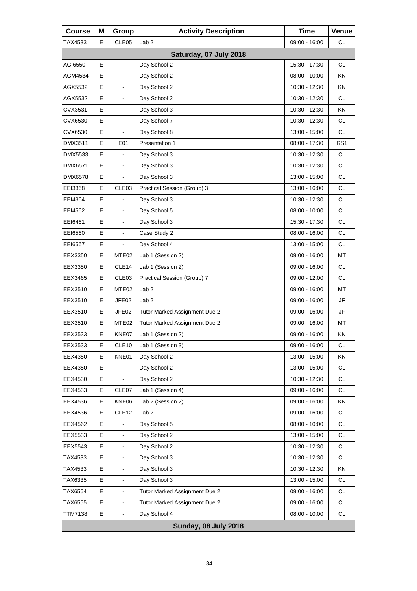| <b>Course</b>  | Μ | Group                    | <b>Activity Description</b>   | <b>Time</b>     | Venue           |
|----------------|---|--------------------------|-------------------------------|-----------------|-----------------|
| TAX4533        | Е | CLE05                    | Lab <sub>2</sub>              | 09:00 - 16:00   | <b>CL</b>       |
|                |   |                          | Saturday, 07 July 2018        |                 |                 |
| AGI6550        | E | $\overline{\phantom{a}}$ | Day School 2                  | 15:30 - 17:30   | <b>CL</b>       |
| AGM4534        | E | $\blacksquare$           | Day School 2                  | 08:00 - 10:00   | KN              |
| AGX5532        | Е |                          | Day School 2                  | 10:30 - 12:30   | ΚN              |
| AGX5532        | Е | L,                       | Day School 2                  | 10:30 - 12:30   | <b>CL</b>       |
| CVX3531        | E | $\blacksquare$           | Day School 3                  | 10:30 - 12:30   | <b>KN</b>       |
| CVX6530        | Е |                          | Day School 7                  | 10:30 - 12:30   | <b>CL</b>       |
| CVX6530        | Е |                          | Day School 8                  | 13:00 - 15:00   | <b>CL</b>       |
| DMX3511        | E | E01                      | Presentation 1                | 08:00 - 17:30   | RS <sub>1</sub> |
| DMX5533        | Е |                          | Day School 3                  | 10:30 - 12:30   | <b>CL</b>       |
| DMX6571        | E | L,                       | Day School 3                  | 10:30 - 12:30   | CL.             |
| <b>DMX6578</b> | E | $\overline{\phantom{a}}$ | Day School 3                  | 13:00 - 15:00   | <b>CL</b>       |
| EEI3368        | Е | CLE03                    | Practical Session (Group) 3   | 13:00 - 16:00   | <b>CL</b>       |
| EEI4364        | E |                          | Day School 3                  | 10:30 - 12:30   | CL.             |
| EEI4562        | E | $\overline{\phantom{a}}$ | Day School 5                  | $08:00 - 10:00$ | <b>CL</b>       |
| EEI6461        | Е |                          | Day School 3                  | 15:30 - 17:30   | <b>CL</b>       |
| EE16560        | E | ä,                       | Case Study 2                  | 08:00 - 16:00   | CL.             |
| EEI6567        | Е | $\overline{\phantom{a}}$ | Day School 4                  | 13:00 - 15:00   | <b>CL</b>       |
| EEX3350        | Е | MTE <sub>02</sub>        | Lab 1 (Session 2)             | 09:00 - 16:00   | МT              |
| EEX3350        | Е | CLE <sub>14</sub>        | Lab 1 (Session 2)             | 09:00 - 16:00   | CL.             |
| EEX3465        | Е | CLE <sub>03</sub>        | Practical Session (Group) 7   | 09:00 - 12:00   | <b>CL</b>       |
| EEX3510        | Е | MTE <sub>02</sub>        | Lab <sub>2</sub>              | 09:00 - 16:00   | МT              |
| EEX3510        | Е | JFE02                    | Lab <sub>2</sub>              | 09:00 - 16:00   | JF              |
| EEX3510        | Е | JFE02                    | Tutor Marked Assignment Due 2 | 09:00 - 16:00   | <b>JF</b>       |
| EEX3510        | Е | MTE <sub>02</sub>        | Tutor Marked Assignment Due 2 | 09:00 - 16:00   | МT              |
| EEX3533        | E | KNE07                    | Lab 1 (Session 2)             | 09:00 - 16:00   | ΚN              |
| EEX3533        | Е | CLE10                    | Lab 1 (Session 3)             | 09:00 - 16:00   | CL              |
| EEX4350        | Е | KNE01                    | Day School 2                  | 13:00 - 15:00   | KN              |
| EEX4350        | E |                          | Day School 2                  | 13:00 - 15:00   | <b>CL</b>       |
| EEX4530        | Е |                          | Day School 2                  | 10:30 - 12:30   | CL              |
| EEX4533        | Е | CLE07                    | Lab 1 (Session 4)             | 09:00 - 16:00   | CL              |
| EEX4536        | E | KNE06                    | Lab 2 (Session 2)             | 09:00 - 16:00   | ΚN              |
| EEX4536        | Е | CLE <sub>12</sub>        | Lab <sub>2</sub>              | $09:00 - 16:00$ | CL              |
| EEX4562        | Е |                          | Day School 5                  | 08:00 - 10:00   | CL              |
| EEX5533        | E | ä,                       | Day School 2                  | 13:00 - 15:00   | <b>CL</b>       |
| EEX5543        | Е | $\blacksquare$           | Day School 2                  | 10:30 - 12:30   | CL              |
| TAX4533        | Е |                          | Day School 3                  | 10:30 - 12:30   | CL              |
| TAX4533        | E | $\blacksquare$           | Day School 3                  | 10:30 - 12:30   | ΚN              |
| TAX6335        | Е | $\blacksquare$           | Day School 3                  | 13:00 - 15:00   | <b>CL</b>       |
| TAX6564        | Е | $\overline{\phantom{a}}$ | Tutor Marked Assignment Due 2 | 09:00 - 16:00   | CL              |
| TAX6565        | E | L,                       | Tutor Marked Assignment Due 2 | 09:00 - 16:00   | <b>CL</b>       |
| <b>TTM7138</b> | Е | $\overline{\phantom{a}}$ | Day School 4                  | 08:00 - 10:00   | CL              |
|                |   |                          | <b>Sunday, 08 July 2018</b>   |                 |                 |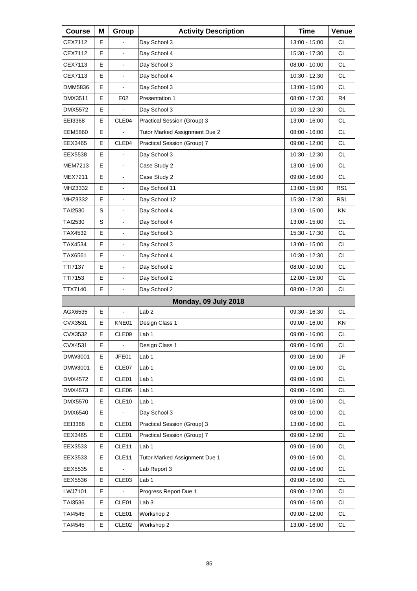| <b>Course</b>  | Μ | Group                    | <b>Activity Description</b>   | <b>Time</b>     | Venue           |
|----------------|---|--------------------------|-------------------------------|-----------------|-----------------|
| CEX7112        | Е |                          | Day School 3                  | 13:00 - 15:00   | <b>CL</b>       |
| CEX7112        | E |                          | Day School 4                  | 15:30 - 17:30   | <b>CL</b>       |
| CEX7113        | E | $\overline{\phantom{a}}$ | Day School 3                  | $08:00 - 10:00$ | <b>CL</b>       |
| CEX7113        | Е | $\blacksquare$           | Day School 4                  | 10:30 - 12:30   | <b>CL</b>       |
| DMM5836        | E |                          | Day School 3                  | 13:00 - 15:00   | <b>CL</b>       |
| DMX3511        | E | E02                      | Presentation 1                | 08:00 - 17:30   | R <sub>4</sub>  |
| DMX5572        | Е |                          | Day School 3                  | 10:30 - 12:30   | <b>CL</b>       |
| EEI3368        | E | CLE04                    | Practical Session (Group) 3   | 13:00 - 16:00   | <b>CL</b>       |
| <b>EEM5860</b> | E |                          | Tutor Marked Assignment Due 2 | 08:00 - 16:00   | <b>CL</b>       |
| EEX3465        | Е | CLE04                    | Practical Session (Group) 7   | 09:00 - 12:00   | <b>CL</b>       |
| EEX5538        | E |                          | Day School 3                  | 10:30 - 12:30   | <b>CL</b>       |
| <b>MEM7213</b> | Е | $\overline{\phantom{a}}$ | Case Study 2                  | 13:00 - 16:00   | <b>CL</b>       |
| MEX7211        | Е | $\blacksquare$           | Case Study 2                  | $09:00 - 16:00$ | <b>CL</b>       |
| MHZ3332        | E |                          | Day School 11                 | 13:00 - 15:00   | RS <sub>1</sub> |
| MHZ3332        | Е | $\overline{\phantom{a}}$ | Day School 12                 | 15:30 - 17:30   | RS <sub>1</sub> |
| TAI2530        | S | $\blacksquare$           | Day School 4                  | 13:00 - 15:00   | KN.             |
| TAI2530        | S |                          | Day School 4                  | 13:00 - 15:00   | <b>CL</b>       |
| TAX4532        | Е | $\overline{\phantom{a}}$ | Day School 3                  | 15:30 - 17:30   | <b>CL</b>       |
| TAX4534        | Е | $\blacksquare$           | Day School 3                  | 13:00 - 15:00   | <b>CL</b>       |
| TAX6561        | E |                          | Day School 4                  | 10:30 - 12:30   | <b>CL</b>       |
| TTI7137        | Е | $\overline{\phantom{a}}$ | Day School 2                  | 08:00 - 10:00   | <b>CL</b>       |
| TTI7153        | Е | $\blacksquare$           | Day School 2                  | 12:00 - 15:00   | <b>CL</b>       |
| TTX7140        | E | $\blacksquare$           | Day School 2                  | 08:00 - 12:30   | <b>CL</b>       |
|                |   |                          | Monday, 09 July 2018          |                 |                 |
| AGX6535        | Е | $\blacksquare$           | Lab <sub>2</sub>              | 09:30 - 16:30   | <b>CL</b>       |
| CVX3531        | E | KNE01                    | Design Class 1                | 09:00 - 16:00   | ΚN              |
| CVX3532        | E | CLE09                    | Lab 1                         | $09:00 - 16:00$ | <b>CL</b>       |
| CVX4531        | Е | $\Box$                   | Design Class 1                | 09:00 - 16:00   | CL.             |
| DMW3001        | Е | JFE01                    | Lab 1                         | 09:00 - 16:00   | JF              |
| DMW3001        | E | CLE07                    | Lab <sub>1</sub>              | 09:00 - 16:00   | CL              |
| <b>DMX4572</b> | Е | CLE01                    | Lab 1                         | 09:00 - 16:00   | CL              |
| DMX4573        | Е | CLE06                    | Lab <sub>1</sub>              | $09:00 - 16:00$ | CL              |
| DMX5570        | E | CLE <sub>10</sub>        | Lab <sub>1</sub>              | 09:00 - 16:00   | <b>CL</b>       |
| DMX6540        | Е |                          | Day School 3                  | 08:00 - 10:00   | CL              |
| EEI3368        | Е | CLE01                    | Practical Session (Group) 3   | 13:00 - 16:00   | CL              |
| EEX3465        | E | CLE01                    | Practical Session (Group) 7   | 09:00 - 12:00   | CL              |
| EEX3533        | Е | CLE11                    | Lab <sub>1</sub>              | 09:00 - 16:00   | <b>CL</b>       |
| EEX3533        | Е | CLE11                    | Tutor Marked Assignment Due 1 | 09:00 - 16:00   | CL              |
| EEX5535        | E |                          | Lab Report 3                  | 09:00 - 16:00   | CL              |
| EEX5536        | Е | CLE <sub>03</sub>        | Lab <sub>1</sub>              | 09:00 - 16:00   | CL              |
| LWJ7101        | Е |                          | Progress Report Due 1         | 09:00 - 12:00   | CL              |
| TAI3536        | Е | CLE01                    | Lab <sub>3</sub>              | 09:00 - 16:00   | CL              |
| TAI4545        | Е | CLE01                    | Workshop 2                    | 09:00 - 12:00   | CL              |
| TAI4545        | Е | CLE <sub>02</sub>        | Workshop 2                    | 13:00 - 16:00   | CL              |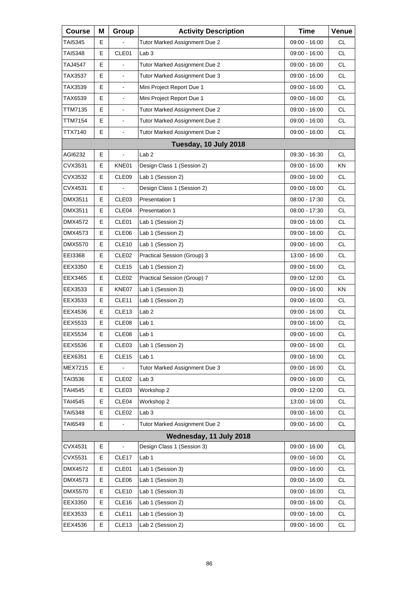| <b>Course</b>  | Μ  | Group             | <b>Activity Description</b>   | <b>Time</b>     | Venue     |
|----------------|----|-------------------|-------------------------------|-----------------|-----------|
| TAI5345        | Е  |                   | Tutor Marked Assignment Due 2 | 09:00 - 16:00   | <b>CL</b> |
| TAI5348        | Е  | CLE01             | Lab <sub>3</sub>              | 09:00 - 16:00   | CL        |
| TAJ4547        | E. |                   | Tutor Marked Assignment Due 2 | 09:00 - 16:00   | <b>CL</b> |
| TAX3537        | Е  | $\blacksquare$    | Tutor Marked Assignment Due 3 | 09:00 - 16:00   | <b>CL</b> |
| TAX3539        | Е  | $\blacksquare$    | Mini Project Report Due 1     | 09:00 - 16:00   | <b>CL</b> |
| TAX6539        | Е  | $\blacksquare$    | Mini Project Report Due 1     | 09:00 - 16:00   | <b>CL</b> |
| TTM7135        | E  | $\blacksquare$    | Tutor Marked Assignment Due 2 | 09:00 - 16:00   | <b>CL</b> |
| TTM7154        | E  | $\blacksquare$    | Tutor Marked Assignment Due 2 | 09:00 - 16:00   | <b>CL</b> |
| TTX7140        | E. | $\blacksquare$    | Tutor Marked Assignment Due 2 | 09:00 - 16:00   | <b>CL</b> |
|                |    |                   | Tuesday, 10 July 2018         |                 |           |
| AGI6232        | Е  |                   | Lab <sub>2</sub>              | 09:30 - 16:30   | <b>CL</b> |
| CVX3531        | E  | KNE01             | Design Class 1 (Session 2)    | 09:00 - 16:00   | KN.       |
| CVX3532        | E  | CLE <sub>09</sub> | Lab 1 (Session 2)             | 09:00 - 16:00   | <b>CL</b> |
| CVX4531        | Е  |                   | Design Class 1 (Session 2)    | 09:00 - 16:00   | <b>CL</b> |
| DMX3511        | E  | CLE <sub>03</sub> | <b>Presentation 1</b>         | 08:00 - 17:30   | <b>CL</b> |
| DMX3511        | E  | CLE <sub>04</sub> | Presentation 1                | 08:00 - 17:30   | <b>CL</b> |
| DMX4572        | Е  | CLE01             | Lab 1 (Session 2)             | 09:00 - 16:00   | <b>CL</b> |
| DMX4573        | E  | CLE <sub>06</sub> | Lab 1 (Session 2)             | 09:00 - 16:00   | <b>CL</b> |
| DMX5570        | E  | CLE <sub>10</sub> | Lab 1 (Session 2)             | 09:00 - 16:00   | <b>CL</b> |
| EEI3368        | Е  | CLE <sub>02</sub> | Practical Session (Group) 3   | 13:00 - 16:00   | <b>CL</b> |
| EEX3350        | E  | CLE <sub>15</sub> | Lab 1 (Session 2)             | 09:00 - 16:00   | <b>CL</b> |
| EEX3465        | Е  | CLE <sub>02</sub> | Practical Session (Group) 7   | 09:00 - 12:00   | <b>CL</b> |
| EEX3533        | Е  | KNE07             | Lab 1 (Session 3)             | 09:00 - 16:00   | ΚN        |
| EEX3533        | E  | CLE <sub>11</sub> | Lab 1 (Session 2)             | 09:00 - 16:00   | <b>CL</b> |
| EEX4536        | Е  | CLE13             | Lab <sub>2</sub>              | 09:00 - 16:00   | <b>CL</b> |
| EEX5533        | Е  | CLE <sub>08</sub> | Lab 1                         | 09:00 - 16:00   | CL        |
| EEX5534        | E  | CLE08             | Lab 1                         | 09:00 - 16:00   | <b>CL</b> |
| EEX5536        | Е  | CLE <sub>03</sub> | Lab 1 (Session 2)             | 09:00 - 16:00   | CL        |
| EEX6351        | Е  | CLE <sub>15</sub> | Lab 1                         | 09:00 - 16:00   | <b>CL</b> |
| MEX7215        | Е  |                   | Tutor Marked Assignment Due 3 | 09:00 - 16:00   | <b>CL</b> |
| TAI3536        | Е  | CLE <sub>02</sub> | Lab <sub>3</sub>              | 09:00 - 16:00   | CL        |
| TAI4545        | Е  | CLE <sub>03</sub> | Workshop 2                    | $09:00 - 12:00$ | <b>CL</b> |
| TAI4545        | Е  | CLE04             | Workshop 2                    | 13:00 - 16:00   | <b>CL</b> |
| TAI5348        | Е  | CLE <sub>02</sub> | Lab <sub>3</sub>              | $09:00 - 16:00$ | CL        |
| TAI6549        | Е  |                   | Tutor Marked Assignment Due 2 | 09:00 - 16:00   | <b>CL</b> |
|                |    |                   | Wednesday, 11 July 2018       |                 |           |
| CVX4531        | Е  |                   | Design Class 1 (Session 3)    | 09:00 - 16:00   | CL        |
| CVX5531        | Е  | CLE <sub>17</sub> | Lab 1                         | 09:00 - 16:00   | <b>CL</b> |
| <b>DMX4572</b> | Е  | CLE01             | Lab 1 (Session 3)             | 09:00 - 16:00   | <b>CL</b> |
| DMX4573        | Е  | CLE06             | Lab 1 (Session 3)             | 09:00 - 16:00   | CL        |
| <b>DMX5570</b> | Е  | CLE <sub>10</sub> | Lab 1 (Session 3)             | 09:00 - 16:00   | CL        |
| EEX3350        | Е  | CLE16             | Lab 1 (Session 2)             | 09:00 - 16:00   | <b>CL</b> |
| EEX3533        | Е  | CLE <sub>11</sub> | Lab 1 (Session 3)             | 09:00 - 16:00   | CL        |
| EEX4536        | Е  | CLE <sub>13</sub> | Lab 2 (Session 2)             | 09:00 - 16:00   | CL        |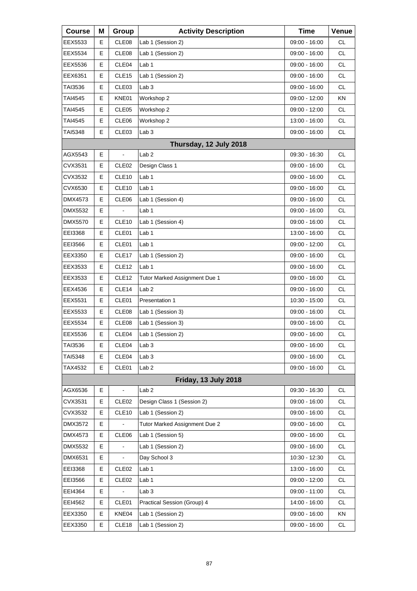| <b>Course</b>  | Μ | Group                    | <b>Activity Description</b>   | <b>Time</b>     | Venue     |
|----------------|---|--------------------------|-------------------------------|-----------------|-----------|
| EEX5533        | Е | CLE08                    | Lab 1 (Session 2)             | 09:00 - 16:00   | <b>CL</b> |
| EEX5534        | Е | CLE08                    | Lab 1 (Session 2)             | 09:00 - 16:00   | CL        |
| EEX5536        | Е | CLE <sub>04</sub>        | Lab 1                         | 09:00 - 16:00   | <b>CL</b> |
| EEX6351        | Е | CLE15                    | Lab 1 (Session 2)             | 09:00 - 16:00   | <b>CL</b> |
| TAI3536        | Е | CLE03                    | Lab <sub>3</sub>              | 09:00 - 16:00   | <b>CL</b> |
| <b>TAI4545</b> | Е | KNE01                    | Workshop 2                    | 09:00 - 12:00   | <b>KN</b> |
| <b>TAI4545</b> | Е | CLE05                    | Workshop 2                    | 09:00 - 12:00   | CL        |
| TAI4545        | Е | CLE06                    | Workshop 2                    | 13:00 - 16:00   | <b>CL</b> |
| TAI5348        | E | CLE <sub>03</sub>        | Lab 3                         | 09:00 - 16:00   | <b>CL</b> |
|                |   |                          | Thursday, 12 July 2018        |                 |           |
| AGX5543        | Е | $\overline{\phantom{a}}$ | Lab <sub>2</sub>              | 09:30 - 16:30   | <b>CL</b> |
| CVX3531        | E | CLE <sub>02</sub>        | Design Class 1                | 09:00 - 16:00   | <b>CL</b> |
| CVX3532        | Е | CLE10                    | Lab 1                         | 09:00 - 16:00   | CL        |
| CVX6530        | Е | CLE <sub>10</sub>        | Lab <sub>1</sub>              | 09:00 - 16:00   | <b>CL</b> |
| DMX4573        | E | CLE06                    | Lab 1 (Session 4)             | 09:00 - 16:00   | <b>CL</b> |
| DMX5532        | Е | ä,                       | Lab 1                         | 09:00 - 16:00   | CL        |
| <b>DMX5570</b> | Е | CLE <sub>10</sub>        | Lab 1 (Session 4)             | 09:00 - 16:00   | <b>CL</b> |
| EEI3368        | E | CLE01                    | Lab 1                         | 13:00 - 16:00   | <b>CL</b> |
| EEI3566        | Е | CLE01                    | Lab 1                         | 09:00 - 12:00   | CL        |
| EEX3350        | Е | CLE17                    | Lab 1 (Session 2)             | 09:00 - 16:00   | <b>CL</b> |
| EEX3533        | Е | CLE <sub>12</sub>        | Lab 1                         | 09:00 - 16:00   | <b>CL</b> |
| EEX3533        | Е | CLE <sub>12</sub>        | Tutor Marked Assignment Due 1 | 09:00 - 16:00   | CL        |
| EEX4536        | Е | CLE14                    | Lab <sub>2</sub>              | 09:00 - 16:00   | <b>CL</b> |
| EEX5531        | E | CLE01                    | Presentation 1                | 10:30 - 15:00   | <b>CL</b> |
| EEX5533        | Е | CLE08                    | Lab 1 (Session 3)             | 09:00 - 16:00   | CL        |
| EEX5534        | Е | CLE08                    | Lab 1 (Session 3)             | 09:00 - 16:00   | CL        |
| EEX5536        | E | CLE04                    | Lab 1 (Session 2)             | $09:00 - 16:00$ | <b>CL</b> |
| TAI3536        | Е | CLE04                    | Lab <sub>3</sub>              | 09:00 - 16:00   | CL        |
| TAI5348        | Е | CLE04                    | Lab <sub>3</sub>              | 09:00 - 16:00   | <b>CL</b> |
| TAX4532        | Е | CLE01                    | Lab <sub>2</sub>              | 09:00 - 16:00   | <b>CL</b> |
|                |   |                          | Friday, 13 July 2018          |                 |           |
| AGX6536        | Е |                          | Lab <sub>2</sub>              | 09:30 - 16:30   | <b>CL</b> |
| CVX3531        | Е | CLE <sub>02</sub>        | Design Class 1 (Session 2)    | 09:00 - 16:00   | <b>CL</b> |
| CVX3532        | Е | CLE <sub>10</sub>        | Lab 1 (Session 2)             | 09:00 - 16:00   | CL        |
| DMX3572        | Е |                          | Tutor Marked Assignment Due 2 | 09:00 - 16:00   | CL.       |
| DMX4573        | Е | CLE06                    | Lab 1 (Session 5)             | 09:00 - 16:00   | <b>CL</b> |
| <b>DMX5532</b> | Е |                          | Lab 1 (Session 2)             | 09:00 - 16:00   | CL        |
| DMX6531        | Е |                          | Day School 3                  | 10:30 - 12:30   | CL        |
| EEI3368        | Е | CLE <sub>02</sub>        | Lab <sub>1</sub>              | 13:00 - 16:00   | <b>CL</b> |
| EEI3566        | Е | CLE <sub>02</sub>        | Lab <sub>1</sub>              | 09:00 - 12:00   | CL        |
| EEI4364        | Е |                          | Lab <sub>3</sub>              | 09:00 - 11:00   | CL.       |
| EEI4562        | Е | CLE01                    | Practical Session (Group) 4   | 14:00 - 16:00   | CL        |
| EEX3350        | Е | KNE04                    | Lab 1 (Session 2)             | 09:00 - 16:00   | KN        |
| EEX3350        | Е | CLE <sub>18</sub>        | Lab 1 (Session 2)             | 09:00 - 16:00   | CL.       |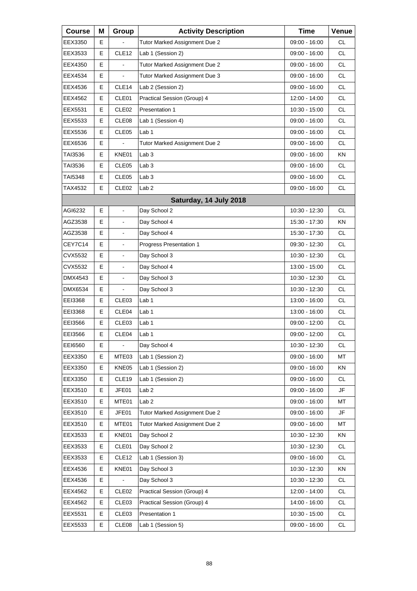| <b>Course</b> | Μ | Group             | <b>Activity Description</b>   | <b>Time</b>     | Venue     |
|---------------|---|-------------------|-------------------------------|-----------------|-----------|
| EEX3350       | E |                   | Tutor Marked Assignment Due 2 | 09:00 - 16:00   | СL        |
| EEX3533       | E | CLE12             | Lab 1 (Session 2)             | 09:00 - 16:00   | <b>CL</b> |
| EEX4350       | E |                   | Tutor Marked Assignment Due 2 | 09:00 - 16:00   | <b>CL</b> |
| EEX4534       | Е | $\blacksquare$    | Tutor Marked Assignment Due 3 | 09:00 - 16:00   | <b>CL</b> |
| EEX4536       | E | CLE14             | Lab 2 (Session 2)             | 09:00 - 16:00   | <b>CL</b> |
| EEX4562       | E | CLE01             | Practical Session (Group) 4   | 12:00 - 14:00   | <b>CL</b> |
| EEX5531       | Е | CLE <sub>02</sub> | Presentation 1                | 10:30 - 15:00   | <b>CL</b> |
| EEX5533       | E | CLE08             | Lab 1 (Session 4)             | 09:00 - 16:00   | <b>CL</b> |
| EEX5536       | E | CLE05             | Lab 1                         | 09:00 - 16:00   | <b>CL</b> |
| EEX6536       | Е |                   | Tutor Marked Assignment Due 2 | 09:00 - 16:00   | <b>CL</b> |
| TAI3536       | E | KNE01             | Lab <sub>3</sub>              | 09:00 - 16:00   | KN        |
| TAI3536       | E | CLE05             | Lab <sub>3</sub>              | 09:00 - 16:00   | <b>CL</b> |
| TAI5348       | Е | CLE <sub>05</sub> | Lab <sub>3</sub>              | $09:00 - 16:00$ | <b>CL</b> |
| TAX4532       | E | CLE <sub>02</sub> | Lab <sub>2</sub>              | $09:00 - 16:00$ | <b>CL</b> |
|               |   |                   | Saturday, 14 July 2018        |                 |           |
| AGI6232       | Е | ä,                | Day School 2                  | 10:30 - 12:30   | CL        |
| AGZ3538       | E |                   | Day School 4                  | 15:30 - 17:30   | KN        |
| AGZ3538       | E | $\blacksquare$    | Day School 4                  | 15:30 - 17:30   | <b>CL</b> |
| CEY7C14       | Е | $\blacksquare$    | Progress Presentation 1       | 09:30 - 12:30   | <b>CL</b> |
| CVX5532       | E |                   | Day School 3                  | 10:30 - 12:30   | <b>CL</b> |
| CVX5532       | E | $\blacksquare$    | Day School 4                  | 13:00 - 15:00   | <b>CL</b> |
| DMX4543       | Е | $\blacksquare$    | Day School 3                  | 10:30 - 12:30   | <b>CL</b> |
| DMX6534       | E |                   | Day School 3                  | 10:30 - 12:30   | <b>CL</b> |
| EEI3368       | E | CLE03             | Lab 1                         | 13:00 - 16:00   | <b>CL</b> |
| EEI3368       | Е | CLE04             | Lab 1                         | 13:00 - 16:00   | CL        |
| EEI3566       | E | CLE <sub>03</sub> | Lab <sub>1</sub>              | 09:00 - 12:00   | <b>CL</b> |
| EEI3566       | E | CLE04             | Lab 1                         | $09:00 - 12:00$ | <b>CL</b> |
| EEI6560       | Е | $\blacksquare$    | Day School 4                  | 10:30 - 12:30   | <b>CL</b> |
| EEX3350       | Е | MTE03             | Lab 1 (Session 2)             | 09:00 - 16:00   | MT        |
| EEX3350       | Е | KNE05             | Lab 1 (Session 2)             | 09:00 - 16:00   | KN        |
| EEX3350       | Е | CLE19             | Lab 1 (Session 2)             | 09:00 - 16:00   | <b>CL</b> |
| EEX3510       | Е | JFE01             | Lab <sub>2</sub>              | $09:00 - 16:00$ | JF        |
| EEX3510       | Е | MTE01             | Lab <sub>2</sub>              | 09:00 - 16:00   | MT        |
| EEX3510       | Е | JFE01             | Tutor Marked Assignment Due 2 | 09:00 - 16:00   | JF        |
| EEX3510       | Е | MTE01             | Tutor Marked Assignment Due 2 | 09:00 - 16:00   | MT        |
| EEX3533       | Е | KNE01             | Day School 2                  | 10:30 - 12:30   | KN        |
| EEX3533       | Е | CLE01             | Day School 2                  | 10:30 - 12:30   | CL.       |
| EEX3533       | Е | CLE <sub>12</sub> | Lab 1 (Session 3)             | 09:00 - 16:00   | CL        |
| EEX4536       | Е | KNE01             | Day School 3                  | 10:30 - 12:30   | KN        |
| EEX4536       | Е |                   | Day School 3                  | 10:30 - 12:30   | CL.       |
| EEX4562       | Е | CLE <sub>02</sub> | Practical Session (Group) 4   | 12:00 - 14:00   | CL        |
| EEX4562       | Е | CLE03             | Practical Session (Group) 4   | 14:00 - 16:00   | CL        |
| EEX5531       | Е | CLE03             | Presentation 1                | 10:30 - 15:00   | CL.       |
| EEX5533       | Е | CLE08             | Lab 1 (Session 5)             | 09:00 - 16:00   | CL        |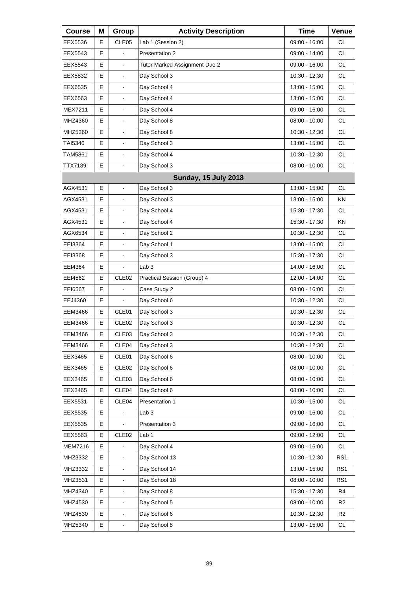| <b>Course</b>  | Μ  | Group                    | <b>Activity Description</b>   | <b>Time</b>     | Venue          |
|----------------|----|--------------------------|-------------------------------|-----------------|----------------|
| EEX5536        | Е  | CLE <sub>05</sub>        | Lab 1 (Session 2)             | 09:00 - 16:00   | <b>CL</b>      |
| EEX5543        | Е  |                          | Presentation 2                | 09:00 - 14:00   | <b>CL</b>      |
| EEX5543        | E. | $\blacksquare$           | Tutor Marked Assignment Due 2 | 09:00 - 16:00   | <b>CL</b>      |
| EEX5832        | E  | $\blacksquare$           | Day School 3                  | 10:30 - 12:30   | <b>CL</b>      |
| EEX6535        | Е  | $\overline{\phantom{a}}$ | Day School 4                  | 13:00 - 15:00   | <b>CL</b>      |
| EEX6563        | E. | $\blacksquare$           | Day School 4                  | 13:00 - 15:00   | <b>CL</b>      |
| <b>MEX7211</b> | E  | $\blacksquare$           | Day School 4                  | 09:00 - 16:00   | <b>CL</b>      |
| MHZ4360        | Е  | $\overline{\phantom{a}}$ | Day School 8                  | $08:00 - 10:00$ | <b>CL</b>      |
| MHZ5360        | E. | $\blacksquare$           | Day School 8                  | 10:30 - 12:30   | <b>CL</b>      |
| <b>TAI5346</b> | E  | $\blacksquare$           | Day School 3                  | 13:00 - 15:00   | <b>CL</b>      |
| TAM5861        | Е  | $\overline{\phantom{a}}$ | Day School 4                  | 10:30 - 12:30   | <b>CL</b>      |
| TTX7139        | E  |                          | Day School 3                  | $08:00 - 10:00$ | CL.            |
|                |    |                          | <b>Sunday, 15 July 2018</b>   |                 |                |
| AGX4531        | Е  | $\blacksquare$           | Day School 3                  | 13:00 - 15:00   | CL.            |
| AGX4531        | E  | $\overline{\phantom{a}}$ | Day School 3                  | 13:00 - 15:00   | ΚN             |
| AGX4531        | E  | $\blacksquare$           | Day School 4                  | 15:30 - 17:30   | <b>CL</b>      |
| AGX4531        | Е  | $\overline{\phantom{a}}$ | Day School 4                  | 15:30 - 17:30   | ΚN             |
| AGX6534        | E  | $\overline{\phantom{a}}$ | Day School 2                  | 10:30 - 12:30   | CL.            |
| EEI3364        | E  | $\blacksquare$           | Day School 1                  | 13:00 - 15:00   | CL             |
| EEI3368        | Е  | $\overline{\phantom{a}}$ | Day School 3                  | 15:30 - 17:30   | <b>CL</b>      |
| EEI4364        | E  |                          | Lab <sub>3</sub>              | 14:00 - 16:00   | CL.            |
| EEI4562        | E  | CLE <sub>02</sub>        | Practical Session (Group) 4   | 12:00 - 14:00   | CL             |
| EEI6567        | Е  |                          | Case Study 2                  | 08:00 - 16:00   | <b>CL</b>      |
| EEJ4360        | E  |                          | Day School 6                  | 10:30 - 12:30   | CL.            |
| EEM3466        | E  | CLE01                    | Day School 3                  | 10:30 - 12:30   | CL             |
| EEM3466        | Е  | CLE <sub>02</sub>        | Day School 3                  | 10:30 - 12:30   | CL             |
| EEM3466        | E  | CLE <sub>03</sub>        | Day School 3                  | 10:30 - 12:30   | <b>CL</b>      |
| <b>EEM3466</b> | E  | CLE04                    | Day School 3                  | 10:30 - 12:30   | CL             |
| EEX3465        | Е  | CLE01                    | Day School 6                  | $08:00 - 10:00$ | CL             |
| EEX3465        | Е  | CLE <sub>02</sub>        | Day School 6                  | $08:00 - 10:00$ | <b>CL</b>      |
| EEX3465        | Е  | CLE <sub>03</sub>        | Day School 6                  | 08:00 - 10:00   | CL             |
| EEX3465        | Е  | CLE04                    | Day School 6                  | 08:00 - 10:00   | CL             |
| EEX5531        | Е  | CLE04                    | Presentation 1                | 10:30 - 15:00   | <b>CL</b>      |
| EEX5535        | Е  |                          | Lab <sub>3</sub>              | 09:00 - 16:00   | CL             |
| EEX5535        | E  |                          | Presentation 3                | $09:00 - 16:00$ | CL             |
| EEX5563        | Е  | CLE <sub>02</sub>        | Lab <sub>1</sub>              | 09:00 - 12:00   | <b>CL</b>      |
| <b>MEM7216</b> | Е  | $\blacksquare$           | Day School 4                  | 09:00 - 16:00   | CL             |
| MHZ3332        | E  |                          | Day School 13                 | 10:30 - 12:30   | RS1            |
| MHZ3332        | Е  | $\blacksquare$           | Day School 14                 | 13:00 - 15:00   | RS1            |
| MHZ3531        | Е  | $\blacksquare$           | Day School 18                 | 08:00 - 10:00   | RS1            |
| MHZ4340        | E  |                          | Day School 8                  | 15:30 - 17:30   | R4             |
| MHZ4530        | Е  | $\blacksquare$           | Day School 5                  | 08:00 - 10:00   | R <sub>2</sub> |
| MHZ4530        | Е  | $\blacksquare$           | Day School 6                  | 10:30 - 12:30   | R <sub>2</sub> |
| MHZ5340        | E  | $\blacksquare$           | Day School 8                  | 13:00 - 15:00   | CL             |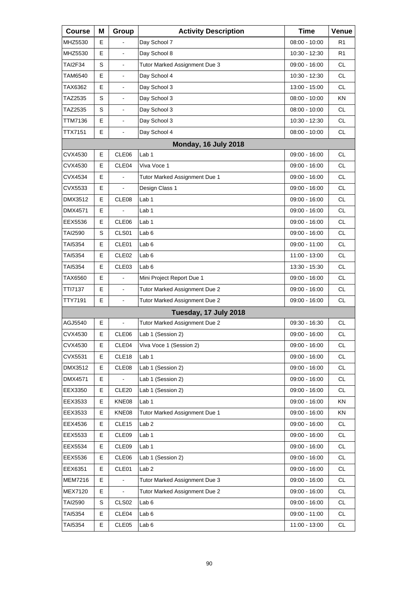| <b>Course</b>  | Μ  | Group             | <b>Activity Description</b>   | <b>Time</b>     | Venue          |
|----------------|----|-------------------|-------------------------------|-----------------|----------------|
| MHZ5530        | Е  |                   | Day School 7                  | 08:00 - 10:00   | R1             |
| MHZ5530        | E  |                   | Day School 8                  | 10:30 - 12:30   | R <sub>1</sub> |
| <b>TAI2F34</b> | S  | $\blacksquare$    | Tutor Marked Assignment Due 3 | 09:00 - 16:00   | <b>CL</b>      |
| TAM6540        | Е  | $\blacksquare$    | Day School 4                  | 10:30 - 12:30   | <b>CL</b>      |
| TAX6362        | E  |                   | Day School 3                  | 13:00 - 15:00   | <b>CL</b>      |
| TAZ2535        | S  | $\blacksquare$    | Day School 3                  | 08:00 - 10:00   | KN             |
| TAZ2535        | S  | $\blacksquare$    | Day School 3                  | $08:00 - 10:00$ | <b>CL</b>      |
| TTM7136        | E  | $\blacksquare$    | Day School 3                  | 10:30 - 12:30   | <b>CL</b>      |
| TTX7151        | E  | $\blacksquare$    | Day School 4                  | 08:00 - 10:00   | <b>CL</b>      |
|                |    |                   | Monday, 16 July 2018          |                 |                |
| CVX4530        | E  | CLE06             | Lab <sub>1</sub>              | 09:00 - 16:00   | <b>CL</b>      |
| CVX4530        | Е  | CLE <sub>04</sub> | Viva Voce 1                   | 09:00 - 16:00   | <b>CL</b>      |
| CVX4534        | Е  | $\blacksquare$    | Tutor Marked Assignment Due 1 | $09:00 - 16:00$ | <b>CL</b>      |
| CVX5533        | E  |                   | Design Class 1                | 09:00 - 16:00   | <b>CL</b>      |
| DMX3512        | Е  | CLE08             | Lab 1                         | 09:00 - 16:00   | <b>CL</b>      |
| DMX4571        | Е  |                   | Lab 1                         | $09:00 - 16:00$ | <b>CL</b>      |
| EEX5536        | E  | CLE <sub>06</sub> | Lab <sub>1</sub>              | 09:00 - 16:00   | <b>CL</b>      |
| TAI2590        | S  | CLS01             | Lab <sub>6</sub>              | 09:00 - 16:00   | <b>CL</b>      |
| TAI5354        | Е  | CLE01             | Lab <sub>6</sub>              | 09:00 - 11:00   | <b>CL</b>      |
| TAI5354        | Е  | CLE <sub>02</sub> | Lab <sub>6</sub>              | 11:00 - 13:00   | <b>CL</b>      |
| TAI5354        | Е  | CLE <sub>03</sub> | Lab <sub>6</sub>              | 13:30 - 15:30   | <b>CL</b>      |
| TAX6560        | Е  | $\blacksquare$    | Mini Project Report Due 1     | 09:00 - 16:00   | <b>CL</b>      |
| TTI7137        | E  | $\blacksquare$    | Tutor Marked Assignment Due 2 | 09:00 - 16:00   | <b>CL</b>      |
| TTY7191        | E. | $\blacksquare$    | Tutor Marked Assignment Due 2 | 09:00 - 16:00   | <b>CL</b>      |
|                |    |                   | Tuesday, 17 July 2018         |                 |                |
| AGJ5540        | Е  |                   | Tutor Marked Assignment Due 2 | 09:30 - 16:30   | <b>CL</b>      |
| CVX4530        | E  | CLE06             | Lab 1 (Session 2)             | 09:00 - 16:00   | <b>CL</b>      |
| CVX4530        | Е  | CLE04             | Viva Voce 1 (Session 2)       | 09:00 - 16:00   | CL.            |
| CVX5531        | Е  | CLE18             | Lab <sub>1</sub>              | 09:00 - 16:00   | <b>CL</b>      |
| DMX3512        | Е  | CLE <sub>08</sub> | Lab 1 (Session 2)             | 09:00 - 16:00   | <b>CL</b>      |
| DMX4571        | Е  |                   | Lab 1 (Session 2)             | 09:00 - 16:00   | CL             |
| EEX3350        | Е  | CLE <sub>20</sub> | Lab 1 (Session 2)             | 09:00 - 16:00   | <b>CL</b>      |
| EEX3533        | Е  | KNE08             | Lab 1                         | 09:00 - 16:00   | <b>KN</b>      |
| EEX3533        | Е  | KNE08             | Tutor Marked Assignment Due 1 | 09:00 - 16:00   | KN             |
| EEX4536        | Е  | CLE <sub>15</sub> | Lab <sub>2</sub>              | 09:00 - 16:00   | <b>CL</b>      |
| EEX5533        | Е  | CLE09             | Lab 1                         | 09:00 - 16:00   | <b>CL</b>      |
| EEX5534        | Е  | CLE09             | Lab 1                         | 09:00 - 16:00   | CL             |
| EEX5536        | Е  | CLE06             | Lab 1 (Session 2)             | 09:00 - 16:00   | <b>CL</b>      |
| EEX6351        | Е  | CLE01             | Lab <sub>2</sub>              | 09:00 - 16:00   | <b>CL</b>      |
| <b>MEM7216</b> | Е  |                   | Tutor Marked Assignment Due 3 | 09:00 - 16:00   | CL             |
| <b>MEX7120</b> | Е  |                   | Tutor Marked Assignment Due 2 | 09:00 - 16:00   | <b>CL</b>      |
| <b>TAI2590</b> | S  | CLS <sub>02</sub> | Lab <sub>6</sub>              | 09:00 - 16:00   | <b>CL</b>      |
| TAI5354        | Е  | CLE04             | Lab <sub>6</sub>              | 09:00 - 11:00   | CL             |
| TAI5354        | Е  | CLE05             | Lab <sub>6</sub>              | 11:00 - 13:00   | <b>CL</b>      |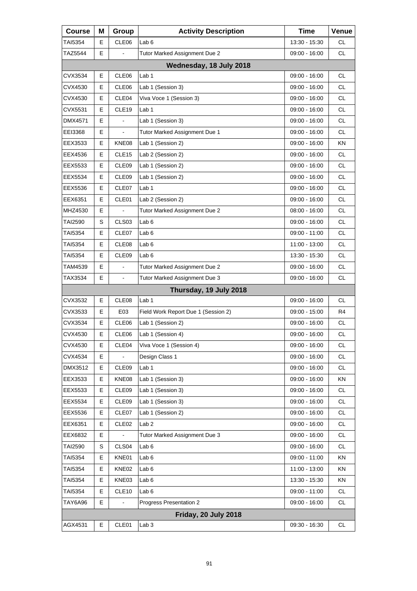| <b>Course</b>           | Μ | Group             | <b>Activity Description</b>         | <b>Time</b>     | Venue     |  |  |
|-------------------------|---|-------------------|-------------------------------------|-----------------|-----------|--|--|
| TAI5354                 | Е | CLE06             | Lab <sub>6</sub>                    | 13:30 - 15:30   | CL        |  |  |
| TAZ5544                 | Е |                   | Tutor Marked Assignment Due 2       | 09:00 - 16:00   | <b>CL</b> |  |  |
| Wednesday, 18 July 2018 |   |                   |                                     |                 |           |  |  |
| CVX3534                 | Е | CLE06             | Lab <sub>1</sub>                    | 09:00 - 16:00   | CL        |  |  |
| CVX4530                 | Е | CLE06             | Lab 1 (Session 3)                   | 09:00 - 16:00   | <b>CL</b> |  |  |
| CVX4530                 | E | CLE04             | Viva Voce 1 (Session 3)             | 09:00 - 16:00   | <b>CL</b> |  |  |
| CVX5531                 | Е | CLE <sub>19</sub> | Lab 1                               | 09:00 - 16:00   | <b>CL</b> |  |  |
| DMX4571                 | E |                   | Lab 1 (Session 3)                   | 09:00 - 16:00   | <b>CL</b> |  |  |
| EEI3368                 | E | $\blacksquare$    | Tutor Marked Assignment Due 1       | 09:00 - 16:00   | <b>CL</b> |  |  |
| EEX3533                 | Е | KNE08             | Lab 1 (Session 2)                   | 09:00 - 16:00   | ΚN        |  |  |
| EEX4536                 | Е | CLE15             | Lab 2 (Session 2)                   | 09:00 - 16:00   | <b>CL</b> |  |  |
| EEX5533                 | E | CLE09             | Lab 1 (Session 2)                   | 09:00 - 16:00   | <b>CL</b> |  |  |
| EEX5534                 | Е | CLE09             | Lab 1 (Session 2)                   | 09:00 - 16:00   | <b>CL</b> |  |  |
| EEX5536                 | Е | CLE07             | Lab <sub>1</sub>                    | $09:00 - 16:00$ | <b>CL</b> |  |  |
| EEX6351                 | E | CLE01             | Lab 2 (Session 2)                   | 09:00 - 16:00   | <b>CL</b> |  |  |
| MHZ4530                 | Е |                   | Tutor Marked Assignment Due 2       | 08:00 - 16:00   | <b>CL</b> |  |  |
| TAI2590                 | S | CLS <sub>03</sub> | Lab <sub>6</sub>                    | 09:00 - 16:00   | <b>CL</b> |  |  |
| <b>TAI5354</b>          | Е | CLE07             | Lab <sub>6</sub>                    | 09:00 - 11:00   | <b>CL</b> |  |  |
| TAI5354                 | Е | CLE08             | Lab 6                               | 11:00 - 13:00   | <b>CL</b> |  |  |
| TAI5354                 | Е | CLE09             | Lab <sub>6</sub>                    | 13:30 - 15:30   | <b>CL</b> |  |  |
| TAM4539                 | E | $\blacksquare$    | Tutor Marked Assignment Due 2       | 09:00 - 16:00   | <b>CL</b> |  |  |
| TAX3534                 | Е | $\blacksquare$    | Tutor Marked Assignment Due 3       | 09:00 - 16:00   | CL        |  |  |
|                         |   |                   | Thursday, 19 July 2018              |                 |           |  |  |
| CVX3532                 | E | CLE08             | Lab <sub>1</sub>                    | 09:00 - 16:00   | <b>CL</b> |  |  |
| CVX3533                 | Е | E03               | Field Work Report Due 1 (Session 2) | 09:00 - 15:00   | R4        |  |  |
| CVX3534                 | Е | CLE06             | Lab 1 (Session 2)                   | 09:00 - 16:00   | <b>CL</b> |  |  |
| CVX4530                 | E | CLE06             | Lab 1 (Session 4)                   | $09:00 - 16:00$ | CL        |  |  |
| CVX4530                 | Е | CLE04             | Viva Voce 1 (Session 4)             | 09:00 - 16:00   | <b>CL</b> |  |  |
| CVX4534                 | Е |                   | Design Class 1                      | 09:00 - 16:00   | CL        |  |  |
| DMX3512                 | Е | CLE09             | Lab 1                               | 09:00 - 16:00   | CL        |  |  |
| EEX3533                 | Е | KNE08             | Lab 1 (Session 3)                   | 09:00 - 16:00   | KN        |  |  |
| EEX5533                 | Е | CLE09             | Lab 1 (Session 3)                   | 09:00 - 16:00   | CL        |  |  |
| EEX5534                 | Е | CLE09             | Lab 1 (Session 3)                   | 09:00 - 16:00   | CL        |  |  |
| EEX5536                 | Е | CLE07             | Lab 1 (Session 2)                   | 09:00 - 16:00   | <b>CL</b> |  |  |
| EEX6351                 | Е | CLE <sub>02</sub> | Lab <sub>2</sub>                    | $09:00 - 16:00$ | CL        |  |  |
| EEX6832                 | Е |                   | Tutor Marked Assignment Due 3       | 09:00 - 16:00   | CL        |  |  |
| <b>TAI2590</b>          | S | CLS <sub>04</sub> | Lab 6                               | 09:00 - 16:00   | <b>CL</b> |  |  |
| TAI5354                 | Е | KNE01             | Lab <sub>6</sub>                    | 09:00 - 11:00   | KN        |  |  |
| TAI5354                 | Е | KNE02             | Lab 6                               | 11:00 - 13:00   | KN        |  |  |
| TAI5354                 | Е | KNE03             | Lab 6                               | 13:30 - 15:30   | KN        |  |  |
| TAI5354                 | Е | CLE <sub>10</sub> | Lab <sub>6</sub>                    | 09:00 - 11:00   | CL        |  |  |
| <b>TAY6A96</b>          | E |                   | Progress Presentation 2             | 09:00 - 16:00   | CL        |  |  |
|                         |   |                   | Friday, 20 July 2018                |                 |           |  |  |
| AGX4531                 | Е | CLE01             | Lab <sub>3</sub>                    | 09:30 - 16:30   | CL.       |  |  |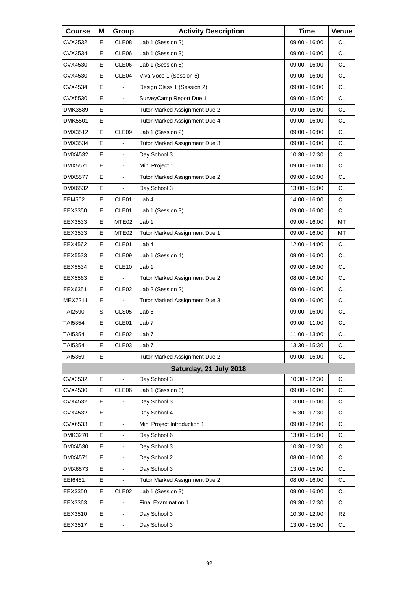| <b>Course</b>  | Μ | Group                    | <b>Activity Description</b>   | <b>Time</b>     | Venue          |
|----------------|---|--------------------------|-------------------------------|-----------------|----------------|
| CVX3532        | Е | CLE08                    | Lab 1 (Session 2)             | 09:00 - 16:00   | <b>CL</b>      |
| CVX3534        | Е | CLE06                    | Lab 1 (Session 3)             | 09:00 - 16:00   | <b>CL</b>      |
| CVX4530        | E | CLE06                    | Lab 1 (Session 5)             | 09:00 - 16:00   | <b>CL</b>      |
| CVX4530        | Е | CLE04                    | Viva Voce 1 (Session 5)       | 09:00 - 16:00   | <b>CL</b>      |
| CVX4534        | E |                          | Design Class 1 (Session 2)    | 09:00 - 16:00   | <b>CL</b>      |
| CVX5530        | E | L,                       | SurveyCamp Report Due 1       | 09:00 - 15:00   | <b>CL</b>      |
| DMK3589        | Е | $\blacksquare$           | Tutor Marked Assignment Due 2 | $09:00 - 16:00$ | <b>CL</b>      |
| <b>DMK5501</b> | E |                          | Tutor Marked Assignment Due 4 | 09:00 - 16:00   | <b>CL</b>      |
| DMX3512        | E | CLE09                    | Lab 1 (Session 2)             | 09:00 - 16:00   | <b>CL</b>      |
| DMX3534        | Е |                          | Tutor Marked Assignment Due 3 | 09:00 - 16:00   | <b>CL</b>      |
| DMX4532        | E | L.                       | Day School 3                  | 10:30 - 12:30   | <b>CL</b>      |
| DMX5571        | E | $\frac{1}{2}$            | Mini Project 1                | 09:00 - 16:00   | <b>CL</b>      |
| DMX5577        | Е | $\blacksquare$           | Tutor Marked Assignment Due 2 | $09:00 - 16:00$ | <b>CL</b>      |
| DMX6532        | E |                          | Day School 3                  | 13:00 - 15:00   | <b>CL</b>      |
| EEI4562        | E | CLE01                    | Lab 4                         | 14:00 - 16:00   | <b>CL</b>      |
| EEX3350        | Е | CLE01                    | Lab 1 (Session 3)             | $09:00 - 16:00$ | <b>CL</b>      |
| EEX3533        | Е | MTE02                    | Lab <sub>1</sub>              | 09:00 - 16:00   | MT             |
| EEX3533        | Е | MTE02                    | Tutor Marked Assignment Due 1 | 09:00 - 16:00   | МT             |
| EEX4562        | Е | CLE01                    | Lab 4                         | 12:00 - 14:00   | <b>CL</b>      |
| EEX5533        | E | CLE09                    | Lab 1 (Session 4)             | 09:00 - 16:00   | <b>CL</b>      |
| EEX5534        | Е | CLE <sub>10</sub>        | Lab 1                         | 09:00 - 16:00   | <b>CL</b>      |
| EEX5563        | Е | $\overline{\phantom{a}}$ | Tutor Marked Assignment Due 2 | $08:00 - 16:00$ | <b>CL</b>      |
| EEX6351        | E | CLE <sub>02</sub>        | Lab 2 (Session 2)             | 09:00 - 16:00   | <b>CL</b>      |
| MEX7211        | Е |                          | Tutor Marked Assignment Due 3 | 09:00 - 16:00   | <b>CL</b>      |
| TAI2590        | S | CLS <sub>05</sub>        | Lab <sub>6</sub>              | 09:00 - 16:00   | <b>CL</b>      |
| TAI5354        | Е | CLE01                    | Lab <sub>7</sub>              | 09:00 - 11:00   | <b>CL</b>      |
| TAI5354        | E | CLE <sub>02</sub>        | Lab 7                         | 11:00 - 13:00   | <b>CL</b>      |
| TAI5354        | Е | CLE03                    | Lab <sub>7</sub>              | 13:30 - 15:30   | CL             |
| TAI5359        | E |                          | Tutor Marked Assignment Due 2 | 09:00 - 16:00   | <b>CL</b>      |
|                |   |                          | Saturday, 21 July 2018        |                 |                |
| CVX3532        | Е | $\frac{1}{2}$            | Day School 3                  | 10:30 - 12:30   | <b>CL</b>      |
| CVX4530        | Е | CLE06                    | Lab 1 (Session 6)             | 09:00 - 16:00   | CL             |
| CVX4532        | E |                          | Day School 3                  | 13:00 - 15:00   | CL             |
| CVX4532        | E | $\overline{\phantom{0}}$ | Day School 4                  | 15:30 - 17:30   | CL             |
| CVX6533        | E | $\overline{\phantom{0}}$ | Mini Project Introduction 1   | 09:00 - 12:00   | CL             |
| DMK3270        | Е | $\blacksquare$           | Day School 6                  | 13:00 - 15:00   | CL             |
| DMX4530        | E |                          | Day School 3                  | 10:30 - 12:30   | CL             |
| DMX4571        | E |                          | Day School 2                  | 08:00 - 10:00   | CL             |
| DMX6573        | E | $\blacksquare$           | Day School 3                  | 13:00 - 15:00   | CL             |
| EEI6461        | Е |                          | Tutor Marked Assignment Due 2 | 08:00 - 16:00   | CL             |
| EEX3350        | Е | CLE <sub>02</sub>        | Lab 1 (Session 3)             | 09:00 - 16:00   | CL             |
| EEX3363        | E | $\overline{\phantom{0}}$ | Final Examination 1           | 09:30 - 12:30   | CL             |
| EEX3510        | E | $\overline{\phantom{0}}$ | Day School 3                  | 10:30 - 12:00   | R <sub>2</sub> |
| EEX3517        | E | $\blacksquare$           | Day School 3                  | 13:00 - 15:00   | CL             |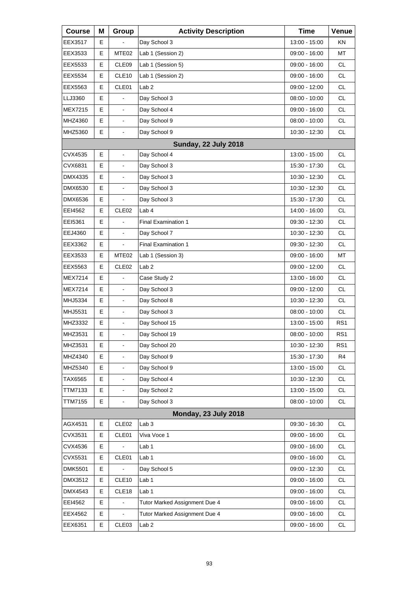| <b>Course</b>  | Μ | Group                    | <b>Activity Description</b>   | <b>Time</b>     | Venue           |
|----------------|---|--------------------------|-------------------------------|-----------------|-----------------|
| EEX3517        | Е |                          | Day School 3                  | 13:00 - 15:00   | ΚN              |
| EEX3533        | E | MTE <sub>02</sub>        | Lab 1 (Session 2)             | 09:00 - 16:00   | MT              |
| EEX5533        | E | CLE09                    | Lab 1 (Session 5)             | 09:00 - 16:00   | <b>CL</b>       |
| EEX5534        | Е | CLE <sub>10</sub>        | Lab 1 (Session 2)             | 09:00 - 16:00   | <b>CL</b>       |
| EEX5563        | E | CLE01                    | Lab <sub>2</sub>              | 09:00 - 12:00   | <b>CL</b>       |
| LLJ3360        | E | $\overline{a}$           | Day School 3                  | $08:00 - 10:00$ | <b>CL</b>       |
| MEX7215        | Е | $\blacksquare$           | Day School 4                  | 09:00 - 16:00   | <b>CL</b>       |
| MHZ4360        | E | $\overline{\phantom{a}}$ | Day School 9                  | 08:00 - 10:00   | <b>CL</b>       |
| MHZ5360        | E | $\blacksquare$           | Day School 9                  | 10:30 - 12:30   | <b>CL</b>       |
|                |   |                          | <b>Sunday, 22 July 2018</b>   |                 |                 |
| CVX4535        | E | ÷.                       | Day School 4                  | 13:00 - 15:00   | <b>CL</b>       |
| CVX6831        | Е | $\frac{1}{2}$            | Day School 3                  | 15:30 - 17:30   | <b>CL</b>       |
| DMX4335        | Е | $\blacksquare$           | Day School 3                  | 10:30 - 12:30   | <b>CL</b>       |
| <b>DMX6530</b> | E | $\blacksquare$           | Day School 3                  | 10:30 - 12:30   | <b>CL</b>       |
| <b>DMX6536</b> | Е |                          | Day School 3                  | 15:30 - 17:30   | <b>CL</b>       |
| EEI4562        | Е | CLE <sub>02</sub>        | Lab <sub>4</sub>              | 14:00 - 16:00   | <b>CL</b>       |
| EEI5361        | E |                          | <b>Final Examination 1</b>    | 09:30 - 12:30   | <b>CL</b>       |
| EEJ4360        | E | $\frac{1}{2}$            | Day School 7                  | 10:30 - 12:30   | <b>CL</b>       |
| EEX3362        | Е | $\overline{\phantom{a}}$ | <b>Final Examination 1</b>    | 09:30 - 12:30   | <b>CL</b>       |
| EEX3533        | E | MTE <sub>02</sub>        | Lab 1 (Session 3)             | 09:00 - 16:00   | MT              |
| EEX5563        | Е | CLE <sub>02</sub>        | Lab <sub>2</sub>              | 09:00 - 12:00   | <b>CL</b>       |
| MEX7214        | Е | $\blacksquare$           | Case Study 2                  | 13:00 - 16:00   | <b>CL</b>       |
| MEX7214        | E | $\blacksquare$           | Day School 3                  | 09:00 - 12:00   | <b>CL</b>       |
| MHJ5334        | E | $\blacksquare$           | Day School 8                  | 10:30 - 12:30   | <b>CL</b>       |
| MHJ5531        | E | $\blacksquare$           | Day School 3                  | $08:00 - 10:00$ | <b>CL</b>       |
| MHZ3332        | E | $\blacksquare$           | Day School 15                 | 13:00 - 15:00   | RS1             |
| MHZ3531        | E | $\overline{\phantom{a}}$ | Day School 19                 | $08:00 - 10:00$ | RS <sub>1</sub> |
| MHZ3531        | Е | $\blacksquare$           | Day School 20                 | 10:30 - 12:30   | RS1             |
| MHZ4340        | E |                          | Day School 9                  | 15:30 - 17:30   | R <sub>4</sub>  |
| MHZ5340        | E | $\blacksquare$           | Day School 9                  | 13:00 - 15:00   | <b>CL</b>       |
| TAX6565        | E | $\blacksquare$           | Day School 4                  | 10:30 - 12:30   | CL              |
| <b>TTM7133</b> | E | $\blacksquare$           | Day School 2                  | 13:00 - 15:00   | <b>CL</b>       |
| <b>TTM7155</b> | E | $\blacksquare$           | Day School 3                  | $08:00 - 10:00$ | <b>CL</b>       |
|                |   |                          | <b>Monday, 23 July 2018</b>   |                 |                 |
| AGX4531        | Е | CLE <sub>02</sub>        | Lab <sub>3</sub>              | 09:30 - 16:30   | <b>CL</b>       |
| CVX3531        | E | CLE01                    | Viva Voce 1                   | 09:00 - 16:00   | <b>CL</b>       |
| CVX4536        | Е |                          | Lab <sub>1</sub>              | 09:00 - 16:00   | CL              |
| CVX5531        | Е | CLE01                    | Lab 1                         | 09:00 - 16:00   | <b>CL</b>       |
| <b>DMK5501</b> | E |                          | Day School 5                  | 09:00 - 12:30   | CL              |
| DMX3512        | Е | CLE <sub>10</sub>        | Lab <sub>1</sub>              | 09:00 - 16:00   | CL              |
| DMX4543        | Е | CLE18                    | Lab 1                         | 09:00 - 16:00   | <b>CL</b>       |
| EEI4562        | Е | $\blacksquare$           | Tutor Marked Assignment Due 4 | 09:00 - 16:00   | CL              |
| EEX4562        | Е |                          | Tutor Marked Assignment Due 4 | 09:00 - 16:00   | CL              |
| EEX6351        | Е | CLE <sub>03</sub>        | Lab <sub>2</sub>              | 09:00 - 16:00   | <b>CL</b>       |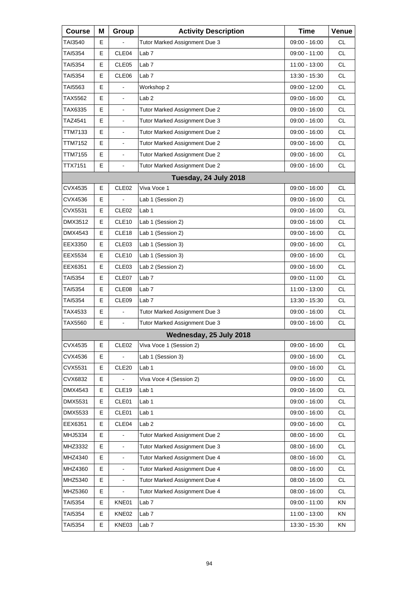| <b>Course</b>  | Μ | Group                    | <b>Activity Description</b>   | <b>Time</b>     | Venue     |
|----------------|---|--------------------------|-------------------------------|-----------------|-----------|
| TAI3540        | Е |                          | Tutor Marked Assignment Due 3 | 09:00 - 16:00   | <b>CL</b> |
| TAI5354        | Е | CLE04                    | Lab <sub>7</sub>              | 09:00 - 11:00   | <b>CL</b> |
| TAI5354        | Е | CLE <sub>05</sub>        | Lab <sub>7</sub>              | 11:00 - 13:00   | <b>CL</b> |
| <b>TAI5354</b> | Е | CLE06                    | Lab <sub>7</sub>              | 13:30 - 15:30   | <b>CL</b> |
| TAI5563        | Е |                          | Workshop 2                    | 09:00 - 12:00   | <b>CL</b> |
| TAX5562        | E | L,                       | Lab <sub>2</sub>              | 09:00 - 16:00   | <b>CL</b> |
| TAX6335        | E | $\blacksquare$           | Tutor Marked Assignment Due 2 | 09:00 - 16:00   | <b>CL</b> |
| TAZ4541        | E | $\blacksquare$           | Tutor Marked Assignment Due 3 | 09:00 - 16:00   | <b>CL</b> |
| TTM7133        | Е | L,                       | Tutor Marked Assignment Due 2 | 09:00 - 16:00   | <b>CL</b> |
| TTM7152        | E | L,                       | Tutor Marked Assignment Due 2 | 09:00 - 16:00   | <b>CL</b> |
| TTM7155        | E | $\blacksquare$           | Tutor Marked Assignment Due 2 | 09:00 - 16:00   | <b>CL</b> |
| TTX7151        | E | $\blacksquare$           | Tutor Marked Assignment Due 2 | 09:00 - 16:00   | CL.       |
|                |   |                          | Tuesday, 24 July 2018         |                 |           |
| CVX4535        | Е | CLE <sub>02</sub>        | Viva Voce 1                   | $09:00 - 16:00$ | <b>CL</b> |
| CVX4536        | E |                          | Lab 1 (Session 2)             | 09:00 - 16:00   | CL.       |
| <b>CVX5531</b> | E | CLE <sub>02</sub>        | Lab 1                         | 09:00 - 16:00   | <b>CL</b> |
| DMX3512        | Е | CLE10                    | Lab 1 (Session 2)             | 09:00 - 16:00   | <b>CL</b> |
| DMX4543        | E | CLE <sub>18</sub>        | Lab 1 (Session 2)             | 09:00 - 16:00   | CL.       |
| EEX3350        | E | CLE03                    | Lab 1 (Session 3)             | 09:00 - 16:00   | <b>CL</b> |
| EEX5534        | Е | CLE10                    | Lab 1 (Session 3)             | 09:00 - 16:00   | <b>CL</b> |
| EEX6351        | E | CLE <sub>03</sub>        | Lab 2 (Session 2)             | 09:00 - 16:00   | CL.       |
| <b>TAI5354</b> | Е | CLE07                    | Lab <sub>7</sub>              | 09:00 - 11:00   | <b>CL</b> |
| TAI5354        | Е | CLE08                    | Lab <sub>7</sub>              | 11:00 - 13:00   | <b>CL</b> |
| TAI5354        | Е | CLE <sub>09</sub>        | Lab <sub>7</sub>              | 13:30 - 15:30   | CL.       |
| TAX4533        | E | $\overline{a}$           | Tutor Marked Assignment Due 3 | 09:00 - 16:00   | <b>CL</b> |
| TAX5560        | E | $\blacksquare$           | Tutor Marked Assignment Due 3 | 09:00 - 16:00   | CL        |
|                |   |                          | Wednesday, 25 July 2018       |                 |           |
| CVX4535        | Е | CLE <sub>02</sub>        | Viva Voce 1 (Session 2)       | 09:00 - 16:00   | CL        |
| CVX4536        | Е |                          | Lab 1 (Session 3)             | 09:00 - 16:00   | <b>CL</b> |
| CVX5531        | Е | CLE <sub>20</sub>        | Lab 1                         | 09:00 - 16:00   | <b>CL</b> |
| CVX6832        | Е |                          | Viva Voce 4 (Session 2)       | 09:00 - 16:00   | CL        |
| DMX4543        | Е | CLE19                    | Lab <sub>1</sub>              | $09:00 - 16:00$ | CL        |
| <b>DMX5531</b> | Е | CLE01                    | Lab 1                         | 09:00 - 16:00   | <b>CL</b> |
| DMX5533        | Е | CLE01                    | Lab <sub>1</sub>              | 09:00 - 16:00   | CL        |
| EEX6351        | Е | CLE04                    | Lab <sub>2</sub>              | 09:00 - 16:00   | CL        |
| MHJ5334        | E |                          | Tutor Marked Assignment Due 2 | 08:00 - 16:00   | <b>CL</b> |
| MHZ3332        | Е | $\blacksquare$           | Tutor Marked Assignment Due 3 | 08:00 - 16:00   | CL        |
| MHZ4340        | E | $\overline{\phantom{a}}$ | Tutor Marked Assignment Due 4 | 08:00 - 16:00   | CL        |
| MHZ4360        | E | $\blacksquare$           | Tutor Marked Assignment Due 4 | 08:00 - 16:00   | <b>CL</b> |
| MHZ5340        | Е | $\blacksquare$           | Tutor Marked Assignment Due 4 | 08:00 - 16:00   | CL        |
| MHZ5360        | Е | $\overline{\phantom{a}}$ | Tutor Marked Assignment Due 4 | 08:00 - 16:00   | CL        |
| TAI5354        | Е | KNE01                    | Lab <sub>7</sub>              | 09:00 - 11:00   | ΚN        |
| TAI5354        | Е | KNE02                    | Lab <sub>7</sub>              | 11:00 - 13:00   | KN        |
| TAI5354        | Е | KNE03                    | Lab <sub>7</sub>              | 13:30 - 15:30   | KN        |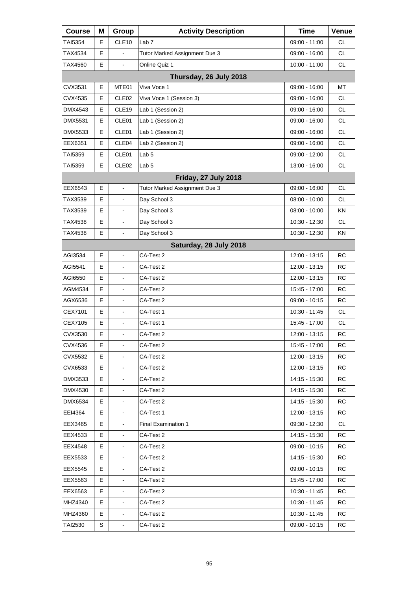| <b>Course</b>  | Μ  | Group                        | <b>Activity Description</b>   | <b>Time</b>     | Venue     |
|----------------|----|------------------------------|-------------------------------|-----------------|-----------|
| TAI5354        | Е  | CLE10                        | Lab <sub>7</sub>              | 09:00 - 11:00   | <b>CL</b> |
| TAX4534        | E  |                              | Tutor Marked Assignment Due 3 | 09:00 - 16:00   | <b>CL</b> |
| TAX4560        | E  | ä,                           | Online Quiz 1                 | 10:00 - 11:00   | <b>CL</b> |
|                |    |                              | Thursday, 26 July 2018        |                 |           |
| CVX3531        | E  | MTE01                        | Viva Voce 1                   | 09:00 - 16:00   | MT        |
| CVX4535        | E  | CLE <sub>02</sub>            | Viva Voce 1 (Session 3)       | 09:00 - 16:00   | <b>CL</b> |
| DMX4543        | Е  | CLE <sub>19</sub>            | Lab 1 (Session 2)             | 09:00 - 16:00   | <b>CL</b> |
| <b>DMX5531</b> | E  | CLE01                        | Lab 1 (Session 2)             | 09:00 - 16:00   | <b>CL</b> |
| DMX5533        | E  | CLE01                        | Lab 1 (Session 2)             | 09:00 - 16:00   | <b>CL</b> |
| EEX6351        | Е  | CLE04                        | Lab 2 (Session 2)             | 09:00 - 16:00   | <b>CL</b> |
| TAI5359        | E  | CLE01                        | Lab <sub>5</sub>              | 09:00 - 12:00   | <b>CL</b> |
| TAI5359        | Е  | CLE <sub>02</sub>            | Lab <sub>5</sub>              | 13:00 - 16:00   | <b>CL</b> |
|                |    |                              | Friday, 27 July 2018          |                 |           |
| EEX6543        | E  | ä,                           | Tutor Marked Assignment Due 3 | 09:00 - 16:00   | <b>CL</b> |
| TAX3539        | Е  | $\overline{\phantom{a}}$     | Day School 3                  | $08:00 - 10:00$ | CL.       |
| TAX3539        | Е  | $\blacksquare$               | Day School 3                  | $08:00 - 10:00$ | ΚN        |
| TAX4538        | E  | $\blacksquare$               | Day School 3                  | 10:30 - 12:30   | <b>CL</b> |
| TAX4538        | E  | L,                           | Day School 3                  | 10:30 - 12:30   | ΚN        |
|                |    |                              | Saturday, 28 July 2018        |                 |           |
| AGI3534        | E  | ÷.                           | CA-Test 2                     | 12:00 - 13:15   | <b>RC</b> |
| AGI5541        | Е  | $\overline{\phantom{a}}$     | CA-Test 2                     | 12:00 - 13:15   | RC        |
| AGI6550        | E  | $\blacksquare$               | CA-Test 2                     | 12:00 - 13:15   | <b>RC</b> |
| AGM4534        | E  | $\blacksquare$               | CA-Test 2                     | 15:45 - 17:00   | <b>RC</b> |
| AGX6536        | Е  | $\overline{\phantom{a}}$     | CA-Test 2                     | 09:00 - 10:15   | <b>RC</b> |
| CEX7101        | E  | $\blacksquare$               | CA-Test 1                     | 10:30 - 11:45   | <b>CL</b> |
| CEX7105        | E  | $\blacksquare$               | CA-Test 1                     | 15:45 - 17:00   | <b>CL</b> |
| CVX3530        | E  | L,                           | CA-Test 2                     | 12:00 - 13:15   | <b>RC</b> |
| CVX4536        | Е  | $\overline{\phantom{a}}$     | CA-Test 2                     | 15:45 - 17:00   | <b>RC</b> |
| CVX5532        | Е  |                              | CA-Test 2                     | 12:00 - 13:15   | RC        |
| CVX6533        | Е  | $\blacksquare$               | CA-Test 2                     | 12:00 - 13:15   | RC        |
| DMX3533        | Е  | $\qquad \qquad \blacksquare$ | CA-Test 2                     | 14:15 - 15:30   | RC.       |
| DMX4530        | Е  |                              | CA-Test 2                     | 14:15 - 15:30   | RC        |
| DMX6534        | Е  | $\blacksquare$               | CA-Test 2                     | 14:15 - 15:30   | RC        |
| EEI4364        | Е  | $\qquad \qquad \blacksquare$ | CA-Test 1                     | 12:00 - 13:15   | <b>RC</b> |
| EEX3465        | Е  |                              | <b>Final Examination 1</b>    | 09:30 - 12:30   | CL        |
| EEX4533        | Е  | $\blacksquare$               | CA-Test 2                     | 14:15 - 15:30   | RC        |
| EEX4548        | Е  | $\overline{\phantom{a}}$     | CA-Test 2                     | $09:00 - 10:15$ | <b>RC</b> |
| EEX5533        | Е  |                              | CA-Test 2                     | 14:15 - 15:30   | RC        |
| EEX5545        | Е  | $\blacksquare$               | CA-Test 2                     | 09:00 - 10:15   | RC        |
| EEX5563        | Е  | $\overline{\phantom{a}}$     | CA-Test 2                     | 15:45 - 17:00   | RC.       |
| EEX6563        | Е  |                              | CA-Test 2                     | 10:30 - 11:45   | RC        |
| MHZ4340        | Е  | $\blacksquare$               | CA-Test 2                     | 10:30 - 11:45   | RC        |
| MHZ4360        | E. | $\blacksquare$               | CA-Test 2                     | 10:30 - 11:45   | RC.       |
| TAI2530        | S  | $\blacksquare$               | CA-Test 2                     | 09:00 - 10:15   | RC        |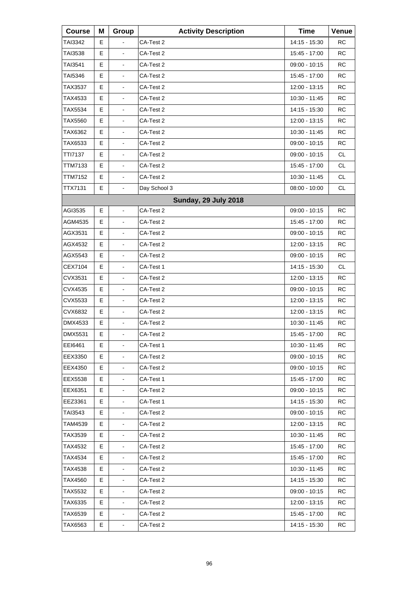| <b>Course</b>  | Μ | Group                        | <b>Activity Description</b> | <b>Time</b>     | Venue     |
|----------------|---|------------------------------|-----------------------------|-----------------|-----------|
| TAI3342        | Е |                              | CA-Test 2                   | 14:15 - 15:30   | <b>RC</b> |
| <b>TAI3538</b> | E | $\blacksquare$               | CA-Test 2                   | 15:45 - 17:00   | <b>RC</b> |
| TAI3541        | E | L,                           | CA-Test 2                   | 09:00 - 10:15   | <b>RC</b> |
| <b>TAI5346</b> | Е | $\blacksquare$               | CA-Test 2                   | 15:45 - 17:00   | <b>RC</b> |
| TAX3537        | E | $\blacksquare$               | CA-Test 2                   | 12:00 - 13:15   | <b>RC</b> |
| TAX4533        | E | L,                           | CA-Test 2                   | 10:30 - 11:45   | <b>RC</b> |
| TAX5534        | Е | $\blacksquare$               | CA-Test 2                   | 14:15 - 15:30   | <b>RC</b> |
| TAX5560        | E | $\blacksquare$               | CA-Test 2                   | 12:00 - 13:15   | <b>RC</b> |
| TAX6362        | E | L,                           | CA-Test 2                   | 10:30 - 11:45   | <b>RC</b> |
| TAX6533        | Е | $\blacksquare$               | CA-Test 2                   | 09:00 - 10:15   | <b>RC</b> |
| TTI7137        | E | $\blacksquare$               | CA-Test 2                   | 09:00 - 10:15   | <b>CL</b> |
| TTM7133        | Е | $\overline{\phantom{a}}$     | CA-Test 2                   | 15:45 - 17:00   | <b>CL</b> |
| <b>TTM7152</b> | Е | $\blacksquare$               | CA-Test 2                   | 10:30 - 11:45   | <b>CL</b> |
| TTX7131        | E | $\blacksquare$               | Day School 3                | $08:00 - 10:00$ | <b>CL</b> |
|                |   |                              | <b>Sunday, 29 July 2018</b> |                 |           |
| AGI3535        | Е | $\blacksquare$               | CA-Test 2                   | 09:00 - 10:15   | <b>RC</b> |
| AGM4535        | E | $\blacksquare$               | CA-Test 2                   | 15:45 - 17:00   | <b>RC</b> |
| AGX3531        | Е | $\overline{\phantom{a}}$     | CA-Test 2                   | 09:00 - 10:15   | <b>RC</b> |
| AGX4532        | E | $\blacksquare$               | CA-Test 2                   | 12:00 - 13:15   | <b>RC</b> |
| AGX5543        | E | $\blacksquare$               | CA-Test 2                   | 09:00 - 10:15   | <b>RC</b> |
| CEX7104        | Е | $\overline{\phantom{a}}$     | CA-Test 1                   | 14:15 - 15:30   | CL.       |
| CVX3531        | E | $\blacksquare$               | CA-Test 2                   | 12:00 - 13:15   | <b>RC</b> |
| CVX4535        | E | $\blacksquare$               | CA-Test 2                   | 09:00 - 10:15   | <b>RC</b> |
| CVX5533        | Е | $\overline{\phantom{a}}$     | CA-Test 2                   | 12:00 - 13:15   | <b>RC</b> |
| CVX6832        | E | $\blacksquare$               | CA-Test 2                   | 12:00 - 13:15   | <b>RC</b> |
| DMX4533        | E | $\blacksquare$               | CA-Test 2                   | 10:30 - 11:45   | <b>RC</b> |
| DMX5531        | E | L,                           | CA-Test 2                   | 15:45 - 17:00   | <b>RC</b> |
| EEI6461        | Е | $\blacksquare$               | CA-Test 1                   | 10:30 - 11:45   | <b>RC</b> |
| EEX3350        | Е |                              | CA-Test 2                   | 09:00 - 10:15   | RC        |
| EEX4350        | Е | $\blacksquare$               | CA-Test 2                   | $09:00 - 10:15$ | RC        |
| EEX5538        | Е | $\qquad \qquad \blacksquare$ | CA-Test 1                   | 15:45 - 17:00   | <b>RC</b> |
| EEX6351        | Е |                              | CA-Test 2                   | 09:00 - 10:15   | RC        |
| EEZ3361        | Е | $\blacksquare$               | CA-Test 1                   | 14:15 - 15:30   | RC        |
| TAI3543        | Е | $\qquad \qquad \blacksquare$ | CA-Test 2                   | 09:00 - 10:15   | <b>RC</b> |
| TAM4539        | Е |                              | CA-Test 2                   | 12:00 - 13:15   | RC        |
| TAX3539        | Е | $\blacksquare$               | CA-Test 2                   | 10:30 - 11:45   | RC        |
| TAX4532        | Е | $\blacksquare$               | CA-Test 2                   | 15:45 - 17:00   | <b>RC</b> |
| TAX4534        | Е |                              | CA-Test 2                   | 15:45 - 17:00   | RC        |
| TAX4538        | Е | $\blacksquare$               | CA-Test 2                   | 10:30 - 11:45   | RC        |
| TAX4560        | Е | $\blacksquare$               | CA-Test 2                   | 14:15 - 15:30   | <b>RC</b> |
| TAX5532        | Е | $\blacksquare$               | CA-Test 2                   | $09:00 - 10:15$ | RC        |
| TAX6335        | Е | $\blacksquare$               | CA-Test 2                   | 12:00 - 13:15   | RC        |
| TAX6539        | Е | $\blacksquare$               | CA-Test 2                   | 15:45 - 17:00   | <b>RC</b> |
| TAX6563        | Е | $\blacksquare$               | CA-Test 2                   | 14:15 - 15:30   | <b>RC</b> |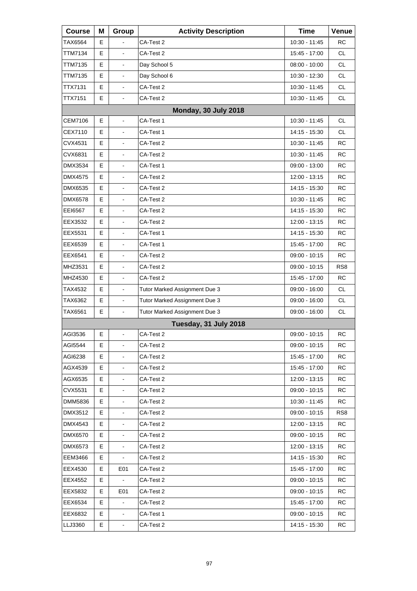| <b>Course</b>  | Μ  | Group                    | <b>Activity Description</b>   | <b>Time</b>     | Venue           |
|----------------|----|--------------------------|-------------------------------|-----------------|-----------------|
| TAX6564        | Е  |                          | CA-Test 2                     | 10:30 - 11:45   | <b>RC</b>       |
| TTM7134        | E  | $\blacksquare$           | CA-Test 2                     | 15:45 - 17:00   | <b>CL</b>       |
| <b>TTM7135</b> | E  | L,                       | Day School 5                  | $08:00 - 10:00$ | <b>CL</b>       |
| <b>TTM7135</b> | E  | $\frac{1}{2}$            | Day School 6                  | 10:30 - 12:30   | <b>CL</b>       |
| TTX7131        | E  | $\overline{\phantom{a}}$ | CA-Test 2                     | 10:30 - 11:45   | <b>CL</b>       |
| <b>TTX7151</b> | E. | L,                       | CA-Test 2                     | 10:30 - 11:45   | <b>CL</b>       |
|                |    |                          | Monday, 30 July 2018          |                 |                 |
| <b>CEM7106</b> | E  | $\blacksquare$           | CA-Test 1                     | 10:30 - 11:45   | <b>CL</b>       |
| CEX7110        | E  | $\frac{1}{2}$            | CA-Test 1                     | 14:15 - 15:30   | <b>CL</b>       |
| CVX4531        | E  | $\frac{1}{2}$            | CA-Test 2                     | 10:30 - 11:45   | <b>RC</b>       |
| CVX6831        | E  | $\blacksquare$           | CA-Test 2                     | 10:30 - 11:45   | <b>RC</b>       |
| DMX3534        | E  | ä,                       | CA-Test 1                     | 09:00 - 13:00   | <b>RC</b>       |
| <b>DMX4575</b> | E  | $\frac{1}{2}$            | CA-Test 2                     | 12:00 - 13:15   | <b>RC</b>       |
| DMX6535        | E  | $\blacksquare$           | CA-Test 2                     | 14:15 - 15:30   | <b>RC</b>       |
| <b>DMX6578</b> | E  | ä,                       | CA-Test 2                     | 10:30 - 11:45   | <b>RC</b>       |
| EEI6567        | E  | $\frac{1}{2}$            | CA-Test 2                     | 14:15 - 15:30   | <b>RC</b>       |
| EEX3532        | E  | $\blacksquare$           | CA-Test 2                     | 12:00 - 13:15   | <b>RC</b>       |
| EEX5531        | E. | ä,                       | CA-Test 1                     | 14:15 - 15:30   | <b>RC</b>       |
| EEX6539        | E  | $\frac{1}{2}$            | CA-Test 1                     | 15:45 - 17:00   | <b>RC</b>       |
| EEX6541        | E  | $\blacksquare$           | CA-Test 2                     | $09:00 - 10:15$ | <b>RC</b>       |
| MHZ3531        | E  | ä,                       | CA-Test 2                     | 09:00 - 10:15   | RS <sub>8</sub> |
| MHZ4530        | E  | $\frac{1}{2}$            | CA-Test 2                     | 15:45 - 17:00   | <b>RC</b>       |
| TAX4532        | E  | $\overline{\phantom{a}}$ | Tutor Marked Assignment Due 3 | 09:00 - 16:00   | <b>CL</b>       |
| TAX6362        | E  | L,                       | Tutor Marked Assignment Due 3 | 09:00 - 16:00   | <b>CL</b>       |
| TAX6561        | E  | $\overline{\phantom{a}}$ | Tutor Marked Assignment Due 3 | 09:00 - 16:00   | <b>CL</b>       |
|                |    |                          | Tuesday, 31 July 2018         |                 |                 |
| AGI3536        | E  | $\blacksquare$           | CA-Test 2                     | 09:00 - 10:15   | <b>RC</b>       |
| AGI5544        | Е  | $\blacksquare$           | CA-Test 2                     | $09:00 - 10:15$ | <b>RC</b>       |
| AGI6238        | Е  |                          | CA-Test 2                     | 15:45 - 17:00   | RC              |
| AGX4539        | Е  | $\blacksquare$           | CA-Test 2                     | 15:45 - 17:00   | RC              |
| AGX6535        | Е  | $\blacksquare$           | CA-Test 2                     | 12:00 - 13:15   | <b>RC</b>       |
| CVX5531        | Е  |                          | CA-Test 2                     | 09:00 - 10:15   | RC              |
| DMM5836        | Е  | $\blacksquare$           | CA-Test 2                     | 10:30 - 11:45   | RC              |
| DMX3512        | Е  | $\blacksquare$           | CA-Test 2                     | $09:00 - 10:15$ | RS <sub>8</sub> |
| DMX4543        | Е  |                          | CA-Test 2                     | 12:00 - 13:15   | RC              |
| DMX6570        | Е  | $\blacksquare$           | CA-Test 2                     | 09:00 - 10:15   | RC              |
| DMX6573        | Е  | $\overline{\phantom{a}}$ | CA-Test 2                     | 12:00 - 13:15   | RC              |
| EEM3466        | Е  |                          | CA-Test 2                     | 14:15 - 15:30   | RC              |
| EEX4530        | Е  | E <sub>01</sub>          | CA-Test 2                     | 15:45 - 17:00   | RC              |
| EEX4552        | Е  | $\blacksquare$           | CA-Test 2                     | 09:00 - 10:15   | RC              |
| EEX5832        | E. | E01                      | CA-Test 2                     | 09:00 - 10:15   | RC              |
| EEX6534        | E  |                          | CA-Test 2                     | 15:45 - 17:00   | RC              |
| EEX6832        | Е  | $\overline{\phantom{a}}$ | CA-Test 1                     | 09:00 - 10:15   | RC              |
| LLJ3360        | E  |                          | CA-Test 2                     | 14:15 - 15:30   | <b>RC</b>       |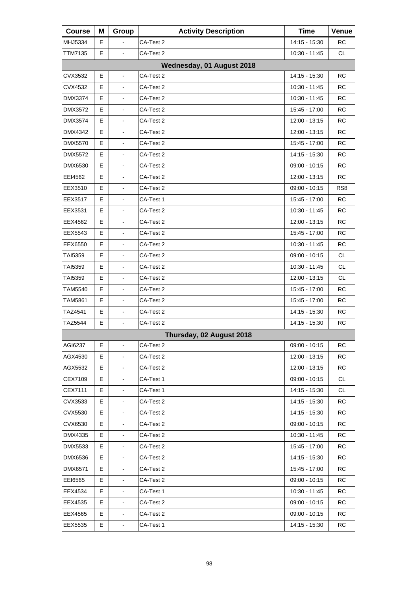| <b>Course</b>             | Μ | Group                        | <b>Activity Description</b> | <b>Time</b>     | Venue           |  |  |  |
|---------------------------|---|------------------------------|-----------------------------|-----------------|-----------------|--|--|--|
| MHJ5334                   | Е |                              | CA-Test 2                   | 14:15 - 15:30   | <b>RC</b>       |  |  |  |
| <b>TTM7135</b>            | E | $\blacksquare$               | CA-Test 2                   | 10:30 - 11:45   | <b>CL</b>       |  |  |  |
| Wednesday, 01 August 2018 |   |                              |                             |                 |                 |  |  |  |
| CVX3532                   | Е | $\blacksquare$               | CA-Test 2                   | 14:15 - 15:30   | RC              |  |  |  |
| CVX4532                   | E |                              | CA-Test 2                   | 10:30 - 11:45   | <b>RC</b>       |  |  |  |
| DMX3374                   | E | $\overline{\phantom{a}}$     | CA-Test 2                   | 10:30 - 11:45   | <b>RC</b>       |  |  |  |
| DMX3572                   | Е | $\blacksquare$               | CA-Test 2                   | 15:45 - 17:00   | <b>RC</b>       |  |  |  |
| <b>DMX3574</b>            | E | $\blacksquare$               | CA-Test 2                   | $12:00 - 13:15$ | <b>RC</b>       |  |  |  |
| DMX4342                   | E | L,                           | CA-Test 2                   | 12:00 - 13:15   | <b>RC</b>       |  |  |  |
| DMX5570                   | Е | $\blacksquare$               | CA-Test 2                   | 15:45 - 17:00   | <b>RC</b>       |  |  |  |
| DMX5572                   | E | $\blacksquare$               | CA-Test 2                   | 14:15 - 15:30   | <b>RC</b>       |  |  |  |
| DMX6530                   | E | $\overline{\phantom{a}}$     | CA-Test 2                   | 09:00 - 10:15   | <b>RC</b>       |  |  |  |
| EEI4562                   | Е | $\blacksquare$               | CA-Test 2                   | 12:00 - 13:15   | <b>RC</b>       |  |  |  |
| EEX3510                   | E | $\blacksquare$               | CA-Test 2                   | $09:00 - 10:15$ | RS <sub>8</sub> |  |  |  |
| EEX3517                   | Е | $\overline{\phantom{a}}$     | CA-Test 1                   | 15:45 - 17:00   | <b>RC</b>       |  |  |  |
| EEX3531                   | Е | $\blacksquare$               | CA-Test 2                   | 10:30 - 11:45   | <b>RC</b>       |  |  |  |
| EEX4562                   | E | $\blacksquare$               | CA-Test 2                   | $12:00 - 13:15$ | <b>RC</b>       |  |  |  |
| EEX5543                   | Е | $\overline{\phantom{a}}$     | CA-Test 2                   | 15:45 - 17:00   | <b>RC</b>       |  |  |  |
| EEX6550                   | Е | $\blacksquare$               | CA-Test 2                   | 10:30 - 11:45   | <b>RC</b>       |  |  |  |
| TAI5359                   | E | $\blacksquare$               | CA-Test 2                   | 09:00 - 10:15   | <b>CL</b>       |  |  |  |
| TAI5359                   | Е | $\overline{\phantom{a}}$     | CA-Test 2                   | 10:30 - 11:45   | <b>CL</b>       |  |  |  |
| <b>TAI5359</b>            | Е | $\blacksquare$               | CA-Test 2                   | 12:00 - 13:15   | <b>CL</b>       |  |  |  |
| TAM5540                   | E | $\blacksquare$               | CA-Test 2                   | 15:45 - 17:00   | <b>RC</b>       |  |  |  |
| TAM5861                   | Е | $\overline{\phantom{a}}$     | CA-Test 2                   | 15:45 - 17:00   | <b>RC</b>       |  |  |  |
| TAZ4541                   | E | $\blacksquare$               | CA-Test 2                   | 14:15 - 15:30   | <b>RC</b>       |  |  |  |
| TAZ5544                   | E | $\blacksquare$               | CA-Test 2                   | 14:15 - 15:30   | <b>RC</b>       |  |  |  |
|                           |   |                              | Thursday, 02 August 2018    |                 |                 |  |  |  |
| AGI6237                   | Е | $\blacksquare$               | CA-Test 2                   | 09:00 - 10:15   | RC              |  |  |  |
| AGX4530                   | Е |                              | CA-Test 2                   | 12:00 - 13:15   | RC              |  |  |  |
| AGX5532                   | Е | $\blacksquare$               | CA-Test 2                   | 12:00 - 13:15   | RC              |  |  |  |
| CEX7109                   | E | $\overline{\phantom{a}}$     | CA-Test 1                   | 09:00 - 10:15   | CL              |  |  |  |
| CEX7111                   | Е | $\blacksquare$               | CA-Test 1                   | 14:15 - 15:30   | CL              |  |  |  |
| CVX3533                   | Е | $\blacksquare$               | CA-Test 2                   | 14:15 - 15:30   | RC              |  |  |  |
| CVX5530                   | Е | $\qquad \qquad \blacksquare$ | CA-Test 2                   | 14:15 - 15:30   | RC.             |  |  |  |
| CVX6530                   | Е | $\blacksquare$               | CA-Test 2                   | 09:00 - 10:15   | RC              |  |  |  |
| DMX4335                   | Е | $\blacksquare$               | CA-Test 2                   | 10:30 - 11:45   | RC              |  |  |  |
| DMX5533                   | E | $\blacksquare$               | CA-Test 2                   | 15:45 - 17:00   | <b>RC</b>       |  |  |  |
| DMX6536                   | Е |                              | CA-Test 2                   | 14:15 - 15:30   | RC              |  |  |  |
| DMX6571                   | Е | $\blacksquare$               | CA-Test 2                   | 15:45 - 17:00   | RC              |  |  |  |
| EE16565                   | Е | $\blacksquare$               | CA-Test 2                   | $09:00 - 10:15$ | <b>RC</b>       |  |  |  |
| EEX4534                   | Е | $\blacksquare$               | CA-Test 1                   | 10:30 - 11:45   | RC              |  |  |  |
| EEX4535                   | Е | $\blacksquare$               | CA-Test 2                   | 09:00 - 10:15   | RC              |  |  |  |
| EEX4565                   | Е | $\blacksquare$               | CA-Test 2                   | $09:00 - 10:15$ | <b>RC</b>       |  |  |  |
| EEX5535                   | E | $\blacksquare$               | CA-Test 1                   | 14:15 - 15:30   | <b>RC</b>       |  |  |  |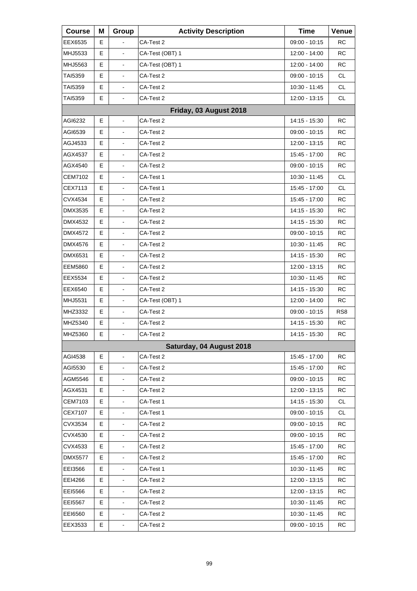| <b>Course</b>  | Μ | Group                    | <b>Activity Description</b> | <b>Time</b>   | Venue           |
|----------------|---|--------------------------|-----------------------------|---------------|-----------------|
| EEX6535        | Е |                          | CA-Test 2                   | 09:00 - 10:15 | <b>RC</b>       |
| MHJ5533        | E | $\blacksquare$           | CA-Test (OBT) 1             | 12:00 - 14:00 | <b>RC</b>       |
| MHJ5563        | E | $\overline{\phantom{a}}$ | CA-Test (OBT) 1             | 12:00 - 14:00 | <b>RC</b>       |
| <b>TAI5359</b> | Е | $\blacksquare$           | CA-Test 2                   | 09:00 - 10:15 | <b>CL</b>       |
| TAI5359        | E | $\blacksquare$           | CA-Test 2                   | 10:30 - 11:45 | <b>CL</b>       |
| <b>TAI5359</b> | E | $\overline{\phantom{a}}$ | CA-Test 2                   | 12:00 - 13:15 | <b>CL</b>       |
|                |   |                          | Friday, 03 August 2018      |               |                 |
| AGI6232        | E | ÷.                       | CA-Test 2                   | 14:15 - 15:30 | <b>RC</b>       |
| AGI6539        | E | $\overline{\phantom{a}}$ | CA-Test 2                   | 09:00 - 10:15 | <b>RC</b>       |
| AGJ4533        | Е | $\blacksquare$           | CA-Test 2                   | 12:00 - 13:15 | <b>RC</b>       |
| AGX4537        | E | $\blacksquare$           | CA-Test 2                   | 15:45 - 17:00 | <b>RC</b>       |
| AGX4540        | Е | $\overline{\phantom{a}}$ | CA-Test 2                   | 09:00 - 10:15 | <b>RC</b>       |
| <b>CEM7102</b> | Е | $\blacksquare$           | CA-Test 1                   | 10:30 - 11:45 | <b>CL</b>       |
| CEX7113        | E | $\blacksquare$           | CA-Test 1                   | 15:45 - 17:00 | <b>CL</b>       |
| CVX4534        | Е | $\overline{\phantom{a}}$ | CA-Test 2                   | 15:45 - 17:00 | <b>RC</b>       |
| <b>DMX3535</b> | Е | $\blacksquare$           | CA-Test 2                   | 14:15 - 15:30 | <b>RC</b>       |
| DMX4532        | E | $\blacksquare$           | CA-Test 2                   | 14:15 - 15:30 | <b>RC</b>       |
| DMX4572        | Е | $\overline{\phantom{a}}$ | CA-Test 2                   | 09:00 - 10:15 | <b>RC</b>       |
| DMX4576        | Е | $\blacksquare$           | CA-Test 2                   | 10:30 - 11:45 | <b>RC</b>       |
| DMX6531        | E | $\blacksquare$           | CA-Test 2                   | 14:15 - 15:30 | <b>RC</b>       |
| <b>EEM5860</b> | Е | $\overline{\phantom{a}}$ | CA-Test 2                   | 12:00 - 13:15 | <b>RC</b>       |
| EEX5534        | Е | $\blacksquare$           | CA-Test 2                   | 10:30 - 11:45 | <b>RC</b>       |
| EEX6540        | E | $\blacksquare$           | CA-Test 2                   | 14:15 - 15:30 | <b>RC</b>       |
| MHJ5531        | Е | $\overline{\phantom{a}}$ | CA-Test (OBT) 1             | 12:00 - 14:00 | <b>RC</b>       |
| MHZ3332        | Е | $\blacksquare$           | CA-Test 2                   | 09:00 - 10:15 | RS <sub>8</sub> |
| MHZ5340        | E | $\blacksquare$           | CA-Test 2                   | 14:15 - 15:30 | <b>RC</b>       |
| MHZ5360        | E | L,                       | CA-Test 2                   | 14:15 - 15:30 | <b>RC</b>       |
|                |   |                          | Saturday, 04 August 2018    |               |                 |
| AGI4538        | Е | $\blacksquare$           | CA-Test 2                   | 15:45 - 17:00 | <b>RC</b>       |
| AGI5530        | Е | $\blacksquare$           | CA-Test 2                   | 15:45 - 17:00 | <b>RC</b>       |
| AGM5546        | E | $\overline{\phantom{a}}$ | CA-Test 2                   | 09:00 - 10:15 | <b>RC</b>       |
| AGX4531        | Е | $\blacksquare$           | CA-Test 2                   | 12:00 - 13:15 | <b>RC</b>       |
| <b>CEM7103</b> | Е | $\blacksquare$           | CA-Test 1                   | 14:15 - 15:30 | <b>CL</b>       |
| CEX7107        | Е | $\overline{\phantom{a}}$ | CA-Test 1                   | 09:00 - 10:15 | CL              |
| CVX3534        | Е | $\blacksquare$           | CA-Test 2                   | 09:00 - 10:15 | <b>RC</b>       |
| CVX4530        | Е | $\blacksquare$           | CA-Test 2                   | 09:00 - 10:15 | <b>RC</b>       |
| CVX4533        | Е | $\blacksquare$           | CA-Test 2                   | 15:45 - 17:00 | <b>RC</b>       |
| <b>DMX5577</b> | Е | $\blacksquare$           | CA-Test 2                   | 15:45 - 17:00 | <b>RC</b>       |
| EEI3566        | Е | $\blacksquare$           | CA-Test 1                   | 10:30 - 11:45 | <b>RC</b>       |
| EEI4266        | Е | $\blacksquare$           | CA-Test 2                   | 12:00 - 13:15 | <b>RC</b>       |
| EEI5566        | Е | $\blacksquare$           | CA-Test 2                   | 12:00 - 13:15 | <b>RC</b>       |
| EEI5567        | Е | $\blacksquare$           | CA-Test 2                   | 10:30 - 11:45 | <b>RC</b>       |
| EE16560        | Е | $\blacksquare$           | CA-Test 2                   | 10:30 - 11:45 | <b>RC</b>       |
| EEX3533        | Е | $\blacksquare$           | CA-Test 2                   | 09:00 - 10:15 | <b>RC</b>       |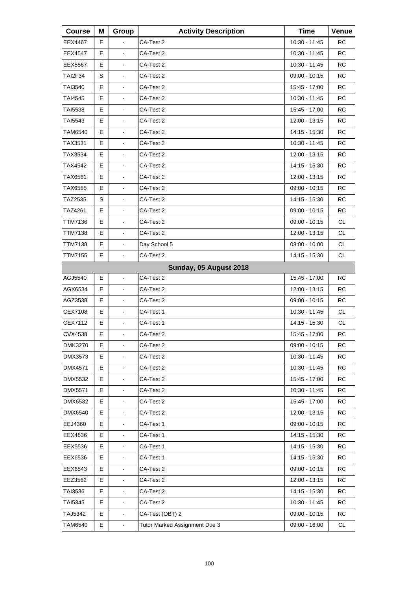| <b>Course</b>  | Μ | Group                    | <b>Activity Description</b>   | <b>Time</b>     | Venue     |
|----------------|---|--------------------------|-------------------------------|-----------------|-----------|
| <b>EEX4467</b> | Е |                          | CA-Test 2                     | 10:30 - 11:45   | RC        |
| EEX4547        | Е | $\blacksquare$           | CA-Test 2                     | 10:30 - 11:45   | RC        |
| EEX5567        | Е | L,                       | CA-Test 2                     | 10:30 - 11:45   | <b>RC</b> |
| <b>TAI2F34</b> | S | L,                       | CA-Test 2                     | $09:00 - 10:15$ | <b>RC</b> |
| TAI3540        | Е | $\overline{\phantom{a}}$ | CA-Test 2                     | 15:45 - 17:00   | <b>RC</b> |
| TAI4545        | Е | L,                       | CA-Test 2                     | 10:30 - 11:45   | <b>RC</b> |
| <b>TAI5538</b> | E | L,                       | CA-Test 2                     | 15:45 - 17:00   | <b>RC</b> |
| TAI5543        | Е | $\overline{\phantom{a}}$ | CA-Test 2                     | 12:00 - 13:15   | <b>RC</b> |
| TAM6540        | Е | L,                       | CA-Test 2                     | 14:15 - 15:30   | <b>RC</b> |
| TAX3531        | E | L,                       | CA-Test 2                     | 10:30 - 11:45   | <b>RC</b> |
| TAX3534        | Е | $\overline{\phantom{a}}$ | CA-Test 2                     | 12:00 - 13:15   | <b>RC</b> |
| TAX4542        | E | $\blacksquare$           | CA-Test 2                     | 14:15 - 15:30   | <b>RC</b> |
| TAX6561        | E | L,                       | CA-Test 2                     | 12:00 - 13:15   | <b>RC</b> |
| TAX6565        | Е | $\overline{\phantom{a}}$ | CA-Test 2                     | 09:00 - 10:15   | <b>RC</b> |
| TAZ2535        | S | $\blacksquare$           | CA-Test 2                     | 14:15 - 15:30   | <b>RC</b> |
| TAZ4261        | E | L,                       | CA-Test 2                     | 09:00 - 10:15   | <b>RC</b> |
| <b>TTM7136</b> | E |                          | CA-Test 2                     | 09:00 - 10:15   | <b>CL</b> |
| <b>TTM7138</b> | E | $\blacksquare$           | CA-Test 2                     | 12:00 - 13:15   | CL.       |
| TTM7138        | E | $\blacksquare$           | Day School 5                  | $08:00 - 10:00$ | <b>CL</b> |
| <b>TTM7155</b> | Е | $\blacksquare$           | CA-Test 2                     | 14:15 - 15:30   | CL        |
|                |   |                          | Sunday, 05 August 2018        |                 |           |
| AGJ5540        | E | $\overline{\phantom{a}}$ | CA-Test 2                     | 15:45 - 17:00   | <b>RC</b> |
| AGX6534        | Е |                          | CA-Test 2                     | 12:00 - 13:15   | RC        |
| AGZ3538        | Е | ä,                       | CA-Test 2                     | 09:00 - 10:15   | <b>RC</b> |
| <b>CEX7108</b> | E | $\overline{\phantom{a}}$ | CA-Test 1                     | 10:30 - 11:45   | <b>CL</b> |
| CEX7112        | E |                          | CA-Test 1                     | 14:15 - 15:30   | CL        |
| <b>CVX4538</b> | E | $\blacksquare$           | CA-Test 2                     | 15:45 - 17:00   | <b>RC</b> |
| <b>DMK3270</b> | Е | $\overline{\phantom{a}}$ | CA-Test 2                     | $09:00 - 10:15$ | <b>RC</b> |
| DMX3573        | Е |                          | CA-Test 2                     | 10:30 - 11:45   | <b>RC</b> |
| DMX4571        | E | $\blacksquare$           | CA-Test 2                     | 10:30 - 11:45   | RC        |
| <b>DMX5532</b> | Е | $\blacksquare$           | CA-Test 2                     | 15:45 - 17:00   | <b>RC</b> |
| DMX5571        | Е |                          | CA-Test 2                     | 10:30 - 11:45   | <b>RC</b> |
| DMX6532        | E | $\blacksquare$           | CA-Test 2                     | 15:45 - 17:00   | RC        |
| DMX6540        | Е | $\blacksquare$           | CA-Test 2                     | 12:00 - 13:15   | <b>RC</b> |
| EEJ4360        | Е |                          | CA-Test 1                     | 09:00 - 10:15   | <b>RC</b> |
| EEX4536        | E | $\overline{\phantom{a}}$ | CA-Test 1                     | 14:15 - 15:30   | RC        |
| EEX5536        | Е | $\blacksquare$           | CA-Test 1                     | 14:15 - 15:30   | <b>RC</b> |
| EEX6536        | Е |                          | CA-Test 1                     | 14:15 - 15:30   | <b>RC</b> |
| EEX6543        | E | $\overline{\phantom{a}}$ | CA-Test 2                     | 09:00 - 10:15   | RC        |
| EEZ3562        | Е | $\overline{\phantom{a}}$ | CA-Test 2                     | 12:00 - 13:15   | <b>RC</b> |
| TAI3536        | Е |                          | CA-Test 2                     | 14:15 - 15:30   | <b>RC</b> |
| TAI5345        | E | $\overline{\phantom{a}}$ | CA-Test 2                     | 10:30 - 11:45   | RC        |
| TAJ5342        | Е | $\blacksquare$           | CA-Test (OBT) 2               | 09:00 - 10:15   | <b>RC</b> |
| <b>TAM6540</b> | E | $\blacksquare$           | Tutor Marked Assignment Due 3 | 09:00 - 16:00   | CL        |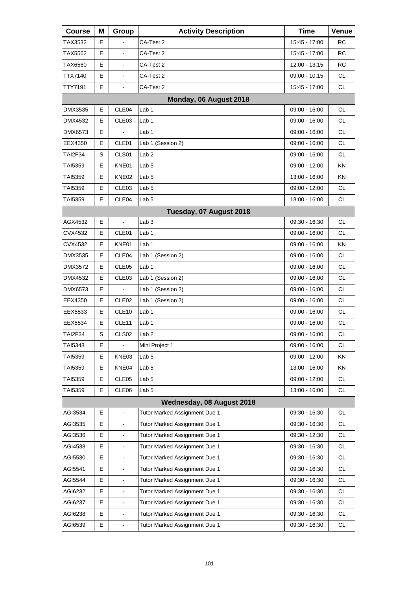| <b>Course</b> | Μ | Group                    | <b>Activity Description</b>   | <b>Time</b>     | Venue     |
|---------------|---|--------------------------|-------------------------------|-----------------|-----------|
| TAX3532       | Е |                          | CA-Test 2                     | 15:45 - 17:00   | RC        |
| TAX5562       | E |                          | CA-Test 2                     | 15:45 - 17:00   | RC        |
| TAX6560       | E | $\frac{1}{2}$            | CA-Test 2                     | 12:00 - 13:15   | <b>RC</b> |
| TTX7140       | Е | $\blacksquare$           | CA-Test 2                     | 09:00 - 10:15   | <b>CL</b> |
| TTY7191       | E | $\blacksquare$           | CA-Test 2                     | 15:45 - 17:00   | <b>CL</b> |
|               |   |                          | Monday, 06 August 2018        |                 |           |
| DMX3535       | Е | CLE04                    | Lab 1                         | 09:00 - 16:00   | CL        |
| DMX4532       | E | CLE03                    | Lab <sub>1</sub>              | 09:00 - 16:00   | <b>CL</b> |
| DMX6573       | E | $\overline{a}$           | Lab 1                         | 09:00 - 16:00   | <b>CL</b> |
| EEX4350       | Е | CLE <sub>01</sub>        | Lab 1 (Session 2)             | 09:00 - 16:00   | <b>CL</b> |
| TAI2F34       | S | CLS01                    | Lab <sub>2</sub>              | 09:00 - 16:00   | <b>CL</b> |
| TAI5359       | Е | KNE01                    | Lab <sub>5</sub>              | $09:00 - 12:00$ | KN        |
| TAI5359       | Е | KNE02                    | Lab <sub>5</sub>              | 13:00 - 16:00   | ΚN        |
| TAI5359       | Е | CLE03                    | Lab <sub>5</sub>              | 09:00 - 12:00   | <b>CL</b> |
| TAI5359       | Е | CLE04                    | Lab <sub>5</sub>              | 13:00 - 16:00   | <b>CL</b> |
|               |   |                          | Tuesday, 07 August 2018       |                 |           |
| AGX4532       | E | $\overline{a}$           | Lab <sub>3</sub>              | 09:30 - 16:30   | <b>CL</b> |
| CVX4532       | Е | CLE <sub>01</sub>        | Lab 1                         | 09:00 - 16:00   | <b>CL</b> |
| CVX4532       | Е | KNE01                    | Lab 1                         | 09:00 - 16:00   | ΚN        |
| DMX3535       | E | CLE04                    | Lab 1 (Session 2)             | 09:00 - 16:00   | <b>CL</b> |
| DMX3572       | Е | CLE <sub>05</sub>        | Lab 1                         | 09:00 - 16:00   | <b>CL</b> |
| DMX4532       | Е | CLE <sub>03</sub>        | Lab 1 (Session 2)             | 09:00 - 16:00   | <b>CL</b> |
| DMX6573       | E |                          | Lab 1 (Session 2)             | 09:00 - 16:00   | <b>CL</b> |
| EEX4350       | Е | CLE <sub>02</sub>        | Lab 1 (Session 2)             | $09:00 - 16:00$ | <b>CL</b> |
| EEX5533       | Е | CLE10                    | Lab 1                         | 09:00 - 16:00   | <b>CL</b> |
| EEX5534       | Е | CLE11                    | Lab 1                         | 09:00 - 16:00   | <b>CL</b> |
| TAI2F34       | S | CLS <sub>02</sub>        | Lab <sub>2</sub>              | $09:00 - 16:00$ | <b>CL</b> |
| TAI5348       | Е | $\blacksquare$           | Mini Project 1                | 09:00 - 16:00   | СL        |
| TAI5359       | Е | KNE03                    | Lab <sub>5</sub>              | 09:00 - 12:00   | KN        |
| TAI5359       | Е | KNE04                    | Lab <sub>5</sub>              | 13:00 - 16:00   | <b>KN</b> |
| TAI5359       | Е | CLE05                    | Lab <sub>5</sub>              | 09:00 - 12:00   | CL        |
| TAI5359       | E | CLE06                    | Lab <sub>5</sub>              | 13:00 - 16:00   | CL        |
|               |   |                          | Wednesday, 08 August 2018     |                 |           |
| AGI3534       | Е | $\blacksquare$           | Tutor Marked Assignment Due 1 | 09:30 - 16:30   | <b>CL</b> |
| AGI3535       | E | $\blacksquare$           | Tutor Marked Assignment Due 1 | 09:30 - 16:30   | <b>CL</b> |
| AGI3536       | E | L,                       | Tutor Marked Assignment Due 1 | 09:30 - 12:30   | <b>CL</b> |
| AGI4538       | E | $\blacksquare$           | Tutor Marked Assignment Due 1 | 09:30 - 16:30   | CL        |
| AGI5530       | E | $\overline{\phantom{a}}$ | Tutor Marked Assignment Due 1 | 09:30 - 16:30   | CL        |
| AGI5541       | E | $\blacksquare$           | Tutor Marked Assignment Due 1 | 09:30 - 16:30   | <b>CL</b> |
| AGI5544       | Е | $\blacksquare$           | Tutor Marked Assignment Due 1 | 09:30 - 16:30   | CL        |
| AGI6232       | E | $\overline{\phantom{a}}$ | Tutor Marked Assignment Due 1 | 09:30 - 16:30   | CL        |
| AGI6237       | E | $\blacksquare$           | Tutor Marked Assignment Due 1 | 09:30 - 16:30   | CL        |
| AGI6238       | E | $\blacksquare$           | Tutor Marked Assignment Due 1 | 09:30 - 16:30   | CL        |
| AGI6539       | E | $\blacksquare$           | Tutor Marked Assignment Due 1 | 09:30 - 16:30   | CL        |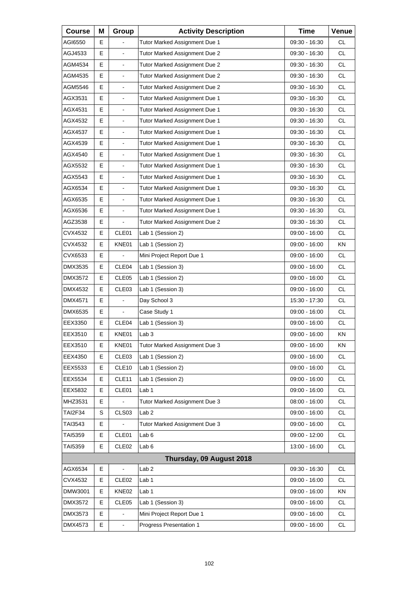| <b>Course</b>  | Μ | Group             | <b>Activity Description</b>   | <b>Time</b>     | Venue     |
|----------------|---|-------------------|-------------------------------|-----------------|-----------|
| AGI6550        | Е |                   | Tutor Marked Assignment Due 1 | 09:30 - 16:30   | <b>CL</b> |
| AGJ4533        | E |                   | Tutor Marked Assignment Due 2 | 09:30 - 16:30   | <b>CL</b> |
| AGM4534        | Е | $\blacksquare$    | Tutor Marked Assignment Due 2 | 09:30 - 16:30   | <b>CL</b> |
| AGM4535        | E | $\blacksquare$    | Tutor Marked Assignment Due 2 | $09:30 - 16:30$ | <b>CL</b> |
| AGM5546        | E |                   | Tutor Marked Assignment Due 2 | 09:30 - 16:30   | <b>CL</b> |
| AGX3531        | Е | $\blacksquare$    | Tutor Marked Assignment Due 1 | 09:30 - 16:30   | <b>CL</b> |
| AGX4531        | E | $\blacksquare$    | Tutor Marked Assignment Due 1 | 09:30 - 16:30   | <b>CL</b> |
| AGX4532        | E |                   | Tutor Marked Assignment Due 1 | 09:30 - 16:30   | <b>CL</b> |
| AGX4537        | Е | $\blacksquare$    | Tutor Marked Assignment Due 1 | 09:30 - 16:30   | <b>CL</b> |
| AGX4539        | E | $\blacksquare$    | Tutor Marked Assignment Due 1 | 09:30 - 16:30   | <b>CL</b> |
| AGX4540        | E |                   | Tutor Marked Assignment Due 1 | 09:30 - 16:30   | <b>CL</b> |
| AGX5532        | E | $\blacksquare$    | Tutor Marked Assignment Due 1 | 09:30 - 16:30   | <b>CL</b> |
| AGX5543        | E | $\blacksquare$    | Tutor Marked Assignment Due 1 | 09:30 - 16:30   | <b>CL</b> |
| AGX6534        | E |                   | Tutor Marked Assignment Due 1 | 09:30 - 16:30   | <b>CL</b> |
| AGX6535        | E | $\blacksquare$    | Tutor Marked Assignment Due 1 | 09:30 - 16:30   | <b>CL</b> |
| AGX6536        | E | $\blacksquare$    | Tutor Marked Assignment Due 1 | 09:30 - 16:30   | <b>CL</b> |
| AGZ3538        | E |                   | Tutor Marked Assignment Due 2 | 09:30 - 16:30   | <b>CL</b> |
| CVX4532        | Е | CLE01             | Lab 1 (Session 2)             | 09:00 - 16:00   | <b>CL</b> |
| CVX4532        | Е | KNE01             | Lab 1 (Session 2)             | 09:00 - 16:00   | KN        |
| CVX6533        | E |                   | Mini Project Report Due 1     | 09:00 - 16:00   | <b>CL</b> |
| DMX3535        | Е | CLE04             | Lab 1 (Session 3)             | 09:00 - 16:00   | <b>CL</b> |
| DMX3572        | Е | CLE <sub>05</sub> | Lab 1 (Session 2)             | 09:00 - 16:00   | <b>CL</b> |
| DMX4532        | E | CLE <sub>03</sub> | Lab 1 (Session 3)             | 09:00 - 16:00   | <b>CL</b> |
| DMX4571        | Е | $\blacksquare$    | Day School 3                  | 15:30 - 17:30   | <b>CL</b> |
| DMX6535        | Е | $\blacksquare$    | Case Study 1                  | 09:00 - 16:00   | <b>CL</b> |
| EEX3350        | E | CLE04             | Lab 1 (Session 3)             | 09:00 - 16:00   | <b>CL</b> |
| EEX3510        | E | KNE01             | Lab <sub>3</sub>              | 09:00 - 16:00   | KN        |
| EEX3510        | Е | KNE01             | Tutor Marked Assignment Due 3 | 09:00 - 16:00   | ΚN        |
| EEX4350        | Е | CLE03             | Lab 1 (Session 2)             | 09:00 - 16:00   | CL        |
| EEX5533        | Е | CLE10             | Lab 1 (Session 2)             | 09:00 - 16:00   | CL        |
| EEX5534        | Е | CLE <sub>11</sub> | Lab 1 (Session 2)             | 09:00 - 16:00   | CL.       |
| EEX5832        | Е | CLE01             | Lab <sub>1</sub>              | 09:00 - 16:00   | CL        |
| MHZ3531        | Ε |                   | Tutor Marked Assignment Due 3 | $08:00 - 16:00$ | CL        |
| <b>TAI2F34</b> | S | CLS03             | Lab <sub>2</sub>              | 09:00 - 16:00   | CL.       |
| TAI3543        | Е |                   | Tutor Marked Assignment Due 3 | 09:00 - 16:00   | CL        |
| TAI5359        | Е | CLE01             | Lab <sub>6</sub>              | 09:00 - 12:00   | CL        |
| TAI5359        | Е | CLE <sub>02</sub> | Lab <sub>6</sub>              | 13:00 - 16:00   | CL.       |
|                |   |                   | Thursday, 09 August 2018      |                 |           |
| AGX6534        | Е | $\Box$            | Lab <sub>2</sub>              | 09:30 - 16:30   | CL        |
| CVX4532        | Е | CLE <sub>02</sub> | Lab <sub>1</sub>              | 09:00 - 16:00   | CL.       |
| DMW3001        | Е | KNE02             | Lab <sub>1</sub>              | 09:00 - 16:00   | KN        |
| DMX3572        | Е | CLE05             | Lab 1 (Session 3)             | 09:00 - 16:00   | CL        |
| DMX3573        | Е |                   | Mini Project Report Due 1     | 09:00 - 16:00   | CL.       |
| DMX4573        | Е |                   | Progress Presentation 1       | 09:00 - 16:00   | CL        |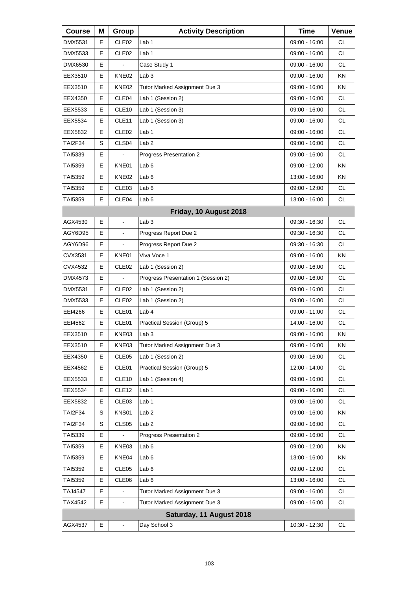| <b>Course</b>  | Μ | Group             | <b>Activity Description</b>         | <b>Time</b>     | Venue     |
|----------------|---|-------------------|-------------------------------------|-----------------|-----------|
| DMX5531        | Е | CLE <sub>02</sub> | Lab 1                               | 09:00 - 16:00   | <b>CL</b> |
| DMX5533        | E | CLE <sub>02</sub> | Lab <sub>1</sub>                    | 09:00 - 16:00   | <b>CL</b> |
| DMX6530        | E |                   | Case Study 1                        | 09:00 - 16:00   | <b>CL</b> |
| EEX3510        | Е | KNE02             | Lab <sub>3</sub>                    | $09:00 - 16:00$ | ΚN        |
| EEX3510        | E | KNE02             | Tutor Marked Assignment Due 3       | 09:00 - 16:00   | KN        |
| EEX4350        | E | CLE04             | Lab 1 (Session 2)                   | 09:00 - 16:00   | <b>CL</b> |
| EEX5533        | Е | CLE <sub>10</sub> | Lab 1 (Session 3)                   | 09:00 - 16:00   | <b>CL</b> |
| EEX5534        | E | CLE11             | Lab 1 (Session 3)                   | 09:00 - 16:00   | <b>CL</b> |
| EEX5832        | E | CLE <sub>02</sub> | Lab 1                               | 09:00 - 16:00   | <b>CL</b> |
| TAI2F34        | S | CLS <sub>04</sub> | Lab <sub>2</sub>                    | 09:00 - 16:00   | <b>CL</b> |
| TAI5339        | E |                   | Progress Presentation 2             | 09:00 - 16:00   | <b>CL</b> |
| TAI5359        | Е | KNE01             | Lab 6                               | $09:00 - 12:00$ | KN        |
| TAI5359        | Е | KNE02             | Lab <sub>6</sub>                    | 13:00 - 16:00   | ΚN        |
| TAI5359        | Е | CLE03             | Lab <sub>6</sub>                    | 09:00 - 12:00   | <b>CL</b> |
| TAI5359        | Е | CLE04             | Lab <sub>6</sub>                    | 13:00 - 16:00   | <b>CL</b> |
|                |   |                   | Friday, 10 August 2018              |                 |           |
| AGX4530        | E | $\blacksquare$    | Lab <sub>3</sub>                    | 09:30 - 16:30   | <b>CL</b> |
| AGY6D95        | Е | $\frac{1}{2}$     | Progress Report Due 2               | 09:30 - 16:30   | <b>CL</b> |
| AGY6D96        | Е | $\blacksquare$    | Progress Report Due 2               | 09:30 - 16:30   | <b>CL</b> |
| CVX3531        | E | KNE01             | Viva Voce 1                         | 09:00 - 16:00   | KN        |
| CVX4532        | Е | CLE <sub>02</sub> | Lab 1 (Session 2)                   | 09:00 - 16:00   | <b>CL</b> |
| DMX4573        | Е | ä,                | Progress Presentation 1 (Session 2) | 09:00 - 16:00   | <b>CL</b> |
| <b>DMX5531</b> | E | CLE <sub>02</sub> | Lab 1 (Session 2)                   | 09:00 - 16:00   | <b>CL</b> |
| DMX5533        | Е | CLE <sub>02</sub> | Lab 1 (Session 2)                   | 09:00 - 16:00   | <b>CL</b> |
| EEI4266        | Е | CLE01             | Lab <sub>4</sub>                    | 09:00 - 11:00   | <b>CL</b> |
| EEI4562        | Е | CLE01             | Practical Session (Group) 5         | 14:00 - 16:00   | <b>CL</b> |
| EEX3510        | Е | KNE03             | Lab 3                               | 09:00 - 16:00   | KN        |
| EEX3510        | Е | KNE03             | Tutor Marked Assignment Due 3       | 09:00 - 16:00   | KN        |
| EEX4350        | Е | CLE05             | Lab 1 (Session 2)                   | $09:00 - 16:00$ | CL        |
| EEX4562        | Е | CLE01             | Practical Session (Group) 5         | 12:00 - 14:00   | <b>CL</b> |
| EEX5533        | Е | CLE <sub>10</sub> | Lab 1 (Session 4)                   | 09:00 - 16:00   | CL        |
| EEX5534        | Е | CLE <sub>12</sub> | Lab <sub>1</sub>                    | 09:00 - 16:00   | CL        |
| EEX5832        | Е | CLE <sub>03</sub> | Lab 1                               | 09:00 - 16:00   | <b>CL</b> |
| <b>TAI2F34</b> | S | KNS01             | Lab <sub>2</sub>                    | $09:00 - 16:00$ | KN        |
| <b>TAI2F34</b> | S | CLS <sub>05</sub> | Lab <sub>2</sub>                    | $09:00 - 16:00$ | CL        |
| TAI5339        | Е |                   | Progress Presentation 2             | 09:00 - 16:00   | <b>CL</b> |
| TAI5359        | Е | KNE03             | Lab <sub>6</sub>                    | 09:00 - 12:00   | KN        |
| TAI5359        | Е | KNE04             | Lab <sub>6</sub>                    | 13:00 - 16:00   | KN        |
| TAI5359        | Е | CLE <sub>05</sub> | Lab <sub>6</sub>                    | 09:00 - 12:00   | <b>CL</b> |
| TAI5359        | Е | CLE06             | Lab <sub>6</sub>                    | 13:00 - 16:00   | CL        |
| <b>TAJ4547</b> | E |                   | Tutor Marked Assignment Due 3       | 09:00 - 16:00   | CL        |
| TAX4542        | Е | $\blacksquare$    | Tutor Marked Assignment Due 3       | 09:00 - 16:00   | <b>CL</b> |
|                |   |                   | Saturday, 11 August 2018            |                 |           |
| AGX4537        | Е | $\blacksquare$    | Day School 3                        | 10:30 - 12:30   | CL        |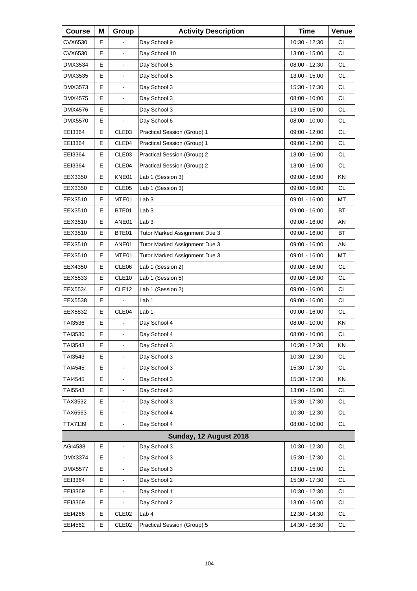| <b>Course</b>  | Μ | Group                    | <b>Activity Description</b>   | <b>Time</b>     | Venue     |
|----------------|---|--------------------------|-------------------------------|-----------------|-----------|
| CVX6530        | Е |                          | Day School 9                  | 10:30 - 12:30   | <b>CL</b> |
| CVX6530        | E | $\blacksquare$           | Day School 10                 | 13:00 - 15:00   | <b>CL</b> |
| DMX3534        | E | $\frac{1}{2}$            | Day School 5                  | 08:00 - 12:30   | <b>CL</b> |
| DMX3535        | Е | $\blacksquare$           | Day School 5                  | 13:00 - 15:00   | <b>CL</b> |
| DMX3573        | E | $\blacksquare$           | Day School 3                  | 15:30 - 17:30   | <b>CL</b> |
| DMX4575        | E | $\frac{1}{2}$            | Day School 3                  | $08:00 - 10:00$ | <b>CL</b> |
| <b>DMX4576</b> | Е | $\blacksquare$           | Day School 3                  | 13:00 - 15:00   | <b>CL</b> |
| DMX5570        | E |                          | Day School 6                  | 08:00 - 10:00   | <b>CL</b> |
| EEI3364        | E | CLE <sub>03</sub>        | Practical Session (Group) 1   | 09:00 - 12:00   | <b>CL</b> |
| EEI3364        | Е | CLE04                    | Practical Session (Group) 1   | 09:00 - 12:00   | <b>CL</b> |
| EEI3364        | E | CLE03                    | Practical Session (Group) 2   | 13:00 - 16:00   | <b>CL</b> |
| EEI3364        | Е | CLE04                    | Practical Session (Group) 2   | 13:00 - 16:00   | <b>CL</b> |
| EEX3350        | Е | KNE01                    | Lab 1 (Session 3)             | 09:00 - 16:00   | ΚN        |
| EEX3350        | E | CLE05                    | Lab 1 (Session 3)             | 09:00 - 16:00   | <b>CL</b> |
| EEX3510        | Е | MTE01                    | Lab <sub>3</sub>              | 09:01 - 16:00   | MT        |
| EEX3510        | Е | BTE01                    | Lab <sub>3</sub>              | 09:00 - 16:00   | <b>BT</b> |
| EEX3510        | E | ANE01                    | Lab <sub>3</sub>              | $09:00 - 16:00$ | AN        |
| EEX3510        | Е | BTE01                    | Tutor Marked Assignment Due 3 | 09:00 - 16:00   | <b>BT</b> |
| EEX3510        | Е | ANE01                    | Tutor Marked Assignment Due 3 | 09:00 - 16:00   | AN        |
| EEX3510        | E | MTE01                    | Tutor Marked Assignment Due 3 | 09:01 - 16:00   | MT        |
| EEX4350        | Е | CLE06                    | Lab 1 (Session 2)             | 09:00 - 16:00   | <b>CL</b> |
| EEX5533        | Е | CLE10                    | Lab 1 (Session 5)             | 09:00 - 16:00   | <b>CL</b> |
| EEX5534        | E | CLE <sub>12</sub>        | Lab 1 (Session 2)             | 09:00 - 16:00   | <b>CL</b> |
| EEX5538        | Е |                          | Lab 1                         | 09:00 - 16:00   | <b>CL</b> |
| EEX5832        | E | CLE04                    | Lab 1                         | 09:00 - 16:00   | <b>CL</b> |
| TAI3536        | E |                          | Day School 4                  | $08:00 - 10:00$ | KN        |
| TAI3536        | Е | L,                       | Day School 4                  | $08:00 - 10:00$ | <b>CL</b> |
| TAI3543        | Е | $\blacksquare$           | Day School 3                  | 10:30 - 12:30   | KN        |
| TAI3543        | E |                          | Day School 3                  | 10:30 - 12:30   | CL        |
| TAI4545        | E | $\blacksquare$           | Day School 3                  | 15:30 - 17:30   | <b>CL</b> |
| TAI4545        | E | $\blacksquare$           | Day School 3                  | 15:30 - 17:30   | KN        |
| TAI5543        | Е |                          | Day School 3                  | 13:00 - 15:00   | CL        |
| TAX3532        | E | $\blacksquare$           | Day School 3                  | 15:30 - 17:30   | <b>CL</b> |
| TAX6563        | E | $\frac{1}{2}$            | Day School 4                  | 10:30 - 12:30   | CL        |
| TTX7139        | E | $\overline{\phantom{a}}$ | Day School 4                  | $08:00 - 10:00$ | CL        |
|                |   |                          | Sunday, 12 August 2018        |                 |           |
| AGI4538        | Е | $\blacksquare$           | Day School 3                  | 10:30 - 12:30   | CL        |
| DMX3374        | Е |                          | Day School 3                  | 15:30 - 17:30   | CL        |
| <b>DMX5577</b> | E | $\blacksquare$           | Day School 3                  | 13:00 - 15:00   | CL        |
| EEI3364        | Е |                          | Day School 2                  | 15:30 - 17:30   | CL        |
| EEI3369        | Е |                          | Day School 1                  | 10:30 - 12:30   | CL        |
| EEI3369        | E | L,                       | Day School 2                  | 13:00 - 16:00   | CL        |
| EEI4266        | Е | CLE <sub>02</sub>        | Lab 4                         | 12:30 - 14:30   | CL        |
| EEI4562        | Е | CLE <sub>02</sub>        | Practical Session (Group) 5   | 14:30 - 16:30   | CL        |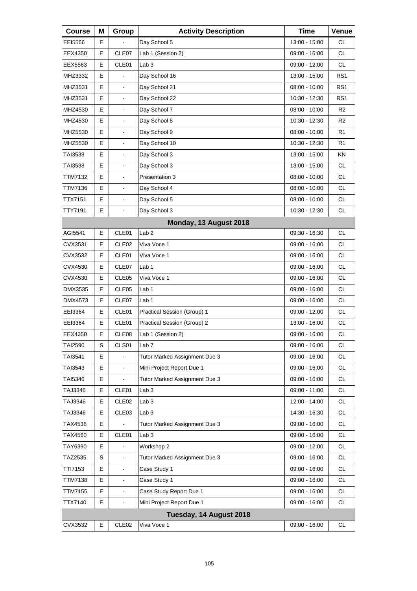| <b>Course</b>  | Μ  | Group                    | <b>Activity Description</b>   | <b>Time</b>     | Venue           |
|----------------|----|--------------------------|-------------------------------|-----------------|-----------------|
| EEI5566        | E. |                          | Day School 5                  | 13:00 - 15:00   | <b>CL</b>       |
| EEX4350        | E  | CLE07                    | Lab 1 (Session 2)             | 09:00 - 16:00   | <b>CL</b>       |
| EEX5563        | E  | CLE01                    | Lab <sub>3</sub>              | 09:00 - 12:00   | <b>CL</b>       |
| MHZ3332        | Е  |                          | Day School 16                 | 13:00 - 15:00   | RS <sub>1</sub> |
| MHZ3531        | E  | $\blacksquare$           | Day School 21                 | 08:00 - 10:00   | RS <sub>1</sub> |
| MHZ3531        | E  | $\overline{\phantom{a}}$ | Day School 22                 | $10:30 - 12:30$ | RS <sub>1</sub> |
| MHZ4530        | Е  | $\blacksquare$           | Day School 7                  | $08:00 - 10:00$ | R <sub>2</sub>  |
| MHZ4530        | E  | $\blacksquare$           | Day School 8                  | 10:30 - 12:30   | R <sub>2</sub>  |
| MHZ5530        | E  | $\overline{\phantom{a}}$ | Day School 9                  | $08:00 - 10:00$ | R <sub>1</sub>  |
| MHZ5530        | Е  | $\blacksquare$           | Day School 10                 | 10:30 - 12:30   | R1              |
| TAI3538        | E  | $\overline{a}$           | Day School 3                  | 13:00 - 15:00   | KN              |
| TAI3538        | Е  | $\overline{\phantom{a}}$ | Day School 3                  | 13:00 - 15:00   | CL.             |
| TTM7132        | Е  | $\blacksquare$           | Presentation 3                | $08:00 - 10:00$ | <b>CL</b>       |
| TTM7136        | E  | $\overline{a}$           | Day School 4                  | 08:00 - 10:00   | <b>CL</b>       |
| TTX7151        | E  | $\overline{\phantom{a}}$ | Day School 5                  | $08:00 - 10:00$ | <b>CL</b>       |
| TTY7191        | E  | $\blacksquare$           | Day School 3                  | 10:30 - 12:30   | <b>CL</b>       |
|                |    |                          | Monday, 13 August 2018        |                 |                 |
| AGI5541        | E  | CLE <sub>01</sub>        | Lab <sub>2</sub>              | 09:30 - 16:30   | CL.             |
| CVX3531        | Е  | CLE <sub>02</sub>        | Viva Voce 1                   | 09:00 - 16:00   | <b>CL</b>       |
| CVX3532        | E  | CLE01                    | Viva Voce 1                   | 09:00 - 16:00   | <b>CL</b>       |
| CVX4530        | Е  | CLE07                    | Lab 1                         | 09:00 - 16:00   | <b>CL</b>       |
| CVX4530        | Е  | CLE05                    | Viva Voce 1                   | 09:00 - 16:00   | <b>CL</b>       |
| DMX3535        | E  | CLE05                    | Lab <sub>1</sub>              | 09:00 - 16:00   | <b>CL</b>       |
| DMX4573        | Е  | CLE07                    | Lab 1                         | 09:00 - 16:00   | <b>CL</b>       |
| EEI3364        | Е  | CLE01                    | Practical Session (Group) 1   | 09:00 - 12:00   | <b>CL</b>       |
| EEI3364        | E  | CLE01                    | Practical Session (Group) 2   | 13:00 - 16:00   | <b>CL</b>       |
| EEX4350        | Е  | CLE08                    | Lab 1 (Session 2)             | $09:00 - 16:00$ | <b>CL</b>       |
| TAI2590        | S  | CLS01                    | Lab <sub>7</sub>              | 09:00 - 16:00   | CL              |
| TAI3541        | E  |                          | Tutor Marked Assignment Due 3 | 09:00 - 16:00   | CL              |
| TAI3543        | E  | ä,                       | Mini Project Report Due 1     | 09:00 - 16:00   | <b>CL</b>       |
| TAI5346        | Е  | $\blacksquare$           | Tutor Marked Assignment Due 3 | 09:00 - 16:00   | CL              |
| TAJ3346        | Е  | CLE01                    | Lab <sub>3</sub>              | 09:00 - 11:00   | CL              |
| TAJ3346        | E  | CLE <sub>02</sub>        | Lab <sub>3</sub>              | 12:00 - 14:00   | <b>CL</b>       |
| TAJ3346        | Е  | CLE03                    | Lab <sub>3</sub>              | 14:30 - 16:30   | CL              |
| TAX4538        | E  |                          | Tutor Marked Assignment Due 3 | 09:00 - 16:00   | CL              |
| TAX4560        | E  | CLE01                    | Lab <sub>3</sub>              | 09:00 - 16:00   | <b>CL</b>       |
| TAY6390        | E  |                          | Workshop 2                    | 09:00 - 12:00   | CL              |
| TAZ2535        | S  | $\blacksquare$           | Tutor Marked Assignment Due 3 | 09:00 - 16:00   | CL              |
| TTI7153        | E  | $\frac{1}{2}$            | Case Study 1                  | 09:00 - 16:00   | <b>CL</b>       |
| <b>TTM7138</b> | E  | $\blacksquare$           | Case Study 1                  | 09:00 - 16:00   | CL              |
| <b>TTM7155</b> | E  | $\overline{\phantom{a}}$ | Case Study Report Due 1       | 09:00 - 16:00   | CL              |
| TTX7140        | E  | $\blacksquare$           | Mini Project Report Due 1     | 09:00 - 16:00   | <b>CL</b>       |
|                |    |                          | Tuesday, 14 August 2018       |                 |                 |
| CVX3532        | E  | CLE <sub>02</sub>        | Viva Voce 1                   | 09:00 - 16:00   | <b>CL</b>       |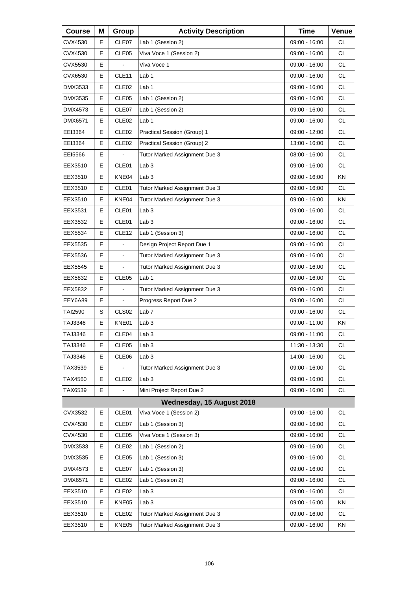| <b>Course</b> | Μ | Group             | <b>Activity Description</b>   | <b>Time</b>   | Venue     |
|---------------|---|-------------------|-------------------------------|---------------|-----------|
| CVX4530       | Е | CLE07             | Lab 1 (Session 2)             | 09:00 - 16:00 | СL        |
| CVX4530       | E | CLE05             | Viva Voce 1 (Session 2)       | 09:00 - 16:00 | <b>CL</b> |
| CVX5530       | E |                   | Viva Voce 1                   | 09:00 - 16:00 | <b>CL</b> |
| CVX6530       | Е | CLE <sub>11</sub> | Lab 1                         | 09:00 - 16:00 | <b>CL</b> |
| DMX3533       | E | CLE <sub>02</sub> | Lab <sub>1</sub>              | 09:00 - 16:00 | <b>CL</b> |
| DMX3535       | E | CLE05             | Lab 1 (Session 2)             | 09:00 - 16:00 | <b>CL</b> |
| DMX4573       | Е | CLE07             | Lab 1 (Session 2)             | 09:00 - 16:00 | <b>CL</b> |
| DMX6571       | E | CLE <sub>02</sub> | Lab <sub>1</sub>              | 09:00 - 16:00 | <b>CL</b> |
| EEI3364       | E | CLE <sub>02</sub> | Practical Session (Group) 1   | 09:00 - 12:00 | <b>CL</b> |
| EEI3364       | Е | CLE <sub>02</sub> | Practical Session (Group) 2   | 13:00 - 16:00 | <b>CL</b> |
| EEI5566       | E |                   | Tutor Marked Assignment Due 3 | 08:00 - 16:00 | <b>CL</b> |
| EEX3510       | Е | CLE01             | Lab <sub>3</sub>              | 09:00 - 16:00 | <b>CL</b> |
| EEX3510       | Е | KNE04             | Lab <sub>3</sub>              | 09:00 - 16:00 | KN.       |
| EEX3510       | E | CLE01             | Tutor Marked Assignment Due 3 | 09:00 - 16:00 | <b>CL</b> |
| EEX3510       | Е | KNE04             | Tutor Marked Assignment Due 3 | 09:00 - 16:00 | <b>KN</b> |
| EEX3531       | Е | CLE01             | Lab <sub>3</sub>              | 09:00 - 16:00 | <b>CL</b> |
| EEX3532       | E | CLE01             | Lab <sub>3</sub>              | 09:00 - 16:00 | <b>CL</b> |
| EEX5534       | Е | CLE <sub>12</sub> | Lab 1 (Session 3)             | 09:00 - 16:00 | <b>CL</b> |
| EEX5535       | Е |                   | Design Project Report Due 1   | 09:00 - 16:00 | <b>CL</b> |
| EEX5536       | E | $\blacksquare$    | Tutor Marked Assignment Due 3 | 09:00 - 16:00 | <b>CL</b> |
| EEX5545       | Е |                   | Tutor Marked Assignment Due 3 | 09:00 - 16:00 | <b>CL</b> |
| EEX5832       | E | CLE <sub>05</sub> | Lab <sub>1</sub>              | 09:00 - 16:00 | <b>CL</b> |
| EEX5832       | E |                   | Tutor Marked Assignment Due 3 | 09:00 - 16:00 | <b>CL</b> |
| EEY6A89       | Е | ä,                | Progress Report Due 2         | 09:00 - 16:00 | <b>CL</b> |
| TAI2590       | S | CLS <sub>02</sub> | Lab <sub>7</sub>              | 09:00 - 16:00 | <b>CL</b> |
| TAJ3346       | E | KNE01             | Lab <sub>3</sub>              | 09:00 - 11:00 | ΚN        |
| TAJ3346       | Е | CLE04             | Lab <sub>3</sub>              | 09:00 - 11:00 | <b>CL</b> |
| TAJ3346       | Е | CLE05             | Lab <sub>3</sub>              | 11:30 - 13:30 | <b>CL</b> |
| TAJ3346       | Е | CLE06             | Lab <sub>3</sub>              | 14:00 - 16:00 | <b>CL</b> |
| TAX3539       | E |                   | Tutor Marked Assignment Due 3 | 09:00 - 16:00 | <b>CL</b> |
| TAX4560       | Е | CLE <sub>02</sub> | Lab <sub>3</sub>              | 09:00 - 16:00 | CL        |
| TAX6539       | E |                   | Mini Project Report Due 2     | 09:00 - 16:00 | <b>CL</b> |
|               |   |                   | Wednesday, 15 August 2018     |               |           |
| CVX3532       | Е | CLE01             | Viva Voce 1 (Session 2)       | 09:00 - 16:00 | CL        |
| CVX4530       | Е | CLE07             | Lab 1 (Session 3)             | 09:00 - 16:00 | <b>CL</b> |
| CVX4530       | Е | CLE <sub>05</sub> | Viva Voce 1 (Session 3)       | 09:00 - 16:00 | <b>CL</b> |
| DMX3533       | Е | CLE <sub>02</sub> | Lab 1 (Session 2)             | 09:00 - 16:00 | CL        |
| DMX3535       | Е | CLE05             | Lab 1 (Session 3)             | 09:00 - 16:00 | <b>CL</b> |
| DMX4573       | Е | CLE07             | Lab 1 (Session 3)             | 09:00 - 16:00 | <b>CL</b> |
| DMX6571       | Е | CLE <sub>02</sub> | Lab 1 (Session 2)             | 09:00 - 16:00 | CL        |
| EEX3510       | Е | CLE <sub>02</sub> | Lab <sub>3</sub>              | 09:00 - 16:00 | <b>CL</b> |
| EEX3510       | Е | KNE05             | Lab <sub>3</sub>              | 09:00 - 16:00 | KN        |
| EEX3510       | Е | CLE <sub>02</sub> | Tutor Marked Assignment Due 3 | 09:00 - 16:00 | CL        |
| EEX3510       | E | KNE05             | Tutor Marked Assignment Due 3 | 09:00 - 16:00 | KN        |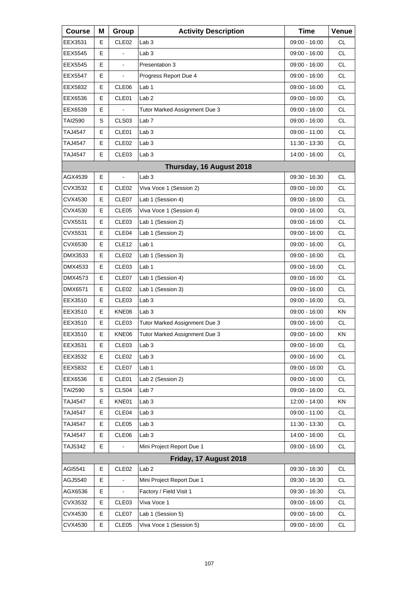| <b>Course</b>  | Μ  | Group             | <b>Activity Description</b>   | <b>Time</b>     | Venue     |
|----------------|----|-------------------|-------------------------------|-----------------|-----------|
| EEX3531        | E. | CLE <sub>02</sub> | Lab <sub>3</sub>              | 09:00 - 16:00   | <b>CL</b> |
| EEX5545        | E  |                   | Lab <sub>3</sub>              | 09:00 - 16:00   | <b>CL</b> |
| EEX5545        | E  | ä,                | Presentation 3                | 09:00 - 16:00   | <b>CL</b> |
| <b>EEX5547</b> | Е  | $\blacksquare$    | Progress Report Due 4         | 09:00 - 16:00   | <b>CL</b> |
| EEX5832        | E  | CLE06             | Lab <sub>1</sub>              | 09:00 - 16:00   | <b>CL</b> |
| EEX6536        | E  | CLE01             | Lab <sub>2</sub>              | 09:00 - 16:00   | <b>CL</b> |
| EEX6539        | Е  |                   | Tutor Marked Assignment Due 3 | 09:00 - 16:00   | <b>CL</b> |
| TAI2590        | S  | CLS <sub>03</sub> | Lab <sub>7</sub>              | 09:00 - 16:00   | <b>CL</b> |
| TAJ4547        | E  | CLE01             | Lab <sub>3</sub>              | 09:00 - 11:00   | <b>CL</b> |
| TAJ4547        | Е  | CLE <sub>02</sub> | Lab <sub>3</sub>              | 11:30 - 13:30   | <b>CL</b> |
| <b>TAJ4547</b> | E  | CLE03             | Lab <sub>3</sub>              | 14:00 - 16:00   | <b>CL</b> |
|                |    |                   | Thursday, 16 August 2018      |                 |           |
| AGX4539        | Е  | $\blacksquare$    | Lab <sub>3</sub>              | 09:30 - 16:30   | <b>CL</b> |
| CVX3532        | E  | CLE <sub>02</sub> | Viva Voce 1 (Session 2)       | 09:00 - 16:00   | <b>CL</b> |
| CVX4530        | Е  | CLE07             | Lab 1 (Session 4)             | $09:00 - 16:00$ | <b>CL</b> |
| CVX4530        | Е  | CLE <sub>05</sub> | Viva Voce 1 (Session 4)       | $09:00 - 16:00$ | <b>CL</b> |
| CVX5531        | E  | CLE03             | Lab 1 (Session 2)             | 09:00 - 16:00   | <b>CL</b> |
| CVX5531        | Е  | CLE04             | Lab 1 (Session 2)             | 09:00 - 16:00   | <b>CL</b> |
| CVX6530        | Е  | CLE <sub>12</sub> | Lab 1                         | 09:00 - 16:00   | <b>CL</b> |
| DMX3533        | E  | CLE <sub>02</sub> | Lab 1 (Session 3)             | 09:00 - 16:00   | <b>CL</b> |
| DMX4533        | Е  | CLE <sub>03</sub> | Lab <sub>1</sub>              | 09:00 - 16:00   | <b>CL</b> |
| DMX4573        | Е  | CLE07             | Lab 1 (Session 4)             | 09:00 - 16:00   | <b>CL</b> |
| DMX6571        | E  | CLE <sub>02</sub> | Lab 1 (Session 3)             | 09:00 - 16:00   | <b>CL</b> |
| EEX3510        | Е  | CLE <sub>03</sub> | Lab <sub>3</sub>              | $09:00 - 16:00$ | <b>CL</b> |
| EEX3510        | Е  | KNE06             | Lab <sub>3</sub>              | 09:00 - 16:00   | ΚN        |
| EEX3510        | E  | CLE <sub>03</sub> | Tutor Marked Assignment Due 3 | 09:00 - 16:00   | <b>CL</b> |
| EEX3510        | Е  | KNE06             | Tutor Marked Assignment Due 3 | 09:00 - 16:00   | KN        |
| EEX3531        | Е  | CLE03             | Lab <sub>3</sub>              | 09:00 - 16:00   | CL        |
| EEX3532        | Е  | CLE <sub>02</sub> | Lab <sub>3</sub>              | 09:00 - 16:00   | CL        |
| EEX5832        | Е  | CLE07             | Lab 1                         | 09:00 - 16:00   | CL        |
| EEX6536        | Е  | CLE01             | Lab 2 (Session 2)             | 09:00 - 16:00   | CL        |
| TAI2590        | S  | CLS04             | Lab <sub>7</sub>              | 09:00 - 16:00   | CL        |
| <b>TAJ4547</b> | Е  | KNE01             | Lab <sub>3</sub>              | 12:00 - 14:00   | KN        |
| <b>TAJ4547</b> | Е  | CLE04             | Lab <sub>3</sub>              | 09:00 - 11:00   | CL        |
| <b>TAJ4547</b> | Е  | CLE05             | Lab <sub>3</sub>              | 11:30 - 13:30   | CL        |
| <b>TAJ4547</b> | Е  | CLE06             | Lab <sub>3</sub>              | 14:00 - 16:00   | CL        |
| TAJ5342        | Е  |                   | Mini Project Report Due 1     | 09:00 - 16:00   | CL        |
|                |    |                   | Friday, 17 August 2018        |                 |           |
| AGI5541        | Е  | CLE <sub>02</sub> | Lab <sub>2</sub>              | 09:30 - 16:30   | <b>CL</b> |
| AGJ5540        | Е  |                   | Mini Project Report Due 1     | 09:30 - 16:30   | CL        |
| AGX6536        | Е  |                   | Factory / Field Visit 1       | 09:30 - 16:30   | CL        |
| CVX3532        | Е  | CLE03             | Viva Voce 1                   | 09:00 - 16:00   | CL        |
| CVX4530        | Е  | CLE07             | Lab 1 (Session 5)             | 09:00 - 16:00   | CL        |
| CVX4530        | Е  | CLE05             | Viva Voce 1 (Session 5)       | 09:00 - 16:00   | CL        |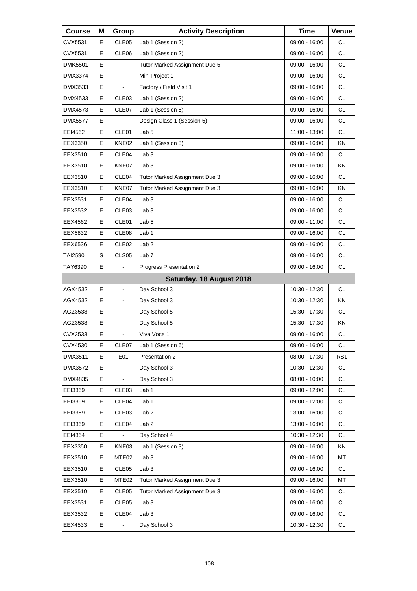| <b>Course</b>  | Μ | Group                    | <b>Activity Description</b>   | <b>Time</b>     | Venue           |
|----------------|---|--------------------------|-------------------------------|-----------------|-----------------|
| CVX5531        | Е | CLE <sub>05</sub>        | Lab 1 (Session 2)             | 09:00 - 16:00   | <b>CL</b>       |
| CVX5531        | E | CLE06                    | Lab 1 (Session 2)             | 09:00 - 16:00   | <b>CL</b>       |
| <b>DMK5501</b> | E |                          | Tutor Marked Assignment Due 5 | 09:00 - 16:00   | <b>CL</b>       |
| DMX3374        | Е | $\blacksquare$           | Mini Project 1                | 09:00 - 16:00   | <b>CL</b>       |
| DMX3533        | E |                          | Factory / Field Visit 1       | 09:00 - 16:00   | <b>CL</b>       |
| DMX4533        | E | CLE03                    | Lab 1 (Session 2)             | 09:00 - 16:00   | <b>CL</b>       |
| DMX4573        | Е | CLE07                    | Lab 1 (Session 5)             | 09:00 - 16:00   | <b>CL</b>       |
| <b>DMX5577</b> | E |                          | Design Class 1 (Session 5)    | 09:00 - 16:00   | <b>CL</b>       |
| EEI4562        | E | CLE01                    | Lab <sub>5</sub>              | 11:00 - 13:00   | <b>CL</b>       |
| EEX3350        | Е | KNE02                    | Lab 1 (Session 3)             | 09:00 - 16:00   | ΚN              |
| EEX3510        | E | CLE04                    | Lab <sub>3</sub>              | 09:00 - 16:00   | <b>CL</b>       |
| EEX3510        | Е | KNE07                    | Lab <sub>3</sub>              | $09:00 - 16:00$ | KN              |
| EEX3510        | Е | CLE04                    | Tutor Marked Assignment Due 3 | 09:00 - 16:00   | <b>CL</b>       |
| EEX3510        | E | KNE07                    | Tutor Marked Assignment Due 3 | 09:00 - 16:00   | KN              |
| EEX3531        | Е | CLE04                    | Lab 3                         | 09:00 - 16:00   | <b>CL</b>       |
| EEX3532        | Е | CLE <sub>03</sub>        | Lab <sub>3</sub>              | 09:00 - 16:00   | <b>CL</b>       |
| EEX4562        | E | CLE01                    | Lab <sub>5</sub>              | 09:00 - 11:00   | <b>CL</b>       |
| EEX5832        | Е | CLE08                    | Lab 1                         | 09:00 - 16:00   | <b>CL</b>       |
| EEX6536        | Е | CLE <sub>02</sub>        | Lab <sub>2</sub>              | 09:00 - 16:00   | <b>CL</b>       |
| TAI2590        | S | CLS05                    | Lab <sub>7</sub>              | 09:00 - 16:00   | <b>CL</b>       |
| TAY6390        | Е |                          | Progress Presentation 2       | 09:00 - 16:00   | <b>CL</b>       |
|                |   |                          | Saturday, 18 August 2018      |                 |                 |
| AGX4532        | E | $\overline{a}$           | Day School 3                  | 10:30 - 12:30   | <b>CL</b>       |
| AGX4532        | Е | $\overline{\phantom{a}}$ | Day School 3                  | $10:30 - 12:30$ | ΚN              |
| AGZ3538        | Е | $\blacksquare$           | Day School 5                  | 15:30 - 17:30   | <b>CL</b>       |
| AGZ3538        | E | $\blacksquare$           | Day School 5                  | 15:30 - 17:30   | KN              |
| CVX3533        | E | L,                       | Viva Voce 1                   | 09:00 - 16:00   | <b>CL</b>       |
| CVX4530        | Е | CLE07                    | Lab 1 (Session 6)             | 09:00 - 16:00   | CL              |
| DMX3511        | E | E01                      | Presentation 2                | 08:00 - 17:30   | RS <sub>1</sub> |
| DMX3572        | E |                          | Day School 3                  | 10:30 - 12:30   | <b>CL</b>       |
| DMX4835        | Е |                          | Day School 3                  | $08:00 - 10:00$ | CL              |
| EEI3369        | Е | CLE03                    | Lab 1                         | $09:00 - 12:00$ | CL              |
| EEI3369        | Е | CLE04                    | Lab <sub>1</sub>              | $09:00 - 12:00$ | CL              |
| EEI3369        | Е | CLE03                    | Lab <sub>2</sub>              | 13:00 - 16:00   | CL              |
| EEI3369        | Е | CLE04                    | Lab <sub>2</sub>              | 13:00 - 16:00   | CL              |
| EEI4364        | Е |                          | Day School 4                  | 10:30 - 12:30   | CL              |
| EEX3350        | Е | KNE03                    | Lab 1 (Session 3)             | 09:00 - 16:00   | KN              |
| EEX3510        | Е | MTE <sub>02</sub>        | Lab <sub>3</sub>              | 09:00 - 16:00   | MT              |
| EEX3510        | Е | CLE <sub>05</sub>        | Lab <sub>3</sub>              | 09:00 - 16:00   | <b>CL</b>       |
| EEX3510        | Е | MTE <sub>02</sub>        | Tutor Marked Assignment Due 3 | 09:00 - 16:00   | MT              |
| EEX3510        | Е | CLE05                    | Tutor Marked Assignment Due 3 | 09:00 - 16:00   | CL              |
| EEX3531        | Е | CLE <sub>05</sub>        | Lab <sub>3</sub>              | 09:00 - 16:00   | CL              |
| EEX3532        | Е | CLE04                    | Lab <sub>3</sub>              | 09:00 - 16:00   | CL              |
| EEX4533        | Е |                          | Day School 3                  | 10:30 - 12:30   | CL              |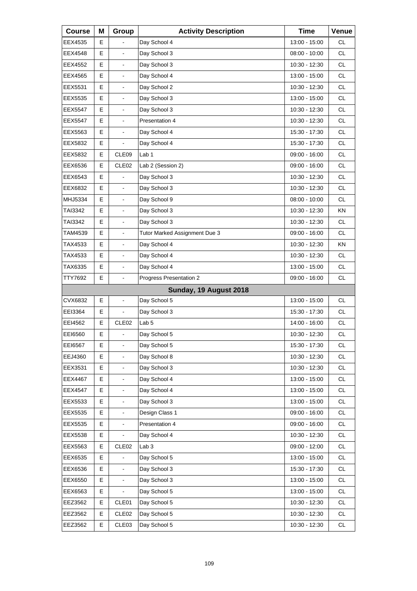| <b>Course</b>  | Μ | Group                    | <b>Activity Description</b>   | <b>Time</b>   | Venue     |
|----------------|---|--------------------------|-------------------------------|---------------|-----------|
| EEX4535        | Е |                          | Day School 4                  | 13:00 - 15:00 | CL.       |
| EEX4548        | E | $\overline{a}$           | Day School 3                  | 08:00 - 10:00 | <b>CL</b> |
| EEX4552        | E | ä,                       | Day School 3                  | 10:30 - 12:30 | <b>CL</b> |
| EEX4565        | Е | $\blacksquare$           | Day School 4                  | 13:00 - 15:00 | <b>CL</b> |
| EEX5531        | E | ÷.                       | Day School 2                  | 10:30 - 12:30 | <b>CL</b> |
| EEX5535        | E | ä,                       | Day School 3                  | 13:00 - 15:00 | <b>CL</b> |
| <b>EEX5547</b> | Е | $\blacksquare$           | Day School 3                  | 10:30 - 12:30 | <b>CL</b> |
| <b>EEX5547</b> | E | $\overline{a}$           | Presentation 4                | 10:30 - 12:30 | <b>CL</b> |
| EEX5563        | E | L,                       | Day School 4                  | 15:30 - 17:30 | <b>CL</b> |
| EEX5832        | Е | $\blacksquare$           | Day School 4                  | 15:30 - 17:30 | <b>CL</b> |
| EEX5832        | E | CLE09                    | Lab <sub>1</sub>              | 09:00 - 16:00 | <b>CL</b> |
| EEX6536        | Е | CLE <sub>02</sub>        | Lab 2 (Session 2)             | 09:00 - 16:00 | <b>CL</b> |
| EEX6543        | Е |                          | Day School 3                  | 10:30 - 12:30 | <b>CL</b> |
| EEX6832        | E | $\blacksquare$           | Day School 3                  | 10:30 - 12:30 | <b>CL</b> |
| MHJ5334        | Е | $\overline{\phantom{a}}$ | Day School 9                  | 08:00 - 10:00 | CL.       |
| TAI3342        | Е | $\blacksquare$           | Day School 3                  | 10:30 - 12:30 | <b>KN</b> |
| TAI3342        | E | $\overline{a}$           | Day School 3                  | 10:30 - 12:30 | <b>CL</b> |
| TAM4539        | Е | $\overline{\phantom{a}}$ | Tutor Marked Assignment Due 3 | 09:00 - 16:00 | CL.       |
| TAX4533        | Е | $\blacksquare$           | Day School 4                  | 10:30 - 12:30 | <b>KN</b> |
| TAX4533        | E | $\overline{a}$           | Day School 4                  | 10:30 - 12:30 | <b>CL</b> |
| TAX6335        | E | $\overline{\phantom{a}}$ | Day School 4                  | 13:00 - 15:00 | CL.       |
| TTY7692        | E | $\blacksquare$           | Progress Presentation 2       | 09:00 - 16:00 | <b>CL</b> |
|                |   |                          | Sunday, 19 August 2018        |               |           |
| CVX6832        | E | $\overline{\phantom{a}}$ | Day School 5                  | 13:00 - 15:00 | CL.       |
| EEI3364        | Е | $\overline{\phantom{a}}$ | Day School 3                  | 15:30 - 17:30 | <b>CL</b> |
| EEI4562        | E | CLE <sub>02</sub>        | Lab <sub>5</sub>              | 14:00 - 16:00 | <b>CL</b> |
| EE16560        | Е | ä,                       | Day School 5                  | 10:30 - 12:30 | <b>CL</b> |
| EEI6567        | Е | $\blacksquare$           | Day School 5                  | 15:30 - 17:30 | CL        |
| EEJ4360        | Е |                          | Day School 8                  | 10:30 - 12:30 | CL        |
| EEX3531        | E | $\blacksquare$           | Day School 3                  | 10:30 - 12:30 | CL        |
| EEX4467        | E | $\blacksquare$           | Day School 4                  | 13:00 - 15:00 | CL        |
| <b>EEX4547</b> | Е |                          | Day School 4                  | 13:00 - 15:00 | CL        |
| EEX5533        | E | $\blacksquare$           | Day School 3                  | 13:00 - 15:00 | CL        |
| EEX5535        | E | $\blacksquare$           | Design Class 1                | 09:00 - 16:00 | CL        |
| EEX5535        | Е |                          | Presentation 4                | 09:00 - 16:00 | CL        |
| EEX5538        | E | $\blacksquare$           | Day School 4                  | 10:30 - 12:30 | CL        |
| EEX5563        | Е | CLE <sub>02</sub>        | Lab <sub>3</sub>              | 09:00 - 12:00 | CL        |
| EEX6535        | Е |                          | Day School 5                  | 13:00 - 15:00 | CL        |
| EEX6536        | E | $\blacksquare$           | Day School 3                  | 15:30 - 17:30 | CL        |
| EEX6550        | Е |                          | Day School 3                  | 13:00 - 15:00 | CL        |
| EEX6563        | Е |                          | Day School 5                  | 13:00 - 15:00 | CL        |
| EEZ3562        | Е | CLE01                    | Day School 5                  | 10:30 - 12:30 | CL        |
| EEZ3562        | Е | CLE <sub>02</sub>        | Day School 5                  | 10:30 - 12:30 | CL        |
| EEZ3562        | Е | CLE03                    | Day School 5                  | 10:30 - 12:30 | CL        |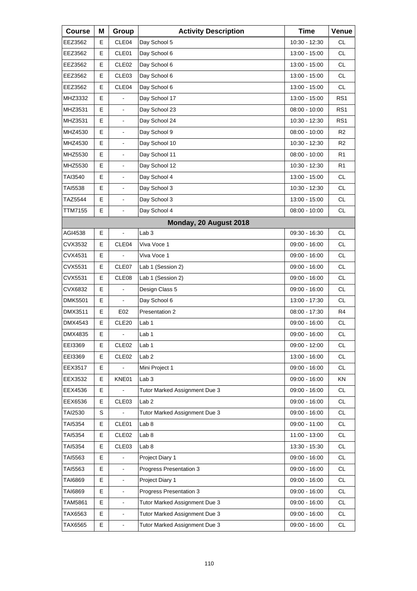| <b>Course</b>  | Μ | Group                    | <b>Activity Description</b>   | <b>Time</b>     | Venue           |
|----------------|---|--------------------------|-------------------------------|-----------------|-----------------|
| EEZ3562        | E | CLE04                    | Day School 5                  | 10:30 - 12:30   | <b>CL</b>       |
| EEZ3562        | E | CLE01                    | Day School 6                  | 13:00 - 15:00   | <b>CL</b>       |
| EEZ3562        | Е | CLE <sub>02</sub>        | Day School 6                  | 13:00 - 15:00   | CL.             |
| EEZ3562        | Е | CLE03                    | Day School 6                  | 13:00 - 15:00   | <b>CL</b>       |
| EEZ3562        | E | CLE04                    | Day School 6                  | 13:00 - 15:00   | <b>CL</b>       |
| MHZ3332        | E |                          | Day School 17                 | 13:00 - 15:00   | RS <sub>1</sub> |
| MHZ3531        | E | $\blacksquare$           | Day School 23                 | $08:00 - 10:00$ | RS <sub>1</sub> |
| MHZ3531        | E |                          | Day School 24                 | 10:30 - 12:30   | RS1             |
| MHZ4530        | E | ä,                       | Day School 9                  | 08:00 - 10:00   | R <sub>2</sub>  |
| MHZ4530        | E | $\blacksquare$           | Day School 10                 | 10:30 - 12:30   | R2              |
| MHZ5530        | E |                          | Day School 11                 | $08:00 - 10:00$ | R1              |
| MHZ5530        | Е |                          | Day School 12                 | 10:30 - 12:30   | R1              |
| TAI3540        | E | $\blacksquare$           | Day School 4                  | 13:00 - 15:00   | <b>CL</b>       |
| TAI5538        | E |                          | Day School 3                  | 10:30 - 12:30   | <b>CL</b>       |
| TAZ5544        | Е |                          | Day School 3                  | 13:00 - 15:00   | <b>CL</b>       |
| TTM7155        | E | $\blacksquare$           | Day School 4                  | 08:00 - 10:00   | <b>CL</b>       |
|                |   |                          | Monday, 20 August 2018        |                 |                 |
| AGI4538        | Е | $\overline{a}$           | Lab <sub>3</sub>              | 09:30 - 16:30   | <b>CL</b>       |
| CVX3532        | Е | CLE04                    | Viva Voce 1                   | 09:00 - 16:00   | <b>CL</b>       |
| CVX4531        | E |                          | Viva Voce 1                   | 09:00 - 16:00   | <b>CL</b>       |
| CVX5531        | Е | CLE07                    | Lab 1 (Session 2)             | 09:00 - 16:00   | <b>CL</b>       |
| CVX5531        | E | CLE08                    | Lab 1 (Session 2)             | 09:00 - 16:00   | <b>CL</b>       |
| CVX6832        | E |                          | Design Class 5                | 09:00 - 16:00   | <b>CL</b>       |
| <b>DMK5501</b> | Е |                          | Day School 6                  | 13:00 - 17:30   | <b>CL</b>       |
| DMX3511        | Е | E02                      | Presentation 2                | $08:00 - 17:30$ | R <sub>4</sub>  |
| DMX4543        | E | CLE20                    | Lab 1                         | 09:00 - 16:00   | <b>CL</b>       |
| DMX4835        | E |                          | Lab 1                         | 09:00 - 16:00   | <b>CL</b>       |
| EEI3369        | Е | CLE <sub>02</sub>        | Lab <sub>1</sub>              | 09:00 - 12:00   | CL              |
| EEI3369        | Е | CLE <sub>02</sub>        | Lab <sub>2</sub>              | 13:00 - 16:00   | CL              |
| EEX3517        | Е |                          | Mini Project 1                | 09:00 - 16:00   | CL              |
| EEX3532        | Е | KNE01                    | Lab <sub>3</sub>              | 09:00 - 16:00   | KN              |
| EEX4536        | Е |                          | Tutor Marked Assignment Due 3 | $09:00 - 16:00$ | CL              |
| EEX6536        | Е | CLE03                    | Lab <sub>2</sub>              | $09:00 - 16:00$ | CL              |
| TAI2530        | S |                          | Tutor Marked Assignment Due 3 | 09:00 - 16:00   | CL              |
| TAI5354        | Е | CLE01                    | Lab 8                         | 09:00 - 11:00   | CL              |
| TAI5354        | Е | CLE <sub>02</sub>        | Lab <sub>8</sub>              | 11:00 - 13:00   | CL              |
| TAI5354        | Е | CLE03                    | Lab <sub>8</sub>              | 13:30 - 15:30   | CL              |
| TAI5563        | Е |                          | Project Diary 1               | 09:00 - 16:00   | CL              |
| TAI5563        | E |                          | Progress Presentation 3       | 09:00 - 16:00   | CL              |
| TAI6869        | Е | $\blacksquare$           | Project Diary 1               | 09:00 - 16:00   | CL              |
| TAI6869        | Е | $\blacksquare$           | Progress Presentation 3       | 09:00 - 16:00   | CL              |
| TAM5861        | E | $\overline{\phantom{a}}$ | Tutor Marked Assignment Due 3 | 09:00 - 16:00   | CL              |
| TAX6563        | Е | ÷,                       | Tutor Marked Assignment Due 3 | 09:00 - 16:00   | CL              |
| TAX6565        | Е | $\blacksquare$           | Tutor Marked Assignment Due 3 | 09:00 - 16:00   | CL              |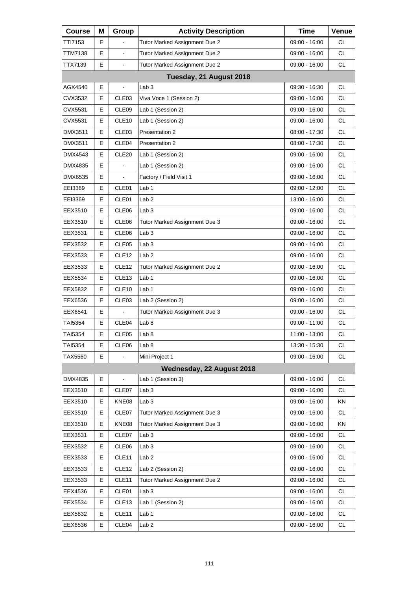| <b>Course</b> | Μ | Group                    | <b>Activity Description</b>   | <b>Time</b>   | Venue     |
|---------------|---|--------------------------|-------------------------------|---------------|-----------|
| TTI7153       | E |                          | Tutor Marked Assignment Due 2 | 09:00 - 16:00 | СL        |
| TTM7138       | E | $\frac{1}{2}$            | Tutor Marked Assignment Due 2 | 09:00 - 16:00 | <b>CL</b> |
| TTX7139       | E | $\blacksquare$           | Tutor Marked Assignment Due 2 | 09:00 - 16:00 | <b>CL</b> |
|               |   |                          | Tuesday, 21 August 2018       |               |           |
| AGX4540       | E |                          | Lab <sub>3</sub>              | 09:30 - 16:30 | <b>CL</b> |
| CVX3532       | E | CLE03                    | Viva Voce 1 (Session 2)       | 09:00 - 16:00 | <b>CL</b> |
| CVX5531       | Е | CLE09                    | Lab 1 (Session 2)             | 09:00 - 16:00 | <b>CL</b> |
| CVX5531       | E | CLE <sub>10</sub>        | Lab 1 (Session 2)             | 09:00 - 16:00 | <b>CL</b> |
| DMX3511       | E | CLE03                    | Presentation 2                | 08:00 - 17:30 | <b>CL</b> |
| DMX3511       | Е | CLE04                    | Presentation 2                | 08:00 - 17:30 | <b>CL</b> |
| DMX4543       | E | CLE <sub>20</sub>        | Lab 1 (Session 2)             | 09:00 - 16:00 | <b>CL</b> |
| DMX4835       | E | $\overline{a}$           | Lab 1 (Session 2)             | 09:00 - 16:00 | <b>CL</b> |
| DMX6535       | Е | $\overline{\phantom{a}}$ | Factory / Field Visit 1       | 09:00 - 16:00 | <b>CL</b> |
| EEI3369       | E | CLE01                    | Lab <sub>1</sub>              | 09:00 - 12:00 | <b>CL</b> |
| EEI3369       | E | CLE01                    | Lab <sub>2</sub>              | 13:00 - 16:00 | <b>CL</b> |
| EEX3510       | Е | CLE06                    | Lab <sub>3</sub>              | 09:00 - 16:00 | <b>CL</b> |
| EEX3510       | E | CLE06                    | Tutor Marked Assignment Due 3 | 09:00 - 16:00 | <b>CL</b> |
| EEX3531       | E | CLE06                    | Lab <sub>3</sub>              | 09:00 - 16:00 | <b>CL</b> |
| EEX3532       | Е | CLE <sub>05</sub>        | Lab <sub>3</sub>              | 09:00 - 16:00 | <b>CL</b> |
| EEX3533       | E | CLE <sub>12</sub>        | Lab <sub>2</sub>              | 09:00 - 16:00 | <b>CL</b> |
| EEX3533       | E | CLE <sub>12</sub>        | Tutor Marked Assignment Due 2 | 09:00 - 16:00 | <b>CL</b> |
| EEX5534       | Е | CLE13                    | Lab 1                         | 09:00 - 16:00 | <b>CL</b> |
| EEX5832       | E | CLE <sub>10</sub>        | Lab 1                         | 09:00 - 16:00 | <b>CL</b> |
| EEX6536       | E | CLE03                    | Lab 2 (Session 2)             | 09:00 - 16:00 | <b>CL</b> |
| EEX6541       | Е |                          | Tutor Marked Assignment Due 3 | 09:00 - 16:00 | CL        |
| TAI5354       | E | CLE04                    | Lab <sub>8</sub>              | 09:00 - 11:00 | <b>CL</b> |
| TAI5354       | E | CLE05                    | Lab <sub>8</sub>              | 11:00 - 13:00 | <b>CL</b> |
| TAI5354       | Е | CLE06                    | Lab <sub>8</sub>              | 13:30 - 15:30 | <b>CL</b> |
| TAX5560       | Е |                          | Mini Project 1                | 09:00 - 16:00 | CL        |
|               |   |                          | Wednesday, 22 August 2018     |               |           |
| DMX4835       | Е |                          | Lab 1 (Session 3)             | 09:00 - 16:00 | <b>CL</b> |
| EEX3510       | Е | CLE07                    | Lab <sub>3</sub>              | 09:00 - 16:00 | CL        |
| EEX3510       | Е | KNE08                    | Lab <sub>3</sub>              | 09:00 - 16:00 | KN        |
| EEX3510       | Е | CLE07                    | Tutor Marked Assignment Due 3 | 09:00 - 16:00 | <b>CL</b> |
| EEX3510       | Е | KNE08                    | Tutor Marked Assignment Due 3 | 09:00 - 16:00 | KN        |
| EEX3531       | Е | CLE07                    | Lab <sub>3</sub>              | 09:00 - 16:00 | CL        |
| EEX3532       | Е | CLE <sub>06</sub>        | Lab <sub>3</sub>              | 09:00 - 16:00 | CL        |
| EEX3533       | Е | CLE <sub>11</sub>        | Lab <sub>2</sub>              | 09:00 - 16:00 | CL        |
| EEX3533       | Е | CLE12                    | Lab 2 (Session 2)             | 09:00 - 16:00 | CL        |
| EEX3533       | Е | CLE <sub>11</sub>        | Tutor Marked Assignment Due 2 | 09:00 - 16:00 | CL        |
| EEX4536       | Е | CLE01                    | Lab <sub>3</sub>              | 09:00 - 16:00 | CL        |
| EEX5534       | Е | CLE13                    | Lab 1 (Session 2)             | 09:00 - 16:00 | CL        |
| EEX5832       | Е | CLE <sub>11</sub>        | Lab <sub>1</sub>              | 09:00 - 16:00 | <b>CL</b> |
| EEX6536       | Е | CLE04                    | Lab <sub>2</sub>              | 09:00 - 16:00 | CL        |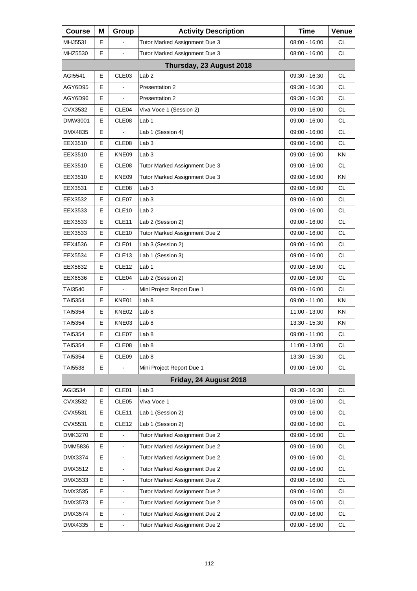| <b>Course</b>  | Μ | Group                    | <b>Activity Description</b>   | <b>Time</b>     | Venue     |
|----------------|---|--------------------------|-------------------------------|-----------------|-----------|
| MHJ5531        | Е |                          | Tutor Marked Assignment Due 3 | 08:00 - 16:00   | <b>CL</b> |
| MHZ5530        | E | $\overline{\phantom{a}}$ | Tutor Marked Assignment Due 3 | 08:00 - 16:00   | <b>CL</b> |
|                |   |                          | Thursday, 23 August 2018      |                 |           |
| AGI5541        | E | CLE <sub>03</sub>        | Lab <sub>2</sub>              | 09:30 - 16:30   | <b>CL</b> |
| AGY6D95        | Е |                          | Presentation 2                | 09:30 - 16:30   | <b>CL</b> |
| AGY6D96        | Е | $\blacksquare$           | Presentation 2                | 09:30 - 16:30   | <b>CL</b> |
| CVX3532        | E | CLE04                    | Viva Voce 1 (Session 2)       | 09:00 - 16:00   | <b>CL</b> |
| DMW3001        | E | CLE08                    | Lab <sub>1</sub>              | 09:00 - 16:00   | <b>CL</b> |
| DMX4835        | Е |                          | Lab 1 (Session 4)             | 09:00 - 16:00   | <b>CL</b> |
| EEX3510        | E | CLE08                    | Lab <sub>3</sub>              | 09:00 - 16:00   | <b>CL</b> |
| EEX3510        | Е | KNE09                    | Lab <sub>3</sub>              | 09:00 - 16:00   | KN        |
| EEX3510        | E | CLE08                    | Tutor Marked Assignment Due 3 | 09:00 - 16:00   | <b>CL</b> |
| EEX3510        | E | KNE09                    | Tutor Marked Assignment Due 3 | 09:00 - 16:00   | <b>KN</b> |
| EEX3531        | Е | CLE <sub>08</sub>        | Lab <sub>3</sub>              | 09:00 - 16:00   | CL.       |
| EEX3532        | E | CLE07                    | Lab <sub>3</sub>              | 09:00 - 16:00   | <b>CL</b> |
| EEX3533        | E | CLE <sub>10</sub>        | Lab <sub>2</sub>              | 09:00 - 16:00   | <b>CL</b> |
| EEX3533        | Е | CLE <sub>11</sub>        | Lab 2 (Session 2)             | 09:00 - 16:00   | CL.       |
| EEX3533        | E | CLE <sub>10</sub>        | Tutor Marked Assignment Due 2 | 09:00 - 16:00   | <b>CL</b> |
| EEX4536        | E | CLE01                    | Lab 3 (Session 2)             | 09:00 - 16:00   | <b>CL</b> |
| EEX5534        | Е | CLE <sub>13</sub>        | Lab 1 (Session 3)             | 09:00 - 16:00   | CL.       |
| EEX5832        | E | CLE <sub>12</sub>        | Lab <sub>1</sub>              | 09:00 - 16:00   | <b>CL</b> |
| EEX6536        | E | CLE04                    | Lab 2 (Session 2)             | 09:00 - 16:00   | <b>CL</b> |
| TAI3540        | Е |                          | Mini Project Report Due 1     | 09:00 - 16:00   | CL.       |
| <b>TAI5354</b> | Е | KNE01                    | Lab 8                         | 09:00 - 11:00   | <b>KN</b> |
| TAI5354        | E | KNE02                    | Lab 8                         | 11:00 - 13:00   | ΚN        |
| TAI5354        | Е | KNE03                    | Lab <sub>8</sub>              | 13:30 - 15:30   | ΚN        |
| <b>TAI5354</b> | E | CLE07                    | Lab <sub>8</sub>              | 09:00 - 11:00   | <b>CL</b> |
| TAI5354        | Е | CLE08                    | Lab 8                         | 11:00 - 13:00   | <b>CL</b> |
| TAI5354        | Е | CLE09                    | Lab 8                         | 13:30 - 15:30   | <b>CL</b> |
| <b>TAI5538</b> | E |                          | Mini Project Report Due 1     | 09:00 - 16:00   | <b>CL</b> |
|                |   |                          | Friday, 24 August 2018        |                 |           |
| AGI3534        | Е | CLE01                    | Lab <sub>3</sub>              | 09:30 - 16:30   | <b>CL</b> |
| CVX3532        | Е | CLE05                    | Viva Voce 1                   | 09:00 - 16:00   | CL        |
| CVX5531        | Е | CLE <sub>11</sub>        | Lab 1 (Session 2)             | 09:00 - 16:00   | <b>CL</b> |
| CVX5531        | Е | CLE <sub>12</sub>        | Lab 1 (Session 2)             | $09:00 - 16:00$ | CL        |
| <b>DMK3270</b> | E | ä,                       | Tutor Marked Assignment Due 2 | 09:00 - 16:00   | CL        |
| DMM5836        | E |                          | Tutor Marked Assignment Due 2 | 09:00 - 16:00   | CL        |
| DMX3374        | Е | $\blacksquare$           | Tutor Marked Assignment Due 2 | 09:00 - 16:00   | CL        |
| DMX3512        | E | $\blacksquare$           | Tutor Marked Assignment Due 2 | 09:00 - 16:00   | CL        |
| DMX3533        | E | $\blacksquare$           | Tutor Marked Assignment Due 2 | 09:00 - 16:00   | CL        |
| DMX3535        | Е | L,                       | Tutor Marked Assignment Due 2 | 09:00 - 16:00   | CL        |
| DMX3573        | E | $\blacksquare$           | Tutor Marked Assignment Due 2 | 09:00 - 16:00   | CL        |
| DMX3574        | E | $\blacksquare$           | Tutor Marked Assignment Due 2 | 09:00 - 16:00   | CL        |
| DMX4335        | E | $\blacksquare$           | Tutor Marked Assignment Due 2 | 09:00 - 16:00   | CL        |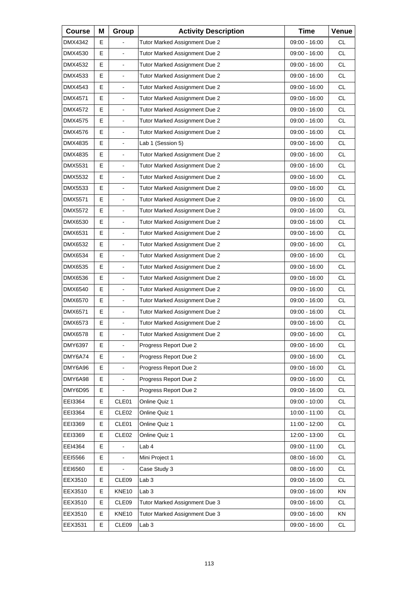| <b>Course</b>  | Μ | Group                    | <b>Activity Description</b>   | <b>Time</b>     | Venue     |
|----------------|---|--------------------------|-------------------------------|-----------------|-----------|
| DMX4342        | E |                          | Tutor Marked Assignment Due 2 | 09:00 - 16:00   | СL        |
| DMX4530        | E |                          | Tutor Marked Assignment Due 2 | 09:00 - 16:00   | <b>CL</b> |
| DMX4532        | E | $\blacksquare$           | Tutor Marked Assignment Due 2 | $09:00 - 16:00$ | <b>CL</b> |
| DMX4533        | E | $\blacksquare$           | Tutor Marked Assignment Due 2 | 09:00 - 16:00   | <b>CL</b> |
| DMX4543        | E |                          | Tutor Marked Assignment Due 2 | 09:00 - 16:00   | <b>CL</b> |
| DMX4571        | E | $\blacksquare$           | Tutor Marked Assignment Due 2 | $09:00 - 16:00$ | <b>CL</b> |
| DMX4572        | E | $\blacksquare$           | Tutor Marked Assignment Due 2 | 09:00 - 16:00   | <b>CL</b> |
| DMX4575        | E |                          | Tutor Marked Assignment Due 2 | 09:00 - 16:00   | <b>CL</b> |
| DMX4576        | E | $\blacksquare$           | Tutor Marked Assignment Due 2 | 09:00 - 16:00   | <b>CL</b> |
| DMX4835        | E | $\blacksquare$           | Lab 1 (Session 5)             | 09:00 - 16:00   | <b>CL</b> |
| DMX4835        | E |                          | Tutor Marked Assignment Due 2 | 09:00 - 16:00   | <b>CL</b> |
| DMX5531        | E | $\overline{\phantom{a}}$ | Tutor Marked Assignment Due 2 | 09:00 - 16:00   | <b>CL</b> |
| DMX5532        | E | $\blacksquare$           | Tutor Marked Assignment Due 2 | 09:00 - 16:00   | <b>CL</b> |
| DMX5533        | E |                          | Tutor Marked Assignment Due 2 | $09:00 - 16:00$ | <b>CL</b> |
| DMX5571        | E | $\overline{\phantom{a}}$ | Tutor Marked Assignment Due 2 | $09:00 - 16:00$ | <b>CL</b> |
| DMX5572        | E | $\blacksquare$           | Tutor Marked Assignment Due 2 | 09:00 - 16:00   | <b>CL</b> |
| DMX6530        | E |                          | Tutor Marked Assignment Due 2 | $09:00 - 16:00$ | <b>CL</b> |
| DMX6531        | E | $\overline{\phantom{a}}$ | Tutor Marked Assignment Due 2 | 09:00 - 16:00   | <b>CL</b> |
| DMX6532        | Е | $\blacksquare$           | Tutor Marked Assignment Due 2 | 09:00 - 16:00   | <b>CL</b> |
| DMX6534        | E |                          | Tutor Marked Assignment Due 2 | 09:00 - 16:00   | <b>CL</b> |
| DMX6535        | E | $\overline{\phantom{a}}$ | Tutor Marked Assignment Due 2 | 09:00 - 16:00   | <b>CL</b> |
| DMX6536        | Е | $\blacksquare$           | Tutor Marked Assignment Due 2 | 09:00 - 16:00   | <b>CL</b> |
| DMX6540        | E |                          | Tutor Marked Assignment Due 2 | 09:00 - 16:00   | <b>CL</b> |
| DMX6570        | E | $\overline{\phantom{a}}$ | Tutor Marked Assignment Due 2 | 09:00 - 16:00   | <b>CL</b> |
| DMX6571        | Е | $\overline{a}$           | Tutor Marked Assignment Due 2 | 09:00 - 16:00   | <b>CL</b> |
| DMX6573        | E | $\overline{a}$           | Tutor Marked Assignment Due 2 | 09:00 - 16:00   | <b>CL</b> |
| <b>DMX6578</b> | E | L.                       | Tutor Marked Assignment Due 2 | 09:00 - 16:00   | <b>CL</b> |
| DMY6397        | Е | $\blacksquare$           | Progress Report Due 2         | 09:00 - 16:00   | <b>CL</b> |
| DMY6A74        | Е |                          | Progress Report Due 2         | 09:00 - 16:00   | CL        |
| DMY6A96        | E |                          | Progress Report Due 2         | $09:00 - 16:00$ | CL        |
| DMY6A98        | Е | $\blacksquare$           | Progress Report Due 2         | 09:00 - 16:00   | CL        |
| DMY6D95        | Е |                          | Progress Report Due 2         | 09:00 - 16:00   | CL        |
| EEI3364        | Е | CLE01                    | Online Quiz 1                 | 09:00 - 10:00   | CL        |
| EEI3364        | Е | CLE <sub>02</sub>        | Online Quiz 1                 | 10:00 - 11:00   | <b>CL</b> |
| EEI3369        | Е | CLE01                    | Online Quiz 1                 | 11:00 - 12:00   | CL        |
| EEI3369        | Е | CLE <sub>02</sub>        | Online Quiz 1                 | 12:00 - 13:00   | CL        |
| EEI4364        | Е |                          | Lab 4                         | 09:00 - 11:00   | CL        |
| EEI5566        | Е |                          | Mini Project 1                | $08:00 - 16:00$ | CL        |
| EEI6560        | Е |                          | Case Study 3                  | $08:00 - 16:00$ | CL        |
| EEX3510        | Е | CLE09                    | Lab <sub>3</sub>              | 09:00 - 16:00   | CL        |
| EEX3510        | Е | KNE10                    | Lab <sub>3</sub>              | 09:00 - 16:00   | KN        |
| EEX3510        | Е | CLE09                    | Tutor Marked Assignment Due 3 | 09:00 - 16:00   | CL        |
| EEX3510        | Е | KNE10                    | Tutor Marked Assignment Due 3 | 09:00 - 16:00   | KN        |
| EEX3531        | Е | CLE09                    | Lab <sub>3</sub>              | 09:00 - 16:00   | CL        |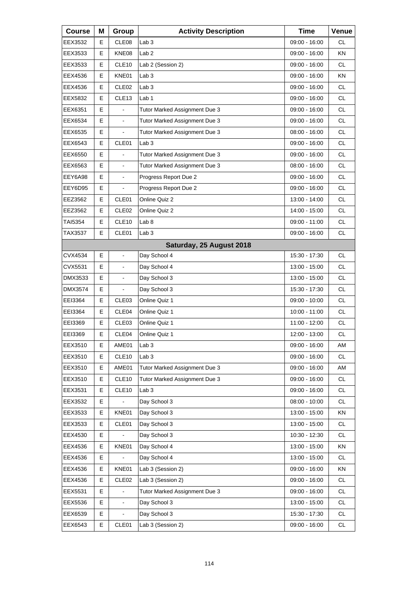| <b>Course</b> | Μ | Group                    | <b>Activity Description</b>   | <b>Time</b>     | Venue     |
|---------------|---|--------------------------|-------------------------------|-----------------|-----------|
| EEX3532       | Е | CLE08                    | Lab <sub>3</sub>              | 09:00 - 16:00   | <b>CL</b> |
| EEX3533       | E | KNE08                    | Lab <sub>2</sub>              | 09:00 - 16:00   | KN        |
| EEX3533       | E | CLE <sub>10</sub>        | Lab 2 (Session 2)             | 09:00 - 16:00   | <b>CL</b> |
| EEX4536       | Е | KNE01                    | Lab <sub>3</sub>              | 09:00 - 16:00   | ΚN        |
| EEX4536       | E | CLE <sub>02</sub>        | Lab <sub>3</sub>              | 09:00 - 16:00   | <b>CL</b> |
| EEX5832       | E | CLE <sub>13</sub>        | Lab 1                         | 09:00 - 16:00   | <b>CL</b> |
| EEX6351       | Е | $\blacksquare$           | Tutor Marked Assignment Due 3 | 09:00 - 16:00   | <b>CL</b> |
| EEX6534       | E | $\blacksquare$           | Tutor Marked Assignment Due 3 | 09:00 - 16:00   | <b>CL</b> |
| EEX6535       | E | $\overline{a}$           | Tutor Marked Assignment Due 3 | 08:00 - 16:00   | <b>CL</b> |
| EEX6543       | Е | CLE01                    | Lab <sub>3</sub>              | 09:00 - 16:00   | <b>CL</b> |
| EEX6550       | E |                          | Tutor Marked Assignment Due 3 | 09:00 - 16:00   | <b>CL</b> |
| EEX6563       | E | $\overline{\phantom{a}}$ | Tutor Marked Assignment Due 3 | 08:00 - 16:00   | <b>CL</b> |
| EEY6A98       | Е | $\blacksquare$           | Progress Report Due 2         | $09:00 - 16:00$ | <b>CL</b> |
| EEY6D95       | E |                          | Progress Report Due 2         | 09:00 - 16:00   | <b>CL</b> |
| EEZ3562       | Е | CLE <sub>01</sub>        | Online Quiz 2                 | 13:00 - 14:00   | <b>CL</b> |
| EEZ3562       | Е | CLE <sub>02</sub>        | Online Quiz 2                 | 14:00 - 15:00   | <b>CL</b> |
| TAI5354       | E | CLE <sub>10</sub>        | Lab <sub>8</sub>              | 09:00 - 11:00   | <b>CL</b> |
| TAX3537       | Е | CLE01                    | Lab <sub>3</sub>              | 09:00 - 16:00   | <b>CL</b> |
|               |   |                          | Saturday, 25 August 2018      |                 |           |
| CVX4534       | E | $\blacksquare$           | Day School 4                  | 15:30 - 17:30   | <b>CL</b> |
| CVX5531       | Е | $\overline{\phantom{a}}$ | Day School 4                  | 13:00 - 15:00   | <b>CL</b> |
| DMX3533       | E | $\blacksquare$           | Day School 3                  | 13:00 - 15:00   | <b>CL</b> |
| DMX3574       | E |                          | Day School 3                  | 15:30 - 17:30   | <b>CL</b> |
| EEI3364       | Е | CLE <sub>03</sub>        | Online Quiz 1                 | 09:00 - 10:00   | <b>CL</b> |
| EEI3364       | Е | CLE04                    | Online Quiz 1                 | 10:00 - 11:00   | <b>CL</b> |
| EEI3369       | E | CLE03                    | Online Quiz 1                 | 11:00 - 12:00   | <b>CL</b> |
| EEI3369       | E | CLE04                    | Online Quiz 1                 | 12:00 - 13:00   | <b>CL</b> |
| EEX3510       | Е | AME01                    | Lab <sub>3</sub>              | 09:00 - 16:00   | AM        |
| EEX3510       | Е | CLE10                    | Lab <sub>3</sub>              | $09:00 - 16:00$ | CL        |
| EEX3510       | E | AME01                    | Tutor Marked Assignment Due 3 | 09:00 - 16:00   | AM        |
| EEX3510       | Е | CLE10                    | Tutor Marked Assignment Due 3 | 09:00 - 16:00   | CL        |
| EEX3531       | Е | CLE <sub>10</sub>        | Lab <sub>3</sub>              | 09:00 - 16:00   | CL        |
| EEX3532       | E |                          | Day School 3                  | 08:00 - 10:00   | <b>CL</b> |
| EEX3533       | Е | KNE01                    | Day School 3                  | 13:00 - 15:00   | KN        |
| EEX3533       | Е | CLE01                    | Day School 3                  | 13:00 - 15:00   | CL        |
| EEX4530       | E |                          | Day School 3                  | 10:30 - 12:30   | CL        |
| EEX4536       | Е | KNE01                    | Day School 4                  | 13:00 - 15:00   | KN        |
| EEX4536       | Е |                          | Day School 4                  | 13:00 - 15:00   | CL        |
| EEX4536       | E | KNE01                    | Lab 3 (Session 2)             | 09:00 - 16:00   | KN        |
| EEX4536       | Е | CLE <sub>02</sub>        | Lab 3 (Session 2)             | 09:00 - 16:00   | CL        |
| EEX5531       | E |                          | Tutor Marked Assignment Due 3 | 09:00 - 16:00   | CL        |
| EEX5536       | E | $\blacksquare$           | Day School 3                  | 13:00 - 15:00   | CL        |
| EEX6539       | Е |                          | Day School 3                  | 15:30 - 17:30   | CL        |
| EEX6543       | Е | CLE01                    | Lab 3 (Session 2)             | 09:00 - 16:00   | CL        |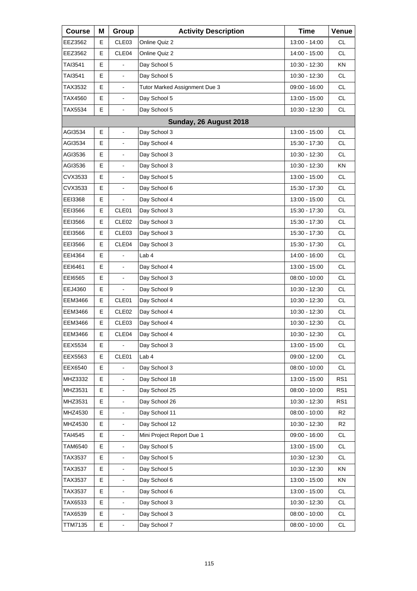| <b>Course</b>  | Μ  | Group                    | <b>Activity Description</b>   | <b>Time</b>     | Venue           |
|----------------|----|--------------------------|-------------------------------|-----------------|-----------------|
| EEZ3562        | Е  | CLE03                    | Online Quiz 2                 | 13:00 - 14:00   | <b>CL</b>       |
| EEZ3562        | Е  | CLE04                    | Online Quiz 2                 | 14:00 - 15:00   | <b>CL</b>       |
| TAI3541        | E  |                          | Day School 5                  | 10:30 - 12:30   | KN              |
| TAI3541        | E  | $\overline{\phantom{a}}$ | Day School 5                  | 10:30 - 12:30   | <b>CL</b>       |
| TAX3532        | Е  | $\overline{\phantom{a}}$ | Tutor Marked Assignment Due 3 | 09:00 - 16:00   | <b>CL</b>       |
| TAX4560        | E  | L,                       | Day School 5                  | 13:00 - 15:00   | <b>CL</b>       |
| <b>TAX5534</b> | E  | $\overline{\phantom{a}}$ | Day School 5                  | 10:30 - 12:30   | <b>CL</b>       |
|                |    |                          | Sunday, 26 August 2018        |                 |                 |
| AGI3534        | Е  | $\overline{\phantom{a}}$ | Day School 3                  | 13:00 - 15:00   | <b>CL</b>       |
| AGI3534        | E  | $\blacksquare$           | Day School 4                  | 15:30 - 17:30   | <b>CL</b>       |
| AGI3536        | Е  |                          | Day School 3                  | 10:30 - 12:30   | <b>CL</b>       |
| AGI3536        | E. | $\overline{\phantom{a}}$ | Day School 3                  | 10:30 - 12:30   | <b>KN</b>       |
| CVX3533        | E  | $\blacksquare$           | Day School 5                  | 13:00 - 15:00   | <b>CL</b>       |
| CVX3533        | E  |                          | Day School 6                  | 15:30 - 17:30   | <b>CL</b>       |
| EEI3368        | E  |                          | Day School 4                  | 13:00 - 15:00   | <b>CL</b>       |
| EEI3566        | E  | CLE01                    | Day School 3                  | 15:30 - 17:30   | <b>CL</b>       |
| EEI3566        | Е  | CLE <sub>02</sub>        | Day School 3                  | 15:30 - 17:30   | <b>CL</b>       |
| EEI3566        | E  | CLE <sub>03</sub>        | Day School 3                  | 15:30 - 17:30   | <b>CL</b>       |
| EEI3566        | E  | CLE04                    | Day School 3                  | 15:30 - 17:30   | <b>CL</b>       |
| EEI4364        | E  |                          | Lab 4                         | 14:00 - 16:00   | <b>CL</b>       |
| EEI6461        | E  | ä,                       | Day School 4                  | 13:00 - 15:00   | <b>CL</b>       |
| EEI6565        | E  | $\blacksquare$           | Day School 3                  | $08:00 - 10:00$ | <b>CL</b>       |
| EEJ4360        | Е  |                          | Day School 9                  | 10:30 - 12:30   | <b>CL</b>       |
| EEM3466        | Е  | CLE01                    | Day School 4                  | 10:30 - 12:30   | <b>CL</b>       |
| EEM3466        | E  | CLE <sub>02</sub>        | Day School 4                  | 10:30 - 12:30   | <b>CL</b>       |
| EEM3466        | E  | CLE03                    | Day School 4                  | 10:30 - 12:30   | CL              |
| EEM3466        | E  | CLE04                    | Day School 4                  | 10:30 - 12:30   | <b>CL</b>       |
| EEX5534        | Е  | $\blacksquare$           | Day School 3                  | 13:00 - 15:00   | CL              |
| EEX5563        | Е  | CLE01                    | Lab <sub>4</sub>              | 09:00 - 12:00   | <b>CL</b>       |
| EEX6540        | E  |                          | Day School 3                  | 08:00 - 10:00   | <b>CL</b>       |
| MHZ3332        | E  |                          | Day School 18                 | 13:00 - 15:00   | RS <sub>1</sub> |
| MHZ3531        | E  |                          | Day School 25                 | 08:00 - 10:00   | RS1             |
| MHZ3531        | E  | $\blacksquare$           | Day School 26                 | 10:30 - 12:30   | RS <sub>1</sub> |
| MHZ4530        | E  |                          | Day School 11                 | 08:00 - 10:00   | R <sub>2</sub>  |
| MHZ4530        | E  |                          | Day School 12                 | 10:30 - 12:30   | R <sub>2</sub>  |
| TAI4545        | E  | $\blacksquare$           | Mini Project Report Due 1     | 09:00 - 16:00   | <b>CL</b>       |
| <b>TAM6540</b> | Е  | $\blacksquare$           | Day School 5                  | 13:00 - 15:00   | CL              |
| TAX3537        | E  |                          | Day School 5                  | 10:30 - 12:30   | <b>CL</b>       |
| TAX3537        | E  | $\blacksquare$           | Day School 5                  | 10:30 - 12:30   | KN              |
| TAX3537        | Е  | $\blacksquare$           | Day School 6                  | 13:00 - 15:00   | KN              |
| TAX3537        | E  |                          | Day School 6                  | 13:00 - 15:00   | <b>CL</b>       |
| TAX6533        | E  | $\blacksquare$           | Day School 3                  | 10:30 - 12:30   | <b>CL</b>       |
| TAX6539        | Е  | $\overline{\phantom{a}}$ | Day School 3                  | 08:00 - 10:00   | CL              |
| TTM7135        | E  | $\overline{\phantom{a}}$ | Day School 7                  | 08:00 - 10:00   | <b>CL</b>       |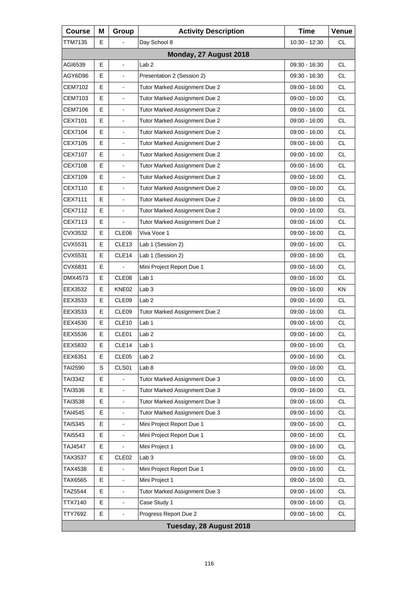| <b>Course</b>  | Μ | Group                    | <b>Activity Description</b>   | <b>Time</b>     | Venue     |
|----------------|---|--------------------------|-------------------------------|-----------------|-----------|
| TTM7135        | E |                          | Day School 8                  | 10:30 - 12:30   | СL        |
|                |   |                          | Monday, 27 August 2018        |                 |           |
| AGI6539        | Е | $\blacksquare$           | Lab <sub>2</sub>              | 09:30 - 16:30   | <b>CL</b> |
| AGY6D96        | E | $\blacksquare$           | Presentation 2 (Session 2)    | 09:30 - 16:30   | <b>CL</b> |
| CEM7102        | E |                          | Tutor Marked Assignment Due 2 | 09:00 - 16:00   | <b>CL</b> |
| CEM7103        | E | $\blacksquare$           | Tutor Marked Assignment Due 2 | 09:00 - 16:00   | <b>CL</b> |
| CEM7106        | E | $\blacksquare$           | Tutor Marked Assignment Due 2 | 09:00 - 16:00   | <b>CL</b> |
| CEX7101        | E |                          | Tutor Marked Assignment Due 2 | 09:00 - 16:00   | <b>CL</b> |
| CEX7104        | E | $\blacksquare$           | Tutor Marked Assignment Due 2 | 09:00 - 16:00   | <b>CL</b> |
| CEX7105        | E | $\blacksquare$           | Tutor Marked Assignment Due 2 | 09:00 - 16:00   | <b>CL</b> |
| CEX7107        | E |                          | Tutor Marked Assignment Due 2 | 09:00 - 16:00   | <b>CL</b> |
| CEX7108        | E | $\overline{\phantom{a}}$ | Tutor Marked Assignment Due 2 | 09:00 - 16:00   | <b>CL</b> |
| CEX7109        | E | $\blacksquare$           | Tutor Marked Assignment Due 2 | 09:00 - 16:00   | <b>CL</b> |
| CEX7110        | E |                          | Tutor Marked Assignment Due 2 | 09:00 - 16:00   | <b>CL</b> |
| CEX7111        | E | $\overline{\phantom{a}}$ | Tutor Marked Assignment Due 2 | 09:00 - 16:00   | <b>CL</b> |
| CEX7112        | Е | $\blacksquare$           | Tutor Marked Assignment Due 2 | 09:00 - 16:00   | <b>CL</b> |
| CEX7113        | E |                          | Tutor Marked Assignment Due 2 | $09:00 - 16:00$ | <b>CL</b> |
| CVX3532        | E | CLE06                    | Viva Voce 1                   | 09:00 - 16:00   | <b>CL</b> |
| CVX5531        | Е | CLE <sub>13</sub>        | Lab 1 (Session 2)             | 09:00 - 16:00   | <b>CL</b> |
| CVX5531        | E | CLE14                    | Lab 1 (Session 2)             | 09:00 - 16:00   | <b>CL</b> |
| CVX6831        | E |                          | Mini Project Report Due 1     | 09:00 - 16:00   | <b>CL</b> |
| DMX4573        | Е | CLE <sub>08</sub>        | Lab <sub>1</sub>              | 09:00 - 16:00   | <b>CL</b> |
| EEX3532        | E | KNE02                    | Lab <sub>3</sub>              | 09:00 - 16:00   | KN        |
| EEX3533        | E | CLE09                    | Lab <sub>2</sub>              | 09:00 - 16:00   | <b>CL</b> |
| EEX3533        | Е | CLE <sub>09</sub>        | Tutor Marked Assignment Due 2 | 09:00 - 16:00   | CL        |
| EEX4530        | E | CLE <sub>10</sub>        | Lab <sub>1</sub>              | 09:00 - 16:00   | <b>CL</b> |
| EEX5536        | E | CLE01                    | Lab <sub>2</sub>              | 09:00 - 16:00   | <b>CL</b> |
| EEX5832        | Е | CLE <sub>14</sub>        | Lab 1                         | 09:00 - 16:00   | СL        |
| EEX6351        | Е | CLE05                    | Lab <sub>2</sub>              | 09:00 - 16:00   | <b>CL</b> |
| TAI2590        | S | CLS01                    | Lab <sub>8</sub>              | 09:00 - 16:00   | CL        |
| TAI3342        | Е |                          | Tutor Marked Assignment Due 3 | 09:00 - 16:00   | CL.       |
| TAI3536        | E | $\overline{\phantom{a}}$ | Tutor Marked Assignment Due 3 | 09:00 - 16:00   | <b>CL</b> |
| TAI3538        | E |                          | Tutor Marked Assignment Due 3 | 09:00 - 16:00   | CL        |
| TAI4545        | Е | $\blacksquare$           | Tutor Marked Assignment Due 3 | 09:00 - 16:00   | CL.       |
| TAI5345        | Е | $\blacksquare$           | Mini Project Report Due 1     | 09:00 - 16:00   | <b>CL</b> |
| TAI5543        | E |                          | Mini Project Report Due 1     | 09:00 - 16:00   | <b>CL</b> |
| <b>TAJ4547</b> | Е |                          | Mini Project 1                | 09:00 - 16:00   | CL        |
| TAX3537        | Е | CLE <sub>02</sub>        | Lab <sub>3</sub>              | 09:00 - 16:00   | <b>CL</b> |
| TAX4538        | E |                          | Mini Project Report Due 1     | 09:00 - 16:00   | <b>CL</b> |
| TAX6565        | Е | $\blacksquare$           | Mini Project 1                | 09:00 - 16:00   | CL        |
| <b>TAZ5544</b> | Е |                          | Tutor Marked Assignment Due 3 | 09:00 - 16:00   | <b>CL</b> |
| TTX7140        | E |                          | Case Study 1                  | 09:00 - 16:00   | <b>CL</b> |
| TTY7692        | Е | $\overline{\phantom{a}}$ | Progress Report Due 2         | 09:00 - 16:00   | CL        |
|                |   |                          | Tuesday, 28 August 2018       |                 |           |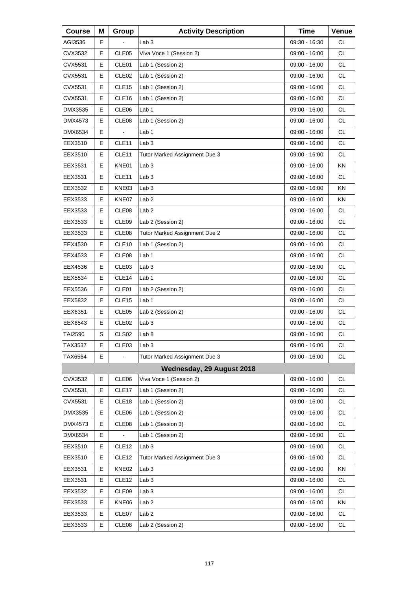| <b>Course</b>  | Μ | Group             | <b>Activity Description</b>   | <b>Time</b>     | Venue     |
|----------------|---|-------------------|-------------------------------|-----------------|-----------|
| AGI3536        | Е |                   | Lab <sub>3</sub>              | 09:30 - 16:30   | СL        |
| CVX3532        | E | CLE05             | Viva Voce 1 (Session 2)       | 09:00 - 16:00   | <b>CL</b> |
| CVX5531        | E | CLE01             | Lab 1 (Session 2)             | 09:00 - 16:00   | <b>CL</b> |
| CVX5531        | Е | CLE <sub>02</sub> | Lab 1 (Session 2)             | $09:00 - 16:00$ | <b>CL</b> |
| CVX5531        | E | CLE <sub>15</sub> | Lab 1 (Session 2)             | 09:00 - 16:00   | <b>CL</b> |
| CVX5531        | E | CLE <sub>16</sub> | Lab 1 (Session 2)             | 09:00 - 16:00   | <b>CL</b> |
| DMX3535        | Е | CLE06             | Lab 1                         | 09:00 - 16:00   | <b>CL</b> |
| DMX4573        | E | CLE08             | Lab 1 (Session 2)             | 09:00 - 16:00   | <b>CL</b> |
| DMX6534        | E |                   | Lab 1                         | 09:00 - 16:00   | <b>CL</b> |
| EEX3510        | Е | CLE <sub>11</sub> | Lab <sub>3</sub>              | 09:00 - 16:00   | <b>CL</b> |
| EEX3510        | E | CLE11             | Tutor Marked Assignment Due 3 | 09:00 - 16:00   | <b>CL</b> |
| EEX3531        | Е | KNE01             | Lab <sub>3</sub>              | 09:00 - 16:00   | KN        |
| EEX3531        | Е | CLE <sub>11</sub> | Lab <sub>3</sub>              | 09:00 - 16:00   | <b>CL</b> |
| EEX3532        | E | KNE03             | Lab <sub>3</sub>              | 09:00 - 16:00   | KN        |
| EEX3533        | Е | KNE07             | Lab <sub>2</sub>              | 09:00 - 16:00   | KN        |
| EEX3533        | Е | CLE <sub>08</sub> | Lab <sub>2</sub>              | 09:00 - 16:00   | <b>CL</b> |
| EEX3533        | Е | CLE <sub>09</sub> | Lab 2 (Session 2)             | 09:00 - 16:00   | <b>CL</b> |
| EEX3533        | Е | CLE <sub>08</sub> | Tutor Marked Assignment Due 2 | 09:00 - 16:00   | <b>CL</b> |
| EEX4530        | Е | CLE <sub>10</sub> | Lab 1 (Session 2)             | 09:00 - 16:00   | <b>CL</b> |
| EEX4533        | Е | CLE <sub>08</sub> | Lab <sub>1</sub>              | 09:00 - 16:00   | <b>CL</b> |
| EEX4536        | Е | CLE <sub>03</sub> | Lab <sub>3</sub>              | 09:00 - 16:00   | <b>CL</b> |
| EEX5534        | Е | CLE14             | Lab 1                         | 09:00 - 16:00   | <b>CL</b> |
| EEX5536        | Е | CLE01             | Lab 2 (Session 2)             | 09:00 - 16:00   | <b>CL</b> |
| EEX5832        | Е | CLE <sub>15</sub> | Lab 1                         | 09:00 - 16:00   | <b>CL</b> |
| EEX6351        | Е | CLE <sub>05</sub> | Lab 2 (Session 2)             | 09:00 - 16:00   | <b>CL</b> |
| EEX6543        | Е | CLE <sub>02</sub> | Lab <sub>3</sub>              | 09:00 - 16:00   | <b>CL</b> |
| <b>TAI2590</b> | S | CLS <sub>02</sub> | Lab 8                         | $09:00 - 16:00$ | <b>CL</b> |
| TAX3537        | Е | CLE03             | Lab <sub>3</sub>              | 09:00 - 16:00   | CL.       |
| TAX6564        | E |                   | Tutor Marked Assignment Due 3 | $09:00 - 16:00$ | <b>CL</b> |
|                |   |                   | Wednesday, 29 August 2018     |                 |           |
| CVX3532        | Е | CLE06             | Viva Voce 1 (Session 2)       | 09:00 - 16:00   | CL        |
| CVX5531        | Е | CLE17             | Lab 1 (Session 2)             | 09:00 - 16:00   | <b>CL</b> |
| CVX5531        | Е | CLE <sub>18</sub> | Lab 1 (Session 2)             | 09:00 - 16:00   | <b>CL</b> |
| DMX3535        | Е | CLE06             | Lab 1 (Session 2)             | 09:00 - 16:00   | CL        |
| DMX4573        | Е | CLE08             | Lab 1 (Session 3)             | 09:00 - 16:00   | <b>CL</b> |
| <b>DMX6534</b> | E |                   | Lab 1 (Session 2)             | 09:00 - 16:00   | <b>CL</b> |
| EEX3510        | Е | CLE <sub>12</sub> | Lab <sub>3</sub>              | 09:00 - 16:00   | CL        |
| EEX3510        | Е | CLE12             | Tutor Marked Assignment Due 3 | 09:00 - 16:00   | <b>CL</b> |
| EEX3531        | Е | KNE02             | Lab <sub>3</sub>              | 09:00 - 16:00   | KN        |
| EEX3531        | Е | CLE12             | Lab <sub>3</sub>              | 09:00 - 16:00   | CL        |
| EEX3532        | Е | CLE09             | Lab <sub>3</sub>              | 09:00 - 16:00   | <b>CL</b> |
| EEX3533        | Е | KNE06             | Lab <sub>2</sub>              | 09:00 - 16:00   | KN        |
| EEX3533        | Е | CLE07             | Lab <sub>2</sub>              | 09:00 - 16:00   | CL        |
| EEX3533        | Е | CLE08             | Lab 2 (Session 2)             | 09:00 - 16:00   | <b>CL</b> |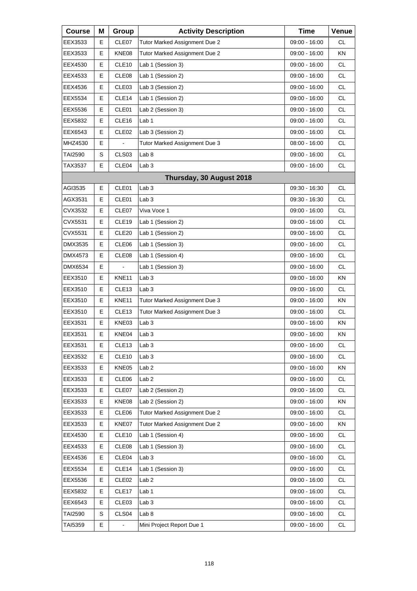| <b>Course</b> | Μ | Group             | <b>Activity Description</b>   | <b>Time</b>     | Venue     |
|---------------|---|-------------------|-------------------------------|-----------------|-----------|
| EEX3533       | Е | CLE07             | Tutor Marked Assignment Due 2 | 09:00 - 16:00   | СL        |
| EEX3533       | E | KNE08             | Tutor Marked Assignment Due 2 | 09:00 - 16:00   | KN        |
| EEX4530       | E | CLE10             | Lab 1 (Session 3)             | 09:00 - 16:00   | <b>CL</b> |
| EEX4533       | Е | CLE08             | Lab 1 (Session 2)             | 09:00 - 16:00   | <b>CL</b> |
| EEX4536       | E | CLE03             | Lab 3 (Session 2)             | 09:00 - 16:00   | <b>CL</b> |
| EEX5534       | E | CLE14             | Lab 1 (Session 2)             | 09:00 - 16:00   | <b>CL</b> |
| EEX5536       | Е | CLE01             | Lab 2 (Session 3)             | 09:00 - 16:00   | <b>CL</b> |
| EEX5832       | E | CLE16             | Lab <sub>1</sub>              | 09:00 - 16:00   | <b>CL</b> |
| EEX6543       | E | CLE <sub>02</sub> | Lab 3 (Session 2)             | 09:00 - 16:00   | <b>CL</b> |
| MHZ4530       | Е |                   | Tutor Marked Assignment Due 3 | 08:00 - 16:00   | <b>CL</b> |
| TAI2590       | S | CLS03             | Lab <sub>8</sub>              | 09:00 - 16:00   | <b>CL</b> |
| TAX3537       | Е | CLE04             | Lab <sub>3</sub>              | 09:00 - 16:00   | <b>CL</b> |
|               |   |                   | Thursday, 30 August 2018      |                 |           |
| AGI3535       | E | CLE01             | Lab <sub>3</sub>              | 09:30 - 16:30   | <b>CL</b> |
| AGX3531       | Е | CLE01             | Lab <sub>3</sub>              | $09:30 - 16:30$ | <b>CL</b> |
| CVX3532       | Е | CLE07             | Viva Voce 1                   | 09:00 - 16:00   | <b>CL</b> |
| CVX5531       | E | CLE19             | Lab 1 (Session 2)             | 09:00 - 16:00   | <b>CL</b> |
| CVX5531       | Е | CLE <sub>20</sub> | Lab 1 (Session 2)             | 09:00 - 16:00   | <b>CL</b> |
| DMX3535       | Е | CLE06             | Lab 1 (Session 3)             | 09:00 - 16:00   | <b>CL</b> |
| DMX4573       | E | CLE08             | Lab 1 (Session 4)             | 09:00 - 16:00   | <b>CL</b> |
| DMX6534       | Е |                   | Lab 1 (Session 3)             | 09:00 - 16:00   | <b>CL</b> |
| EEX3510       | Е | KNE11             | Lab <sub>3</sub>              | 09:00 - 16:00   | <b>KN</b> |
| EEX3510       | E | CLE <sub>13</sub> | Lab <sub>3</sub>              | 09:00 - 16:00   | <b>CL</b> |
| EEX3510       | Е | KNE11             | Tutor Marked Assignment Due 3 | 09:00 - 16:00   | KN        |
| EEX3510       | Е | CLE <sub>13</sub> | Tutor Marked Assignment Due 3 | 09:00 - 16:00   | <b>CL</b> |
| EEX3531       | E | KNE03             | Lab <sub>3</sub>              | 09:00 - 16:00   | ΚN        |
| EEX3531       | E | KNE04             | Lab 3                         | 09:00 - 16:00   | ΚN        |
| EEX3531       | Е | CLE <sub>13</sub> | Lab <sub>3</sub>              | 09:00 - 16:00   | CL        |
| EEX3532       | Е | CLE10             | Lab <sub>3</sub>              | 09:00 - 16:00   | <b>CL</b> |
| EEX3533       | Е | KNE05             | Lab <sub>2</sub>              | 09:00 - 16:00   | KN        |
| EEX3533       | Е | CLE06             | Lab <sub>2</sub>              | 09:00 - 16:00   | CL        |
| EEX3533       | Е | CLE07             | Lab 2 (Session 2)             | 09:00 - 16:00   | CL        |
| EEX3533       | Е | KNE08             | Lab 2 (Session 2)             | 09:00 - 16:00   | KN        |
| EEX3533       | Е | CLE06             | Tutor Marked Assignment Due 2 | 09:00 - 16:00   | CL        |
| EEX3533       | Е | KNE07             | Tutor Marked Assignment Due 2 | 09:00 - 16:00   | KN        |
| EEX4530       | Е | CLE <sub>10</sub> | Lab 1 (Session 4)             | 09:00 - 16:00   | <b>CL</b> |
| EEX4533       | Е | CLE08             | Lab 1 (Session 3)             | 09:00 - 16:00   | CL        |
| EEX4536       | Е | CLE04             | Lab <sub>3</sub>              | 09:00 - 16:00   | CL        |
| EEX5534       | Е | CLE <sub>14</sub> | Lab 1 (Session 3)             | 09:00 - 16:00   | CL        |
| EEX5536       | Е | CLE <sub>02</sub> | Lab <sub>2</sub>              | 09:00 - 16:00   | CL        |
| EEX5832       | Е | CLE17             | Lab <sub>1</sub>              | 09:00 - 16:00   | CL        |
| EEX6543       | Е | CLE03             | Lab <sub>3</sub>              | 09:00 - 16:00   | CL        |
| TAI2590       | S | CLS04             | Lab <sub>8</sub>              | 09:00 - 16:00   | CL        |
| TAI5359       | Е |                   | Mini Project Report Due 1     | 09:00 - 16:00   | <b>CL</b> |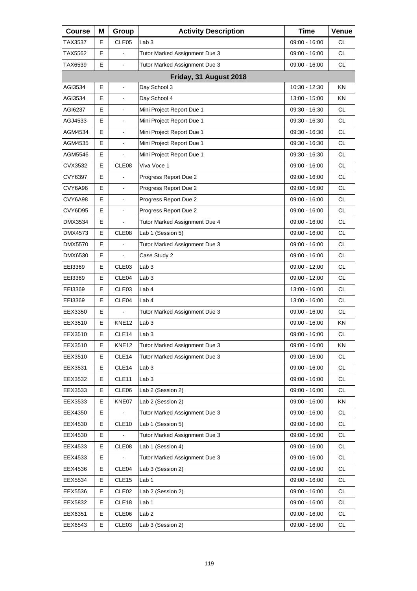| <b>Course</b> | Μ | Group             | <b>Activity Description</b>   | <b>Time</b>     | Venue     |
|---------------|---|-------------------|-------------------------------|-----------------|-----------|
| TAX3537       | E | CLE <sub>05</sub> | Lab <sub>3</sub>              | 09:00 - 16:00   | СL        |
| TAX5562       | E |                   | Tutor Marked Assignment Due 3 | 09:00 - 16:00   | <b>CL</b> |
| TAX6539       | E | $\blacksquare$    | Tutor Marked Assignment Due 3 | $09:00 - 16:00$ | <b>CL</b> |
|               |   |                   | Friday, 31 August 2018        |                 |           |
| AGI3534       | E |                   | Day School 3                  | 10:30 - 12:30   | <b>KN</b> |
| AGI3534       | E | $\blacksquare$    | Day School 4                  | 13:00 - 15:00   | <b>KN</b> |
| AGI6237       | Е | $\blacksquare$    | Mini Project Report Due 1     | $09:30 - 16:30$ | CL        |
| AGJ4533       | E |                   | Mini Project Report Due 1     | 09:30 - 16:30   | <b>CL</b> |
| AGM4534       | E | $\blacksquare$    | Mini Project Report Due 1     | 09:30 - 16:30   | <b>CL</b> |
| AGM4535       | E | $\blacksquare$    | Mini Project Report Due 1     | 09:30 - 16:30   | <b>CL</b> |
| AGM5546       | E |                   | Mini Project Report Due 1     | 09:30 - 16:30   | <b>CL</b> |
| CVX3532       | E | CLE08             | Viva Voce 1                   | 09:00 - 16:00   | <b>CL</b> |
| CVY6397       | E |                   | Progress Report Due 2         | 09:00 - 16:00   | <b>CL</b> |
| CVY6A96       | E |                   | Progress Report Due 2         | 09:00 - 16:00   | <b>CL</b> |
| CVY6A98       | E | $\blacksquare$    | Progress Report Due 2         | $09:00 - 16:00$ | <b>CL</b> |
| CVY6D95       | E | $\blacksquare$    | Progress Report Due 2         | 09:00 - 16:00   | <b>CL</b> |
| DMX3534       | E |                   | Tutor Marked Assignment Due 4 | 09:00 - 16:00   | <b>CL</b> |
| DMX4573       | E | CLE08             | Lab 1 (Session 5)             | 09:00 - 16:00   | <b>CL</b> |
| DMX5570       | Е |                   | Tutor Marked Assignment Due 3 | 09:00 - 16:00   | <b>CL</b> |
| DMX6530       | E |                   | Case Study 2                  | 09:00 - 16:00   | <b>CL</b> |
| EEI3369       | E | CLE03             | Lab <sub>3</sub>              | 09:00 - 12:00   | <b>CL</b> |
| EEI3369       | Е | CLE04             | Lab <sub>3</sub>              | 09:00 - 12:00   | <b>CL</b> |
| EEI3369       | E | CLE03             | Lab 4                         | 13:00 - 16:00   | <b>CL</b> |
| EEI3369       | E | CLE04             | Lab 4                         | 13:00 - 16:00   | <b>CL</b> |
| EEX3350       | Е |                   | Tutor Marked Assignment Due 3 | 09:00 - 16:00   | CL        |
| EEX3510       | E | KNE <sub>12</sub> | Lab <sub>3</sub>              | 09:00 - 16:00   | KN        |
| EEX3510       | E | CLE <sub>14</sub> | Lab <sub>3</sub>              | 09:00 - 16:00   | <b>CL</b> |
| EEX3510       | Е | <b>KNE12</b>      | Tutor Marked Assignment Due 3 | 09:00 - 16:00   | ΚN        |
| EEX3510       | Е | CLE14             | Tutor Marked Assignment Due 3 | 09:00 - 16:00   | CL.       |
| EEX3531       | Е | CLE14             | Lab <sub>3</sub>              | 09:00 - 16:00   | CL        |
| EEX3532       | Е | CLE <sub>11</sub> | Lab <sub>3</sub>              | 09:00 - 16:00   | <b>CL</b> |
| EEX3533       | Е | CLE06             | Lab 2 (Session 2)             | 09:00 - 16:00   | CL        |
| EEX3533       | Е | KNE07             | Lab 2 (Session 2)             | 09:00 - 16:00   | KN        |
| EEX4350       | Е |                   | Tutor Marked Assignment Due 3 | 09:00 - 16:00   | <b>CL</b> |
| EEX4530       | Е | CLE <sub>10</sub> | Lab 1 (Session 5)             | $09:00 - 16:00$ | CL        |
| EEX4530       | Е |                   | Tutor Marked Assignment Due 3 | 09:00 - 16:00   | CL        |
| EEX4533       | Е | CLE08             | Lab 1 (Session 4)             | 09:00 - 16:00   | CL        |
| EEX4533       | Е |                   | Tutor Marked Assignment Due 3 | 09:00 - 16:00   | CL        |
| EEX4536       | Е | CLE04             | Lab 3 (Session 2)             | 09:00 - 16:00   | CL        |
| EEX5534       | Е | CLE <sub>15</sub> | Lab <sub>1</sub>              | 09:00 - 16:00   | <b>CL</b> |
| EEX5536       | Е | CLE <sub>02</sub> | Lab 2 (Session 2)             | 09:00 - 16:00   | CL        |
| EEX5832       | Е | CLE18             | Lab <sub>1</sub>              | 09:00 - 16:00   | CL        |
| EEX6351       | Е | CLE06             | Lab <sub>2</sub>              | 09:00 - 16:00   | CL.       |
| EEX6543       | Е | CLE03             | Lab 3 (Session 2)             | 09:00 - 16:00   | CL.       |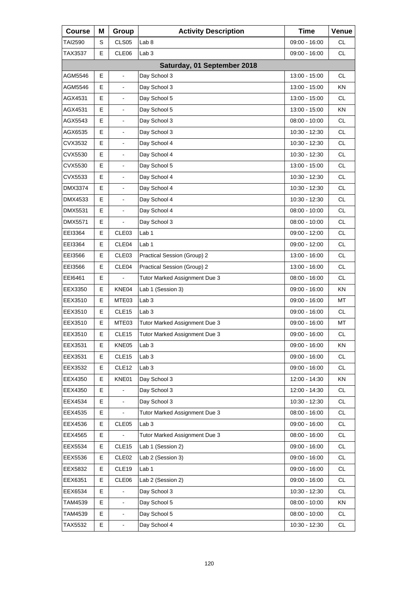| <b>Course</b> | Μ | Group                        | <b>Activity Description</b>   | <b>Time</b>     | Venue     |
|---------------|---|------------------------------|-------------------------------|-----------------|-----------|
| TAI2590       | S | CLS <sub>05</sub>            | Lab <sub>8</sub>              | 09:00 - 16:00   | CL.       |
| TAX3537       | E | CLE06                        | Lab <sub>3</sub>              | 09:00 - 16:00   | <b>CL</b> |
|               |   |                              | Saturday, 01 September 2018   |                 |           |
| AGM5546       | Е | ä,                           | Day School 3                  | 13:00 - 15:00   | СL        |
| AGM5546       | E |                              | Day School 3                  | 13:00 - 15:00   | KN        |
| AGX4531       | E | $\overline{\phantom{a}}$     | Day School 5                  | 13:00 - 15:00   | CL.       |
| AGX4531       | E | $\blacksquare$               | Day School 5                  | 13:00 - 15:00   | ΚN        |
| AGX5543       | E |                              | Day School 3                  | $08:00 - 10:00$ | <b>CL</b> |
| AGX6535       | E | $\blacksquare$               | Day School 3                  | 10:30 - 12:30   | <b>CL</b> |
| CVX3532       | E | $\blacksquare$               | Day School 4                  | 10:30 - 12:30   | <b>CL</b> |
| CVX5530       | E |                              | Day School 4                  | 10:30 - 12:30   | <b>CL</b> |
| CVX5530       | E |                              | Day School 5                  | 13:00 - 15:00   | <b>CL</b> |
| CVX5533       | E | $\blacksquare$               | Day School 4                  | 10:30 - 12:30   | <b>CL</b> |
| DMX3374       | E |                              | Day School 4                  | $10:30 - 12:30$ | <b>CL</b> |
| DMX4533       | E |                              | Day School 4                  | 10:30 - 12:30   | <b>CL</b> |
| DMX5531       | Е | $\blacksquare$               | Day School 4                  | $08:00 - 10:00$ | <b>CL</b> |
| DMX5571       | E |                              | Day School 3                  | $08:00 - 10:00$ | <b>CL</b> |
| EEI3364       | E | CLE03                        | Lab 1                         | 09:00 - 12:00   | <b>CL</b> |
| EEI3364       | Е | CLE04                        | Lab 1                         | $09:00 - 12:00$ | <b>CL</b> |
| EEI3566       | Е | CLE03                        | Practical Session (Group) 2   | 13:00 - 16:00   | <b>CL</b> |
| EEI3566       | E | CLE04                        | Practical Session (Group) 2   | 13:00 - 16:00   | <b>CL</b> |
| EEI6461       | Е |                              | Tutor Marked Assignment Due 3 | 08:00 - 16:00   | <b>CL</b> |
| EEX3350       | E | KNE04                        | Lab 1 (Session 3)             | 09:00 - 16:00   | KN        |
| EEX3510       | E | MTE03                        | Lab <sub>3</sub>              | 09:00 - 16:00   | MT        |
| EEX3510       | Е | CLE <sub>15</sub>            | Lab <sub>3</sub>              | 09:00 - 16:00   | CL        |
| EEX3510       | E | MTE03                        | Tutor Marked Assignment Due 3 | 09:00 - 16:00   | MT        |
| EEX3510       | E | CLE <sub>15</sub>            | Tutor Marked Assignment Due 3 | 09:00 - 16:00   | <b>CL</b> |
| EEX3531       | Е | KNE05                        | Lab <sub>3</sub>              | 09:00 - 16:00   | ΚN        |
| EEX3531       | Е | CLE15                        | Lab <sub>3</sub>              | 09:00 - 16:00   | CL        |
| EEX3532       | Е | CLE <sub>12</sub>            | Lab <sub>3</sub>              | $09:00 - 16:00$ | CL        |
| EEX4350       | Е | KNE01                        | Day School 3                  | 12:00 - 14:30   | KN        |
| EEX4350       | Е |                              | Day School 3                  | 12:00 - 14:30   | CL        |
| EEX4534       | E |                              | Day School 3                  | 10:30 - 12:30   | CL        |
| EEX4535       | Е |                              | Tutor Marked Assignment Due 3 | $08:00 - 16:00$ | <b>CL</b> |
| EEX4536       | Е | CLE05                        | Lab <sub>3</sub>              | 09:00 - 16:00   | CL        |
| EEX4565       | Е |                              | Tutor Marked Assignment Due 3 | $08:00 - 16:00$ | CL        |
| EEX5534       | Е | CLE <sub>15</sub>            | Lab 1 (Session 2)             | 09:00 - 16:00   | CL        |
| EEX5536       | Е | CLE <sub>02</sub>            | Lab 2 (Session 3)             | 09:00 - 16:00   | CL        |
| EEX5832       | Е | CLE19                        | Lab 1                         | 09:00 - 16:00   | CL        |
| EEX6351       | Е | CLE06                        | Lab 2 (Session 2)             | 09:00 - 16:00   | CL        |
| EEX6534       | Е |                              | Day School 3                  | 10:30 - 12:30   | CL        |
| TAM4539       | E |                              | Day School 5                  | 08:00 - 10:00   | KN        |
| TAM4539       | Е | $\qquad \qquad \blacksquare$ | Day School 5                  | 08:00 - 10:00   | CL        |
| TAX5532       | E |                              | Day School 4                  | 10:30 - 12:30   | CL        |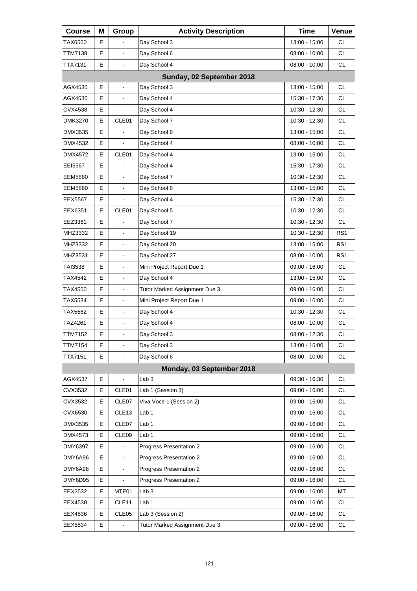| <b>Course</b>  | Μ  | Group                    | <b>Activity Description</b>   | <b>Time</b>     | Venue           |
|----------------|----|--------------------------|-------------------------------|-----------------|-----------------|
| TAX6560        | E. |                          | Day School 3                  | 13:00 - 15:00   | <b>CL</b>       |
| TTM7138        | E  | $\overline{a}$           | Day School 6                  | 08:00 - 10:00   | <b>CL</b>       |
| TTX7131        | E  | L,                       | Day School 4                  | $08:00 - 10:00$ | <b>CL</b>       |
|                |    |                          | Sunday, 02 September 2018     |                 |                 |
| AGX4530        | E  | $\overline{a}$           | Day School 3                  | 13:00 - 15:00   | <b>CL</b>       |
| AGX4530        | E  | $\frac{1}{2}$            | Day School 4                  | 15:30 - 17:30   | <b>CL</b>       |
| CVX4538        | Е  | $\blacksquare$           | Day School 4                  | 10:30 - 12:30   | <b>CL</b>       |
| DMK3270        | E  | CLE01                    | Day School 7                  | 10:30 - 12:30   | <b>CL</b>       |
| DMX3535        | E  | $\overline{a}$           | Day School 6                  | 13:00 - 15:00   | <b>CL</b>       |
| DMX4532        | Е  | $\blacksquare$           | Day School 4                  | $08:00 - 10:00$ | <b>CL</b>       |
| DMX4572        | E  | CLE01                    | Day School 4                  | 13:00 - 15:00   | <b>CL</b>       |
| EEI5567        | E  |                          | Day School 4                  | 15:30 - 17:30   | <b>CL</b>       |
| <b>EEM5860</b> | Е  | $\blacksquare$           | Day School 7                  | 10:30 - 12:30   | <b>CL</b>       |
| <b>EEM5860</b> | E  | $\overline{a}$           | Day School 8                  | 13:00 - 15:00   | <b>CL</b>       |
| EEX5567        | Е  |                          | Day School 4                  | 15:30 - 17:30   | CL.             |
| EEX6351        | Е  | CLE01                    | Day School 5                  | 10:30 - 12:30   | <b>CL</b>       |
| EEZ3361        | E  |                          | Day School 7                  | 10:30 - 12:30   | CL.             |
| MHZ3332        | E  | $\frac{1}{2}$            | Day School 19                 | 10:30 - 12:30   | RS <sub>1</sub> |
| MHZ3332        | Е  | $\blacksquare$           | Day School 20                 | 13:00 - 15:00   | RS <sub>1</sub> |
| MHZ3531        | E  | $\overline{a}$           | Day School 27                 | 08:00 - 10:00   | RS <sub>1</sub> |
| TAI3538        | Е  | $\frac{1}{2}$            | Mini Project Report Due 1     | 09:00 - 16:00   | CL.             |
| TAX4542        | E  | $\blacksquare$           | Day School 4                  | 13:00 - 15:00   | <b>CL</b>       |
| TAX4560        | E  | $\blacksquare$           | Tutor Marked Assignment Due 3 | 09:00 - 16:00   | <b>CL</b>       |
| TAX5534        | Е  | $\overline{\phantom{a}}$ | Mini Project Report Due 1     | 09:00 - 16:00   | <b>CL</b>       |
| TAX5562        | E  | $\blacksquare$           | Day School 4                  | 10:30 - 12:30   | <b>CL</b>       |
| TAZ4261        | E  | $\blacksquare$           | Day School 4                  | $08:00 - 10:00$ | <b>CL</b>       |
| TTM7152        | E  | L,                       | Day School 3                  | 08:00 - 12:30   | <b>CL</b>       |
| TTM7154        | Е  | $\blacksquare$           | Day School 3                  | 13:00 - 15:00   | CL              |
| <b>TTX7151</b> | E  | $\mathbf{r}$             | Day School 6                  | 08:00 - 10:00   | <b>CL</b>       |
|                |    |                          | Monday, 03 September 2018     |                 |                 |
| AGX4537        | Е  | $\blacksquare$           | Lab <sub>3</sub>              | 09:30 - 16:30   | CL              |
| CVX3532        | Е  | CLE01                    | Lab 1 (Session 3)             | 09:00 - 16:00   | CL              |
| CVX3532        | Е  | CLE07                    | Viva Voce 1 (Session 2)       | 09:00 - 16:00   | CL              |
| CVX6530        | Е  | CLE <sub>13</sub>        | Lab <sub>1</sub>              | 09:00 - 16:00   | CL              |
| DMX3535        | Е  | CLE07                    | Lab <sub>1</sub>              | 09:00 - 16:00   | CL              |
| DMX4573        | E  | CLE09                    | Lab 1                         | 09:00 - 16:00   | CL              |
| DMY6397        | Е  |                          | Progress Presentation 2       | 09:00 - 16:00   | CL              |
| DMY6A96        | E  |                          | Progress Presentation 2       | 09:00 - 16:00   | CL              |
| DMY6A98        | E  | $\blacksquare$           | Progress Presentation 2       | 09:00 - 16:00   | CL              |
| DMY6D95        | Е  |                          | Progress Presentation 2       | 09:00 - 16:00   | CL              |
| EEX3532        | Е  | MTE01                    | Lab <sub>3</sub>              | 09:00 - 16:00   | MT              |
| EEX4530        | E  | CLE <sub>11</sub>        | Lab 1                         | 09:00 - 16:00   | CL              |
| EEX4536        | Е  | CLE05                    | Lab 3 (Session 2)             | 09:00 - 16:00   | CL              |
| EEX5534        | E  |                          | Tutor Marked Assignment Due 3 | 09:00 - 16:00   | CL              |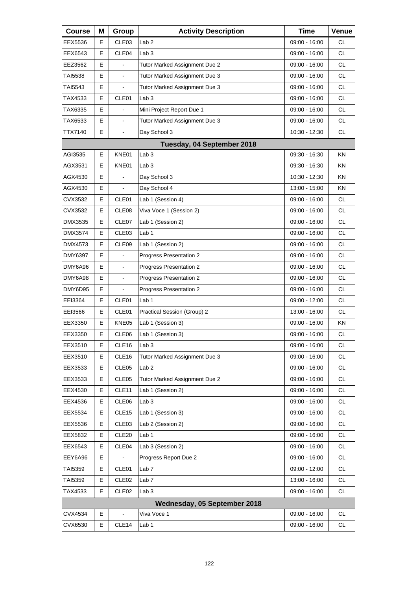| <b>Course</b> | Μ  | Group             | <b>Activity Description</b>   | <b>Time</b>     | Venue     |
|---------------|----|-------------------|-------------------------------|-----------------|-----------|
| EEX5536       | Е  | CLE <sub>03</sub> | Lab <sub>2</sub>              | 09:00 - 16:00   | СL        |
| EEX6543       | Е  | CLE04             | Lab <sub>3</sub>              | 09:00 - 16:00   | <b>CL</b> |
| EEZ3562       | E  |                   | Tutor Marked Assignment Due 2 | 09:00 - 16:00   | <b>CL</b> |
| TAI5538       | Е  | $\blacksquare$    | Tutor Marked Assignment Due 3 | 09:00 - 16:00   | <b>CL</b> |
| TAI5543       | Е  |                   | Tutor Marked Assignment Due 3 | 09:00 - 16:00   | <b>CL</b> |
| TAX4533       | E  | CLE01             | Lab <sub>3</sub>              | 09:00 - 16:00   | <b>CL</b> |
| TAX6335       | Е  |                   | Mini Project Report Due 1     | 09:00 - 16:00   | <b>CL</b> |
| TAX6533       | E  | $\blacksquare$    | Tutor Marked Assignment Due 3 | 09:00 - 16:00   | <b>CL</b> |
| TTX7140       | E. | $\blacksquare$    | Day School 3                  | 10:30 - 12:30   | <b>CL</b> |
|               |    |                   | Tuesday, 04 September 2018    |                 |           |
| AGI3535       | E  | KNE01             | Lab <sub>3</sub>              | 09:30 - 16:30   | <b>KN</b> |
| AGX3531       | E  | KNE01             | Lab <sub>3</sub>              | 09:30 - 16:30   | ΚN        |
| AGX4530       | Е  |                   | Day School 3                  | 10:30 - 12:30   | KN.       |
| AGX4530       | Е  |                   | Day School 4                  | 13:00 - 15:00   | KN        |
| CVX3532       | E  | CLE01             | Lab 1 (Session 4)             | 09:00 - 16:00   | <b>CL</b> |
| CVX3532       | Е  | CLE <sub>08</sub> | Viva Voce 1 (Session 2)       | 09:00 - 16:00   | <b>CL</b> |
| DMX3535       | Е  | CLE07             | Lab 1 (Session 2)             | 09:00 - 16:00   | <b>CL</b> |
| DMX3574       | E  | CLE03             | Lab 1                         | 09:00 - 16:00   | <b>CL</b> |
| DMX4573       | Е  | CLE <sub>09</sub> | Lab 1 (Session 2)             | 09:00 - 16:00   | <b>CL</b> |
| DMY6397       | E  |                   | Progress Presentation 2       | 09:00 - 16:00   | <b>CL</b> |
| DMY6A96       | E  | $\blacksquare$    | Progress Presentation 2       | 09:00 - 16:00   | <b>CL</b> |
| DMY6A98       | Е  | $\blacksquare$    | Progress Presentation 2       | 09:00 - 16:00   | <b>CL</b> |
| DMY6D95       | E  |                   | Progress Presentation 2       | 09:00 - 16:00   | <b>CL</b> |
| EEI3364       | E  | CLE01             | Lab <sub>1</sub>              | 09:00 - 12:00   | <b>CL</b> |
| EEI3566       | Е  | CLE01             | Practical Session (Group) 2   | 13:00 - 16:00   | CL        |
| EEX3350       | Е  | KNE05             | Lab 1 (Session 3)             | 09:00 - 16:00   | KN        |
| EEX3350       | E  | CLE06             | Lab 1 (Session 3)             | 09:00 - 16:00   | <b>CL</b> |
| EEX3510       | Е  | CLE <sub>16</sub> | Lab <sub>3</sub>              | 09:00 - 16:00   | <b>CL</b> |
| EEX3510       | Е  | CLE <sub>16</sub> | Tutor Marked Assignment Due 3 | 09:00 - 16:00   | <b>CL</b> |
| EEX3533       | Е  | CLE05             | Lab <sub>2</sub>              | 09:00 - 16:00   | <b>CL</b> |
| EEX3533       | Е  | CLE <sub>05</sub> | Tutor Marked Assignment Due 2 | 09:00 - 16:00   | <b>CL</b> |
| EEX4530       | Е  | CLE <sub>11</sub> | Lab 1 (Session 2)             | $09:00 - 16:00$ | <b>CL</b> |
| EEX4536       | Е  | CLE06             | Lab <sub>3</sub>              | 09:00 - 16:00   | <b>CL</b> |
| EEX5534       | Е  | CLE <sub>15</sub> | Lab 1 (Session 3)             | 09:00 - 16:00   | <b>CL</b> |
| EEX5536       | Е  | CLE <sub>03</sub> | Lab 2 (Session 2)             | $09:00 - 16:00$ | <b>CL</b> |
| EEX5832       | Е  | CLE <sub>20</sub> | Lab 1                         | 09:00 - 16:00   | <b>CL</b> |
| EEX6543       | Е  | CLE04             | Lab 3 (Session 2)             | 09:00 - 16:00   | CL.       |
| EEY6A96       | Е  |                   | Progress Report Due 2         | 09:00 - 16:00   | <b>CL</b> |
| TAI5359       | Е  | CLE01             | Lab <sub>7</sub>              | 09:00 - 12:00   | <b>CL</b> |
| TAI5359       | Е  | CLE <sub>02</sub> | Lab <sub>7</sub>              | 13:00 - 16:00   | CL.       |
| TAX4533       | E  | CLE <sub>02</sub> | Lab <sub>3</sub>              | 09:00 - 16:00   | CL        |
|               |    |                   | Wednesday, 05 September 2018  |                 |           |
| CVX4534       | Е  | $\blacksquare$    | Viva Voce 1                   | 09:00 - 16:00   | CL        |
| CVX6530       | Е  | CLE <sub>14</sub> | Lab <sub>1</sub>              | 09:00 - 16:00   | CL.       |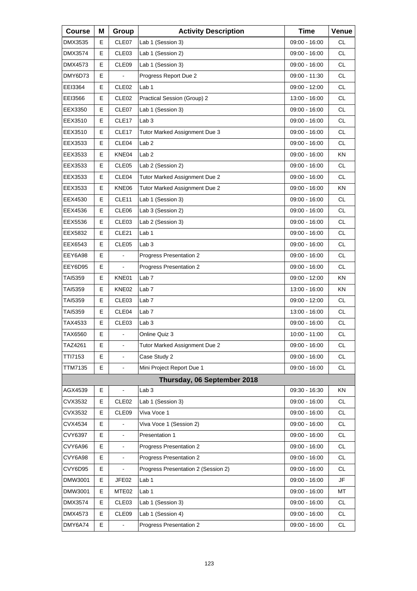| <b>Course</b>  | Μ | Group                    | <b>Activity Description</b>         | <b>Time</b>     | Venue     |
|----------------|---|--------------------------|-------------------------------------|-----------------|-----------|
| DMX3535        | Е | CLE07                    | Lab 1 (Session 3)                   | 09:00 - 16:00   | <b>CL</b> |
| DMX3574        | Е | CLE03                    | Lab 1 (Session 2)                   | 09:00 - 16:00   | <b>CL</b> |
| DMX4573        | E | CLE09                    | Lab 1 (Session 3)                   | 09:00 - 16:00   | <b>CL</b> |
| DMY6D73        | Е |                          | Progress Report Due 2               | 09:00 - 11:30   | <b>CL</b> |
| EEI3364        | E | CLE <sub>02</sub>        | Lab <sub>1</sub>                    | 09:00 - 12:00   | <b>CL</b> |
| EEI3566        | E | CLE <sub>02</sub>        | Practical Session (Group) 2         | 13:00 - 16:00   | <b>CL</b> |
| EEX3350        | Е | CLE07                    | Lab 1 (Session 3)                   | 09:00 - 16:00   | <b>CL</b> |
| EEX3510        | Е | CLE17                    | Lab <sub>3</sub>                    | 09:00 - 16:00   | <b>CL</b> |
| EEX3510        | E | CLE <sub>17</sub>        | Tutor Marked Assignment Due 3       | 09:00 - 16:00   | <b>CL</b> |
| EEX3533        | Е | CLE04                    | Lab <sub>2</sub>                    | 09:00 - 16:00   | <b>CL</b> |
| EEX3533        | Е | KNE04                    | Lab <sub>2</sub>                    | 09:00 - 16:00   | KN        |
| EEX3533        | Е | CLE <sub>05</sub>        | Lab 2 (Session 2)                   | $09:00 - 16:00$ | <b>CL</b> |
| EEX3533        | Е | CLE04                    | Tutor Marked Assignment Due 2       | 09:00 - 16:00   | <b>CL</b> |
| EEX3533        | Е | KNE06                    | Tutor Marked Assignment Due 2       | 09:00 - 16:00   | KN        |
| EEX4530        | Е | CLE <sub>11</sub>        | Lab 1 (Session 3)                   | 09:00 - 16:00   | <b>CL</b> |
| EEX4536        | Е | CLE06                    | Lab 3 (Session 2)                   | 09:00 - 16:00   | <b>CL</b> |
| EEX5536        | Е | CLE <sub>03</sub>        | Lab 2 (Session 3)                   | 09:00 - 16:00   | <b>CL</b> |
| EEX5832        | Е | CLE <sub>21</sub>        | Lab 1                               | 09:00 - 16:00   | <b>CL</b> |
| EEX6543        | Е | CLE <sub>05</sub>        | Lab <sub>3</sub>                    | 09:00 - 16:00   | <b>CL</b> |
| EEY6A98        | E |                          | Progress Presentation 2             | 09:00 - 16:00   | <b>CL</b> |
| EEY6D95        | Е |                          | <b>Progress Presentation 2</b>      | 09:00 - 16:00   | <b>CL</b> |
| TAI5359        | Е | KNE01                    | Lab <sub>7</sub>                    | 09:00 - 12:00   | KN        |
| TAI5359        | Е | KNE02                    | Lab <sub>7</sub>                    | 13:00 - 16:00   | KN        |
| TAI5359        | Е | CLE <sub>03</sub>        | Lab <sub>7</sub>                    | 09:00 - 12:00   | <b>CL</b> |
| TAI5359        | Е | CLE04                    | Lab <sub>7</sub>                    | 13:00 - 16:00   | <b>CL</b> |
| TAX4533        | Е | CLE <sub>03</sub>        | Lab <sub>3</sub>                    | 09:00 - 16:00   | <b>CL</b> |
| TAX6560        | E | $\overline{\phantom{a}}$ | Online Quiz 3                       | 10:00 - 11:00   | <b>CL</b> |
| TAZ4261        | Е | $\Box$                   | Tutor Marked Assignment Due 2       | 09:00 - 16:00   | CL        |
| TTI7153        | E |                          | Case Study 2                        | 09:00 - 16:00   | <b>CL</b> |
| <b>TTM7135</b> | E | $\blacksquare$           | Mini Project Report Due 1           | 09:00 - 16:00   | <b>CL</b> |
|                |   |                          | Thursday, 06 September 2018         |                 |           |
| AGX4539        | Е |                          | Lab <sub>3</sub>                    | 09:30 - 16:30   | KN        |
| CVX3532        | Е | CLE <sub>02</sub>        | Lab 1 (Session 3)                   | 09:00 - 16:00   | <b>CL</b> |
| CVX3532        | Е | CLE09                    | Viva Voce 1                         | 09:00 - 16:00   | CL        |
| CVX4534        | E |                          | Viva Voce 1 (Session 2)             | 09:00 - 16:00   | CL        |
| CVY6397        | E | $\blacksquare$           | Presentation 1                      | 09:00 - 16:00   | CL        |
| CVY6A96        | E |                          | Progress Presentation 2             | 09:00 - 16:00   | CL        |
| CVY6A98        | E |                          | Progress Presentation 2             | 09:00 - 16:00   | CL        |
| CVY6D95        | E |                          | Progress Presentation 2 (Session 2) | 09:00 - 16:00   | CL        |
| DMW3001        | Е | JFE02                    | Lab <sub>1</sub>                    | 09:00 - 16:00   | JF        |
| DMW3001        | E | MTE <sub>02</sub>        | Lab <sub>1</sub>                    | 09:00 - 16:00   | MT        |
| DMX3574        | E | CLE <sub>03</sub>        | Lab 1 (Session 3)                   | 09:00 - 16:00   | CL        |
| DMX4573        | E | CLE09                    | Lab 1 (Session 4)                   | 09:00 - 16:00   | CL        |
| DMY6A74        | E |                          | Progress Presentation 2             | 09:00 - 16:00   | CL        |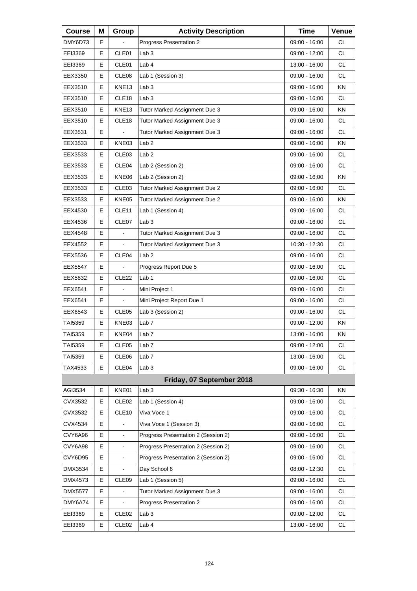| <b>Course</b>  | Μ | Group                    | <b>Activity Description</b>         | <b>Time</b>     | Venue     |
|----------------|---|--------------------------|-------------------------------------|-----------------|-----------|
| DMY6D73        | Е |                          | Progress Presentation 2             | 09:00 - 16:00   | <b>CL</b> |
| EEI3369        | E | CLE01                    | Lab <sub>3</sub>                    | 09:00 - 12:00   | <b>CL</b> |
| EEI3369        | E | CLE01                    | Lab 4                               | 13:00 - 16:00   | <b>CL</b> |
| EEX3350        | Е | CLE <sub>08</sub>        | Lab 1 (Session 3)                   | $09:00 - 16:00$ | <b>CL</b> |
| EEX3510        | E | KNE13                    | Lab <sub>3</sub>                    | 09:00 - 16:00   | KN        |
| EEX3510        | E | CLE <sub>18</sub>        | Lab <sub>3</sub>                    | $09:00 - 16:00$ | <b>CL</b> |
| EEX3510        | Е | KNE <sub>13</sub>        | Tutor Marked Assignment Due 3       | 09:00 - 16:00   | ΚN        |
| EEX3510        | E | CLE18                    | Tutor Marked Assignment Due 3       | 09:00 - 16:00   | <b>CL</b> |
| EEX3531        | E |                          | Tutor Marked Assignment Due 3       | 09:00 - 16:00   | <b>CL</b> |
| EEX3533        | Е | KNE03                    | Lab <sub>2</sub>                    | 09:00 - 16:00   | ΚN        |
| EEX3533        | E | CLE03                    | Lab <sub>2</sub>                    | 09:00 - 16:00   | <b>CL</b> |
| EEX3533        | Е | CLE <sub>04</sub>        | Lab 2 (Session 2)                   | $09:00 - 16:00$ | CL.       |
| EEX3533        | Е | KNE06                    | Lab 2 (Session 2)                   | 09:00 - 16:00   | ΚN        |
| EEX3533        | E | CLE03                    | Tutor Marked Assignment Due 2       | 09:00 - 16:00   | CL.       |
| EEX3533        | Е | KNE05                    | Tutor Marked Assignment Due 2       | 09:00 - 16:00   | KN        |
| EEX4530        | Е | CLE <sub>11</sub>        | Lab 1 (Session 4)                   | 09:00 - 16:00   | <b>CL</b> |
| EEX4536        | E | CLE07                    | Lab <sub>3</sub>                    | 09:00 - 16:00   | <b>CL</b> |
| EEX4548        | Е | $\overline{\phantom{a}}$ | Tutor Marked Assignment Due 3       | 09:00 - 16:00   | <b>CL</b> |
| EEX4552        | Е | $\blacksquare$           | Tutor Marked Assignment Due 3       | 10:30 - 12:30   | <b>CL</b> |
| EEX5536        | E | CLE04                    | Lab <sub>2</sub>                    | 09:00 - 16:00   | <b>CL</b> |
| EEX5547        | Е |                          | Progress Report Due 5               | 09:00 - 16:00   | <b>CL</b> |
| EEX5832        | Е | CLE <sub>22</sub>        | Lab <sub>1</sub>                    | 09:00 - 16:00   | <b>CL</b> |
| EEX6541        | E |                          | Mini Project 1                      | 09:00 - 16:00   | <b>CL</b> |
| EEX6541        | Е | $\overline{\phantom{a}}$ | Mini Project Report Due 1           | 09:00 - 16:00   | <b>CL</b> |
| EEX6543        | Е | CLE <sub>05</sub>        | Lab 3 (Session 2)                   | 09:00 - 16:00   | <b>CL</b> |
| TAI5359        | E | KNE03                    | Lab <sub>7</sub>                    | 09:00 - 12:00   | KN        |
| TAI5359        | Е | KNE04                    | Lab <sub>7</sub>                    | 13:00 - 16:00   | ΚN        |
| TAI5359        | Е | CLE05                    | Lab <sub>7</sub>                    | 09:00 - 12:00   | CL        |
| TAI5359        | Е | CLE06                    | Lab <sub>7</sub>                    | 13:00 - 16:00   | <b>CL</b> |
| TAX4533        | Е | CLE04                    | Lab <sub>3</sub>                    | 09:00 - 16:00   | <b>CL</b> |
|                |   |                          | Friday, 07 September 2018           |                 |           |
| AGI3534        | Е | KNE01                    | Lab <sub>3</sub>                    | 09:30 - 16:30   | KN        |
| CVX3532        | Е | CLE <sub>02</sub>        | Lab 1 (Session 4)                   | 09:00 - 16:00   | <b>CL</b> |
| CVX3532        | Е | CLE10                    | Viva Voce 1                         | 09:00 - 16:00   | CL        |
| CVX4534        | E |                          | Viva Voce 1 (Session 3)             | 09:00 - 16:00   | CL        |
| CVY6A96        | E | $\blacksquare$           | Progress Presentation 2 (Session 2) | 09:00 - 16:00   | CL        |
| CVY6A98        | E |                          | Progress Presentation 2 (Session 2) | 09:00 - 16:00   | CL        |
| CVY6D95        | E |                          | Progress Presentation 2 (Session 2) | 09:00 - 16:00   | CL        |
| DMX3534        | E | L,                       | Day School 6                        | 08:00 - 12:30   | CL        |
| DMX4573        | Е | CLE09                    | Lab 1 (Session 5)                   | 09:00 - 16:00   | CL        |
| <b>DMX5577</b> | E |                          | Tutor Marked Assignment Due 3       | 09:00 - 16:00   | CL        |
| DMY6A74        | E | $\blacksquare$           | Progress Presentation 2             | 09:00 - 16:00   | CL        |
| EEI3369        | Е | CLE <sub>02</sub>        | Lab <sub>3</sub>                    | 09:00 - 12:00   | CL        |
| EEI3369        | Е | CLE <sub>02</sub>        | Lab 4                               | 13:00 - 16:00   | CL.       |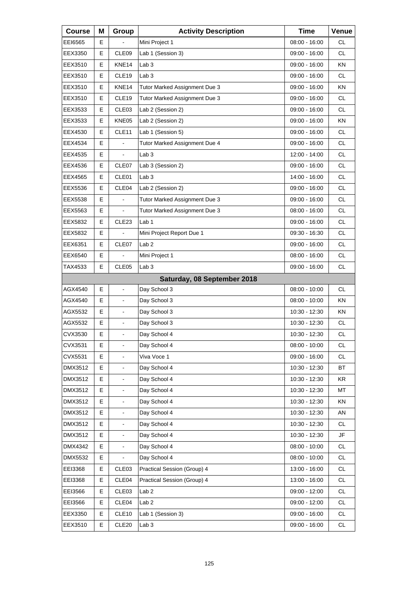| <b>Course</b> | Μ  | Group                    | <b>Activity Description</b>   | <b>Time</b>     | Venue                  |
|---------------|----|--------------------------|-------------------------------|-----------------|------------------------|
| EEI6565       | E. |                          | Mini Project 1                | 08:00 - 16:00   | CL.                    |
| EEX3350       | E  | CLE09                    | Lab 1 (Session 3)             | 09:00 - 16:00   | CL.                    |
| EEX3510       | E  | KNE14                    | Lab <sub>3</sub>              | 09:00 - 16:00   | KN                     |
| EEX3510       | Е  | CLE <sub>19</sub>        | Lab <sub>3</sub>              | $09:00 - 16:00$ | <b>CL</b>              |
| EEX3510       | E  | KNE14                    | Tutor Marked Assignment Due 3 | 09:00 - 16:00   | KN                     |
| EEX3510       | E  | CLE19                    | Tutor Marked Assignment Due 3 | 09:00 - 16:00   | <b>CL</b>              |
| EEX3533       | Е  | CLE <sub>03</sub>        | Lab 2 (Session 2)             | 09:00 - 16:00   | <b>CL</b>              |
| EEX3533       | E  | KNE05                    | Lab 2 (Session 2)             | 09:00 - 16:00   | KN                     |
| EEX4530       | E  | CLE11                    | Lab 1 (Session 5)             | 09:00 - 16:00   | <b>CL</b>              |
| EEX4534       | Е  |                          | Tutor Marked Assignment Due 4 | 09:00 - 16:00   | <b>CL</b>              |
| EEX4535       | E  |                          | Lab <sub>3</sub>              | 12:00 - 14:00   | <b>CL</b>              |
| EEX4536       | Е  | CLE07                    | Lab 3 (Session 2)             | $09:00 - 16:00$ | <b>CL</b>              |
| EEX4565       | Е  | CLE01                    | Lab <sub>3</sub>              | 14:00 - 16:00   | <b>CL</b>              |
| EEX5536       | E  | CLE04                    | Lab 2 (Session 2)             | 09:00 - 16:00   | <b>CL</b>              |
| EEX5538       | Е  |                          | Tutor Marked Assignment Due 3 | 09:00 - 16:00   | CL.                    |
| EEX5563       | Е  | $\blacksquare$           | Tutor Marked Assignment Due 3 | 08:00 - 16:00   | <b>CL</b>              |
| EEX5832       | E  | CLE23                    | Lab <sub>1</sub>              | 09:00 - 16:00   | <b>CL</b>              |
| EEX5832       | Е  |                          | Mini Project Report Due 1     | 09:30 - 16:30   | CL.                    |
| EEX6351       | Е  | CLE07                    | Lab <sub>2</sub>              | 09:00 - 16:00   | <b>CL</b>              |
| EEX6540       | E  |                          | Mini Project 1                | $08:00 - 16:00$ | <b>CL</b>              |
| TAX4533       | Е  | CLE <sub>05</sub>        | Lab <sub>3</sub>              | 09:00 - 16:00   | <b>CL</b>              |
|               |    |                          | Saturday, 08 September 2018   |                 |                        |
| AGX4540       | E  | $\overline{a}$           | Day School 3                  | 08:00 - 10:00   | CL.                    |
| AGX4540       | Е  | $\overline{\phantom{a}}$ | Day School 3                  | $08:00 - 10:00$ | ΚN                     |
| AGX5532       | E  | $\blacksquare$           | Day School 3                  | 10:30 - 12:30   | ΚN                     |
| AGX5532       | E  | $\blacksquare$           | Day School 3                  | 10:30 - 12:30   | <b>CL</b>              |
| CVX3530       | E  | L,                       | Day School 4                  | 10:30 - 12:30   | <b>CL</b>              |
| CVX3531       | Е  | $\blacksquare$           | Day School 4                  | 08:00 - 10:00   | CL                     |
| CVX5531       | Е  |                          | Viva Voce 1                   | 09:00 - 16:00   | <b>CL</b>              |
| DMX3512       | E  | $\blacksquare$           | Day School 4                  | 10:30 - 12:30   | <b>BT</b>              |
| DMX3512       | Е  | $\blacksquare$           | Day School 4                  | 10:30 - 12:30   | KR                     |
| DMX3512       | E  |                          | Day School 4                  | 10:30 - 12:30   | MT                     |
| DMX3512       | E  | $\blacksquare$           | Day School 4                  | 10:30 - 12:30   | KN                     |
| DMX3512       | E  | $\blacksquare$           | Day School 4                  | 10:30 - 12:30   | AN                     |
| DMX3512       | E  |                          | Day School 4                  | $10:30 - 12:30$ | CL                     |
| DMX3512       | E  | $\blacksquare$           | Day School 4                  | 10:30 - 12:30   | $\mathsf{J}\mathsf{F}$ |
| DMX4342       | Е  |                          | Day School 4                  | $08:00 - 10:00$ | CL                     |
| DMX5532       | Е  |                          | Day School 4                  | 08:00 - 10:00   | CL                     |
| EEI3368       | Е  | CLE <sub>03</sub>        | Practical Session (Group) 4   | 13:00 - 16:00   | CL                     |
| EEI3368       | Е  | CLE04                    | Practical Session (Group) 4   | 13:00 - 16:00   | CL                     |
| EEI3566       | Е  | CLE03                    | Lab <sub>2</sub>              | 09:00 - 12:00   | CL                     |
| EEI3566       | Е  | CLE04                    | Lab <sub>2</sub>              | 09:00 - 12:00   | CL                     |
| EEX3350       | Е  | CLE10                    | Lab 1 (Session 3)             | 09:00 - 16:00   | CL                     |
| EEX3510       | Е  | CLE <sub>20</sub>        | Lab <sub>3</sub>              | 09:00 - 16:00   | CL                     |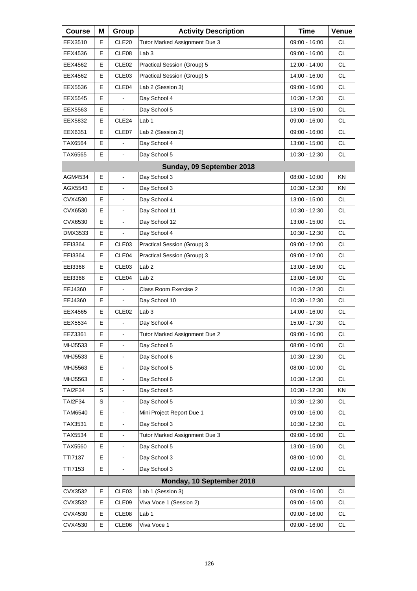| <b>Course</b>  | Μ | Group                    | <b>Activity Description</b>   | <b>Time</b>   | Venue     |
|----------------|---|--------------------------|-------------------------------|---------------|-----------|
| EEX3510        | Е | CLE <sub>20</sub>        | Tutor Marked Assignment Due 3 | 09:00 - 16:00 | <b>CL</b> |
| EEX4536        | E | CLE08                    | Lab <sub>3</sub>              | 09:00 - 16:00 | <b>CL</b> |
| EEX4562        | E | CLE <sub>02</sub>        | Practical Session (Group) 5   | 12:00 - 14:00 | <b>CL</b> |
| EEX4562        | Е | CLE <sub>03</sub>        | Practical Session (Group) 5   | 14:00 - 16:00 | <b>CL</b> |
| EEX5536        | E | CLE04                    | Lab 2 (Session 3)             | 09:00 - 16:00 | <b>CL</b> |
| EEX5545        | E |                          | Day School 4                  | 10:30 - 12:30 | <b>CL</b> |
| EEX5563        | Е | $\blacksquare$           | Day School 5                  | 13:00 - 15:00 | <b>CL</b> |
| EEX5832        | E | CLE24                    | Lab <sub>1</sub>              | 09:00 - 16:00 | <b>CL</b> |
| EEX6351        | E | CLE07                    | Lab 2 (Session 2)             | 09:00 - 16:00 | <b>CL</b> |
| TAX6564        | Е | $\blacksquare$           | Day School 4                  | 13:00 - 15:00 | <b>CL</b> |
| TAX6565        | E | $\blacksquare$           | Day School 5                  | 10:30 - 12:30 | <b>CL</b> |
|                |   |                          | Sunday, 09 September 2018     |               |           |
| AGM4534        | Е | $\blacksquare$           | Day School 3                  | 08:00 - 10:00 | ΚN        |
| AGX5543        | E | $\blacksquare$           | Day School 3                  | 10:30 - 12:30 | <b>KN</b> |
| CVX4530        | E | $\overline{\phantom{a}}$ | Day School 4                  | 13:00 - 15:00 | CL.       |
| CVX6530        | E | $\blacksquare$           | Day School 11                 | 10:30 - 12:30 | <b>CL</b> |
| CVX6530        | E | $\blacksquare$           | Day School 12                 | 13:00 - 15:00 | <b>CL</b> |
| DMX3533        | Е |                          | Day School 4                  | 10:30 - 12:30 | <b>CL</b> |
| EEI3364        | Е | CLE <sub>03</sub>        | Practical Session (Group) 3   | 09:00 - 12:00 | <b>CL</b> |
| EEI3364        | E | CLE04                    | Practical Session (Group) 3   | 09:00 - 12:00 | <b>CL</b> |
| EEI3368        | Е | CLE <sub>03</sub>        | Lab 2                         | 13:00 - 16:00 | <b>CL</b> |
| EEI3368        | Е | CLE04                    | Lab <sub>2</sub>              | 13:00 - 16:00 | <b>CL</b> |
| EEJ4360        | E |                          | Class Room Exercise 2         | 10:30 - 12:30 | <b>CL</b> |
| EEJ4360        | Е |                          | Day School 10                 | 10:30 - 12:30 | <b>CL</b> |
| EEX4565        | E | CLE <sub>02</sub>        | Lab <sub>3</sub>              | 14:00 - 16:00 | <b>CL</b> |
| EEX5534        | E |                          | Day School 4                  | 15:00 - 17:30 | <b>CL</b> |
| EEZ3361        | E | L,                       | Tutor Marked Assignment Due 2 | 09:00 - 16:00 | <b>CL</b> |
| MHJ5533        | Е | $\blacksquare$           | Day School 5                  | 08:00 - 10:00 | CL        |
| MHJ5533        | E |                          | Day School 6                  | 10:30 - 12:30 | CL        |
| MHJ5563        | E | $\blacksquare$           | Day School 5                  | 08:00 - 10:00 | <b>CL</b> |
| MHJ5563        | E | $\blacksquare$           | Day School 6                  | 10:30 - 12:30 | CL        |
| TAI2F34        | S |                          | Day School 5                  | 10:30 - 12:30 | KN        |
| TAI2F34        | S | $\blacksquare$           | Day School 5                  | 10:30 - 12:30 | <b>CL</b> |
| TAM6540        | E | $\blacksquare$           | Mini Project Report Due 1     | 09:00 - 16:00 | CL        |
| TAX3531        | Е |                          | Day School 3                  | 10:30 - 12:30 | CL        |
| TAX5534        | E | $\blacksquare$           | Tutor Marked Assignment Due 3 | 09:00 - 16:00 | CL        |
| TAX5560        | Е | $\blacksquare$           | Day School 5                  | 13:00 - 15:00 | CL        |
| <b>TTI7137</b> | E |                          | Day School 3                  | 08:00 - 10:00 | CL        |
| TTI7153        | E | $\blacksquare$           | Day School 3                  | 09:00 - 12:00 | <b>CL</b> |
|                |   |                          | Monday, 10 September 2018     |               |           |
| CVX3532        | Е | CLE03                    | Lab 1 (Session 3)             | 09:00 - 16:00 | CL        |
| CVX3532        | E | CLE <sub>09</sub>        | Viva Voce 1 (Session 2)       | 09:00 - 16:00 | <b>CL</b> |
| CVX4530        | Е | CLE08                    | Lab <sub>1</sub>              | 09:00 - 16:00 | CL        |
| CVX4530        | Е | CLE06                    | Viva Voce 1                   | 09:00 - 16:00 | CL        |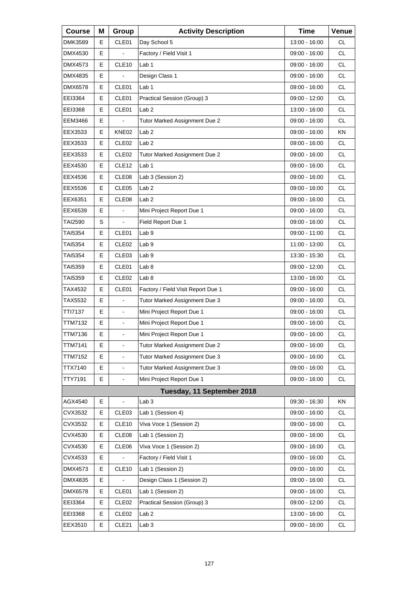| <b>Course</b>  | Μ | Group             | <b>Activity Description</b>        | <b>Time</b>     | Venue     |
|----------------|---|-------------------|------------------------------------|-----------------|-----------|
| DMK3589        | Е | CLE01             | Day School 5                       | 13:00 - 16:00   | СL        |
| DMX4530        | E |                   | Factory / Field Visit 1            | 09:00 - 16:00   | <b>CL</b> |
| DMX4573        | E | CLE <sub>10</sub> | Lab 1                              | 09:00 - 16:00   | <b>CL</b> |
| DMX4835        | E |                   | Design Class 1                     | 09:00 - 16:00   | <b>CL</b> |
| DMX6578        | E | CLE01             | Lab <sub>1</sub>                   | 09:00 - 16:00   | <b>CL</b> |
| EEI3364        | E | CLE01             | Practical Session (Group) 3        | 09:00 - 12:00   | <b>CL</b> |
| EEI3368        | E | CLE01             | Lab <sub>2</sub>                   | 13:00 - 16:00   | <b>CL</b> |
| EEM3466        | Е |                   | Tutor Marked Assignment Due 2      | $09:00 - 16:00$ | <b>CL</b> |
| EEX3533        | E | KNE02             | Lab <sub>2</sub>                   | 09:00 - 16:00   | KN        |
| EEX3533        | Е | CLE <sub>02</sub> | Lab <sub>2</sub>                   | 09:00 - 16:00   | <b>CL</b> |
| EEX3533        | Е | CLE <sub>02</sub> | Tutor Marked Assignment Due 2      | 09:00 - 16:00   | <b>CL</b> |
| EEX4530        | E | CLE <sub>12</sub> | Lab 1                              | 09:00 - 16:00   | <b>CL</b> |
| EEX4536        | Е | CLE08             | Lab 3 (Session 2)                  | 09:00 - 16:00   | <b>CL</b> |
| EEX5536        | Е | CLE05             | Lab <sub>2</sub>                   | 09:00 - 16:00   | <b>CL</b> |
| EEX6351        | E | CLE08             | Lab <sub>2</sub>                   | 09:00 - 16:00   | <b>CL</b> |
| EEX6539        | Е | $\overline{a}$    | Mini Project Report Due 1          | 09:00 - 16:00   | <b>CL</b> |
| TAI2590        | S |                   | Field Report Due 1                 | 09:00 - 16:00   | <b>CL</b> |
| <b>TAI5354</b> | E | CLE01             | Lab <sub>9</sub>                   | 09:00 - 11:00   | <b>CL</b> |
| TAI5354        | Е | CLE <sub>02</sub> | Lab 9                              | 11:00 - 13:00   | <b>CL</b> |
| TAI5354        | Е | CLE03             | Lab <sub>9</sub>                   | 13:30 - 15:30   | <b>CL</b> |
| TAI5359        | E | CLE01             | Lab <sub>8</sub>                   | 09:00 - 12:00   | <b>CL</b> |
| TAI5359        | Е | CLE <sub>02</sub> | Lab 8                              | 13:00 - 16:00   | <b>CL</b> |
| TAX4532        | Е | CLE01             | Factory / Field Visit Report Due 1 | 09:00 - 16:00   | <b>CL</b> |
| TAX5532        | E | $\overline{a}$    | Tutor Marked Assignment Due 3      | 09:00 - 16:00   | <b>CL</b> |
| TTI7137        | E | $\blacksquare$    | Mini Project Report Due 1          | 09:00 - 16:00   | CL        |
| TTM7132        | E | $\blacksquare$    | Mini Project Report Due 1          | 09:00 - 16:00   | <b>CL</b> |
| TTM7136        | E | L,                | Mini Project Report Due 1          | $09:00 - 16:00$ | CL        |
| TTM7141        | Е | $\blacksquare$    | Tutor Marked Assignment Due 2      | 09:00 - 16:00   | <b>CL</b> |
| <b>TTM7152</b> | Е | $\blacksquare$    | Tutor Marked Assignment Due 3      | $09:00 - 16:00$ | <b>CL</b> |
| TTX7140        | E |                   | Tutor Marked Assignment Due 3      | 09:00 - 16:00   | CL        |
| TTY7191        | Е | $\blacksquare$    | Mini Project Report Due 1          | 09:00 - 16:00   | <b>CL</b> |
|                |   |                   | Tuesday, 11 September 2018         |                 |           |
| AGX4540        | Е | $\overline{a}$    | Lab <sub>3</sub>                   | 09:30 - 16:30   | ΚN        |
| CVX3532        | Е | CLE03             | Lab 1 (Session 4)                  | 09:00 - 16:00   | <b>CL</b> |
| CVX3532        | Е | CLE <sub>10</sub> | Viva Voce 1 (Session 2)            | $09:00 - 16:00$ | CL        |
| CVX4530        | Е | CLE08             | Lab 1 (Session 2)                  | 09:00 - 16:00   | CL        |
| CVX4530        | Е | CLE06             | Viva Voce 1 (Session 2)            | 09:00 - 16:00   | CL        |
| CVX4533        | Е |                   | Factory / Field Visit 1            | 09:00 - 16:00   | CL        |
| DMX4573        | Е | CLE10             | Lab 1 (Session 2)                  | 09:00 - 16:00   | CL        |
| DMX4835        | Е |                   | Design Class 1 (Session 2)         | 09:00 - 16:00   | CL        |
| DMX6578        | Е | CLE01             | Lab 1 (Session 2)                  | 09:00 - 16:00   | CL        |
| EEI3364        | Е | CLE <sub>02</sub> | Practical Session (Group) 3        | 09:00 - 12:00   | CL        |
| EEI3368        | Е | CLE <sub>02</sub> | Lab 2                              | 13:00 - 16:00   | <b>CL</b> |
| EEX3510        | Е | CLE <sub>21</sub> | Lab <sub>3</sub>                   | 09:00 - 16:00   | CL.       |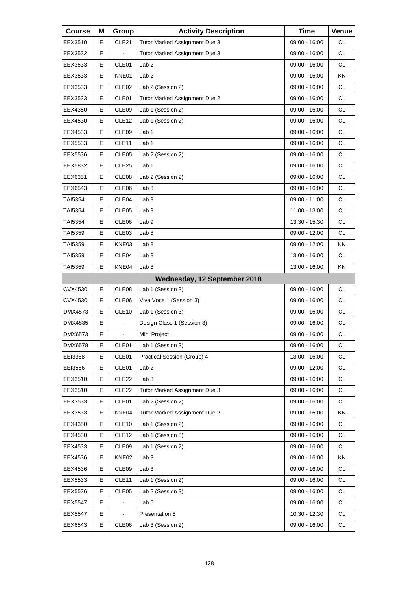| <b>Course</b>  | Μ | Group             | <b>Activity Description</b>   | <b>Time</b>     | Venue     |
|----------------|---|-------------------|-------------------------------|-----------------|-----------|
| EEX3510        | Е | CLE <sub>21</sub> | Tutor Marked Assignment Due 3 | 09:00 - 16:00   | <b>CL</b> |
| EEX3532        | E |                   | Tutor Marked Assignment Due 3 | 09:00 - 16:00   | <b>CL</b> |
| EEX3533        | E | CLE01             | Lab 2                         | 09:00 - 16:00   | <b>CL</b> |
| EEX3533        | Е | KNE01             | Lab <sub>2</sub>              | 09:00 - 16:00   | ΚN        |
| EEX3533        | E | CLE <sub>02</sub> | Lab 2 (Session 2)             | 09:00 - 16:00   | <b>CL</b> |
| EEX3533        | E | CLE01             | Tutor Marked Assignment Due 2 | 09:00 - 16:00   | <b>CL</b> |
| EEX4350        | Е | CLE09             | Lab 1 (Session 2)             | 09:00 - 16:00   | <b>CL</b> |
| EEX4530        | E | CLE <sub>12</sub> | Lab 1 (Session 2)             | 09:00 - 16:00   | <b>CL</b> |
| EEX4533        | E | CLE09             | Lab 1                         | 09:00 - 16:00   | <b>CL</b> |
| EEX5533        | Е | CLE <sub>11</sub> | Lab 1                         | 09:00 - 16:00   | <b>CL</b> |
| EEX5536        | E | CLE05             | Lab 2 (Session 2)             | 09:00 - 16:00   | <b>CL</b> |
| EEX5832        | Е | CLE <sub>25</sub> | Lab 1                         | 09:00 - 16:00   | <b>CL</b> |
| EEX6351        | Е | CLE08             | Lab 2 (Session 2)             | 09:00 - 16:00   | <b>CL</b> |
| EEX6543        | E | CLE06             | Lab <sub>3</sub>              | $09:00 - 16:00$ | <b>CL</b> |
| TAI5354        | Е | CLE04             | Lab <sub>9</sub>              | 09:00 - 11:00   | <b>CL</b> |
| TAI5354        | Е | CLE <sub>05</sub> | Lab <sub>9</sub>              | 11:00 - 13:00   | <b>CL</b> |
| TAI5354        | Е | CLE06             | Lab <sub>9</sub>              | 13:30 - 15:30   | <b>CL</b> |
| TAI5359        | Е | CLE <sub>03</sub> | Lab <sub>8</sub>              | 09:00 - 12:00   | <b>CL</b> |
| TAI5359        | Е | KNE03             | Lab <sub>8</sub>              | 09:00 - 12:00   | ΚN        |
| TAI5359        | E | CLE04             | Lab <sub>8</sub>              | 13:00 - 16:00   | <b>CL</b> |
| TAI5359        | Е | KNE04             | Lab <sub>8</sub>              | 13:00 - 16:00   | ΚN        |
|                |   |                   | Wednesday, 12 September 2018  |                 |           |
| CVX4530        | E | CLE08             | Lab 1 (Session 3)             | 09:00 - 16:00   | <b>CL</b> |
| CVX4530        | Е | CLE <sub>06</sub> | Viva Voce 1 (Session 3)       | $09:00 - 16:00$ | <b>CL</b> |
| DMX4573        | Е | CLE <sub>10</sub> | Lab 1 (Session 3)             | 09:00 - 16:00   | <b>CL</b> |
| DMX4835        | E |                   | Design Class 1 (Session 3)    | 09:00 - 16:00   | <b>CL</b> |
| DMX6573        | E | ä,                | Mini Project 1                | $09:00 - 16:00$ | <b>CL</b> |
| DMX6578        | Е | CLE01             | Lab 1 (Session 3)             | 09:00 - 16:00   | CL.       |
| EEI3368        | Е | CLE01             | Practical Session (Group) 4   | 13:00 - 16:00   | <b>CL</b> |
| EEI3566        | Е | CLE01             | Lab <sub>2</sub>              | 09:00 - 12:00   | CL        |
| EEX3510        | Е | CLE <sub>22</sub> | Lab <sub>3</sub>              | 09:00 - 16:00   | CL        |
| EEX3510        | Е | CLE <sub>22</sub> | Tutor Marked Assignment Due 3 | 09:00 - 16:00   | CL        |
| EEX3533        | Е | CLE01             | Lab 2 (Session 2)             | 09:00 - 16:00   | CL        |
| EEX3533        | Е | KNE04             | Tutor Marked Assignment Due 2 | 09:00 - 16:00   | KN        |
| EEX4350        | Е | CLE10             | Lab 1 (Session 2)             | $09:00 - 16:00$ | CL        |
| EEX4530        | Е | CLE <sub>12</sub> | Lab 1 (Session 3)             | 09:00 - 16:00   | CL        |
| EEX4533        | Е | CLE09             | Lab 1 (Session 2)             | 09:00 - 16:00   | CL        |
| EEX4536        | Е | KNE02             | Lab <sub>3</sub>              | 09:00 - 16:00   | KN        |
| EEX4536        | Е | CLE09             | Lab <sub>3</sub>              | 09:00 - 16:00   | CL        |
| EEX5533        | Е | CLE <sub>11</sub> | Lab 1 (Session 2)             | 09:00 - 16:00   | CL        |
| EEX5536        | Е | CLE05             | Lab 2 (Session 3)             | 09:00 - 16:00   | CL        |
| EEX5547        | Е |                   | Lab <sub>5</sub>              | 09:00 - 16:00   | CL        |
| <b>EEX5547</b> | Е |                   | Presentation 5                | 10:30 - 12:30   | CL        |
| EEX6543        | Е | CLE06             | Lab 3 (Session 2)             | 09:00 - 16:00   | CL        |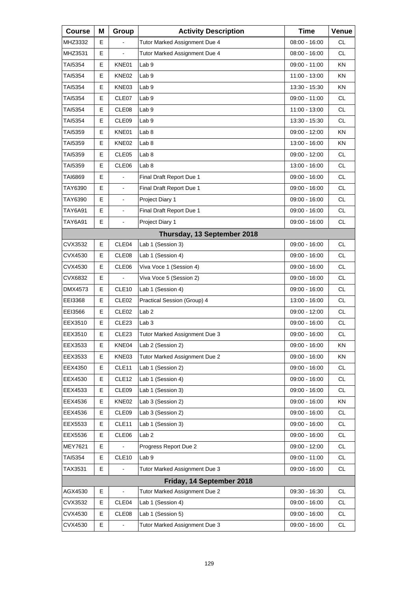| <b>Course</b>  | Μ | Group             | <b>Activity Description</b>   | <b>Time</b>     | Venue     |
|----------------|---|-------------------|-------------------------------|-----------------|-----------|
| MHZ3332        | E |                   | Tutor Marked Assignment Due 4 | 08:00 - 16:00   | СL        |
| MHZ3531        | Е |                   | Tutor Marked Assignment Due 4 | 08:00 - 16:00   | <b>CL</b> |
| TAI5354        | E | KNE01             | Lab <sub>9</sub>              | 09:00 - 11:00   | KN        |
| TAI5354        | Е | KNE02             | Lab <sub>9</sub>              | 11:00 - 13:00   | ΚN        |
| TAI5354        | Е | KNE03             | Lab <sub>9</sub>              | 13:30 - 15:30   | KN        |
| TAI5354        | Е | CLE07             | Lab <sub>9</sub>              | 09:00 - 11:00   | <b>CL</b> |
| TAI5354        | Е | CLE08             | Lab <sub>9</sub>              | 11:00 - 13:00   | <b>CL</b> |
| TAI5354        | Е | CLE09             | Lab <sub>9</sub>              | 13:30 - 15:30   | <b>CL</b> |
| TAI5359        | Е | KNE01             | Lab <sub>8</sub>              | 09:00 - 12:00   | KN        |
| TAI5359        | Е | KNE02             | Lab 8                         | 13:00 - 16:00   | ΚN        |
| TAI5359        | Е | CLE <sub>05</sub> | Lab <sub>8</sub>              | 09:00 - 12:00   | <b>CL</b> |
| TAI5359        | E | CLE06             | Lab <sub>8</sub>              | 13:00 - 16:00   | <b>CL</b> |
| TAI6869        | Е |                   | Final Draft Report Due 1      | 09:00 - 16:00   | <b>CL</b> |
| TAY6390        | Е | $\blacksquare$    | Final Draft Report Due 1      | 09:00 - 16:00   | <b>CL</b> |
| TAY6390        | E | $\blacksquare$    | Project Diary 1               | 09:00 - 16:00   | <b>CL</b> |
| TAY6A91        | E | $\blacksquare$    | Final Draft Report Due 1      | 09:00 - 16:00   | <b>CL</b> |
| TAY6A91        | E | $\blacksquare$    | Project Diary 1               | 09:00 - 16:00   | <b>CL</b> |
|                |   |                   | Thursday, 13 September 2018   |                 |           |
| CVX3532        | Е | CLE <sub>04</sub> | Lab 1 (Session 3)             | 09:00 - 16:00   | CL        |
| CVX4530        | Е | CLE <sub>08</sub> | Lab 1 (Session 4)             | 09:00 - 16:00   | <b>CL</b> |
| CVX4530        | E | CLE06             | Viva Voce 1 (Session 4)       | 09:00 - 16:00   | <b>CL</b> |
| CVX6832        | Е |                   | Viva Voce 5 (Session 2)       | 09:00 - 16:00   | <b>CL</b> |
| DMX4573        | E | CLE <sub>10</sub> | Lab 1 (Session 4)             | 09:00 - 16:00   | <b>CL</b> |
| EEI3368        | E | CLE <sub>02</sub> | Practical Session (Group) 4   | 13:00 - 16:00   | <b>CL</b> |
| EEI3566        | Е | CLE <sub>02</sub> | Lab <sub>2</sub>              | 09:00 - 12:00   | СL        |
| EEX3510        | Е | CLE <sub>23</sub> | Lab <sub>3</sub>              | 09:00 - 16:00   | <b>CL</b> |
| EEX3510        | E | CLE23             | Tutor Marked Assignment Due 3 | $09:00 - 16:00$ | CL        |
| EEX3533        | Е | KNE04             | Lab 2 (Session 2)             | 09:00 - 16:00   | ΚN        |
| EEX3533        | Е | KNE03             | Tutor Marked Assignment Due 2 | 09:00 - 16:00   | KN        |
| EEX4350        | Е | CLE11             | Lab 1 (Session 2)             | 09:00 - 16:00   | CL        |
| EEX4530        | Е | CLE <sub>12</sub> | Lab 1 (Session 4)             | 09:00 - 16:00   | CL.       |
| EEX4533        | Е | CLE09             | Lab 1 (Session 3)             | 09:00 - 16:00   | CL        |
| EEX4536        | Е | KNE02             | Lab 3 (Session 2)             | 09:00 - 16:00   | KN        |
| EEX4536        | Е | CLE09             | Lab 3 (Session 2)             | 09:00 - 16:00   | <b>CL</b> |
| EEX5533        | Е | CLE <sub>11</sub> | Lab 1 (Session 3)             | 09:00 - 16:00   | CL        |
| EEX5536        | Е | CLE06             | Lab <sub>2</sub>              | 09:00 - 16:00   | CL        |
| <b>MEY7621</b> | Ε |                   | Progress Report Due 2         | 09:00 - 12:00   | CL        |
| TAI5354        | Е | CLE <sub>10</sub> | Lab <sub>9</sub>              | 09:00 - 11:00   | CL        |
| TAX3531        | E |                   | Tutor Marked Assignment Due 3 | 09:00 - 16:00   | CL        |
|                |   |                   | Friday, 14 September 2018     |                 |           |
| AGX4530        | Е |                   | Tutor Marked Assignment Due 2 | 09:30 - 16:30   | <b>CL</b> |
| CVX3532        | Е | CLE04             | Lab 1 (Session 4)             | 09:00 - 16:00   | CL        |
| CVX4530        | Е | CLE08             | Lab 1 (Session 5)             | 09:00 - 16:00   | CL.       |
| CVX4530        | E |                   | Tutor Marked Assignment Due 3 | 09:00 - 16:00   | CL        |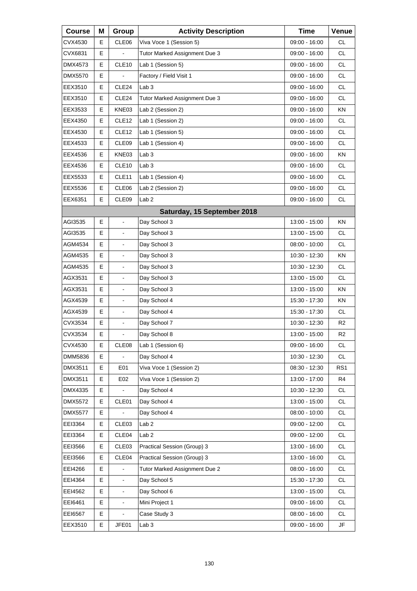| <b>Course</b>  | Μ | Group             | <b>Activity Description</b>   | <b>Time</b>     | Venue           |
|----------------|---|-------------------|-------------------------------|-----------------|-----------------|
| CVX4530        | Е | CLE06             | Viva Voce 1 (Session 5)       | 09:00 - 16:00   | <b>CL</b>       |
| CVX6831        | Е |                   | Tutor Marked Assignment Due 3 | 09:00 - 16:00   | <b>CL</b>       |
| DMX4573        | E | CLE <sub>10</sub> | Lab 1 (Session 5)             | 09:00 - 16:00   | <b>CL</b>       |
| DMX5570        | Е |                   | Factory / Field Visit 1       | 09:00 - 16:00   | <b>CL</b>       |
| EEX3510        | E | CLE <sub>24</sub> | Lab <sub>3</sub>              | 09:00 - 16:00   | <b>CL</b>       |
| EEX3510        | E | CLE24             | Tutor Marked Assignment Due 3 | 09:00 - 16:00   | <b>CL</b>       |
| EEX3533        | Е | KNE03             | Lab 2 (Session 2)             | 09:00 - 16:00   | ΚN              |
| EEX4350        | Е | CLE <sub>12</sub> | Lab 1 (Session 2)             | 09:00 - 16:00   | <b>CL</b>       |
| EEX4530        | Е | CLE <sub>12</sub> | Lab 1 (Session 5)             | 09:00 - 16:00   | <b>CL</b>       |
| EEX4533        | Е | CLE09             | Lab 1 (Session 4)             | 09:00 - 16:00   | <b>CL</b>       |
| EEX4536        | E | KNE03             | Lab <sub>3</sub>              | 09:00 - 16:00   | KN              |
| EEX4536        | E | CLE10             | Lab <sub>3</sub>              | 09:00 - 16:00   | <b>CL</b>       |
| EEX5533        | Е | CLE <sub>11</sub> | Lab 1 (Session 4)             | 09:00 - 16:00   | <b>CL</b>       |
| EEX5536        | Е | CLE06             | Lab 2 (Session 2)             | 09:00 - 16:00   | <b>CL</b>       |
| EEX6351        | E | CLE09             | Lab <sub>2</sub>              | 09:00 - 16:00   | <b>CL</b>       |
|                |   |                   | Saturday, 15 September 2018   |                 |                 |
| AGI3535        | E |                   | Day School 3                  | 13:00 - 15:00   | KN              |
| AGI3535        | E |                   | Day School 3                  | 13:00 - 15:00   | <b>CL</b>       |
| AGM4534        | Е | $\blacksquare$    | Day School 3                  | $08:00 - 10:00$ | CL              |
| AGM4535        | E |                   | Day School 3                  | 10:30 - 12:30   | KN              |
| AGM4535        | E |                   | Day School 3                  | 10:30 - 12:30   | <b>CL</b>       |
| AGX3531        | Е | $\blacksquare$    | Day School 3                  | 13:00 - 15:00   | CL              |
| AGX3531        | E |                   | Day School 3                  | 13:00 - 15:00   | ΚN              |
| AGX4539        | E | $\blacksquare$    | Day School 4                  | 15:30 - 17:30   | <b>KN</b>       |
| AGX4539        | Е | $\blacksquare$    | Day School 4                  | 15:30 - 17:30   | CL              |
| CVX3534        | E |                   | Day School 7                  | 10:30 - 12:30   | R2              |
| CVX3534        | E | $\blacksquare$    | Day School 8                  | 13:00 - 15:00   | R <sub>2</sub>  |
| CVX4530        | Е | CLE08             | Lab 1 (Session 6)             | 09:00 - 16:00   | <b>CL</b>       |
| DMM5836        | Е |                   | Day School 4                  | 10:30 - 12:30   | CL.             |
| DMX3511        | Е | E01               | Viva Voce 1 (Session 2)       | 08:30 - 12:30   | RS <sub>1</sub> |
| DMX3511        | Е | E02               | Viva Voce 1 (Session 2)       | 13:00 - 17:00   | R4              |
| DMX4335        | Е |                   | Day School 4                  | 10:30 - 12:30   | CL              |
| DMX5572        | Е | CLE01             | Day School 4                  | 13:00 - 15:00   | CL              |
| <b>DMX5577</b> | Е |                   | Day School 4                  | 08:00 - 10:00   | <b>CL</b>       |
| EEI3364        | Е | CLE <sub>03</sub> | Lab <sub>2</sub>              | $09:00 - 12:00$ | CL              |
| EEI3364        | Е | CLE04             | Lab <sub>2</sub>              | 09:00 - 12:00   | CL              |
| EEI3566        | Е | CLE03             | Practical Session (Group) 3   | 13:00 - 16:00   | CL              |
| EEI3566        | Е | CLE04             | Practical Session (Group) 3   | 13:00 - 16:00   | CL              |
| EEI4266        | E |                   | Tutor Marked Assignment Due 2 | 08:00 - 16:00   | CL              |
| EEI4364        | Е |                   | Day School 5                  | 15:30 - 17:30   | CL              |
| EEI4562        | Е |                   | Day School 6                  | 13:00 - 15:00   | CL              |
| EEI6461        | Е |                   | Mini Project 1                | 09:00 - 16:00   | CL              |
| EEI6567        | Е |                   | Case Study 3                  | 08:00 - 16:00   | <b>CL</b>       |
| EEX3510        | Е | JFE01             | Lab <sub>3</sub>              | 09:00 - 16:00   | JF              |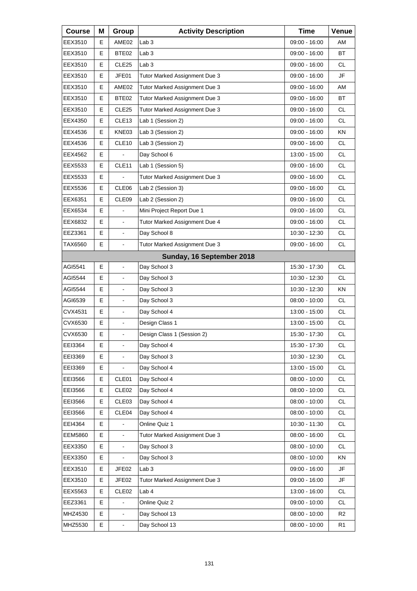| <b>Course</b>  | Μ | Group                    | <b>Activity Description</b>   | <b>Time</b>     | Venue          |
|----------------|---|--------------------------|-------------------------------|-----------------|----------------|
| EEX3510        | Е | AME02                    | Lab <sub>3</sub>              | 09:00 - 16:00   | AM             |
| EEX3510        | Е | BTE02                    | Lab <sub>3</sub>              | 09:00 - 16:00   | ВT             |
| EEX3510        | Е | CLE <sub>25</sub>        | Lab <sub>3</sub>              | 09:00 - 16:00   | <b>CL</b>      |
| EEX3510        | Е | JFE01                    | Tutor Marked Assignment Due 3 | 09:00 - 16:00   | JF             |
| EEX3510        | Е | AME02                    | Tutor Marked Assignment Due 3 | 09:00 - 16:00   | AM             |
| EEX3510        | Е | BTE02                    | Tutor Marked Assignment Due 3 | 09:00 - 16:00   | <b>BT</b>      |
| EEX3510        | Е | CLE <sub>25</sub>        | Tutor Marked Assignment Due 3 | 09:00 - 16:00   | <b>CL</b>      |
| EEX4350        | Е | CLE <sub>13</sub>        | Lab 1 (Session 2)             | 09:00 - 16:00   | <b>CL</b>      |
| EEX4536        | Е | KNE03                    | Lab 3 (Session 2)             | 09:00 - 16:00   | KN             |
| EEX4536        | E | CLE <sub>10</sub>        | Lab 3 (Session 2)             | 09:00 - 16:00   | <b>CL</b>      |
| EEX4562        | Е |                          | Day School 6                  | 13:00 - 15:00   | <b>CL</b>      |
| EEX5533        | E | CLE <sub>11</sub>        | Lab 1 (Session 5)             | 09:00 - 16:00   | CL.            |
| EEX5533        | E |                          | Tutor Marked Assignment Due 3 | 09:00 - 16:00   | <b>CL</b>      |
| EEX5536        | Е | CLE06                    | Lab 2 (Session 3)             | 09:00 - 16:00   | <b>CL</b>      |
| EEX6351        | E | CLE <sub>09</sub>        | Lab 2 (Session 2)             | 09:00 - 16:00   | CL.            |
| EEX6534        | E |                          | Mini Project Report Due 1     | 09:00 - 16:00   | <b>CL</b>      |
| EEX6832        | Е | $\overline{\phantom{a}}$ | Tutor Marked Assignment Due 4 | 09:00 - 16:00   | <b>CL</b>      |
| EEZ3361        | E | $\blacksquare$           | Day School 8                  | 10:30 - 12:30   | CL.            |
| TAX6560        | E | L,                       | Tutor Marked Assignment Due 3 | 09:00 - 16:00   | <b>CL</b>      |
|                |   |                          | Sunday, 16 September 2018     |                 |                |
| AGI5541        | E | ä,                       | Day School 3                  | 15:30 - 17:30   | CL.            |
| AGI5544        | E |                          | Day School 3                  | 10:30 - 12:30   | <b>CL</b>      |
| AGI5544        | Е |                          | Day School 3                  | 10:30 - 12:30   | ΚN             |
| AGI6539        | E | ä,                       | Day School 3                  | 08:00 - 10:00   | CL.            |
| CVX4531        | E | $\blacksquare$           | Day School 4                  | 13:00 - 15:00   | <b>CL</b>      |
| CVX6530        | E |                          | Design Class 1                | 13:00 - 15:00   | CL             |
| CVX6530        | E | ä,                       | Design Class 1 (Session 2)    | 15:30 - 17:30   | <b>CL</b>      |
| EEI3364        | Е | $\overline{\phantom{a}}$ | Day School 4                  | 15:30 - 17:30   | CL             |
| EEI3369        | Е |                          | Day School 3                  | 10:30 - 12:30   | <b>CL</b>      |
| EEI3369        | E |                          | Day School 4                  | 13:00 - 15:00   | <b>CL</b>      |
| EEI3566        | Е | CLE01                    | Day School 4                  | 08:00 - 10:00   | CL             |
| EEI3566        | Е | CLE <sub>02</sub>        | Day School 4                  | $08:00 - 10:00$ | CL             |
| EEI3566        | Е | CLE <sub>03</sub>        | Day School 4                  | 08:00 - 10:00   | <b>CL</b>      |
| EEI3566        | Е | CLE04                    | Day School 4                  | 08:00 - 10:00   | CL             |
| EEI4364        | E |                          | Online Quiz 1                 | 10:30 - 11:30   | CL             |
| <b>EEM5860</b> | E | $\blacksquare$           | Tutor Marked Assignment Due 3 | 08:00 - 16:00   | <b>CL</b>      |
| EEX3350        | Е | $\blacksquare$           | Day School 3                  | 08:00 - 10:00   | CL             |
| EEX3350        | Е |                          | Day School 3                  | 08:00 - 10:00   | KN             |
| EEX3510        | Е | JFE02                    | Lab <sub>3</sub>              | 09:00 - 16:00   | JF             |
| EEX3510        | Е | JFE02                    | Tutor Marked Assignment Due 3 | 09:00 - 16:00   | JF             |
| EEX5563        | Е | CLE <sub>02</sub>        | Lab 4                         | 13:00 - 16:00   | CL             |
| EEZ3361        | E |                          | Online Quiz 2                 | 09:00 - 10:00   | <b>CL</b>      |
| MHZ4530        | Е | $\blacksquare$           | Day School 13                 | 08:00 - 10:00   | R <sub>2</sub> |
| MHZ5530        | E |                          | Day School 13                 | $08:00 - 10:00$ | R <sub>1</sub> |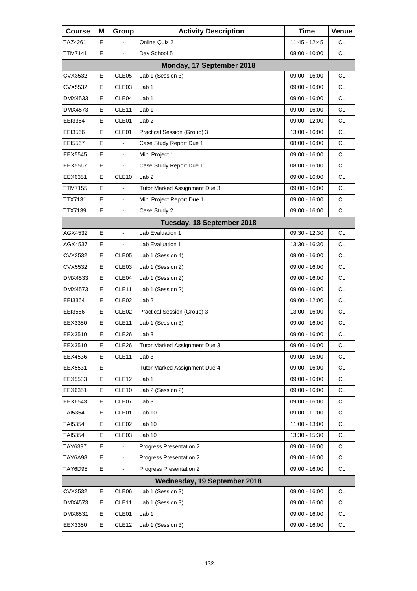| <b>Course</b>  | Μ | Group             | <b>Activity Description</b>   | Time            | Venue     |
|----------------|---|-------------------|-------------------------------|-----------------|-----------|
| TAZ4261        | Е |                   | Online Quiz 2                 | 11:45 - 12:45   | CL        |
| TTM7141        | Е | $\blacksquare$    | Day School 5                  | $08:00 - 10:00$ | <b>CL</b> |
|                |   |                   | Monday, 17 September 2018     |                 |           |
| CVX3532        | Е | CLE <sub>05</sub> | Lab 1 (Session 3)             | $09:00 - 16:00$ | <b>CL</b> |
| CVX5532        | Е | CLE <sub>03</sub> | Lab <sub>1</sub>              | 09:00 - 16:00   | <b>CL</b> |
| DMX4533        | Е | CLE04             | Lab <sub>1</sub>              | $09:00 - 16:00$ | <b>CL</b> |
| DMX4573        | E | CLE11             | Lab 1                         | 09:00 - 16:00   | <b>CL</b> |
| EEI3364        | Е | CLE01             | Lab <sub>2</sub>              | 09:00 - 12:00   | <b>CL</b> |
| EEI3566        | Е | CLE01             | Practical Session (Group) 3   | 13:00 - 16:00   | <b>CL</b> |
| EEI5567        | E |                   | Case Study Report Due 1       | 08:00 - 16:00   | <b>CL</b> |
| EEX5545        | Е |                   | Mini Project 1                | 09:00 - 16:00   | <b>CL</b> |
| <b>EEX5567</b> | Е | $\blacksquare$    | Case Study Report Due 1       | 08:00 - 16:00   | <b>CL</b> |
| EEX6351        | E | CLE <sub>10</sub> | Lab <sub>2</sub>              | 09:00 - 16:00   | <b>CL</b> |
| TTM7155        | Е |                   | Tutor Marked Assignment Due 3 | 09:00 - 16:00   | <b>CL</b> |
| TTX7131        | E | $\blacksquare$    | Mini Project Report Due 1     | 09:00 - 16:00   | <b>CL</b> |
| TTX7139        | E | $\blacksquare$    | Case Study 2                  | 09:00 - 16:00   | <b>CL</b> |
|                |   |                   | Tuesday, 18 September 2018    |                 |           |
| AGX4532        | Е | $\blacksquare$    | Lab Evaluation 1              | 09:30 - 12:30   | CL.       |
| AGX4537        | E |                   | Lab Evaluation 1              | 13:30 - 16:30   | <b>CL</b> |
| CVX3532        | Е | CLE <sub>05</sub> | Lab 1 (Session 4)             | 09:00 - 16:00   | <b>CL</b> |
| CVX5532        | Е | CLE03             | Lab 1 (Session 2)             | 09:00 - 16:00   | <b>CL</b> |
| DMX4533        | E | CLE04             | Lab 1 (Session 2)             | 09:00 - 16:00   | <b>CL</b> |
| DMX4573        | Е | CLE <sub>11</sub> | Lab 1 (Session 2)             | 09:00 - 16:00   | <b>CL</b> |
| EEI3364        | Е | CLE <sub>02</sub> | Lab <sub>2</sub>              | 09:00 - 12:00   | <b>CL</b> |
| EEI3566        | Е | CLE <sub>02</sub> | Practical Session (Group) 3   | 13:00 - 16:00   | <b>CL</b> |
| EEX3350        | Е | CLE <sub>11</sub> | Lab 1 (Session 3)             | 09:00 - 16:00   | <b>CL</b> |
| EEX3510        | E | CLE26             | Lab <sub>3</sub>              | 09:00 - 16:00   | <b>CL</b> |
| EEX3510        | Е | CLE26             | Tutor Marked Assignment Due 3 | 09:00 - 16:00   | <b>CL</b> |
| EEX4536        | Е | CLE11             | Lab <sub>3</sub>              | 09:00 - 16:00   | CL        |
| EEX5531        | Е |                   | Tutor Marked Assignment Due 4 | 09:00 - 16:00   | CL        |
| EEX5533        | Е | CLE <sub>12</sub> | Lab 1                         | $09:00 - 16:00$ | <b>CL</b> |
| EEX6351        | Е | CLE <sub>10</sub> | Lab 2 (Session 2)             | 09:00 - 16:00   | CL        |
| EEX6543        | Е | CLE07             | Lab <sub>3</sub>              | 09:00 - 16:00   | CL        |
| TAI5354        | Е | CLE01             | Lab 10                        | 09:00 - 11:00   | <b>CL</b> |
| TAI5354        | Е | CLE02             | Lab <sub>10</sub>             | 11:00 - 13:00   | CL        |
| TAI5354        | Е | CLE03             | Lab <sub>10</sub>             | 13:30 - 15:30   | CL        |
| TAY6397        | Е |                   | Progress Presentation 2       | 09:00 - 16:00   | <b>CL</b> |
| <b>TAY6A98</b> | Е |                   | Progress Presentation 2       | 09:00 - 16:00   | CL        |
| <b>TAY6D95</b> | E | $\blacksquare$    | Progress Presentation 2       | 09:00 - 16:00   | CL        |
|                |   |                   | Wednesday, 19 September 2018  |                 |           |
| CVX3532        | Е | CLE06             | Lab 1 (Session 3)             | 09:00 - 16:00   | <b>CL</b> |
| DMX4573        | Е | CLE11             | Lab 1 (Session 3)             | 09:00 - 16:00   | CL        |
| DMX6531        | Е | CLE01             | Lab 1                         | 09:00 - 16:00   | CL.       |
| EEX3350        | Е | CLE <sub>12</sub> | Lab 1 (Session 3)             | 09:00 - 16:00   | CL        |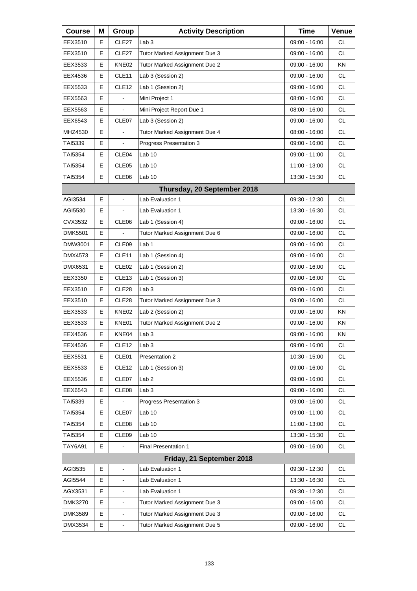| <b>Course</b>  | Μ | Group             | <b>Activity Description</b>   | <b>Time</b>     | Venue     |
|----------------|---|-------------------|-------------------------------|-----------------|-----------|
| EEX3510        | Е | CLE <sub>27</sub> | Lab <sub>3</sub>              | $09:00 - 16:00$ | <b>CL</b> |
| EEX3510        | Е | CLE <sub>27</sub> | Tutor Marked Assignment Due 3 | 09:00 - 16:00   | <b>CL</b> |
| EEX3533        | Е | KNE02             | Tutor Marked Assignment Due 2 | 09:00 - 16:00   | ΚN        |
| EEX4536        | Е | CLE11             | Lab 3 (Session 2)             | 09:00 - 16:00   | <b>CL</b> |
| EEX5533        | Е | CLE <sub>12</sub> | Lab 1 (Session 2)             | 09:00 - 16:00   | <b>CL</b> |
| EEX5563        | Е |                   | Mini Project 1                | $08:00 - 16:00$ | <b>CL</b> |
| EEX5563        | E | $\blacksquare$    | Mini Project Report Due 1     | 08:00 - 16:00   | <b>CL</b> |
| EEX6543        | Е | CLE07             | Lab 3 (Session 2)             | 09:00 - 16:00   | <b>CL</b> |
| MHZ4530        | Е |                   | Tutor Marked Assignment Due 4 | $08:00 - 16:00$ | <b>CL</b> |
| TAI5339        | E | $\blacksquare$    | Progress Presentation 3       | 09:00 - 16:00   | <b>CL</b> |
| TAI5354        | Е | CLE04             | Lab <sub>10</sub>             | 09:00 - 11:00   | <b>CL</b> |
| TAI5354        | Е | CLE <sub>05</sub> | Lab <sub>10</sub>             | 11:00 - 13:00   | <b>CL</b> |
| <b>TAI5354</b> | E | CLE06             | Lab <sub>10</sub>             | 13:30 - 15:30   | <b>CL</b> |
|                |   |                   | Thursday, 20 September 2018   |                 |           |
| AGI3534        | E | $\overline{a}$    | Lab Evaluation 1              | 09:30 - 12:30   | <b>CL</b> |
| AGI5530        | Е | $\frac{1}{2}$     | Lab Evaluation 1              | 13:30 - 16:30   | <b>CL</b> |
| CVX3532        | Е | CLE06             | Lab 1 (Session 4)             | 09:00 - 16:00   | <b>CL</b> |
| <b>DMK5501</b> | E |                   | Tutor Marked Assignment Due 6 | 09:00 - 16:00   | <b>CL</b> |
| DMW3001        | E | CLE09             | Lab 1                         | 09:00 - 16:00   | <b>CL</b> |
| DMX4573        | Е | CLE11             | Lab 1 (Session 4)             | 09:00 - 16:00   | <b>CL</b> |
| DMX6531        | Е | CLE <sub>02</sub> | Lab 1 (Session 2)             | 09:00 - 16:00   | <b>CL</b> |
| EEX3350        | Е | CLE <sub>13</sub> | Lab 1 (Session 3)             | 09:00 - 16:00   | <b>CL</b> |
| EEX3510        | Е | CLE28             | Lab <sub>3</sub>              | 09:00 - 16:00   | <b>CL</b> |
| EEX3510        | Е | CLE <sub>28</sub> | Tutor Marked Assignment Due 3 | 09:00 - 16:00   | CL.       |
| EEX3533        | Е | KNE02             | Lab 2 (Session 2)             | 09:00 - 16:00   | <b>KN</b> |
| EEX3533        | Е | KNE01             | Tutor Marked Assignment Due 2 | $09:00 - 16:00$ | ΚN        |
| EEX4536        | E | KNE04             | Lab <sub>3</sub>              | $09:00 - 16:00$ | ΚN        |
| EEX4536        | Ε | CLE <sub>12</sub> | Lab <sub>3</sub>              | 09:00 - 16:00   | CL        |
| EEX5531        | Ε | CLE01             | Presentation 2                | $10:30 - 15:00$ | <b>CL</b> |
| EEX5533        | Е | CLE <sub>12</sub> | Lab 1 (Session 3)             | $09:00 - 16:00$ | CL        |
| EEX5536        | Ε | CLE07             | Lab <sub>2</sub>              | 09:00 - 16:00   | CL        |
| EEX6543        | Е | CLE08             | Lab <sub>3</sub>              | 09:00 - 16:00   | CL        |
| TAI5339        | Е |                   | Progress Presentation 3       | 09:00 - 16:00   | CL        |
| TAI5354        | Ε | CLE07             | Lab <sub>10</sub>             | 09:00 - 11:00   | CL        |
| <b>TAI5354</b> | Е | CLE08             | Lab <sub>10</sub>             | 11:00 - 13:00   | CL        |
| TAI5354        | Е | CLE09             | Lab 10                        | 13:30 - 15:30   | CL        |
| <b>TAY6A91</b> | Е |                   | <b>Final Presentation 1</b>   | 09:00 - 16:00   | CL        |
|                |   |                   | Friday, 21 September 2018     |                 |           |
| AGI3535        | E | ä,                | Lab Evaluation 1              | 09:30 - 12:30   | <b>CL</b> |
| AGI5544        | Ε | $\blacksquare$    | Lab Evaluation 1              | 13:30 - 16:30   | CL        |
| AGX3531        | Е |                   | Lab Evaluation 1              | 09:30 - 12:30   | CL        |
| DMK3270        | E | L,                | Tutor Marked Assignment Due 3 | 09:00 - 16:00   | CL        |
| <b>DMK3589</b> | Е | $\blacksquare$    | Tutor Marked Assignment Due 3 | 09:00 - 16:00   | CL        |
| DMX3534        | E | $\blacksquare$    | Tutor Marked Assignment Due 5 | 09:00 - 16:00   | CL        |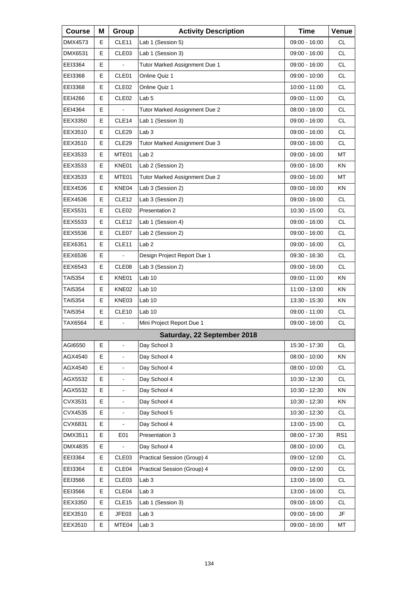| <b>Course</b> | Μ | Group                    | <b>Activity Description</b>   | <b>Time</b>     | Venue           |
|---------------|---|--------------------------|-------------------------------|-----------------|-----------------|
| DMX4573       | Е | CLE <sub>11</sub>        | Lab 1 (Session 5)             | 09:00 - 16:00   | CL              |
| DMX6531       | E | CLE03                    | Lab 1 (Session 3)             | 09:00 - 16:00   | <b>CL</b>       |
| EEI3364       | E |                          | Tutor Marked Assignment Due 1 | 09:00 - 16:00   | <b>CL</b>       |
| EEI3368       | Е | CLE01                    | Online Quiz 1                 | 09:00 - 10:00   | <b>CL</b>       |
| EEI3368       | E | CLE <sub>02</sub>        | Online Quiz 1                 | 10:00 - 11:00   | <b>CL</b>       |
| EEI4266       | E | CLE <sub>02</sub>        | Lab <sub>5</sub>              | 09:00 - 11:00   | <b>CL</b>       |
| EEI4364       | Е | $\blacksquare$           | Tutor Marked Assignment Due 2 | $08:00 - 16:00$ | <b>CL</b>       |
| EEX3350       | E | CLE14                    | Lab 1 (Session 3)             | 09:00 - 16:00   | <b>CL</b>       |
| EEX3510       | E | CLE <sub>29</sub>        | Lab <sub>3</sub>              | 09:00 - 16:00   | <b>CL</b>       |
| EEX3510       | Е | CLE <sub>29</sub>        | Tutor Marked Assignment Due 3 | 09:00 - 16:00   | <b>CL</b>       |
| EEX3533       | E | MTE01                    | Lab <sub>2</sub>              | 09:00 - 16:00   | МT              |
| EEX3533       | Е | KNE01                    | Lab 2 (Session 2)             | 09:00 - 16:00   | ΚN              |
| EEX3533       | Е | MTE01                    | Tutor Marked Assignment Due 2 | 09:00 - 16:00   | МT              |
| EEX4536       | E | KNE04                    | Lab 3 (Session 2)             | 09:00 - 16:00   | ΚN              |
| EEX4536       | Е | CLE <sub>12</sub>        | Lab 3 (Session 2)             | $09:00 - 16:00$ | <b>CL</b>       |
| EEX5531       | Е | CLE <sub>02</sub>        | Presentation 2                | 10:30 - 15:00   | <b>CL</b>       |
| EEX5533       | E | CLE <sub>12</sub>        | Lab 1 (Session 4)             | 09:00 - 16:00   | <b>CL</b>       |
| EEX5536       | Е | CLE07                    | Lab 2 (Session 2)             | 09:00 - 16:00   | <b>CL</b>       |
| EEX6351       | Е | CLE11                    | Lab <sub>2</sub>              | 09:00 - 16:00   | <b>CL</b>       |
| EEX6536       | E |                          | Design Project Report Due 1   | 09:30 - 16:30   | <b>CL</b>       |
| EEX6543       | Е | CLE <sub>08</sub>        | Lab 3 (Session 2)             | 09:00 - 16:00   | <b>CL</b>       |
| TAI5354       | Е | KNE01                    | Lab 10                        | 09:00 - 11:00   | ΚN              |
| TAI5354       | Е | KNE02                    | Lab 10                        | 11:00 - 13:00   | ΚN              |
| TAI5354       | Е | KNE03                    | Lab <sub>10</sub>             | 13:30 - 15:30   | ΚN              |
| TAI5354       | Е | CLE <sub>10</sub>        | Lab <sub>10</sub>             | 09:00 - 11:00   | <b>CL</b>       |
| TAX6564       | E |                          | Mini Project Report Due 1     | 09:00 - 16:00   | <b>CL</b>       |
|               |   |                          | Saturday, 22 September 2018   |                 |                 |
| AGI6550       | Е | $\blacksquare$           | Day School 3                  | 15:30 - 17:30   | CL.             |
| AGX4540       | Е |                          | Day School 4                  | $08:00 - 10:00$ | KN              |
| AGX4540       | E | $\blacksquare$           | Day School 4                  | 08:00 - 10:00   | <b>CL</b>       |
| AGX5532       | E | $\blacksquare$           | Day School 4                  | 10:30 - 12:30   | CL              |
| AGX5532       | Е |                          | Day School 4                  | 10:30 - 12:30   | KN              |
| CVX3531       | E | $\blacksquare$           | Day School 4                  | 10:30 - 12:30   | KN              |
| CVX4535       | E | $\overline{\phantom{m}}$ | Day School 5                  | 10:30 - 12:30   | CL              |
| CVX6831       | Е |                          | Day School 4                  | 13:00 - 15:00   | CL              |
| DMX3511       | E | E01                      | Presentation 3                | 08:00 - 17:30   | RS <sub>1</sub> |
| DMX4835       | Е |                          | Day School 4                  | $08:00 - 10:00$ | CL              |
| EEI3364       | Е | CLE <sub>03</sub>        | Practical Session (Group) 4   | 09:00 - 12:00   | CL              |
| EEI3364       | Е | CLE <sub>04</sub>        | Practical Session (Group) 4   | 09:00 - 12:00   | CL              |
| EEI3566       | Е | CLE03                    | Lab <sub>3</sub>              | 13:00 - 16:00   | CL              |
| EEI3566       | Е | CLE04                    | Lab <sub>3</sub>              | 13:00 - 16:00   | CL              |
| EEX3350       | Е | CLE <sub>15</sub>        | Lab 1 (Session 3)             | 09:00 - 16:00   | CL              |
| EEX3510       | Е | JFE03                    | Lab <sub>3</sub>              | 09:00 - 16:00   | JF              |
| EEX3510       | Е | MTE04                    | Lab <sub>3</sub>              | 09:00 - 16:00   | MT              |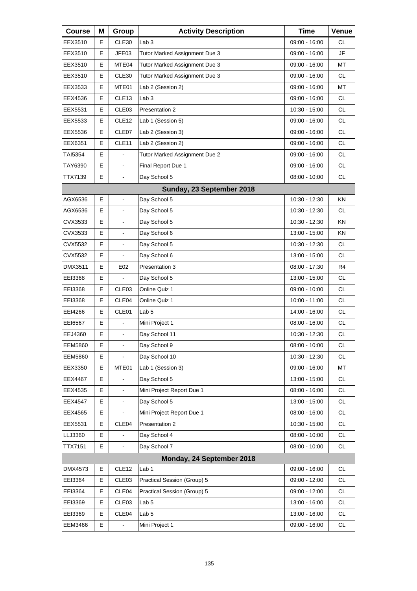| <b>Course</b>  | Μ | Group                    | <b>Activity Description</b>   | <b>Time</b>     | Venue     |
|----------------|---|--------------------------|-------------------------------|-----------------|-----------|
| EEX3510        | Е | CLE30                    | Lab <sub>3</sub>              | 09:00 - 16:00   | СL        |
| EEX3510        | E | JFE03                    | Tutor Marked Assignment Due 3 | 09:00 - 16:00   | JF        |
| EEX3510        | E | MTE04                    | Tutor Marked Assignment Due 3 | 09:00 - 16:00   | MT        |
| EEX3510        | Е | CLE30                    | Tutor Marked Assignment Due 3 | 09:00 - 16:00   | <b>CL</b> |
| EEX3533        | E | MTE01                    | Lab 2 (Session 2)             | 09:00 - 16:00   | MT        |
| EEX4536        | E | CLE <sub>13</sub>        | Lab <sub>3</sub>              | 09:00 - 16:00   | <b>CL</b> |
| EEX5531        | Е | CLE <sub>03</sub>        | Presentation 2                | 10:30 - 15:00   | <b>CL</b> |
| EEX5533        | E | CLE <sub>12</sub>        | Lab 1 (Session 5)             | 09:00 - 16:00   | <b>CL</b> |
| EEX5536        | E | CLE07                    | Lab 2 (Session 3)             | 09:00 - 16:00   | <b>CL</b> |
| EEX6351        | Е | CLE <sub>11</sub>        | Lab 2 (Session 2)             | 09:00 - 16:00   | <b>CL</b> |
| TAI5354        | E |                          | Tutor Marked Assignment Due 2 | 09:00 - 16:00   | <b>CL</b> |
| TAY6390        | E | $\overline{\phantom{a}}$ | Final Report Due 1            | 09:00 - 16:00   | <b>CL</b> |
| TTX7139        | Е | $\blacksquare$           | Day School 5                  | $08:00 - 10:00$ | <b>CL</b> |
|                |   |                          | Sunday, 23 September 2018     |                 |           |
| AGX6536        | E | $\overline{a}$           | Day School 5                  | 10:30 - 12:30   | <b>KN</b> |
| AGX6536        | Е | $\blacksquare$           | Day School 5                  | 10:30 - 12:30   | <b>CL</b> |
| CVX3533        | E |                          | Day School 5                  | 10:30 - 12:30   | <b>KN</b> |
| CVX3533        | E | $\overline{\phantom{a}}$ | Day School 6                  | 13:00 - 15:00   | KN        |
| CVX5532        | E | $\blacksquare$           | Day School 5                  | 10:30 - 12:30   | <b>CL</b> |
| CVX5532        | E |                          | Day School 6                  | 13:00 - 15:00   | <b>CL</b> |
| DMX3511        | Е | E02                      | Presentation 3                | 08:00 - 17:30   | R4        |
| EEI3368        | Е | $\blacksquare$           | Day School 5                  | 13:00 - 15:00   | <b>CL</b> |
| EEI3368        | E | CLE03                    | Online Quiz 1                 | 09:00 - 10:00   | <b>CL</b> |
| EEI3368        | Е | CLE04                    | Online Quiz 1                 | $10:00 - 11:00$ | <b>CL</b> |
| EEI4266        | Е | CLE01                    | Lab <sub>5</sub>              | 14:00 - 16:00   | <b>CL</b> |
| EE16567        | E |                          | Mini Project 1                | $08:00 - 16:00$ | <b>CL</b> |
| EEJ4360        | E | L,                       | Day School 11                 | $10:30 - 12:30$ | <b>CL</b> |
| <b>EEM5860</b> | Е | $\blacksquare$           | Day School 9                  | 08:00 - 10:00   | CL        |
| <b>EEM5860</b> | Е |                          | Day School 10                 | 10:30 - 12:30   | <b>CL</b> |
| EEX3350        | E | MTE01                    | Lab 1 (Session 3)             | 09:00 - 16:00   | MT        |
| EEX4467        | E |                          | Day School 5                  | 13:00 - 15:00   | CL        |
| EEX4535        | Е | $\blacksquare$           | Mini Project Report Due 1     | 08:00 - 16:00   | CL        |
| EEX4547        | E | $\blacksquare$           | Day School 5                  | 13:00 - 15:00   | CL        |
| EEX4565        | Е |                          | Mini Project Report Due 1     | $08:00 - 16:00$ | CL        |
| EEX5531        | Е | CLE04                    | Presentation 2                | 10:30 - 15:00   | CL        |
| LLJ3360        | E |                          | Day School 4                  | 08:00 - 10:00   | CL        |
| <b>TTX7151</b> | Е |                          | Day School 7                  | $08:00 - 10:00$ | CL        |
|                |   |                          | Monday, 24 September 2018     |                 |           |
| DMX4573        | E | CLE12                    | Lab <sub>1</sub>              | 09:00 - 16:00   | CL        |
| EEI3364        | Е | CLE03                    | Practical Session (Group) 5   | 09:00 - 12:00   | CL        |
| EEI3364        | Е | CLE04                    | Practical Session (Group) 5   | 09:00 - 12:00   | CL        |
| EEI3369        | Е | CLE <sub>03</sub>        | Lab <sub>5</sub>              | 13:00 - 16:00   | CL        |
| EEI3369        | Е | CLE04                    | Lab <sub>5</sub>              | 13:00 - 16:00   | CL        |
| <b>EEM3466</b> | Е |                          | Mini Project 1                | 09:00 - 16:00   | CL        |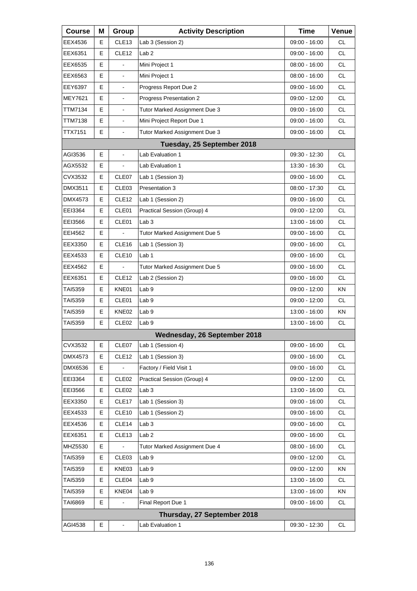| <b>Course</b>  | Μ | Group             | <b>Activity Description</b>   | <b>Time</b>     | Venue     |
|----------------|---|-------------------|-------------------------------|-----------------|-----------|
| EEX4536        | Е | CLE <sub>13</sub> | Lab 3 (Session 2)             | 09:00 - 16:00   | CL.       |
| EEX6351        | E | CLE <sub>12</sub> | Lab <sub>2</sub>              | 09:00 - 16:00   | <b>CL</b> |
| EEX6535        | E | ÷.                | Mini Project 1                | $08:00 - 16:00$ | <b>CL</b> |
| EEX6563        | Е | $\blacksquare$    | Mini Project 1                | 08:00 - 16:00   | <b>CL</b> |
| EEY6397        | E | $\blacksquare$    | Progress Report Due 2         | 09:00 - 16:00   | <b>CL</b> |
| <b>MEY7621</b> | E | L,                | Progress Presentation 2       | 09:00 - 12:00   | <b>CL</b> |
| TTM7134        | Е | $\blacksquare$    | Tutor Marked Assignment Due 3 | 09:00 - 16:00   | <b>CL</b> |
| TTM7138        | E | $\blacksquare$    | Mini Project Report Due 1     | 09:00 - 16:00   | <b>CL</b> |
| TTX7151        | E | $\blacksquare$    | Tutor Marked Assignment Due 3 | 09:00 - 16:00   | <b>CL</b> |
|                |   |                   | Tuesday, 25 September 2018    |                 |           |
| AGI3536        | E | $\overline{a}$    | Lab Evaluation 1              | 09:30 - 12:30   | CL.       |
| AGX5532        | Е |                   | Lab Evaluation 1              | 13:30 - 16:30   | <b>CL</b> |
| CVX3532        | Е | CLE07             | Lab 1 (Session 3)             | 09:00 - 16:00   | <b>CL</b> |
| DMX3511        | E | CLE03             | Presentation 3                | 08:00 - 17:30   | <b>CL</b> |
| DMX4573        | Е | CLE <sub>12</sub> | Lab 1 (Session 2)             | 09:00 - 16:00   | CL.       |
| EEI3364        | Е | CLE01             | Practical Session (Group) 4   | $09:00 - 12:00$ | <b>CL</b> |
| EEI3566        | E | CLE01             | Lab <sub>3</sub>              | 13:00 - 16:00   | <b>CL</b> |
| EEI4562        | Е |                   | Tutor Marked Assignment Due 5 | 09:00 - 16:00   | CL.       |
| EEX3350        | Е | CLE <sub>16</sub> | Lab 1 (Session 3)             | 09:00 - 16:00   | <b>CL</b> |
| EEX4533        | E | CLE <sub>10</sub> | Lab <sub>1</sub>              | 09:00 - 16:00   | <b>CL</b> |
| EEX4562        | Е |                   | Tutor Marked Assignment Due 5 | 09:00 - 16:00   | CL.       |
| EEX6351        | Е | CLE <sub>12</sub> | Lab 2 (Session 2)             | 09:00 - 16:00   | <b>CL</b> |
| TAI5359        | E | KNE01             | Lab <sub>9</sub>              | 09:00 - 12:00   | ΚN        |
| TAI5359        | Е | CLE01             | Lab <sub>9</sub>              | 09:00 - 12:00   | CL.       |
| TAI5359        | Е | KNE02             | Lab <sub>9</sub>              | 13:00 - 16:00   | ΚN        |
| TAI5359        | E | CLE <sub>02</sub> | Lab <sub>9</sub>              | 13:00 - 16:00   | <b>CL</b> |
|                |   |                   | Wednesday, 26 September 2018  |                 |           |
| CVX3532        | Е | CLE07             | Lab 1 (Session 4)             | 09:00 - 16:00   | CL.       |
| DMX4573        | Е | CLE <sub>12</sub> | Lab 1 (Session 3)             | $09:00 - 16:00$ | CL        |
| <b>DMX6536</b> | Е |                   | Factory / Field Visit 1       | 09:00 - 16:00   | <b>CL</b> |
| EEI3364        | Е | CLE <sub>02</sub> | Practical Session (Group) 4   | 09:00 - 12:00   | CL        |
| EEI3566        | Е | CLE <sub>02</sub> | Lab <sub>3</sub>              | 13:00 - 16:00   | CL        |
| EEX3350        | Е | CLE <sub>17</sub> | Lab 1 (Session 3)             | 09:00 - 16:00   | <b>CL</b> |
| EEX4533        | Е | CLE <sub>10</sub> | Lab 1 (Session 2)             | 09:00 - 16:00   | CL        |
| EEX4536        | Е | CLE14             | Lab <sub>3</sub>              | 09:00 - 16:00   | CL        |
| EEX6351        | Е | CLE <sub>13</sub> | Lab <sub>2</sub>              | 09:00 - 16:00   | <b>CL</b> |
| MHZ5530        | Е |                   | Tutor Marked Assignment Due 4 | 08:00 - 16:00   | CL        |
| TAI5359        | Е | CLE03             | Lab <sub>9</sub>              | 09:00 - 12:00   | CL        |
| TAI5359        | Е | KNE03             | Lab <sub>9</sub>              | 09:00 - 12:00   | KN        |
| TAI5359        | Е | CLE04             | Lab <sub>9</sub>              | 13:00 - 16:00   | CL        |
| TAI5359        | Е | KNE04             | Lab <sub>9</sub>              | 13:00 - 16:00   | KN        |
| TAI6869        | Е |                   | Final Report Due 1            | 09:00 - 16:00   | <b>CL</b> |
|                |   |                   | Thursday, 27 September 2018   |                 |           |
| AGI4538        | Е | $\blacksquare$    | Lab Evaluation 1              | 09:30 - 12:30   | CL        |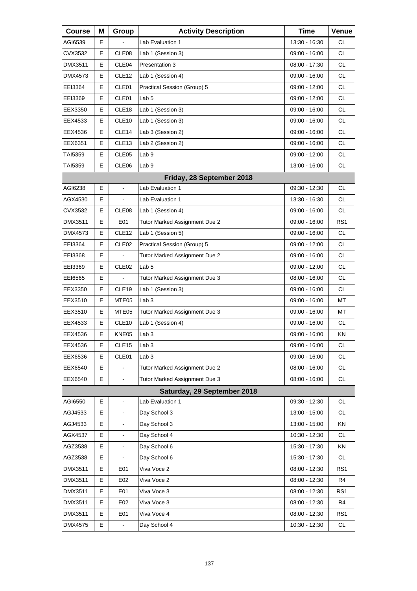| <b>Course</b> | Μ  | Group                    | <b>Activity Description</b>   | <b>Time</b>     | Venue           |
|---------------|----|--------------------------|-------------------------------|-----------------|-----------------|
| AGI6539       | Е  |                          | Lab Evaluation 1              | 13:30 - 16:30   | <b>CL</b>       |
| CVX3532       | Е  | CLE08                    | Lab 1 (Session 3)             | 09:00 - 16:00   | <b>CL</b>       |
| DMX3511       | Е  | CLE04                    | Presentation 3                | 08:00 - 17:30   | <b>CL</b>       |
| DMX4573       | Е  | CLE <sub>12</sub>        | Lab 1 (Session 4)             | 09:00 - 16:00   | <b>CL</b>       |
| EEI3364       | Е  | CLE01                    | Practical Session (Group) 5   | 09:00 - 12:00   | <b>CL</b>       |
| EEI3369       | Е  | CLE01                    | Lab <sub>5</sub>              | 09:00 - 12:00   | <b>CL</b>       |
| EEX3350       | Е  | CLE18                    | Lab 1 (Session 3)             | 09:00 - 16:00   | <b>CL</b>       |
| EEX4533       | Е  | CLE10                    | Lab 1 (Session 3)             | $09:00 - 16:00$ | <b>CL</b>       |
| EEX4536       | Е  | CLE <sub>14</sub>        | Lab 3 (Session 2)             | 09:00 - 16:00   | <b>CL</b>       |
| EEX6351       | Е  | CLE <sub>13</sub>        | Lab 2 (Session 2)             | 09:00 - 16:00   | <b>CL</b>       |
| TAI5359       | Е  | CLE05                    | Lab <sub>9</sub>              | 09:00 - 12:00   | <b>CL</b>       |
| TAI5359       | E. | CLE06                    | Lab <sub>9</sub>              | 13:00 - 16:00   | <b>CL</b>       |
|               |    |                          | Friday, 28 September 2018     |                 |                 |
| AGI6238       | Е  | $\blacksquare$           | Lab Evaluation 1              | 09:30 - 12:30   | <b>CL</b>       |
| AGX4530       | Е  | $\blacksquare$           | Lab Evaluation 1              | 13:30 - 16:30   | <b>CL</b>       |
| CVX3532       | Е  | CLE08                    | Lab 1 (Session 4)             | 09:00 - 16:00   | <b>CL</b>       |
| DMX3511       | Е  | E01                      | Tutor Marked Assignment Due 2 | $09:00 - 16:00$ | RS1             |
| DMX4573       | Е  | CLE <sub>12</sub>        | Lab 1 (Session 5)             | 09:00 - 16:00   | <b>CL</b>       |
| EEI3364       | E  | CLE <sub>02</sub>        | Practical Session (Group) 5   | 09:00 - 12:00   | CL              |
| EEI3368       | Е  |                          | Tutor Marked Assignment Due 2 | 09:00 - 16:00   | <b>CL</b>       |
| EEI3369       | Е  | CLE <sub>02</sub>        | Lab <sub>5</sub>              | 09:00 - 12:00   | CL.             |
| EE16565       | Е  | $\overline{a}$           | Tutor Marked Assignment Due 3 | 08:00 - 16:00   | CL              |
| EEX3350       | Е  | CLE19                    | Lab 1 (Session 3)             | 09:00 - 16:00   | CL              |
| EEX3510       | Е  | MTE05                    | Lab <sub>3</sub>              | 09:00 - 16:00   | МT              |
| EEX3510       | Е  | MTE05                    | Tutor Marked Assignment Due 3 | 09:00 - 16:00   | МT              |
| EEX4533       | Е  | CLE10                    | Lab 1 (Session 4)             | 09:00 - 16:00   | CL              |
| EEX4536       | E  | KNE05                    | Lab 3                         | 09:00 - 16:00   | ΚN              |
| EEX4536       | Е  | CLE <sub>15</sub>        | Lab <sub>3</sub>              | $09:00 - 16:00$ | CL              |
| EEX6536       | Е  | CLE01                    | Lab <sub>3</sub>              | 09:00 - 16:00   | <b>CL</b>       |
| EEX6540       | E  |                          | Tutor Marked Assignment Due 2 | 08:00 - 16:00   | <b>CL</b>       |
| EEX6540       | E  |                          | Tutor Marked Assignment Due 3 | 08:00 - 16:00   | CL              |
|               |    |                          | Saturday, 29 September 2018   |                 |                 |
| AGI6550       | Е  | $\blacksquare$           | Lab Evaluation 1              | 09:30 - 12:30   | <b>CL</b>       |
| AGJ4533       | E  |                          | Day School 3                  | 13:00 - 15:00   | CL              |
| AGJ4533       | Е  |                          | Day School 3                  | 13:00 - 15:00   | KN              |
| AGX4537       | Е  | $\blacksquare$           | Day School 4                  | 10:30 - 12:30   | <b>CL</b>       |
| AGZ3538       | Е  | $\overline{\phantom{0}}$ | Day School 6                  | 15:30 - 17:30   | KN              |
| AGZ3538       | E  |                          | Day School 6                  | 15:30 - 17:30   | CL.             |
| DMX3511       | Е  | E01                      | Viva Voce 2                   | 08:00 - 12:30   | RS1             |
| DMX3511       | Е  | E02                      | Viva Voce 2                   | 08:00 - 12:30   | R4              |
| DMX3511       | Е  | E01                      | Viva Voce 3                   | 08:00 - 12:30   | RS1             |
| DMX3511       | E  | E02                      | Viva Voce 3                   | 08:00 - 12:30   | R4              |
| DMX3511       | Е  | E01                      | Viva Voce 4                   | 08:00 - 12:30   | RS <sub>1</sub> |
| DMX4575       | E  | $\overline{\phantom{0}}$ | Day School 4                  | 10:30 - 12:30   | CL              |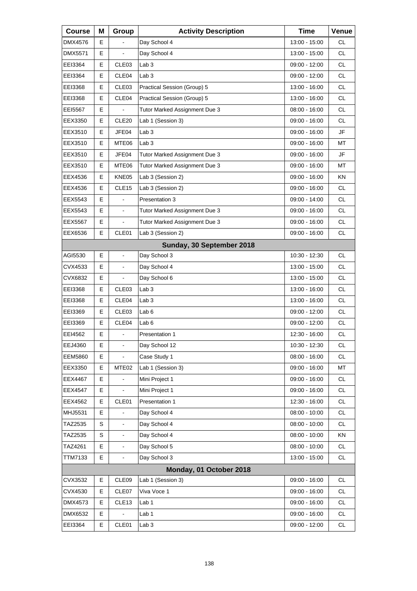| <b>Course</b>  | Μ | Group                    | <b>Activity Description</b>   | <b>Time</b>   | Venue     |
|----------------|---|--------------------------|-------------------------------|---------------|-----------|
| DMX4576        | Е |                          | Day School 4                  | 13:00 - 15:00 | <b>CL</b> |
| <b>DMX5571</b> | E |                          | Day School 4                  | 13:00 - 15:00 | <b>CL</b> |
| EEI3364        | E | CLE03                    | Lab <sub>3</sub>              | 09:00 - 12:00 | <b>CL</b> |
| EEI3364        | Е | CLE <sub>04</sub>        | Lab <sub>3</sub>              | 09:00 - 12:00 | <b>CL</b> |
| EEI3368        | E | CLE03                    | Practical Session (Group) 5   | 13:00 - 16:00 | <b>CL</b> |
| EEI3368        | E | CLE04                    | Practical Session (Group) 5   | 13:00 - 16:00 | <b>CL</b> |
| EEI5567        | Е |                          | Tutor Marked Assignment Due 3 | 08:00 - 16:00 | <b>CL</b> |
| EEX3350        | E | CLE20                    | Lab 1 (Session 3)             | 09:00 - 16:00 | <b>CL</b> |
| EEX3510        | E | JFE04                    | Lab <sub>3</sub>              | 09:00 - 16:00 | JF        |
| EEX3510        | Е | MTE06                    | Lab <sub>3</sub>              | 09:00 - 16:00 | МT        |
| EEX3510        | E | JFE04                    | Tutor Marked Assignment Due 3 | 09:00 - 16:00 | JF        |
| EEX3510        | Е | MTE06                    | Tutor Marked Assignment Due 3 | 09:00 - 16:00 | MT        |
| EEX4536        | Е | KNE05                    | Lab 3 (Session 2)             | 09:00 - 16:00 | ΚN        |
| EEX4536        | E | CLE15                    | Lab 3 (Session 2)             | 09:00 - 16:00 | <b>CL</b> |
| EEX5543        | E |                          | Presentation 3                | 09:00 - 14:00 | <b>CL</b> |
| EEX5543        | Е | $\blacksquare$           | Tutor Marked Assignment Due 3 | 09:00 - 16:00 | <b>CL</b> |
| EEX5567        | E |                          | Tutor Marked Assignment Due 3 | 09:00 - 16:00 | <b>CL</b> |
| EEX6536        | Е | CLE01                    | Lab 3 (Session 2)             | 09:00 - 16:00 | <b>CL</b> |
|                |   |                          | Sunday, 30 September 2018     |               |           |
| AGI5530        | E | $\blacksquare$           | Day School 3                  | 10:30 - 12:30 | <b>CL</b> |
| CVX4533        | Е | $\overline{\phantom{a}}$ | Day School 4                  | 13:00 - 15:00 | <b>CL</b> |
| CVX6832        | Е | $\blacksquare$           | Day School 6                  | 13:00 - 15:00 | <b>CL</b> |
| EEI3368        | E | CLE03                    | Lab <sub>3</sub>              | 13:00 - 16:00 | <b>CL</b> |
| EEI3368        | Е | CLE04                    | Lab <sub>3</sub>              | 13:00 - 16:00 | <b>CL</b> |
| EEI3369        | Е | CLE03                    | Lab <sub>6</sub>              | 09:00 - 12:00 | <b>CL</b> |
| EEI3369        | E | CLE04                    | Lab <sub>6</sub>              | 09:00 - 12:00 | <b>CL</b> |
| EEI4562        | Е | L,                       | <b>Presentation 1</b>         | 12:30 - 16:00 | <b>CL</b> |
| EEJ4360        | Е | $\blacksquare$           | Day School 12                 | 10:30 - 12:30 | CL        |
| <b>EEM5860</b> | Е |                          | Case Study 1                  | 08:00 - 16:00 | CL        |
| EEX3350        | Е | MTE <sub>02</sub>        | Lab 1 (Session 3)             | 09:00 - 16:00 | MT        |
| EEX4467        | Е |                          | Mini Project 1                | 09:00 - 16:00 | CL        |
| <b>EEX4547</b> | Е |                          | Mini Project 1                | 09:00 - 16:00 | CL        |
| EEX4562        | Е | CLE01                    | Presentation 1                | 12:30 - 16:00 | CL        |
| MHJ5531        | E |                          | Day School 4                  | 08:00 - 10:00 | CL        |
| TAZ2535        | S |                          | Day School 4                  | 08:00 - 10:00 | CL        |
| TAZ2535        | S | $\blacksquare$           | Day School 4                  | 08:00 - 10:00 | KN        |
| TAZ4261        | Е | $\blacksquare$           | Day School 5                  | 08:00 - 10:00 | CL        |
| TTM7133        | Е | $\overline{\phantom{a}}$ | Day School 3                  | 13:00 - 15:00 | CL        |
|                |   |                          | Monday, 01 October 2018       |               |           |
| CVX3532        | Е | CLE09                    | Lab 1 (Session 3)             | 09:00 - 16:00 | CL        |
| CVX4530        | Е | CLE07                    | Viva Voce 1                   | 09:00 - 16:00 | CL        |
| DMX4573        | Е | CLE <sub>13</sub>        | Lab <sub>1</sub>              | 09:00 - 16:00 | CL        |
| DMX6532        | Е |                          | Lab 1                         | 09:00 - 16:00 | CL        |
| EEI3364        | Е | CLE01                    | Lab <sub>3</sub>              | 09:00 - 12:00 | CL        |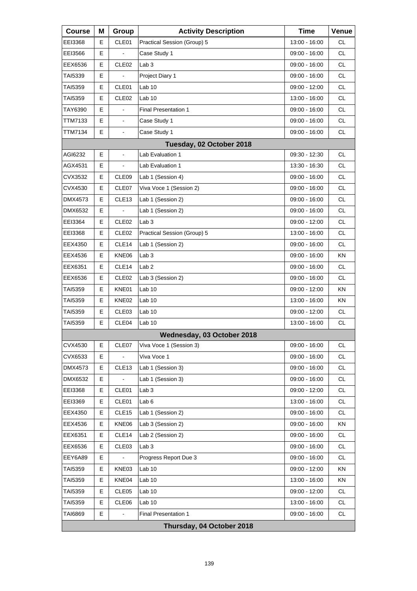| <b>Course</b> | Μ | Group             | <b>Activity Description</b> | <b>Time</b>     | Venue     |
|---------------|---|-------------------|-----------------------------|-----------------|-----------|
| EEI3368       | E | CLE01             | Practical Session (Group) 5 | 13:00 - 16:00   | CL.       |
| EEI3566       | Е |                   | Case Study 1                | 09:00 - 16:00   | <b>CL</b> |
| EEX6536       | E | CLE <sub>02</sub> | Lab <sub>3</sub>            | 09:00 - 16:00   | <b>CL</b> |
| TAI5339       | Е |                   | Project Diary 1             | 09:00 - 16:00   | <b>CL</b> |
| TAI5359       | Е | CLE01             | Lab <sub>10</sub>           | 09:00 - 12:00   | <b>CL</b> |
| TAI5359       | E | CLE <sub>02</sub> | Lab 10                      | 13:00 - 16:00   | <b>CL</b> |
| TAY6390       | Е |                   | <b>Final Presentation 1</b> | 09:00 - 16:00   | <b>CL</b> |
| TTM7133       | E | $\blacksquare$    | Case Study 1                | $09:00 - 16:00$ | <b>CL</b> |
| TTM7134       | E | $\blacksquare$    | Case Study 1                | 09:00 - 16:00   | <b>CL</b> |
|               |   |                   | Tuesday, 02 October 2018    |                 |           |
| AGI6232       | E |                   | Lab Evaluation 1            | 09:30 - 12:30   | <b>CL</b> |
| AGX4531       | E | $\blacksquare$    | Lab Evaluation 1            | 13:30 - 16:30   | <b>CL</b> |
| CVX3532       | Е | CLE09             | Lab 1 (Session 4)           | $09:00 - 16:00$ | CL        |
| CVX4530       | E | CLE07             | Viva Voce 1 (Session 2)     | $09:00 - 16:00$ | <b>CL</b> |
| DMX4573       | E | CLE <sub>13</sub> | Lab 1 (Session 2)           | 09:00 - 16:00   | <b>CL</b> |
| DMX6532       | Е |                   | Lab 1 (Session 2)           | $09:00 - 16:00$ | <b>CL</b> |
| EEI3364       | Е | CLE <sub>02</sub> | Lab <sub>3</sub>            | $09:00 - 12:00$ | <b>CL</b> |
| EEI3368       | E | CLE <sub>02</sub> | Practical Session (Group) 5 | 13:00 - 16:00   | <b>CL</b> |
| EEX4350       | Е | CLE <sub>14</sub> | Lab 1 (Session 2)           | $09:00 - 16:00$ | CL        |
| EEX4536       | Е | KNE06             | Lab <sub>3</sub>            | 09:00 - 16:00   | KN        |
| EEX6351       | E | CLE14             | Lab <sub>2</sub>            | 09:00 - 16:00   | <b>CL</b> |
| EEX6536       | Е | CLE <sub>02</sub> | Lab 3 (Session 2)           | $09:00 - 16:00$ | CL        |
| TAI5359       | Е | KNE01             | Lab <sub>10</sub>           | 09:00 - 12:00   | ΚN        |
| TAI5359       | E | KNE02             | Lab 10                      | 13:00 - 16:00   | ΚN        |
| TAI5359       | Е | CLE <sub>03</sub> | Lab 10                      | $09:00 - 12:00$ | CL        |
| TAI5359       | E | CLE04             | Lab 10                      | 13:00 - 16:00   | <b>CL</b> |
|               |   |                   | Wednesday, 03 October 2018  |                 |           |
| CVX4530       | Е | CLE07             | Viva Voce 1 (Session 3)     | 09:00 - 16:00   | <b>CL</b> |
| CVX6533       | Е |                   | Viva Voce 1                 | 09:00 - 16:00   | CL        |
| DMX4573       | Е | CLE13             | Lab 1 (Session 3)           | 09:00 - 16:00   | CL        |
| DMX6532       | Е |                   | Lab 1 (Session 3)           | 09:00 - 16:00   | <b>CL</b> |
| EEI3368       | Е | CLE01             | Lab <sub>3</sub>            | 09:00 - 12:00   | CL        |
| EEI3369       | Е | CLE01             | Lab <sub>6</sub>            | 13:00 - 16:00   | CL        |
| EEX4350       | Е | CLE <sub>15</sub> | Lab 1 (Session 2)           | 09:00 - 16:00   | <b>CL</b> |
| EEX4536       | Е | KNE06             | Lab 3 (Session 2)           | 09:00 - 16:00   | KN        |
| EEX6351       | Е | CLE14             | Lab 2 (Session 2)           | 09:00 - 16:00   | CL        |
| EEX6536       | Е | CLE03             | Lab <sub>3</sub>            | 09:00 - 16:00   | <b>CL</b> |
| EEY6A89       | Е |                   | Progress Report Due 3       | 09:00 - 16:00   | CL        |
| TAI5359       | Е | KNE03             | Lab <sub>10</sub>           | 09:00 - 12:00   | KN        |
| TAI5359       | Е | KNE04             | Lab 10                      | 13:00 - 16:00   | KN        |
| TAI5359       | E | CLE05             | Lab <sub>10</sub>           | 09:00 - 12:00   | CL        |
| TAI5359       | Е | CLE06             | Lab <sub>10</sub>           | 13:00 - 16:00   | CL        |
| TAI6869       | Е |                   | <b>Final Presentation 1</b> | 09:00 - 16:00   | CL        |
|               |   |                   | Thursday, 04 October 2018   |                 |           |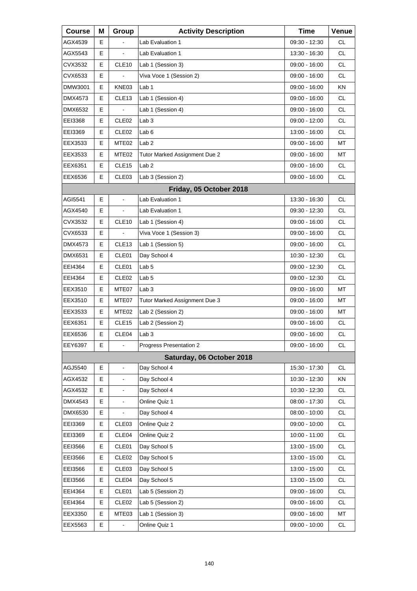| <b>Course</b> | Μ | Group             | <b>Activity Description</b>   | <b>Time</b>     | Venue     |
|---------------|---|-------------------|-------------------------------|-----------------|-----------|
| AGX4539       | Е |                   | Lab Evaluation 1              | 09:30 - 12:30   | СL        |
| AGX5543       | E |                   | Lab Evaluation 1              | 13:30 - 16:30   | <b>CL</b> |
| CVX3532       | E | CLE <sub>10</sub> | Lab 1 (Session 3)             | 09:00 - 16:00   | <b>CL</b> |
| CVX6533       | Е |                   | Viva Voce 1 (Session 2)       | 09:00 - 16:00   | <b>CL</b> |
| DMW3001       | E | KNE03             | Lab <sub>1</sub>              | 09:00 - 16:00   | KN        |
| DMX4573       | E | CLE <sub>13</sub> | Lab 1 (Session 4)             | $09:00 - 16:00$ | <b>CL</b> |
| DMX6532       | Е | $\blacksquare$    | Lab 1 (Session 4)             | 09:00 - 16:00   | <b>CL</b> |
| EEI3368       | E | CLE <sub>02</sub> | Lab <sub>3</sub>              | 09:00 - 12:00   | <b>CL</b> |
| EEI3369       | E | CLE <sub>02</sub> | Lab <sub>6</sub>              | 13:00 - 16:00   | <b>CL</b> |
| EEX3533       | Е | MTE <sub>02</sub> | Lab <sub>2</sub>              | 09:00 - 16:00   | МT        |
| EEX3533       | Е | MTE02             | Tutor Marked Assignment Due 2 | 09:00 - 16:00   | MT        |
| EEX6351       | Е | CLE <sub>15</sub> | Lab 2                         | 09:00 - 16:00   | <b>CL</b> |
| EEX6536       | Е | CLE <sub>03</sub> | Lab 3 (Session 2)             | 09:00 - 16:00   | <b>CL</b> |
|               |   |                   | Friday, 05 October 2018       |                 |           |
| AGI5541       | E | ä,                | Lab Evaluation 1              | 13:30 - 16:30   | CL.       |
| AGX4540       | Е | $\blacksquare$    | Lab Evaluation 1              | 09:30 - 12:30   | <b>CL</b> |
| CVX3532       | E | CLE <sub>10</sub> | Lab 1 (Session 4)             | $09:00 - 16:00$ | <b>CL</b> |
| CVX6533       | Е |                   | Viva Voce 1 (Session 3)       | 09:00 - 16:00   | <b>CL</b> |
| DMX4573       | Е | CLE <sub>13</sub> | Lab 1 (Session 5)             | 09:00 - 16:00   | <b>CL</b> |
| DMX6531       | E | CLE01             | Day School 4                  | 10:30 - 12:30   | <b>CL</b> |
| EEI4364       | Е | CLE01             | Lab <sub>5</sub>              | 09:00 - 12:30   | <b>CL</b> |
| EEI4364       | Е | CLE <sub>02</sub> | Lab <sub>5</sub>              | 09:00 - 12:30   | <b>CL</b> |
| EEX3510       | E | MTE07             | Lab <sub>3</sub>              | 09:00 - 16:00   | МT        |
| EEX3510       | Е | MTE07             | Tutor Marked Assignment Due 3 | 09:00 - 16:00   | МT        |
| EEX3533       | Е | MTE <sub>02</sub> | Lab 2 (Session 2)             | 09:00 - 16:00   | МT        |
| EEX6351       | Е | CLE <sub>15</sub> | Lab 2 (Session 2)             | 09:00 - 16:00   | <b>CL</b> |
| EEX6536       | E | CLE04             | Lab 3                         | $09:00 - 16:00$ | <b>CL</b> |
| EEY6397       | Е | $\blacksquare$    | Progress Presentation 2       | 09:00 - 16:00   | CL        |
|               |   |                   | Saturday, 06 October 2018     |                 |           |
| AGJ5540       | E | $\blacksquare$    | Day School 4                  | 15:30 - 17:30   | <b>CL</b> |
| AGX4532       | Е |                   | Day School 4                  | 10:30 - 12:30   | KN        |
| AGX4532       | Е |                   | Day School 4                  | 10:30 - 12:30   | CL        |
| DMX4543       | E | $\blacksquare$    | Online Quiz 1                 | 08:00 - 17:30   | CL        |
| DMX6530       | Е |                   | Day School 4                  | 08:00 - 10:00   | CL        |
| EEI3369       | Е | CLE03             | Online Quiz 2                 | 09:00 - 10:00   | CL        |
| EEI3369       | Е | CLE04             | Online Quiz 2                 | 10:00 - 11:00   | CL        |
| EEI3566       | Е | CLE01             | Day School 5                  | 13:00 - 15:00   | CL        |
| EEI3566       | Е | CLE <sub>02</sub> | Day School 5                  | 13:00 - 15:00   | CL        |
| EEI3566       | Е | CLE <sub>03</sub> | Day School 5                  | 13:00 - 15:00   | CL        |
| EEI3566       | Е | CLE04             | Day School 5                  | 13:00 - 15:00   | CL        |
| EEI4364       | Е | CLE01             | Lab 5 (Session 2)             | 09:00 - 16:00   | CL        |
| EEI4364       | Е | CLE <sub>02</sub> | Lab 5 (Session 2)             | 09:00 - 16:00   | CL        |
| EEX3350       | Е | MTE03             | Lab 1 (Session 3)             | 09:00 - 16:00   | MT        |
| EEX5563       | Е |                   | Online Quiz 1                 | 09:00 - 10:00   | <b>CL</b> |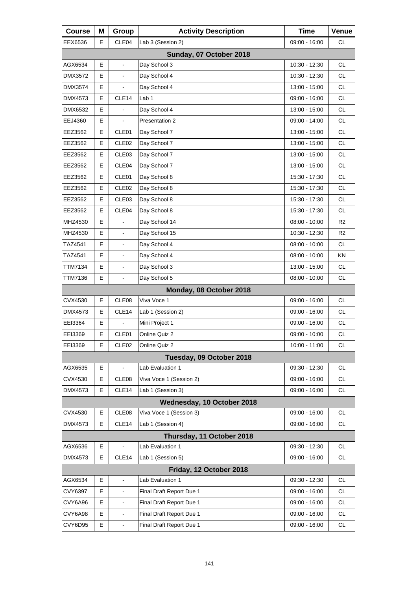| <b>Course</b> | Μ  | Group                    | <b>Activity Description</b> | <b>Time</b>     | Venue          |
|---------------|----|--------------------------|-----------------------------|-----------------|----------------|
| EEX6536       | E. | CLE04                    | Lab 3 (Session 2)           | 09:00 - 16:00   | <b>CL</b>      |
|               |    |                          | Sunday, 07 October 2018     |                 |                |
| AGX6534       | E  | $\overline{\phantom{a}}$ | Day School 3                | 10:30 - 12:30   | <b>CL</b>      |
| DMX3572       | Е  | $\blacksquare$           | Day School 4                | 10:30 - 12:30   | <b>CL</b>      |
| DMX3574       | E  |                          | Day School 4                | 13:00 - 15:00   | <b>CL</b>      |
| DMX4573       | E  | CLE14                    | Lab 1                       | 09:00 - 16:00   | <b>CL</b>      |
| DMX6532       | Е  |                          | Day School 4                | 13:00 - 15:00   | <b>CL</b>      |
| EEJ4360       | E  |                          | Presentation 2              | 09:00 - 14:00   | <b>CL</b>      |
| EEZ3562       | E  | CLE01                    | Day School 7                | 13:00 - 15:00   | <b>CL</b>      |
| EEZ3562       | Е  | CLE <sub>02</sub>        | Day School 7                | 13:00 - 15:00   | <b>CL</b>      |
| EEZ3562       | E  | CLE03                    | Day School 7                | 13:00 - 15:00   | <b>CL</b>      |
| EEZ3562       | Е  | CLE04                    | Day School 7                | 13:00 - 15:00   | <b>CL</b>      |
| EEZ3562       | Е  | CLE01                    | Day School 8                | 15:30 - 17:30   | <b>CL</b>      |
| EEZ3562       | E  | CLE <sub>02</sub>        | Day School 8                | 15:30 - 17:30   | <b>CL</b>      |
| EEZ3562       | Е  | CLE <sub>03</sub>        | Day School 8                | 15:30 - 17:30   | <b>CL</b>      |
| EEZ3562       | Е  | CLE04                    | Day School 8                | 15:30 - 17:30   | <b>CL</b>      |
| MHZ4530       | E  |                          | Day School 14               | 08:00 - 10:00   | R <sub>2</sub> |
| MHZ4530       | E  | $\overline{\phantom{a}}$ | Day School 15               | 10:30 - 12:30   | R <sub>2</sub> |
| TAZ4541       | Е  | $\blacksquare$           | Day School 4                | $08:00 - 10:00$ | <b>CL</b>      |
| TAZ4541       | E  | $\blacksquare$           | Day School 4                | 08:00 - 10:00   | <b>KN</b>      |
| TTM7134       | E  | $\frac{1}{2}$            | Day School 3                | 13:00 - 15:00   | CL.            |
| TTM7136       | E  | $\blacksquare$           | Day School 5                | $08:00 - 10:00$ | <b>CL</b>      |
|               |    |                          | Monday, 08 October 2018     |                 |                |
| CVX4530       | E  | CLE08                    | Viva Voce 1                 | 09:00 - 16:00   | CL.            |
| DMX4573       | Е  | CLE <sub>14</sub>        | Lab 1 (Session 2)           | $09:00 - 16:00$ | <b>CL</b>      |
| EEI3364       | E  |                          | Mini Project 1              | 09:00 - 16:00   | <b>CL</b>      |
| EEI3369       | E  | CLE01                    | Online Quiz 2               | $09:00 - 10:00$ | <b>CL</b>      |
| EEI3369       | Е  | CLE <sub>02</sub>        | Online Quiz 2               | 10:00 - 11:00   | <b>CL</b>      |
|               |    |                          | Tuesday, 09 October 2018    |                 |                |
| AGX6535       | Е  | ä,                       | Lab Evaluation 1            | 09:30 - 12:30   | <b>CL</b>      |
| CVX4530       | Е  | CLE08                    | Viva Voce 1 (Session 2)     | 09:00 - 16:00   | CL             |
| DMX4573       | E  | CLE14                    | Lab 1 (Session 3)           | $09:00 - 16:00$ | <b>CL</b>      |
|               |    |                          | Wednesday, 10 October 2018  |                 |                |
| CVX4530       | Е  | CLE08                    | Viva Voce 1 (Session 3)     | 09:00 - 16:00   | CL             |
| DMX4573       | Е  | CLE14                    | Lab 1 (Session 4)           | 09:00 - 16:00   | CL             |
|               |    |                          | Thursday, 11 October 2018   |                 |                |
| AGX6536       | Е  | $\frac{1}{2}$            | Lab Evaluation 1            | 09:30 - 12:30   | <b>CL</b>      |
| DMX4573       | Е  | CLE <sub>14</sub>        | Lab 1 (Session 5)           | 09:00 - 16:00   | <b>CL</b>      |
|               |    |                          | Friday, 12 October 2018     |                 |                |
| AGX6534       | Е  | $\blacksquare$           | Lab Evaluation 1            | 09:30 - 12:30   | CL             |
| CVY6397       | Е  | $\overline{\phantom{a}}$ | Final Draft Report Due 1    | 09:00 - 16:00   | <b>CL</b>      |
| CVY6A96       | E  | $\blacksquare$           | Final Draft Report Due 1    | 09:00 - 16:00   | <b>CL</b>      |
| CVY6A98       | E  | $\blacksquare$           | Final Draft Report Due 1    | 09:00 - 16:00   | CL             |
| CVY6D95       | E  | $\blacksquare$           | Final Draft Report Due 1    | 09:00 - 16:00   | CL.            |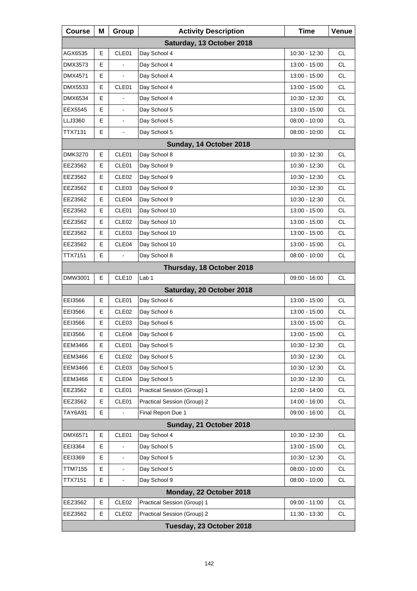| <b>Course</b>             | Μ | Group             | <b>Activity Description</b> | <b>Time</b>     | Venue     |  |  |
|---------------------------|---|-------------------|-----------------------------|-----------------|-----------|--|--|
| Saturday, 13 October 2018 |   |                   |                             |                 |           |  |  |
| AGX6535                   | E | CLE01             | Day School 4                | 10:30 - 12:30   | <b>CL</b> |  |  |
| DMX3573                   | Е |                   | Day School 4                | 13:00 - 15:00   | CL.       |  |  |
| DMX4571                   | Е | $\blacksquare$    | Day School 4                | 13:00 - 15:00   | <b>CL</b> |  |  |
| DMX5533                   | E | CLE01             | Day School 4                | 13:00 - 15:00   | <b>CL</b> |  |  |
| DMX6534                   | E |                   | Day School 4                | 10:30 - 12:30   | CL.       |  |  |
| EEX5545                   | Е | $\blacksquare$    | Day School 5                | 13:00 - 15:00   | <b>CL</b> |  |  |
| LLJ3360                   | E | ÷.                | Day School 5                | $08:00 - 10:00$ | <b>CL</b> |  |  |
| TTX7131                   | E | ä,                | Day School 5                | $08:00 - 10:00$ | <b>CL</b> |  |  |
|                           |   |                   | Sunday, 14 October 2018     |                 |           |  |  |
| DMK3270                   | E | CLE01             | Day School 8                | 10:30 - 12:30   | <b>CL</b> |  |  |
| EEZ3562                   | Е | CLE01             | Day School 9                | 10:30 - 12:30   | <b>CL</b> |  |  |
| EEZ3562                   | Е | CLE <sub>02</sub> | Day School 9                | 10:30 - 12:30   | <b>CL</b> |  |  |
| EEZ3562                   | E | CLE03             | Day School 9                | 10:30 - 12:30   | <b>CL</b> |  |  |
| EEZ3562                   | Е | CLE04             | Day School 9                | 10:30 - 12:30   | <b>CL</b> |  |  |
| EEZ3562                   | Е | CLE01             | Day School 10               | 13:00 - 15:00   | <b>CL</b> |  |  |
| EEZ3562                   | E | CLE <sub>02</sub> | Day School 10               | 13:00 - 15:00   | <b>CL</b> |  |  |
| EEZ3562                   | Е | CLE03             | Day School 10               | 13:00 - 15:00   | <b>CL</b> |  |  |
| EEZ3562                   | Е | CLE04             | Day School 10               | 13:00 - 15:00   | <b>CL</b> |  |  |
| TTX7151                   | E | L.                | Day School 8                | $08:00 - 10:00$ | <b>CL</b> |  |  |
|                           |   |                   | Thursday, 18 October 2018   |                 |           |  |  |
| DMW3001                   | E | CLE <sub>10</sub> | Lab <sub>1</sub>            | 09:00 - 16:00   | <b>CL</b> |  |  |
|                           |   |                   | Saturday, 20 October 2018   |                 |           |  |  |
| EEI3566                   | Е | CLE01             | Day School 6                | 13:00 - 15:00   | CL.       |  |  |
| EEI3566                   | Е | CLE <sub>02</sub> | Day School 6                | 13:00 - 15:00   | <b>CL</b> |  |  |
| EEI3566                   | E | CLE <sub>03</sub> | Day School 6                | 13:00 - 15:00   | <b>CL</b> |  |  |
| EEI3566                   | E | CLE04             | Day School 6                | 13:00 - 15:00   | <b>CL</b> |  |  |
| EEM3466                   | Е | CLE01             | Day School 5                | 10:30 - 12:30   | CL        |  |  |
| EEM3466                   | Е | CLE <sub>02</sub> | Day School 5                | 10:30 - 12:30   | CL.       |  |  |
| EEM3466                   | Е | CLE03             | Day School 5                | 10:30 - 12:30   | CL        |  |  |
| <b>EEM3466</b>            | Е | CLE04             | Day School 5                | 10:30 - 12:30   | CL        |  |  |
| EEZ3562                   | Е | CLE01             | Practical Session (Group) 1 | 12:00 - 14:00   | CL        |  |  |
| EEZ3562                   | Е | CLE01             | Practical Session (Group) 2 | 14:00 - 16:00   | CL        |  |  |
| <b>TAY6A91</b>            | Е |                   | Final Report Due 1          | 09:00 - 16:00   | CL        |  |  |
|                           |   |                   | Sunday, 21 October 2018     |                 |           |  |  |
| DMX6571                   | E | CLE01             | Day School 4                | 10:30 - 12:30   | <b>CL</b> |  |  |
| EEI3364                   | Е |                   | Day School 5                | 13:00 - 15:00   | CL        |  |  |
| EEI3369                   | E |                   | Day School 5                | 10:30 - 12:30   | CL.       |  |  |
| TTM7155                   | E |                   | Day School 5                | 08:00 - 10:00   | CL        |  |  |
| <b>TTX7151</b>            | Е | -                 | Day School 9                | $08:00 - 10:00$ | CL        |  |  |
|                           |   |                   | Monday, 22 October 2018     |                 |           |  |  |
| EEZ3562                   | Е | CLE <sub>02</sub> | Practical Session (Group) 1 | 09:00 - 11:00   | <b>CL</b> |  |  |
| EEZ3562                   | Е | CLE <sub>02</sub> | Practical Session (Group) 2 | 11:30 - 13:30   | CL        |  |  |
|                           |   |                   | Tuesday, 23 October 2018    |                 |           |  |  |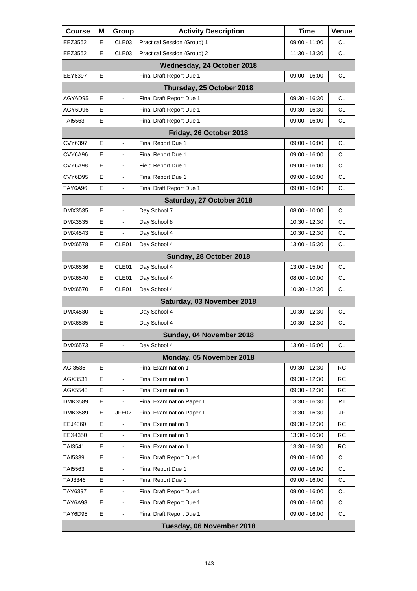| <b>Course</b>              | Μ | Group             | <b>Activity Description</b>      | Time            | Venue     |  |  |  |
|----------------------------|---|-------------------|----------------------------------|-----------------|-----------|--|--|--|
| EEZ3562                    | Е | CLE <sub>03</sub> | Practical Session (Group) 1      | 09:00 - 11:00   | CL.       |  |  |  |
| EEZ3562                    | E | CLE03             | Practical Session (Group) 2      | 11:30 - 13:30   | <b>CL</b> |  |  |  |
| Wednesday, 24 October 2018 |   |                   |                                  |                 |           |  |  |  |
| EEY6397                    | Е | $\blacksquare$    | Final Draft Report Due 1         | 09:00 - 16:00   | CL.       |  |  |  |
|                            |   |                   | Thursday, 25 October 2018        |                 |           |  |  |  |
| AGY6D95                    | E | $\mathbf{r}$      | Final Draft Report Due 1         | 09:30 - 16:30   | <b>CL</b> |  |  |  |
| AGY6D96                    | Е | $\blacksquare$    | Final Draft Report Due 1         | 09:30 - 16:30   | CL.       |  |  |  |
| TAI5563                    | E | $\overline{a}$    | Final Draft Report Due 1         | 09:00 - 16:00   | <b>CL</b> |  |  |  |
|                            |   |                   | Friday, 26 October 2018          |                 |           |  |  |  |
| CVY6397                    | Е | $\blacksquare$    | Final Report Due 1               | 09:00 - 16:00   | <b>CL</b> |  |  |  |
| CVY6A96                    | E |                   | Final Report Due 1               | 09:00 - 16:00   | CL.       |  |  |  |
| CVY6A98                    | E | $\blacksquare$    | Field Report Due 1               | 09:00 - 16:00   | CL.       |  |  |  |
| CVY6D95                    | Е | $\blacksquare$    | Final Report Due 1               | 09:00 - 16:00   | CL.       |  |  |  |
| TAY6A96                    | E | $\overline{a}$    | Final Draft Report Due 1         | 09:00 - 16:00   | <b>CL</b> |  |  |  |
|                            |   |                   | Saturday, 27 October 2018        |                 |           |  |  |  |
| DMX3535                    | Е | $\blacksquare$    | Day School 7                     | 08:00 - 10:00   | <b>CL</b> |  |  |  |
| DMX3535                    | E |                   | Day School 8                     | 10:30 - 12:30   | CL.       |  |  |  |
| DMX4543                    | E |                   | Day School 4                     | 10:30 - 12:30   | CL.       |  |  |  |
| DMX6578                    | E | CLE01             | Day School 4                     | 13:00 - 15:30   | CL.       |  |  |  |
|                            |   |                   | Sunday, 28 October 2018          |                 |           |  |  |  |
| DMX6536                    | E | CLE01             | Day School 4                     | 13:00 - 15:00   | <b>CL</b> |  |  |  |
| DMX6540                    | Е | CLE01             | Day School 4                     | 08:00 - 10:00   | CL.       |  |  |  |
| DMX6570                    | E | CLE01             | Day School 4                     | 10:30 - 12:30   | <b>CL</b> |  |  |  |
|                            |   |                   | Saturday, 03 November 2018       |                 |           |  |  |  |
| DMX4530                    | Е | $\blacksquare$    | Day School 4                     | $10:30 - 12:30$ | <b>CL</b> |  |  |  |
| DMX6535                    | E | $\blacksquare$    | Day School 4                     | 10:30 - 12:30   | <b>CL</b> |  |  |  |
|                            |   |                   | Sunday, 04 November 2018         |                 |           |  |  |  |
| DMX6573                    | Е | $\blacksquare$    | Day School 4                     | 13:00 - 15:00   | СL        |  |  |  |
|                            |   |                   | Monday, 05 November 2018         |                 |           |  |  |  |
| AGI3535                    | E | $\blacksquare$    | <b>Final Examination 1</b>       | 09:30 - 12:30   | <b>RC</b> |  |  |  |
| AGX3531                    | Е |                   | <b>Final Examination 1</b>       | 09:30 - 12:30   | RC        |  |  |  |
| AGX5543                    | Е |                   | Final Examination 1              | 09:30 - 12:30   | RC        |  |  |  |
| DMK3589                    | E | L,                | <b>Final Examination Paper 1</b> | 13:30 - 16:30   | R1        |  |  |  |
| DMK3589                    | Е | JFE02             | <b>Final Examination Paper 1</b> | 13:30 - 16:30   | JF        |  |  |  |
| EEJ4360                    | Е |                   | <b>Final Examination 1</b>       | 09:30 - 12:30   | RC        |  |  |  |
| EEX4350                    | E | L,                | <b>Final Examination 1</b>       | 13:30 - 16:30   | RC        |  |  |  |
| TAI3541                    | Е |                   | <b>Final Examination 1</b>       | 13:30 - 16:30   | <b>RC</b> |  |  |  |
| TAI5339                    | Е |                   | Final Draft Report Due 1         | 09:00 - 16:00   | <b>CL</b> |  |  |  |
| TAI5563                    | E | L,                | Final Report Due 1               | 09:00 - 16:00   | <b>CL</b> |  |  |  |
| TAJ3346                    | Е |                   | Final Report Due 1               | 09:00 - 16:00   | <b>CL</b> |  |  |  |
| TAY6397                    | Е |                   | Final Draft Report Due 1         | 09:00 - 16:00   | <b>CL</b> |  |  |  |
| TAY6A98                    | E | L,                | Final Draft Report Due 1         | 09:00 - 16:00   | <b>CL</b> |  |  |  |
| <b>TAY6D95</b>             | E |                   | Final Draft Report Due 1         | 09:00 - 16:00   | CL        |  |  |  |
| Tuesday, 06 November 2018  |   |                   |                                  |                 |           |  |  |  |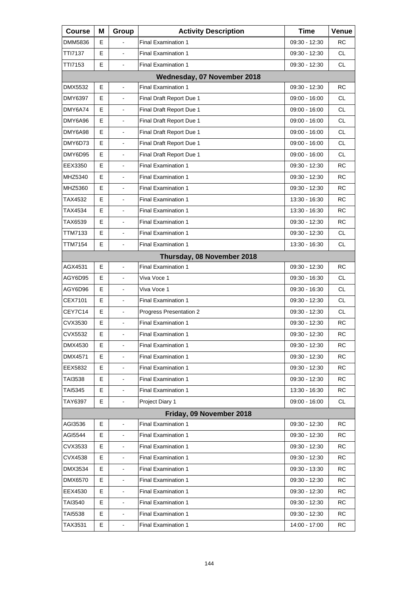| <b>Course</b> | Μ                          | Group                    | <b>Activity Description</b> | <b>Time</b>     | Venue     |  |  |  |  |
|---------------|----------------------------|--------------------------|-----------------------------|-----------------|-----------|--|--|--|--|
| DMM5836       | Е                          |                          | <b>Final Examination 1</b>  | 09:30 - 12:30   | RC        |  |  |  |  |
| TTI7137       | E                          | $\overline{a}$           | <b>Final Examination 1</b>  | 09:30 - 12:30   | CL.       |  |  |  |  |
| TTI7153       | E                          | $\blacksquare$           | <b>Final Examination 1</b>  | 09:30 - 12:30   | <b>CL</b> |  |  |  |  |
|               |                            |                          | Wednesday, 07 November 2018 |                 |           |  |  |  |  |
| DMX5532       | E                          |                          | <b>Final Examination 1</b>  | 09:30 - 12:30   | <b>RC</b> |  |  |  |  |
| DMY6397       | E                          | $\blacksquare$           | Final Draft Report Due 1    | $09:00 - 16:00$ | CL        |  |  |  |  |
| DMY6A74       | Е                          | $\blacksquare$           | Final Draft Report Due 1    | 09:00 - 16:00   | CL.       |  |  |  |  |
| DMY6A96       | E                          | $\overline{a}$           | Final Draft Report Due 1    | 09:00 - 16:00   | CL.       |  |  |  |  |
| DMY6A98       | E                          | L,                       | Final Draft Report Due 1    | $09:00 - 16:00$ | <b>CL</b> |  |  |  |  |
| DMY6D73       | Е                          | $\blacksquare$           | Final Draft Report Due 1    | 09:00 - 16:00   | CL.       |  |  |  |  |
| DMY6D95       | E                          | $\overline{a}$           | Final Draft Report Due 1    | 09:00 - 16:00   | CL.       |  |  |  |  |
| EEX3350       | Е                          | ä,                       | <b>Final Examination 1</b>  | 09:30 - 12:30   | <b>RC</b> |  |  |  |  |
| MHZ5340       | Е                          | $\overline{\phantom{a}}$ | <b>Final Examination 1</b>  | 09:30 - 12:30   | <b>RC</b> |  |  |  |  |
| MHZ5360       | E                          | $\overline{a}$           | <b>Final Examination 1</b>  | 09:30 - 12:30   | <b>RC</b> |  |  |  |  |
| TAX4532       | Е                          | ä,                       | <b>Final Examination 1</b>  | 13:30 - 16:30   | RC        |  |  |  |  |
| TAX4534       | Е                          | $\blacksquare$           | Final Examination 1         | 13:30 - 16:30   | <b>RC</b> |  |  |  |  |
| TAX6539       | E                          | $\overline{a}$           | <b>Final Examination 1</b>  | 09:30 - 12:30   | <b>RC</b> |  |  |  |  |
| TTM7133       | Е                          | ä,                       | <b>Final Examination 1</b>  | 09:30 - 12:30   | CL.       |  |  |  |  |
| TTM7154       | Е                          | $\blacksquare$           | <b>Final Examination 1</b>  | 13:30 - 16:30   | CL.       |  |  |  |  |
|               | Thursday, 08 November 2018 |                          |                             |                 |           |  |  |  |  |
| AGX4531       | Е                          | ä,                       | <b>Final Examination 1</b>  | 09:30 - 12:30   | <b>RC</b> |  |  |  |  |
| AGY6D95       | Е                          | $\blacksquare$           | Viva Voce 1                 | 09:30 - 16:30   | CL.       |  |  |  |  |
| AGY6D96       | E                          | $\overline{a}$           | Viva Voce 1                 | 09:30 - 16:30   | CL.       |  |  |  |  |
| CEX7101       | Е                          | ä,                       | <b>Final Examination 1</b>  | 09:30 - 12:30   | CL.       |  |  |  |  |
| CEY7C14       | E                          | $\blacksquare$           | Progress Presentation 2     | 09:30 - 12:30   | CL.       |  |  |  |  |
| CVX3530       | E                          | $\blacksquare$           | <b>Final Examination 1</b>  | 09:30 - 12:30   | RC        |  |  |  |  |
| CVX5532       | Е                          | $\blacksquare$           | <b>Final Examination 1</b>  | 09:30 - 12:30   | RC        |  |  |  |  |
| DMX4530       | Е                          | $\blacksquare$           | <b>Final Examination 1</b>  | 09:30 - 12:30   | <b>RC</b> |  |  |  |  |
| DMX4571       | Ε                          |                          | <b>Final Examination 1</b>  | 09:30 - 12:30   | RC        |  |  |  |  |
| EEX5832       | Е                          | ۰                        | <b>Final Examination 1</b>  | 09:30 - 12:30   | RC        |  |  |  |  |
| TAI3538       | Ε                          |                          | Final Examination 1         | 09:30 - 12:30   | RC        |  |  |  |  |
| TAI5345       | Ε                          |                          | Final Examination 1         | 13:30 - 16:30   | RC        |  |  |  |  |
| TAY6397       | Е                          | $\blacksquare$           | Project Diary 1             | 09:00 - 16:00   | CL        |  |  |  |  |
|               |                            |                          | Friday, 09 November 2018    |                 |           |  |  |  |  |
| AGI3536       | Ε                          |                          | <b>Final Examination 1</b>  | 09:30 - 12:30   | RC        |  |  |  |  |
| AGI5544       | Ε                          |                          | <b>Final Examination 1</b>  | 09:30 - 12:30   | RC        |  |  |  |  |
| CVX3533       | Ε                          |                          | Final Examination 1         | 09:30 - 12:30   | RC        |  |  |  |  |
| CVX4538       | Ε                          |                          | <b>Final Examination 1</b>  | 09:30 - 12:30   | RC        |  |  |  |  |
| DMX3534       | Ε                          | $\blacksquare$           | <b>Final Examination 1</b>  | 09:30 - 13:30   | RC        |  |  |  |  |
| DMX6570       | Ε                          |                          | Final Examination 1         | 09:30 - 12:30   | RC        |  |  |  |  |
| EEX4530       | Е                          |                          | <b>Final Examination 1</b>  | 09:30 - 12:30   | RC        |  |  |  |  |
| TAI3540       | Ε                          | $\blacksquare$           | <b>Final Examination 1</b>  | 09:30 - 12:30   | RC        |  |  |  |  |
| TAI5538       | Ε                          | $\overline{\phantom{a}}$ | Final Examination 1         | 09:30 - 12:30   | <b>RC</b> |  |  |  |  |
| TAX3531       | Е                          | $\blacksquare$           | <b>Final Examination 1</b>  | 14:00 - 17:00   | RC        |  |  |  |  |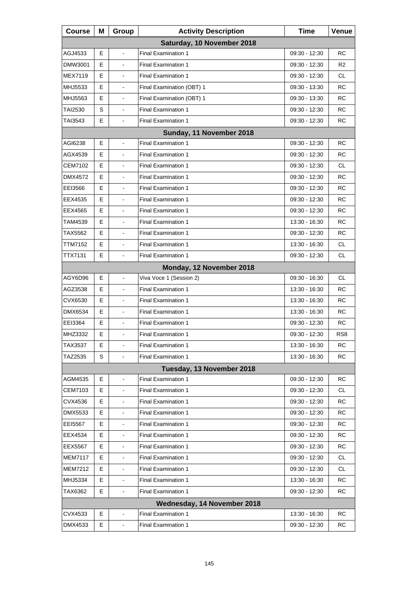| <b>Course</b>              | Μ | Group                    | <b>Activity Description</b> | <b>Time</b>   | Venue           |  |
|----------------------------|---|--------------------------|-----------------------------|---------------|-----------------|--|
| Saturday, 10 November 2018 |   |                          |                             |               |                 |  |
| AGJ4533                    | E | $\blacksquare$           | <b>Final Examination 1</b>  | 09:30 - 12:30 | RC              |  |
| DMW3001                    | Е | $\blacksquare$           | <b>Final Examination 1</b>  | 09:30 - 12:30 | R2              |  |
| <b>MEX7119</b>             | Е | $\blacksquare$           | <b>Final Examination 1</b>  | 09:30 - 12:30 | <b>CL</b>       |  |
| MHJ5533                    | E |                          | Final Examination (OBT) 1   | 09:30 - 13:30 | RC              |  |
| MHJ5563                    | Е | L,                       | Final Examination (OBT) 1   | 09:30 - 13:30 | RC              |  |
| TAI2530                    | S | $\blacksquare$           | Final Examination 1         | 09:30 - 12:30 | <b>RC</b>       |  |
| TAI3543                    | Е | $\blacksquare$           | <b>Final Examination 1</b>  | 09:30 - 12:30 | RC              |  |
|                            |   |                          | Sunday, 11 November 2018    |               |                 |  |
| AGI6238                    | E | ä,                       | <b>Final Examination 1</b>  | 09:30 - 12:30 | RC              |  |
| AGX4539                    | E |                          | <b>Final Examination 1</b>  | 09:30 - 12:30 | RC              |  |
| CEM7102                    | Е | ä,                       | <b>Final Examination 1</b>  | 09:30 - 12:30 | CL.             |  |
| DMX4572                    | E | $\blacksquare$           | <b>Final Examination 1</b>  | 09:30 - 12:30 | <b>RC</b>       |  |
| EEI3566                    | E |                          | <b>Final Examination 1</b>  | 09:30 - 12:30 | RC              |  |
| EEX4535                    | Е | ä,                       | <b>Final Examination 1</b>  | 09:30 - 12:30 | <b>RC</b>       |  |
| EEX4565                    | Е | $\blacksquare$           | <b>Final Examination 1</b>  | 09:30 - 12:30 | <b>RC</b>       |  |
| TAM4539                    | E |                          | <b>Final Examination 1</b>  | 13:30 - 16:30 | RC              |  |
| TAX5562                    | Е | ä,                       | <b>Final Examination 1</b>  | 09:30 - 12:30 | <b>RC</b>       |  |
| TTM7152                    | E | $\blacksquare$           | <b>Final Examination 1</b>  | 13:30 - 16:30 | <b>CL</b>       |  |
| TTX7131                    | Е | $\blacksquare$           | <b>Final Examination 1</b>  | 09:30 - 12:30 | CL              |  |
|                            |   |                          | Monday, 12 November 2018    |               |                 |  |
| AGY6D96                    | Е | ä,                       | Viva Voce 1 (Session 2)     | 09:30 - 16:30 | <b>CL</b>       |  |
| AGZ3538                    | E |                          | <b>Final Examination 1</b>  | 13:30 - 16:30 | RC              |  |
| CVX6530                    | Е | ä,                       | <b>Final Examination 1</b>  | 13:30 - 16:30 | <b>RC</b>       |  |
| DMX6534                    | Е | $\blacksquare$           | <b>Final Examination 1</b>  | 13:30 - 16:30 | RC              |  |
| EEI3364                    | Е |                          | <b>Final Examination 1</b>  | 09:30 - 12:30 | RC              |  |
| MHZ3332                    | E |                          | <b>Final Examination 1</b>  | 09:30 - 12:30 | RS <sub>8</sub> |  |
| TAX3537                    | Е | $\blacksquare$           | <b>Final Examination 1</b>  | 13:30 - 16:30 | RC              |  |
| TAZ2535                    | S |                          | <b>Final Examination 1</b>  | 13:30 - 16:30 | RC              |  |
|                            |   |                          | Tuesday, 13 November 2018   |               |                 |  |
| AGM4535                    | Е |                          | <b>Final Examination 1</b>  | 09:30 - 12:30 | <b>RC</b>       |  |
| CEM7103                    | Е |                          | <b>Final Examination 1</b>  | 09:30 - 12:30 | <b>CL</b>       |  |
| CVX4536                    | Е |                          | <b>Final Examination 1</b>  | 09:30 - 12:30 | RC              |  |
| DMX5533                    | Е |                          | <b>Final Examination 1</b>  | 09:30 - 12:30 | <b>RC</b>       |  |
| EEI5567                    | Е |                          | <b>Final Examination 1</b>  | 09:30 - 12:30 | <b>RC</b>       |  |
| EEX4534                    | Е |                          | <b>Final Examination 1</b>  | 09:30 - 12:30 | RC              |  |
| EEX5567                    | Е |                          | <b>Final Examination 1</b>  | 09:30 - 12:30 | <b>RC</b>       |  |
| <b>MEM7117</b>             | Е |                          | <b>Final Examination 1</b>  | 09:30 - 12:30 | <b>CL</b>       |  |
| MEM7212                    | Е | $\overline{\phantom{a}}$ | <b>Final Examination 1</b>  | 09:30 - 12:30 | CL              |  |
| MHJ5334                    | Е | $\overline{\phantom{a}}$ | <b>Final Examination 1</b>  | 13:30 - 16:30 | <b>RC</b>       |  |
| TAX6362                    | Е |                          | <b>Final Examination 1</b>  | 09:30 - 12:30 | RC              |  |
|                            |   |                          | Wednesday, 14 November 2018 |               |                 |  |
| CVX4533                    | Е |                          | <b>Final Examination 1</b>  | 13:30 - 16:30 | RC              |  |
| DMX4533                    | Е |                          | Final Examination 1         | 09:30 - 12:30 | RC              |  |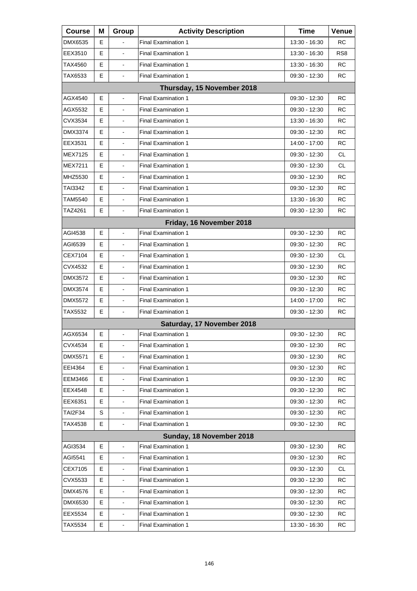| <b>Course</b>  | Μ | Group                    | <b>Activity Description</b> | <b>Time</b>   | Venue           |
|----------------|---|--------------------------|-----------------------------|---------------|-----------------|
| DMX6535        | Е |                          | <b>Final Examination 1</b>  | 13:30 - 16:30 | RC              |
| EEX3510        | E | $\overline{a}$           | <b>Final Examination 1</b>  | 13:30 - 16:30 | RS <sub>8</sub> |
| TAX4560        | E | ä,                       | <b>Final Examination 1</b>  | 13:30 - 16:30 | RC              |
| TAX6533        | Е | $\blacksquare$           | <b>Final Examination 1</b>  | 09:30 - 12:30 | <b>RC</b>       |
|                |   |                          | Thursday, 15 November 2018  |               |                 |
| AGX4540        | E | ä,                       | <b>Final Examination 1</b>  | 09:30 - 12:30 | RC              |
| AGX5532        | Е | $\blacksquare$           | <b>Final Examination 1</b>  | 09:30 - 12:30 | RC              |
| CVX3534        | E | $\overline{a}$           | <b>Final Examination 1</b>  | 13:30 - 16:30 | <b>RC</b>       |
| DMX3374        | E | ä,                       | <b>Final Examination 1</b>  | 09:30 - 12:30 | <b>RC</b>       |
| EEX3531        | Е | $\blacksquare$           | <b>Final Examination 1</b>  | 14:00 - 17:00 | <b>RC</b>       |
| <b>MEX7125</b> | E | $\overline{a}$           | <b>Final Examination 1</b>  | 09:30 - 12:30 | <b>CL</b>       |
| MEX7211        | Е | ä,                       | <b>Final Examination 1</b>  | 09:30 - 12:30 | CL.             |
| MHZ5530        | Е | $\blacksquare$           | <b>Final Examination 1</b>  | 09:30 - 12:30 | <b>RC</b>       |
| TAI3342        | E | $\overline{a}$           | <b>Final Examination 1</b>  | 09:30 - 12:30 | <b>RC</b>       |
| TAM5540        | Е | ä,                       | <b>Final Examination 1</b>  | 13:30 - 16:30 | <b>RC</b>       |
| TAZ4261        | Е | $\blacksquare$           | <b>Final Examination 1</b>  | 09:30 - 12:30 | RC              |
|                |   |                          | Friday, 16 November 2018    |               |                 |
| AGI4538        | Е | ä,                       | <b>Final Examination 1</b>  | 09:30 - 12:30 | <b>RC</b>       |
| AGI6539        | Е | $\blacksquare$           | <b>Final Examination 1</b>  | 09:30 - 12:30 | <b>RC</b>       |
| CEX7104        | E | $\overline{a}$           | <b>Final Examination 1</b>  | 09:30 - 12:30 | CL.             |
| CVX4532        | Е | ä,                       | <b>Final Examination 1</b>  | 09:30 - 12:30 | <b>RC</b>       |
| DMX3572        | Е | $\blacksquare$           | <b>Final Examination 1</b>  | 09:30 - 12:30 | <b>RC</b>       |
| DMX3574        | E | $\overline{a}$           | <b>Final Examination 1</b>  | 09:30 - 12:30 | <b>RC</b>       |
| DMX5572        | E | ä,                       | <b>Final Examination 1</b>  | 14:00 - 17:00 | <b>RC</b>       |
| TAX5532        | E | $\blacksquare$           | <b>Final Examination 1</b>  | 09:30 - 12:30 | <b>RC</b>       |
|                |   |                          | Saturday, 17 November 2018  |               |                 |
| AGX6534        | Е | $\blacksquare$           | <b>Final Examination 1</b>  | 09:30 - 12:30 | <b>RC</b>       |
| CVX4534        | Е | $\overline{\phantom{a}}$ | <b>Final Examination 1</b>  | 09:30 - 12:30 | RC              |
| DMX5571        | Е |                          | <b>Final Examination 1</b>  | 09:30 - 12:30 | RC              |
| EEI4364        | Е |                          | <b>Final Examination 1</b>  | 09:30 - 12:30 | RC              |
| EEM3466        | Е |                          | <b>Final Examination 1</b>  | 09:30 - 12:30 | RC              |
| EEX4548        | Е |                          | Final Examination 1         | 09:30 - 12:30 | <b>RC</b>       |
| EEX6351        | Е | $\blacksquare$           | <b>Final Examination 1</b>  | 09:30 - 12:30 | RC              |
| TAI2F34        | S |                          | <b>Final Examination 1</b>  | 09:30 - 12:30 | <b>RC</b>       |
| TAX4538        | Е |                          | <b>Final Examination 1</b>  | 09:30 - 12:30 | RC              |
|                |   |                          | Sunday, 18 November 2018    |               |                 |
| AGI3534        | Е |                          | <b>Final Examination 1</b>  | 09:30 - 12:30 | RC              |
| AGI5541        | Е |                          | <b>Final Examination 1</b>  | 09:30 - 12:30 | RC              |
| CEX7105        | Е | $\blacksquare$           | <b>Final Examination 1</b>  | 09:30 - 12:30 | CL              |
| CVX5533        | Е |                          | <b>Final Examination 1</b>  | 09:30 - 12:30 | RC              |
| DMX4576        | Е |                          | <b>Final Examination 1</b>  | 09:30 - 12:30 | RC              |
| DMX6530        | Е | $\blacksquare$           | <b>Final Examination 1</b>  | 09:30 - 12:30 | RC              |
| EEX5534        | Е | $\overline{\phantom{a}}$ | <b>Final Examination 1</b>  | 09:30 - 12:30 | RC.             |
| TAX5534        | Е |                          | Final Examination 1         | 13:30 - 16:30 | RC              |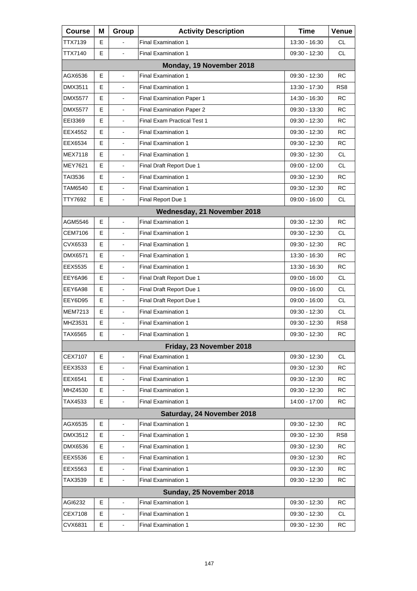| <b>Course</b>  | Μ | Group          | <b>Activity Description</b>        | Time          | Venue           |
|----------------|---|----------------|------------------------------------|---------------|-----------------|
| TTX7139        | Е |                | <b>Final Examination 1</b>         | 13:30 - 16:30 | CL              |
| TTX7140        | Е | ä,             | <b>Final Examination 1</b>         | 09:30 - 12:30 | CL.             |
|                |   |                | Monday, 19 November 2018           |               |                 |
| AGX6536        | E | $\overline{a}$ | <b>Final Examination 1</b>         | 09:30 - 12:30 | <b>RC</b>       |
| DMX3511        | Е |                | <b>Final Examination 1</b>         | 13:30 - 17:30 | RS <sub>8</sub> |
| <b>DMX5577</b> | Е | $\blacksquare$ | <b>Final Examination Paper 1</b>   | 14:30 - 16:30 | RC              |
| <b>DMX5577</b> | E | $\blacksquare$ | <b>Final Examination Paper 2</b>   | 09:30 - 13:30 | <b>RC</b>       |
| EEI3369        | Е |                | <b>Final Exam Practical Test 1</b> | 09:30 - 12:30 | <b>RC</b>       |
| EEX4552        | Е | $\blacksquare$ | <b>Final Examination 1</b>         | 09:30 - 12:30 | RC              |
| EEX6534        | E |                | <b>Final Examination 1</b>         | 09:30 - 12:30 | <b>RC</b>       |
| MEX7118        | Е |                | <b>Final Examination 1</b>         | 09:30 - 12:30 | CL.             |
| <b>MEY7621</b> | E | L,             | Final Draft Report Due 1           | 09:00 - 12:00 | <b>CL</b>       |
| TAI3536        | E | $\blacksquare$ | <b>Final Examination 1</b>         | 09:30 - 12:30 | <b>RC</b>       |
| TAM6540        | E |                | <b>Final Examination 1</b>         | 09:30 - 12:30 | <b>RC</b>       |
| TTY7692        | E | $\blacksquare$ | Final Report Due 1                 | 09:00 - 16:00 | CL.             |
|                |   |                | Wednesday, 21 November 2018        |               |                 |
| AGM5546        | E |                | <b>Final Examination 1</b>         | 09:30 - 12:30 | <b>RC</b>       |
| <b>CEM7106</b> | E | L,             | <b>Final Examination 1</b>         | 09:30 - 12:30 | <b>CL</b>       |
| CVX6533        | E |                | <b>Final Examination 1</b>         | 09:30 - 12:30 | <b>RC</b>       |
| DMX6571        | Е |                | <b>Final Examination 1</b>         | 13:30 - 16:30 | <b>RC</b>       |
| EEX5535        | Е | L,             | <b>Final Examination 1</b>         | 13:30 - 16:30 | <b>RC</b>       |
| EEY6A96        | E | $\blacksquare$ | Final Draft Report Due 1           | 09:00 - 16:00 | <b>CL</b>       |
| EEY6A98        | Е |                | Final Draft Report Due 1           | 09:00 - 16:00 | CL.             |
| EEY6D95        | E | L,             | Final Draft Report Due 1           | 09:00 - 16:00 | <b>CL</b>       |
| MEM7213        | E | $\overline{a}$ | <b>Final Examination 1</b>         | 09:30 - 12:30 | <b>CL</b>       |
| MHZ3531        | Е |                | <b>Final Examination 1</b>         | 09:30 - 12:30 | RS <sub>8</sub> |
| TAX6565        | E | $\blacksquare$ | <b>Final Examination 1</b>         | 09:30 - 12:30 | RC              |
|                |   |                | Friday, 23 November 2018           |               |                 |
| CEX7107        | Е |                | <b>Final Examination 1</b>         | 09:30 - 12:30 | CL              |
| EEX3533        | Е | $\blacksquare$ | <b>Final Examination 1</b>         | 09:30 - 12:30 | <b>RC</b>       |
| EEX6541        | Е |                | <b>Final Examination 1</b>         | 09:30 - 12:30 | <b>RC</b>       |
| MHZ4530        | Е |                | <b>Final Examination 1</b>         | 09:30 - 12:30 | <b>RC</b>       |
| TAX4533        | Е | $\blacksquare$ | <b>Final Examination 1</b>         | 14:00 - 17:00 | <b>RC</b>       |
|                |   |                | Saturday, 24 November 2018         |               |                 |
| AGX6535        | Е |                | <b>Final Examination 1</b>         | 09:30 - 12:30 | <b>RC</b>       |
| DMX3512        | Е | $\blacksquare$ | <b>Final Examination 1</b>         | 09:30 - 12:30 | RS <sub>8</sub> |
| DMX6536        | Е |                | <b>Final Examination 1</b>         | 09:30 - 12:30 | RC.             |
| EEX5536        | Е |                | Final Examination 1                | 09:30 - 12:30 | <b>RC</b>       |
| EEX5563        | Е | $\blacksquare$ | <b>Final Examination 1</b>         | 09:30 - 12:30 | <b>RC</b>       |
| TAX3539        | Е |                | <b>Final Examination 1</b>         | 09:30 - 12:30 | RC              |
|                |   |                | Sunday, 25 November 2018           |               |                 |
| AGI6232        | Е | $\blacksquare$ | <b>Final Examination 1</b>         | 09:30 - 12:30 | RC              |
| CEX7108        | Е |                | <b>Final Examination 1</b>         | 09:30 - 12:30 | CL              |
| CVX6831        | Е |                | Final Examination 1                | 09:30 - 12:30 | <b>RC</b>       |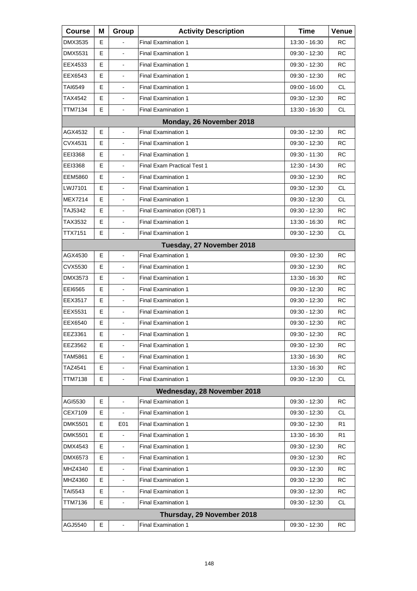| <b>Course</b>  | М  | Group                    | <b>Activity Description</b>        | Time          | Venue     |
|----------------|----|--------------------------|------------------------------------|---------------|-----------|
| DMX3535        | Е  |                          | <b>Final Examination 1</b>         | 13:30 - 16:30 | RC        |
| DMX5531        | Е  |                          | <b>Final Examination 1</b>         | 09:30 - 12:30 | <b>RC</b> |
| EEX4533        | E. | $\blacksquare$           | <b>Final Examination 1</b>         | 09:30 - 12:30 | RC        |
| EEX6543        | Е  |                          | <b>Final Examination 1</b>         | 09:30 - 12:30 | <b>RC</b> |
| TAI6549        | Е  |                          | <b>Final Examination 1</b>         | 09:00 - 16:00 | CL        |
| TAX4542        | E. | $\blacksquare$           | <b>Final Examination 1</b>         | 09:30 - 12:30 | RC        |
| TTM7134        | E  | $\blacksquare$           | <b>Final Examination 1</b>         | 13:30 - 16:30 | <b>CL</b> |
|                |    |                          | Monday, 26 November 2018           |               |           |
| AGX4532        | Е  | $\mathbf{r}$             | <b>Final Examination 1</b>         | 09:30 - 12:30 | RC        |
| CVX4531        | Е  |                          | <b>Final Examination 1</b>         | 09:30 - 12:30 | RC        |
| EEI3368        | Е  |                          | <b>Final Examination 1</b>         | 09:30 - 11:30 | <b>RC</b> |
| EEI3368        | E. | $\mathbf{r}$             | <b>Final Exam Practical Test 1</b> | 12:30 - 14:30 | <b>RC</b> |
| <b>EEM5860</b> | Е  | $\blacksquare$           | <b>Final Examination 1</b>         | 09:30 - 12:30 | <b>RC</b> |
| LWJ7101        | E  |                          | <b>Final Examination 1</b>         | 09:30 - 12:30 | CL        |
| MEX7214        | E. | $\mathbf{r}$             | <b>Final Examination 1</b>         | 09:30 - 12:30 | <b>CL</b> |
| TAJ5342        | Е  | $\blacksquare$           | Final Examination (OBT) 1          | 09:30 - 12:30 | <b>RC</b> |
| TAX3532        | Е  |                          | <b>Final Examination 1</b>         | 13:30 - 16:30 | <b>RC</b> |
| TTX7151        | E. |                          | <b>Final Examination 1</b>         | 09:30 - 12:30 | CL        |
|                |    |                          | Tuesday, 27 November 2018          |               |           |
| AGX4530        | E  | $\mathbf{r}$             | <b>Final Examination 1</b>         | 09:30 - 12:30 | <b>RC</b> |
| CVX5530        | E. | $\mathbf{r}$             | <b>Final Examination 1</b>         | 09:30 - 12:30 | <b>RC</b> |
| DMX3573        | Е  |                          | <b>Final Examination 1</b>         | 13:30 - 16:30 | RC        |
| EE16565        | Е  |                          | <b>Final Examination 1</b>         | 09:30 - 12:30 | <b>RC</b> |
| EEX3517        | E. | $\mathbf{r}$             | <b>Final Examination 1</b>         | 09:30 - 12:30 | <b>RC</b> |
| EEX5531        | Е  |                          | <b>Final Examination 1</b>         | 09:30 - 12:30 | RC        |
| EEX6540        | Е  |                          | <b>Final Examination 1</b>         | 09:30 - 12:30 | <b>RC</b> |
| EEZ3361        | E  |                          | <b>Final Examination 1</b>         | 09:30 - 12:30 | RC        |
| EEZ3562        | Е  | $\blacksquare$           | <b>Final Examination 1</b>         | 09:30 - 12:30 | RC        |
| TAM5861        | Е  |                          | <b>Final Examination 1</b>         | 13:30 - 16:30 | RC        |
| TAZ4541        | Е  |                          | <b>Final Examination 1</b>         | 13:30 - 16:30 | RC        |
| TTM7138        | Е  |                          | <b>Final Examination 1</b>         | 09:30 - 12:30 | CL.       |
|                |    |                          | Wednesday, 28 November 2018        |               |           |
| AGI5530        | Е  | $\blacksquare$           | <b>Final Examination 1</b>         | 09:30 - 12:30 | RC        |
| CEX7109        | Е  |                          | <b>Final Examination 1</b>         | 09:30 - 12:30 | CL.       |
| <b>DMK5501</b> | Е  | E01                      | <b>Final Examination 1</b>         | 09:30 - 12:30 | R1        |
| <b>DMK5501</b> | Е  |                          | <b>Final Examination 1</b>         | 13:30 - 16:30 | R1        |
| DMX4543        | Е  | $\blacksquare$           | <b>Final Examination 1</b>         | 09:30 - 12:30 | RC        |
| DMX6573        | Е  |                          | <b>Final Examination 1</b>         | 09:30 - 12:30 | RC        |
| MHZ4340        | Е  |                          | <b>Final Examination 1</b>         | 09:30 - 12:30 | RC        |
| MHZ4360        | Е  | $\blacksquare$           | <b>Final Examination 1</b>         | 09:30 - 12:30 | RC        |
| TAI5543        | Е  |                          | <b>Final Examination 1</b>         | 09:30 - 12:30 | RC        |
| TTM7136        | Е  | $\overline{\phantom{a}}$ | <b>Final Examination 1</b>         | 09:30 - 12:30 | CL        |
|                |    |                          | Thursday, 29 November 2018         |               |           |
| AGJ5540        | Е  |                          | <b>Final Examination 1</b>         | 09:30 - 12:30 | RC        |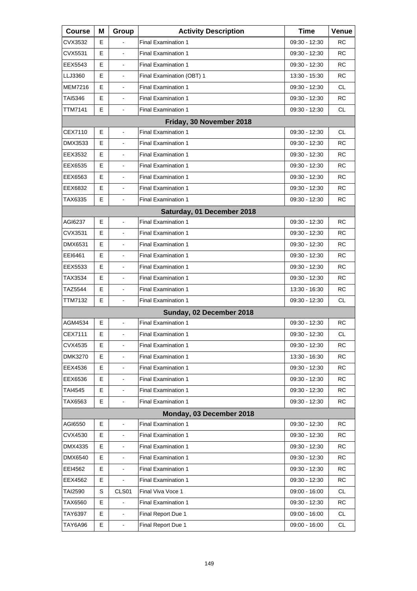| <b>Course</b>            | Μ | Group                    | <b>Activity Description</b> | Time            | Venue     |  |
|--------------------------|---|--------------------------|-----------------------------|-----------------|-----------|--|
| CVX3532                  | Е |                          | <b>Final Examination 1</b>  | 09:30 - 12:30   | RC        |  |
| CVX5531                  | Е |                          | <b>Final Examination 1</b>  | 09:30 - 12:30   | <b>RC</b> |  |
| EEX5543                  | Е | $\blacksquare$           | <b>Final Examination 1</b>  | 09:30 - 12:30   | RC        |  |
| LLJ3360                  | Е | $\blacksquare$           | Final Examination (OBT) 1   | 13:30 - 15:30   | <b>RC</b> |  |
| MEM7216                  | E |                          | <b>Final Examination 1</b>  | 09:30 - 12:30   | <b>CL</b> |  |
| TAI5346                  | Е | $\blacksquare$           | <b>Final Examination 1</b>  | 09:30 - 12:30   | RC        |  |
| <b>TTM7141</b>           | E | $\blacksquare$           | <b>Final Examination 1</b>  | 09:30 - 12:30   | <b>CL</b> |  |
| Friday, 30 November 2018 |   |                          |                             |                 |           |  |
| CEX7110                  | Е | $\overline{a}$           | Final Examination 1         | 09:30 - 12:30   | CL.       |  |
| DMX3533                  | Е | $\blacksquare$           | <b>Final Examination 1</b>  | 09:30 - 12:30   | RC        |  |
| EEX3532                  | Е |                          | <b>Final Examination 1</b>  | 09:30 - 12:30   | RC        |  |
| EEX6535                  | Е | $\overline{a}$           | <b>Final Examination 1</b>  | 09:30 - 12:30   | RC        |  |
| EEX6563                  | Е | $\blacksquare$           | Final Examination 1         | 09:30 - 12:30   | <b>RC</b> |  |
| EEX6832                  | E |                          | <b>Final Examination 1</b>  | $09:30 - 12:30$ | RC        |  |
| TAX6335                  | E |                          | <b>Final Examination 1</b>  | $09:30 - 12:30$ | RC        |  |
|                          |   |                          | Saturday, 01 December 2018  |                 |           |  |
| AGI6237                  | Е | $\blacksquare$           | <b>Final Examination 1</b>  | 09:30 - 12:30   | RC        |  |
| CVX3531                  | Е | $\overline{a}$           | <b>Final Examination 1</b>  | 09:30 - 12:30   | RC        |  |
| DMX6531                  | Е | $\blacksquare$           | Final Examination 1         | 09:30 - 12:30   | <b>RC</b> |  |
| EEI6461                  | Е |                          | <b>Final Examination 1</b>  | 09:30 - 12:30   | RC        |  |
| EEX5533                  | Е | $\overline{a}$           | <b>Final Examination 1</b>  | 09:30 - 12:30   | RC        |  |
| TAX3534                  | Е | $\blacksquare$           | <b>Final Examination 1</b>  | 09:30 - 12:30   | RC        |  |
| TAZ5544                  | E |                          | <b>Final Examination 1</b>  | 13:30 - 16:30   | RC        |  |
| TTM7132                  | E |                          | <b>Final Examination 1</b>  | 09:30 - 12:30   | CL.       |  |
|                          |   |                          | Sunday, 02 December 2018    |                 |           |  |
| AGM4534                  | Е |                          | <b>Final Examination 1</b>  | 09:30 - 12:30   | RC        |  |
| CEX7111                  | E |                          | <b>Final Examination 1</b>  | 09:30 - 12:30   | CL        |  |
| CVX4535                  | Е | $\blacksquare$           | <b>Final Examination 1</b>  | 09:30 - 12:30   | <b>RC</b> |  |
| <b>DMK3270</b>           | Е |                          | <b>Final Examination 1</b>  | 13:30 - 16:30   | <b>RC</b> |  |
| EEX4536                  | E |                          | <b>Final Examination 1</b>  | 09:30 - 12:30   | RC        |  |
| EEX6536                  | Е |                          | <b>Final Examination 1</b>  | 09:30 - 12:30   | <b>RC</b> |  |
| TAI4545                  | Е |                          | Final Examination 1         | 09:30 - 12:30   | <b>RC</b> |  |
| TAX6563                  | E |                          | <b>Final Examination 1</b>  | 09:30 - 12:30   | RC        |  |
|                          |   |                          | Monday, 03 December 2018    |                 |           |  |
| AGI6550                  | Е |                          | Final Examination 1         | 09:30 - 12:30   | RC        |  |
| CVX4530                  | E |                          | <b>Final Examination 1</b>  | 09:30 - 12:30   | RC        |  |
| DMX4335                  | Е |                          | <b>Final Examination 1</b>  | 09:30 - 12:30   | <b>RC</b> |  |
| DMX6540                  | Е |                          | Final Examination 1         | 09:30 - 12:30   | <b>RC</b> |  |
| EEI4562                  | E | $\blacksquare$           | <b>Final Examination 1</b>  | 09:30 - 12:30   | RC        |  |
| EEX4562                  | Е |                          | <b>Final Examination 1</b>  | 09:30 - 12:30   | <b>RC</b> |  |
| <b>TAI2590</b>           | S | CLS01                    | Final Viva Voce 1           | 09:00 - 16:00   | <b>CL</b> |  |
| TAX6560                  | Е |                          | Final Examination 1         | 09:30 - 12:30   | RC        |  |
| TAY6397                  | Е | $\overline{\phantom{a}}$ | Final Report Due 1          | 09:00 - 16:00   | CL        |  |
| TAY6A96                  | E | $\blacksquare$           | Final Report Due 1          | 09:00 - 16:00   | CL        |  |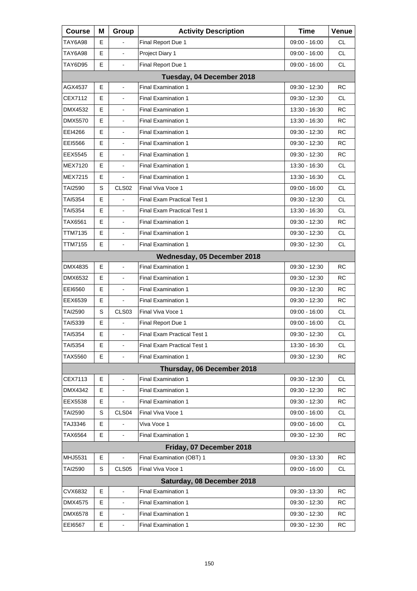| <b>Course</b>              | Μ | Group                        | <b>Activity Description</b>        | <b>Time</b>     | <b>Venue</b> |  |  |
|----------------------------|---|------------------------------|------------------------------------|-----------------|--------------|--|--|
| TAY6A98                    | Е |                              | Final Report Due 1                 | 09:00 - 16:00   | CL           |  |  |
| TAY6A98                    | E |                              | Project Diary 1                    | 09:00 - 16:00   | <b>CL</b>    |  |  |
| TAY6D95                    | E | $\blacksquare$               | Final Report Due 1                 | 09:00 - 16:00   | CL.          |  |  |
| Tuesday, 04 December 2018  |   |                              |                                    |                 |              |  |  |
| AGX4537                    | E |                              | <b>Final Examination 1</b>         | 09:30 - 12:30   | <b>RC</b>    |  |  |
| CEX7112                    | E | $\blacksquare$               | <b>Final Examination 1</b>         | 09:30 - 12:30   | CL.          |  |  |
| DMX4532                    | E | $\blacksquare$               | <b>Final Examination 1</b>         | 13:30 - 16:30   | RC           |  |  |
| DMX5570                    | E |                              | <b>Final Examination 1</b>         | 13:30 - 16:30   | <b>RC</b>    |  |  |
| EEI4266                    | E | $\blacksquare$               | <b>Final Examination 1</b>         | 09:30 - 12:30   | <b>RC</b>    |  |  |
| EEI5566                    | E | $\blacksquare$               | <b>Final Examination 1</b>         | 09:30 - 12:30   | <b>RC</b>    |  |  |
| EEX5545                    | Е |                              | <b>Final Examination 1</b>         | 09:30 - 12:30   | <b>RC</b>    |  |  |
| MEX7120                    | E | $\blacksquare$               | <b>Final Examination 1</b>         | 13:30 - 16:30   | <b>CL</b>    |  |  |
| MEX7215                    | Е | $\blacksquare$               | <b>Final Examination 1</b>         | 13:30 - 16:30   | CL.          |  |  |
| TAI2590                    | S | CLS <sub>02</sub>            | Final Viva Voce 1                  | 09:00 - 16:00   | <b>CL</b>    |  |  |
| TAI5354                    | E |                              | <b>Final Exam Practical Test 1</b> | 09:30 - 12:30   | <b>CL</b>    |  |  |
| TAI5354                    | Е | $\blacksquare$               | <b>Final Exam Practical Test 1</b> | 13:30 - 16:30   | CL.          |  |  |
| TAX6561                    | Е |                              | <b>Final Examination 1</b>         | 09:30 - 12:30   | RC           |  |  |
| <b>TTM7135</b>             | E | $\blacksquare$               | <b>Final Examination 1</b>         | 09:30 - 12:30   | <b>CL</b>    |  |  |
| TTM7155                    | E | $\blacksquare$               | <b>Final Examination 1</b>         | 09:30 - 12:30   | CL           |  |  |
|                            |   |                              | Wednesday, 05 December 2018        |                 |              |  |  |
| DMX4835                    | Е | $\blacksquare$               | <b>Final Examination 1</b>         | 09:30 - 12:30   | <b>RC</b>    |  |  |
| DMX6532                    | Е | $\blacksquare$               | <b>Final Examination 1</b>         | 09:30 - 12:30   | RC           |  |  |
| EE16560                    | E |                              | <b>Final Examination 1</b>         | 09:30 - 12:30   | RC           |  |  |
| EEX6539                    | E |                              | <b>Final Examination 1</b>         | 09:30 - 12:30   | <b>RC</b>    |  |  |
| TAI2590                    | S | CLS <sub>03</sub>            | Final Viva Voce 1                  | $09:00 - 16:00$ | CL           |  |  |
| TAI5339                    | Е |                              | Final Report Due 1                 | $09:00 - 16:00$ | <b>CL</b>    |  |  |
| TAI5354                    | E | $\blacksquare$               | <b>Final Exam Practical Test 1</b> | 09:30 - 12:30   | <b>CL</b>    |  |  |
| TAI5354                    | Е | $\blacksquare$               | Final Exam Practical Test 1        | 13:30 - 16:30   | СL           |  |  |
| TAX5560                    | Е |                              | <b>Final Examination 1</b>         | 09:30 - 12:30   | RC           |  |  |
|                            |   |                              | Thursday, 06 December 2018         |                 |              |  |  |
| CEX7113                    | Ε | $\blacksquare$               | <b>Final Examination 1</b>         | 09:30 - 12:30   | CL           |  |  |
| DMX4342                    | Е |                              | Final Examination 1                | 09:30 - 12:30   | RC           |  |  |
| EEX5538                    | Е |                              | Final Examination 1                | 09:30 - 12:30   | RC           |  |  |
| <b>TAI2590</b>             | S | CLS04                        | Final Viva Voce 1                  | 09:00 - 16:00   | CL           |  |  |
| TAJ3346                    | Е |                              | Viva Voce 1                        | 09:00 - 16:00   | CL.          |  |  |
| TAX6564                    | E |                              | <b>Final Examination 1</b>         | 09:30 - 12:30   | RC           |  |  |
|                            |   |                              | Friday, 07 December 2018           |                 |              |  |  |
| MHJ5531                    | Е |                              | Final Examination (OBT) 1          | 09:30 - 13:30   | RC           |  |  |
| <b>TAI2590</b>             | S | CLS <sub>05</sub>            | Final Viva Voce 1                  | 09:00 - 16:00   | CL           |  |  |
| Saturday, 08 December 2018 |   |                              |                                    |                 |              |  |  |
| CVX6832                    | Е |                              | <b>Final Examination 1</b>         | 09:30 - 13:30   | RC           |  |  |
| DMX4575                    | Е |                              | <b>Final Examination 1</b>         | 09:30 - 12:30   | RC           |  |  |
| DMX6578                    | Е | $\qquad \qquad \blacksquare$ | <b>Final Examination 1</b>         | 09:30 - 12:30   | RC           |  |  |
| EEI6567                    | Е | $\blacksquare$               | Final Examination 1                | 09:30 - 12:30   | <b>RC</b>    |  |  |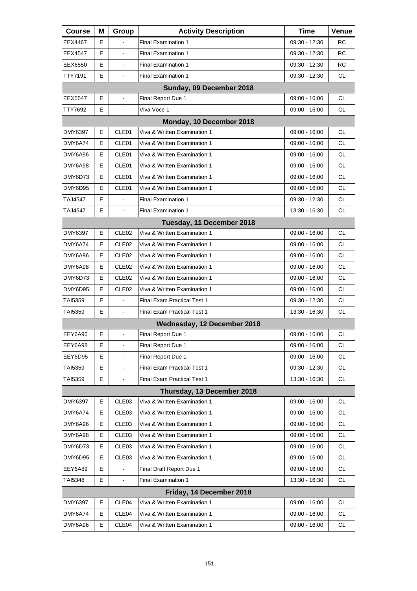| <b>Course</b>  | М | Group             | <b>Activity Description</b>  | Time            | Venue     |
|----------------|---|-------------------|------------------------------|-----------------|-----------|
| <b>EEX4467</b> | Е |                   | <b>Final Examination 1</b>   | 09:30 - 12:30   | RC.       |
| EEX4547        | Е |                   | <b>Final Examination 1</b>   | 09:30 - 12:30   | RC        |
| EEX6550        | E | $\blacksquare$    | <b>Final Examination 1</b>   | 09:30 - 12:30   | RC.       |
| TTY7191        | E | $\blacksquare$    | <b>Final Examination 1</b>   | 09:30 - 12:30   | CL.       |
|                |   |                   | Sunday, 09 December 2018     |                 |           |
| EEX5547        | Е | $\blacksquare$    | Final Report Due 1           | $09:00 - 16:00$ | <b>CL</b> |
| TTY7692        | E | $\blacksquare$    | Viva Voce 1                  | $09:00 - 16:00$ | CL.       |
|                |   |                   | Monday, 10 December 2018     |                 |           |
| DMY6397        | Е | CLE01             | Viva & Written Examination 1 | $09:00 - 16:00$ | <b>CL</b> |
| DMY6A74        | Е | CLE01             | Viva & Written Examination 1 | $09:00 - 16:00$ | CL.       |
| DMY6A96        | E | CLE01             | Viva & Written Examination 1 | $09:00 - 16:00$ | <b>CL</b> |
| DMY6A98        | E | CLE01             | Viva & Written Examination 1 | $09:00 - 16:00$ | CL.       |
| DMY6D73        | Е | CLE01             | Viva & Written Examination 1 | $09:00 - 16:00$ | CL.       |
| DMY6D95        | E | CLE01             | Viva & Written Examination 1 | $09:00 - 16:00$ | CL.       |
| TAJ4547        | E |                   | <b>Final Examination 1</b>   | 09:30 - 12:30   | CL.       |
| TAJ4547        | E | $\blacksquare$    | <b>Final Examination 1</b>   | 13:30 - 16:30   | CL.       |
|                |   |                   | Tuesday, 11 December 2018    |                 |           |
| DMY6397        | Е | CLE <sub>02</sub> | Viva & Written Examination 1 | $09:00 - 16:00$ | <b>CL</b> |
| DMY6A74        | Е | CLE <sub>02</sub> | Viva & Written Examination 1 | $09:00 - 16:00$ | CL.       |
| DMY6A96        | E | CLE <sub>02</sub> | Viva & Written Examination 1 | $09:00 - 16:00$ | CL.       |
| DMY6A98        | E | CLE <sub>02</sub> | Viva & Written Examination 1 | $09:00 - 16:00$ | <b>CL</b> |
| DMY6D73        | Е | CLE <sub>02</sub> | Viva & Written Examination 1 | $09:00 - 16:00$ | CL.       |
| DMY6D95        | E | CLE <sub>02</sub> | Viva & Written Examination 1 | $09:00 - 16:00$ | CL.       |
| TAI5359        | E | $\blacksquare$    | Final Exam Practical Test 1  | 09:30 - 12:30   | <b>CL</b> |
| TAI5359        | Е | L,                | Final Exam Practical Test 1  | 13:30 - 16:30   | CL.       |
|                |   |                   | Wednesday, 12 December 2018  |                 |           |
| EEY6A96        | Е | $\blacksquare$    | Final Report Due 1           | $09:00 - 16:00$ | <b>CL</b> |
| EEY6A98        | Е | $\blacksquare$    | Final Report Due 1           | 09:00 - 16:00   | <b>CL</b> |
| EEY6D95        | Ε |                   | Final Report Due 1           | $09:00 - 16:00$ | CL        |
| TAI5359        | E |                   | Final Exam Practical Test 1  | 09:30 - 12:30   | <b>CL</b> |
| <b>TAI5359</b> | Е | $\blacksquare$    | Final Exam Practical Test 1  | 13:30 - 16:30   | CL.       |
|                |   |                   | Thursday, 13 December 2018   |                 |           |
| <b>DMY6397</b> | Е | CLE03             | Viva & Written Examination 1 | 09:00 - 16:00   | <b>CL</b> |
| DMY6A74        | Ε | CLE03             | Viva & Written Examination 1 | 09:00 - 16:00   | <b>CL</b> |
| DMY6A96        | Ε | CLE03             | Viva & Written Examination 1 | $09:00 - 16:00$ | <b>CL</b> |
| DMY6A98        | Е | CLE03             | Viva & Written Examination 1 | 09:00 - 16:00   | <b>CL</b> |
| DMY6D73        | Е | CLE03             | Viva & Written Examination 1 | 09:00 - 16:00   | CL.       |
| DMY6D95        | Е | CLE03             | Viva & Written Examination 1 | $09:00 - 16:00$ | CL        |
| EEY6A89        | E |                   | Final Draft Report Due 1     | $09:00 - 16:00$ | <b>CL</b> |
| TAI5348        | Е |                   | Final Examination 1          | 13:30 - 16:30   | CL.       |
|                |   |                   | Friday, 14 December 2018     |                 |           |
| <b>DMY6397</b> | Е | CLE04             | Viva & Written Examination 1 | $09:00 - 16:00$ | <b>CL</b> |
| DMY6A74        | Е | CLE04             | Viva & Written Examination 1 | $09:00 - 16:00$ | CL.       |
| DMY6A96        | Е | CLE04             | Viva & Written Examination 1 | 09:00 - 16:00   | CL.       |